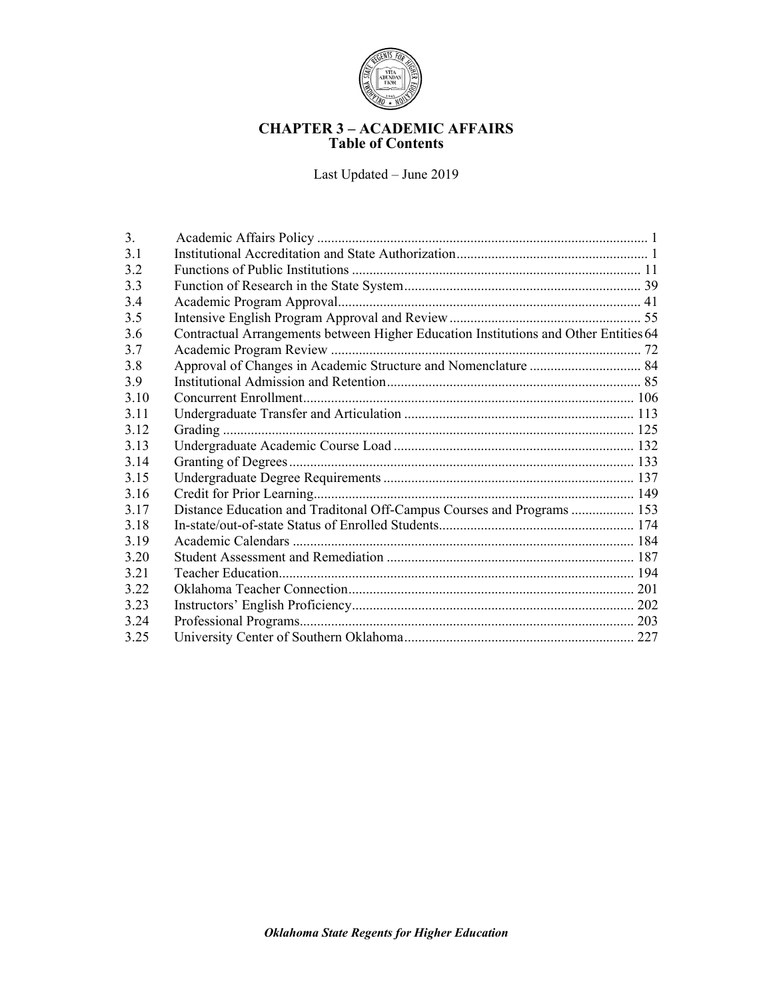

# **CHAPTER 3 – ACADEMIC AFFAIRS Table of Contents**

Last Updated – June 2019

| 3 <sub>1</sub> |                                                                                      |  |
|----------------|--------------------------------------------------------------------------------------|--|
| 3.1            |                                                                                      |  |
| 3.2            |                                                                                      |  |
| 3.3            |                                                                                      |  |
| 3.4            |                                                                                      |  |
| 3.5            |                                                                                      |  |
| 3.6            | Contractual Arrangements between Higher Education Institutions and Other Entities 64 |  |
| 3.7            |                                                                                      |  |
| 3.8            |                                                                                      |  |
| 3.9            |                                                                                      |  |
| 3 1 0          |                                                                                      |  |
| 3.11           |                                                                                      |  |
| 3.12           |                                                                                      |  |
| 3.13           |                                                                                      |  |
| 3.14           |                                                                                      |  |
| 3.15           |                                                                                      |  |
| 3.16           |                                                                                      |  |
| 3.17           | Distance Education and Traditonal Off-Campus Courses and Programs  153               |  |
| 3.18           |                                                                                      |  |
| 3.19           |                                                                                      |  |
| 3.20           |                                                                                      |  |
| 3 2 1          |                                                                                      |  |
| 3.22           |                                                                                      |  |
| 3.23           |                                                                                      |  |
| 3.24           |                                                                                      |  |
| 3.25           |                                                                                      |  |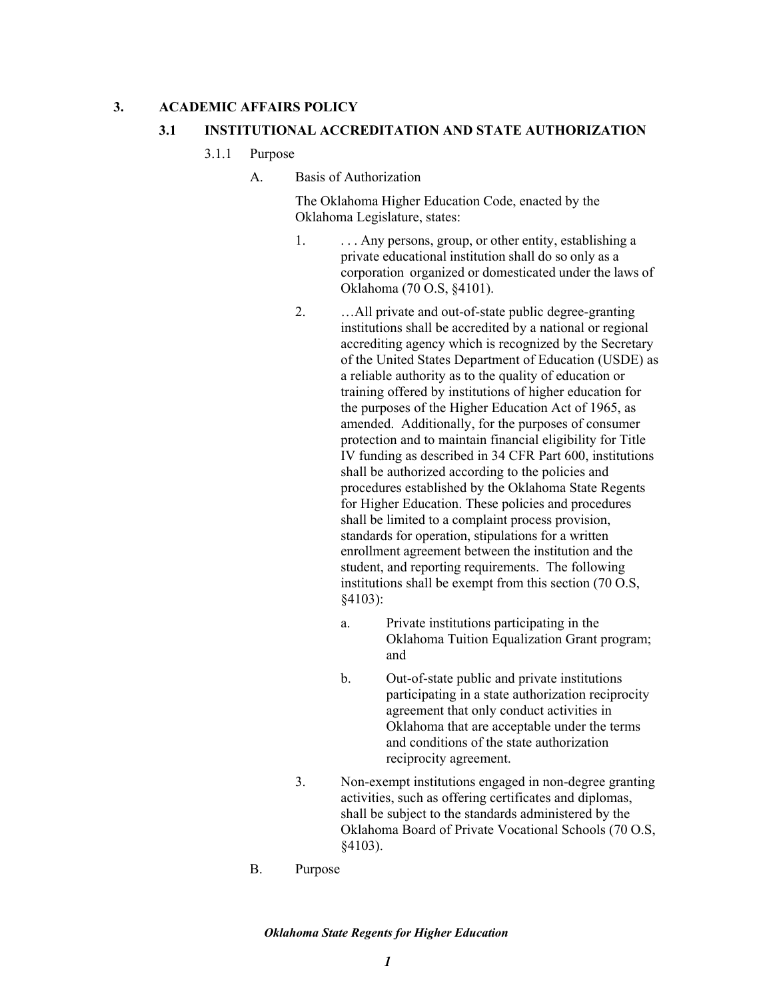### **3. ACADEMIC AFFAIRS POLICY**

### **3.1 INSTITUTIONAL ACCREDITATION AND STATE AUTHORIZATION**

- 3.1.1 Purpose
	- A. Basis of Authorization

The Oklahoma Higher Education Code, enacted by the Oklahoma Legislature, states:

- 1. . . . . . . Any persons, group, or other entity, establishing a private educational institution shall do so only as a corporation organized or domesticated under the laws of Oklahoma (70 O.S, §4101).
- 2. …All private and out-of-state public degree-granting institutions shall be accredited by a national or regional accrediting agency which is recognized by the Secretary of the United States Department of Education (USDE) as a reliable authority as to the quality of education or training offered by institutions of higher education for the purposes of the Higher Education Act of 1965, as amended. Additionally, for the purposes of consumer protection and to maintain financial eligibility for Title IV funding as described in 34 CFR Part 600, institutions shall be authorized according to the policies and procedures established by the Oklahoma State Regents for Higher Education. These policies and procedures shall be limited to a complaint process provision, standards for operation, stipulations for a written enrollment agreement between the institution and the student, and reporting requirements. The following institutions shall be exempt from this section (70 O.S, §4103):
	- a. Private institutions participating in the Oklahoma Tuition Equalization Grant program; and
	- b. Out-of-state public and private institutions participating in a state authorization reciprocity agreement that only conduct activities in Oklahoma that are acceptable under the terms and conditions of the state authorization reciprocity agreement.
- 3. Non-exempt institutions engaged in non-degree granting activities, such as offering certificates and diplomas, shall be subject to the standards administered by the Oklahoma Board of Private Vocational Schools (70 O.S, §4103).
- B. Purpose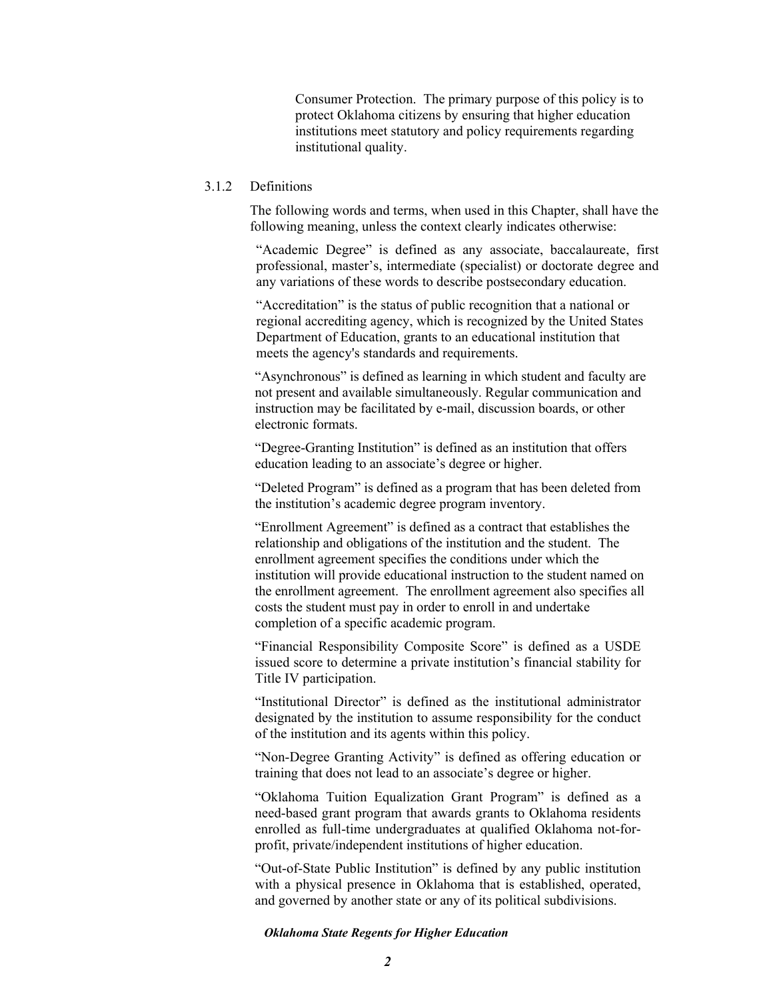Consumer Protection. The primary purpose of this policy is to protect Oklahoma citizens by ensuring that higher education institutions meet statutory and policy requirements regarding institutional quality.

## 3.1.2 Definitions

The following words and terms, when used in this Chapter, shall have the following meaning, unless the context clearly indicates otherwise:

"Academic Degree" is defined as any associate, baccalaureate, first professional, master's, intermediate (specialist) or doctorate degree and any variations of these words to describe postsecondary education.

"Accreditation" is the status of public recognition that a national or regional accrediting agency, which is recognized by the United States Department of Education, grants to an educational institution that meets the agency's standards and requirements.

"Asynchronous" is defined as learning in which student and faculty are not present and available simultaneously. Regular communication and instruction may be facilitated by e-mail, discussion boards, or other electronic formats.

"Degree-Granting Institution" is defined as an institution that offers education leading to an associate's degree or higher.

"Deleted Program" is defined as a program that has been deleted from the institution's academic degree program inventory.

"Enrollment Agreement" is defined as a contract that establishes the relationship and obligations of the institution and the student. The enrollment agreement specifies the conditions under which the institution will provide educational instruction to the student named on the enrollment agreement. The enrollment agreement also specifies all costs the student must pay in order to enroll in and undertake completion of a specific academic program.

"Financial Responsibility Composite Score" is defined as a USDE issued score to determine a private institution's financial stability for Title IV participation.

"Institutional Director" is defined as the institutional administrator designated by the institution to assume responsibility for the conduct of the institution and its agents within this policy.

"Non-Degree Granting Activity" is defined as offering education or training that does not lead to an associate's degree or higher.

"Oklahoma Tuition Equalization Grant Program" is defined as a need-based grant program that awards grants to Oklahoma residents enrolled as full-time undergraduates at qualified Oklahoma not-forprofit, private/independent institutions of higher education.

"Out-of-State Public Institution" is defined by any public institution with a physical presence in Oklahoma that is established, operated, and governed by another state or any of its political subdivisions.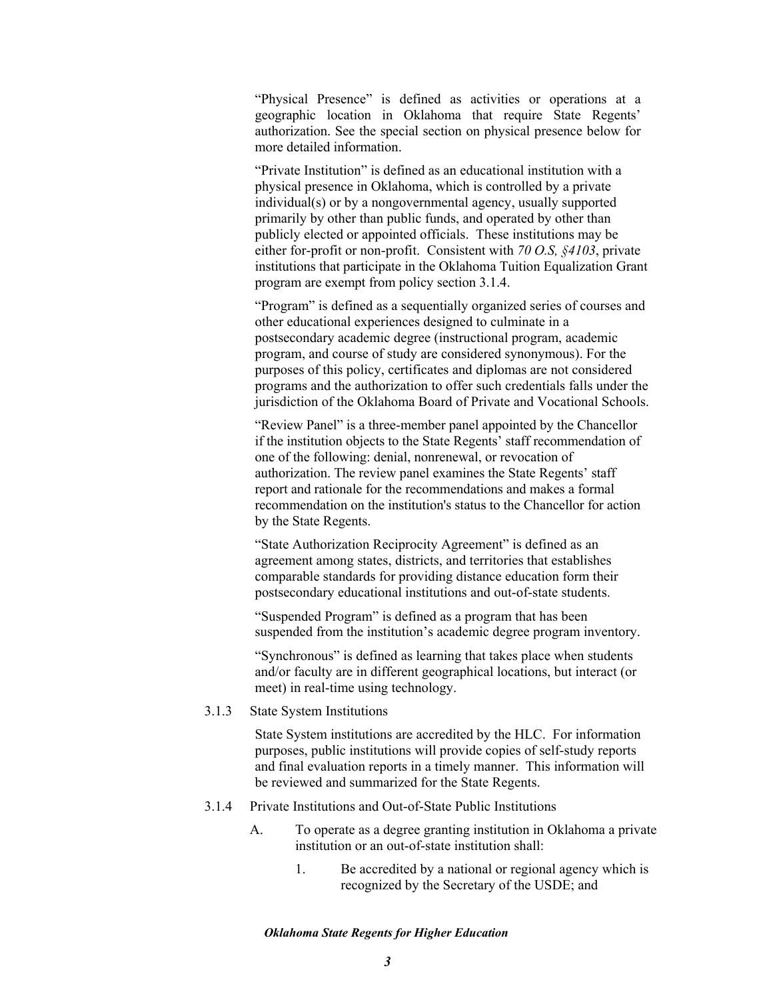"Physical Presence" is defined as activities or operations at a geographic location in Oklahoma that require State Regents' authorization. See the special section on physical presence below for more detailed information.

"Private Institution" is defined as an educational institution with a physical presence in Oklahoma, which is controlled by a private individual(s) or by a nongovernmental agency, usually supported primarily by other than public funds, and operated by other than publicly elected or appointed officials. These institutions may be either for-profit or non-profit. Consistent with *70 O.S, §4103*, private institutions that participate in the Oklahoma Tuition Equalization Grant program are exempt from policy section 3.1.4.

"Program" is defined as a sequentially organized series of courses and other educational experiences designed to culminate in a postsecondary academic degree (instructional program, academic program, and course of study are considered synonymous). For the purposes of this policy, certificates and diplomas are not considered programs and the authorization to offer such credentials falls under the jurisdiction of the Oklahoma Board of Private and Vocational Schools.

"Review Panel" is a three-member panel appointed by the Chancellor if the institution objects to the State Regents' staff recommendation of one of the following: denial, nonrenewal, or revocation of authorization. The review panel examines the State Regents' staff report and rationale for the recommendations and makes a formal recommendation on the institution's status to the Chancellor for action by the State Regents.

"State Authorization Reciprocity Agreement" is defined as an agreement among states, districts, and territories that establishes comparable standards for providing distance education form their postsecondary educational institutions and out-of-state students.

"Suspended Program" is defined as a program that has been suspended from the institution's academic degree program inventory.

"Synchronous" is defined as learning that takes place when students and/or faculty are in different geographical locations, but interact (or meet) in real-time using technology.

3.1.3 State System Institutions

State System institutions are accredited by the HLC. For information purposes, public institutions will provide copies of self-study reports and final evaluation reports in a timely manner. This information will be reviewed and summarized for the State Regents.

- 3.1.4 Private Institutions and Out-of-State Public Institutions
	- A. To operate as a degree granting institution in Oklahoma a private institution or an out-of-state institution shall:
		- 1. Be accredited by a national or regional agency which is recognized by the Secretary of the USDE; and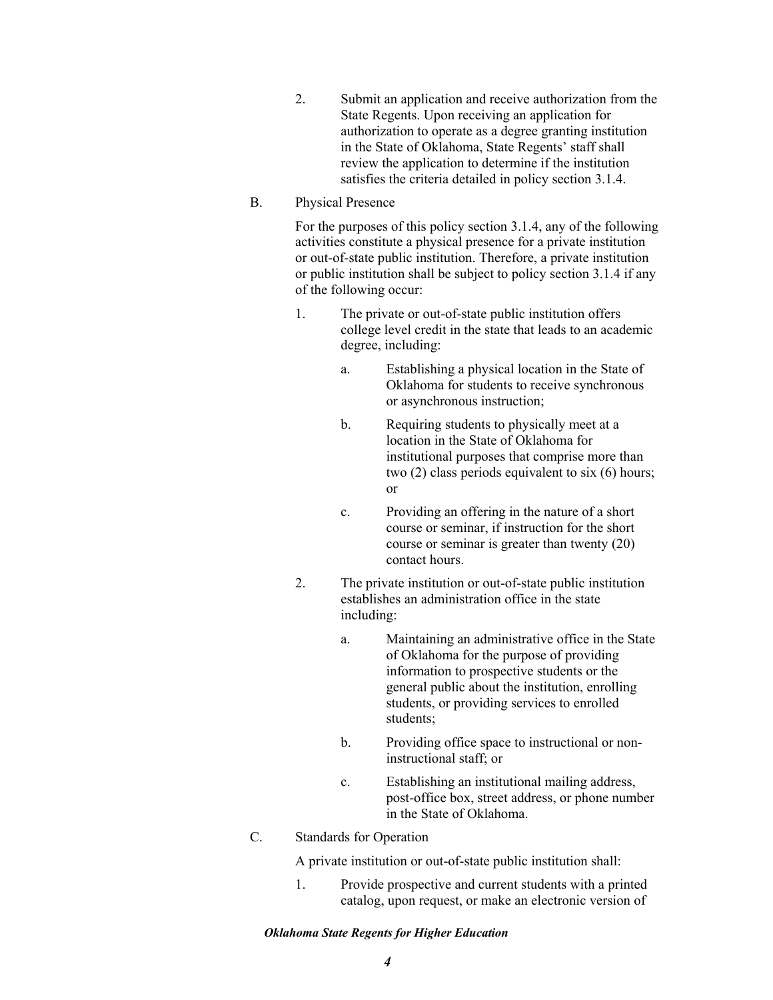- 2. Submit an application and receive authorization from the State Regents. Upon receiving an application for authorization to operate as a degree granting institution in the State of Oklahoma, State Regents' staff shall review the application to determine if the institution satisfies the criteria detailed in policy section 3.1.4.
- B. Physical Presence

For the purposes of this policy section 3.1.4, any of the following activities constitute a physical presence for a private institution or out-of-state public institution. Therefore, a private institution or public institution shall be subject to policy section 3.1.4 if any of the following occur:

- 1. The private or out-of-state public institution offers college level credit in the state that leads to an academic degree, including:
	- a. Establishing a physical location in the State of Oklahoma for students to receive synchronous or asynchronous instruction;
	- b. Requiring students to physically meet at a location in the State of Oklahoma for institutional purposes that comprise more than two (2) class periods equivalent to six (6) hours; or
	- c. Providing an offering in the nature of a short course or seminar, if instruction for the short course or seminar is greater than twenty (20) contact hours.
- 2. The private institution or out-of-state public institution establishes an administration office in the state including:
	- a. Maintaining an administrative office in the State of Oklahoma for the purpose of providing information to prospective students or the general public about the institution, enrolling students, or providing services to enrolled students;
	- b. Providing office space to instructional or noninstructional staff; or
	- c. Establishing an institutional mailing address, post-office box, street address, or phone number in the State of Oklahoma.
- C. Standards for Operation

A private institution or out-of-state public institution shall:

1. Provide prospective and current students with a printed catalog, upon request, or make an electronic version of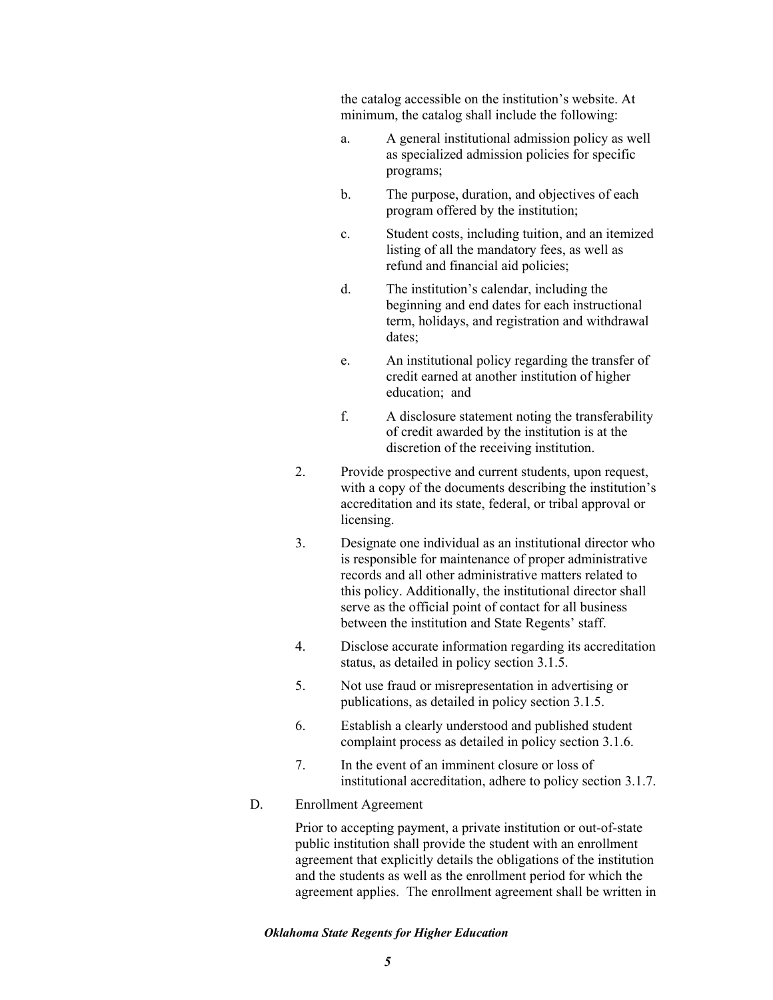the catalog accessible on the institution's website. At minimum, the catalog shall include the following:

- a. A general institutional admission policy as well as specialized admission policies for specific programs;
- b. The purpose, duration, and objectives of each program offered by the institution;
- c. Student costs, including tuition, and an itemized listing of all the mandatory fees, as well as refund and financial aid policies;
- d. The institution's calendar, including the beginning and end dates for each instructional term, holidays, and registration and withdrawal dates;
- e. An institutional policy regarding the transfer of credit earned at another institution of higher education; and
- f. A disclosure statement noting the transferability of credit awarded by the institution is at the discretion of the receiving institution.
- 2. Provide prospective and current students, upon request, with a copy of the documents describing the institution's accreditation and its state, federal, or tribal approval or licensing.
- 3. Designate one individual as an institutional director who is responsible for maintenance of proper administrative records and all other administrative matters related to this policy. Additionally, the institutional director shall serve as the official point of contact for all business between the institution and State Regents' staff.
- 4. Disclose accurate information regarding its accreditation status, as detailed in policy section 3.1.5.
- 5. Not use fraud or misrepresentation in advertising or publications, as detailed in policy section 3.1.5.
- 6. Establish a clearly understood and published student complaint process as detailed in policy section 3.1.6.
- 7. In the event of an imminent closure or loss of institutional accreditation, adhere to policy section 3.1.7.
- D. Enrollment Agreement

Prior to accepting payment, a private institution or out-of-state public institution shall provide the student with an enrollment agreement that explicitly details the obligations of the institution and the students as well as the enrollment period for which the agreement applies. The enrollment agreement shall be written in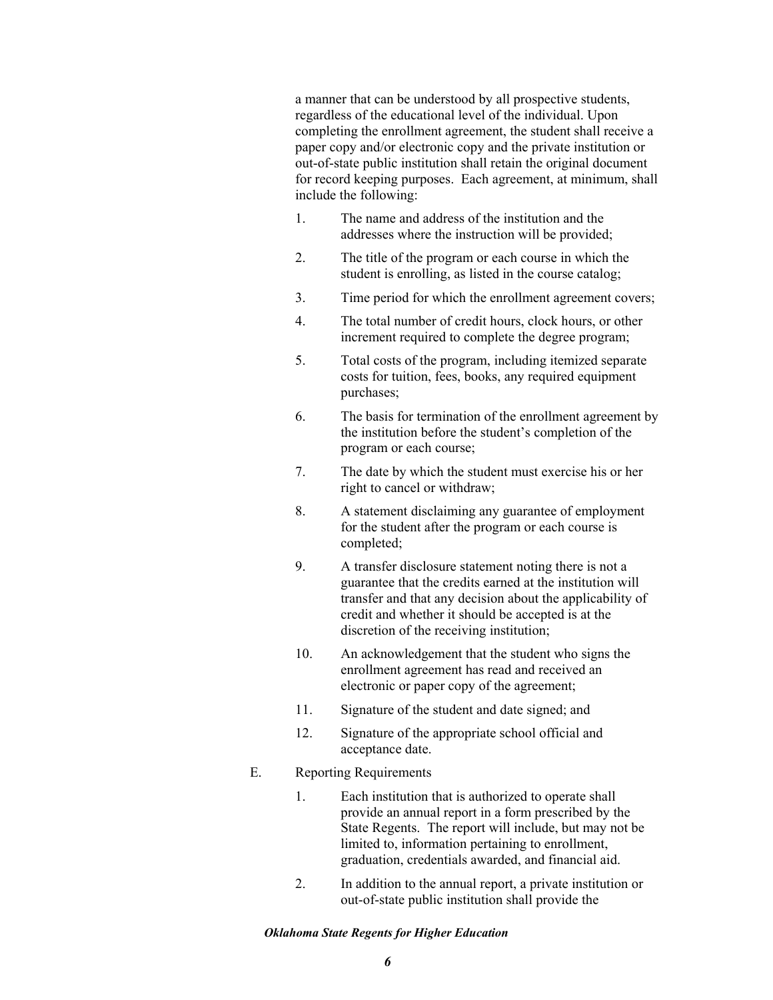a manner that can be understood by all prospective students, regardless of the educational level of the individual. Upon completing the enrollment agreement, the student shall receive a paper copy and/or electronic copy and the private institution or out-of-state public institution shall retain the original document for record keeping purposes. Each agreement, at minimum, shall include the following:

- 1. The name and address of the institution and the addresses where the instruction will be provided;
- 2. The title of the program or each course in which the student is enrolling, as listed in the course catalog;
- 3. Time period for which the enrollment agreement covers;
- 4. The total number of credit hours, clock hours, or other increment required to complete the degree program;
- 5. Total costs of the program, including itemized separate costs for tuition, fees, books, any required equipment purchases;
- 6. The basis for termination of the enrollment agreement by the institution before the student's completion of the program or each course;
- 7. The date by which the student must exercise his or her right to cancel or withdraw;
- 8. A statement disclaiming any guarantee of employment for the student after the program or each course is completed;
- 9. A transfer disclosure statement noting there is not a guarantee that the credits earned at the institution will transfer and that any decision about the applicability of credit and whether it should be accepted is at the discretion of the receiving institution;
- 10. An acknowledgement that the student who signs the enrollment agreement has read and received an electronic or paper copy of the agreement;
- 11. Signature of the student and date signed; and
- 12. Signature of the appropriate school official and acceptance date.

# E. Reporting Requirements

- 1. Each institution that is authorized to operate shall provide an annual report in a form prescribed by the State Regents. The report will include, but may not be limited to, information pertaining to enrollment, graduation, credentials awarded, and financial aid.
- 2. In addition to the annual report, a private institution or out-of-state public institution shall provide the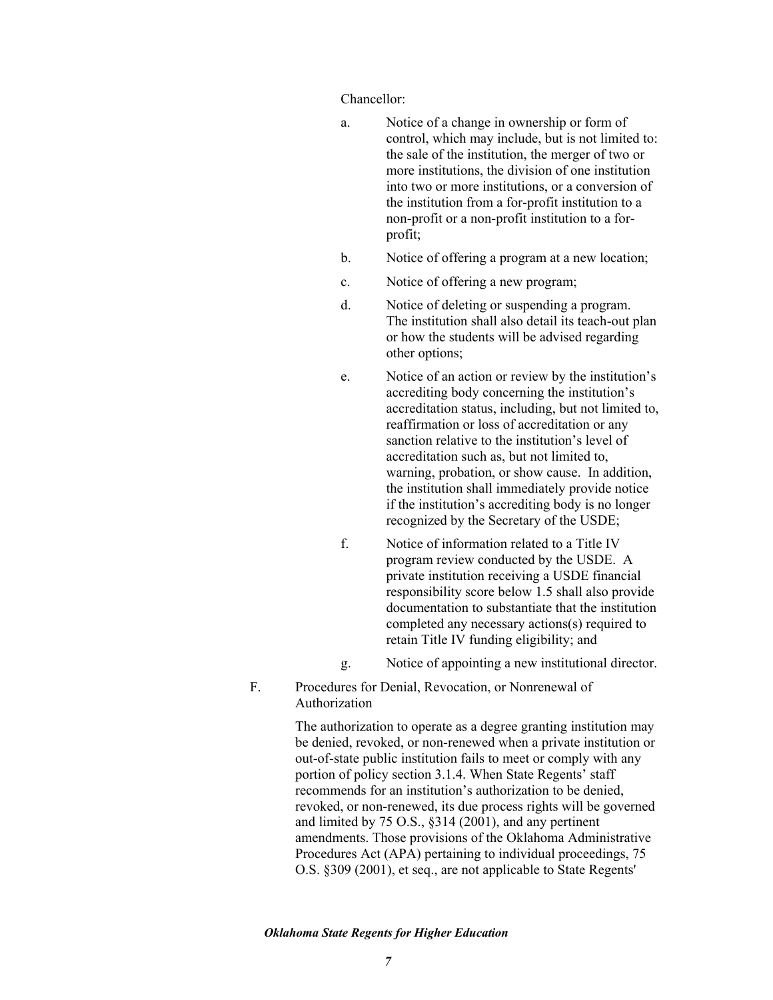Chancellor:

- a. Notice of a change in ownership or form of control, which may include, but is not limited to: the sale of the institution, the merger of two or more institutions, the division of one institution into two or more institutions, or a conversion of the institution from a for-profit institution to a non-profit or a non-profit institution to a forprofit;
- b. Notice of offering a program at a new location;
- c. Notice of offering a new program;
- d. Notice of deleting or suspending a program. The institution shall also detail its teach-out plan or how the students will be advised regarding other options;
- e. Notice of an action or review by the institution's accrediting body concerning the institution's accreditation status, including, but not limited to, reaffirmation or loss of accreditation or any sanction relative to the institution's level of accreditation such as, but not limited to, warning, probation, or show cause. In addition, the institution shall immediately provide notice if the institution's accrediting body is no longer recognized by the Secretary of the USDE;
- f. Notice of information related to a Title IV program review conducted by the USDE. A private institution receiving a USDE financial responsibility score below 1.5 shall also provide documentation to substantiate that the institution completed any necessary actions(s) required to retain Title IV funding eligibility; and
- g. Notice of appointing a new institutional director.
- F. Procedures for Denial, Revocation, or Nonrenewal of Authorization

The authorization to operate as a degree granting institution may be denied, revoked, or non-renewed when a private institution or out-of-state public institution fails to meet or comply with any portion of policy section 3.1.4. When State Regents' staff recommends for an institution's authorization to be denied, revoked, or non-renewed, its due process rights will be governed and limited by 75 O.S., §314 (2001), and any pertinent amendments. Those provisions of the Oklahoma Administrative Procedures Act (APA) pertaining to individual proceedings, 75 O.S. §309 (2001), et seq., are not applicable to State Regents'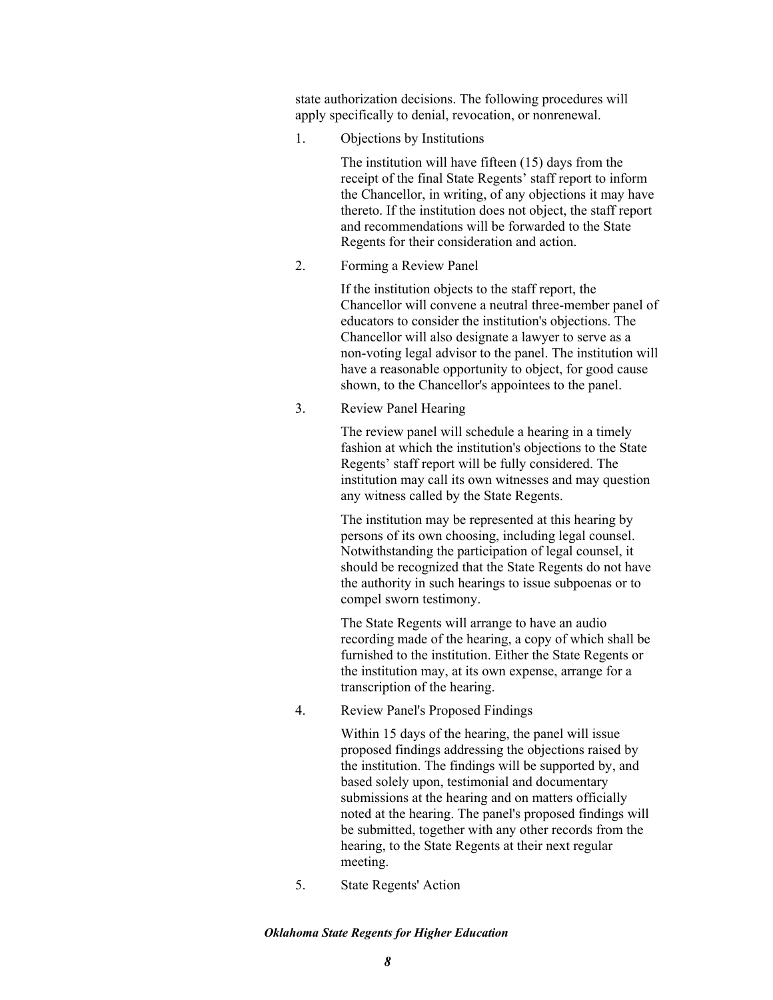state authorization decisions. The following procedures will apply specifically to denial, revocation, or nonrenewal.

1. Objections by Institutions

The institution will have fifteen (15) days from the receipt of the final State Regents' staff report to inform the Chancellor, in writing, of any objections it may have thereto. If the institution does not object, the staff report and recommendations will be forwarded to the State Regents for their consideration and action.

2. Forming a Review Panel

If the institution objects to the staff report, the Chancellor will convene a neutral three-member panel of educators to consider the institution's objections. The Chancellor will also designate a lawyer to serve as a non-voting legal advisor to the panel. The institution will have a reasonable opportunity to object, for good cause shown, to the Chancellor's appointees to the panel.

3. Review Panel Hearing

The review panel will schedule a hearing in a timely fashion at which the institution's objections to the State Regents' staff report will be fully considered. The institution may call its own witnesses and may question any witness called by the State Regents.

The institution may be represented at this hearing by persons of its own choosing, including legal counsel. Notwithstanding the participation of legal counsel, it should be recognized that the State Regents do not have the authority in such hearings to issue subpoenas or to compel sworn testimony.

The State Regents will arrange to have an audio recording made of the hearing, a copy of which shall be furnished to the institution. Either the State Regents or the institution may, at its own expense, arrange for a transcription of the hearing.

4. Review Panel's Proposed Findings

Within 15 days of the hearing, the panel will issue proposed findings addressing the objections raised by the institution. The findings will be supported by, and based solely upon, testimonial and documentary submissions at the hearing and on matters officially noted at the hearing. The panel's proposed findings will be submitted, together with any other records from the hearing, to the State Regents at their next regular meeting.

5. State Regents' Action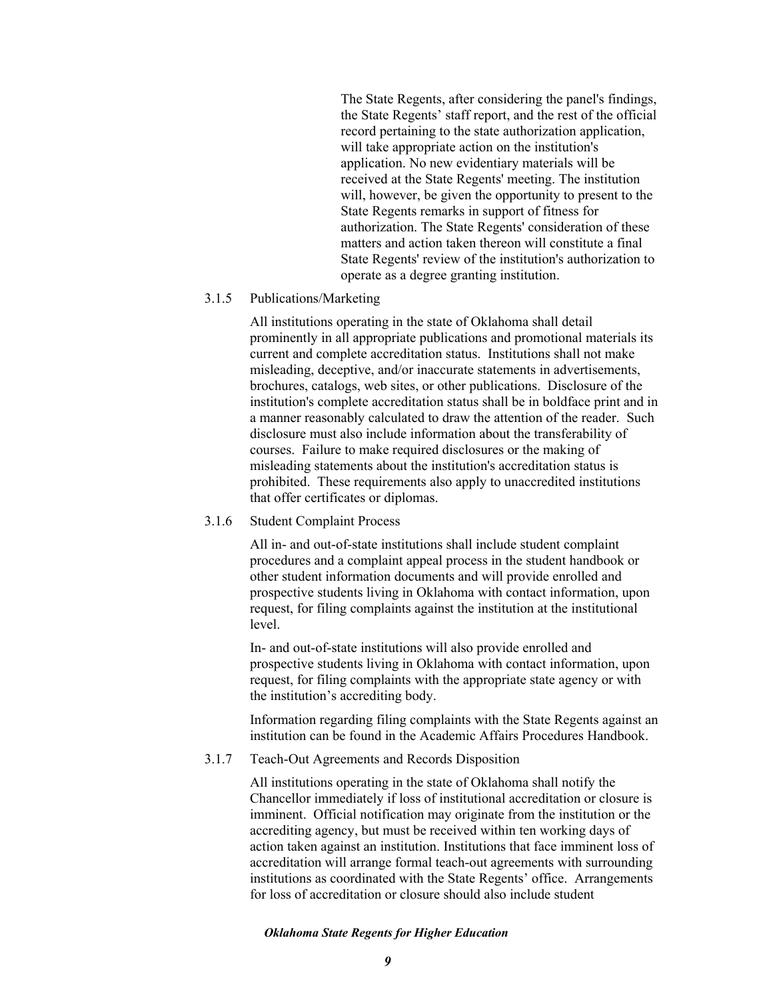The State Regents, after considering the panel's findings, the State Regents' staff report, and the rest of the official record pertaining to the state authorization application, will take appropriate action on the institution's application. No new evidentiary materials will be received at the State Regents' meeting. The institution will, however, be given the opportunity to present to the State Regents remarks in support of fitness for authorization. The State Regents' consideration of these matters and action taken thereon will constitute a final State Regents' review of the institution's authorization to operate as a degree granting institution.

## 3.1.5 Publications/Marketing

All institutions operating in the state of Oklahoma shall detail prominently in all appropriate publications and promotional materials its current and complete accreditation status. Institutions shall not make misleading, deceptive, and/or inaccurate statements in advertisements, brochures, catalogs, web sites, or other publications. Disclosure of the institution's complete accreditation status shall be in boldface print and in a manner reasonably calculated to draw the attention of the reader. Such disclosure must also include information about the transferability of courses. Failure to make required disclosures or the making of misleading statements about the institution's accreditation status is prohibited. These requirements also apply to unaccredited institutions that offer certificates or diplomas.

# 3.1.6 Student Complaint Process

All in- and out-of-state institutions shall include student complaint procedures and a complaint appeal process in the student handbook or other student information documents and will provide enrolled and prospective students living in Oklahoma with contact information, upon request, for filing complaints against the institution at the institutional level.

In- and out-of-state institutions will also provide enrolled and prospective students living in Oklahoma with contact information, upon request, for filing complaints with the appropriate state agency or with the institution's accrediting body.

Information regarding filing complaints with the State Regents against an institution can be found in the Academic Affairs Procedures Handbook.

## 3.1.7 Teach-Out Agreements and Records Disposition

All institutions operating in the state of Oklahoma shall notify the Chancellor immediately if loss of institutional accreditation or closure is imminent. Official notification may originate from the institution or the accrediting agency, but must be received within ten working days of action taken against an institution. Institutions that face imminent loss of accreditation will arrange formal teach-out agreements with surrounding institutions as coordinated with the State Regents' office. Arrangements for loss of accreditation or closure should also include student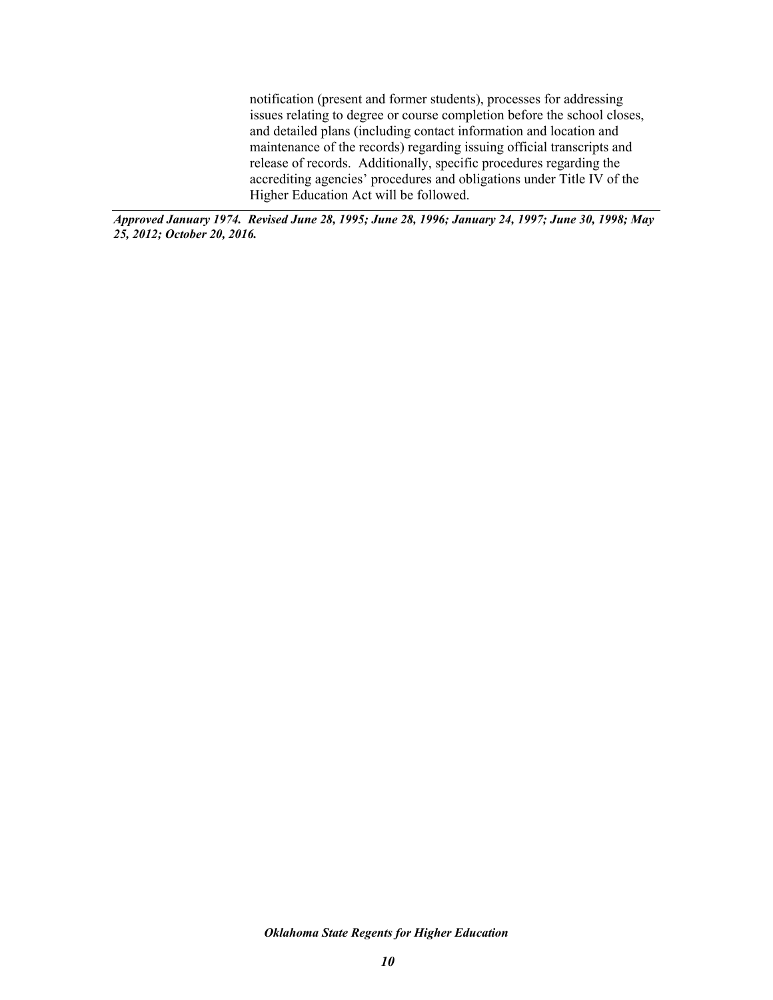notification (present and former students), processes for addressing issues relating to degree or course completion before the school closes, and detailed plans (including contact information and location and maintenance of the records) regarding issuing official transcripts and release of records. Additionally, specific procedures regarding the accrediting agencies' procedures and obligations under Title IV of the Higher Education Act will be followed.

*Approved January 1974. Revised June 28, 1995; June 28, 1996; January 24, 1997; June 30, 1998; May 25, 2012; October 20, 2016.*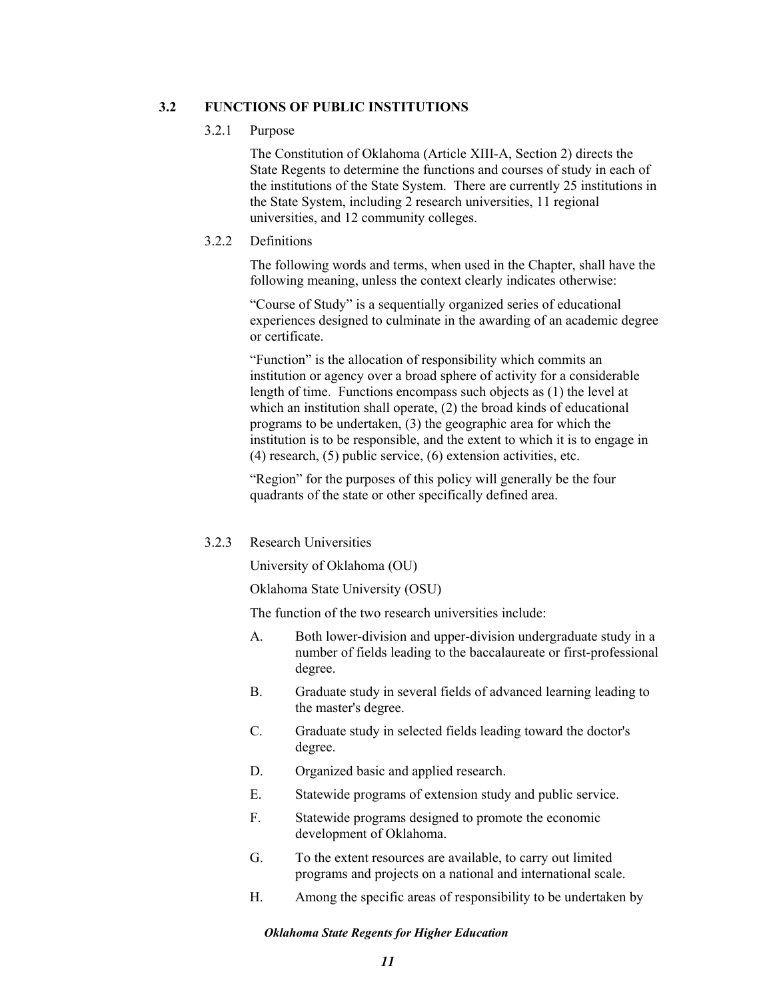# **3.2 FUNCTIONS OF PUBLIC INSTITUTIONS**

### 3.2.1 Purpose

The Constitution of Oklahoma (Article XIII-A, Section 2) directs the State Regents to determine the functions and courses of study in each of the institutions of the State System. There are currently 25 institutions in the State System, including 2 research universities, 11 regional universities, and 12 community colleges.

## 3.2.2 Definitions

The following words and terms, when used in the Chapter, shall have the following meaning, unless the context clearly indicates otherwise:

"Course of Study" is a sequentially organized series of educational experiences designed to culminate in the awarding of an academic degree or certificate.

"Function" is the allocation of responsibility which commits an institution or agency over a broad sphere of activity for a considerable length of time. Functions encompass such objects as (1) the level at which an institution shall operate, (2) the broad kinds of educational programs to be undertaken, (3) the geographic area for which the institution is to be responsible, and the extent to which it is to engage in (4) research, (5) public service, (6) extension activities, etc.

"Region" for the purposes of this policy will generally be the four quadrants of the state or other specifically defined area.

# 3.2.3 Research Universities

University of Oklahoma (OU)

Oklahoma State University (OSU)

The function of the two research universities include:

- A. Both lower-division and upper-division undergraduate study in a number of fields leading to the baccalaureate or first-professional degree.
- B. Graduate study in several fields of advanced learning leading to the master's degree.
- C. Graduate study in selected fields leading toward the doctor's degree.
- D. Organized basic and applied research.
- E. Statewide programs of extension study and public service.
- F. Statewide programs designed to promote the economic development of Oklahoma.
- G. To the extent resources are available, to carry out limited programs and projects on a national and international scale.
- H. Among the specific areas of responsibility to be undertaken by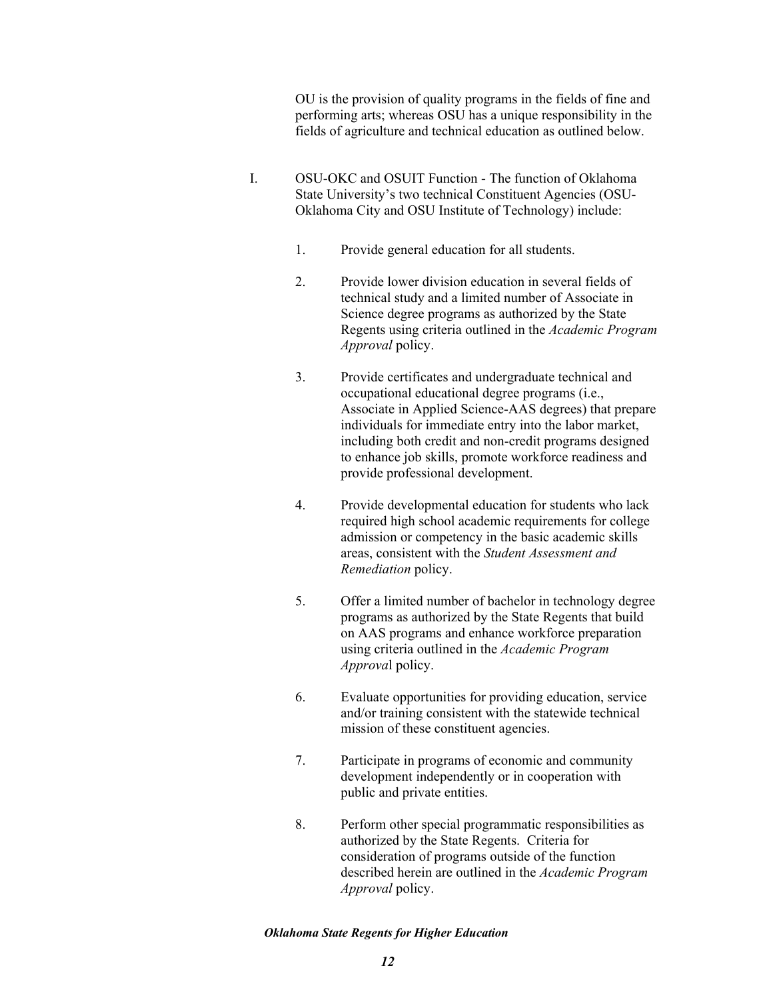OU is the provision of quality programs in the fields of fine and performing arts; whereas OSU has a unique responsibility in the fields of agriculture and technical education as outlined below.

- I. OSU-OKC and OSUIT Function The function of Oklahoma State University's two technical Constituent Agencies (OSU-Oklahoma City and OSU Institute of Technology) include:
	- 1. Provide general education for all students.
	- 2. Provide lower division education in several fields of technical study and a limited number of Associate in Science degree programs as authorized by the State Regents using criteria outlined in the *Academic Program Approval* policy.
	- 3. Provide certificates and undergraduate technical and occupational educational degree programs (i.e., Associate in Applied Science-AAS degrees) that prepare individuals for immediate entry into the labor market, including both credit and non-credit programs designed to enhance job skills, promote workforce readiness and provide professional development.
	- 4. Provide developmental education for students who lack required high school academic requirements for college admission or competency in the basic academic skills areas, consistent with the *Student Assessment and Remediation* policy.
	- 5. Offer a limited number of bachelor in technology degree programs as authorized by the State Regents that build on AAS programs and enhance workforce preparation using criteria outlined in the *Academic Program Approva*l policy.
	- 6. Evaluate opportunities for providing education, service and/or training consistent with the statewide technical mission of these constituent agencies.
	- 7. Participate in programs of economic and community development independently or in cooperation with public and private entities.
	- 8. Perform other special programmatic responsibilities as authorized by the State Regents. Criteria for consideration of programs outside of the function described herein are outlined in the *Academic Program Approval* policy.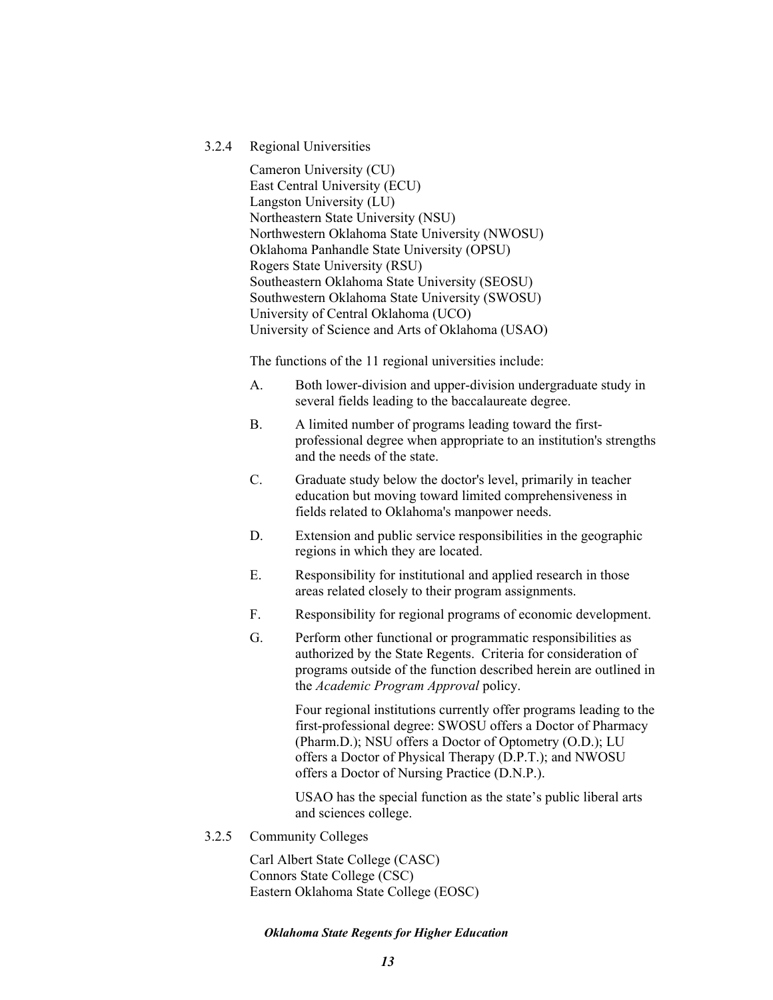## 3.2.4 Regional Universities

Cameron University (CU) East Central University (ECU) Langston University (LU) Northeastern State University (NSU) Northwestern Oklahoma State University (NWOSU) Oklahoma Panhandle State University (OPSU) Rogers State University (RSU) Southeastern Oklahoma State University (SEOSU) Southwestern Oklahoma State University (SWOSU) University of Central Oklahoma (UCO) University of Science and Arts of Oklahoma (USAO)

The functions of the 11 regional universities include:

- A. Both lower-division and upper-division undergraduate study in several fields leading to the baccalaureate degree.
- B. A limited number of programs leading toward the firstprofessional degree when appropriate to an institution's strengths and the needs of the state.
- C. Graduate study below the doctor's level, primarily in teacher education but moving toward limited comprehensiveness in fields related to Oklahoma's manpower needs.
- D. Extension and public service responsibilities in the geographic regions in which they are located.
- E. Responsibility for institutional and applied research in those areas related closely to their program assignments.
- F. Responsibility for regional programs of economic development.
- G. Perform other functional or programmatic responsibilities as authorized by the State Regents. Criteria for consideration of programs outside of the function described herein are outlined in the *Academic Program Approval* policy.

Four regional institutions currently offer programs leading to the first-professional degree: SWOSU offers a Doctor of Pharmacy (Pharm.D.); NSU offers a Doctor of Optometry (O.D.); LU offers a Doctor of Physical Therapy (D.P.T.); and NWOSU offers a Doctor of Nursing Practice (D.N.P.).

USAO has the special function as the state's public liberal arts and sciences college.

3.2.5 Community Colleges

Carl Albert State College (CASC) Connors State College (CSC) Eastern Oklahoma State College (EOSC)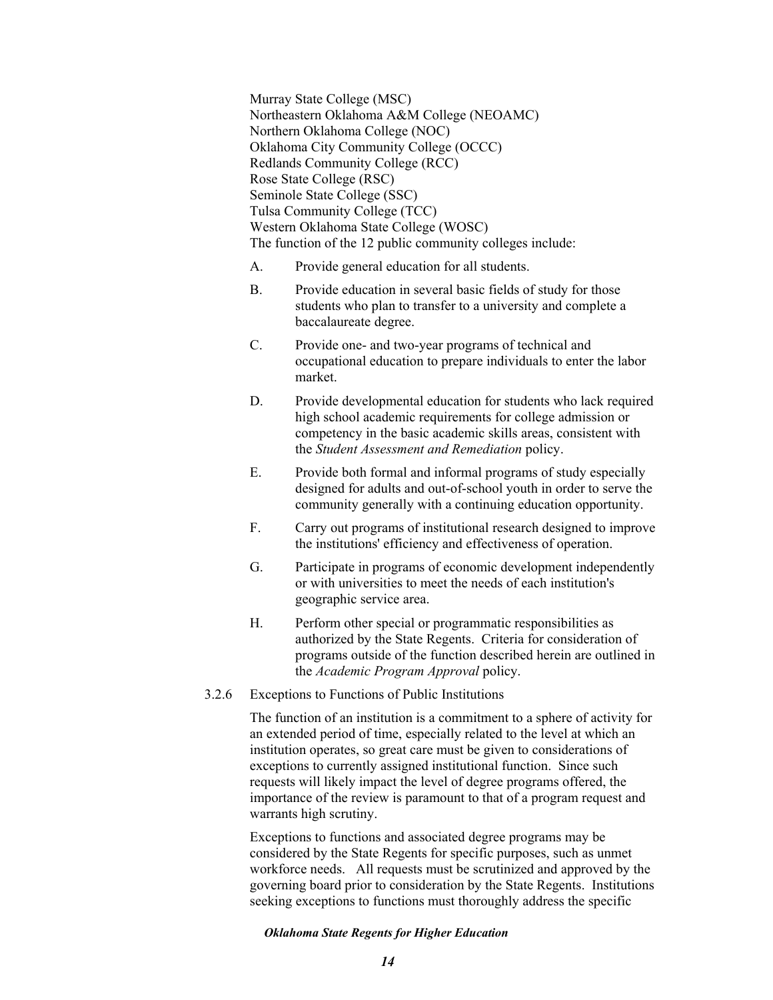Murray State College (MSC) Northeastern Oklahoma A&M College (NEOAMC) Northern Oklahoma College (NOC) Oklahoma City Community College (OCCC) Redlands Community College (RCC) Rose State College (RSC) Seminole State College (SSC) Tulsa Community College (TCC) Western Oklahoma State College (WOSC) The function of the 12 public community colleges include:

- A. Provide general education for all students.
- B. Provide education in several basic fields of study for those students who plan to transfer to a university and complete a baccalaureate degree.
- C. Provide one- and two-year programs of technical and occupational education to prepare individuals to enter the labor market.
- D. Provide developmental education for students who lack required high school academic requirements for college admission or competency in the basic academic skills areas, consistent with the *Student Assessment and Remediation* policy.
- E. Provide both formal and informal programs of study especially designed for adults and out-of-school youth in order to serve the community generally with a continuing education opportunity.
- F. Carry out programs of institutional research designed to improve the institutions' efficiency and effectiveness of operation.
- G. Participate in programs of economic development independently or with universities to meet the needs of each institution's geographic service area.
- H. Perform other special or programmatic responsibilities as authorized by the State Regents. Criteria for consideration of programs outside of the function described herein are outlined in the *Academic Program Approval* policy.
- 3.2.6 Exceptions to Functions of Public Institutions

The function of an institution is a commitment to a sphere of activity for an extended period of time, especially related to the level at which an institution operates, so great care must be given to considerations of exceptions to currently assigned institutional function. Since such requests will likely impact the level of degree programs offered, the importance of the review is paramount to that of a program request and warrants high scrutiny.

Exceptions to functions and associated degree programs may be considered by the State Regents for specific purposes, such as unmet workforce needs. All requests must be scrutinized and approved by the governing board prior to consideration by the State Regents. Institutions seeking exceptions to functions must thoroughly address the specific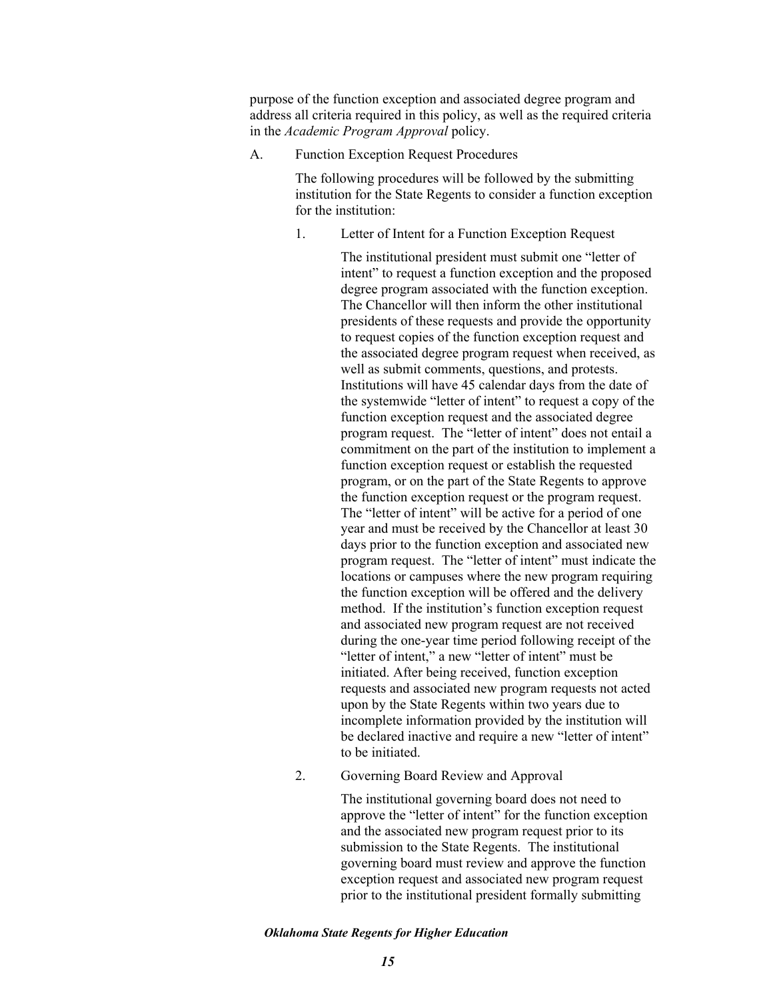purpose of the function exception and associated degree program and address all criteria required in this policy, as well as the required criteria in the *Academic Program Approval* policy.

A. Function Exception Request Procedures

The following procedures will be followed by the submitting institution for the State Regents to consider a function exception for the institution:

1. Letter of Intent for a Function Exception Request

The institutional president must submit one "letter of intent" to request a function exception and the proposed degree program associated with the function exception. The Chancellor will then inform the other institutional presidents of these requests and provide the opportunity to request copies of the function exception request and the associated degree program request when received, as well as submit comments, questions, and protests. Institutions will have 45 calendar days from the date of the systemwide "letter of intent" to request a copy of the function exception request and the associated degree program request. The "letter of intent" does not entail a commitment on the part of the institution to implement a function exception request or establish the requested program, or on the part of the State Regents to approve the function exception request or the program request. The "letter of intent" will be active for a period of one year and must be received by the Chancellor at least 30 days prior to the function exception and associated new program request. The "letter of intent" must indicate the locations or campuses where the new program requiring the function exception will be offered and the delivery method. If the institution's function exception request and associated new program request are not received during the one-year time period following receipt of the "letter of intent," a new "letter of intent" must be initiated. After being received, function exception requests and associated new program requests not acted upon by the State Regents within two years due to incomplete information provided by the institution will be declared inactive and require a new "letter of intent" to be initiated.

2. Governing Board Review and Approval

The institutional governing board does not need to approve the "letter of intent" for the function exception and the associated new program request prior to its submission to the State Regents. The institutional governing board must review and approve the function exception request and associated new program request prior to the institutional president formally submitting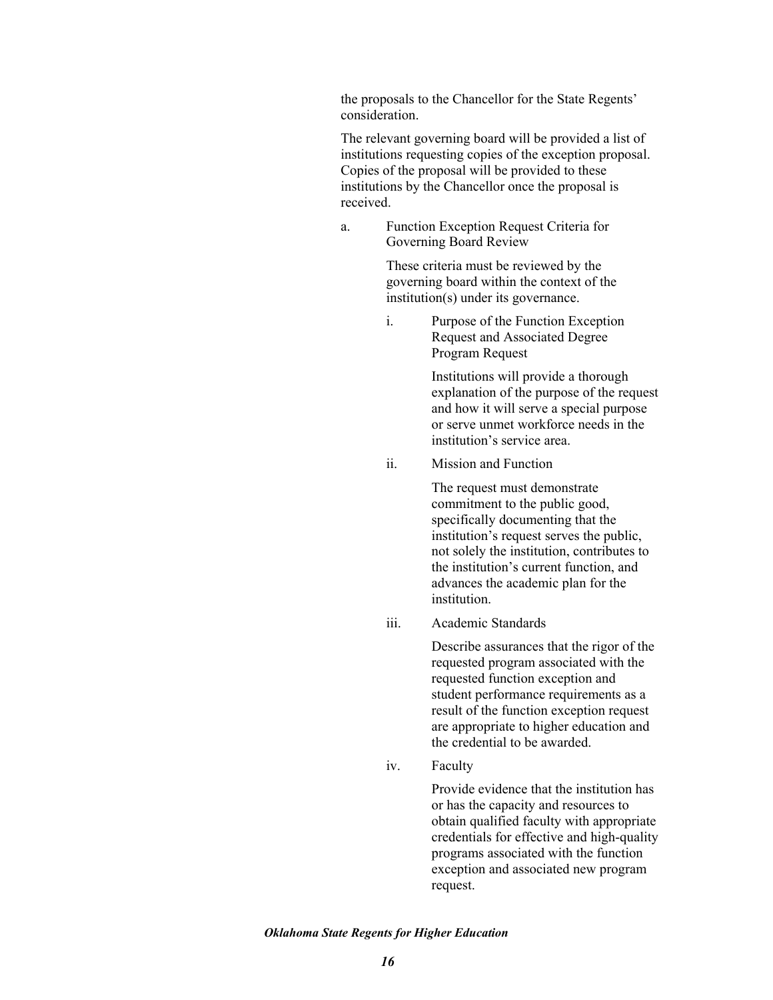the proposals to the Chancellor for the State Regents' consideration.

The relevant governing board will be provided a list of institutions requesting copies of the exception proposal. Copies of the proposal will be provided to these institutions by the Chancellor once the proposal is received.

a. Function Exception Request Criteria for Governing Board Review

> These criteria must be reviewed by the governing board within the context of the institution(s) under its governance.

i. Purpose of the Function Exception Request and Associated Degree Program Request

> Institutions will provide a thorough explanation of the purpose of the request and how it will serve a special purpose or serve unmet workforce needs in the institution's service area.

ii. Mission and Function

The request must demonstrate commitment to the public good, specifically documenting that the institution's request serves the public, not solely the institution, contributes to the institution's current function, and advances the academic plan for the institution.

iii. Academic Standards

Describe assurances that the rigor of the requested program associated with the requested function exception and student performance requirements as a result of the function exception request are appropriate to higher education and the credential to be awarded.

iv. Faculty

Provide evidence that the institution has or has the capacity and resources to obtain qualified faculty with appropriate credentials for effective and high-quality programs associated with the function exception and associated new program request.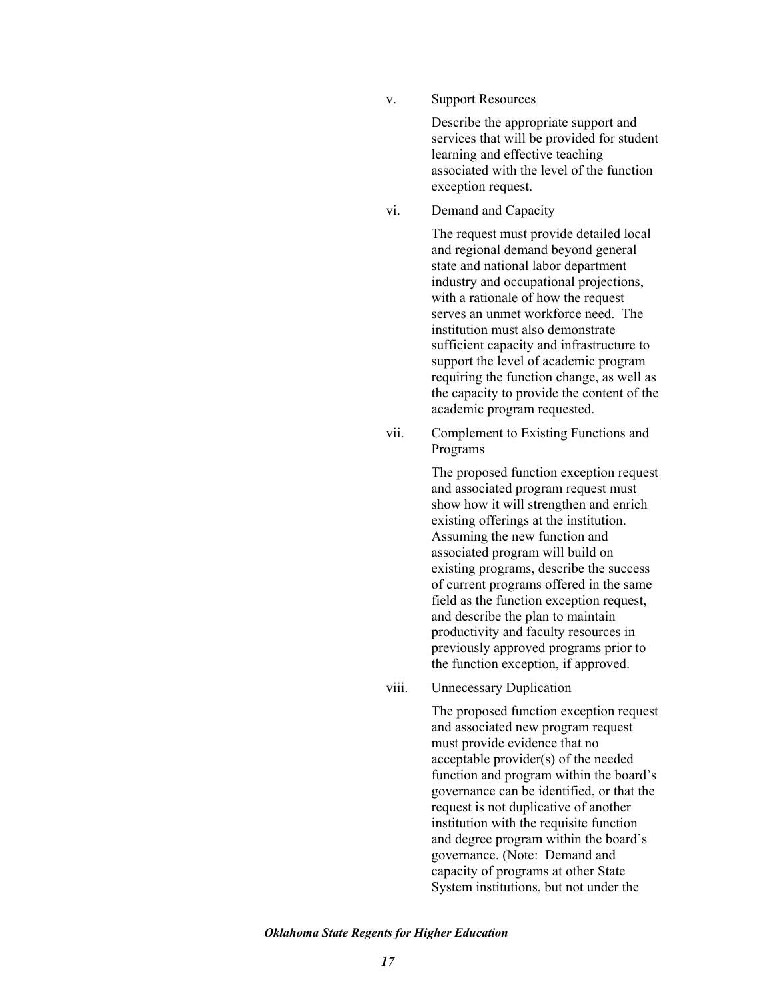v. Support Resources

Describe the appropriate support and services that will be provided for student learning and effective teaching associated with the level of the function exception request.

vi. Demand and Capacity

The request must provide detailed local and regional demand beyond general state and national labor department industry and occupational projections, with a rationale of how the request serves an unmet workforce need. The institution must also demonstrate sufficient capacity and infrastructure to support the level of academic program requiring the function change, as well as the capacity to provide the content of the academic program requested.

vii. Complement to Existing Functions and Programs

> The proposed function exception request and associated program request must show how it will strengthen and enrich existing offerings at the institution. Assuming the new function and associated program will build on existing programs, describe the success of current programs offered in the same field as the function exception request, and describe the plan to maintain productivity and faculty resources in previously approved programs prior to the function exception, if approved.

viii. Unnecessary Duplication

The proposed function exception request and associated new program request must provide evidence that no acceptable provider(s) of the needed function and program within the board's governance can be identified, or that the request is not duplicative of another institution with the requisite function and degree program within the board's governance. (Note: Demand and capacity of programs at other State System institutions, but not under the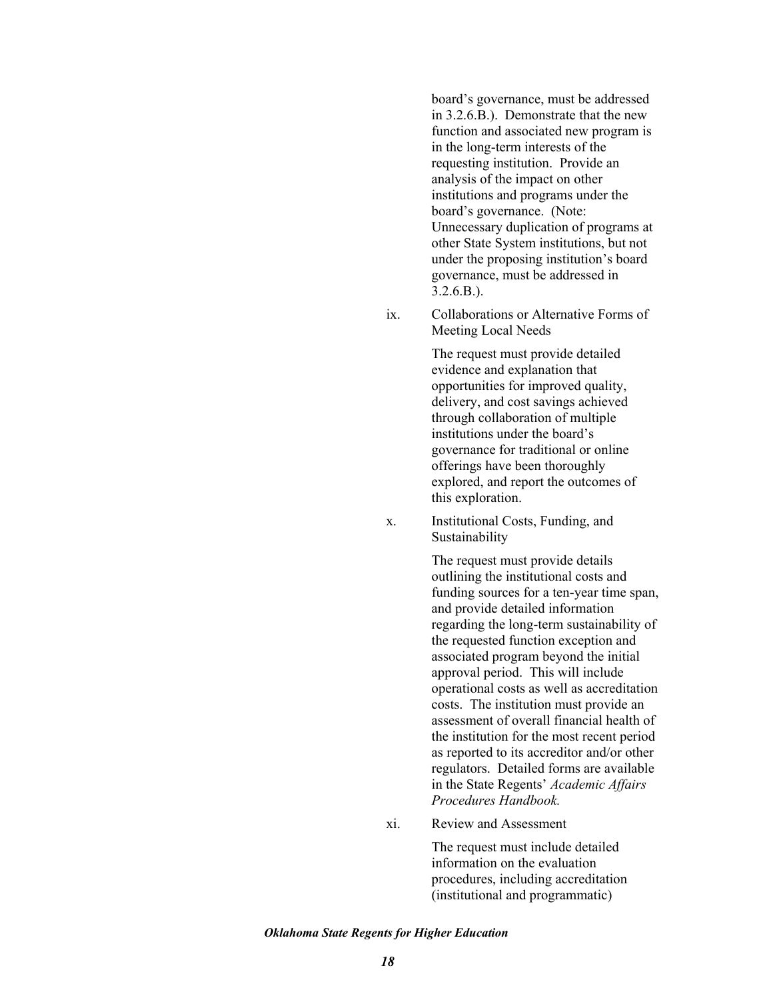board's governance, must be addressed in 3.2.6.B.). Demonstrate that the new function and associated new program is in the long-term interests of the requesting institution. Provide an analysis of the impact on other institutions and programs under the board's governance. (Note: Unnecessary duplication of programs at other State System institutions, but not under the proposing institution's board governance, must be addressed in 3.2.6.B.).

ix. Collaborations or Alternative Forms of Meeting Local Needs

> The request must provide detailed evidence and explanation that opportunities for improved quality, delivery, and cost savings achieved through collaboration of multiple institutions under the board's governance for traditional or online offerings have been thoroughly explored, and report the outcomes of this exploration.

x. Institutional Costs, Funding, and Sustainability

> The request must provide details outlining the institutional costs and funding sources for a ten-year time span, and provide detailed information regarding the long-term sustainability of the requested function exception and associated program beyond the initial approval period. This will include operational costs as well as accreditation costs. The institution must provide an assessment of overall financial health of the institution for the most recent period as reported to its accreditor and/or other regulators. Detailed forms are available in the State Regents' *Academic Affairs Procedures Handbook.*

xi. Review and Assessment

The request must include detailed information on the evaluation procedures, including accreditation (institutional and programmatic)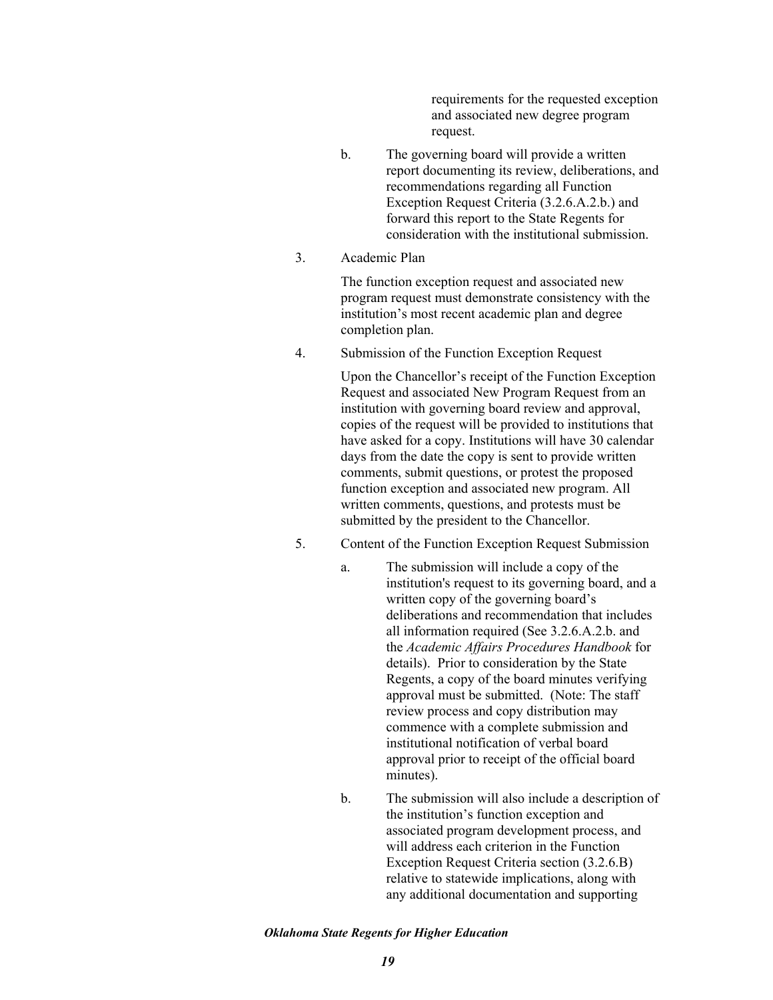requirements for the requested exception and associated new degree program request.

- b. The governing board will provide a written report documenting its review, deliberations, and recommendations regarding all Function Exception Request Criteria (3.2.6.A.2.b.) and forward this report to the State Regents for consideration with the institutional submission.
- 3. Academic Plan

The function exception request and associated new program request must demonstrate consistency with the institution's most recent academic plan and degree completion plan.

4. Submission of the Function Exception Request

Upon the Chancellor's receipt of the Function Exception Request and associated New Program Request from an institution with governing board review and approval, copies of the request will be provided to institutions that have asked for a copy. Institutions will have 30 calendar days from the date the copy is sent to provide written comments, submit questions, or protest the proposed function exception and associated new program. All written comments, questions, and protests must be submitted by the president to the Chancellor.

- 5. Content of the Function Exception Request Submission
	- a. The submission will include a copy of the institution's request to its governing board, and a written copy of the governing board's deliberations and recommendation that includes all information required (See 3.2.6.A.2.b. and the *Academic Affairs Procedures Handbook* for details). Prior to consideration by the State Regents, a copy of the board minutes verifying approval must be submitted. (Note: The staff review process and copy distribution may commence with a complete submission and institutional notification of verbal board approval prior to receipt of the official board minutes).
	- b. The submission will also include a description of the institution's function exception and associated program development process, and will address each criterion in the Function Exception Request Criteria section (3.2.6.B) relative to statewide implications, along with any additional documentation and supporting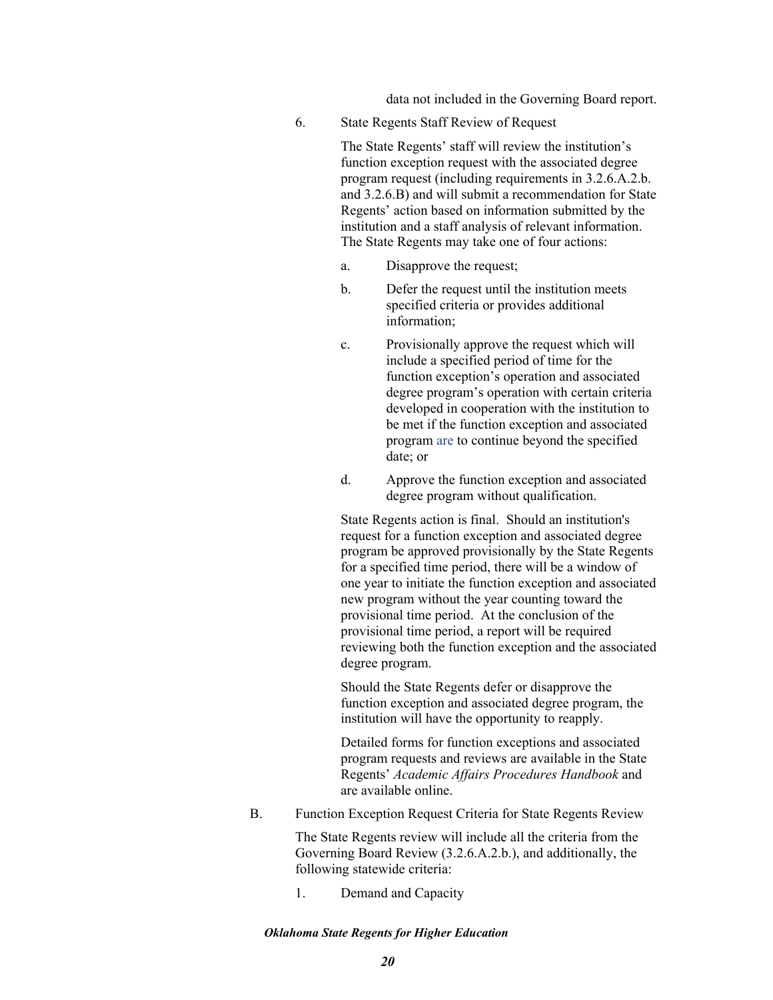data not included in the Governing Board report.

6. State Regents Staff Review of Request

The State Regents' staff will review the institution's function exception request with the associated degree program request (including requirements in 3.2.6.A.2.b. and 3.2.6.B) and will submit a recommendation for State Regents' action based on information submitted by the institution and a staff analysis of relevant information. The State Regents may take one of four actions:

- a. Disapprove the request;
- b. Defer the request until the institution meets specified criteria or provides additional information;
- c. Provisionally approve the request which will include a specified period of time for the function exception's operation and associated degree program's operation with certain criteria developed in cooperation with the institution to be met if the function exception and associated program are to continue beyond the specified date; or
- d. Approve the function exception and associated degree program without qualification.

State Regents action is final. Should an institution's request for a function exception and associated degree program be approved provisionally by the State Regents for a specified time period, there will be a window of one year to initiate the function exception and associated new program without the year counting toward the provisional time period. At the conclusion of the provisional time period, a report will be required reviewing both the function exception and the associated degree program.

Should the State Regents defer or disapprove the function exception and associated degree program, the institution will have the opportunity to reapply.

Detailed forms for function exceptions and associated program requests and reviews are available in the State Regents' *Academic Affairs Procedures Handbook* and are available online.

B. Function Exception Request Criteria for State Regents Review

The State Regents review will include all the criteria from the Governing Board Review (3.2.6.A.2.b.), and additionally, the following statewide criteria:

1. Demand and Capacity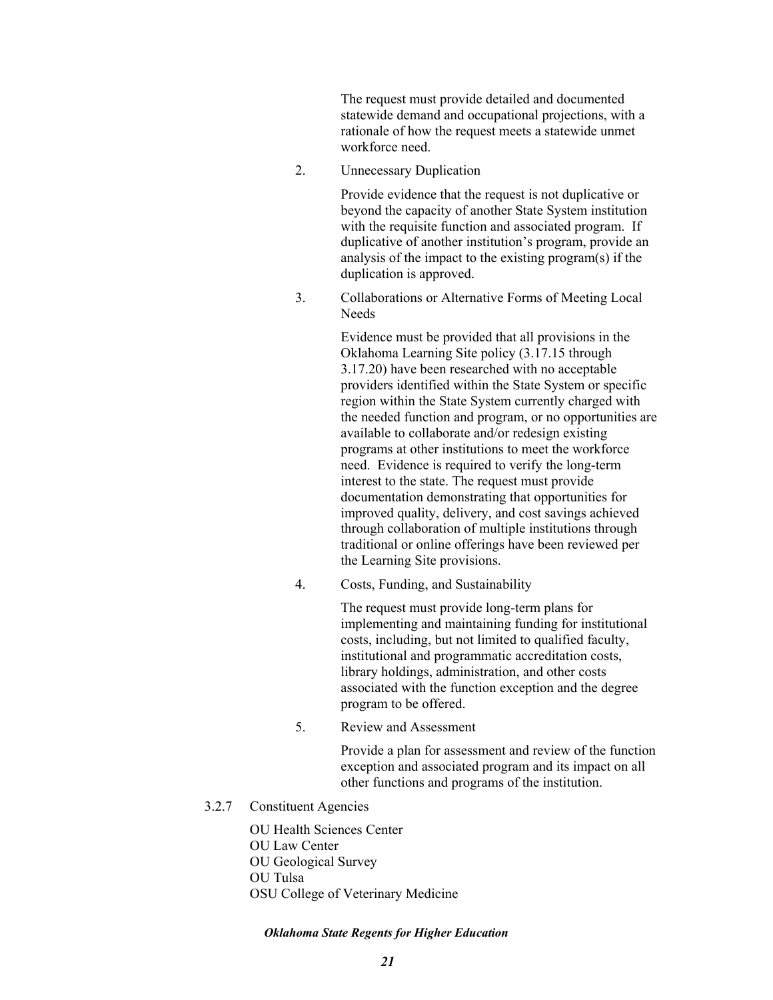The request must provide detailed and documented statewide demand and occupational projections, with a rationale of how the request meets a statewide unmet workforce need.

2. Unnecessary Duplication

Provide evidence that the request is not duplicative or beyond the capacity of another State System institution with the requisite function and associated program. If duplicative of another institution's program, provide an analysis of the impact to the existing program(s) if the duplication is approved.

3. Collaborations or Alternative Forms of Meeting Local Needs

> Evidence must be provided that all provisions in the Oklahoma Learning Site policy (3.17.15 through 3.17.20) have been researched with no acceptable providers identified within the State System or specific region within the State System currently charged with the needed function and program, or no opportunities are available to collaborate and/or redesign existing programs at other institutions to meet the workforce need. Evidence is required to verify the long-term interest to the state. The request must provide documentation demonstrating that opportunities for improved quality, delivery, and cost savings achieved through collaboration of multiple institutions through traditional or online offerings have been reviewed per the Learning Site provisions.

4. Costs, Funding, and Sustainability

The request must provide long-term plans for implementing and maintaining funding for institutional costs, including, but not limited to qualified faculty, institutional and programmatic accreditation costs, library holdings, administration, and other costs associated with the function exception and the degree program to be offered.

5. Review and Assessment

Provide a plan for assessment and review of the function exception and associated program and its impact on all other functions and programs of the institution.

3.2.7 Constituent Agencies

OU Health Sciences Center OU Law Center OU Geological Survey OU Tulsa

OSU College of Veterinary Medicine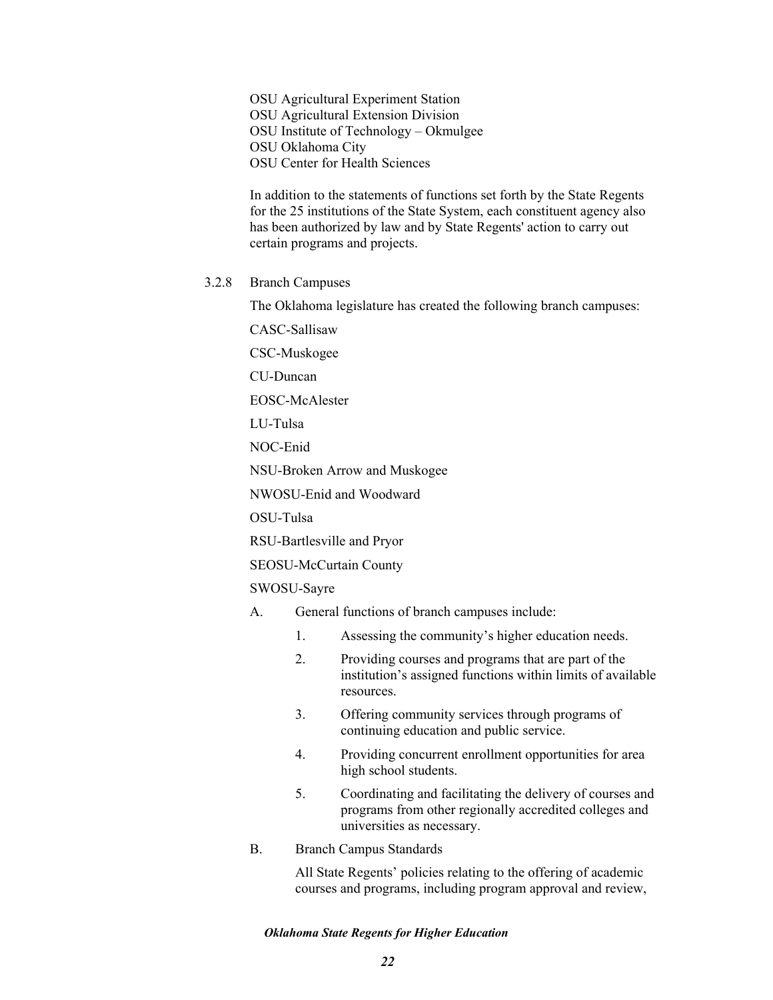OSU Agricultural Experiment Station OSU Agricultural Extension Division OSU Institute of Technology – Okmulgee OSU Oklahoma City OSU Center for Health Sciences

In addition to the statements of functions set forth by the State Regents for the 25 institutions of the State System, each constituent agency also has been authorized by law and by State Regents' action to carry out certain programs and projects.

3.2.8 Branch Campuses

The Oklahoma legislature has created the following branch campuses:

CASC-Sallisaw

CSC-Muskogee

CU-Duncan

EOSC-McAlester

LU-Tulsa

NOC-Enid

NSU-Broken Arrow and Muskogee

NWOSU-Enid and Woodward

OSU-Tulsa

RSU-Bartlesville and Pryor

SEOSU-McCurtain County

### SWOSU-Sayre

- A. General functions of branch campuses include:
	- 1. Assessing the community's higher education needs.
	- 2. Providing courses and programs that are part of the institution's assigned functions within limits of available resources.
	- 3. Offering community services through programs of continuing education and public service.
	- 4. Providing concurrent enrollment opportunities for area high school students.
	- 5. Coordinating and facilitating the delivery of courses and programs from other regionally accredited colleges and universities as necessary.

#### B. Branch Campus Standards

All State Regents' policies relating to the offering of academic courses and programs, including program approval and review,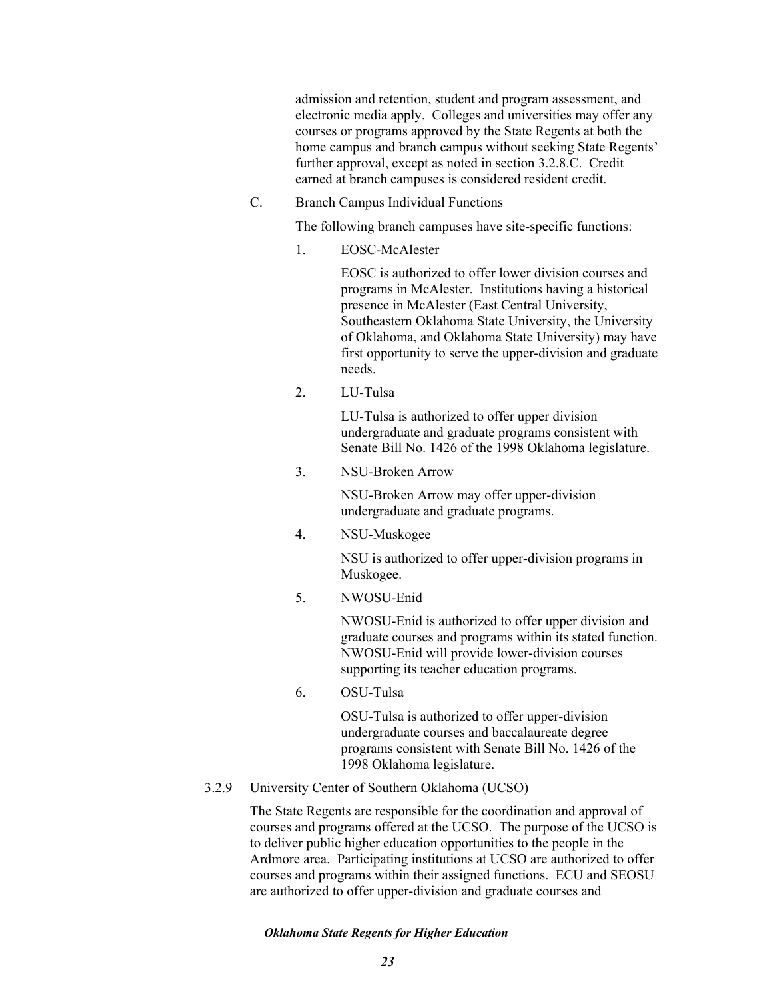admission and retention, student and program assessment, and electronic media apply. Colleges and universities may offer any courses or programs approved by the State Regents at both the home campus and branch campus without seeking State Regents' further approval, except as noted in section 3.2.8.C. Credit earned at branch campuses is considered resident credit.

C. Branch Campus Individual Functions

The following branch campuses have site-specific functions:

1. EOSC-McAlester

EOSC is authorized to offer lower division courses and programs in McAlester. Institutions having a historical presence in McAlester (East Central University, Southeastern Oklahoma State University, the University of Oklahoma, and Oklahoma State University) may have first opportunity to serve the upper-division and graduate needs.

2. LU-Tulsa

LU-Tulsa is authorized to offer upper division undergraduate and graduate programs consistent with Senate Bill No. 1426 of the 1998 Oklahoma legislature.

3. NSU-Broken Arrow

NSU-Broken Arrow may offer upper-division undergraduate and graduate programs.

4. NSU-Muskogee

NSU is authorized to offer upper-division programs in Muskogee.

5. NWOSU-Enid

NWOSU-Enid is authorized to offer upper division and graduate courses and programs within its stated function. NWOSU-Enid will provide lower-division courses supporting its teacher education programs.

6. OSU-Tulsa

OSU-Tulsa is authorized to offer upper-division undergraduate courses and baccalaureate degree programs consistent with Senate Bill No. 1426 of the 1998 Oklahoma legislature.

3.2.9 University Center of Southern Oklahoma (UCSO)

The State Regents are responsible for the coordination and approval of courses and programs offered at the UCSO. The purpose of the UCSO is to deliver public higher education opportunities to the people in the Ardmore area. Participating institutions at UCSO are authorized to offer courses and programs within their assigned functions. ECU and SEOSU are authorized to offer upper-division and graduate courses and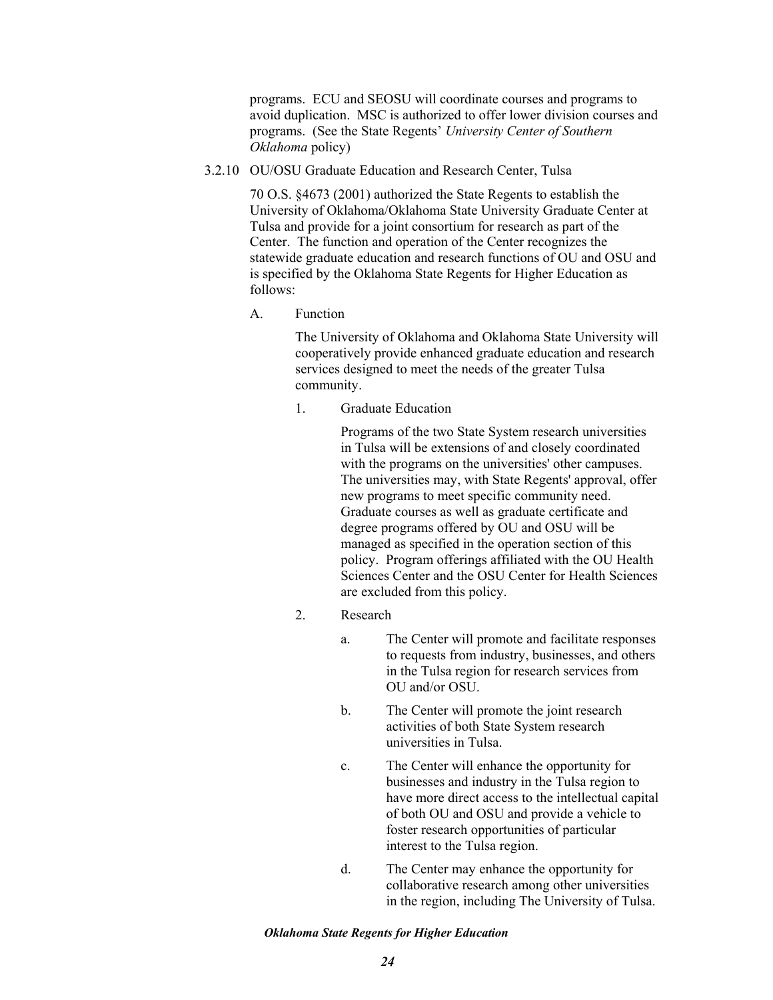programs. ECU and SEOSU will coordinate courses and programs to avoid duplication. MSC is authorized to offer lower division courses and programs. (See the State Regents' *University Center of Southern Oklahoma* policy)

3.2.10 OU/OSU Graduate Education and Research Center, Tulsa

70 O.S. §4673 (2001) authorized the State Regents to establish the University of Oklahoma/Oklahoma State University Graduate Center at Tulsa and provide for a joint consortium for research as part of the Center. The function and operation of the Center recognizes the statewide graduate education and research functions of OU and OSU and is specified by the Oklahoma State Regents for Higher Education as follows:

A. Function

The University of Oklahoma and Oklahoma State University will cooperatively provide enhanced graduate education and research services designed to meet the needs of the greater Tulsa community.

1. Graduate Education

Programs of the two State System research universities in Tulsa will be extensions of and closely coordinated with the programs on the universities' other campuses. The universities may, with State Regents' approval, offer new programs to meet specific community need. Graduate courses as well as graduate certificate and degree programs offered by OU and OSU will be managed as specified in the operation section of this policy. Program offerings affiliated with the OU Health Sciences Center and the OSU Center for Health Sciences are excluded from this policy.

- 2. Research
	- a. The Center will promote and facilitate responses to requests from industry, businesses, and others in the Tulsa region for research services from OU and/or OSU.
	- b. The Center will promote the joint research activities of both State System research universities in Tulsa.
	- c. The Center will enhance the opportunity for businesses and industry in the Tulsa region to have more direct access to the intellectual capital of both OU and OSU and provide a vehicle to foster research opportunities of particular interest to the Tulsa region.
	- d. The Center may enhance the opportunity for collaborative research among other universities in the region, including The University of Tulsa.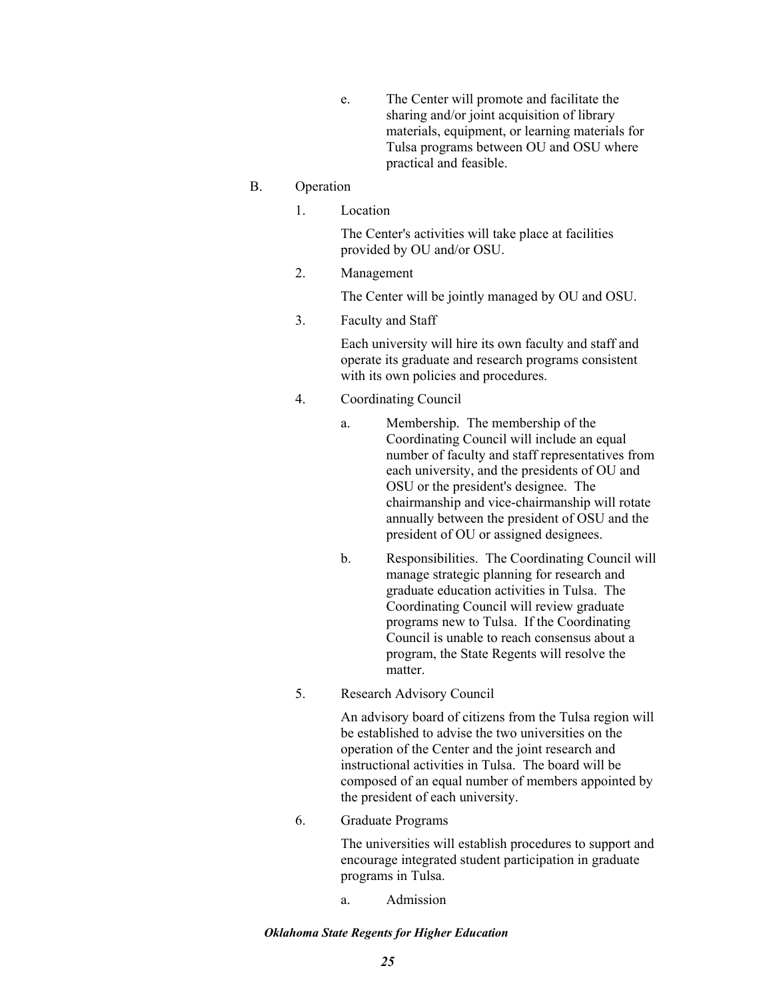e. The Center will promote and facilitate the sharing and/or joint acquisition of library materials, equipment, or learning materials for Tulsa programs between OU and OSU where practical and feasible.

## B. Operation

1. Location

The Center's activities will take place at facilities provided by OU and/or OSU.

2. Management

The Center will be jointly managed by OU and OSU.

3. Faculty and Staff

Each university will hire its own faculty and staff and operate its graduate and research programs consistent with its own policies and procedures.

- 4. Coordinating Council
	- a. Membership. The membership of the Coordinating Council will include an equal number of faculty and staff representatives from each university, and the presidents of OU and OSU or the president's designee. The chairmanship and vice-chairmanship will rotate annually between the president of OSU and the president of OU or assigned designees.
	- b. Responsibilities. The Coordinating Council will manage strategic planning for research and graduate education activities in Tulsa. The Coordinating Council will review graduate programs new to Tulsa. If the Coordinating Council is unable to reach consensus about a program, the State Regents will resolve the matter.
- 5. Research Advisory Council

An advisory board of citizens from the Tulsa region will be established to advise the two universities on the operation of the Center and the joint research and instructional activities in Tulsa. The board will be composed of an equal number of members appointed by the president of each university.

6. Graduate Programs

The universities will establish procedures to support and encourage integrated student participation in graduate programs in Tulsa.

a. Admission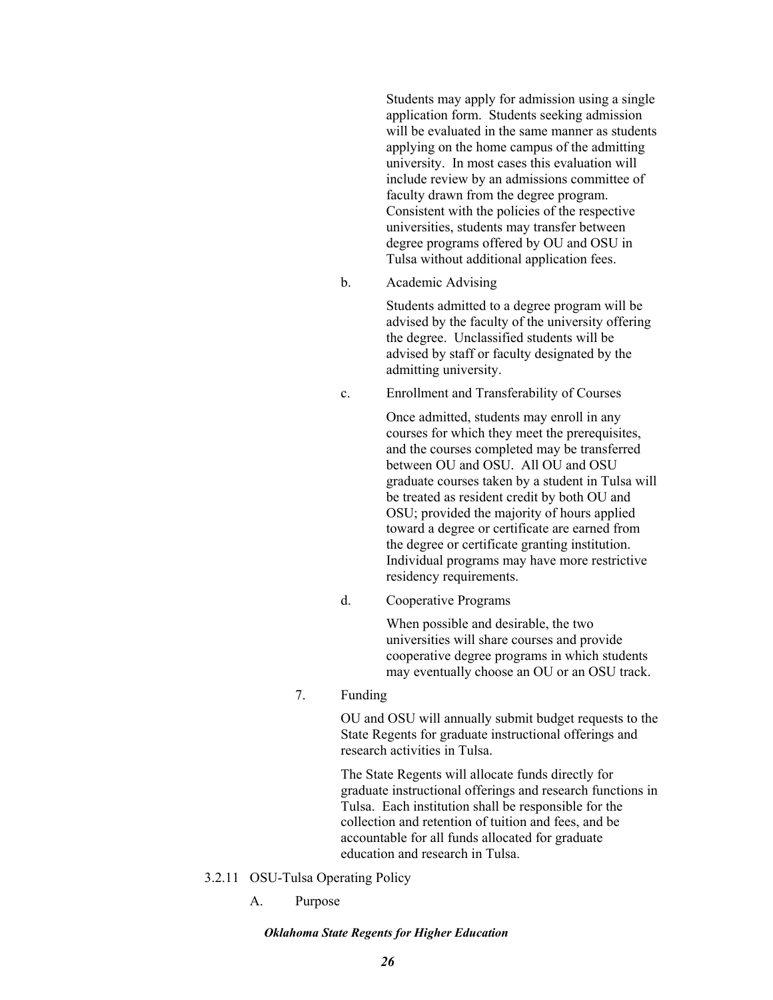Students may apply for admission using a single application form. Students seeking admission will be evaluated in the same manner as students applying on the home campus of the admitting university. In most cases this evaluation will include review by an admissions committee of faculty drawn from the degree program. Consistent with the policies of the respective universities, students may transfer between degree programs offered by OU and OSU in Tulsa without additional application fees.

b. Academic Advising

Students admitted to a degree program will be advised by the faculty of the university offering the degree. Unclassified students will be advised by staff or faculty designated by the admitting university.

c. Enrollment and Transferability of Courses

Once admitted, students may enroll in any courses for which they meet the prerequisites, and the courses completed may be transferred between OU and OSU. All OU and OSU graduate courses taken by a student in Tulsa will be treated as resident credit by both OU and OSU; provided the majority of hours applied toward a degree or certificate are earned from the degree or certificate granting institution. Individual programs may have more restrictive residency requirements.

d. Cooperative Programs

When possible and desirable, the two universities will share courses and provide cooperative degree programs in which students may eventually choose an OU or an OSU track.

7. Funding

OU and OSU will annually submit budget requests to the State Regents for graduate instructional offerings and research activities in Tulsa.

The State Regents will allocate funds directly for graduate instructional offerings and research functions in Tulsa. Each institution shall be responsible for the collection and retention of tuition and fees, and be accountable for all funds allocated for graduate education and research in Tulsa.

- 3.2.11 OSU-Tulsa Operating Policy
	- A. Purpose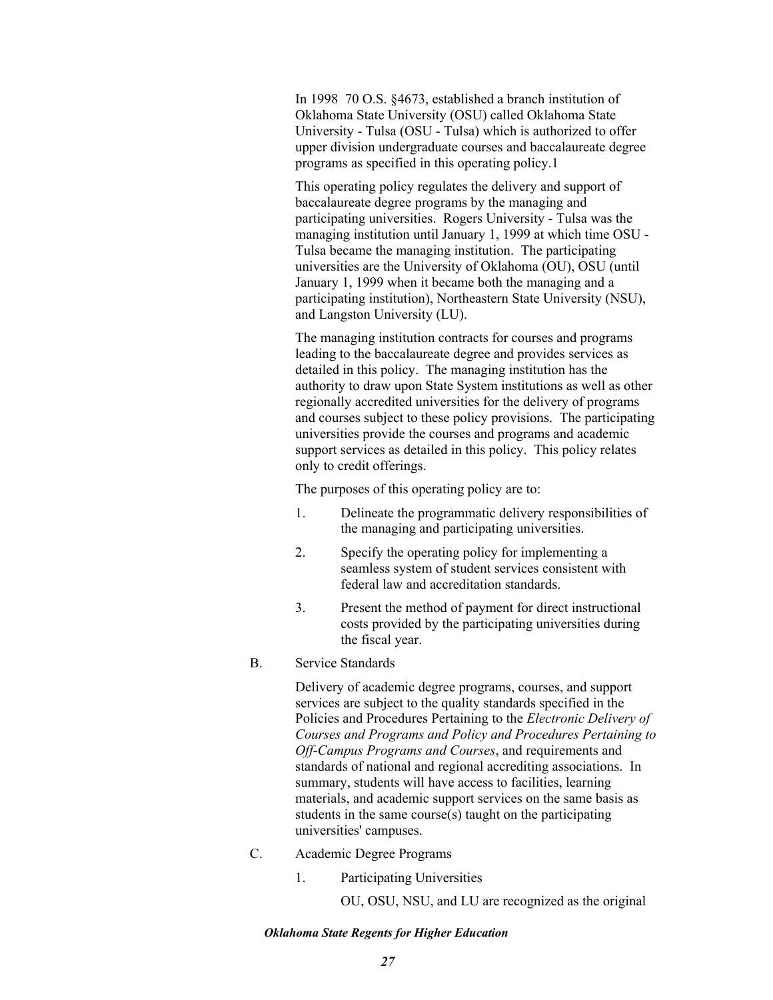In 1998 70 O.S. §4673, established a branch institution of Oklahoma State University (OSU) called Oklahoma State University - Tulsa (OSU - Tulsa) which is authorized to offer upper division undergraduate courses and baccalaureate degree programs as specified in this operating policy.1

This operating policy regulates the delivery and support of baccalaureate degree programs by the managing and participating universities. Rogers University - Tulsa was the managing institution until January 1, 1999 at which time OSU - Tulsa became the managing institution. The participating universities are the University of Oklahoma (OU), OSU (until January 1, 1999 when it became both the managing and a participating institution), Northeastern State University (NSU), and Langston University (LU).

The managing institution contracts for courses and programs leading to the baccalaureate degree and provides services as detailed in this policy. The managing institution has the authority to draw upon State System institutions as well as other regionally accredited universities for the delivery of programs and courses subject to these policy provisions. The participating universities provide the courses and programs and academic support services as detailed in this policy. This policy relates only to credit offerings.

The purposes of this operating policy are to:

- 1. Delineate the programmatic delivery responsibilities of the managing and participating universities.
- 2. Specify the operating policy for implementing a seamless system of student services consistent with federal law and accreditation standards.
- 3. Present the method of payment for direct instructional costs provided by the participating universities during the fiscal year.
- B. Service Standards

Delivery of academic degree programs, courses, and support services are subject to the quality standards specified in the Policies and Procedures Pertaining to the *Electronic Delivery of Courses and Programs and Policy and Procedures Pertaining to Off-Campus Programs and Courses*, and requirements and standards of national and regional accrediting associations. In summary, students will have access to facilities, learning materials, and academic support services on the same basis as students in the same course(s) taught on the participating universities' campuses.

- C. Academic Degree Programs
	- 1. Participating Universities
		- OU, OSU, NSU, and LU are recognized as the original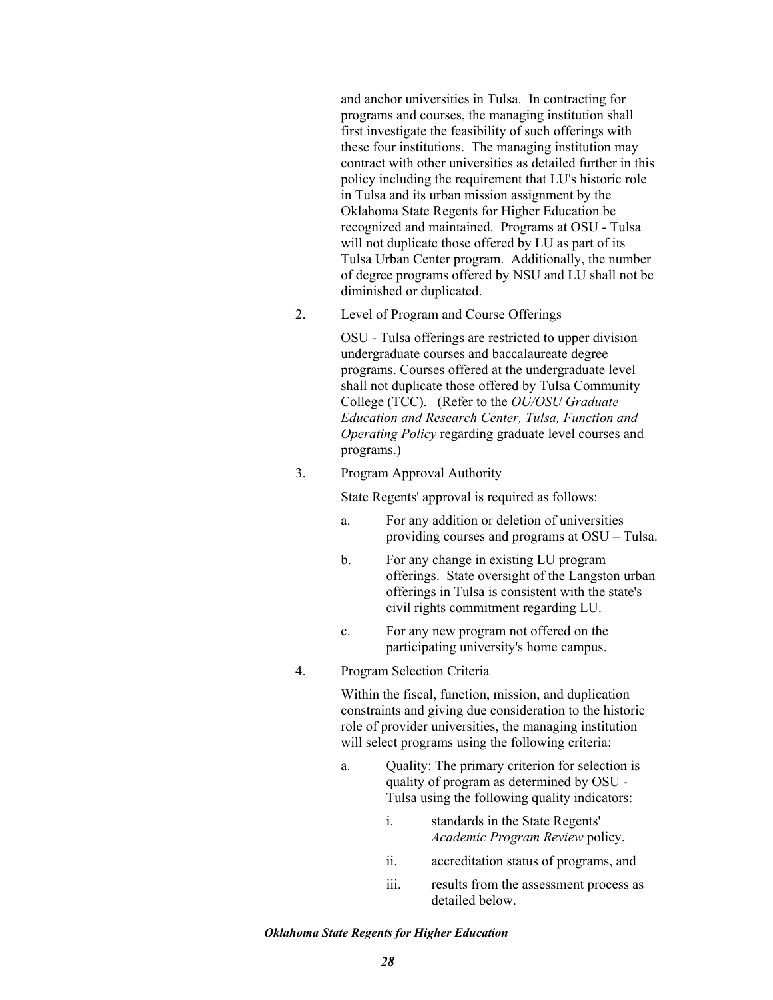and anchor universities in Tulsa. In contracting for programs and courses, the managing institution shall first investigate the feasibility of such offerings with these four institutions. The managing institution may contract with other universities as detailed further in this policy including the requirement that LU's historic role in Tulsa and its urban mission assignment by the Oklahoma State Regents for Higher Education be recognized and maintained. Programs at OSU - Tulsa will not duplicate those offered by LU as part of its Tulsa Urban Center program. Additionally, the number of degree programs offered by NSU and LU shall not be diminished or duplicated.

2. Level of Program and Course Offerings

OSU - Tulsa offerings are restricted to upper division undergraduate courses and baccalaureate degree programs. Courses offered at the undergraduate level shall not duplicate those offered by Tulsa Community College (TCC). (Refer to the *OU/OSU Graduate Education and Research Center, Tulsa, Function and Operating Policy* regarding graduate level courses and programs.)

3. Program Approval Authority

State Regents' approval is required as follows:

- a. For any addition or deletion of universities providing courses and programs at OSU – Tulsa.
- b. For any change in existing LU program offerings. State oversight of the Langston urban offerings in Tulsa is consistent with the state's civil rights commitment regarding LU.
- c. For any new program not offered on the participating university's home campus.
- 4. Program Selection Criteria

Within the fiscal, function, mission, and duplication constraints and giving due consideration to the historic role of provider universities, the managing institution will select programs using the following criteria:

- a. Quality: The primary criterion for selection is quality of program as determined by OSU - Tulsa using the following quality indicators:
	- i. standards in the State Regents' *Academic Program Review* policy,
	- ii. accreditation status of programs, and
	- iii. results from the assessment process as detailed below.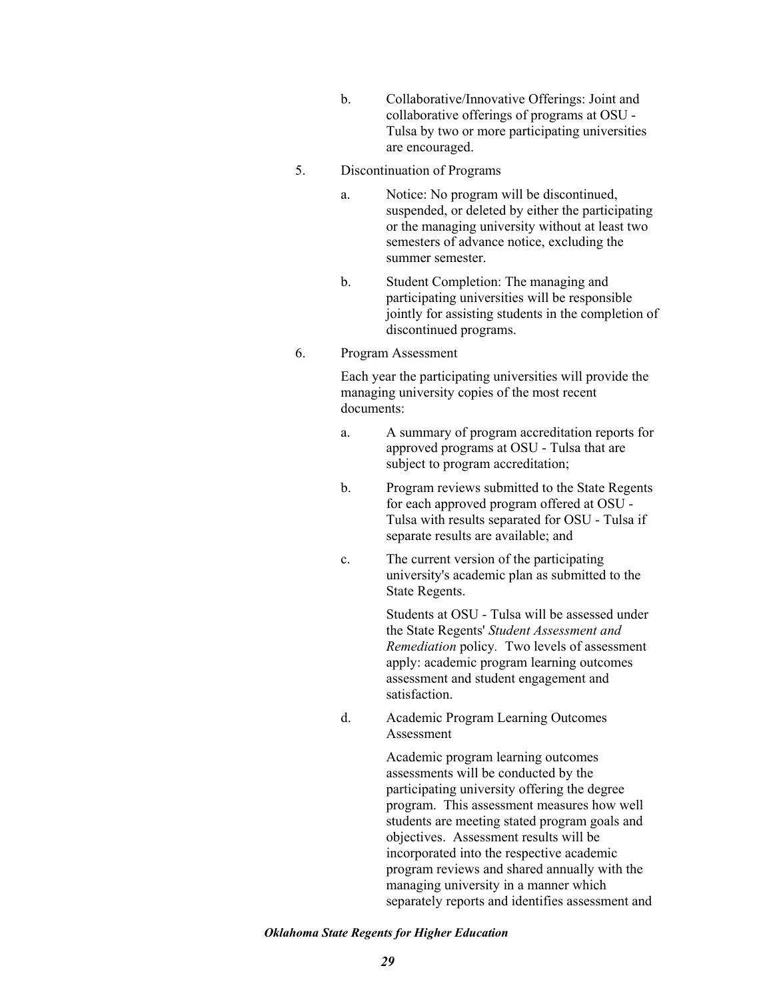b. Collaborative/Innovative Offerings: Joint and collaborative offerings of programs at OSU - Tulsa by two or more participating universities are encouraged.

### 5. Discontinuation of Programs

- a. Notice: No program will be discontinued, suspended, or deleted by either the participating or the managing university without at least two semesters of advance notice, excluding the summer semester.
- b. Student Completion: The managing and participating universities will be responsible jointly for assisting students in the completion of discontinued programs.

## 6. Program Assessment

Each year the participating universities will provide the managing university copies of the most recent documents:

- a. A summary of program accreditation reports for approved programs at OSU - Tulsa that are subject to program accreditation;
- b. Program reviews submitted to the State Regents for each approved program offered at OSU - Tulsa with results separated for OSU - Tulsa if separate results are available; and
- c. The current version of the participating university's academic plan as submitted to the State Regents.

Students at OSU - Tulsa will be assessed under the State Regents' *Student Assessment and Remediation* policy*.* Two levels of assessment apply: academic program learning outcomes assessment and student engagement and satisfaction.

d. Academic Program Learning Outcomes Assessment

> Academic program learning outcomes assessments will be conducted by the participating university offering the degree program. This assessment measures how well students are meeting stated program goals and objectives. Assessment results will be incorporated into the respective academic program reviews and shared annually with the managing university in a manner which separately reports and identifies assessment and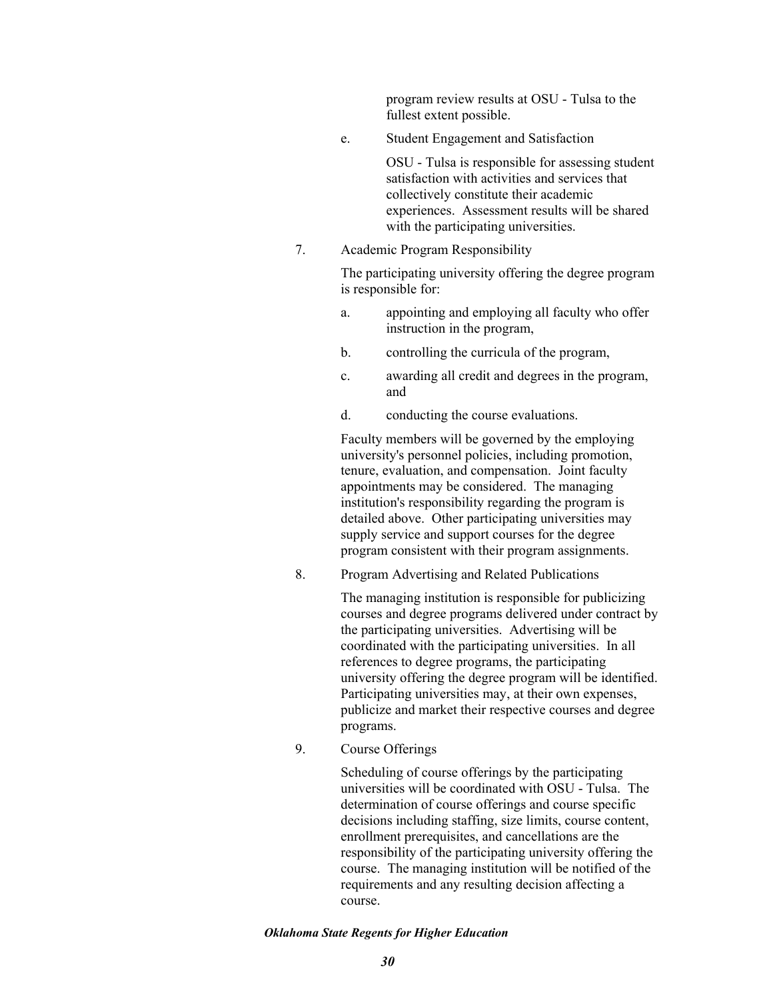program review results at OSU - Tulsa to the fullest extent possible.

e. Student Engagement and Satisfaction

OSU - Tulsa is responsible for assessing student satisfaction with activities and services that collectively constitute their academic experiences. Assessment results will be shared with the participating universities.

7. Academic Program Responsibility

The participating university offering the degree program is responsible for:

- a. appointing and employing all faculty who offer instruction in the program,
- b. controlling the curricula of the program,
- c. awarding all credit and degrees in the program, and
- d. conducting the course evaluations.

Faculty members will be governed by the employing university's personnel policies, including promotion, tenure, evaluation, and compensation. Joint faculty appointments may be considered. The managing institution's responsibility regarding the program is detailed above. Other participating universities may supply service and support courses for the degree program consistent with their program assignments.

8. Program Advertising and Related Publications

The managing institution is responsible for publicizing courses and degree programs delivered under contract by the participating universities. Advertising will be coordinated with the participating universities. In all references to degree programs, the participating university offering the degree program will be identified. Participating universities may, at their own expenses, publicize and market their respective courses and degree programs.

9. Course Offerings

Scheduling of course offerings by the participating universities will be coordinated with OSU - Tulsa. The determination of course offerings and course specific decisions including staffing, size limits, course content, enrollment prerequisites, and cancellations are the responsibility of the participating university offering the course. The managing institution will be notified of the requirements and any resulting decision affecting a course.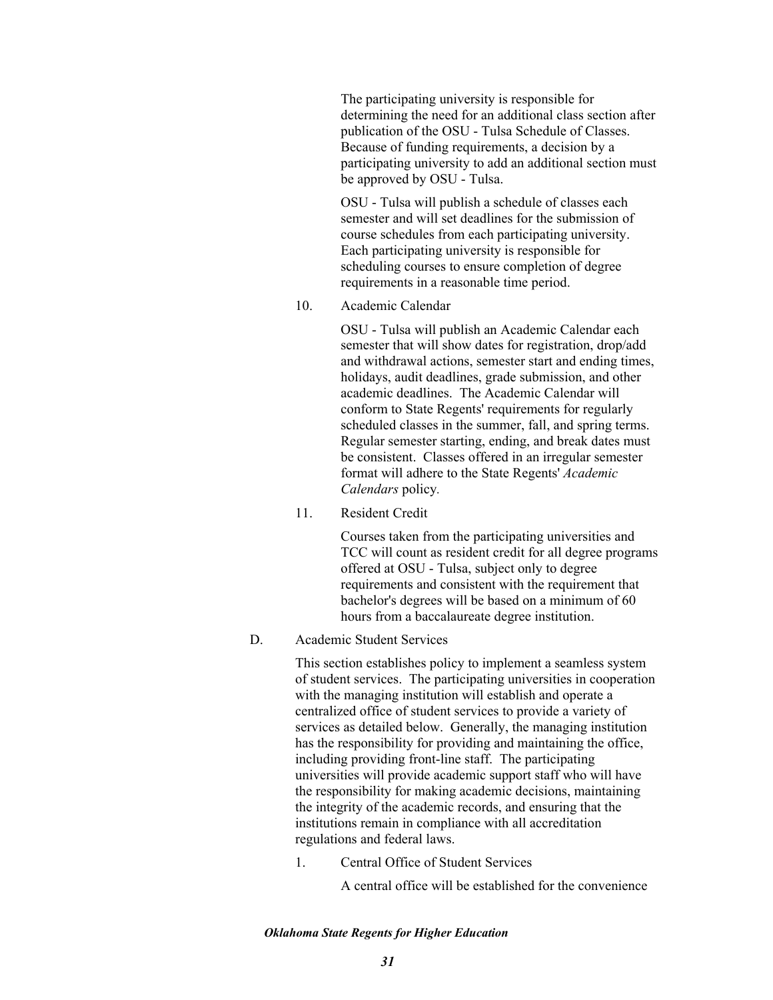The participating university is responsible for determining the need for an additional class section after publication of the OSU - Tulsa Schedule of Classes. Because of funding requirements, a decision by a participating university to add an additional section must be approved by OSU - Tulsa.

OSU - Tulsa will publish a schedule of classes each semester and will set deadlines for the submission of course schedules from each participating university. Each participating university is responsible for scheduling courses to ensure completion of degree requirements in a reasonable time period.

10. Academic Calendar

OSU - Tulsa will publish an Academic Calendar each semester that will show dates for registration, drop/add and withdrawal actions, semester start and ending times, holidays, audit deadlines, grade submission, and other academic deadlines. The Academic Calendar will conform to State Regents' requirements for regularly scheduled classes in the summer, fall, and spring terms. Regular semester starting, ending, and break dates must be consistent. Classes offered in an irregular semester format will adhere to the State Regents' *Academic Calendars* policy*.*

11. Resident Credit

Courses taken from the participating universities and TCC will count as resident credit for all degree programs offered at OSU - Tulsa, subject only to degree requirements and consistent with the requirement that bachelor's degrees will be based on a minimum of 60 hours from a baccalaureate degree institution.

# D. Academic Student Services

This section establishes policy to implement a seamless system of student services. The participating universities in cooperation with the managing institution will establish and operate a centralized office of student services to provide a variety of services as detailed below. Generally, the managing institution has the responsibility for providing and maintaining the office, including providing front-line staff. The participating universities will provide academic support staff who will have the responsibility for making academic decisions, maintaining the integrity of the academic records, and ensuring that the institutions remain in compliance with all accreditation regulations and federal laws.

1. Central Office of Student Services

A central office will be established for the convenience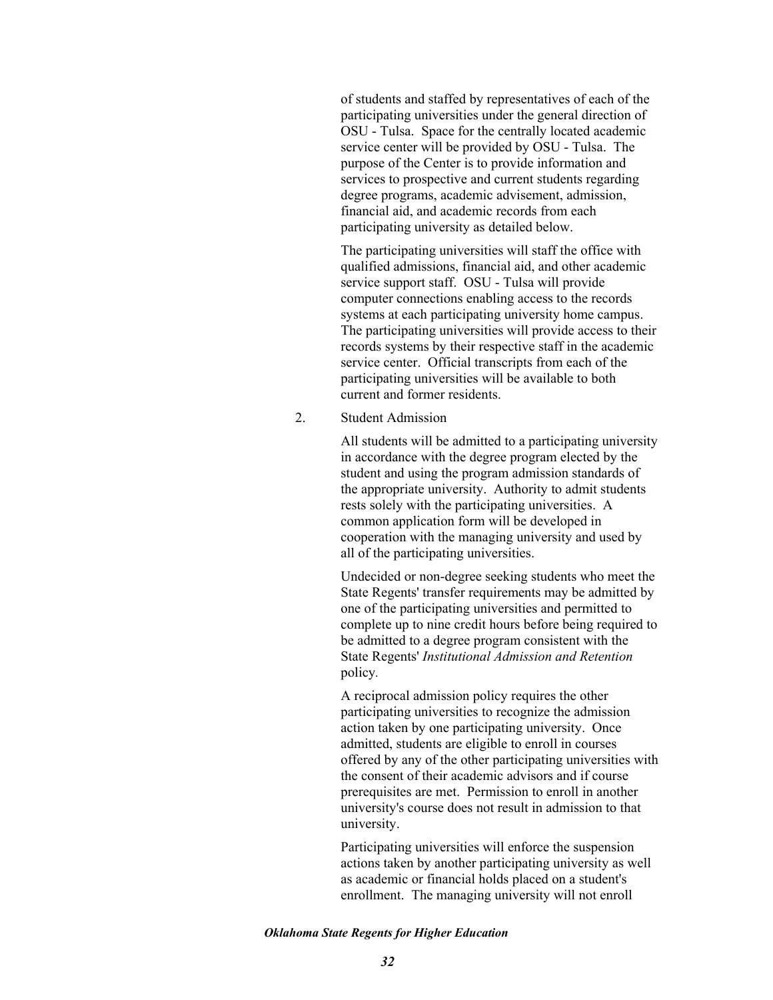of students and staffed by representatives of each of the participating universities under the general direction of OSU - Tulsa. Space for the centrally located academic service center will be provided by OSU - Tulsa. The purpose of the Center is to provide information and services to prospective and current students regarding degree programs, academic advisement, admission, financial aid, and academic records from each participating university as detailed below.

The participating universities will staff the office with qualified admissions, financial aid, and other academic service support staff. OSU - Tulsa will provide computer connections enabling access to the records systems at each participating university home campus. The participating universities will provide access to their records systems by their respective staff in the academic service center. Official transcripts from each of the participating universities will be available to both current and former residents.

2. Student Admission

All students will be admitted to a participating university in accordance with the degree program elected by the student and using the program admission standards of the appropriate university. Authority to admit students rests solely with the participating universities. A common application form will be developed in cooperation with the managing university and used by all of the participating universities.

Undecided or non-degree seeking students who meet the State Regents' transfer requirements may be admitted by one of the participating universities and permitted to complete up to nine credit hours before being required to be admitted to a degree program consistent with the State Regents' *Institutional Admission and Retention*  policy*.* 

A reciprocal admission policy requires the other participating universities to recognize the admission action taken by one participating university. Once admitted, students are eligible to enroll in courses offered by any of the other participating universities with the consent of their academic advisors and if course prerequisites are met. Permission to enroll in another university's course does not result in admission to that university.

Participating universities will enforce the suspension actions taken by another participating university as well as academic or financial holds placed on a student's enrollment. The managing university will not enroll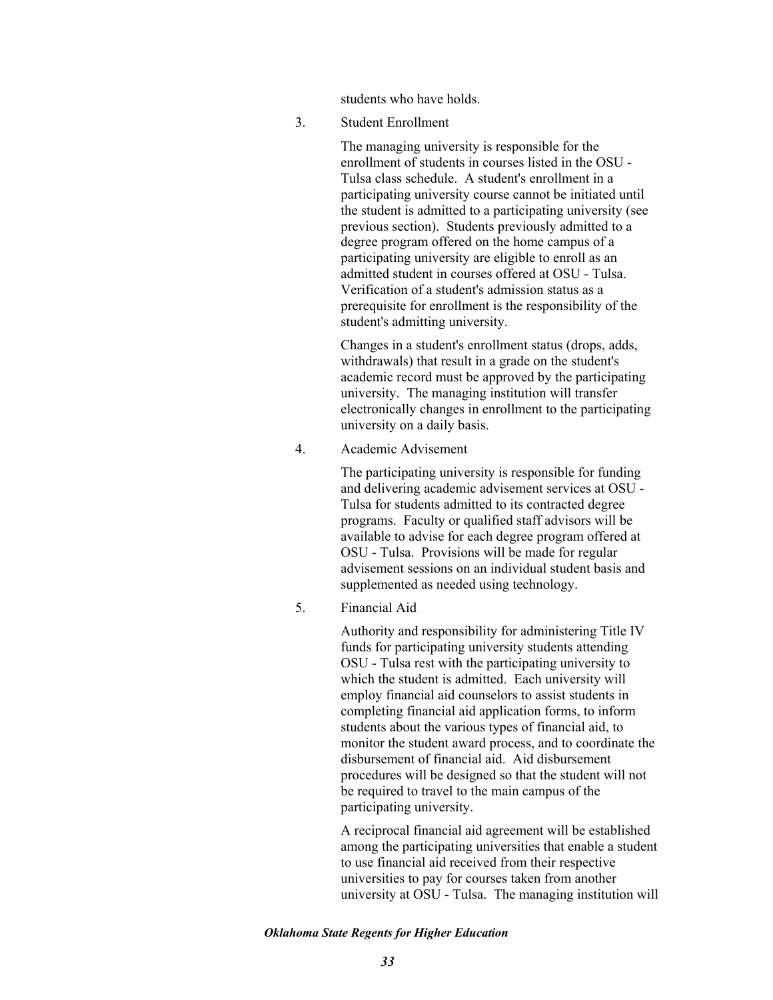students who have holds.

3. Student Enrollment

The managing university is responsible for the enrollment of students in courses listed in the OSU - Tulsa class schedule. A student's enrollment in a participating university course cannot be initiated until the student is admitted to a participating university (see previous section). Students previously admitted to a degree program offered on the home campus of a participating university are eligible to enroll as an admitted student in courses offered at OSU - Tulsa. Verification of a student's admission status as a prerequisite for enrollment is the responsibility of the student's admitting university.

Changes in a student's enrollment status (drops, adds, withdrawals) that result in a grade on the student's academic record must be approved by the participating university. The managing institution will transfer electronically changes in enrollment to the participating university on a daily basis.

4. Academic Advisement

The participating university is responsible for funding and delivering academic advisement services at OSU - Tulsa for students admitted to its contracted degree programs. Faculty or qualified staff advisors will be available to advise for each degree program offered at OSU - Tulsa. Provisions will be made for regular advisement sessions on an individual student basis and supplemented as needed using technology.

5. Financial Aid

Authority and responsibility for administering Title IV funds for participating university students attending OSU - Tulsa rest with the participating university to which the student is admitted. Each university will employ financial aid counselors to assist students in completing financial aid application forms, to inform students about the various types of financial aid, to monitor the student award process, and to coordinate the disbursement of financial aid. Aid disbursement procedures will be designed so that the student will not be required to travel to the main campus of the participating university.

A reciprocal financial aid agreement will be established among the participating universities that enable a student to use financial aid received from their respective universities to pay for courses taken from another university at OSU - Tulsa. The managing institution will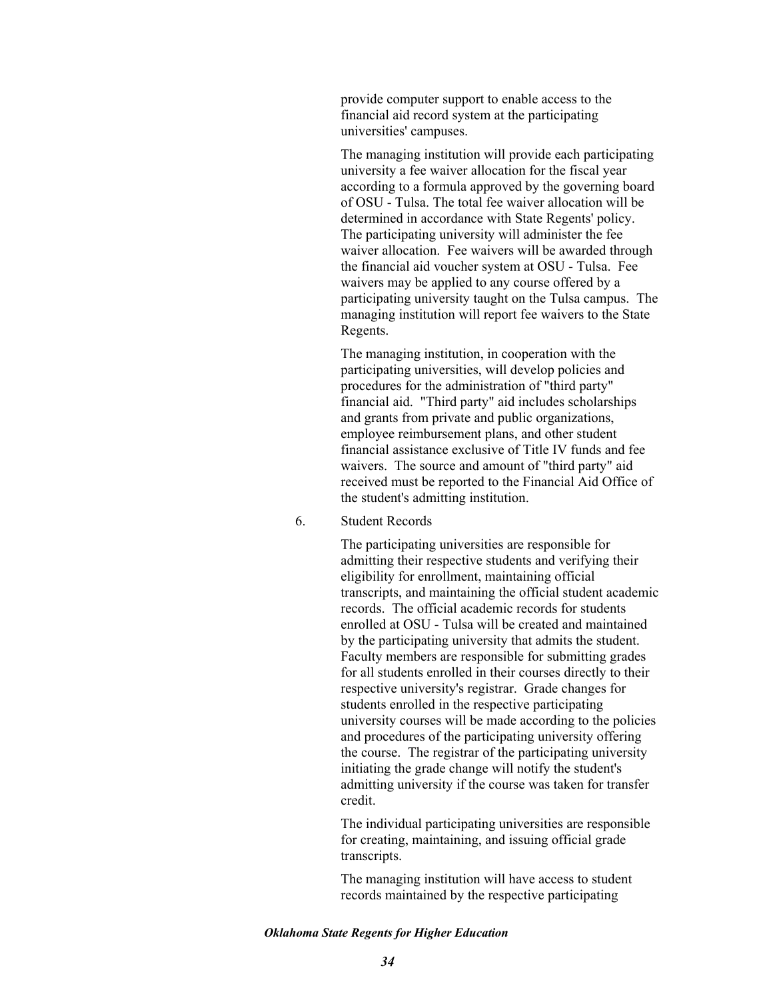provide computer support to enable access to the financial aid record system at the participating universities' campuses.

The managing institution will provide each participating university a fee waiver allocation for the fiscal year according to a formula approved by the governing board of OSU - Tulsa. The total fee waiver allocation will be determined in accordance with State Regents' policy. The participating university will administer the fee waiver allocation. Fee waivers will be awarded through the financial aid voucher system at OSU - Tulsa. Fee waivers may be applied to any course offered by a participating university taught on the Tulsa campus. The managing institution will report fee waivers to the State Regents.

The managing institution, in cooperation with the participating universities, will develop policies and procedures for the administration of "third party" financial aid. "Third party" aid includes scholarships and grants from private and public organizations, employee reimbursement plans, and other student financial assistance exclusive of Title IV funds and fee waivers. The source and amount of "third party" aid received must be reported to the Financial Aid Office of the student's admitting institution.

6. Student Records

The participating universities are responsible for admitting their respective students and verifying their eligibility for enrollment, maintaining official transcripts, and maintaining the official student academic records. The official academic records for students enrolled at OSU - Tulsa will be created and maintained by the participating university that admits the student. Faculty members are responsible for submitting grades for all students enrolled in their courses directly to their respective university's registrar. Grade changes for students enrolled in the respective participating university courses will be made according to the policies and procedures of the participating university offering the course. The registrar of the participating university initiating the grade change will notify the student's admitting university if the course was taken for transfer credit.

The individual participating universities are responsible for creating, maintaining, and issuing official grade transcripts.

The managing institution will have access to student records maintained by the respective participating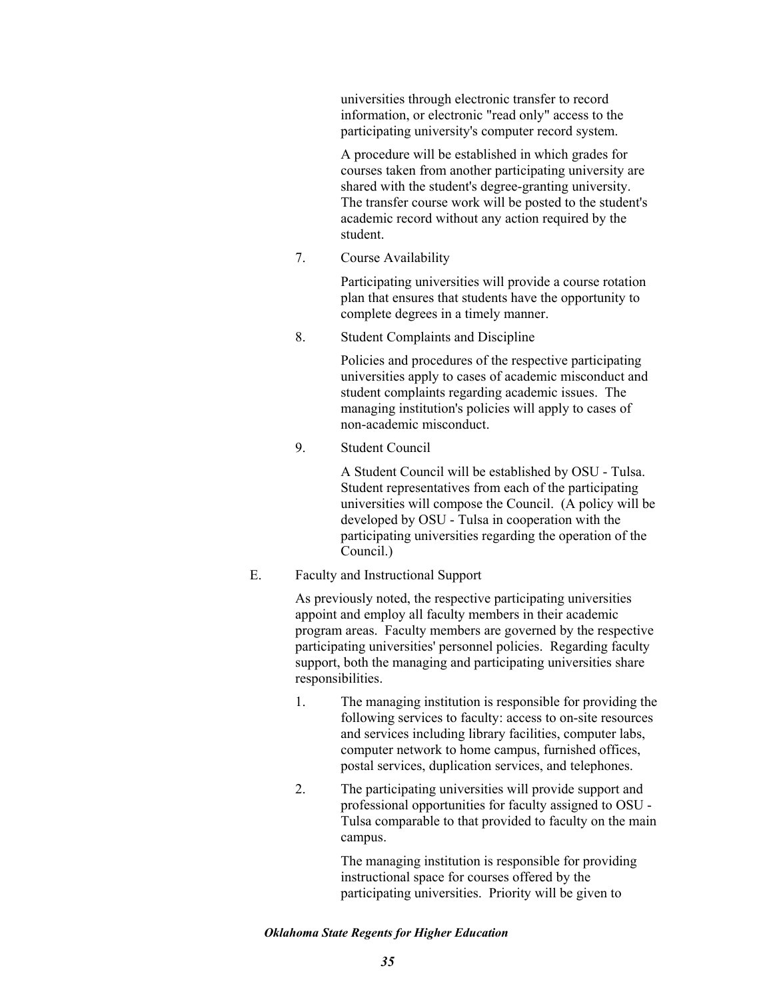universities through electronic transfer to record information, or electronic "read only" access to the participating university's computer record system.

A procedure will be established in which grades for courses taken from another participating university are shared with the student's degree-granting university. The transfer course work will be posted to the student's academic record without any action required by the student.

7. Course Availability

Participating universities will provide a course rotation plan that ensures that students have the opportunity to complete degrees in a timely manner.

8. Student Complaints and Discipline

Policies and procedures of the respective participating universities apply to cases of academic misconduct and student complaints regarding academic issues. The managing institution's policies will apply to cases of non-academic misconduct.

9. Student Council

A Student Council will be established by OSU - Tulsa. Student representatives from each of the participating universities will compose the Council. (A policy will be developed by OSU - Tulsa in cooperation with the participating universities regarding the operation of the Council.)

E. Faculty and Instructional Support

As previously noted, the respective participating universities appoint and employ all faculty members in their academic program areas. Faculty members are governed by the respective participating universities' personnel policies. Regarding faculty support, both the managing and participating universities share responsibilities.

- 1. The managing institution is responsible for providing the following services to faculty: access to on-site resources and services including library facilities, computer labs, computer network to home campus, furnished offices, postal services, duplication services, and telephones.
- 2. The participating universities will provide support and professional opportunities for faculty assigned to OSU - Tulsa comparable to that provided to faculty on the main campus.

The managing institution is responsible for providing instructional space for courses offered by the participating universities. Priority will be given to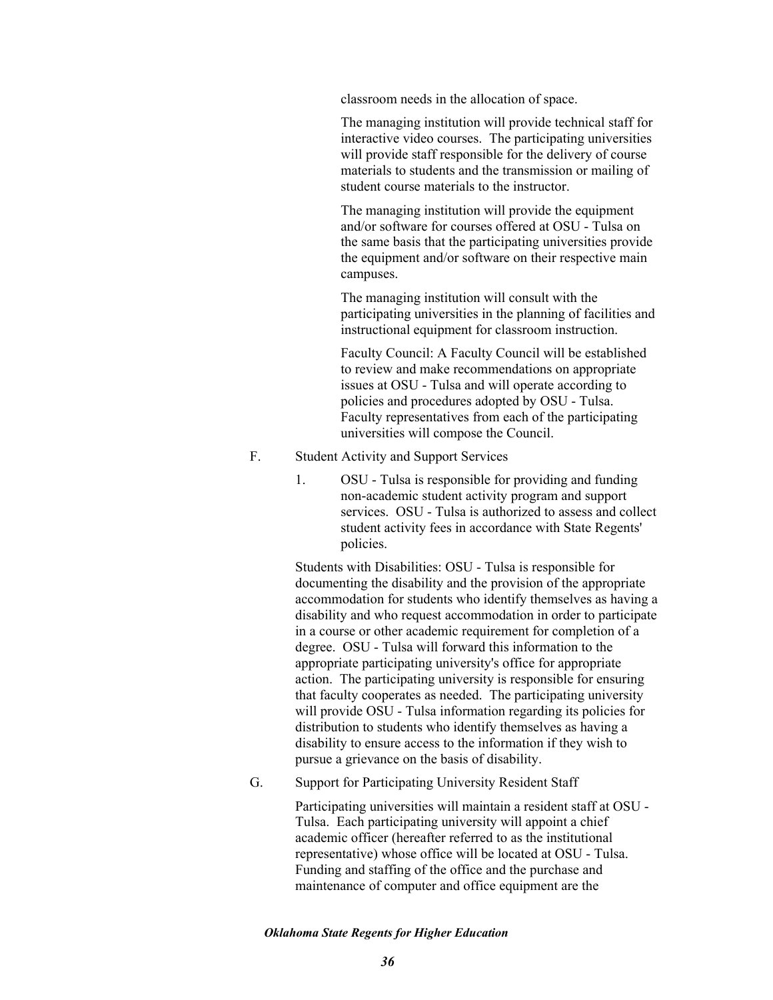classroom needs in the allocation of space.

The managing institution will provide technical staff for interactive video courses. The participating universities will provide staff responsible for the delivery of course materials to students and the transmission or mailing of student course materials to the instructor.

The managing institution will provide the equipment and/or software for courses offered at OSU - Tulsa on the same basis that the participating universities provide the equipment and/or software on their respective main campuses.

The managing institution will consult with the participating universities in the planning of facilities and instructional equipment for classroom instruction.

Faculty Council: A Faculty Council will be established to review and make recommendations on appropriate issues at OSU - Tulsa and will operate according to policies and procedures adopted by OSU - Tulsa. Faculty representatives from each of the participating universities will compose the Council.

- F. Student Activity and Support Services
	- 1. OSU Tulsa is responsible for providing and funding non-academic student activity program and support services. OSU - Tulsa is authorized to assess and collect student activity fees in accordance with State Regents' policies.

Students with Disabilities: OSU - Tulsa is responsible for documenting the disability and the provision of the appropriate accommodation for students who identify themselves as having a disability and who request accommodation in order to participate in a course or other academic requirement for completion of a degree. OSU - Tulsa will forward this information to the appropriate participating university's office for appropriate action. The participating university is responsible for ensuring that faculty cooperates as needed. The participating university will provide OSU - Tulsa information regarding its policies for distribution to students who identify themselves as having a disability to ensure access to the information if they wish to pursue a grievance on the basis of disability.

G. Support for Participating University Resident Staff

Participating universities will maintain a resident staff at OSU - Tulsa. Each participating university will appoint a chief academic officer (hereafter referred to as the institutional representative) whose office will be located at OSU - Tulsa. Funding and staffing of the office and the purchase and maintenance of computer and office equipment are the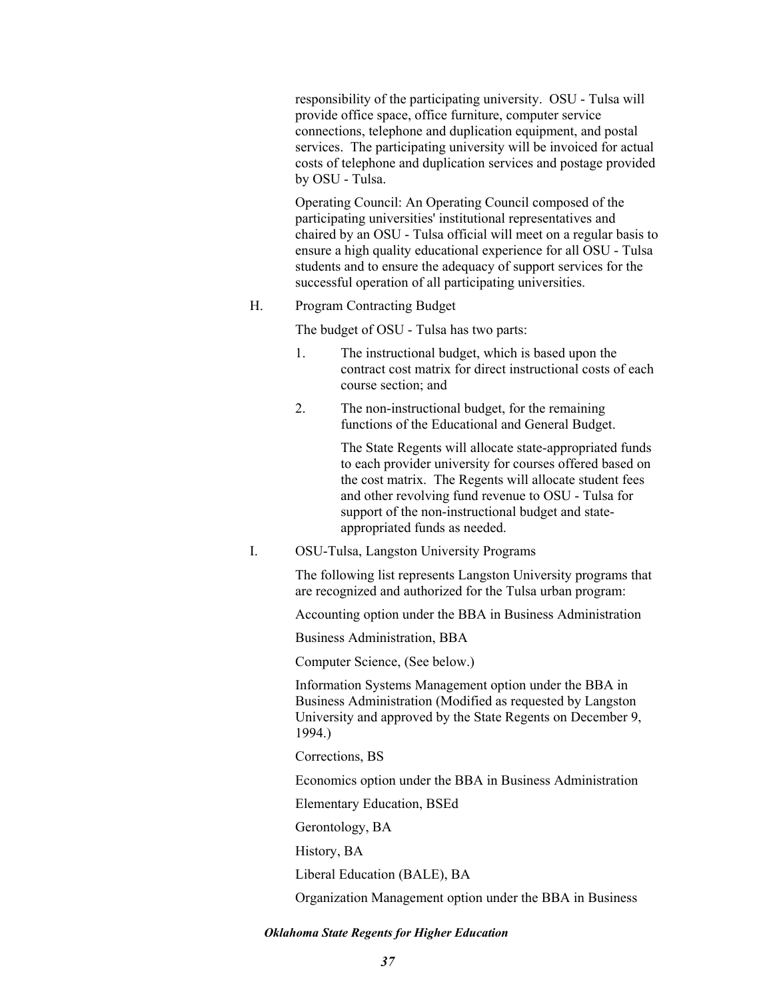responsibility of the participating university. OSU - Tulsa will provide office space, office furniture, computer service connections, telephone and duplication equipment, and postal services. The participating university will be invoiced for actual costs of telephone and duplication services and postage provided by OSU - Tulsa.

Operating Council: An Operating Council composed of the participating universities' institutional representatives and chaired by an OSU - Tulsa official will meet on a regular basis to ensure a high quality educational experience for all OSU - Tulsa students and to ensure the adequacy of support services for the successful operation of all participating universities.

H. Program Contracting Budget

The budget of OSU - Tulsa has two parts:

- 1. The instructional budget, which is based upon the contract cost matrix for direct instructional costs of each course section; and
- 2. The non-instructional budget, for the remaining functions of the Educational and General Budget.

The State Regents will allocate state-appropriated funds to each provider university for courses offered based on the cost matrix. The Regents will allocate student fees and other revolving fund revenue to OSU - Tulsa for support of the non-instructional budget and stateappropriated funds as needed.

I. OSU-Tulsa, Langston University Programs

The following list represents Langston University programs that are recognized and authorized for the Tulsa urban program:

Accounting option under the BBA in Business Administration

Business Administration, BBA

Computer Science, (See below.)

Information Systems Management option under the BBA in Business Administration (Modified as requested by Langston University and approved by the State Regents on December 9, 1994.)

Corrections, BS

Economics option under the BBA in Business Administration

Elementary Education, BSEd

Gerontology, BA

History, BA

Liberal Education (BALE), BA

Organization Management option under the BBA in Business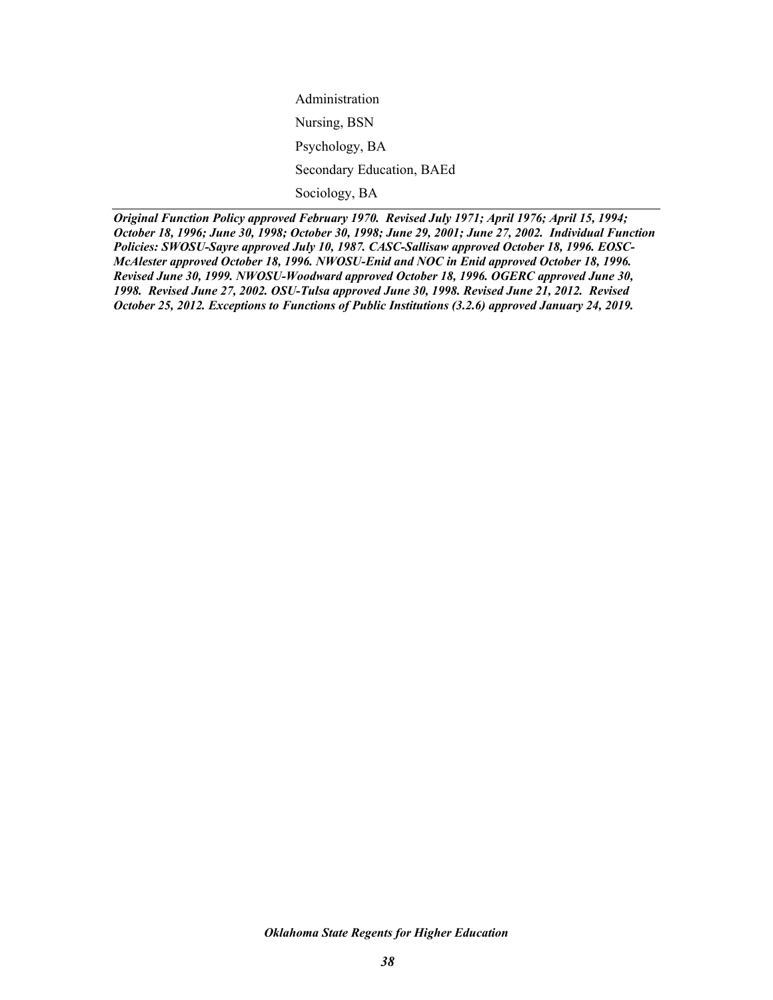Administration Nursing, BSN Psychology, BA Secondary Education, BAEd Sociology, BA

*Original Function Policy approved February 1970. Revised July 1971; April 1976; April 15, 1994; October 18, 1996; June 30, 1998; October 30, 1998; June 29, 2001; June 27, 2002. Individual Function Policies: SWOSU-Sayre approved July 10, 1987. CASC-Sallisaw approved October 18, 1996. EOSC-McAlester approved October 18, 1996. NWOSU-Enid and NOC in Enid approved October 18, 1996. Revised June 30, 1999. NWOSU-Woodward approved October 18, 1996. OGERC approved June 30, 1998. Revised June 27, 2002. OSU-Tulsa approved June 30, 1998. Revised June 21, 2012. Revised October 25, 2012. Exceptions to Functions of Public Institutions (3.2.6) approved January 24, 2019.*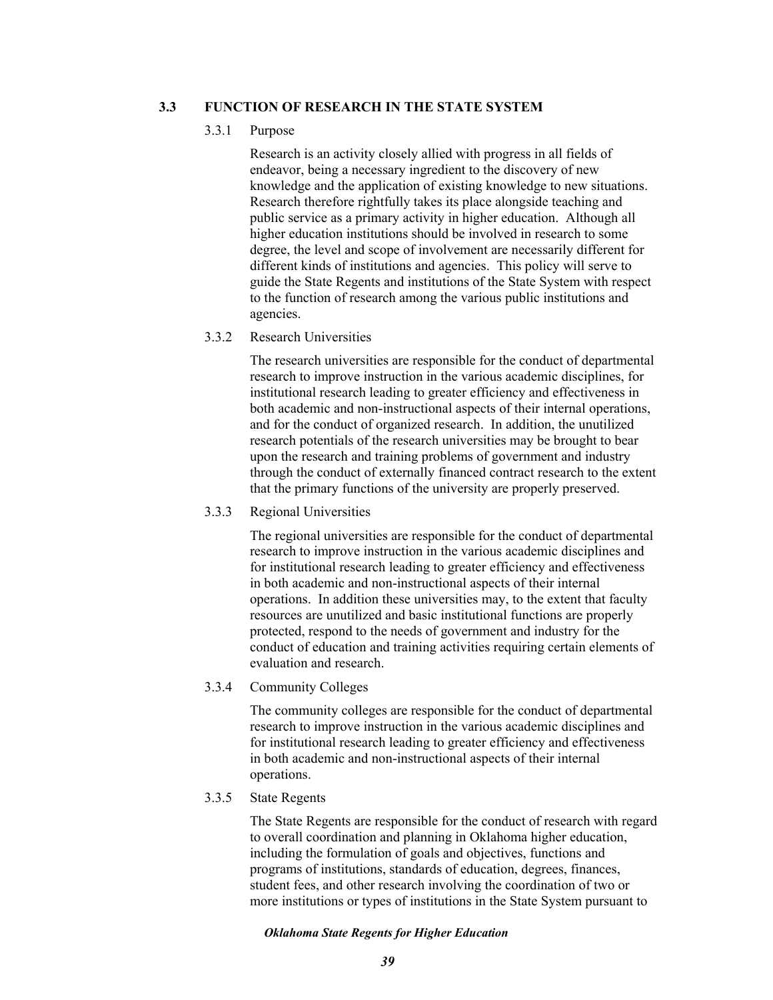# **3.3 FUNCTION OF RESEARCH IN THE STATE SYSTEM**

## 3.3.1 Purpose

Research is an activity closely allied with progress in all fields of endeavor, being a necessary ingredient to the discovery of new knowledge and the application of existing knowledge to new situations. Research therefore rightfully takes its place alongside teaching and public service as a primary activity in higher education. Although all higher education institutions should be involved in research to some degree, the level and scope of involvement are necessarily different for different kinds of institutions and agencies. This policy will serve to guide the State Regents and institutions of the State System with respect to the function of research among the various public institutions and agencies.

# 3.3.2 Research Universities

The research universities are responsible for the conduct of departmental research to improve instruction in the various academic disciplines, for institutional research leading to greater efficiency and effectiveness in both academic and non-instructional aspects of their internal operations, and for the conduct of organized research. In addition, the unutilized research potentials of the research universities may be brought to bear upon the research and training problems of government and industry through the conduct of externally financed contract research to the extent that the primary functions of the university are properly preserved.

## 3.3.3 Regional Universities

The regional universities are responsible for the conduct of departmental research to improve instruction in the various academic disciplines and for institutional research leading to greater efficiency and effectiveness in both academic and non-instructional aspects of their internal operations. In addition these universities may, to the extent that faculty resources are unutilized and basic institutional functions are properly protected, respond to the needs of government and industry for the conduct of education and training activities requiring certain elements of evaluation and research.

## 3.3.4 Community Colleges

The community colleges are responsible for the conduct of departmental research to improve instruction in the various academic disciplines and for institutional research leading to greater efficiency and effectiveness in both academic and non-instructional aspects of their internal operations.

## 3.3.5 State Regents

The State Regents are responsible for the conduct of research with regard to overall coordination and planning in Oklahoma higher education, including the formulation of goals and objectives, functions and programs of institutions, standards of education, degrees, finances, student fees, and other research involving the coordination of two or more institutions or types of institutions in the State System pursuant to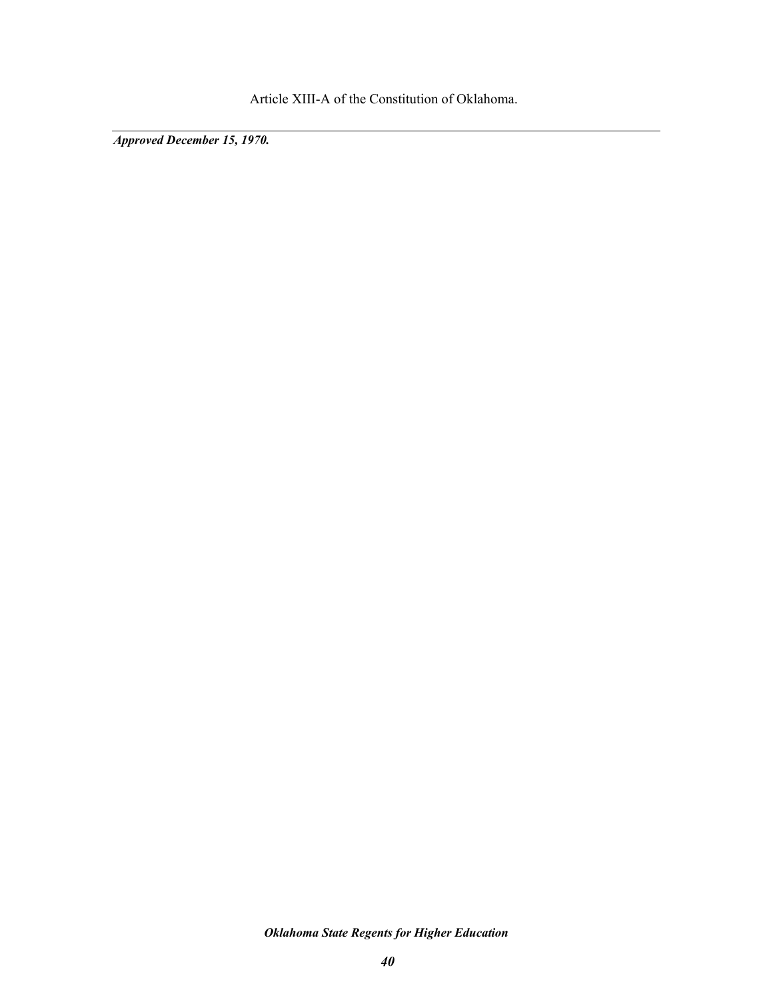Article XIII-A of the Constitution of Oklahoma.

*Approved December 15, 1970.*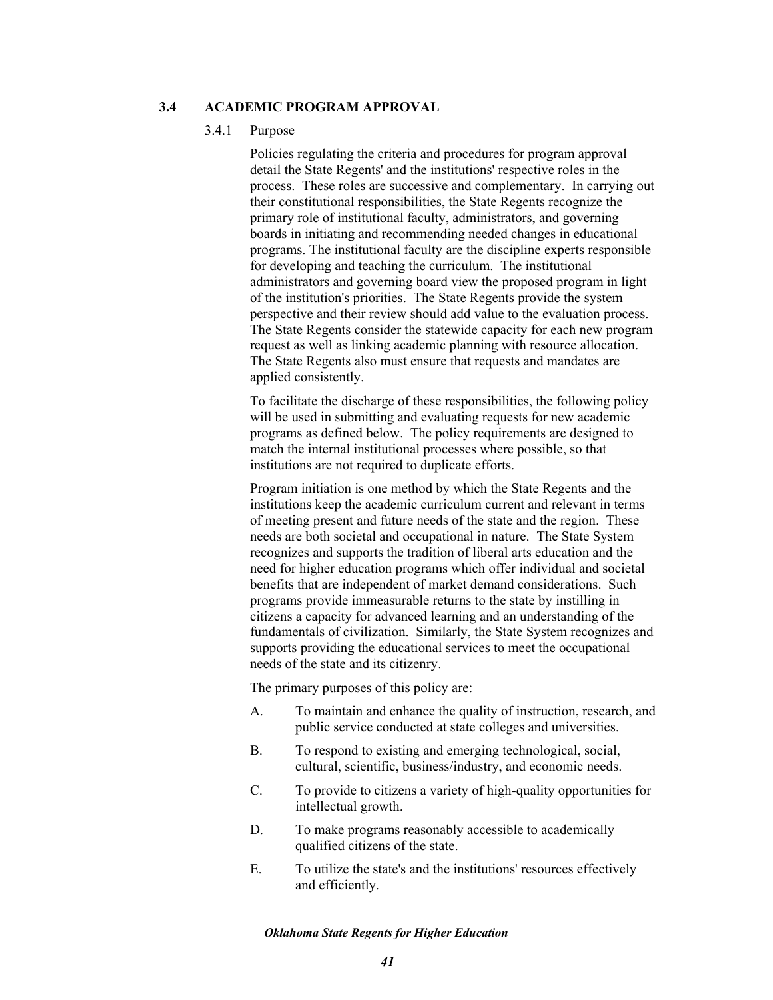## **3.4 ACADEMIC PROGRAM APPROVAL**

### 3.4.1 Purpose

Policies regulating the criteria and procedures for program approval detail the State Regents' and the institutions' respective roles in the process. These roles are successive and complementary. In carrying out their constitutional responsibilities, the State Regents recognize the primary role of institutional faculty, administrators, and governing boards in initiating and recommending needed changes in educational programs. The institutional faculty are the discipline experts responsible for developing and teaching the curriculum. The institutional administrators and governing board view the proposed program in light of the institution's priorities. The State Regents provide the system perspective and their review should add value to the evaluation process. The State Regents consider the statewide capacity for each new program request as well as linking academic planning with resource allocation. The State Regents also must ensure that requests and mandates are applied consistently.

To facilitate the discharge of these responsibilities, the following policy will be used in submitting and evaluating requests for new academic programs as defined below. The policy requirements are designed to match the internal institutional processes where possible, so that institutions are not required to duplicate efforts.

Program initiation is one method by which the State Regents and the institutions keep the academic curriculum current and relevant in terms of meeting present and future needs of the state and the region. These needs are both societal and occupational in nature. The State System recognizes and supports the tradition of liberal arts education and the need for higher education programs which offer individual and societal benefits that are independent of market demand considerations. Such programs provide immeasurable returns to the state by instilling in citizens a capacity for advanced learning and an understanding of the fundamentals of civilization. Similarly, the State System recognizes and supports providing the educational services to meet the occupational needs of the state and its citizenry.

The primary purposes of this policy are:

- A. To maintain and enhance the quality of instruction, research, and public service conducted at state colleges and universities.
- B. To respond to existing and emerging technological, social, cultural, scientific, business/industry, and economic needs.
- C. To provide to citizens a variety of high-quality opportunities for intellectual growth.
- D. To make programs reasonably accessible to academically qualified citizens of the state.
- E. To utilize the state's and the institutions' resources effectively and efficiently.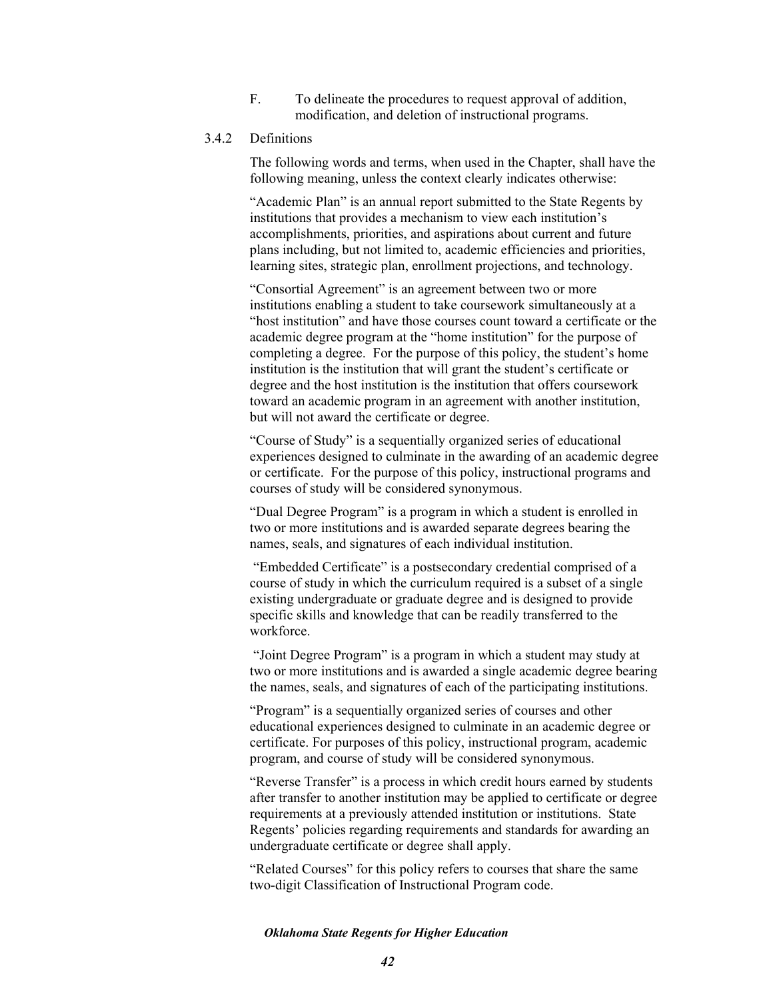F. To delineate the procedures to request approval of addition, modification, and deletion of instructional programs.

# 3.4.2 Definitions

The following words and terms, when used in the Chapter, shall have the following meaning, unless the context clearly indicates otherwise:

"Academic Plan" is an annual report submitted to the State Regents by institutions that provides a mechanism to view each institution's accomplishments, priorities, and aspirations about current and future plans including, but not limited to, academic efficiencies and priorities, learning sites, strategic plan, enrollment projections, and technology.

"Consortial Agreement" is an agreement between two or more institutions enabling a student to take coursework simultaneously at a "host institution" and have those courses count toward a certificate or the academic degree program at the "home institution" for the purpose of completing a degree. For the purpose of this policy, the student's home institution is the institution that will grant the student's certificate or degree and the host institution is the institution that offers coursework toward an academic program in an agreement with another institution, but will not award the certificate or degree.

"Course of Study" is a sequentially organized series of educational experiences designed to culminate in the awarding of an academic degree or certificate. For the purpose of this policy, instructional programs and courses of study will be considered synonymous.

"Dual Degree Program" is a program in which a student is enrolled in two or more institutions and is awarded separate degrees bearing the names, seals, and signatures of each individual institution.

 "Embedded Certificate" is a postsecondary credential comprised of a course of study in which the curriculum required is a subset of a single existing undergraduate or graduate degree and is designed to provide specific skills and knowledge that can be readily transferred to the workforce.

 "Joint Degree Program" is a program in which a student may study at two or more institutions and is awarded a single academic degree bearing the names, seals, and signatures of each of the participating institutions.

"Program" is a sequentially organized series of courses and other educational experiences designed to culminate in an academic degree or certificate. For purposes of this policy, instructional program, academic program, and course of study will be considered synonymous.

"Reverse Transfer" is a process in which credit hours earned by students after transfer to another institution may be applied to certificate or degree requirements at a previously attended institution or institutions. State Regents' policies regarding requirements and standards for awarding an undergraduate certificate or degree shall apply.

"Related Courses" for this policy refers to courses that share the same two-digit Classification of Instructional Program code.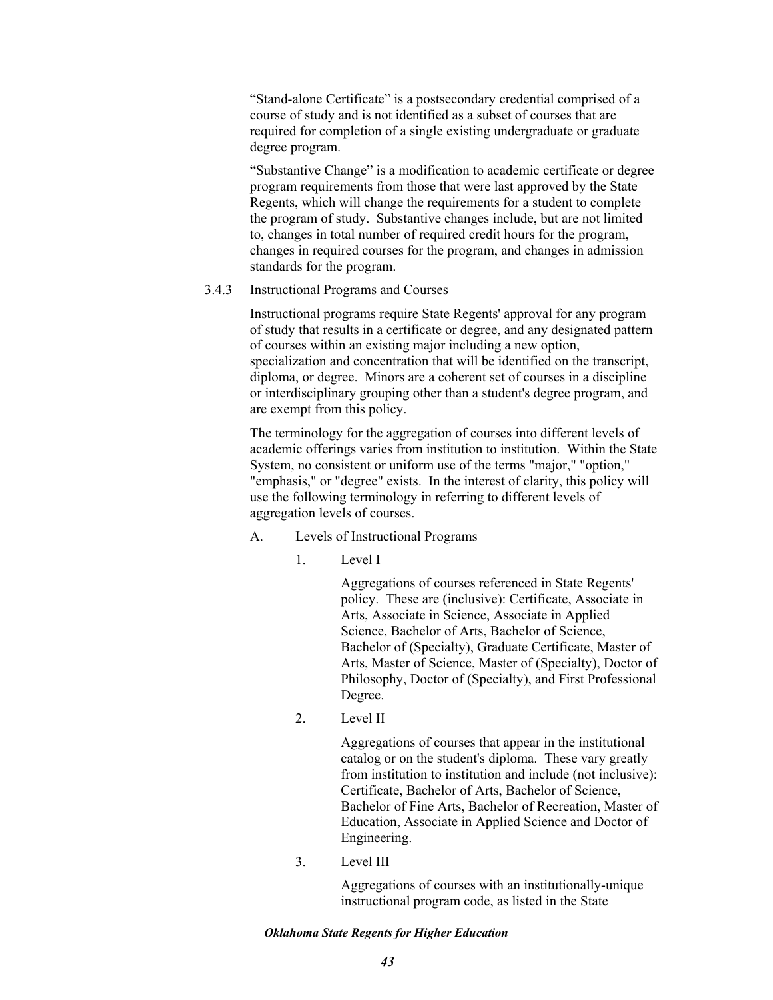"Stand-alone Certificate" is a postsecondary credential comprised of a course of study and is not identified as a subset of courses that are required for completion of a single existing undergraduate or graduate degree program.

"Substantive Change" is a modification to academic certificate or degree program requirements from those that were last approved by the State Regents, which will change the requirements for a student to complete the program of study. Substantive changes include, but are not limited to, changes in total number of required credit hours for the program, changes in required courses for the program, and changes in admission standards for the program.

### 3.4.3 Instructional Programs and Courses

Instructional programs require State Regents' approval for any program of study that results in a certificate or degree, and any designated pattern of courses within an existing major including a new option, specialization and concentration that will be identified on the transcript, diploma, or degree. Minors are a coherent set of courses in a discipline or interdisciplinary grouping other than a student's degree program, and are exempt from this policy.

The terminology for the aggregation of courses into different levels of academic offerings varies from institution to institution. Within the State System, no consistent or uniform use of the terms "major," "option," "emphasis," or "degree" exists. In the interest of clarity, this policy will use the following terminology in referring to different levels of aggregation levels of courses.

- A. Levels of Instructional Programs
	- 1. Level I

Aggregations of courses referenced in State Regents' policy. These are (inclusive): Certificate, Associate in Arts, Associate in Science, Associate in Applied Science, Bachelor of Arts, Bachelor of Science, Bachelor of (Specialty), Graduate Certificate, Master of Arts, Master of Science, Master of (Specialty), Doctor of Philosophy, Doctor of (Specialty), and First Professional Degree.

2. Level II

Aggregations of courses that appear in the institutional catalog or on the student's diploma. These vary greatly from institution to institution and include (not inclusive): Certificate, Bachelor of Arts, Bachelor of Science, Bachelor of Fine Arts, Bachelor of Recreation, Master of Education, Associate in Applied Science and Doctor of Engineering.

3. Level III

Aggregations of courses with an institutionally-unique instructional program code, as listed in the State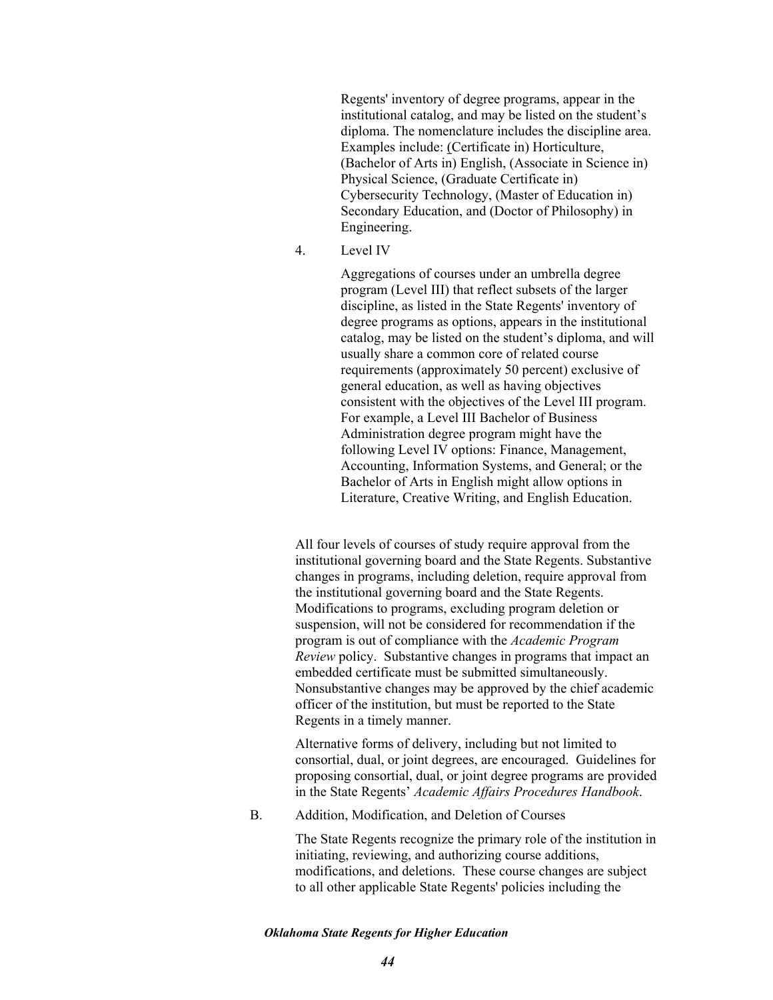Regents' inventory of degree programs, appear in the institutional catalog, and may be listed on the student's diploma. The nomenclature includes the discipline area. Examples include: (Certificate in) Horticulture, (Bachelor of Arts in) English, (Associate in Science in) Physical Science, (Graduate Certificate in) Cybersecurity Technology, (Master of Education in) Secondary Education, and (Doctor of Philosophy) in Engineering.

4. Level IV

Aggregations of courses under an umbrella degree program (Level III) that reflect subsets of the larger discipline, as listed in the State Regents' inventory of degree programs as options, appears in the institutional catalog, may be listed on the student's diploma, and will usually share a common core of related course requirements (approximately 50 percent) exclusive of general education, as well as having objectives consistent with the objectives of the Level III program. For example, a Level III Bachelor of Business Administration degree program might have the following Level IV options: Finance, Management, Accounting, Information Systems, and General; or the Bachelor of Arts in English might allow options in Literature, Creative Writing, and English Education.

All four levels of courses of study require approval from the institutional governing board and the State Regents. Substantive changes in programs, including deletion, require approval from the institutional governing board and the State Regents. Modifications to programs, excluding program deletion or suspension, will not be considered for recommendation if the program is out of compliance with the *Academic Program Review* policy. Substantive changes in programs that impact an embedded certificate must be submitted simultaneously. Nonsubstantive changes may be approved by the chief academic officer of the institution, but must be reported to the State Regents in a timely manner.

Alternative forms of delivery, including but not limited to consortial, dual, or joint degrees, are encouraged. Guidelines for proposing consortial, dual, or joint degree programs are provided in the State Regents' *Academic Affairs Procedures Handbook*.

B. Addition, Modification, and Deletion of Courses

The State Regents recognize the primary role of the institution in initiating, reviewing, and authorizing course additions, modifications, and deletions. These course changes are subject to all other applicable State Regents' policies including the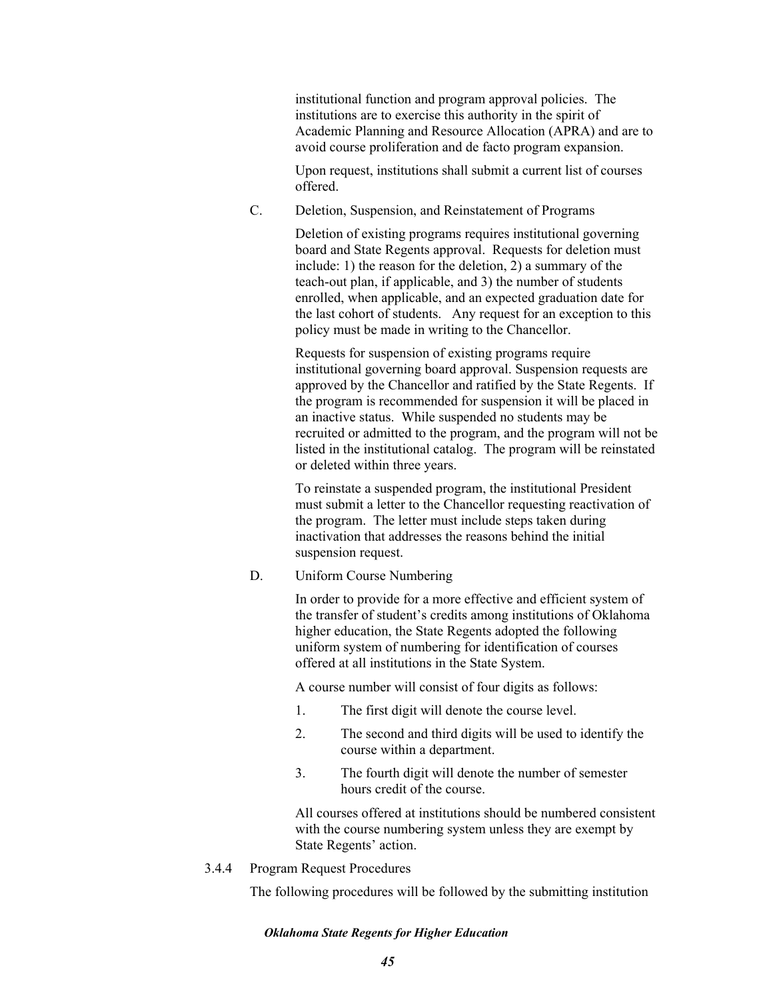institutional function and program approval policies. The institutions are to exercise this authority in the spirit of Academic Planning and Resource Allocation (APRA) and are to avoid course proliferation and de facto program expansion.

Upon request, institutions shall submit a current list of courses offered.

C. Deletion, Suspension, and Reinstatement of Programs

Deletion of existing programs requires institutional governing board and State Regents approval. Requests for deletion must include: 1) the reason for the deletion, 2) a summary of the teach-out plan, if applicable, and 3) the number of students enrolled, when applicable, and an expected graduation date for the last cohort of students. Any request for an exception to this policy must be made in writing to the Chancellor.

Requests for suspension of existing programs require institutional governing board approval. Suspension requests are approved by the Chancellor and ratified by the State Regents. If the program is recommended for suspension it will be placed in an inactive status. While suspended no students may be recruited or admitted to the program, and the program will not be listed in the institutional catalog. The program will be reinstated or deleted within three years.

To reinstate a suspended program, the institutional President must submit a letter to the Chancellor requesting reactivation of the program. The letter must include steps taken during inactivation that addresses the reasons behind the initial suspension request.

D. Uniform Course Numbering

In order to provide for a more effective and efficient system of the transfer of student's credits among institutions of Oklahoma higher education, the State Regents adopted the following uniform system of numbering for identification of courses offered at all institutions in the State System.

A course number will consist of four digits as follows:

- 1. The first digit will denote the course level.
- 2. The second and third digits will be used to identify the course within a department.
- 3. The fourth digit will denote the number of semester hours credit of the course.

All courses offered at institutions should be numbered consistent with the course numbering system unless they are exempt by State Regents' action.

3.4.4 Program Request Procedures

The following procedures will be followed by the submitting institution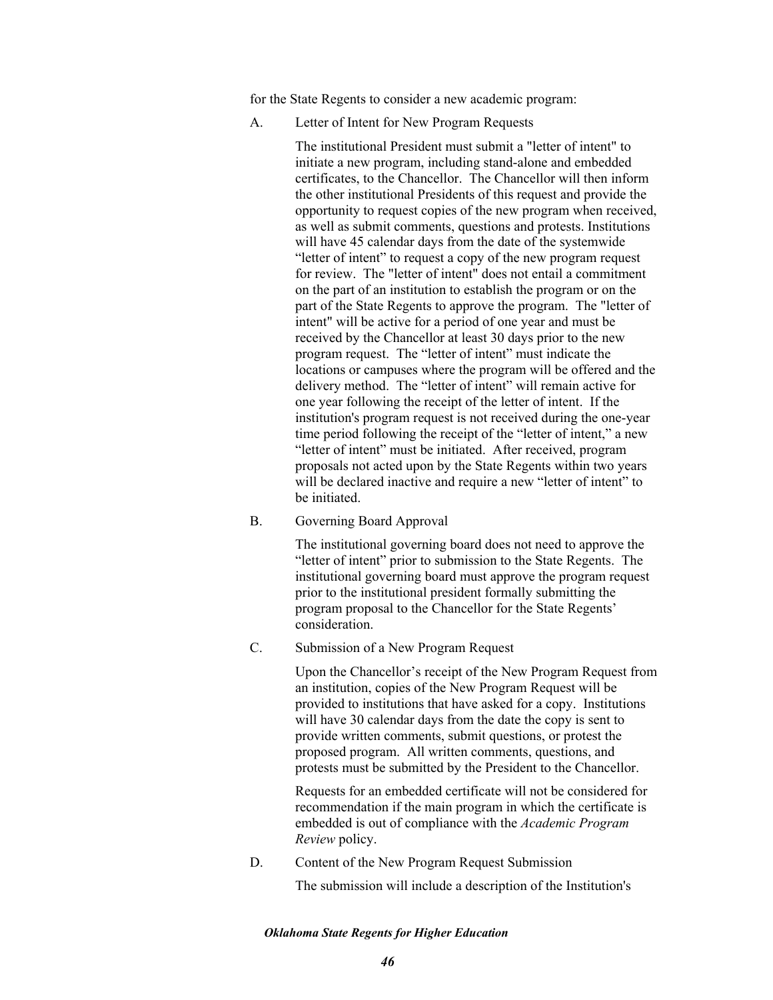for the State Regents to consider a new academic program:

A. Letter of Intent for New Program Requests

The institutional President must submit a "letter of intent" to initiate a new program, including stand-alone and embedded certificates, to the Chancellor. The Chancellor will then inform the other institutional Presidents of this request and provide the opportunity to request copies of the new program when received, as well as submit comments, questions and protests. Institutions will have 45 calendar days from the date of the systemwide "letter of intent" to request a copy of the new program request for review. The "letter of intent" does not entail a commitment on the part of an institution to establish the program or on the part of the State Regents to approve the program. The "letter of intent" will be active for a period of one year and must be received by the Chancellor at least 30 days prior to the new program request. The "letter of intent" must indicate the locations or campuses where the program will be offered and the delivery method. The "letter of intent" will remain active for one year following the receipt of the letter of intent. If the institution's program request is not received during the one-year time period following the receipt of the "letter of intent," a new "letter of intent" must be initiated. After received, program proposals not acted upon by the State Regents within two years will be declared inactive and require a new "letter of intent" to be initiated.

B. Governing Board Approval

The institutional governing board does not need to approve the "letter of intent" prior to submission to the State Regents. The institutional governing board must approve the program request prior to the institutional president formally submitting the program proposal to the Chancellor for the State Regents' consideration.

C. Submission of a New Program Request

Upon the Chancellor's receipt of the New Program Request from an institution, copies of the New Program Request will be provided to institutions that have asked for a copy. Institutions will have 30 calendar days from the date the copy is sent to provide written comments, submit questions, or protest the proposed program. All written comments, questions, and protests must be submitted by the President to the Chancellor.

Requests for an embedded certificate will not be considered for recommendation if the main program in which the certificate is embedded is out of compliance with the *Academic Program Review* policy.

D. Content of the New Program Request Submission The submission will include a description of the Institution's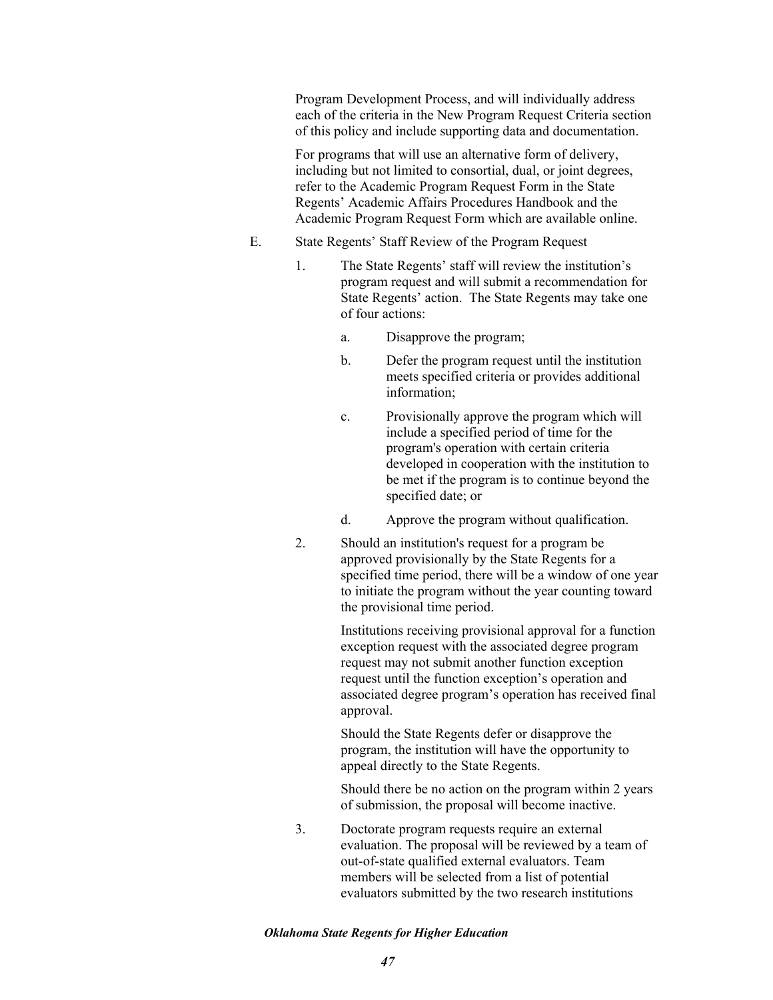Program Development Process, and will individually address each of the criteria in the New Program Request Criteria section of this policy and include supporting data and documentation.

For programs that will use an alternative form of delivery, including but not limited to consortial, dual, or joint degrees, refer to the Academic Program Request Form in the State Regents' Academic Affairs Procedures Handbook and the Academic Program Request Form which are available online.

- E. State Regents' Staff Review of the Program Request
	- 1. The State Regents' staff will review the institution's program request and will submit a recommendation for State Regents' action. The State Regents may take one of four actions:
		- a. Disapprove the program;
		- b. Defer the program request until the institution meets specified criteria or provides additional information;
		- c. Provisionally approve the program which will include a specified period of time for the program's operation with certain criteria developed in cooperation with the institution to be met if the program is to continue beyond the specified date; or
		- d. Approve the program without qualification.
	- 2. Should an institution's request for a program be approved provisionally by the State Regents for a specified time period, there will be a window of one year to initiate the program without the year counting toward the provisional time period.

Institutions receiving provisional approval for a function exception request with the associated degree program request may not submit another function exception request until the function exception's operation and associated degree program's operation has received final approval.

Should the State Regents defer or disapprove the program, the institution will have the opportunity to appeal directly to the State Regents.

Should there be no action on the program within 2 years of submission, the proposal will become inactive.

3. Doctorate program requests require an external evaluation. The proposal will be reviewed by a team of out-of-state qualified external evaluators. Team members will be selected from a list of potential evaluators submitted by the two research institutions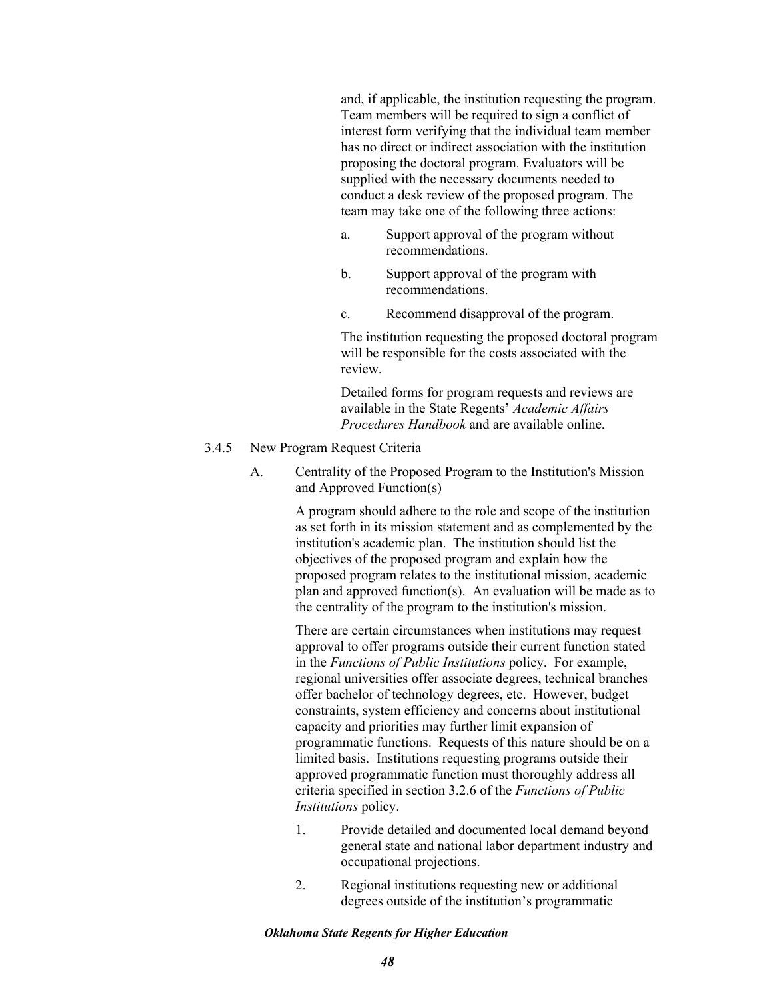and, if applicable, the institution requesting the program. Team members will be required to sign a conflict of interest form verifying that the individual team member has no direct or indirect association with the institution proposing the doctoral program. Evaluators will be supplied with the necessary documents needed to conduct a desk review of the proposed program. The team may take one of the following three actions:

- a. Support approval of the program without recommendations.
- b. Support approval of the program with recommendations.
- c. Recommend disapproval of the program.

The institution requesting the proposed doctoral program will be responsible for the costs associated with the review.

Detailed forms for program requests and reviews are available in the State Regents' *Academic Affairs Procedures Handbook* and are available online.

## 3.4.5 New Program Request Criteria

A. Centrality of the Proposed Program to the Institution's Mission and Approved Function(s)

> A program should adhere to the role and scope of the institution as set forth in its mission statement and as complemented by the institution's academic plan. The institution should list the objectives of the proposed program and explain how the proposed program relates to the institutional mission, academic plan and approved function(s). An evaluation will be made as to the centrality of the program to the institution's mission.

There are certain circumstances when institutions may request approval to offer programs outside their current function stated in the *Functions of Public Institutions* policy. For example, regional universities offer associate degrees, technical branches offer bachelor of technology degrees, etc. However, budget constraints, system efficiency and concerns about institutional capacity and priorities may further limit expansion of programmatic functions. Requests of this nature should be on a limited basis. Institutions requesting programs outside their approved programmatic function must thoroughly address all criteria specified in section 3.2.6 of the *Functions of Public Institutions* policy.

- 1. Provide detailed and documented local demand beyond general state and national labor department industry and occupational projections.
- 2. Regional institutions requesting new or additional degrees outside of the institution's programmatic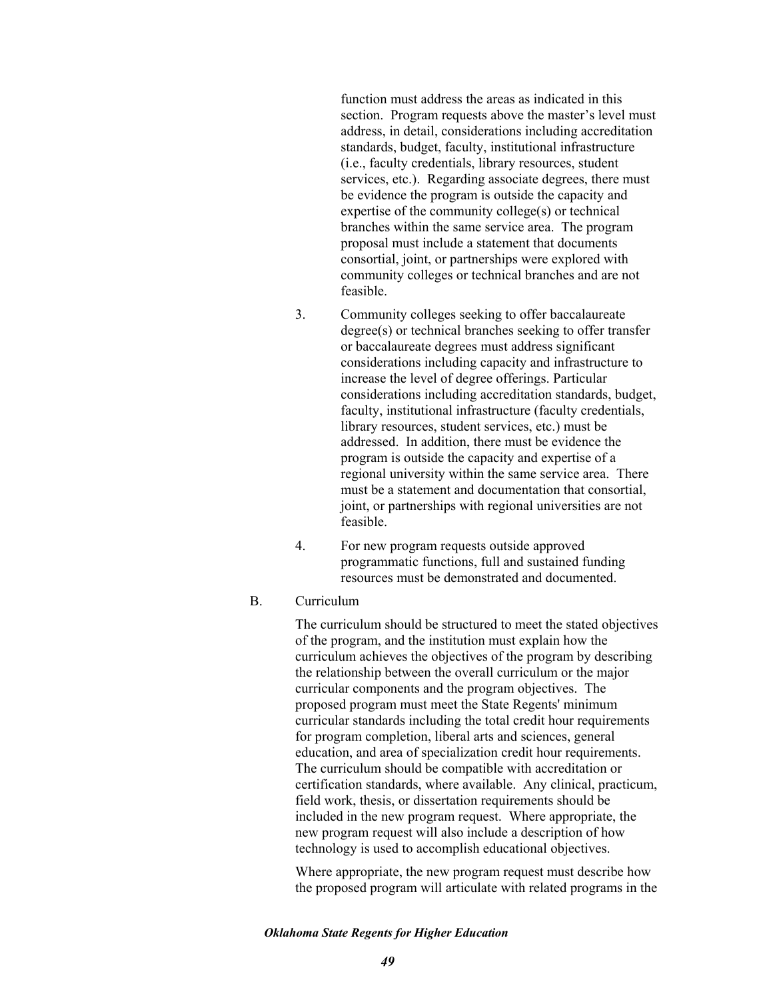function must address the areas as indicated in this section. Program requests above the master's level must address, in detail, considerations including accreditation standards, budget, faculty, institutional infrastructure (i.e., faculty credentials, library resources, student services, etc.). Regarding associate degrees, there must be evidence the program is outside the capacity and expertise of the community college(s) or technical branches within the same service area. The program proposal must include a statement that documents consortial, joint, or partnerships were explored with community colleges or technical branches and are not feasible.

- 3. Community colleges seeking to offer baccalaureate degree(s) or technical branches seeking to offer transfer or baccalaureate degrees must address significant considerations including capacity and infrastructure to increase the level of degree offerings. Particular considerations including accreditation standards, budget, faculty, institutional infrastructure (faculty credentials, library resources, student services, etc.) must be addressed. In addition, there must be evidence the program is outside the capacity and expertise of a regional university within the same service area. There must be a statement and documentation that consortial. joint, or partnerships with regional universities are not feasible.
- 4. For new program requests outside approved programmatic functions, full and sustained funding resources must be demonstrated and documented.
- B. Curriculum

The curriculum should be structured to meet the stated objectives of the program, and the institution must explain how the curriculum achieves the objectives of the program by describing the relationship between the overall curriculum or the major curricular components and the program objectives. The proposed program must meet the State Regents' minimum curricular standards including the total credit hour requirements for program completion, liberal arts and sciences, general education, and area of specialization credit hour requirements. The curriculum should be compatible with accreditation or certification standards, where available. Any clinical, practicum, field work, thesis, or dissertation requirements should be included in the new program request. Where appropriate, the new program request will also include a description of how technology is used to accomplish educational objectives.

Where appropriate, the new program request must describe how the proposed program will articulate with related programs in the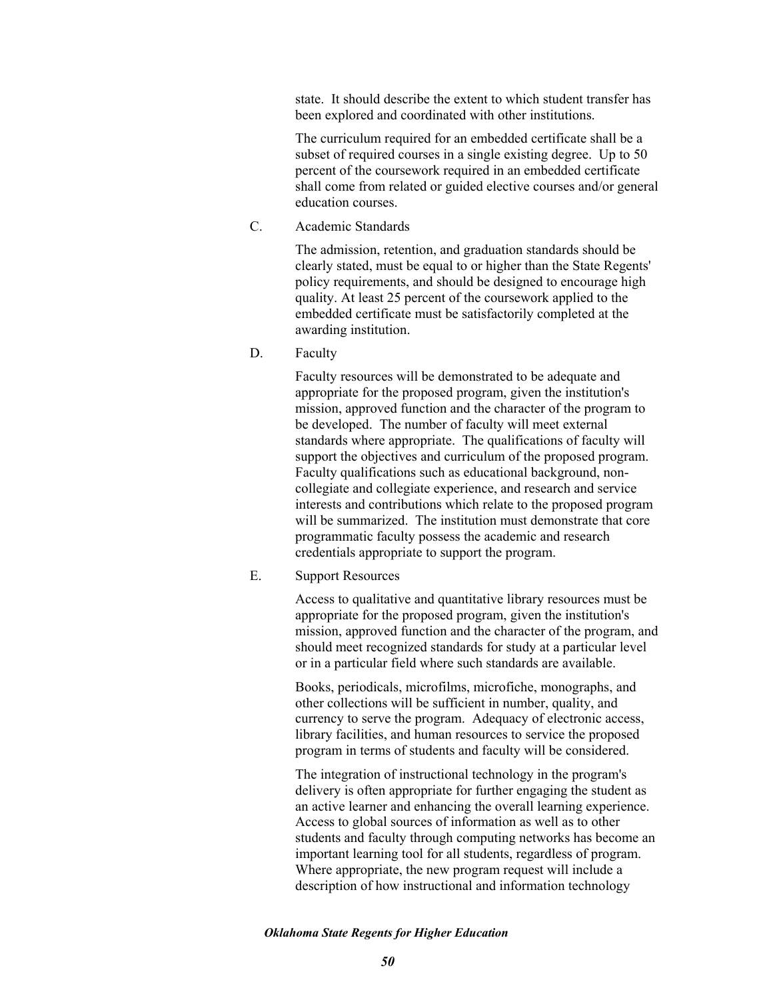state. It should describe the extent to which student transfer has been explored and coordinated with other institutions.

The curriculum required for an embedded certificate shall be a subset of required courses in a single existing degree. Up to 50 percent of the coursework required in an embedded certificate shall come from related or guided elective courses and/or general education courses.

C. Academic Standards

The admission, retention, and graduation standards should be clearly stated, must be equal to or higher than the State Regents' policy requirements, and should be designed to encourage high quality. At least 25 percent of the coursework applied to the embedded certificate must be satisfactorily completed at the awarding institution.

D. Faculty

Faculty resources will be demonstrated to be adequate and appropriate for the proposed program, given the institution's mission, approved function and the character of the program to be developed. The number of faculty will meet external standards where appropriate. The qualifications of faculty will support the objectives and curriculum of the proposed program. Faculty qualifications such as educational background, noncollegiate and collegiate experience, and research and service interests and contributions which relate to the proposed program will be summarized. The institution must demonstrate that core programmatic faculty possess the academic and research credentials appropriate to support the program.

E. Support Resources

Access to qualitative and quantitative library resources must be appropriate for the proposed program, given the institution's mission, approved function and the character of the program, and should meet recognized standards for study at a particular level or in a particular field where such standards are available.

Books, periodicals, microfilms, microfiche, monographs, and other collections will be sufficient in number, quality, and currency to serve the program. Adequacy of electronic access, library facilities, and human resources to service the proposed program in terms of students and faculty will be considered.

The integration of instructional technology in the program's delivery is often appropriate for further engaging the student as an active learner and enhancing the overall learning experience. Access to global sources of information as well as to other students and faculty through computing networks has become an important learning tool for all students, regardless of program. Where appropriate, the new program request will include a description of how instructional and information technology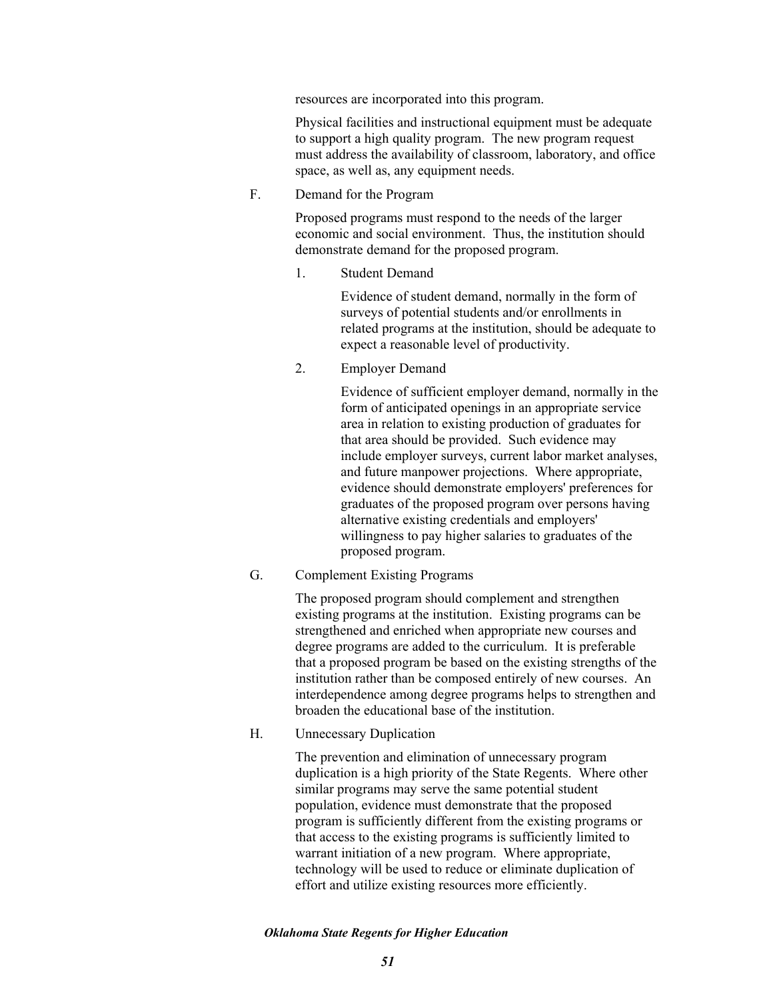resources are incorporated into this program.

Physical facilities and instructional equipment must be adequate to support a high quality program. The new program request must address the availability of classroom, laboratory, and office space, as well as, any equipment needs.

F. Demand for the Program

Proposed programs must respond to the needs of the larger economic and social environment. Thus, the institution should demonstrate demand for the proposed program.

1. Student Demand

Evidence of student demand, normally in the form of surveys of potential students and/or enrollments in related programs at the institution, should be adequate to expect a reasonable level of productivity.

2. Employer Demand

Evidence of sufficient employer demand, normally in the form of anticipated openings in an appropriate service area in relation to existing production of graduates for that area should be provided. Such evidence may include employer surveys, current labor market analyses, and future manpower projections. Where appropriate, evidence should demonstrate employers' preferences for graduates of the proposed program over persons having alternative existing credentials and employers' willingness to pay higher salaries to graduates of the proposed program.

G. Complement Existing Programs

The proposed program should complement and strengthen existing programs at the institution. Existing programs can be strengthened and enriched when appropriate new courses and degree programs are added to the curriculum. It is preferable that a proposed program be based on the existing strengths of the institution rather than be composed entirely of new courses. An interdependence among degree programs helps to strengthen and broaden the educational base of the institution.

H. Unnecessary Duplication

The prevention and elimination of unnecessary program duplication is a high priority of the State Regents. Where other similar programs may serve the same potential student population, evidence must demonstrate that the proposed program is sufficiently different from the existing programs or that access to the existing programs is sufficiently limited to warrant initiation of a new program. Where appropriate, technology will be used to reduce or eliminate duplication of effort and utilize existing resources more efficiently.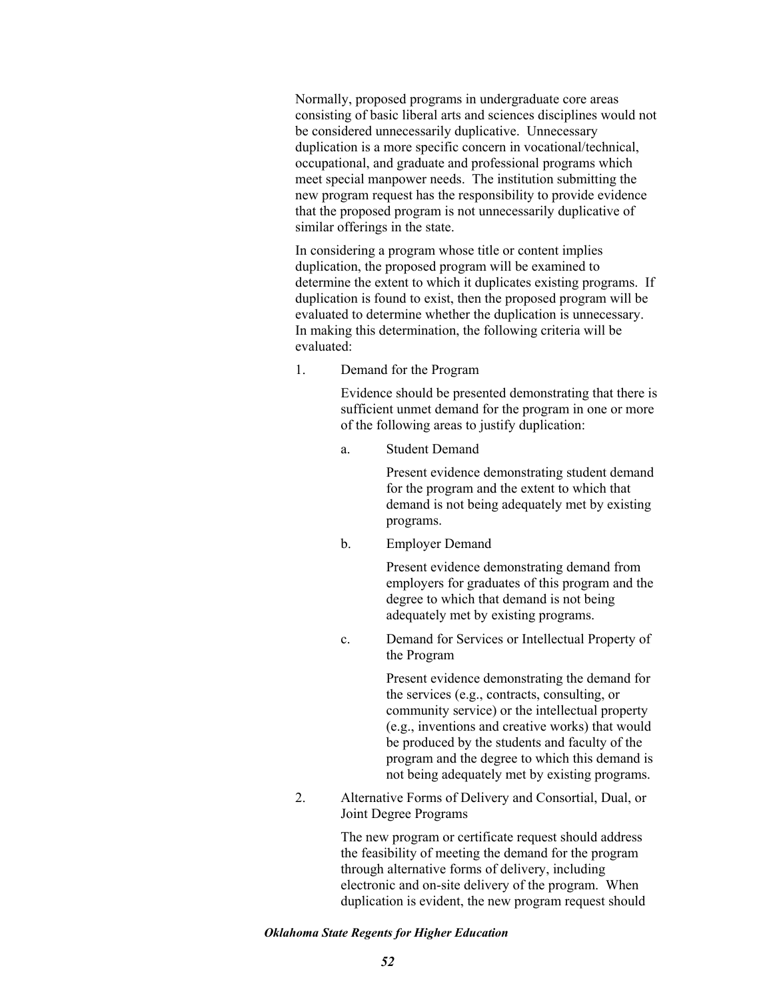Normally, proposed programs in undergraduate core areas consisting of basic liberal arts and sciences disciplines would not be considered unnecessarily duplicative. Unnecessary duplication is a more specific concern in vocational/technical, occupational, and graduate and professional programs which meet special manpower needs. The institution submitting the new program request has the responsibility to provide evidence that the proposed program is not unnecessarily duplicative of similar offerings in the state.

In considering a program whose title or content implies duplication, the proposed program will be examined to determine the extent to which it duplicates existing programs. If duplication is found to exist, then the proposed program will be evaluated to determine whether the duplication is unnecessary. In making this determination, the following criteria will be evaluated:

1. Demand for the Program

Evidence should be presented demonstrating that there is sufficient unmet demand for the program in one or more of the following areas to justify duplication:

a. Student Demand

Present evidence demonstrating student demand for the program and the extent to which that demand is not being adequately met by existing programs.

b. Employer Demand

Present evidence demonstrating demand from employers for graduates of this program and the degree to which that demand is not being adequately met by existing programs.

c. Demand for Services or Intellectual Property of the Program

> Present evidence demonstrating the demand for the services (e.g., contracts, consulting, or community service) or the intellectual property (e.g., inventions and creative works) that would be produced by the students and faculty of the program and the degree to which this demand is not being adequately met by existing programs.

2. Alternative Forms of Delivery and Consortial, Dual, or Joint Degree Programs

> The new program or certificate request should address the feasibility of meeting the demand for the program through alternative forms of delivery, including electronic and on-site delivery of the program. When duplication is evident, the new program request should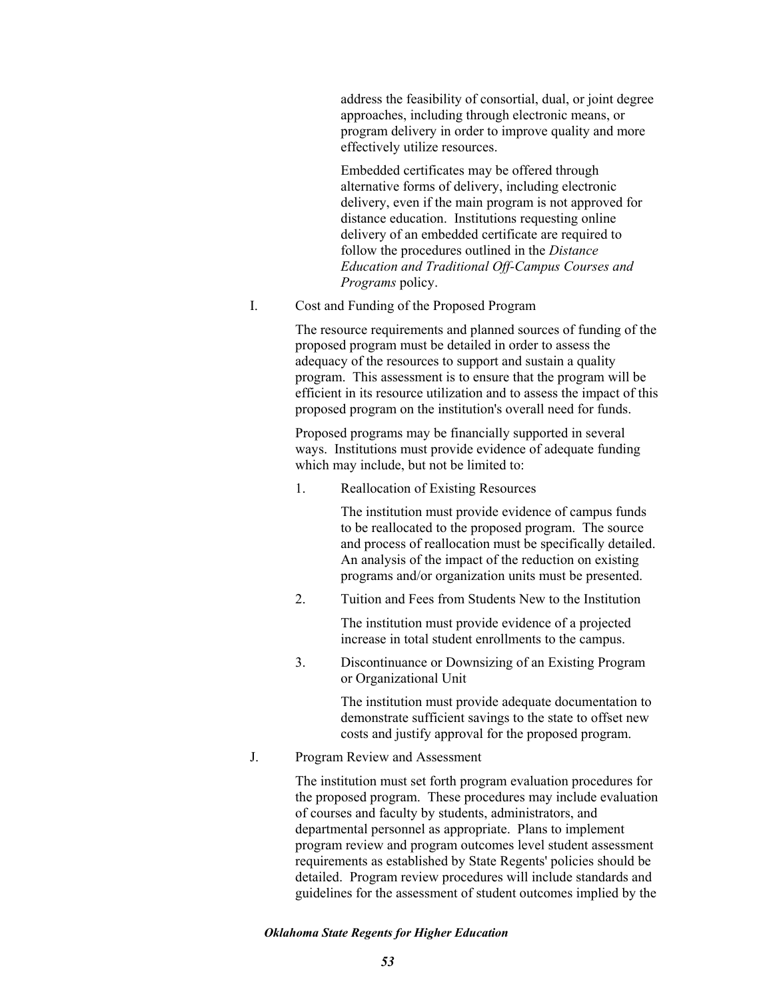address the feasibility of consortial, dual, or joint degree approaches, including through electronic means, or program delivery in order to improve quality and more effectively utilize resources.

Embedded certificates may be offered through alternative forms of delivery, including electronic delivery, even if the main program is not approved for distance education. Institutions requesting online delivery of an embedded certificate are required to follow the procedures outlined in the *Distance Education and Traditional Off-Campus Courses and Programs* policy.

I. Cost and Funding of the Proposed Program

The resource requirements and planned sources of funding of the proposed program must be detailed in order to assess the adequacy of the resources to support and sustain a quality program. This assessment is to ensure that the program will be efficient in its resource utilization and to assess the impact of this proposed program on the institution's overall need for funds.

Proposed programs may be financially supported in several ways. Institutions must provide evidence of adequate funding which may include, but not be limited to:

1. Reallocation of Existing Resources

The institution must provide evidence of campus funds to be reallocated to the proposed program. The source and process of reallocation must be specifically detailed. An analysis of the impact of the reduction on existing programs and/or organization units must be presented.

2. Tuition and Fees from Students New to the Institution

The institution must provide evidence of a projected increase in total student enrollments to the campus.

3. Discontinuance or Downsizing of an Existing Program or Organizational Unit

> The institution must provide adequate documentation to demonstrate sufficient savings to the state to offset new costs and justify approval for the proposed program.

J. Program Review and Assessment

The institution must set forth program evaluation procedures for the proposed program. These procedures may include evaluation of courses and faculty by students, administrators, and departmental personnel as appropriate. Plans to implement program review and program outcomes level student assessment requirements as established by State Regents' policies should be detailed. Program review procedures will include standards and guidelines for the assessment of student outcomes implied by the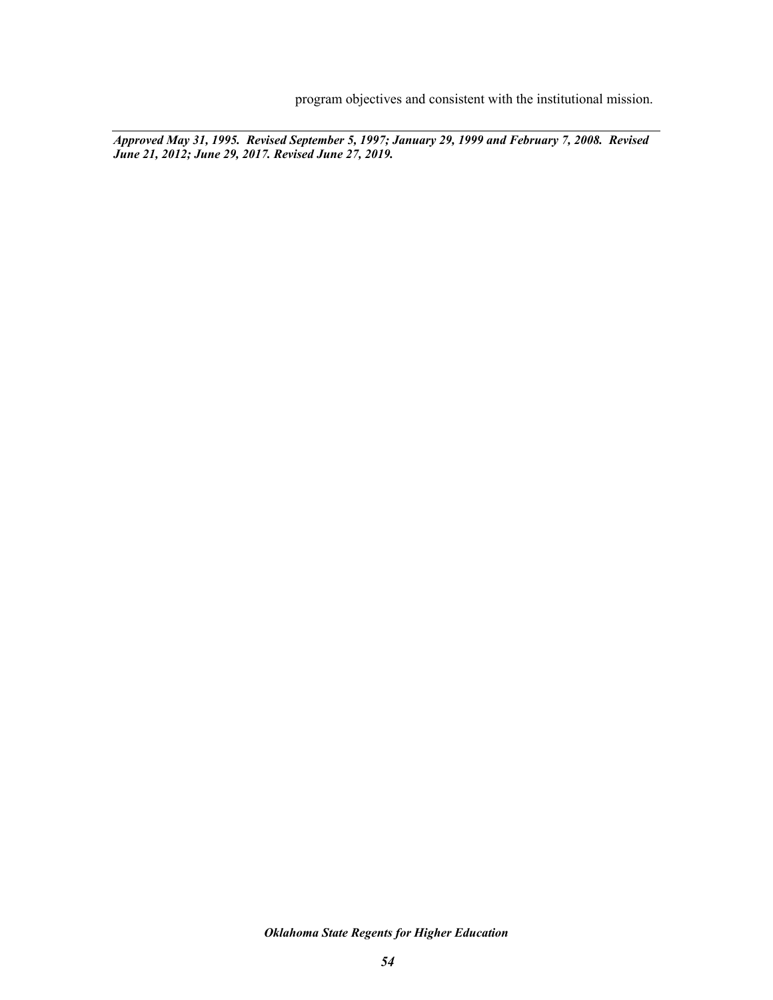program objectives and consistent with the institutional mission.

*Approved May 31, 1995. Revised September 5, 1997; January 29, 1999 and February 7, 2008. Revised June 21, 2012; June 29, 2017. Revised June 27, 2019.*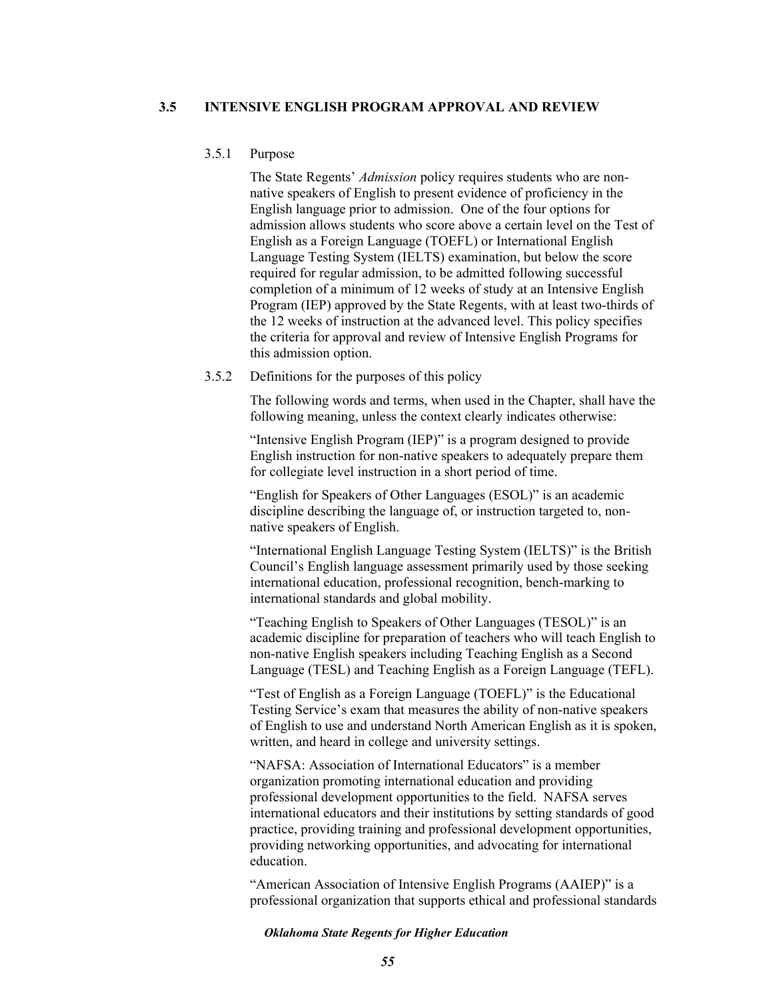## **3.5 INTENSIVE ENGLISH PROGRAM APPROVAL AND REVIEW**

# 3.5.1 Purpose

The State Regents' *Admission* policy requires students who are nonnative speakers of English to present evidence of proficiency in the English language prior to admission. One of the four options for admission allows students who score above a certain level on the Test of English as a Foreign Language (TOEFL) or International English Language Testing System (IELTS) examination, but below the score required for regular admission, to be admitted following successful completion of a minimum of 12 weeks of study at an Intensive English Program (IEP) approved by the State Regents, with at least two-thirds of the 12 weeks of instruction at the advanced level. This policy specifies the criteria for approval and review of Intensive English Programs for this admission option.

## 3.5.2 Definitions for the purposes of this policy

The following words and terms, when used in the Chapter, shall have the following meaning, unless the context clearly indicates otherwise:

"Intensive English Program (IEP)" is a program designed to provide English instruction for non-native speakers to adequately prepare them for collegiate level instruction in a short period of time.

"English for Speakers of Other Languages (ESOL)" is an academic discipline describing the language of, or instruction targeted to, nonnative speakers of English.

"International English Language Testing System (IELTS)" is the British Council's English language assessment primarily used by those seeking international education, professional recognition, bench-marking to international standards and global mobility.

"Teaching English to Speakers of Other Languages (TESOL)" is an academic discipline for preparation of teachers who will teach English to non-native English speakers including Teaching English as a Second Language (TESL) and Teaching English as a Foreign Language (TEFL).

"Test of English as a Foreign Language (TOEFL)" is the Educational Testing Service's exam that measures the ability of non-native speakers of English to use and understand North American English as it is spoken, written, and heard in college and university settings.

"NAFSA: Association of International Educators" is a member organization promoting international education and providing professional development opportunities to the field. NAFSA serves international educators and their institutions by setting standards of good practice, providing training and professional development opportunities, providing networking opportunities, and advocating for international education.

"American Association of Intensive English Programs (AAIEP)" is a professional organization that supports ethical and professional standards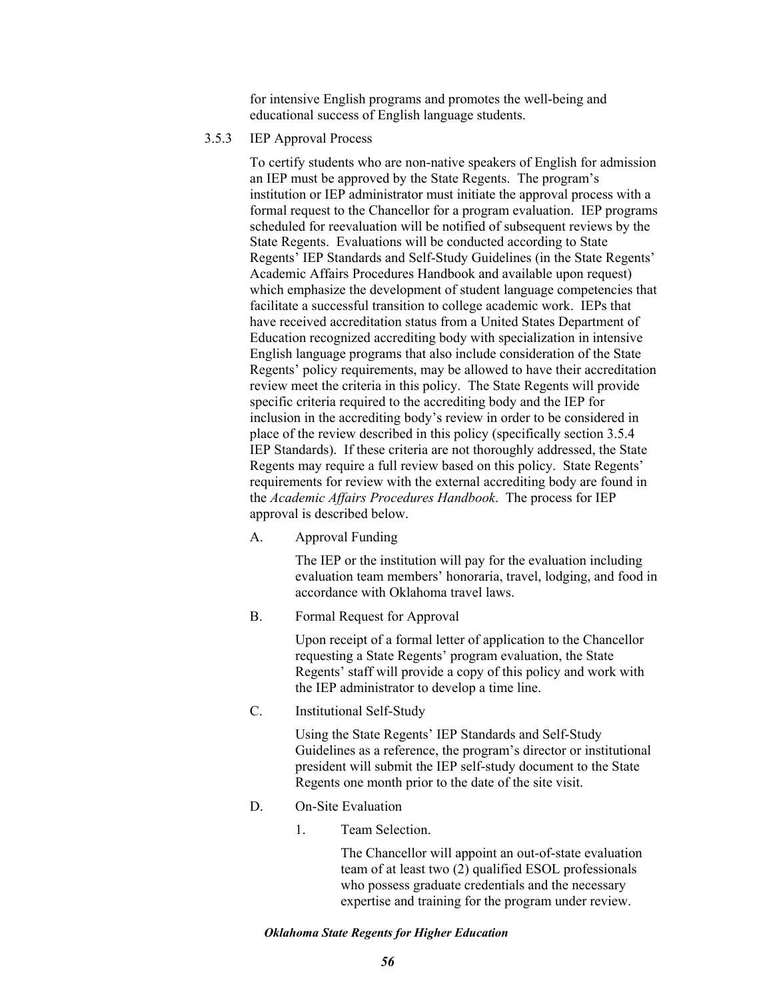for intensive English programs and promotes the well-being and educational success of English language students.

# 3.5.3 IEP Approval Process

To certify students who are non-native speakers of English for admission an IEP must be approved by the State Regents. The program's institution or IEP administrator must initiate the approval process with a formal request to the Chancellor for a program evaluation. IEP programs scheduled for reevaluation will be notified of subsequent reviews by the State Regents. Evaluations will be conducted according to State Regents' IEP Standards and Self-Study Guidelines (in the State Regents' Academic Affairs Procedures Handbook and available upon request) which emphasize the development of student language competencies that facilitate a successful transition to college academic work. IEPs that have received accreditation status from a United States Department of Education recognized accrediting body with specialization in intensive English language programs that also include consideration of the State Regents' policy requirements, may be allowed to have their accreditation review meet the criteria in this policy. The State Regents will provide specific criteria required to the accrediting body and the IEP for inclusion in the accrediting body's review in order to be considered in place of the review described in this policy (specifically section 3.5.4 IEP Standards). If these criteria are not thoroughly addressed, the State Regents may require a full review based on this policy. State Regents' requirements for review with the external accrediting body are found in the *Academic Affairs Procedures Handbook*. The process for IEP approval is described below.

A. Approval Funding

The IEP or the institution will pay for the evaluation including evaluation team members' honoraria, travel, lodging, and food in accordance with Oklahoma travel laws.

B. Formal Request for Approval

Upon receipt of a formal letter of application to the Chancellor requesting a State Regents' program evaluation, the State Regents' staff will provide a copy of this policy and work with the IEP administrator to develop a time line.

C. Institutional Self-Study

Using the State Regents' IEP Standards and Self-Study Guidelines as a reference, the program's director or institutional president will submit the IEP self-study document to the State Regents one month prior to the date of the site visit.

- D. On-Site Evaluation
	- 1. Team Selection.

The Chancellor will appoint an out-of-state evaluation team of at least two (2) qualified ESOL professionals who possess graduate credentials and the necessary expertise and training for the program under review.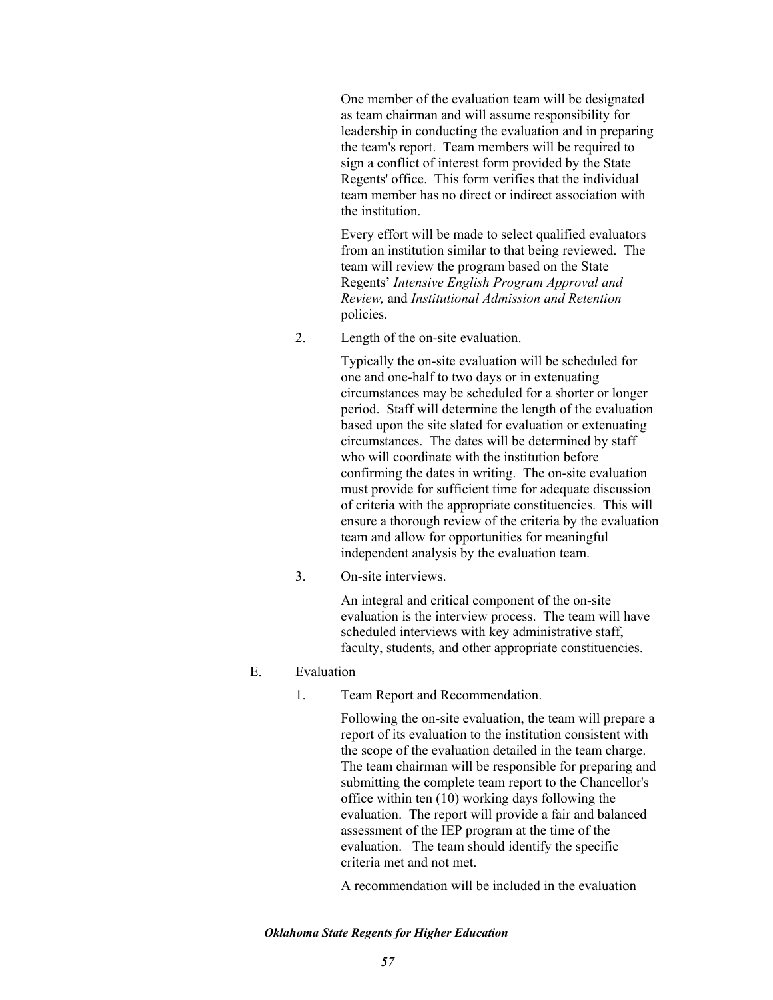One member of the evaluation team will be designated as team chairman and will assume responsibility for leadership in conducting the evaluation and in preparing the team's report. Team members will be required to sign a conflict of interest form provided by the State Regents' office. This form verifies that the individual team member has no direct or indirect association with the institution.

Every effort will be made to select qualified evaluators from an institution similar to that being reviewed. The team will review the program based on the State Regents' *Intensive English Program Approval and Review,* and *Institutional Admission and Retention*  policies.

2. Length of the on-site evaluation.

Typically the on-site evaluation will be scheduled for one and one-half to two days or in extenuating circumstances may be scheduled for a shorter or longer period. Staff will determine the length of the evaluation based upon the site slated for evaluation or extenuating circumstances. The dates will be determined by staff who will coordinate with the institution before confirming the dates in writing. The on-site evaluation must provide for sufficient time for adequate discussion of criteria with the appropriate constituencies. This will ensure a thorough review of the criteria by the evaluation team and allow for opportunities for meaningful independent analysis by the evaluation team.

3. On-site interviews.

An integral and critical component of the on-site evaluation is the interview process. The team will have scheduled interviews with key administrative staff, faculty, students, and other appropriate constituencies.

- E. Evaluation
	- 1. Team Report and Recommendation.

Following the on-site evaluation, the team will prepare a report of its evaluation to the institution consistent with the scope of the evaluation detailed in the team charge. The team chairman will be responsible for preparing and submitting the complete team report to the Chancellor's office within ten (10) working days following the evaluation. The report will provide a fair and balanced assessment of the IEP program at the time of the evaluation. The team should identify the specific criteria met and not met.

A recommendation will be included in the evaluation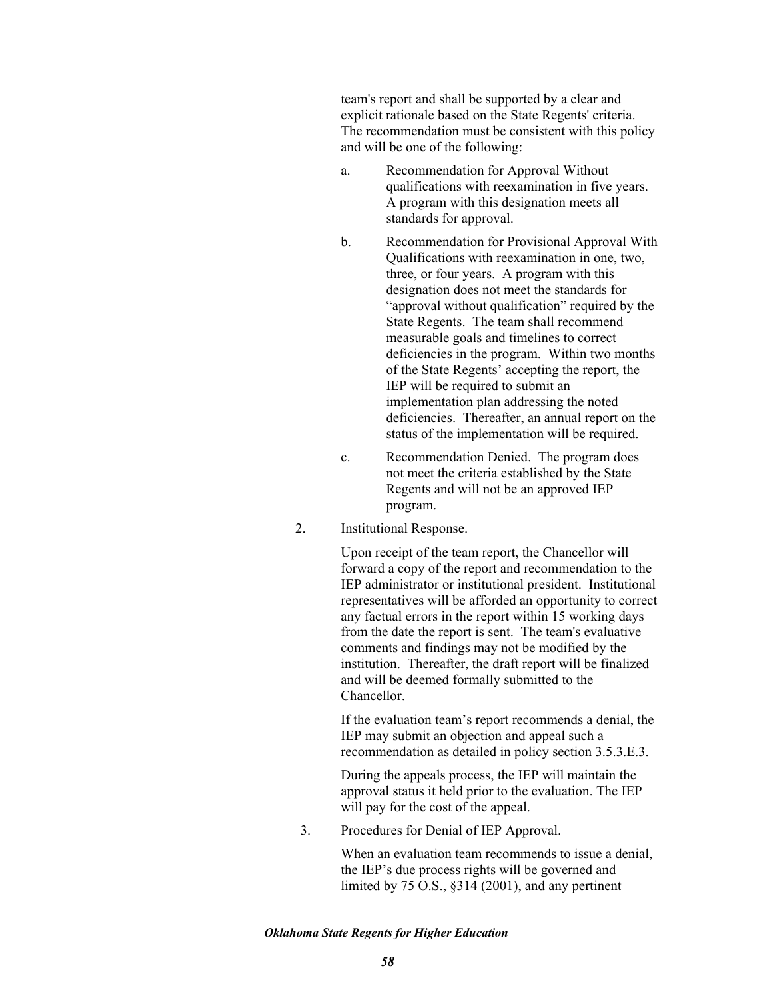team's report and shall be supported by a clear and explicit rationale based on the State Regents' criteria. The recommendation must be consistent with this policy and will be one of the following:

- a. Recommendation for Approval Without qualifications with reexamination in five years. A program with this designation meets all standards for approval.
- b. Recommendation for Provisional Approval With Qualifications with reexamination in one, two, three, or four years. A program with this designation does not meet the standards for "approval without qualification" required by the State Regents. The team shall recommend measurable goals and timelines to correct deficiencies in the program. Within two months of the State Regents' accepting the report, the IEP will be required to submit an implementation plan addressing the noted deficiencies. Thereafter, an annual report on the status of the implementation will be required.
- c. Recommendation Denied. The program does not meet the criteria established by the State Regents and will not be an approved IEP program.
- 2. Institutional Response.

Upon receipt of the team report, the Chancellor will forward a copy of the report and recommendation to the IEP administrator or institutional president. Institutional representatives will be afforded an opportunity to correct any factual errors in the report within 15 working days from the date the report is sent. The team's evaluative comments and findings may not be modified by the institution. Thereafter, the draft report will be finalized and will be deemed formally submitted to the Chancellor.

If the evaluation team's report recommends a denial, the IEP may submit an objection and appeal such a recommendation as detailed in policy section 3.5.3.E.3.

During the appeals process, the IEP will maintain the approval status it held prior to the evaluation. The IEP will pay for the cost of the appeal.

3. Procedures for Denial of IEP Approval.

When an evaluation team recommends to issue a denial, the IEP's due process rights will be governed and limited by 75 O.S., §314 (2001), and any pertinent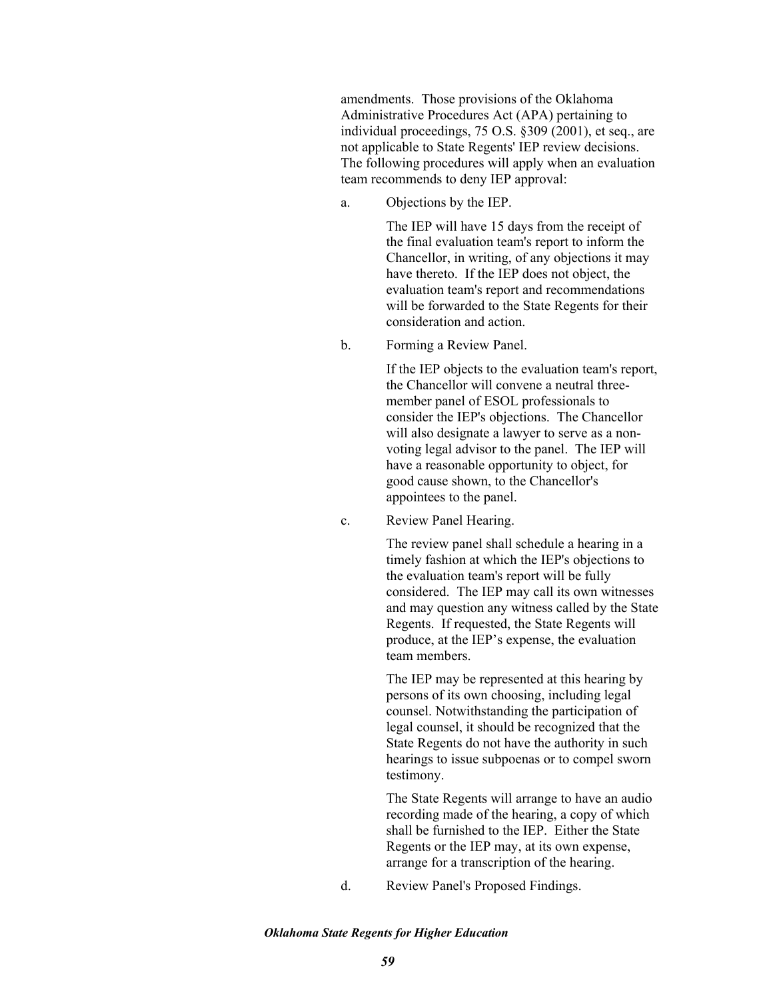amendments. Those provisions of the Oklahoma Administrative Procedures Act (APA) pertaining to individual proceedings, 75 O.S. §309 (2001), et seq., are not applicable to State Regents' IEP review decisions. The following procedures will apply when an evaluation team recommends to deny IEP approval:

a. Objections by the IEP.

The IEP will have 15 days from the receipt of the final evaluation team's report to inform the Chancellor, in writing, of any objections it may have thereto. If the IEP does not object, the evaluation team's report and recommendations will be forwarded to the State Regents for their consideration and action.

b. Forming a Review Panel.

If the IEP objects to the evaluation team's report, the Chancellor will convene a neutral threemember panel of ESOL professionals to consider the IEP's objections. The Chancellor will also designate a lawyer to serve as a nonvoting legal advisor to the panel. The IEP will have a reasonable opportunity to object, for good cause shown, to the Chancellor's appointees to the panel.

c. Review Panel Hearing.

The review panel shall schedule a hearing in a timely fashion at which the IEP's objections to the evaluation team's report will be fully considered. The IEP may call its own witnesses and may question any witness called by the State Regents. If requested, the State Regents will produce, at the IEP's expense, the evaluation team members.

The IEP may be represented at this hearing by persons of its own choosing, including legal counsel. Notwithstanding the participation of legal counsel, it should be recognized that the State Regents do not have the authority in such hearings to issue subpoenas or to compel sworn testimony.

The State Regents will arrange to have an audio recording made of the hearing, a copy of which shall be furnished to the IEP. Either the State Regents or the IEP may, at its own expense, arrange for a transcription of the hearing.

d. Review Panel's Proposed Findings.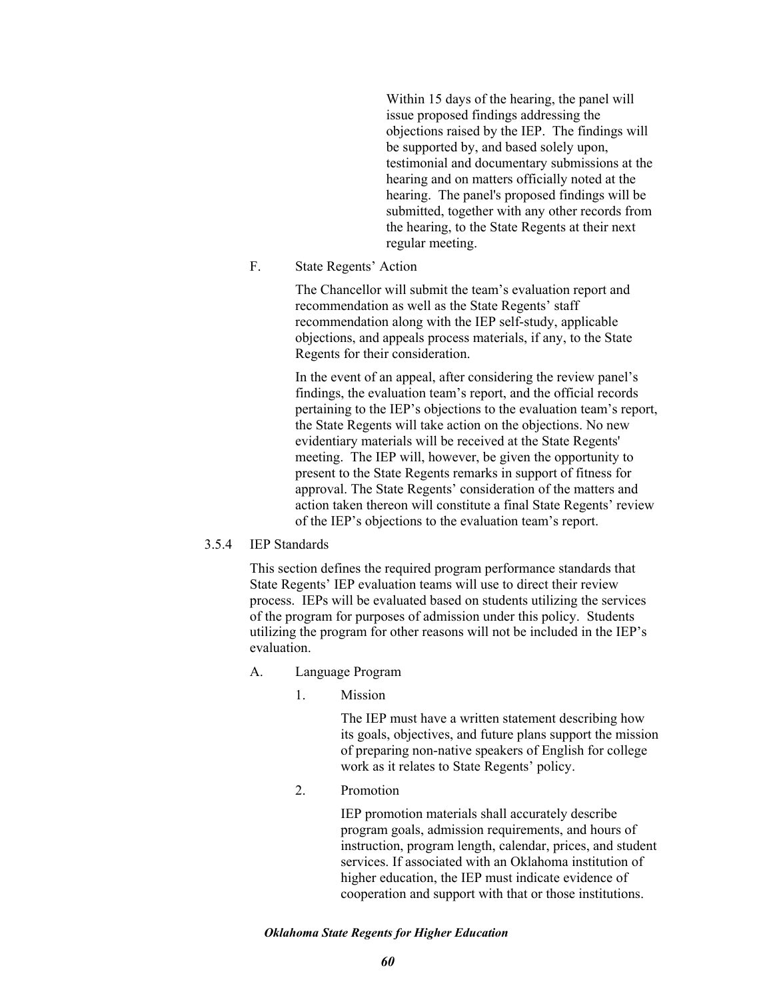Within 15 days of the hearing, the panel will issue proposed findings addressing the objections raised by the IEP. The findings will be supported by, and based solely upon, testimonial and documentary submissions at the hearing and on matters officially noted at the hearing. The panel's proposed findings will be submitted, together with any other records from the hearing, to the State Regents at their next regular meeting.

F. State Regents' Action

The Chancellor will submit the team's evaluation report and recommendation as well as the State Regents' staff recommendation along with the IEP self-study, applicable objections, and appeals process materials, if any, to the State Regents for their consideration.

In the event of an appeal, after considering the review panel's findings, the evaluation team's report, and the official records pertaining to the IEP's objections to the evaluation team's report, the State Regents will take action on the objections. No new evidentiary materials will be received at the State Regents' meeting. The IEP will, however, be given the opportunity to present to the State Regents remarks in support of fitness for approval. The State Regents' consideration of the matters and action taken thereon will constitute a final State Regents' review of the IEP's objections to the evaluation team's report.

3.5.4 IEP Standards

This section defines the required program performance standards that State Regents' IEP evaluation teams will use to direct their review process. IEPs will be evaluated based on students utilizing the services of the program for purposes of admission under this policy. Students utilizing the program for other reasons will not be included in the IEP's evaluation.

- A. Language Program
	- 1. Mission

The IEP must have a written statement describing how its goals, objectives, and future plans support the mission of preparing non-native speakers of English for college work as it relates to State Regents' policy.

2. Promotion

IEP promotion materials shall accurately describe program goals, admission requirements, and hours of instruction, program length, calendar, prices, and student services. If associated with an Oklahoma institution of higher education, the IEP must indicate evidence of cooperation and support with that or those institutions.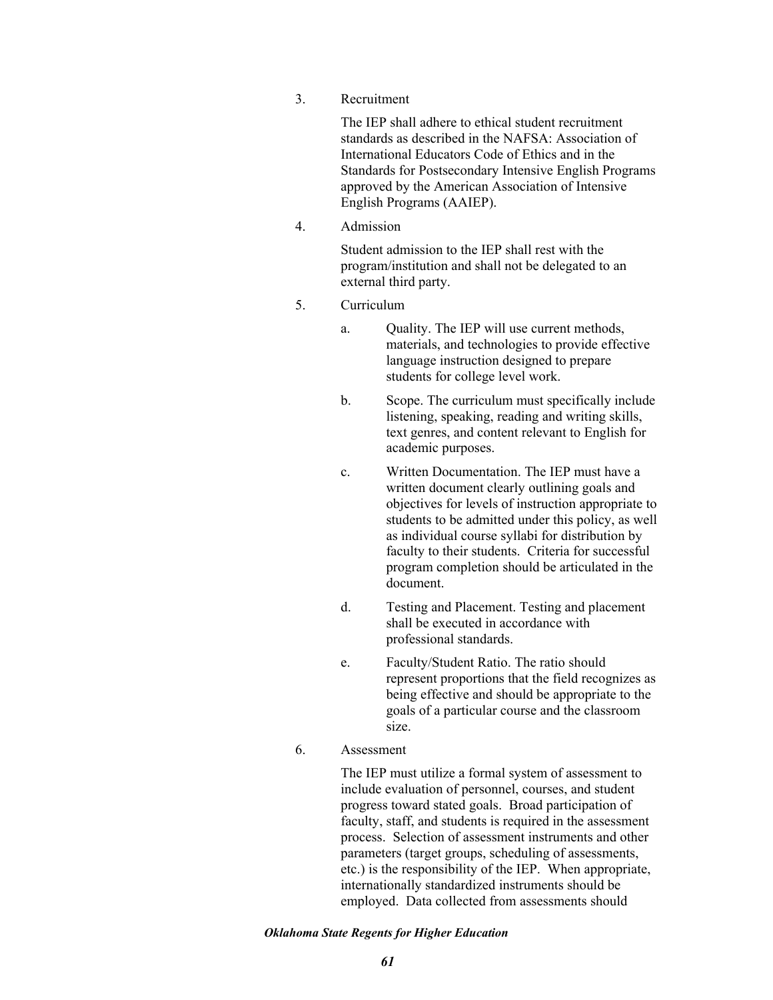3. Recruitment

The IEP shall adhere to ethical student recruitment standards as described in the NAFSA: Association of International Educators Code of Ethics and in the Standards for Postsecondary Intensive English Programs approved by the American Association of Intensive English Programs (AAIEP).

4. Admission

Student admission to the IEP shall rest with the program/institution and shall not be delegated to an external third party.

- 5. Curriculum
	- a. Quality. The IEP will use current methods, materials, and technologies to provide effective language instruction designed to prepare students for college level work.
	- b. Scope. The curriculum must specifically include listening, speaking, reading and writing skills, text genres, and content relevant to English for academic purposes.
	- c. Written Documentation. The IEP must have a written document clearly outlining goals and objectives for levels of instruction appropriate to students to be admitted under this policy, as well as individual course syllabi for distribution by faculty to their students. Criteria for successful program completion should be articulated in the document.
	- d. Testing and Placement. Testing and placement shall be executed in accordance with professional standards.
	- e. Faculty/Student Ratio. The ratio should represent proportions that the field recognizes as being effective and should be appropriate to the goals of a particular course and the classroom size.
- 6. Assessment

The IEP must utilize a formal system of assessment to include evaluation of personnel, courses, and student progress toward stated goals. Broad participation of faculty, staff, and students is required in the assessment process. Selection of assessment instruments and other parameters (target groups, scheduling of assessments, etc.) is the responsibility of the IEP. When appropriate, internationally standardized instruments should be employed. Data collected from assessments should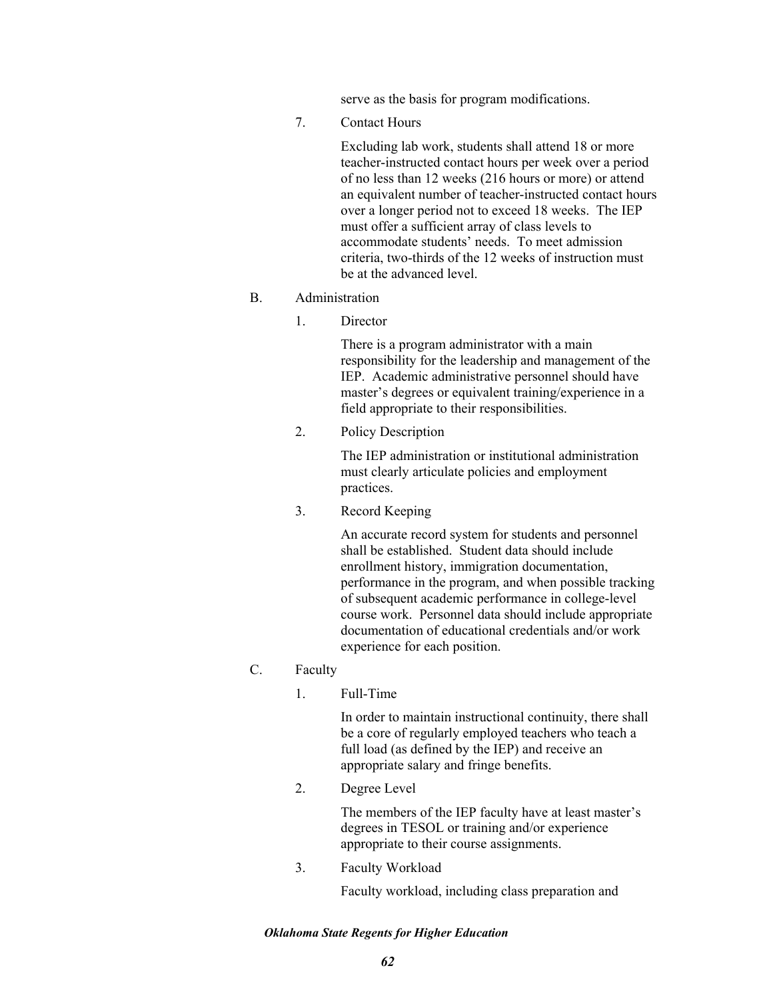serve as the basis for program modifications.

7. Contact Hours

Excluding lab work, students shall attend 18 or more teacher-instructed contact hours per week over a period of no less than 12 weeks (216 hours or more) or attend an equivalent number of teacher-instructed contact hours over a longer period not to exceed 18 weeks. The IEP must offer a sufficient array of class levels to accommodate students' needs. To meet admission criteria, two-thirds of the 12 weeks of instruction must be at the advanced level.

### B. Administration

1. Director

There is a program administrator with a main responsibility for the leadership and management of the IEP. Academic administrative personnel should have master's degrees or equivalent training/experience in a field appropriate to their responsibilities.

2. Policy Description

The IEP administration or institutional administration must clearly articulate policies and employment practices.

3. Record Keeping

An accurate record system for students and personnel shall be established. Student data should include enrollment history, immigration documentation, performance in the program, and when possible tracking of subsequent academic performance in college-level course work. Personnel data should include appropriate documentation of educational credentials and/or work experience for each position.

## C. Faculty

1. Full-Time

In order to maintain instructional continuity, there shall be a core of regularly employed teachers who teach a full load (as defined by the IEP) and receive an appropriate salary and fringe benefits.

2. Degree Level

The members of the IEP faculty have at least master's degrees in TESOL or training and/or experience appropriate to their course assignments.

3. Faculty Workload

Faculty workload, including class preparation and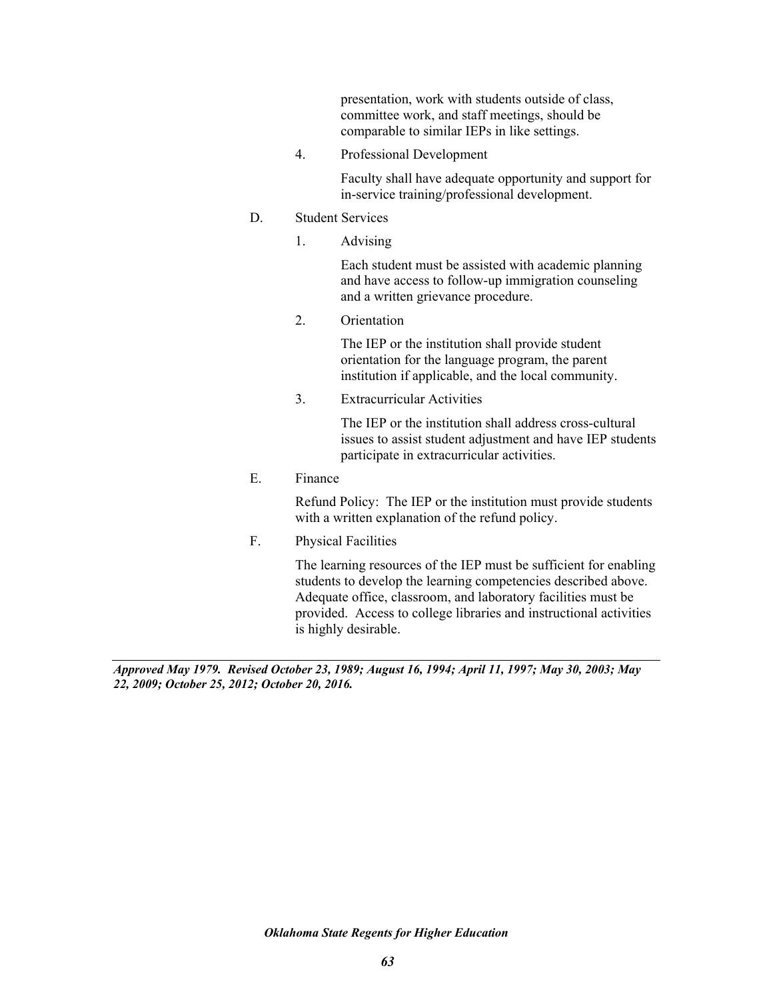presentation, work with students outside of class, committee work, and staff meetings, should be comparable to similar IEPs in like settings.

4. Professional Development

Faculty shall have adequate opportunity and support for in-service training/professional development.

# D. Student Services

1. Advising

Each student must be assisted with academic planning and have access to follow-up immigration counseling and a written grievance procedure.

2. Orientation

The IEP or the institution shall provide student orientation for the language program, the parent institution if applicable, and the local community.

3. Extracurricular Activities

The IEP or the institution shall address cross-cultural issues to assist student adjustment and have IEP students participate in extracurricular activities.

E. Finance

Refund Policy: The IEP or the institution must provide students with a written explanation of the refund policy.

F. Physical Facilities

The learning resources of the IEP must be sufficient for enabling students to develop the learning competencies described above. Adequate office, classroom, and laboratory facilities must be provided. Access to college libraries and instructional activities is highly desirable.

*Approved May 1979. Revised October 23, 1989; August 16, 1994; April 11, 1997; May 30, 2003; May 22, 2009; October 25, 2012; October 20, 2016.*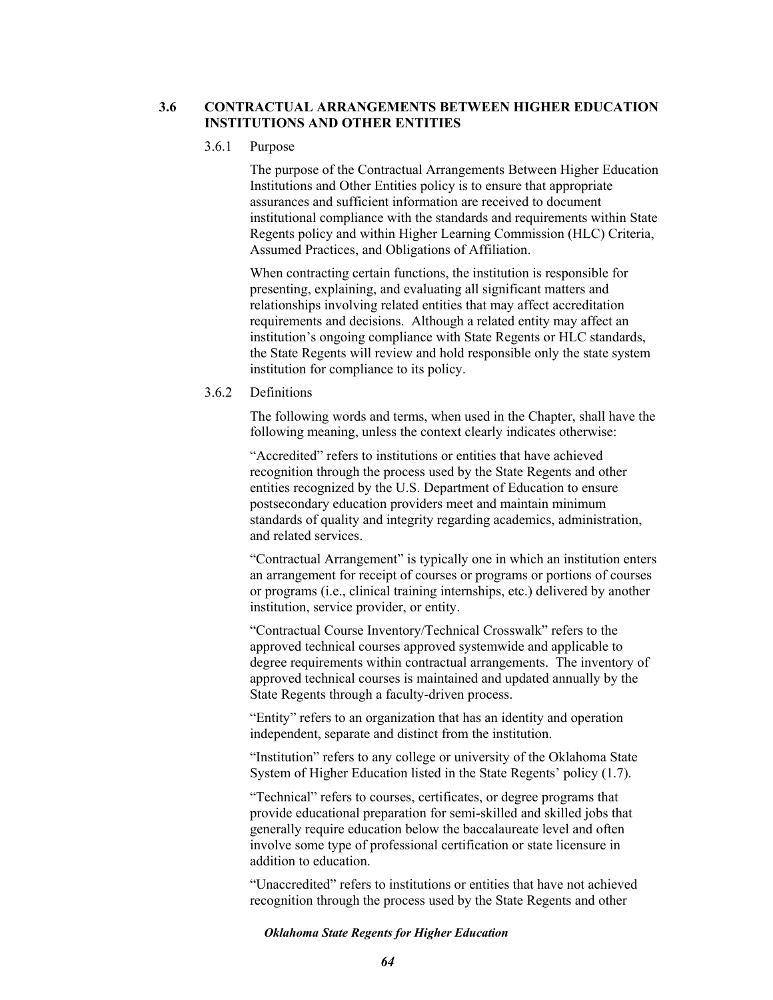## **3.6 CONTRACTUAL ARRANGEMENTS BETWEEN HIGHER EDUCATION INSTITUTIONS AND OTHER ENTITIES**

## 3.6.1 Purpose

The purpose of the Contractual Arrangements Between Higher Education Institutions and Other Entities policy is to ensure that appropriate assurances and sufficient information are received to document institutional compliance with the standards and requirements within State Regents policy and within Higher Learning Commission (HLC) Criteria, Assumed Practices, and Obligations of Affiliation.

When contracting certain functions, the institution is responsible for presenting, explaining, and evaluating all significant matters and relationships involving related entities that may affect accreditation requirements and decisions. Although a related entity may affect an institution's ongoing compliance with State Regents or HLC standards, the State Regents will review and hold responsible only the state system institution for compliance to its policy.

# 3.6.2 Definitions

The following words and terms, when used in the Chapter, shall have the following meaning, unless the context clearly indicates otherwise:

"Accredited" refers to institutions or entities that have achieved recognition through the process used by the State Regents and other entities recognized by the U.S. Department of Education to ensure postsecondary education providers meet and maintain minimum standards of quality and integrity regarding academics, administration, and related services.

"Contractual Arrangement" is typically one in which an institution enters an arrangement for receipt of courses or programs or portions of courses or programs (i.e., clinical training internships, etc.) delivered by another institution, service provider, or entity.

"Contractual Course Inventory/Technical Crosswalk" refers to the approved technical courses approved systemwide and applicable to degree requirements within contractual arrangements. The inventory of approved technical courses is maintained and updated annually by the State Regents through a faculty-driven process.

"Entity" refers to an organization that has an identity and operation independent, separate and distinct from the institution.

"Institution" refers to any college or university of the Oklahoma State System of Higher Education listed in the State Regents' policy (1.7).

"Technical" refers to courses, certificates, or degree programs that provide educational preparation for semi-skilled and skilled jobs that generally require education below the baccalaureate level and often involve some type of professional certification or state licensure in addition to education.

"Unaccredited" refers to institutions or entities that have not achieved recognition through the process used by the State Regents and other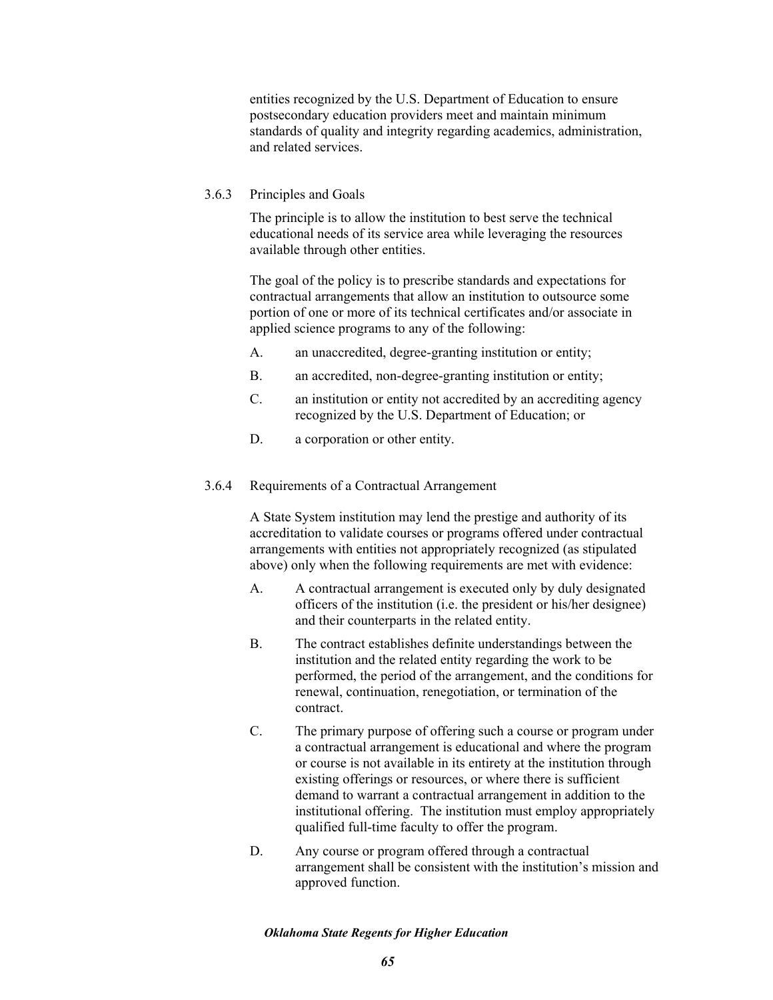entities recognized by the U.S. Department of Education to ensure postsecondary education providers meet and maintain minimum standards of quality and integrity regarding academics, administration, and related services.

# 3.6.3 Principles and Goals

The principle is to allow the institution to best serve the technical educational needs of its service area while leveraging the resources available through other entities.

The goal of the policy is to prescribe standards and expectations for contractual arrangements that allow an institution to outsource some portion of one or more of its technical certificates and/or associate in applied science programs to any of the following:

- A. an unaccredited, degree-granting institution or entity;
- B. an accredited, non-degree-granting institution or entity;
- C. an institution or entity not accredited by an accrediting agency recognized by the U.S. Department of Education; or
- D. a corporation or other entity.
- 3.6.4 Requirements of a Contractual Arrangement

A State System institution may lend the prestige and authority of its accreditation to validate courses or programs offered under contractual arrangements with entities not appropriately recognized (as stipulated above) only when the following requirements are met with evidence:

- A. A contractual arrangement is executed only by duly designated officers of the institution (i.e. the president or his/her designee) and their counterparts in the related entity.
- B. The contract establishes definite understandings between the institution and the related entity regarding the work to be performed, the period of the arrangement, and the conditions for renewal, continuation, renegotiation, or termination of the contract.
- C. The primary purpose of offering such a course or program under a contractual arrangement is educational and where the program or course is not available in its entirety at the institution through existing offerings or resources, or where there is sufficient demand to warrant a contractual arrangement in addition to the institutional offering. The institution must employ appropriately qualified full-time faculty to offer the program.
- D. Any course or program offered through a contractual arrangement shall be consistent with the institution's mission and approved function.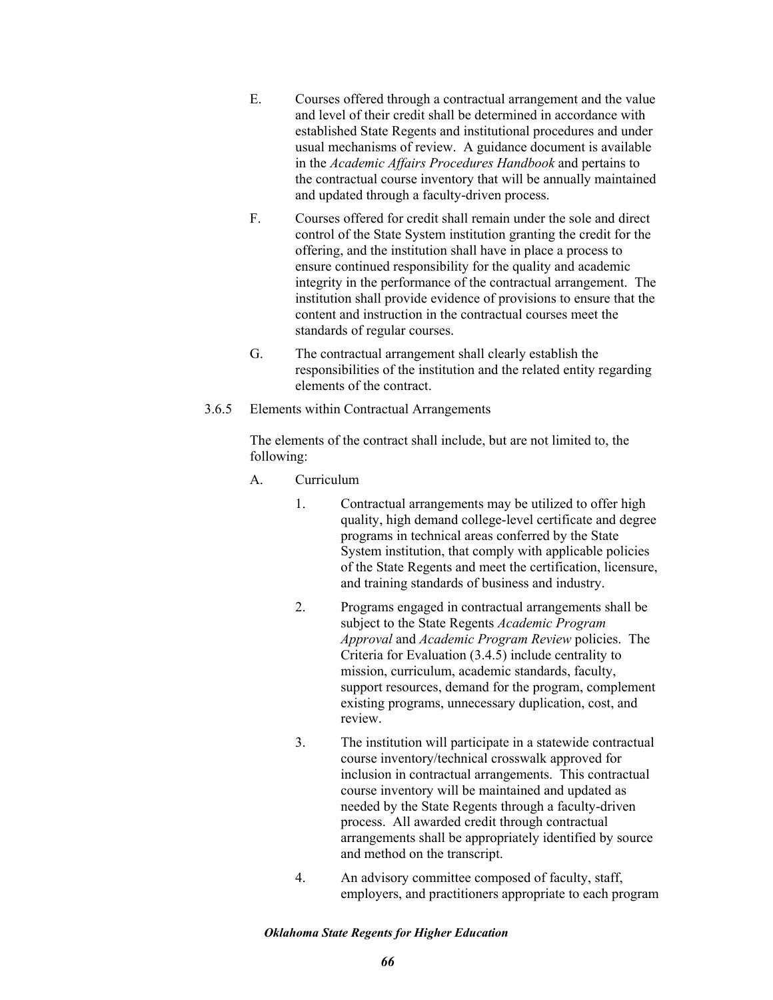- E. Courses offered through a contractual arrangement and the value and level of their credit shall be determined in accordance with established State Regents and institutional procedures and under usual mechanisms of review. A guidance document is available in the *Academic Affairs Procedures Handbook* and pertains to the contractual course inventory that will be annually maintained and updated through a faculty-driven process.
- F. Courses offered for credit shall remain under the sole and direct control of the State System institution granting the credit for the offering, and the institution shall have in place a process to ensure continued responsibility for the quality and academic integrity in the performance of the contractual arrangement. The institution shall provide evidence of provisions to ensure that the content and instruction in the contractual courses meet the standards of regular courses.
- G. The contractual arrangement shall clearly establish the responsibilities of the institution and the related entity regarding elements of the contract.
- 3.6.5 Elements within Contractual Arrangements

The elements of the contract shall include, but are not limited to, the following:

- A. Curriculum
	- 1. Contractual arrangements may be utilized to offer high quality, high demand college-level certificate and degree programs in technical areas conferred by the State System institution, that comply with applicable policies of the State Regents and meet the certification, licensure, and training standards of business and industry.
	- 2. Programs engaged in contractual arrangements shall be subject to the State Regents *Academic Program Approval* and *Academic Program Review* policies. The Criteria for Evaluation (3.4.5) include centrality to mission, curriculum, academic standards, faculty, support resources, demand for the program, complement existing programs, unnecessary duplication, cost, and review.
	- 3. The institution will participate in a statewide contractual course inventory/technical crosswalk approved for inclusion in contractual arrangements. This contractual course inventory will be maintained and updated as needed by the State Regents through a faculty-driven process. All awarded credit through contractual arrangements shall be appropriately identified by source and method on the transcript.
	- 4. An advisory committee composed of faculty, staff, employers, and practitioners appropriate to each program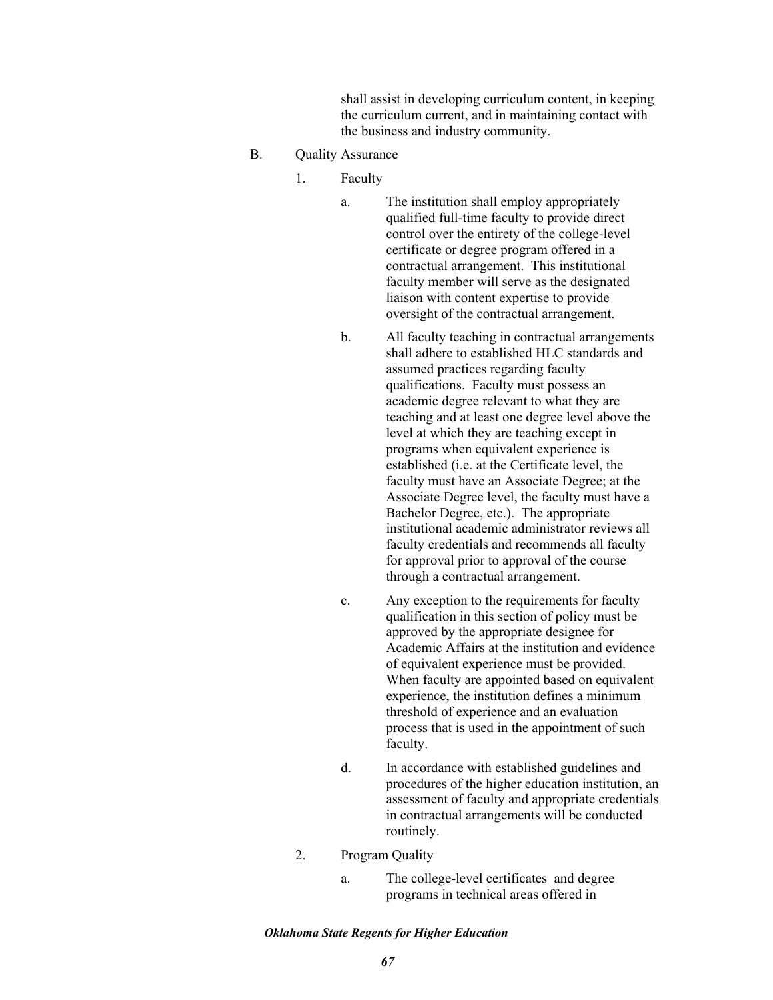shall assist in developing curriculum content, in keeping the curriculum current, and in maintaining contact with the business and industry community.

- B. Quality Assurance
	- 1. Faculty
		- a. The institution shall employ appropriately qualified full-time faculty to provide direct control over the entirety of the college-level certificate or degree program offered in a contractual arrangement. This institutional faculty member will serve as the designated liaison with content expertise to provide oversight of the contractual arrangement.
		- b. All faculty teaching in contractual arrangements shall adhere to established HLC standards and assumed practices regarding faculty qualifications. Faculty must possess an academic degree relevant to what they are teaching and at least one degree level above the level at which they are teaching except in programs when equivalent experience is established (i.e. at the Certificate level, the faculty must have an Associate Degree; at the Associate Degree level, the faculty must have a Bachelor Degree, etc.). The appropriate institutional academic administrator reviews all faculty credentials and recommends all faculty for approval prior to approval of the course through a contractual arrangement.
		- c. Any exception to the requirements for faculty qualification in this section of policy must be approved by the appropriate designee for Academic Affairs at the institution and evidence of equivalent experience must be provided. When faculty are appointed based on equivalent experience, the institution defines a minimum threshold of experience and an evaluation process that is used in the appointment of such faculty.
		- d. In accordance with established guidelines and procedures of the higher education institution, an assessment of faculty and appropriate credentials in contractual arrangements will be conducted routinely.
	- 2. Program Quality
		- a. The college-level certificates and degree programs in technical areas offered in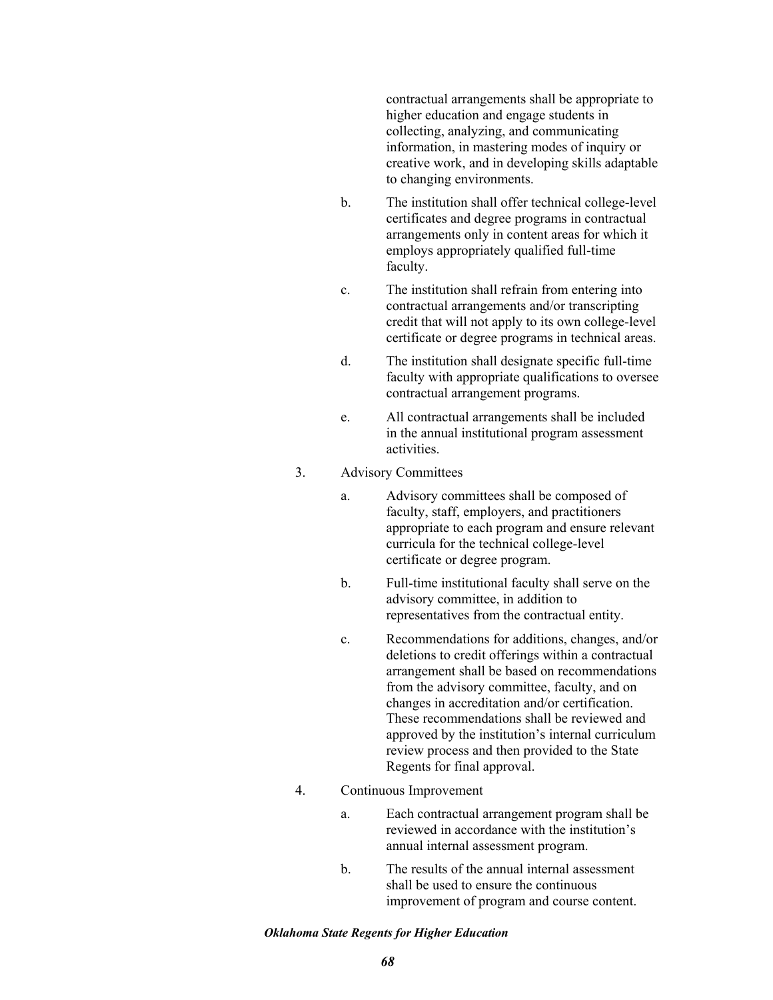contractual arrangements shall be appropriate to higher education and engage students in collecting, analyzing, and communicating information, in mastering modes of inquiry or creative work, and in developing skills adaptable to changing environments.

- b. The institution shall offer technical college-level certificates and degree programs in contractual arrangements only in content areas for which it employs appropriately qualified full-time faculty.
- c. The institution shall refrain from entering into contractual arrangements and/or transcripting credit that will not apply to its own college-level certificate or degree programs in technical areas.
- d. The institution shall designate specific full-time faculty with appropriate qualifications to oversee contractual arrangement programs.
- e. All contractual arrangements shall be included in the annual institutional program assessment activities.
- 3. Advisory Committees
	- a. Advisory committees shall be composed of faculty, staff, employers, and practitioners appropriate to each program and ensure relevant curricula for the technical college-level certificate or degree program.
	- b. Full-time institutional faculty shall serve on the advisory committee, in addition to representatives from the contractual entity.
	- c. Recommendations for additions, changes, and/or deletions to credit offerings within a contractual arrangement shall be based on recommendations from the advisory committee, faculty, and on changes in accreditation and/or certification. These recommendations shall be reviewed and approved by the institution's internal curriculum review process and then provided to the State Regents for final approval.
- 4. Continuous Improvement
	- a. Each contractual arrangement program shall be reviewed in accordance with the institution's annual internal assessment program.
	- b. The results of the annual internal assessment shall be used to ensure the continuous improvement of program and course content.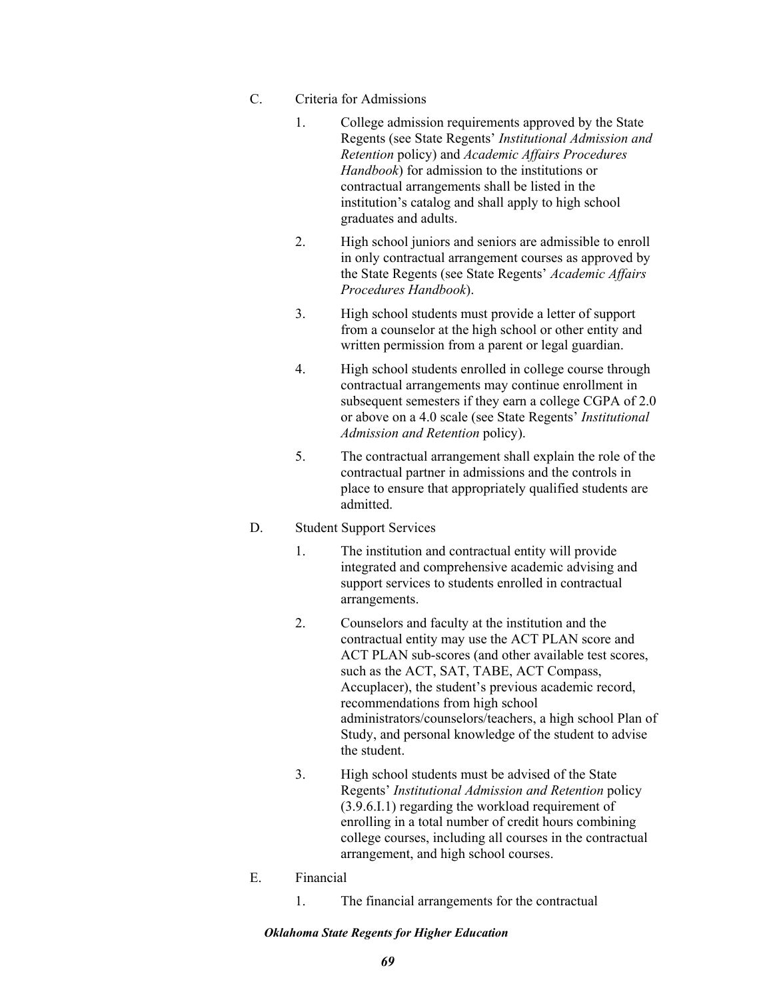- C. Criteria for Admissions
	- 1. College admission requirements approved by the State Regents (see State Regents' *Institutional Admission and Retention* policy) and *Academic Affairs Procedures Handbook*) for admission to the institutions or contractual arrangements shall be listed in the institution's catalog and shall apply to high school graduates and adults.
	- 2. High school juniors and seniors are admissible to enroll in only contractual arrangement courses as approved by the State Regents (see State Regents' *Academic Affairs Procedures Handbook*).
	- 3. High school students must provide a letter of support from a counselor at the high school or other entity and written permission from a parent or legal guardian.
	- 4. High school students enrolled in college course through contractual arrangements may continue enrollment in subsequent semesters if they earn a college CGPA of 2.0 or above on a 4.0 scale (see State Regents' *Institutional Admission and Retention* policy).
	- 5. The contractual arrangement shall explain the role of the contractual partner in admissions and the controls in place to ensure that appropriately qualified students are admitted.

# D. Student Support Services

- 1. The institution and contractual entity will provide integrated and comprehensive academic advising and support services to students enrolled in contractual arrangements.
- 2. Counselors and faculty at the institution and the contractual entity may use the ACT PLAN score and ACT PLAN sub-scores (and other available test scores, such as the ACT, SAT, TABE, ACT Compass, Accuplacer), the student's previous academic record, recommendations from high school administrators/counselors/teachers, a high school Plan of Study, and personal knowledge of the student to advise the student.
- 3. High school students must be advised of the State Regents' *Institutional Admission and Retention* policy (3.9.6.I.1) regarding the workload requirement of enrolling in a total number of credit hours combining college courses, including all courses in the contractual arrangement, and high school courses.
- E. Financial
	- 1. The financial arrangements for the contractual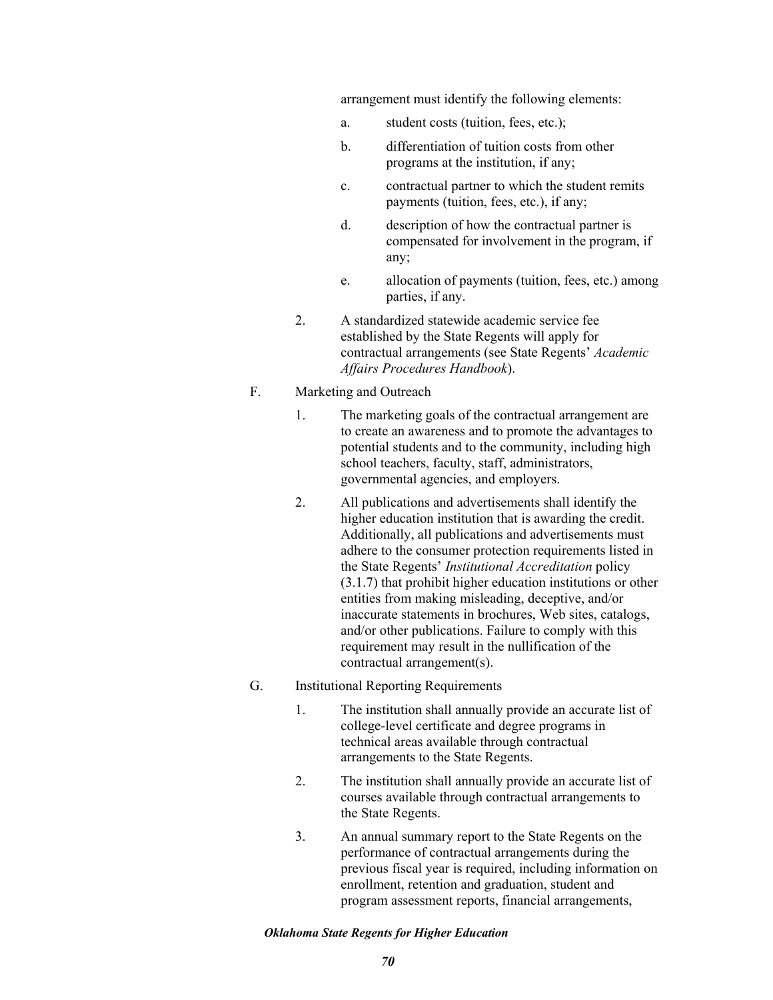arrangement must identify the following elements:

- a. student costs (tuition, fees, etc.);
- b. differentiation of tuition costs from other programs at the institution, if any;
- c. contractual partner to which the student remits payments (tuition, fees, etc.), if any;
- d. description of how the contractual partner is compensated for involvement in the program, if any;
- e. allocation of payments (tuition, fees, etc.) among parties, if any.
- 2. A standardized statewide academic service fee established by the State Regents will apply for contractual arrangements (see State Regents' *Academic Affairs Procedures Handbook*).

# F. Marketing and Outreach

- 1. The marketing goals of the contractual arrangement are to create an awareness and to promote the advantages to potential students and to the community, including high school teachers, faculty, staff, administrators, governmental agencies, and employers.
- 2. All publications and advertisements shall identify the higher education institution that is awarding the credit. Additionally, all publications and advertisements must adhere to the consumer protection requirements listed in the State Regents' *Institutional Accreditation* policy (3.1.7) that prohibit higher education institutions or other entities from making misleading, deceptive, and/or inaccurate statements in brochures, Web sites, catalogs, and/or other publications. Failure to comply with this requirement may result in the nullification of the contractual arrangement(s).
- G. Institutional Reporting Requirements
	- 1. The institution shall annually provide an accurate list of college-level certificate and degree programs in technical areas available through contractual arrangements to the State Regents.
	- 2. The institution shall annually provide an accurate list of courses available through contractual arrangements to the State Regents.
	- 3. An annual summary report to the State Regents on the performance of contractual arrangements during the previous fiscal year is required, including information on enrollment, retention and graduation, student and program assessment reports, financial arrangements,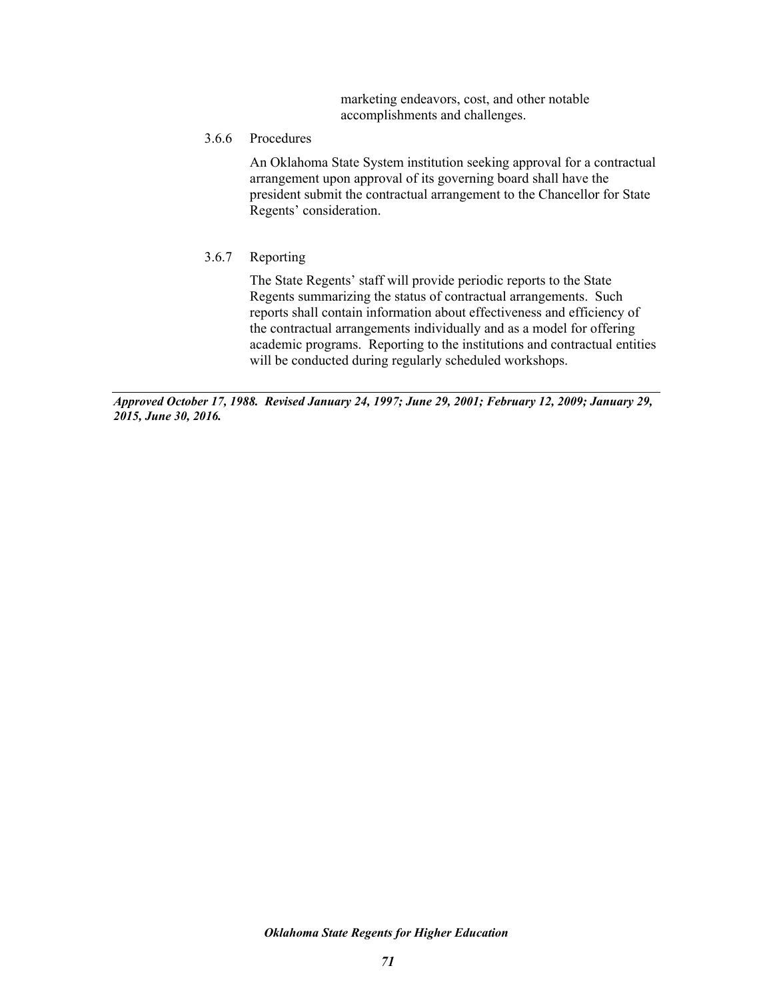marketing endeavors, cost, and other notable accomplishments and challenges.

3.6.6 Procedures

An Oklahoma State System institution seeking approval for a contractual arrangement upon approval of its governing board shall have the president submit the contractual arrangement to the Chancellor for State Regents' consideration.

3.6.7 Reporting

The State Regents' staff will provide periodic reports to the State Regents summarizing the status of contractual arrangements. Such reports shall contain information about effectiveness and efficiency of the contractual arrangements individually and as a model for offering academic programs. Reporting to the institutions and contractual entities will be conducted during regularly scheduled workshops.

*Approved October 17, 1988. Revised January 24, 1997; June 29, 2001; February 12, 2009; January 29, 2015, June 30, 2016.*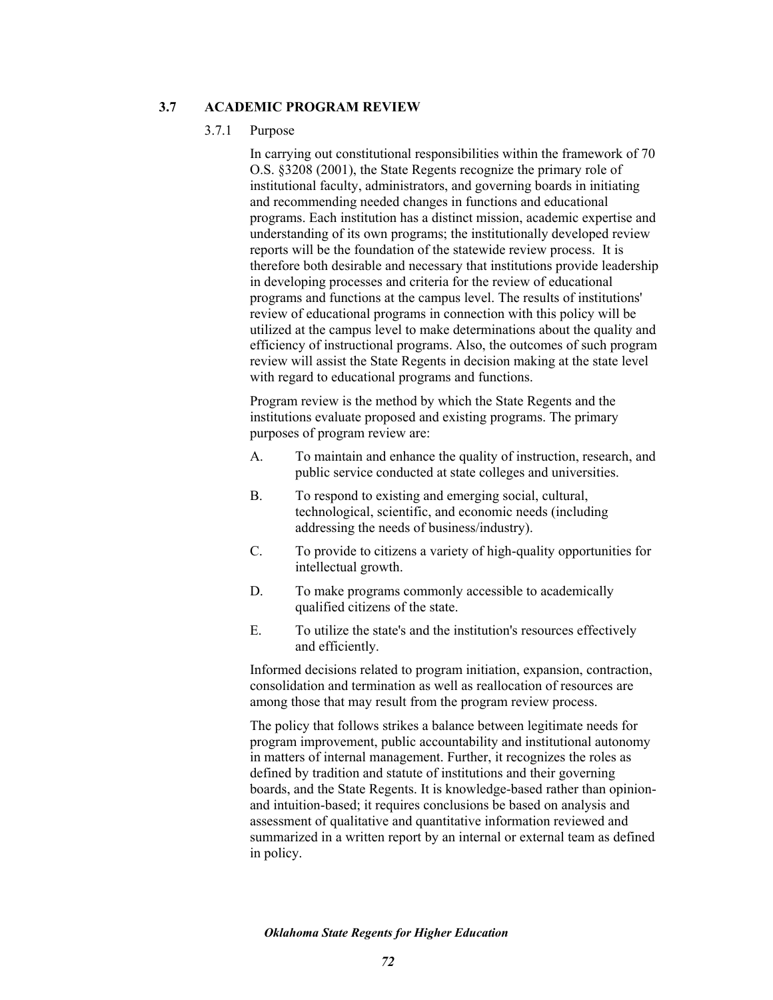## **3.7 ACADEMIC PROGRAM REVIEW**

### 3.7.1 Purpose

In carrying out constitutional responsibilities within the framework of 70 O.S. §3208 (2001), the State Regents recognize the primary role of institutional faculty, administrators, and governing boards in initiating and recommending needed changes in functions and educational programs. Each institution has a distinct mission, academic expertise and understanding of its own programs; the institutionally developed review reports will be the foundation of the statewide review process. It is therefore both desirable and necessary that institutions provide leadership in developing processes and criteria for the review of educational programs and functions at the campus level. The results of institutions' review of educational programs in connection with this policy will be utilized at the campus level to make determinations about the quality and efficiency of instructional programs. Also, the outcomes of such program review will assist the State Regents in decision making at the state level with regard to educational programs and functions.

Program review is the method by which the State Regents and the institutions evaluate proposed and existing programs. The primary purposes of program review are:

- A. To maintain and enhance the quality of instruction, research, and public service conducted at state colleges and universities.
- B. To respond to existing and emerging social, cultural, technological, scientific, and economic needs (including addressing the needs of business/industry).
- C. To provide to citizens a variety of high-quality opportunities for intellectual growth.
- D. To make programs commonly accessible to academically qualified citizens of the state.
- E. To utilize the state's and the institution's resources effectively and efficiently.

Informed decisions related to program initiation, expansion, contraction, consolidation and termination as well as reallocation of resources are among those that may result from the program review process.

The policy that follows strikes a balance between legitimate needs for program improvement, public accountability and institutional autonomy in matters of internal management. Further, it recognizes the roles as defined by tradition and statute of institutions and their governing boards, and the State Regents. It is knowledge-based rather than opinionand intuition-based; it requires conclusions be based on analysis and assessment of qualitative and quantitative information reviewed and summarized in a written report by an internal or external team as defined in policy.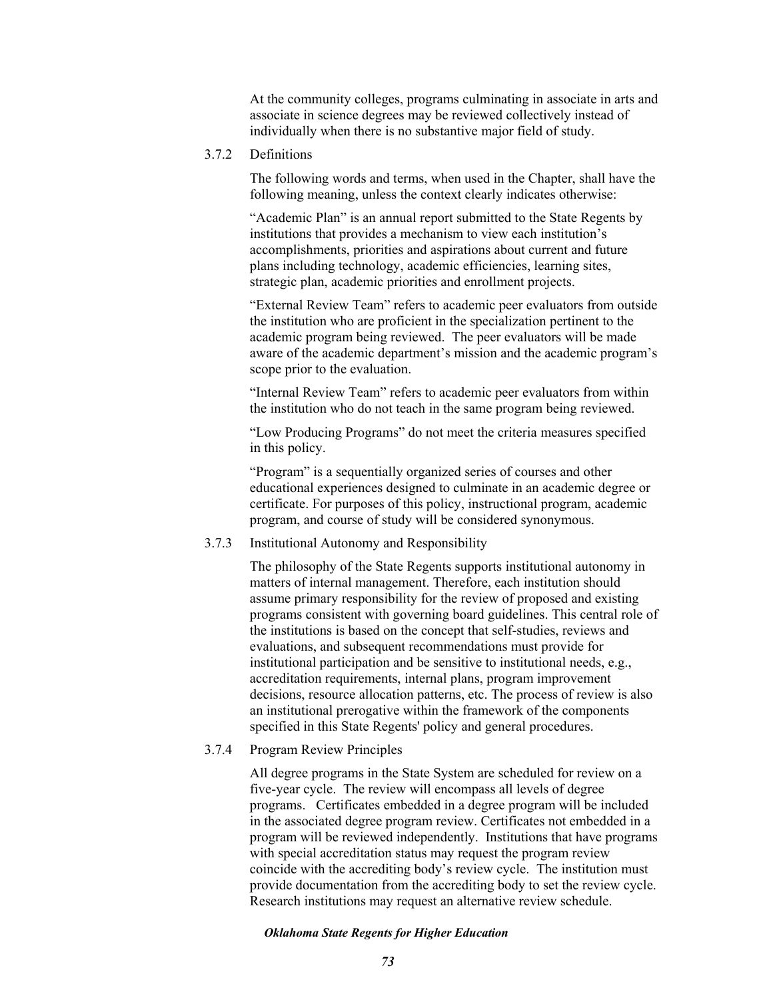At the community colleges, programs culminating in associate in arts and associate in science degrees may be reviewed collectively instead of individually when there is no substantive major field of study.

# 3.7.2 Definitions

The following words and terms, when used in the Chapter, shall have the following meaning, unless the context clearly indicates otherwise:

"Academic Plan" is an annual report submitted to the State Regents by institutions that provides a mechanism to view each institution's accomplishments, priorities and aspirations about current and future plans including technology, academic efficiencies, learning sites, strategic plan, academic priorities and enrollment projects.

"External Review Team" refers to academic peer evaluators from outside the institution who are proficient in the specialization pertinent to the academic program being reviewed. The peer evaluators will be made aware of the academic department's mission and the academic program's scope prior to the evaluation.

"Internal Review Team" refers to academic peer evaluators from within the institution who do not teach in the same program being reviewed.

"Low Producing Programs" do not meet the criteria measures specified in this policy.

"Program" is a sequentially organized series of courses and other educational experiences designed to culminate in an academic degree or certificate. For purposes of this policy, instructional program, academic program, and course of study will be considered synonymous.

# 3.7.3 Institutional Autonomy and Responsibility

The philosophy of the State Regents supports institutional autonomy in matters of internal management. Therefore, each institution should assume primary responsibility for the review of proposed and existing programs consistent with governing board guidelines. This central role of the institutions is based on the concept that self-studies, reviews and evaluations, and subsequent recommendations must provide for institutional participation and be sensitive to institutional needs, e.g., accreditation requirements, internal plans, program improvement decisions, resource allocation patterns, etc. The process of review is also an institutional prerogative within the framework of the components specified in this State Regents' policy and general procedures.

# 3.7.4 Program Review Principles

All degree programs in the State System are scheduled for review on a five-year cycle. The review will encompass all levels of degree programs. Certificates embedded in a degree program will be included in the associated degree program review. Certificates not embedded in a program will be reviewed independently. Institutions that have programs with special accreditation status may request the program review coincide with the accrediting body's review cycle. The institution must provide documentation from the accrediting body to set the review cycle. Research institutions may request an alternative review schedule.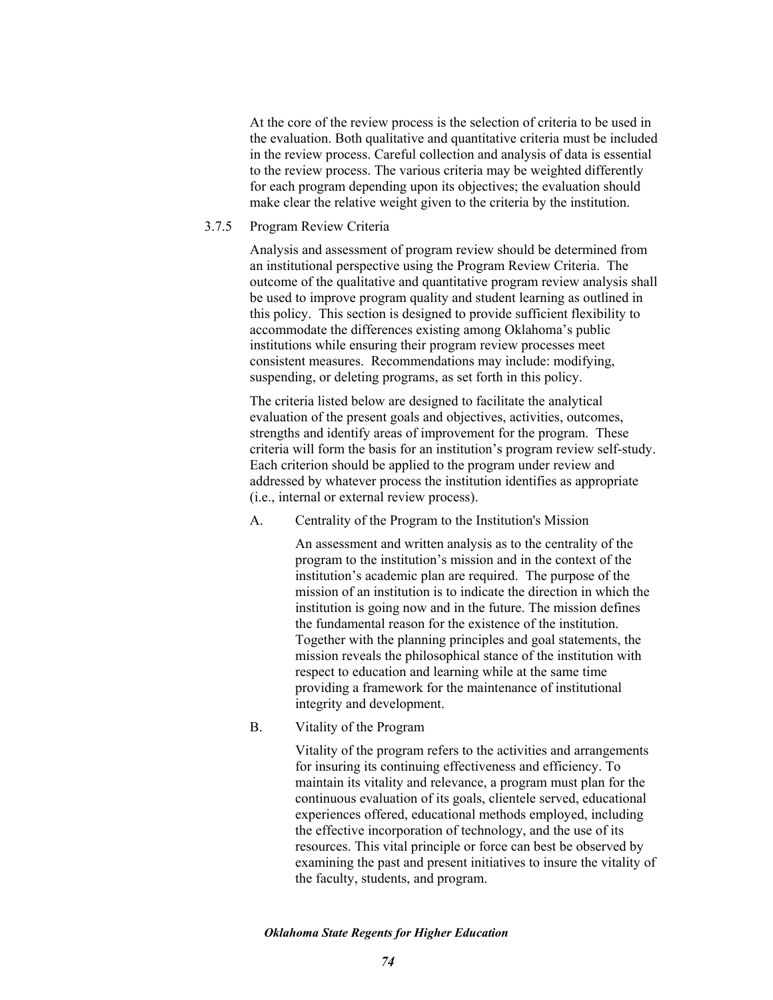At the core of the review process is the selection of criteria to be used in the evaluation. Both qualitative and quantitative criteria must be included in the review process. Careful collection and analysis of data is essential to the review process. The various criteria may be weighted differently for each program depending upon its objectives; the evaluation should make clear the relative weight given to the criteria by the institution.

## 3.7.5 Program Review Criteria

Analysis and assessment of program review should be determined from an institutional perspective using the Program Review Criteria. The outcome of the qualitative and quantitative program review analysis shall be used to improve program quality and student learning as outlined in this policy. This section is designed to provide sufficient flexibility to accommodate the differences existing among Oklahoma's public institutions while ensuring their program review processes meet consistent measures. Recommendations may include: modifying, suspending, or deleting programs, as set forth in this policy.

The criteria listed below are designed to facilitate the analytical evaluation of the present goals and objectives, activities, outcomes, strengths and identify areas of improvement for the program. These criteria will form the basis for an institution's program review self-study. Each criterion should be applied to the program under review and addressed by whatever process the institution identifies as appropriate (i.e., internal or external review process).

A. Centrality of the Program to the Institution's Mission

An assessment and written analysis as to the centrality of the program to the institution's mission and in the context of the institution's academic plan are required. The purpose of the mission of an institution is to indicate the direction in which the institution is going now and in the future. The mission defines the fundamental reason for the existence of the institution. Together with the planning principles and goal statements, the mission reveals the philosophical stance of the institution with respect to education and learning while at the same time providing a framework for the maintenance of institutional integrity and development.

B. Vitality of the Program

Vitality of the program refers to the activities and arrangements for insuring its continuing effectiveness and efficiency. To maintain its vitality and relevance, a program must plan for the continuous evaluation of its goals, clientele served, educational experiences offered, educational methods employed, including the effective incorporation of technology, and the use of its resources. This vital principle or force can best be observed by examining the past and present initiatives to insure the vitality of the faculty, students, and program.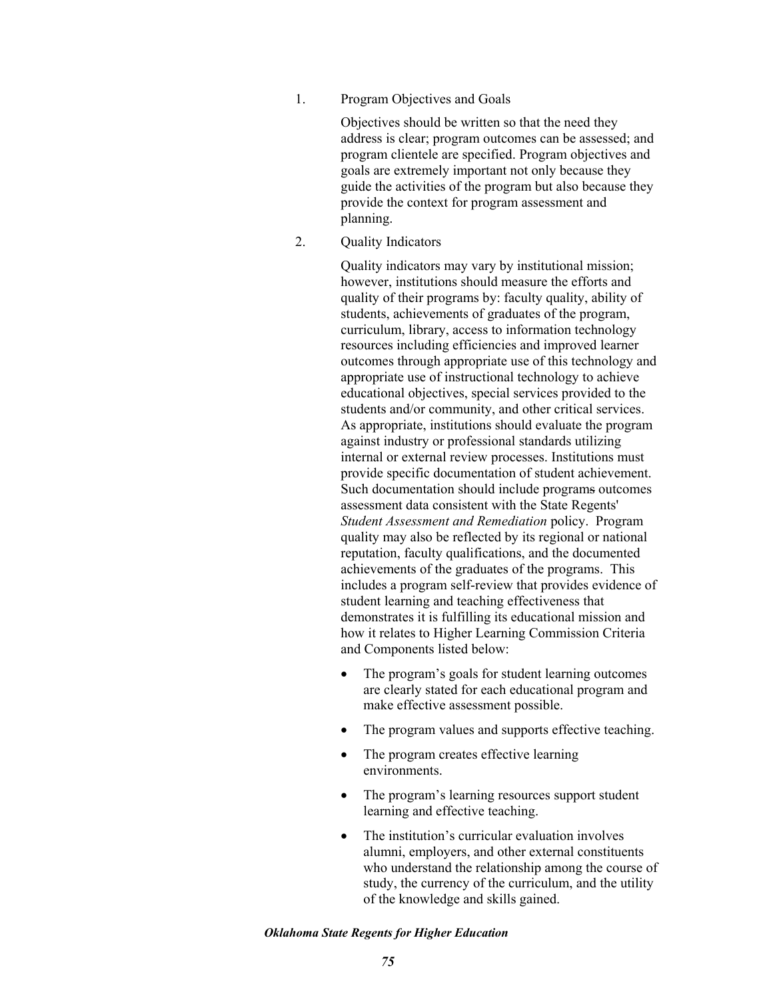1. Program Objectives and Goals

Objectives should be written so that the need they address is clear; program outcomes can be assessed; and program clientele are specified. Program objectives and goals are extremely important not only because they guide the activities of the program but also because they provide the context for program assessment and planning.

2. Quality Indicators

Quality indicators may vary by institutional mission; however, institutions should measure the efforts and quality of their programs by: faculty quality, ability of students, achievements of graduates of the program, curriculum, library, access to information technology resources including efficiencies and improved learner outcomes through appropriate use of this technology and appropriate use of instructional technology to achieve educational objectives, special services provided to the students and/or community, and other critical services. As appropriate, institutions should evaluate the program against industry or professional standards utilizing internal or external review processes. Institutions must provide specific documentation of student achievement. Such documentation should include programs outcomes assessment data consistent with the State Regents' *Student Assessment and Remediation* policy. Program quality may also be reflected by its regional or national reputation, faculty qualifications, and the documented achievements of the graduates of the programs. This includes a program self-review that provides evidence of student learning and teaching effectiveness that demonstrates it is fulfilling its educational mission and how it relates to Higher Learning Commission Criteria and Components listed below:

- The program's goals for student learning outcomes are clearly stated for each educational program and make effective assessment possible.
- The program values and supports effective teaching.
- The program creates effective learning environments.
- The program's learning resources support student learning and effective teaching.
- The institution's curricular evaluation involves alumni, employers, and other external constituents who understand the relationship among the course of study, the currency of the curriculum, and the utility of the knowledge and skills gained.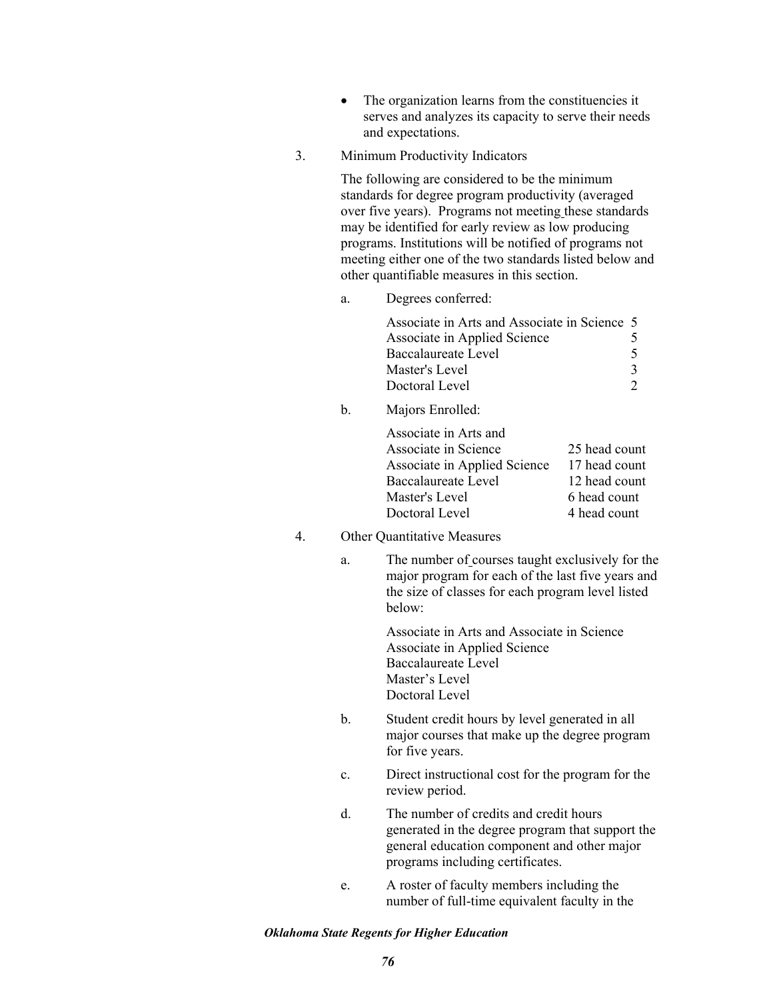- The organization learns from the constituencies it serves and analyzes its capacity to serve their needs and expectations.
- 3. Minimum Productivity Indicators

The following are considered to be the minimum standards for degree program productivity (averaged over five years). Programs not meeting these standards may be identified for early review as low producing programs. Institutions will be notified of programs not meeting either one of the two standards listed below and other quantifiable measures in this section.

a. Degrees conferred:

| Associate in Arts and Associate in Science 5 |    |
|----------------------------------------------|----|
| Associate in Applied Science                 | ╮  |
| Baccalaureate Level                          |    |
| Master's Level                               | -3 |
| Doctoral Level                               |    |

b. Majors Enrolled:

| Associate in Arts and        |               |
|------------------------------|---------------|
| Associate in Science         | 25 head count |
| Associate in Applied Science | 17 head count |
| Baccalaureate Level          | 12 head count |
| Master's Level               | 6 head count  |
| Doctoral Level               | 4 head count  |

- 4. Other Quantitative Measures
	- a. The number of courses taught exclusively for the major program for each of the last five years and the size of classes for each program level listed below:

Associate in Arts and Associate in Science Associate in Applied Science Baccalaureate Level Master's Level Doctoral Level

- b. Student credit hours by level generated in all major courses that make up the degree program for five years.
- c. Direct instructional cost for the program for the review period.
- d. The number of credits and credit hours generated in the degree program that support the general education component and other major programs including certificates.
- e. A roster of faculty members including the number of full-time equivalent faculty in the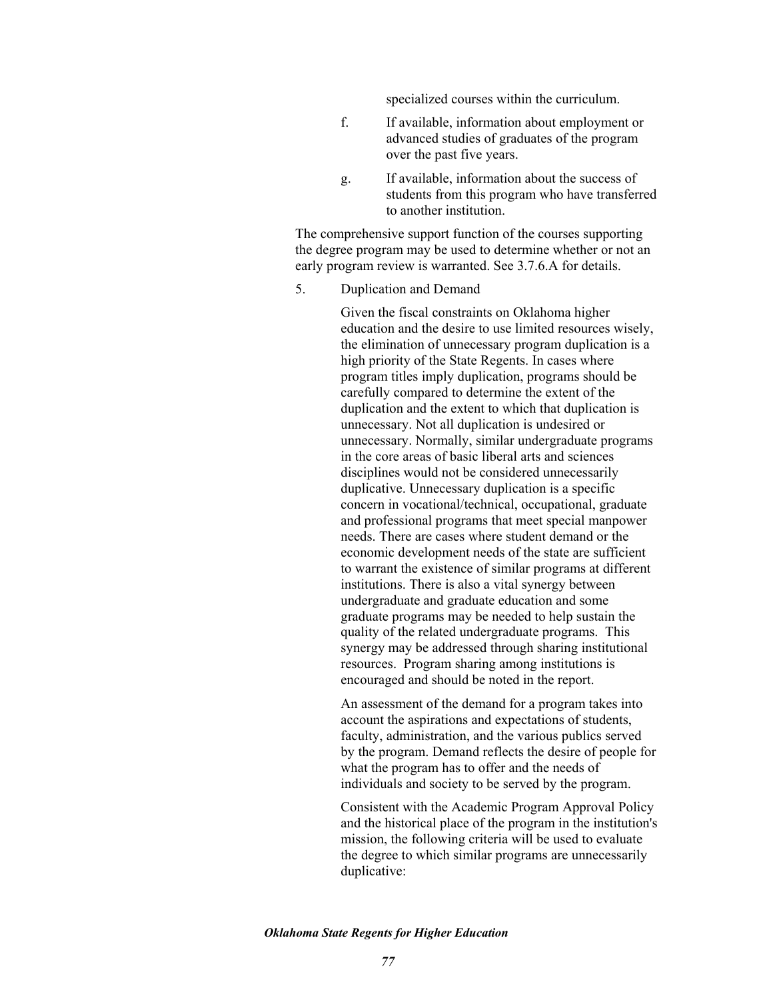specialized courses within the curriculum.

- f. If available, information about employment or advanced studies of graduates of the program over the past five years.
- g. If available, information about the success of students from this program who have transferred to another institution.

The comprehensive support function of the courses supporting the degree program may be used to determine whether or not an early program review is warranted. See 3.7.6.A for details.

5. Duplication and Demand

Given the fiscal constraints on Oklahoma higher education and the desire to use limited resources wisely, the elimination of unnecessary program duplication is a high priority of the State Regents. In cases where program titles imply duplication, programs should be carefully compared to determine the extent of the duplication and the extent to which that duplication is unnecessary. Not all duplication is undesired or unnecessary. Normally, similar undergraduate programs in the core areas of basic liberal arts and sciences disciplines would not be considered unnecessarily duplicative. Unnecessary duplication is a specific concern in vocational/technical, occupational, graduate and professional programs that meet special manpower needs. There are cases where student demand or the economic development needs of the state are sufficient to warrant the existence of similar programs at different institutions. There is also a vital synergy between undergraduate and graduate education and some graduate programs may be needed to help sustain the quality of the related undergraduate programs. This synergy may be addressed through sharing institutional resources. Program sharing among institutions is encouraged and should be noted in the report.

An assessment of the demand for a program takes into account the aspirations and expectations of students, faculty, administration, and the various publics served by the program. Demand reflects the desire of people for what the program has to offer and the needs of individuals and society to be served by the program.

Consistent with the Academic Program Approval Policy and the historical place of the program in the institution's mission, the following criteria will be used to evaluate the degree to which similar programs are unnecessarily duplicative: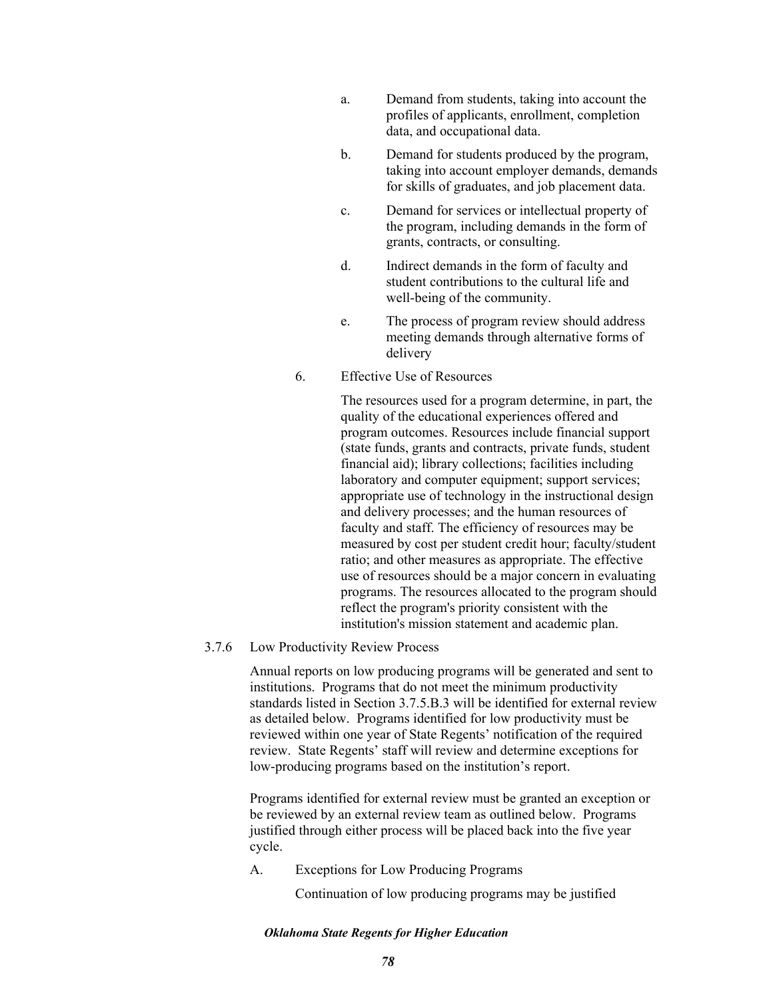- a. Demand from students, taking into account the profiles of applicants, enrollment, completion data, and occupational data.
- b. Demand for students produced by the program, taking into account employer demands, demands for skills of graduates, and job placement data.
- c. Demand for services or intellectual property of the program, including demands in the form of grants, contracts, or consulting.
- d. Indirect demands in the form of faculty and student contributions to the cultural life and well-being of the community.
- e. The process of program review should address meeting demands through alternative forms of delivery
- 6. Effective Use of Resources

The resources used for a program determine, in part, the quality of the educational experiences offered and program outcomes. Resources include financial support (state funds, grants and contracts, private funds, student financial aid); library collections; facilities including laboratory and computer equipment; support services; appropriate use of technology in the instructional design and delivery processes; and the human resources of faculty and staff. The efficiency of resources may be measured by cost per student credit hour; faculty/student ratio; and other measures as appropriate. The effective use of resources should be a major concern in evaluating programs. The resources allocated to the program should reflect the program's priority consistent with the institution's mission statement and academic plan.

3.7.6 Low Productivity Review Process

Annual reports on low producing programs will be generated and sent to institutions. Programs that do not meet the minimum productivity standards listed in Section 3.7.5.B.3 will be identified for external review as detailed below. Programs identified for low productivity must be reviewed within one year of State Regents' notification of the required review. State Regents' staff will review and determine exceptions for low-producing programs based on the institution's report.

Programs identified for external review must be granted an exception or be reviewed by an external review team as outlined below. Programs justified through either process will be placed back into the five year cycle.

A. Exceptions for Low Producing Programs

Continuation of low producing programs may be justified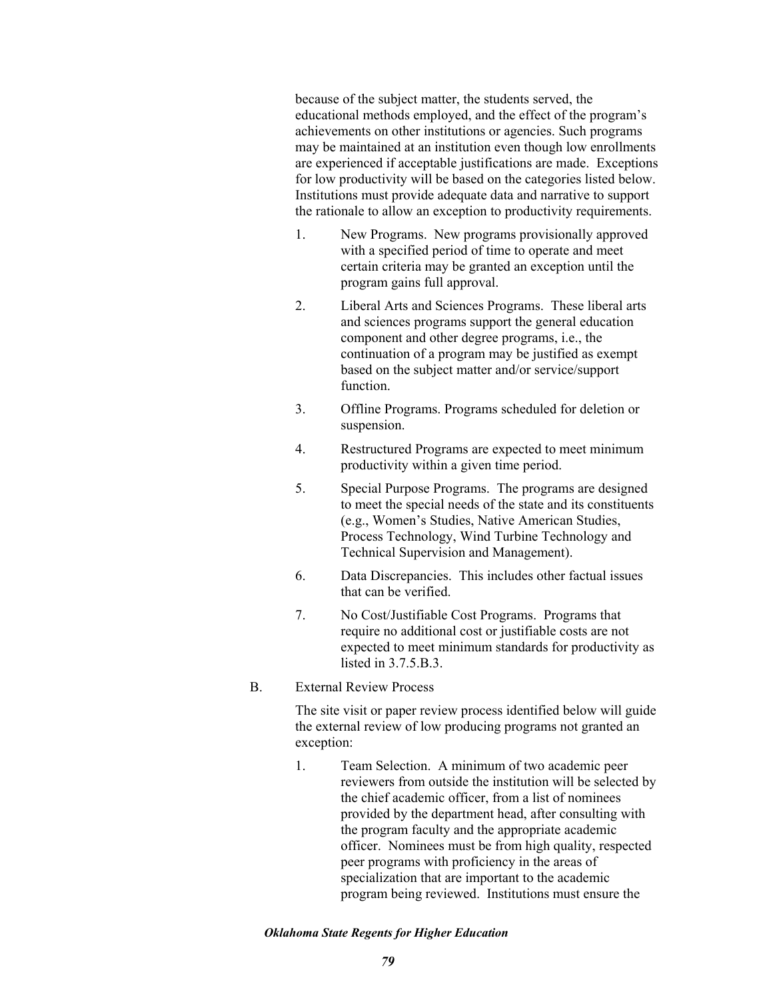because of the subject matter, the students served, the educational methods employed, and the effect of the program's achievements on other institutions or agencies. Such programs may be maintained at an institution even though low enrollments are experienced if acceptable justifications are made. Exceptions for low productivity will be based on the categories listed below. Institutions must provide adequate data and narrative to support the rationale to allow an exception to productivity requirements.

- 1. New Programs. New programs provisionally approved with a specified period of time to operate and meet certain criteria may be granted an exception until the program gains full approval.
- 2. Liberal Arts and Sciences Programs. These liberal arts and sciences programs support the general education component and other degree programs, i.e., the continuation of a program may be justified as exempt based on the subject matter and/or service/support function.
- 3. Offline Programs. Programs scheduled for deletion or suspension.
- 4. Restructured Programs are expected to meet minimum productivity within a given time period.
- 5. Special Purpose Programs. The programs are designed to meet the special needs of the state and its constituents (e.g., Women's Studies, Native American Studies, Process Technology, Wind Turbine Technology and Technical Supervision and Management).
- 6. Data Discrepancies. This includes other factual issues that can be verified.
- 7. No Cost/Justifiable Cost Programs. Programs that require no additional cost or justifiable costs are not expected to meet minimum standards for productivity as listed in  $3.7.5B.3$ .
- B. External Review Process

The site visit or paper review process identified below will guide the external review of low producing programs not granted an exception:

1. Team Selection. A minimum of two academic peer reviewers from outside the institution will be selected by the chief academic officer, from a list of nominees provided by the department head, after consulting with the program faculty and the appropriate academic officer. Nominees must be from high quality, respected peer programs with proficiency in the areas of specialization that are important to the academic program being reviewed. Institutions must ensure the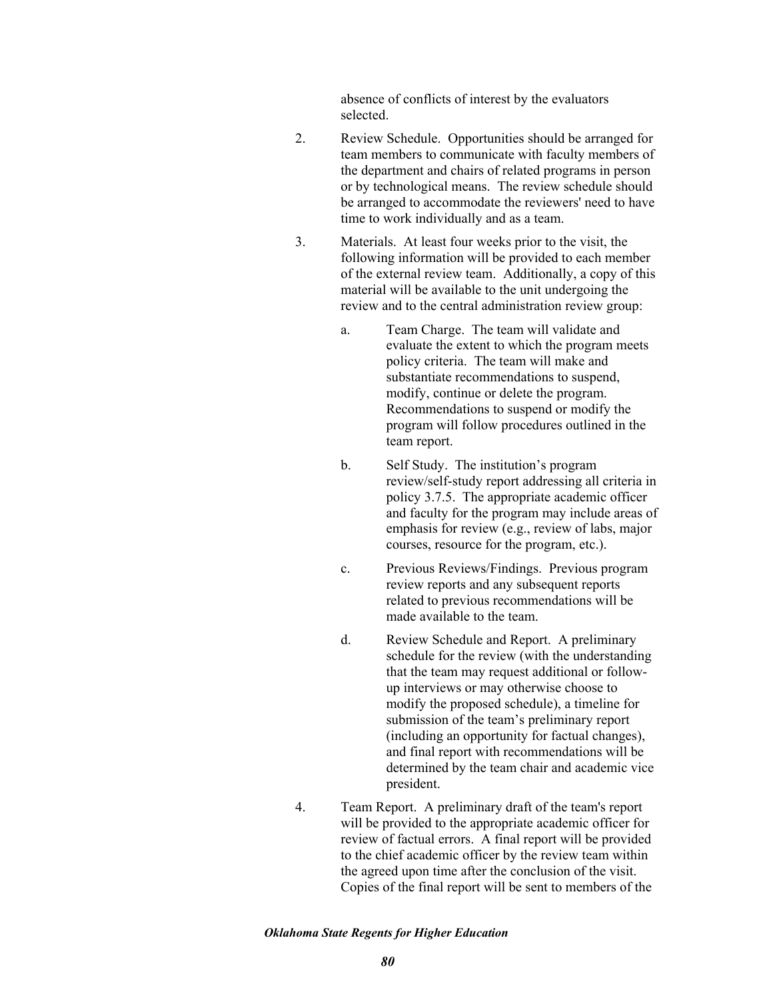absence of conflicts of interest by the evaluators selected.

- 2. Review Schedule. Opportunities should be arranged for team members to communicate with faculty members of the department and chairs of related programs in person or by technological means. The review schedule should be arranged to accommodate the reviewers' need to have time to work individually and as a team.
- 3. Materials. At least four weeks prior to the visit, the following information will be provided to each member of the external review team. Additionally, a copy of this material will be available to the unit undergoing the review and to the central administration review group:
	- a. Team Charge. The team will validate and evaluate the extent to which the program meets policy criteria. The team will make and substantiate recommendations to suspend, modify, continue or delete the program. Recommendations to suspend or modify the program will follow procedures outlined in the team report.
	- b. Self Study. The institution's program review/self-study report addressing all criteria in policy 3.7.5. The appropriate academic officer and faculty for the program may include areas of emphasis for review (e.g., review of labs, major courses, resource for the program, etc.).
	- c. Previous Reviews/Findings. Previous program review reports and any subsequent reports related to previous recommendations will be made available to the team.
	- d. Review Schedule and Report. A preliminary schedule for the review (with the understanding that the team may request additional or followup interviews or may otherwise choose to modify the proposed schedule), a timeline for submission of the team's preliminary report (including an opportunity for factual changes), and final report with recommendations will be determined by the team chair and academic vice president.
- 4. Team Report. A preliminary draft of the team's report will be provided to the appropriate academic officer for review of factual errors. A final report will be provided to the chief academic officer by the review team within the agreed upon time after the conclusion of the visit. Copies of the final report will be sent to members of the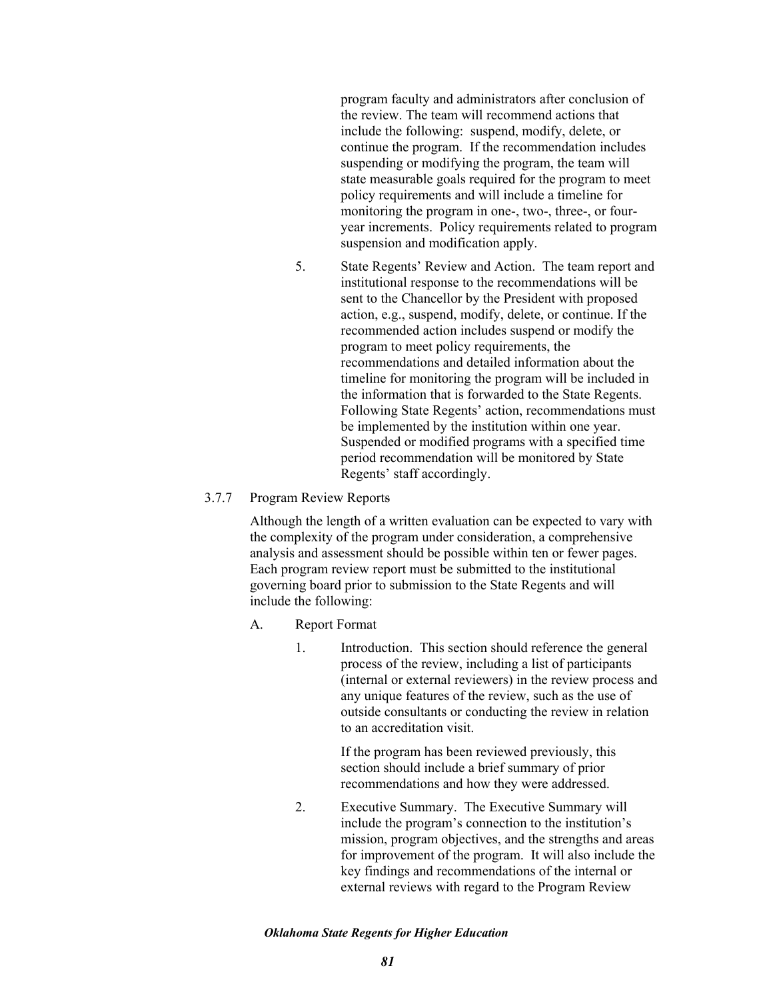program faculty and administrators after conclusion of the review. The team will recommend actions that include the following: suspend, modify, delete, or continue the program. If the recommendation includes suspending or modifying the program, the team will state measurable goals required for the program to meet policy requirements and will include a timeline for monitoring the program in one-, two-, three-, or fouryear increments. Policy requirements related to program suspension and modification apply.

- 5. State Regents' Review and Action. The team report and institutional response to the recommendations will be sent to the Chancellor by the President with proposed action, e.g., suspend, modify, delete, or continue. If the recommended action includes suspend or modify the program to meet policy requirements, the recommendations and detailed information about the timeline for monitoring the program will be included in the information that is forwarded to the State Regents. Following State Regents' action, recommendations must be implemented by the institution within one year. Suspended or modified programs with a specified time period recommendation will be monitored by State Regents' staff accordingly.
- 3.7.7 Program Review Reports

Although the length of a written evaluation can be expected to vary with the complexity of the program under consideration, a comprehensive analysis and assessment should be possible within ten or fewer pages. Each program review report must be submitted to the institutional governing board prior to submission to the State Regents and will include the following:

- A. Report Format
	- 1. Introduction. This section should reference the general process of the review, including a list of participants (internal or external reviewers) in the review process and any unique features of the review, such as the use of outside consultants or conducting the review in relation to an accreditation visit.

If the program has been reviewed previously, this section should include a brief summary of prior recommendations and how they were addressed.

2. Executive Summary. The Executive Summary will include the program's connection to the institution's mission, program objectives, and the strengths and areas for improvement of the program. It will also include the key findings and recommendations of the internal or external reviews with regard to the Program Review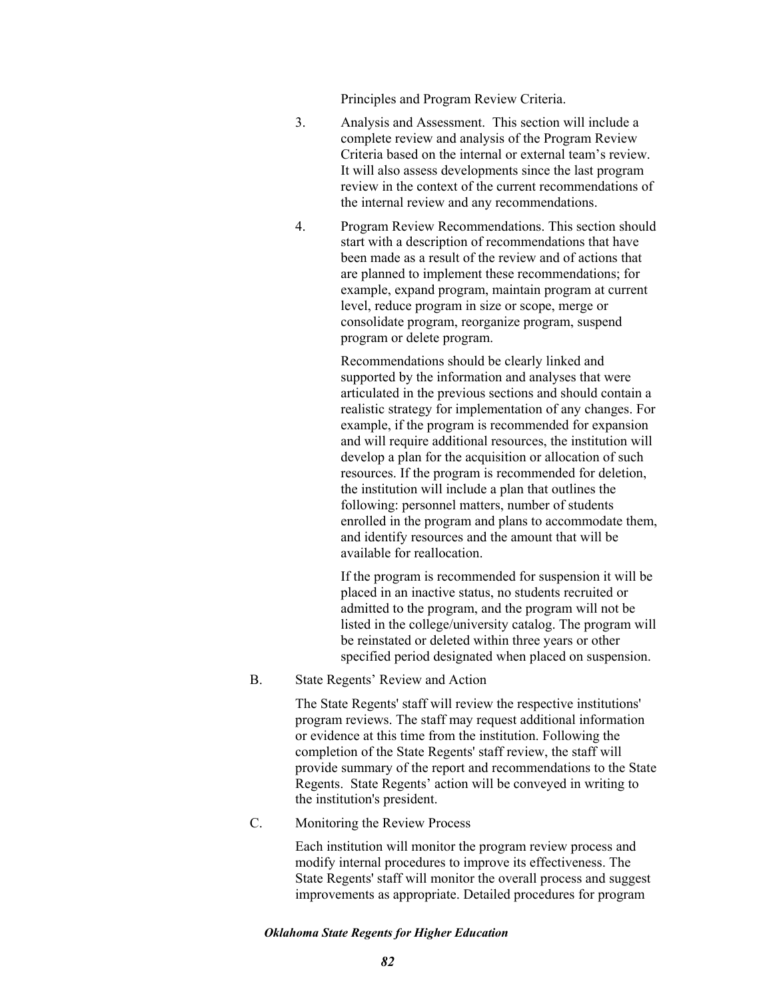Principles and Program Review Criteria.

- 3. Analysis and Assessment. This section will include a complete review and analysis of the Program Review Criteria based on the internal or external team's review. It will also assess developments since the last program review in the context of the current recommendations of the internal review and any recommendations.
- 4. Program Review Recommendations. This section should start with a description of recommendations that have been made as a result of the review and of actions that are planned to implement these recommendations; for example, expand program, maintain program at current level, reduce program in size or scope, merge or consolidate program, reorganize program, suspend program or delete program.

Recommendations should be clearly linked and supported by the information and analyses that were articulated in the previous sections and should contain a realistic strategy for implementation of any changes. For example, if the program is recommended for expansion and will require additional resources, the institution will develop a plan for the acquisition or allocation of such resources. If the program is recommended for deletion, the institution will include a plan that outlines the following: personnel matters, number of students enrolled in the program and plans to accommodate them, and identify resources and the amount that will be available for reallocation.

If the program is recommended for suspension it will be placed in an inactive status, no students recruited or admitted to the program, and the program will not be listed in the college/university catalog. The program will be reinstated or deleted within three years or other specified period designated when placed on suspension.

B. State Regents' Review and Action

The State Regents' staff will review the respective institutions' program reviews. The staff may request additional information or evidence at this time from the institution. Following the completion of the State Regents' staff review, the staff will provide summary of the report and recommendations to the State Regents. State Regents' action will be conveyed in writing to the institution's president.

C. Monitoring the Review Process

Each institution will monitor the program review process and modify internal procedures to improve its effectiveness. The State Regents' staff will monitor the overall process and suggest improvements as appropriate. Detailed procedures for program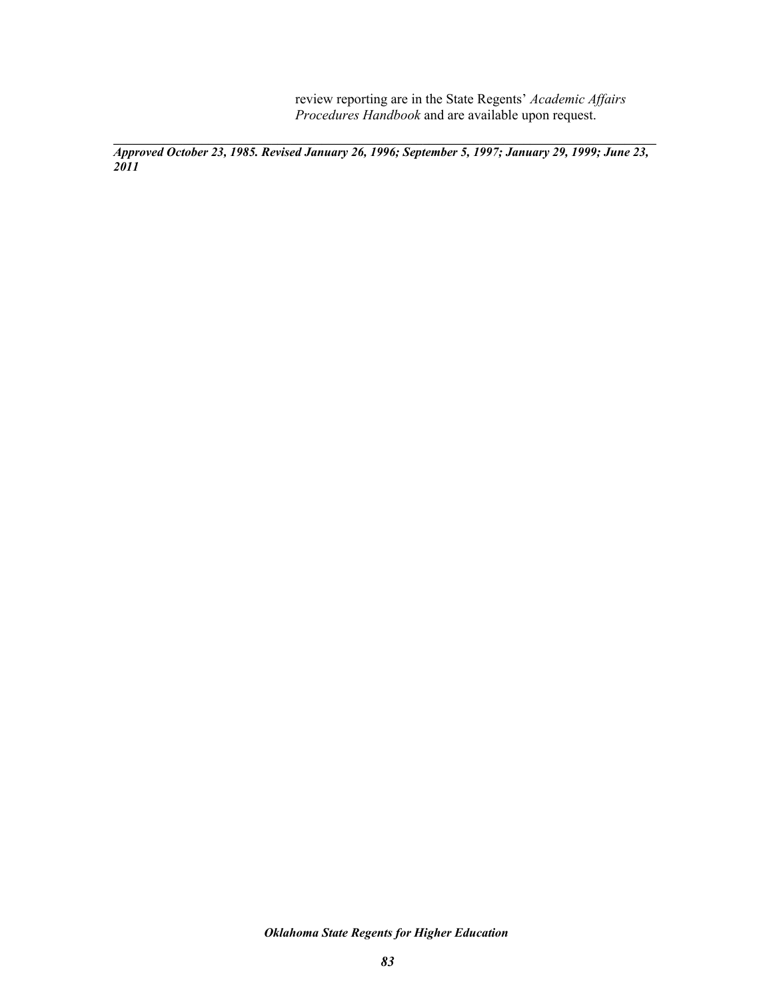review reporting are in the State Regents' *Academic Affairs Procedures Handbook* and are available upon request.

**\_\_\_\_\_\_\_\_\_\_\_\_\_\_\_\_\_\_\_\_\_\_\_\_\_\_\_\_\_\_\_\_\_\_\_\_\_\_\_\_\_\_\_\_\_\_\_\_\_\_\_\_\_\_\_\_\_\_\_\_\_\_\_\_\_\_\_\_\_\_\_\_\_\_\_\_\_\_\_\_\_\_\_\_\_\_**  *Approved October 23, 1985. Revised January 26, 1996; September 5, 1997; January 29, 1999; June 23, 2011*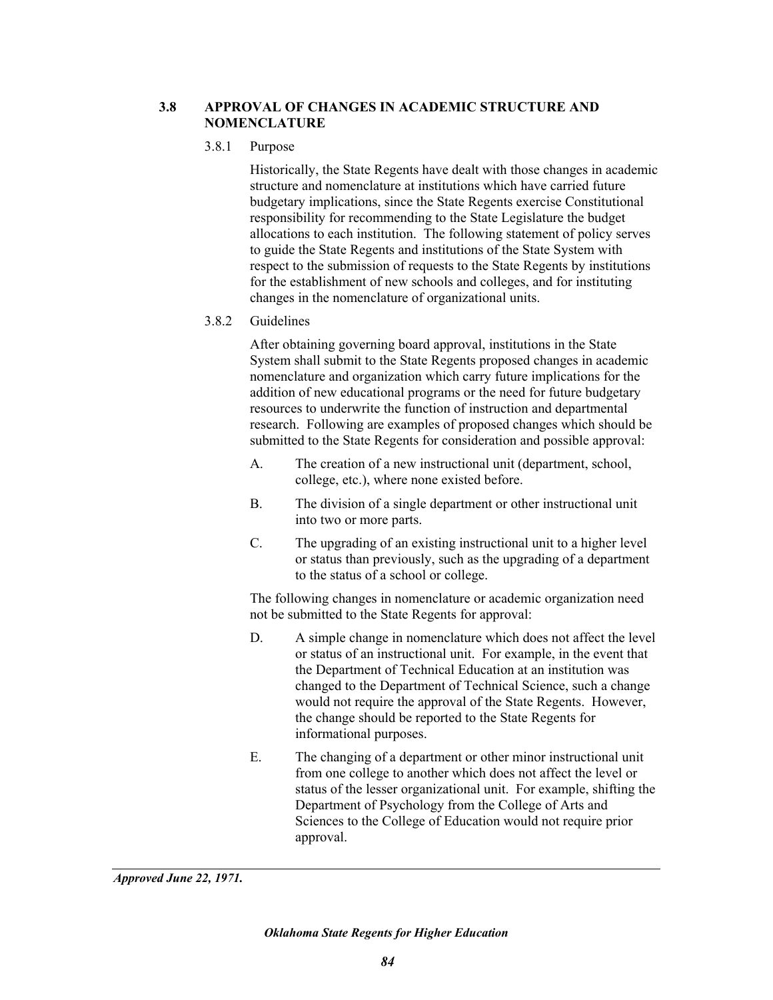# **3.8 APPROVAL OF CHANGES IN ACADEMIC STRUCTURE AND NOMENCLATURE**

# 3.8.1 Purpose

Historically, the State Regents have dealt with those changes in academic structure and nomenclature at institutions which have carried future budgetary implications, since the State Regents exercise Constitutional responsibility for recommending to the State Legislature the budget allocations to each institution. The following statement of policy serves to guide the State Regents and institutions of the State System with respect to the submission of requests to the State Regents by institutions for the establishment of new schools and colleges, and for instituting changes in the nomenclature of organizational units.

# 3.8.2 Guidelines

After obtaining governing board approval, institutions in the State System shall submit to the State Regents proposed changes in academic nomenclature and organization which carry future implications for the addition of new educational programs or the need for future budgetary resources to underwrite the function of instruction and departmental research. Following are examples of proposed changes which should be submitted to the State Regents for consideration and possible approval:

- A. The creation of a new instructional unit (department, school, college, etc.), where none existed before.
- B. The division of a single department or other instructional unit into two or more parts.
- C. The upgrading of an existing instructional unit to a higher level or status than previously, such as the upgrading of a department to the status of a school or college.

The following changes in nomenclature or academic organization need not be submitted to the State Regents for approval:

- D. A simple change in nomenclature which does not affect the level or status of an instructional unit. For example, in the event that the Department of Technical Education at an institution was changed to the Department of Technical Science, such a change would not require the approval of the State Regents. However, the change should be reported to the State Regents for informational purposes.
- E. The changing of a department or other minor instructional unit from one college to another which does not affect the level or status of the lesser organizational unit. For example, shifting the Department of Psychology from the College of Arts and Sciences to the College of Education would not require prior approval.

*Approved June 22, 1971.*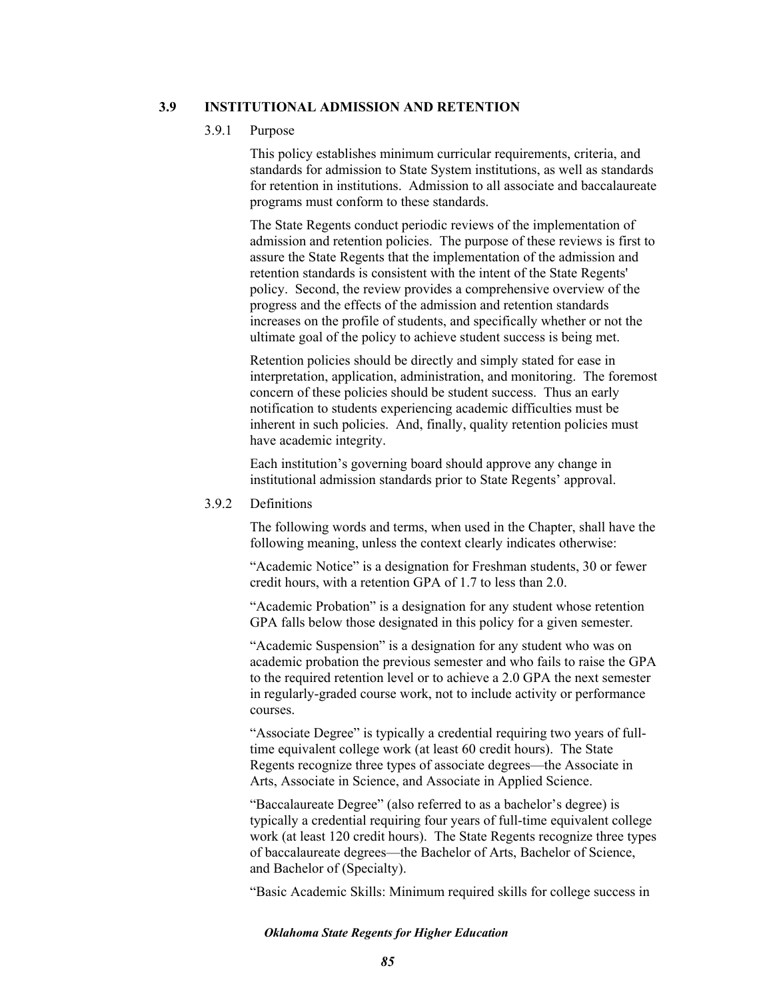## **3.9 INSTITUTIONAL ADMISSION AND RETENTION**

### 3.9.1 Purpose

This policy establishes minimum curricular requirements, criteria, and standards for admission to State System institutions, as well as standards for retention in institutions. Admission to all associate and baccalaureate programs must conform to these standards.

The State Regents conduct periodic reviews of the implementation of admission and retention policies. The purpose of these reviews is first to assure the State Regents that the implementation of the admission and retention standards is consistent with the intent of the State Regents' policy. Second, the review provides a comprehensive overview of the progress and the effects of the admission and retention standards increases on the profile of students, and specifically whether or not the ultimate goal of the policy to achieve student success is being met.

Retention policies should be directly and simply stated for ease in interpretation, application, administration, and monitoring. The foremost concern of these policies should be student success. Thus an early notification to students experiencing academic difficulties must be inherent in such policies. And, finally, quality retention policies must have academic integrity.

Each institution's governing board should approve any change in institutional admission standards prior to State Regents' approval.

### 3.9.2 Definitions

The following words and terms, when used in the Chapter, shall have the following meaning, unless the context clearly indicates otherwise:

"Academic Notice" is a designation for Freshman students, 30 or fewer credit hours, with a retention GPA of 1.7 to less than 2.0.

"Academic Probation" is a designation for any student whose retention GPA falls below those designated in this policy for a given semester.

"Academic Suspension" is a designation for any student who was on academic probation the previous semester and who fails to raise the GPA to the required retention level or to achieve a 2.0 GPA the next semester in regularly-graded course work, not to include activity or performance courses.

"Associate Degree" is typically a credential requiring two years of fulltime equivalent college work (at least 60 credit hours). The State Regents recognize three types of associate degrees—the Associate in Arts, Associate in Science, and Associate in Applied Science.

"Baccalaureate Degree" (also referred to as a bachelor's degree) is typically a credential requiring four years of full-time equivalent college work (at least 120 credit hours). The State Regents recognize three types of baccalaureate degrees—the Bachelor of Arts, Bachelor of Science, and Bachelor of (Specialty).

"Basic Academic Skills: Minimum required skills for college success in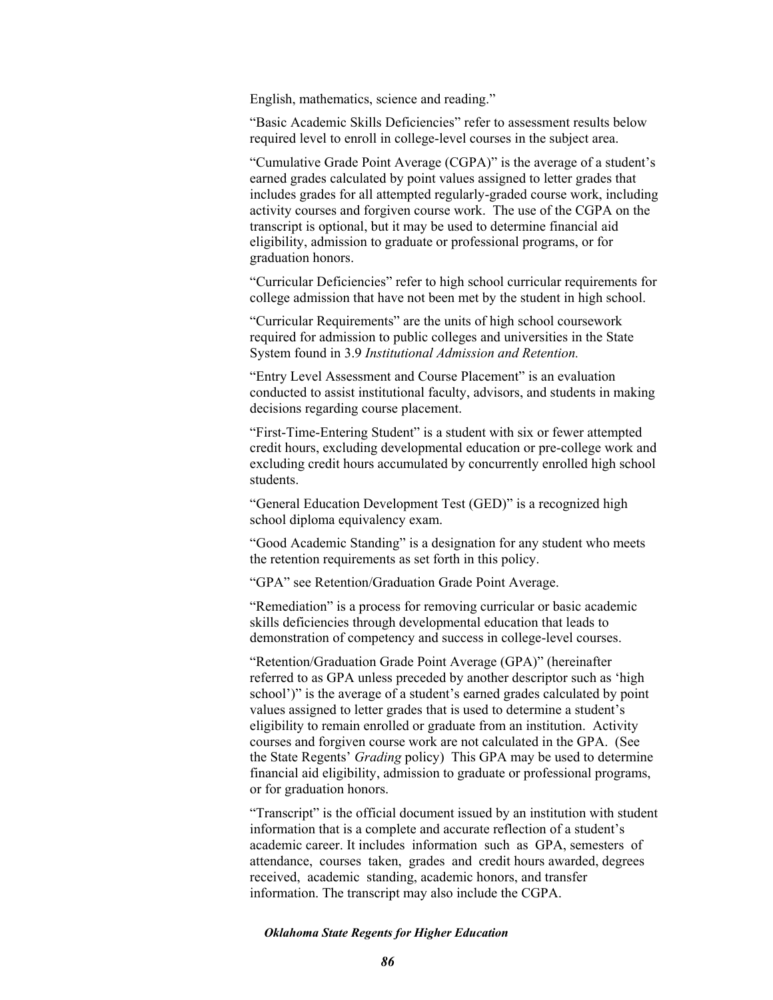English, mathematics, science and reading."

"Basic Academic Skills Deficiencies" refer to assessment results below required level to enroll in college-level courses in the subject area.

"Cumulative Grade Point Average (CGPA)" is the average of a student's earned grades calculated by point values assigned to letter grades that includes grades for all attempted regularly-graded course work, including activity courses and forgiven course work. The use of the CGPA on the transcript is optional, but it may be used to determine financial aid eligibility, admission to graduate or professional programs, or for graduation honors.

"Curricular Deficiencies" refer to high school curricular requirements for college admission that have not been met by the student in high school.

"Curricular Requirements" are the units of high school coursework required for admission to public colleges and universities in the State System found in 3.9 *Institutional Admission and Retention.* 

"Entry Level Assessment and Course Placement" is an evaluation conducted to assist institutional faculty, advisors, and students in making decisions regarding course placement.

"First-Time-Entering Student" is a student with six or fewer attempted credit hours, excluding developmental education or pre-college work and excluding credit hours accumulated by concurrently enrolled high school students.

"General Education Development Test (GED)" is a recognized high school diploma equivalency exam.

"Good Academic Standing" is a designation for any student who meets the retention requirements as set forth in this policy.

"GPA" see Retention/Graduation Grade Point Average.

"Remediation" is a process for removing curricular or basic academic skills deficiencies through developmental education that leads to demonstration of competency and success in college-level courses.

"Retention/Graduation Grade Point Average (GPA)" (hereinafter referred to as GPA unless preceded by another descriptor such as 'high school')" is the average of a student's earned grades calculated by point values assigned to letter grades that is used to determine a student's eligibility to remain enrolled or graduate from an institution. Activity courses and forgiven course work are not calculated in the GPA. (See the State Regents' *Grading* policy) This GPA may be used to determine financial aid eligibility, admission to graduate or professional programs, or for graduation honors.

"Transcript" is the official document issued by an institution with student information that is a complete and accurate reflection of a student's academic career. It includes information such as GPA, semesters of attendance, courses taken, grades and credit hours awarded, degrees received, academic standing, academic honors, and transfer information. The transcript may also include the CGPA.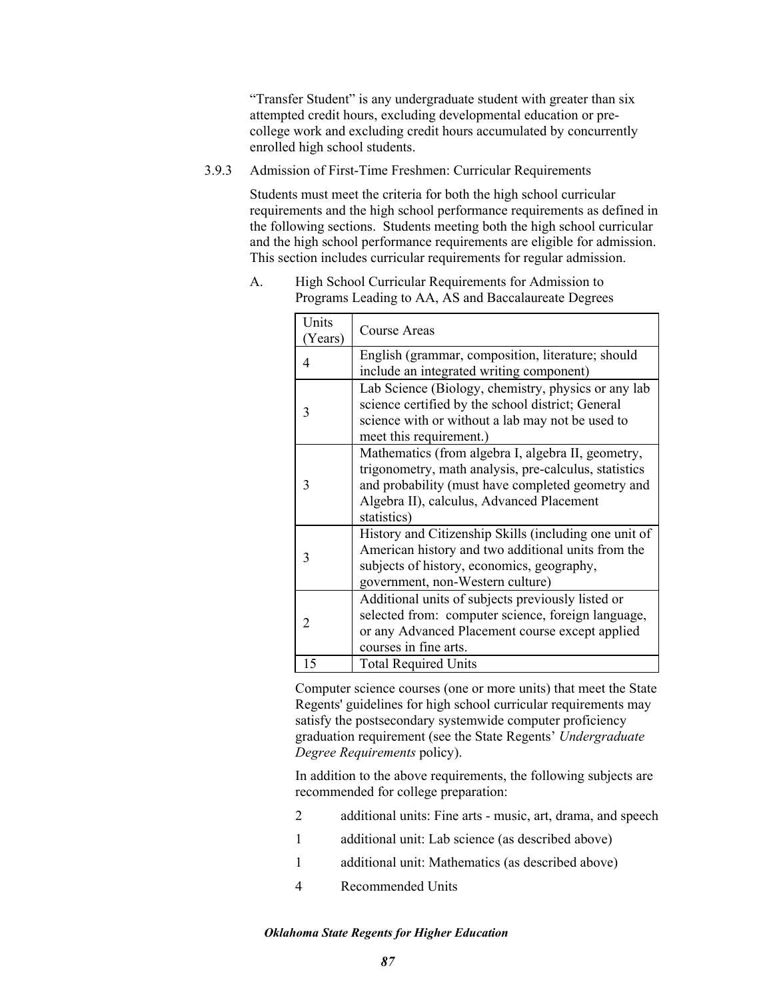"Transfer Student" is any undergraduate student with greater than six attempted credit hours, excluding developmental education or precollege work and excluding credit hours accumulated by concurrently enrolled high school students.

3.9.3 Admission of First-Time Freshmen: Curricular Requirements

Students must meet the criteria for both the high school curricular requirements and the high school performance requirements as defined in the following sections. Students meeting both the high school curricular and the high school performance requirements are eligible for admission. This section includes curricular requirements for regular admission.

| Units  |                                                       |  |  |
|--------|-------------------------------------------------------|--|--|
| Years) | Course Areas                                          |  |  |
| 4      | English (grammar, composition, literature; should     |  |  |
|        | include an integrated writing component)              |  |  |
|        | Lab Science (Biology, chemistry, physics or any lab   |  |  |
| 3      | science certified by the school district; General     |  |  |
|        | science with or without a lab may not be used to      |  |  |
|        | meet this requirement.)                               |  |  |
|        | Mathematics (from algebra I, algebra II, geometry,    |  |  |
| 3      | trigonometry, math analysis, pre-calculus, statistics |  |  |
|        | and probability (must have completed geometry and     |  |  |
|        | Algebra II), calculus, Advanced Placement             |  |  |
|        | statistics)                                           |  |  |
|        | History and Citizenship Skills (including one unit of |  |  |
| 3      | American history and two additional units from the    |  |  |
|        | subjects of history, economics, geography,            |  |  |
|        | government, non-Western culture)                      |  |  |
|        | Additional units of subjects previously listed or     |  |  |
| 2      | selected from: computer science, foreign language,    |  |  |
|        | or any Advanced Placement course except applied       |  |  |
|        | courses in fine arts.                                 |  |  |
| 15     | <b>Total Required Units</b>                           |  |  |

A. High School Curricular Requirements for Admission to Programs Leading to AA, AS and Baccalaureate Degrees

> Computer science courses (one or more units) that meet the State Regents' guidelines for high school curricular requirements may satisfy the postsecondary systemwide computer proficiency graduation requirement (see the State Regents' *Undergraduate Degree Requirements* policy).

In addition to the above requirements, the following subjects are recommended for college preparation:

- 2 additional units: Fine arts music, art, drama, and speech
- 1 additional unit: Lab science (as described above)
- 1 additional unit: Mathematics (as described above)
- 4 Recommended Units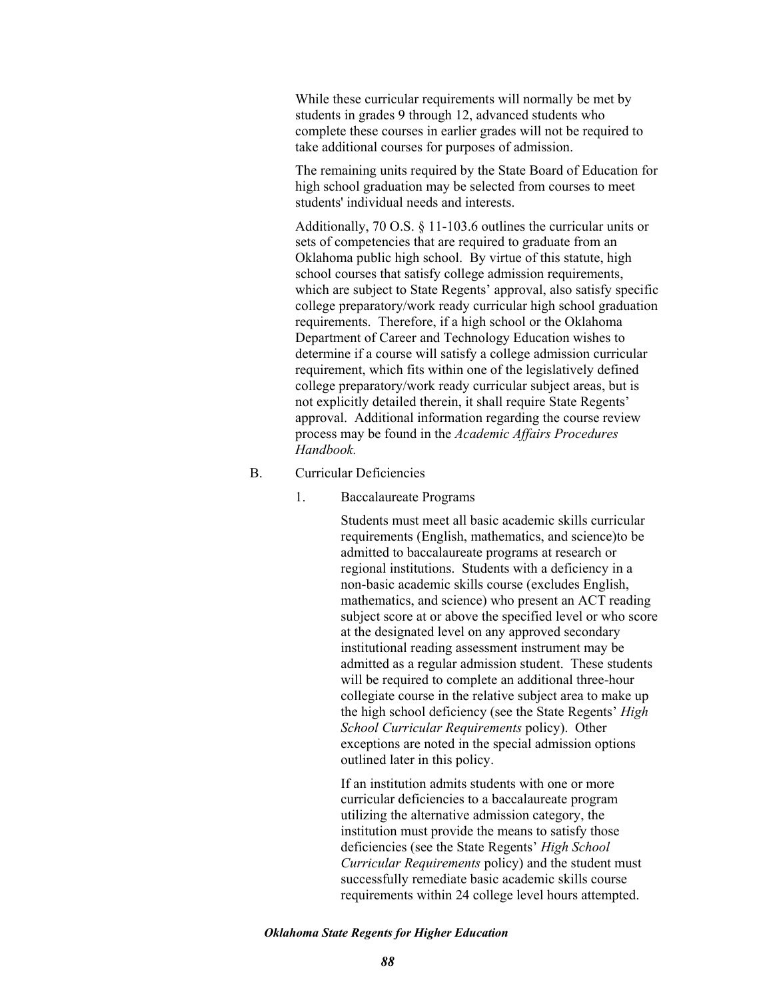While these curricular requirements will normally be met by students in grades 9 through 12, advanced students who complete these courses in earlier grades will not be required to take additional courses for purposes of admission.

The remaining units required by the State Board of Education for high school graduation may be selected from courses to meet students' individual needs and interests.

Additionally, 70 O.S. § 11-103.6 outlines the curricular units or sets of competencies that are required to graduate from an Oklahoma public high school. By virtue of this statute, high school courses that satisfy college admission requirements, which are subject to State Regents' approval, also satisfy specific college preparatory/work ready curricular high school graduation requirements. Therefore, if a high school or the Oklahoma Department of Career and Technology Education wishes to determine if a course will satisfy a college admission curricular requirement, which fits within one of the legislatively defined college preparatory/work ready curricular subject areas, but is not explicitly detailed therein, it shall require State Regents' approval. Additional information regarding the course review process may be found in the *Academic Affairs Procedures Handbook.* 

## B. Curricular Deficiencies

1. Baccalaureate Programs

Students must meet all basic academic skills curricular requirements (English, mathematics, and science)to be admitted to baccalaureate programs at research or regional institutions. Students with a deficiency in a non-basic academic skills course (excludes English, mathematics, and science) who present an ACT reading subject score at or above the specified level or who score at the designated level on any approved secondary institutional reading assessment instrument may be admitted as a regular admission student. These students will be required to complete an additional three-hour collegiate course in the relative subject area to make up the high school deficiency (see the State Regents' *High School Curricular Requirements* policy). Other exceptions are noted in the special admission options outlined later in this policy.

If an institution admits students with one or more curricular deficiencies to a baccalaureate program utilizing the alternative admission category, the institution must provide the means to satisfy those deficiencies (see the State Regents' *High School Curricular Requirements* policy) and the student must successfully remediate basic academic skills course requirements within 24 college level hours attempted.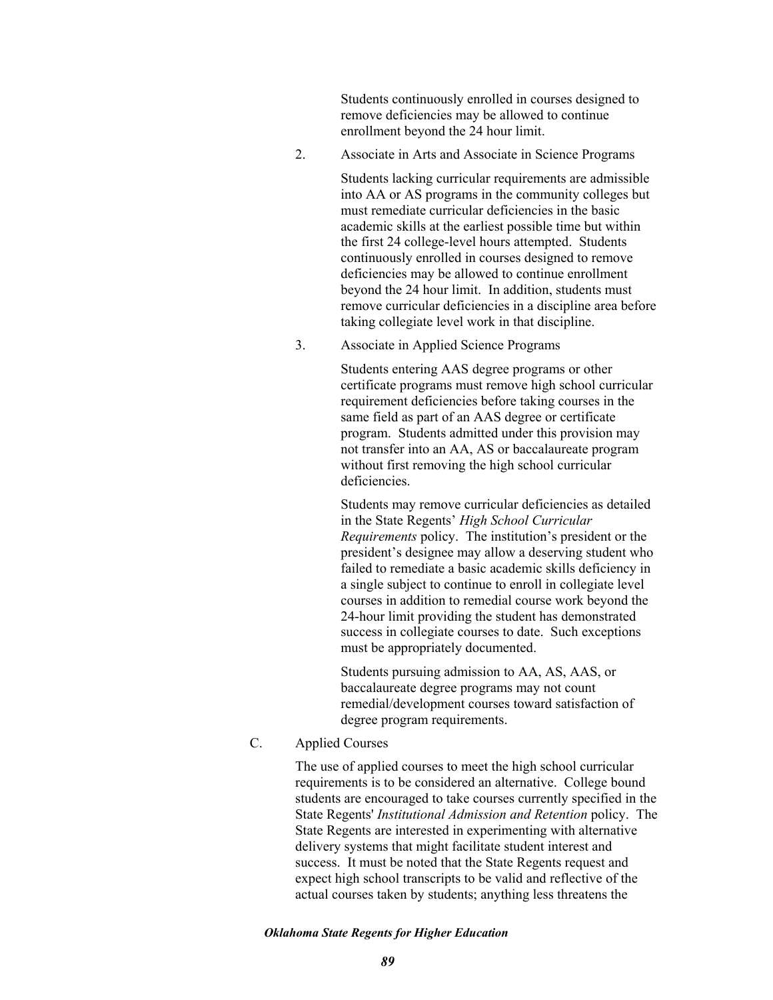Students continuously enrolled in courses designed to remove deficiencies may be allowed to continue enrollment beyond the 24 hour limit.

2. Associate in Arts and Associate in Science Programs

Students lacking curricular requirements are admissible into AA or AS programs in the community colleges but must remediate curricular deficiencies in the basic academic skills at the earliest possible time but within the first 24 college-level hours attempted. Students continuously enrolled in courses designed to remove deficiencies may be allowed to continue enrollment beyond the 24 hour limit. In addition, students must remove curricular deficiencies in a discipline area before taking collegiate level work in that discipline.

3. Associate in Applied Science Programs

Students entering AAS degree programs or other certificate programs must remove high school curricular requirement deficiencies before taking courses in the same field as part of an AAS degree or certificate program. Students admitted under this provision may not transfer into an AA, AS or baccalaureate program without first removing the high school curricular deficiencies.

Students may remove curricular deficiencies as detailed in the State Regents' *High School Curricular Requirements* policy. The institution's president or the president's designee may allow a deserving student who failed to remediate a basic academic skills deficiency in a single subject to continue to enroll in collegiate level courses in addition to remedial course work beyond the 24-hour limit providing the student has demonstrated success in collegiate courses to date. Such exceptions must be appropriately documented.

Students pursuing admission to AA, AS, AAS, or baccalaureate degree programs may not count remedial/development courses toward satisfaction of degree program requirements.

C. Applied Courses

The use of applied courses to meet the high school curricular requirements is to be considered an alternative. College bound students are encouraged to take courses currently specified in the State Regents' *Institutional Admission and Retention* policy. The State Regents are interested in experimenting with alternative delivery systems that might facilitate student interest and success. It must be noted that the State Regents request and expect high school transcripts to be valid and reflective of the actual courses taken by students; anything less threatens the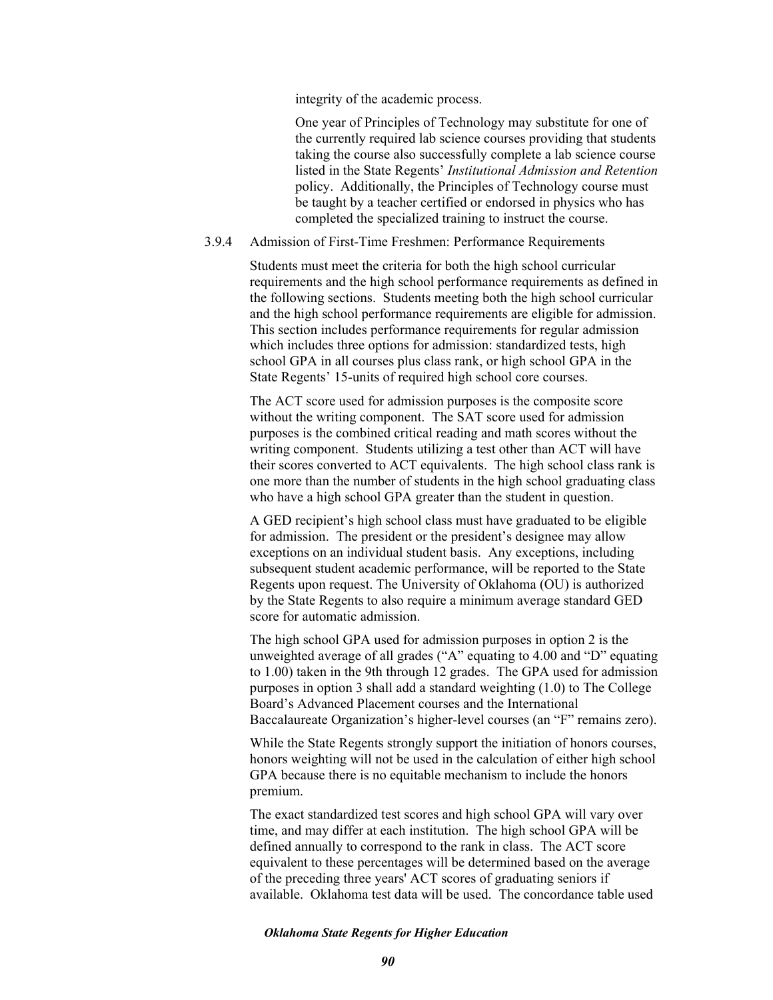integrity of the academic process.

One year of Principles of Technology may substitute for one of the currently required lab science courses providing that students taking the course also successfully complete a lab science course listed in the State Regents' *Institutional Admission and Retention*  policy. Additionally, the Principles of Technology course must be taught by a teacher certified or endorsed in physics who has completed the specialized training to instruct the course.

## 3.9.4 Admission of First-Time Freshmen: Performance Requirements

Students must meet the criteria for both the high school curricular requirements and the high school performance requirements as defined in the following sections. Students meeting both the high school curricular and the high school performance requirements are eligible for admission. This section includes performance requirements for regular admission which includes three options for admission: standardized tests, high school GPA in all courses plus class rank, or high school GPA in the State Regents' 15-units of required high school core courses.

The ACT score used for admission purposes is the composite score without the writing component. The SAT score used for admission purposes is the combined critical reading and math scores without the writing component. Students utilizing a test other than ACT will have their scores converted to ACT equivalents. The high school class rank is one more than the number of students in the high school graduating class who have a high school GPA greater than the student in question.

A GED recipient's high school class must have graduated to be eligible for admission. The president or the president's designee may allow exceptions on an individual student basis. Any exceptions, including subsequent student academic performance, will be reported to the State Regents upon request. The University of Oklahoma (OU) is authorized by the State Regents to also require a minimum average standard GED score for automatic admission.

The high school GPA used for admission purposes in option 2 is the unweighted average of all grades ("A" equating to 4.00 and "D" equating to 1.00) taken in the 9th through 12 grades. The GPA used for admission purposes in option 3 shall add a standard weighting (1.0) to The College Board's Advanced Placement courses and the International Baccalaureate Organization's higher-level courses (an "F" remains zero).

While the State Regents strongly support the initiation of honors courses, honors weighting will not be used in the calculation of either high school GPA because there is no equitable mechanism to include the honors premium.

The exact standardized test scores and high school GPA will vary over time, and may differ at each institution. The high school GPA will be defined annually to correspond to the rank in class. The ACT score equivalent to these percentages will be determined based on the average of the preceding three years' ACT scores of graduating seniors if available. Oklahoma test data will be used. The concordance table used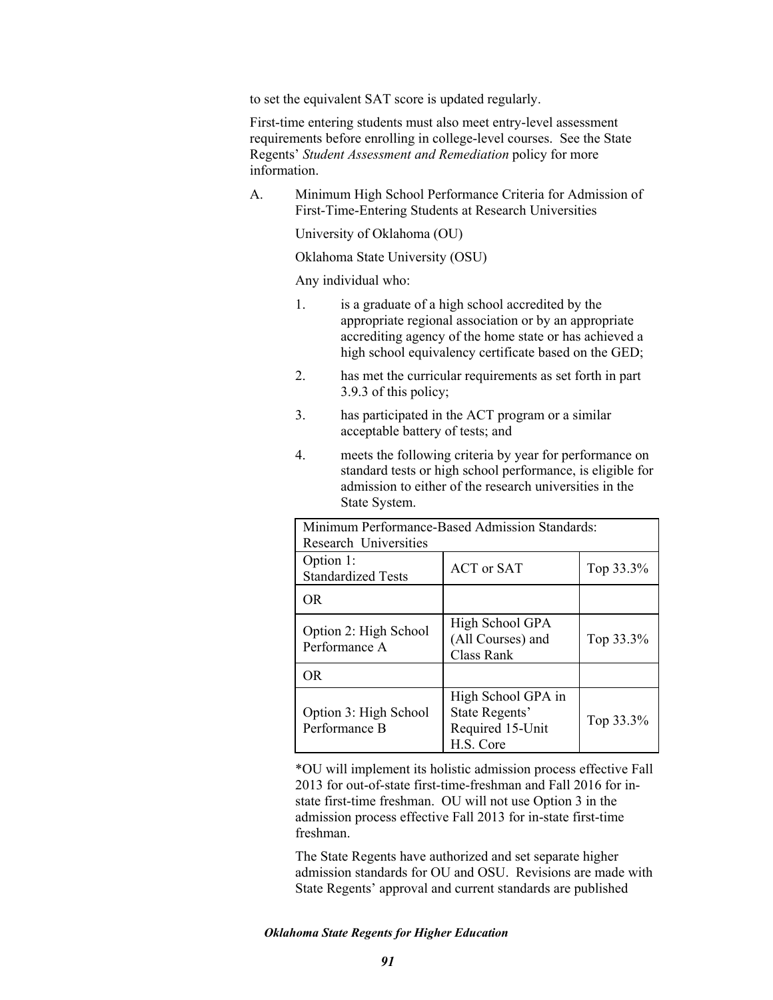to set the equivalent SAT score is updated regularly.

First-time entering students must also meet entry-level assessment requirements before enrolling in college-level courses. See the State Regents' *Student Assessment and Remediation* policy for more information.

A. Minimum High School Performance Criteria for Admission of First-Time-Entering Students at Research Universities

University of Oklahoma (OU)

Oklahoma State University (OSU)

Any individual who:

- 1. is a graduate of a high school accredited by the appropriate regional association or by an appropriate accrediting agency of the home state or has achieved a high school equivalency certificate based on the GED;
- 2. has met the curricular requirements as set forth in part 3.9.3 of this policy;
- 3. has participated in the ACT program or a similar acceptable battery of tests; and
- 4. meets the following criteria by year for performance on standard tests or high school performance, is eligible for admission to either of the research universities in the State System.

| Minimum Performance-Based Admission Standards:<br>Research Universities |                                                                       |           |  |
|-------------------------------------------------------------------------|-----------------------------------------------------------------------|-----------|--|
| Option 1:<br><b>Standardized Tests</b>                                  | <b>ACT</b> or <b>SAT</b>                                              | Top 33.3% |  |
| OR.                                                                     |                                                                       |           |  |
| Option 2: High School<br>Performance A                                  | High School GPA<br>(All Courses) and<br>Class Rank                    | Top 33.3% |  |
| OR.                                                                     |                                                                       |           |  |
| Option 3: High School<br>Performance B                                  | High School GPA in<br>State Regents'<br>Required 15-Unit<br>H.S. Core | Top 33.3% |  |

\*OU will implement its holistic admission process effective Fall 2013 for out-of-state first-time-freshman and Fall 2016 for instate first-time freshman. OU will not use Option 3 in the admission process effective Fall 2013 for in-state first-time freshman.

The State Regents have authorized and set separate higher admission standards for OU and OSU. Revisions are made with State Regents' approval and current standards are published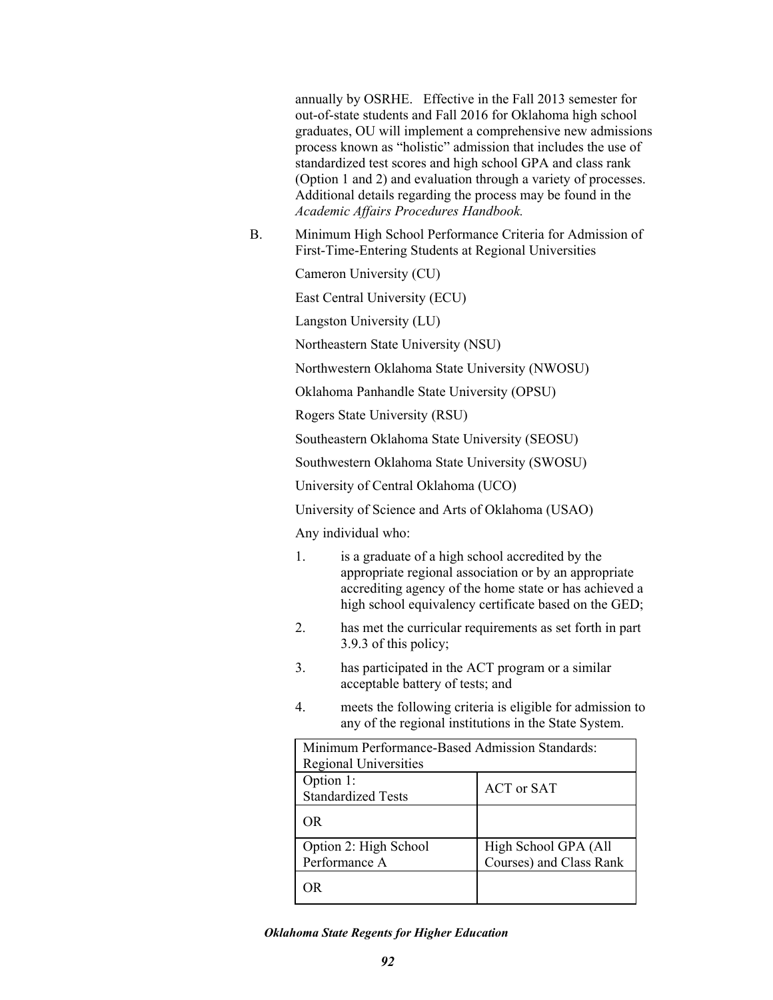annually by OSRHE. Effective in the Fall 2013 semester for out-of-state students and Fall 2016 for Oklahoma high school graduates, OU will implement a comprehensive new admissions process known as "holistic" admission that includes the use of standardized test scores and high school GPA and class rank (Option 1 and 2) and evaluation through a variety of processes. Additional details regarding the process may be found in the *Academic Affairs Procedures Handbook.* 

B. Minimum High School Performance Criteria for Admission of First-Time-Entering Students at Regional Universities

Cameron University (CU)

East Central University (ECU)

Langston University (LU)

Northeastern State University (NSU)

Northwestern Oklahoma State University (NWOSU)

Oklahoma Panhandle State University (OPSU)

Rogers State University (RSU)

Southeastern Oklahoma State University (SEOSU)

Southwestern Oklahoma State University (SWOSU)

University of Central Oklahoma (UCO)

University of Science and Arts of Oklahoma (USAO)

Any individual who:

- 1. is a graduate of a high school accredited by the appropriate regional association or by an appropriate accrediting agency of the home state or has achieved a high school equivalency certificate based on the GED;
- 2. has met the curricular requirements as set forth in part 3.9.3 of this policy;
- 3. has participated in the ACT program or a similar acceptable battery of tests; and
- 4. meets the following criteria is eligible for admission to any of the regional institutions in the State System.

| Minimum Performance-Based Admission Standards:<br><b>Regional Universities</b> |                         |  |
|--------------------------------------------------------------------------------|-------------------------|--|
| Option 1:<br><b>Standardized Tests</b>                                         | <b>ACT</b> or SAT       |  |
| OR                                                                             |                         |  |
| Option 2: High School                                                          | High School GPA (All    |  |
| Performance A                                                                  | Courses) and Class Rank |  |
| ⊣Ř                                                                             |                         |  |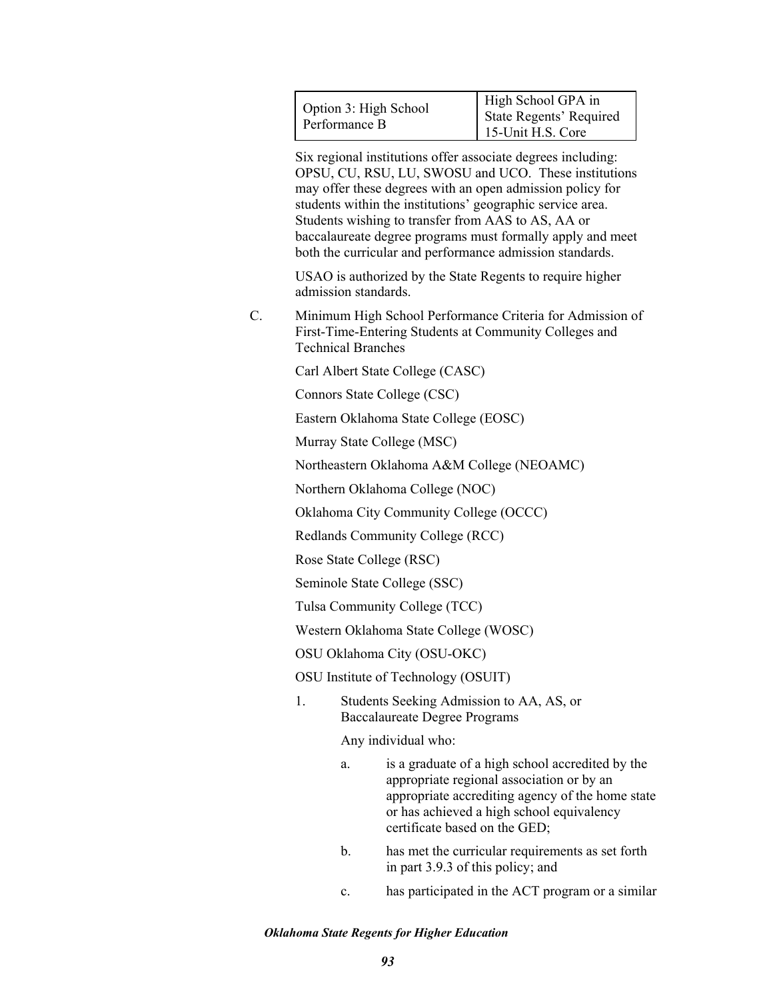Six regional institutions offer associate degrees including: OPSU, CU, RSU, LU, SWOSU and UCO. These institutions may offer these degrees with an open admission policy for students within the institutions' geographic service area. Students wishing to transfer from AAS to AS, AA or baccalaureate degree programs must formally apply and meet both the curricular and performance admission standards.

USAO is authorized by the State Regents to require higher admission standards.

C. Minimum High School Performance Criteria for Admission of First-Time-Entering Students at Community Colleges and Technical Branches

Carl Albert State College (CASC)

Connors State College (CSC)

Eastern Oklahoma State College (EOSC)

Murray State College (MSC)

Northeastern Oklahoma A&M College (NEOAMC)

Northern Oklahoma College (NOC)

Oklahoma City Community College (OCCC)

Redlands Community College (RCC)

Rose State College (RSC)

Seminole State College (SSC)

Tulsa Community College (TCC)

Western Oklahoma State College (WOSC)

OSU Oklahoma City (OSU-OKC)

OSU Institute of Technology (OSUIT)

1. Students Seeking Admission to AA, AS, or Baccalaureate Degree Programs

Any individual who:

- a. is a graduate of a high school accredited by the appropriate regional association or by an appropriate accrediting agency of the home state or has achieved a high school equivalency certificate based on the GED;
- b. has met the curricular requirements as set forth in part 3.9.3 of this policy; and
- c. has participated in the ACT program or a similar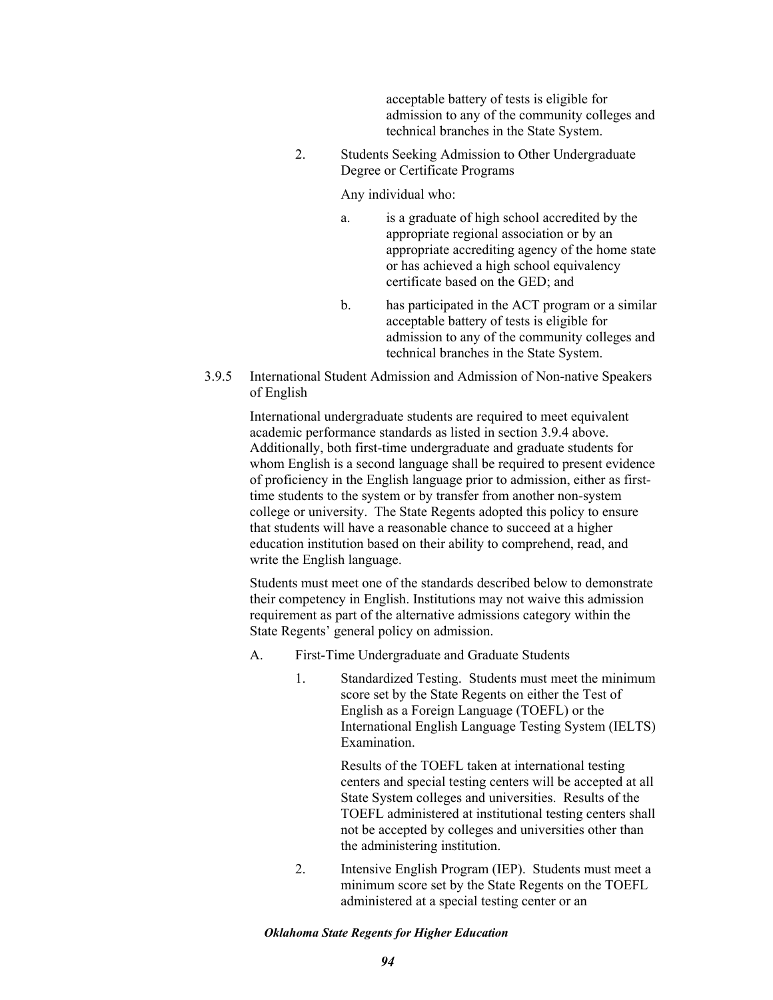acceptable battery of tests is eligible for admission to any of the community colleges and technical branches in the State System.

2. Students Seeking Admission to Other Undergraduate Degree or Certificate Programs

## Any individual who:

- a. is a graduate of high school accredited by the appropriate regional association or by an appropriate accrediting agency of the home state or has achieved a high school equivalency certificate based on the GED; and
- b. has participated in the ACT program or a similar acceptable battery of tests is eligible for admission to any of the community colleges and technical branches in the State System.
- 3.9.5 International Student Admission and Admission of Non-native Speakers of English

International undergraduate students are required to meet equivalent academic performance standards as listed in section 3.9.4 above. Additionally, both first-time undergraduate and graduate students for whom English is a second language shall be required to present evidence of proficiency in the English language prior to admission, either as firsttime students to the system or by transfer from another non-system college or university. The State Regents adopted this policy to ensure that students will have a reasonable chance to succeed at a higher education institution based on their ability to comprehend, read, and write the English language.

Students must meet one of the standards described below to demonstrate their competency in English. Institutions may not waive this admission requirement as part of the alternative admissions category within the State Regents' general policy on admission.

- A. First-Time Undergraduate and Graduate Students
	- 1. Standardized Testing. Students must meet the minimum score set by the State Regents on either the Test of English as a Foreign Language (TOEFL) or the International English Language Testing System (IELTS) Examination.

Results of the TOEFL taken at international testing centers and special testing centers will be accepted at all State System colleges and universities. Results of the TOEFL administered at institutional testing centers shall not be accepted by colleges and universities other than the administering institution.

2. Intensive English Program (IEP). Students must meet a minimum score set by the State Regents on the TOEFL administered at a special testing center or an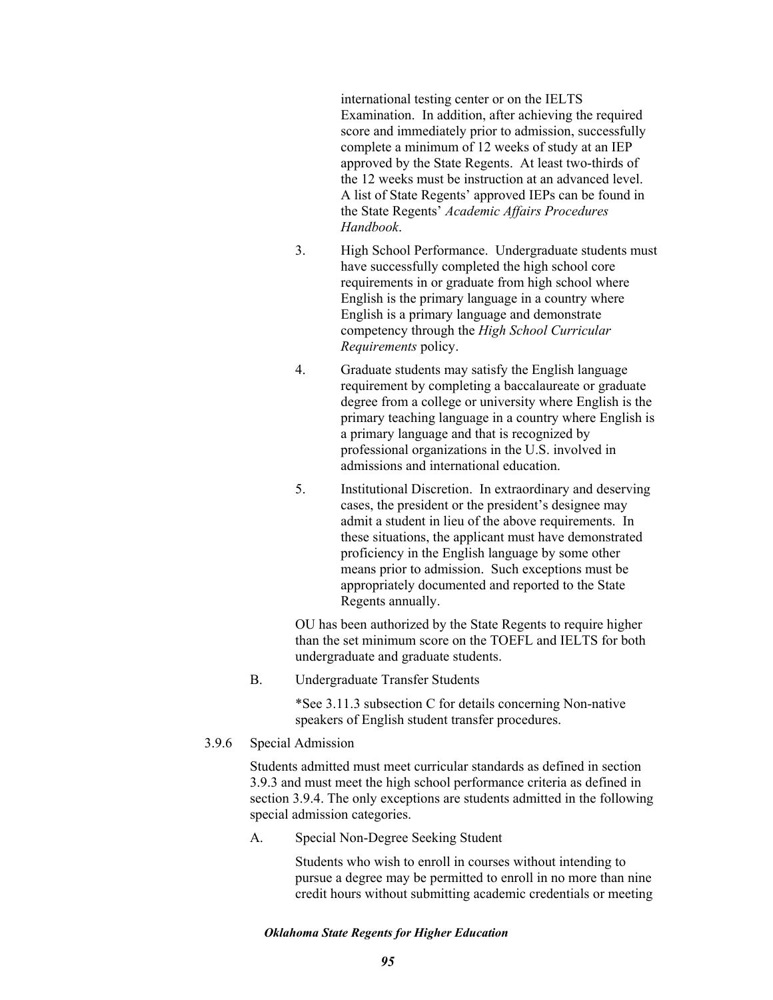international testing center or on the IELTS Examination. In addition, after achieving the required score and immediately prior to admission, successfully complete a minimum of 12 weeks of study at an IEP approved by the State Regents. At least two-thirds of the 12 weeks must be instruction at an advanced level. A list of State Regents' approved IEPs can be found in the State Regents' *Academic Affairs Procedures Handbook*.

- 3. High School Performance. Undergraduate students must have successfully completed the high school core requirements in or graduate from high school where English is the primary language in a country where English is a primary language and demonstrate competency through the *High School Curricular Requirements* policy.
- 4. Graduate students may satisfy the English language requirement by completing a baccalaureate or graduate degree from a college or university where English is the primary teaching language in a country where English is a primary language and that is recognized by professional organizations in the U.S. involved in admissions and international education.
- 5. Institutional Discretion. In extraordinary and deserving cases, the president or the president's designee may admit a student in lieu of the above requirements. In these situations, the applicant must have demonstrated proficiency in the English language by some other means prior to admission. Such exceptions must be appropriately documented and reported to the State Regents annually.

OU has been authorized by the State Regents to require higher than the set minimum score on the TOEFL and IELTS for both undergraduate and graduate students.

B. Undergraduate Transfer Students

\*See 3.11.3 subsection C for details concerning Non-native speakers of English student transfer procedures.

# 3.9.6 Special Admission

Students admitted must meet curricular standards as defined in section 3.9.3 and must meet the high school performance criteria as defined in section 3.9.4. The only exceptions are students admitted in the following special admission categories.

A. Special Non-Degree Seeking Student

Students who wish to enroll in courses without intending to pursue a degree may be permitted to enroll in no more than nine credit hours without submitting academic credentials or meeting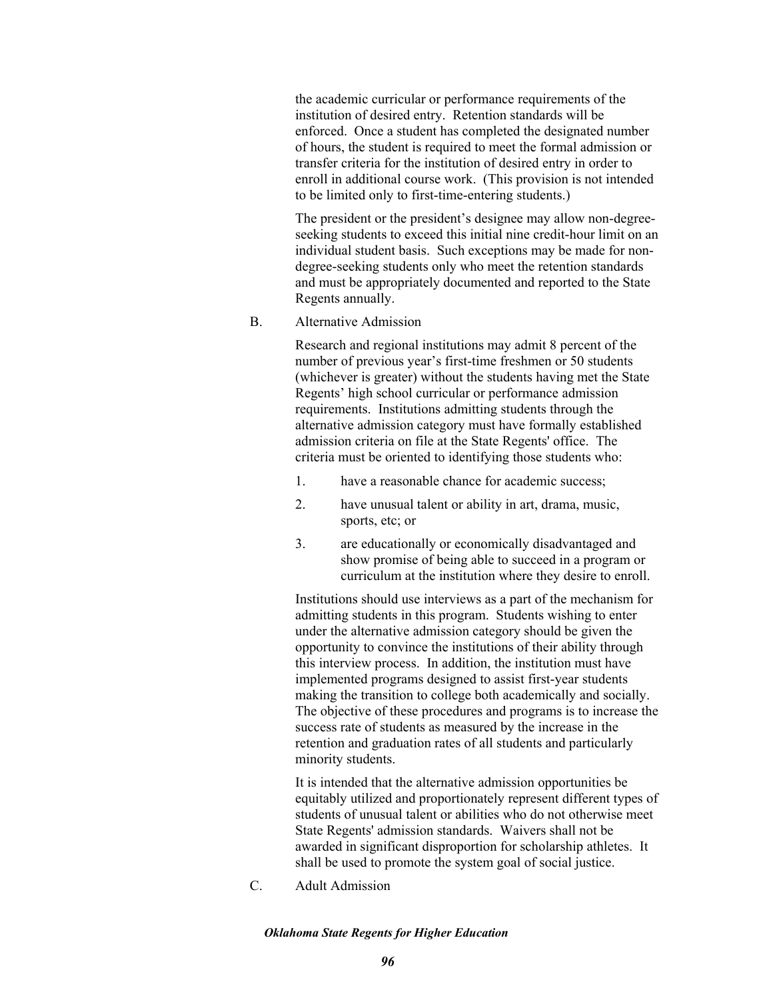the academic curricular or performance requirements of the institution of desired entry. Retention standards will be enforced. Once a student has completed the designated number of hours, the student is required to meet the formal admission or transfer criteria for the institution of desired entry in order to enroll in additional course work. (This provision is not intended to be limited only to first-time-entering students.)

The president or the president's designee may allow non-degreeseeking students to exceed this initial nine credit-hour limit on an individual student basis. Such exceptions may be made for nondegree-seeking students only who meet the retention standards and must be appropriately documented and reported to the State Regents annually.

B. Alternative Admission

Research and regional institutions may admit 8 percent of the number of previous year's first-time freshmen or 50 students (whichever is greater) without the students having met the State Regents' high school curricular or performance admission requirements. Institutions admitting students through the alternative admission category must have formally established admission criteria on file at the State Regents' office. The criteria must be oriented to identifying those students who:

- 1. have a reasonable chance for academic success;
- 2. have unusual talent or ability in art, drama, music, sports, etc; or
- 3. are educationally or economically disadvantaged and show promise of being able to succeed in a program or curriculum at the institution where they desire to enroll.

Institutions should use interviews as a part of the mechanism for admitting students in this program. Students wishing to enter under the alternative admission category should be given the opportunity to convince the institutions of their ability through this interview process. In addition, the institution must have implemented programs designed to assist first-year students making the transition to college both academically and socially. The objective of these procedures and programs is to increase the success rate of students as measured by the increase in the retention and graduation rates of all students and particularly minority students.

It is intended that the alternative admission opportunities be equitably utilized and proportionately represent different types of students of unusual talent or abilities who do not otherwise meet State Regents' admission standards. Waivers shall not be awarded in significant disproportion for scholarship athletes. It shall be used to promote the system goal of social justice.

C. Adult Admission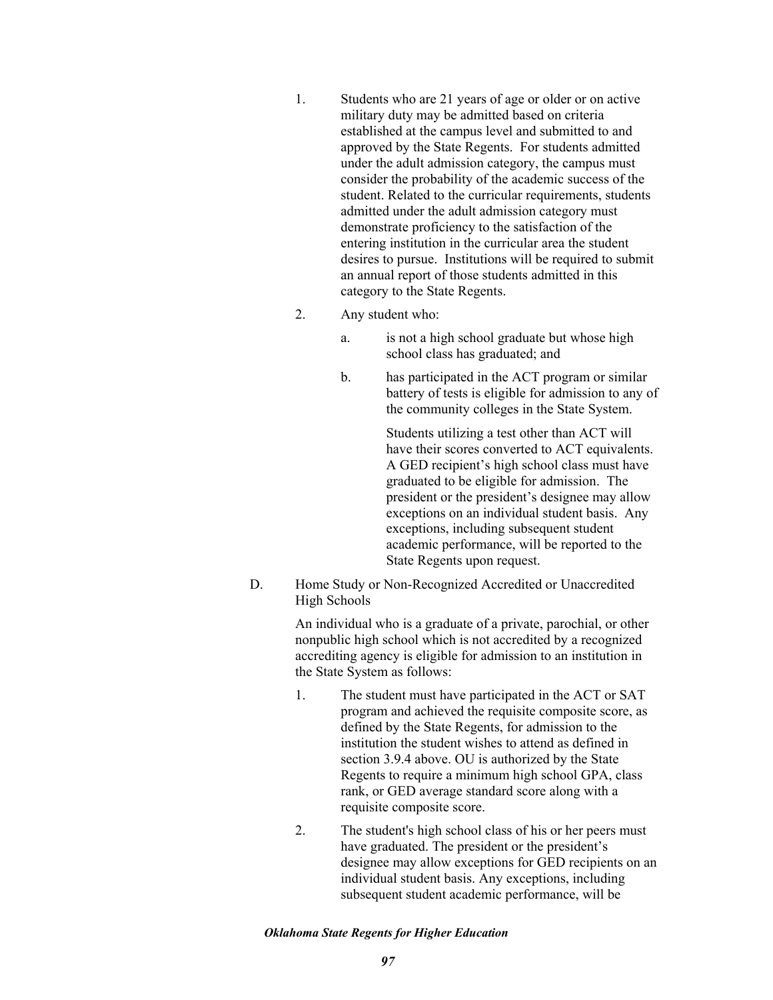- 1. Students who are 21 years of age or older or on active military duty may be admitted based on criteria established at the campus level and submitted to and approved by the State Regents. For students admitted under the adult admission category, the campus must consider the probability of the academic success of the student. Related to the curricular requirements, students admitted under the adult admission category must demonstrate proficiency to the satisfaction of the entering institution in the curricular area the student desires to pursue. Institutions will be required to submit an annual report of those students admitted in this category to the State Regents.
- 2. Any student who:
	- a. is not a high school graduate but whose high school class has graduated; and
	- b. has participated in the ACT program or similar battery of tests is eligible for admission to any of the community colleges in the State System.

Students utilizing a test other than ACT will have their scores converted to ACT equivalents. A GED recipient's high school class must have graduated to be eligible for admission. The president or the president's designee may allow exceptions on an individual student basis. Any exceptions, including subsequent student academic performance, will be reported to the State Regents upon request.

D. Home Study or Non-Recognized Accredited or Unaccredited High Schools

> An individual who is a graduate of a private, parochial, or other nonpublic high school which is not accredited by a recognized accrediting agency is eligible for admission to an institution in the State System as follows:

- 1. The student must have participated in the ACT or SAT program and achieved the requisite composite score, as defined by the State Regents, for admission to the institution the student wishes to attend as defined in section 3.9.4 above. OU is authorized by the State Regents to require a minimum high school GPA, class rank, or GED average standard score along with a requisite composite score.
- 2. The student's high school class of his or her peers must have graduated. The president or the president's designee may allow exceptions for GED recipients on an individual student basis. Any exceptions, including subsequent student academic performance, will be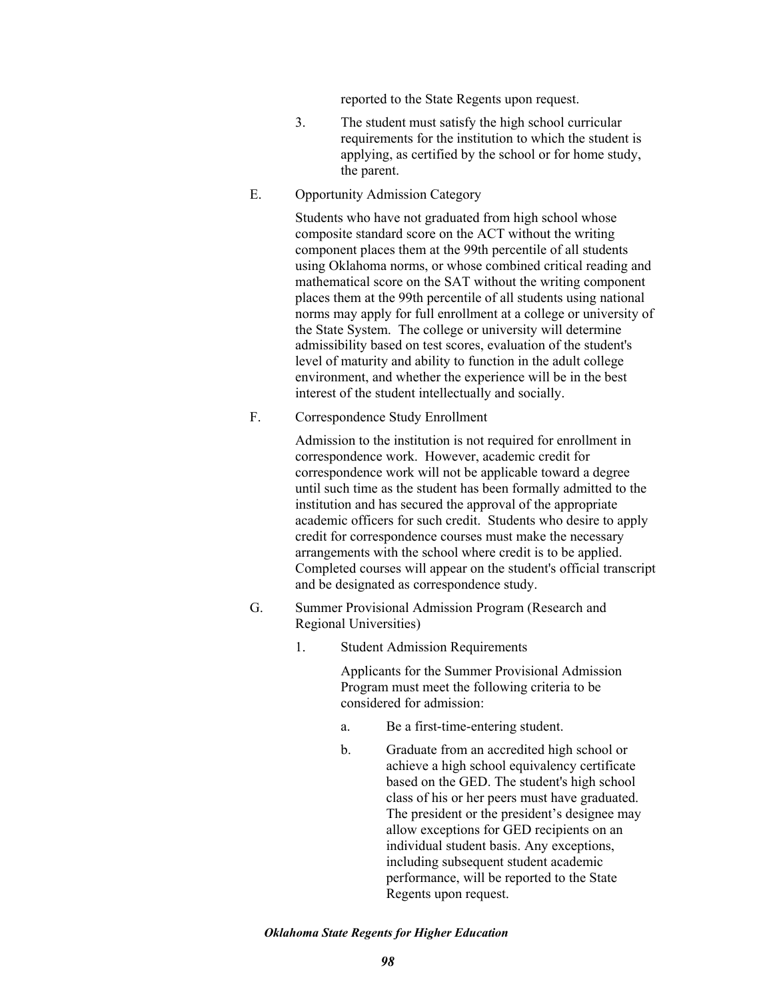reported to the State Regents upon request.

- 3. The student must satisfy the high school curricular requirements for the institution to which the student is applying, as certified by the school or for home study, the parent.
- E. Opportunity Admission Category

Students who have not graduated from high school whose composite standard score on the ACT without the writing component places them at the 99th percentile of all students using Oklahoma norms, or whose combined critical reading and mathematical score on the SAT without the writing component places them at the 99th percentile of all students using national norms may apply for full enrollment at a college or university of the State System. The college or university will determine admissibility based on test scores, evaluation of the student's level of maturity and ability to function in the adult college environment, and whether the experience will be in the best interest of the student intellectually and socially.

F. Correspondence Study Enrollment

Admission to the institution is not required for enrollment in correspondence work. However, academic credit for correspondence work will not be applicable toward a degree until such time as the student has been formally admitted to the institution and has secured the approval of the appropriate academic officers for such credit. Students who desire to apply credit for correspondence courses must make the necessary arrangements with the school where credit is to be applied. Completed courses will appear on the student's official transcript and be designated as correspondence study.

- G. Summer Provisional Admission Program (Research and Regional Universities)
	- 1. Student Admission Requirements

Applicants for the Summer Provisional Admission Program must meet the following criteria to be considered for admission:

- a. Be a first-time-entering student.
- b. Graduate from an accredited high school or achieve a high school equivalency certificate based on the GED. The student's high school class of his or her peers must have graduated. The president or the president's designee may allow exceptions for GED recipients on an individual student basis. Any exceptions, including subsequent student academic performance, will be reported to the State Regents upon request.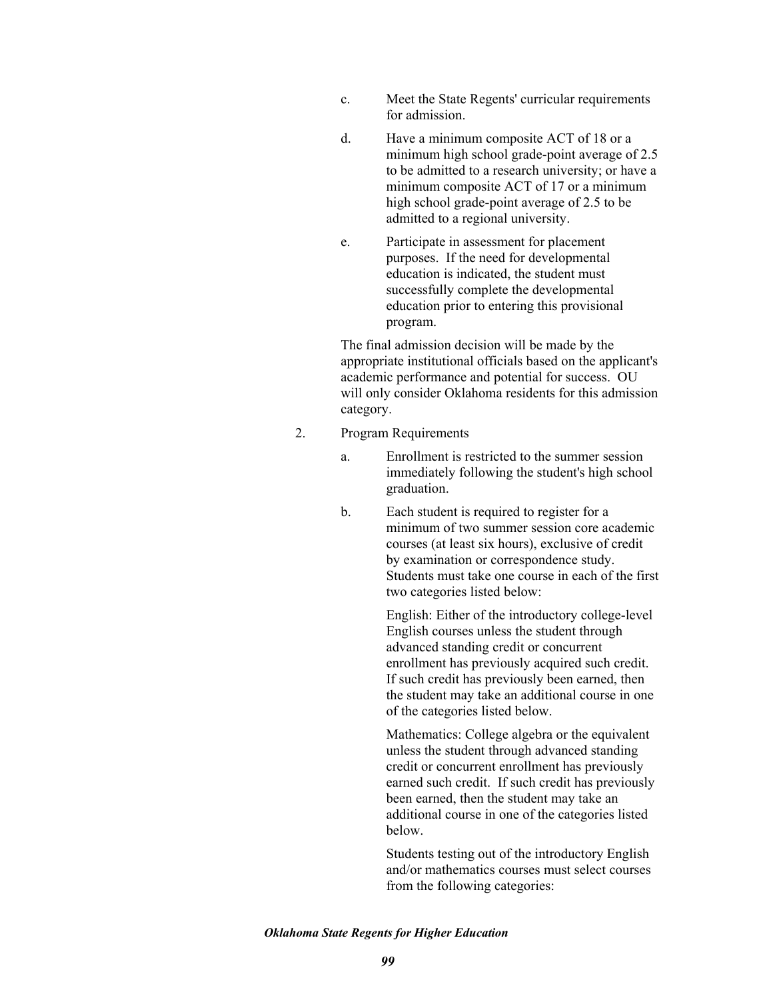- c. Meet the State Regents' curricular requirements for admission.
- d. Have a minimum composite ACT of 18 or a minimum high school grade-point average of 2.5 to be admitted to a research university; or have a minimum composite ACT of 17 or a minimum high school grade-point average of 2.5 to be admitted to a regional university.
- e. Participate in assessment for placement purposes. If the need for developmental education is indicated, the student must successfully complete the developmental education prior to entering this provisional program.

The final admission decision will be made by the appropriate institutional officials based on the applicant's academic performance and potential for success. OU will only consider Oklahoma residents for this admission category.

- 2. Program Requirements
	- a. Enrollment is restricted to the summer session immediately following the student's high school graduation.
	- b. Each student is required to register for a minimum of two summer session core academic courses (at least six hours), exclusive of credit by examination or correspondence study. Students must take one course in each of the first two categories listed below:

English: Either of the introductory college-level English courses unless the student through advanced standing credit or concurrent enrollment has previously acquired such credit. If such credit has previously been earned, then the student may take an additional course in one of the categories listed below.

Mathematics: College algebra or the equivalent unless the student through advanced standing credit or concurrent enrollment has previously earned such credit. If such credit has previously been earned, then the student may take an additional course in one of the categories listed below.

Students testing out of the introductory English and/or mathematics courses must select courses from the following categories: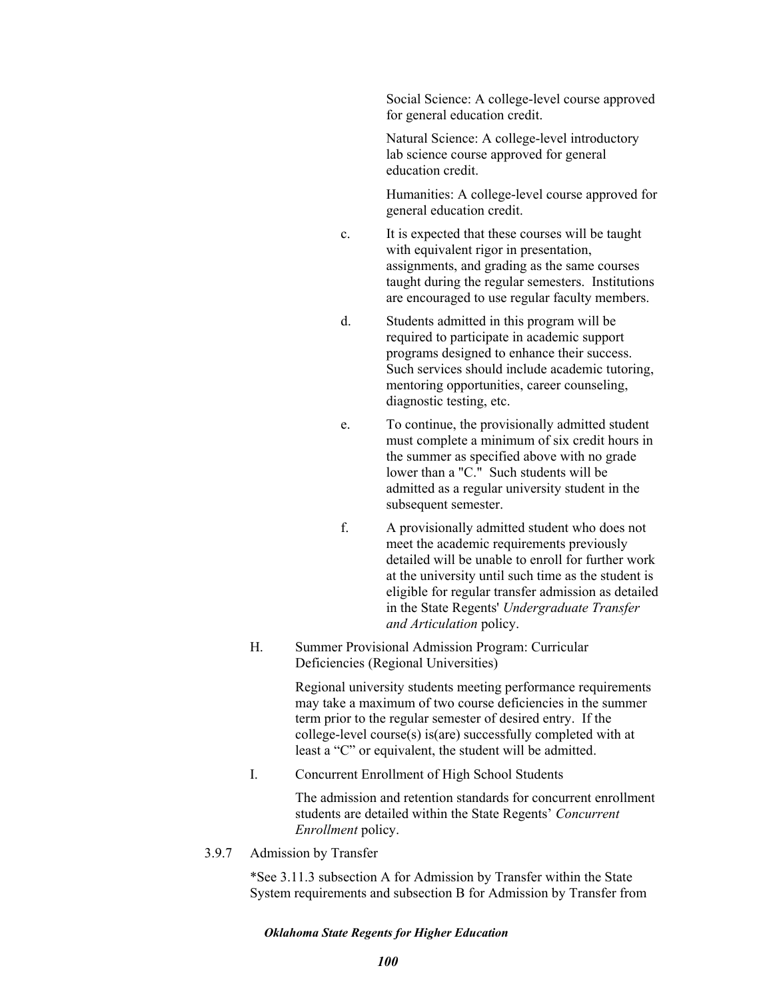Social Science: A college-level course approved for general education credit.

Natural Science: A college-level introductory lab science course approved for general education credit.

Humanities: A college-level course approved for general education credit.

- c. It is expected that these courses will be taught with equivalent rigor in presentation, assignments, and grading as the same courses taught during the regular semesters. Institutions are encouraged to use regular faculty members.
- d. Students admitted in this program will be required to participate in academic support programs designed to enhance their success. Such services should include academic tutoring, mentoring opportunities, career counseling, diagnostic testing, etc.
- e. To continue, the provisionally admitted student must complete a minimum of six credit hours in the summer as specified above with no grade lower than a "C." Such students will be admitted as a regular university student in the subsequent semester.
- f. A provisionally admitted student who does not meet the academic requirements previously detailed will be unable to enroll for further work at the university until such time as the student is eligible for regular transfer admission as detailed in the State Regents' *Undergraduate Transfer and Articulation* policy.
- H. Summer Provisional Admission Program: Curricular Deficiencies (Regional Universities)

Regional university students meeting performance requirements may take a maximum of two course deficiencies in the summer term prior to the regular semester of desired entry. If the college-level course(s) is(are) successfully completed with at least a "C" or equivalent, the student will be admitted.

I. Concurrent Enrollment of High School Students

The admission and retention standards for concurrent enrollment students are detailed within the State Regents' *Concurrent Enrollment* policy.

3.9.7 Admission by Transfer

\*See 3.11.3 subsection A for Admission by Transfer within the State System requirements and subsection B for Admission by Transfer from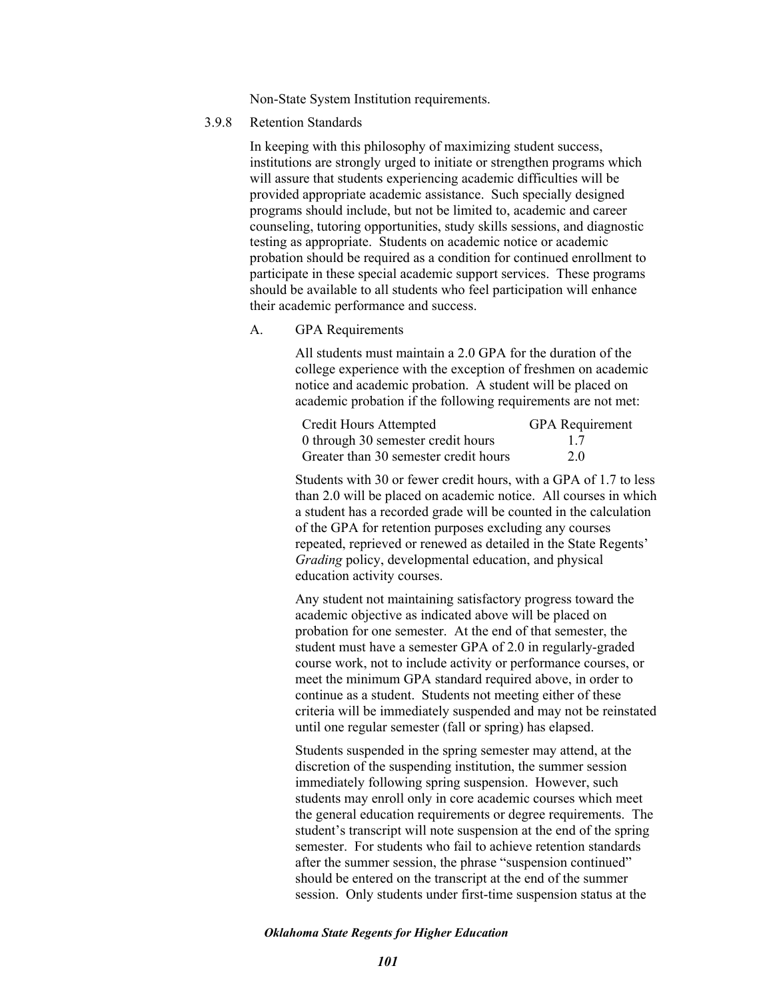Non-State System Institution requirements.

3.9.8 Retention Standards

In keeping with this philosophy of maximizing student success, institutions are strongly urged to initiate or strengthen programs which will assure that students experiencing academic difficulties will be provided appropriate academic assistance. Such specially designed programs should include, but not be limited to, academic and career counseling, tutoring opportunities, study skills sessions, and diagnostic testing as appropriate. Students on academic notice or academic probation should be required as a condition for continued enrollment to participate in these special academic support services. These programs should be available to all students who feel participation will enhance their academic performance and success.

A. GPA Requirements

All students must maintain a 2.0 GPA for the duration of the college experience with the exception of freshmen on academic notice and academic probation. A student will be placed on academic probation if the following requirements are not met:

| <b>Credit Hours Attempted</b>         | <b>GPA</b> Requirement |
|---------------------------------------|------------------------|
| 0 through 30 semester credit hours    | 17                     |
| Greater than 30 semester credit hours | 2.0                    |

Students with 30 or fewer credit hours, with a GPA of 1.7 to less than 2.0 will be placed on academic notice. All courses in which a student has a recorded grade will be counted in the calculation of the GPA for retention purposes excluding any courses repeated, reprieved or renewed as detailed in the State Regents' *Grading* policy, developmental education, and physical education activity courses.

Any student not maintaining satisfactory progress toward the academic objective as indicated above will be placed on probation for one semester. At the end of that semester, the student must have a semester GPA of 2.0 in regularly-graded course work, not to include activity or performance courses, or meet the minimum GPA standard required above, in order to continue as a student. Students not meeting either of these criteria will be immediately suspended and may not be reinstated until one regular semester (fall or spring) has elapsed.

Students suspended in the spring semester may attend, at the discretion of the suspending institution, the summer session immediately following spring suspension. However, such students may enroll only in core academic courses which meet the general education requirements or degree requirements. The student's transcript will note suspension at the end of the spring semester. For students who fail to achieve retention standards after the summer session, the phrase "suspension continued" should be entered on the transcript at the end of the summer session. Only students under first-time suspension status at the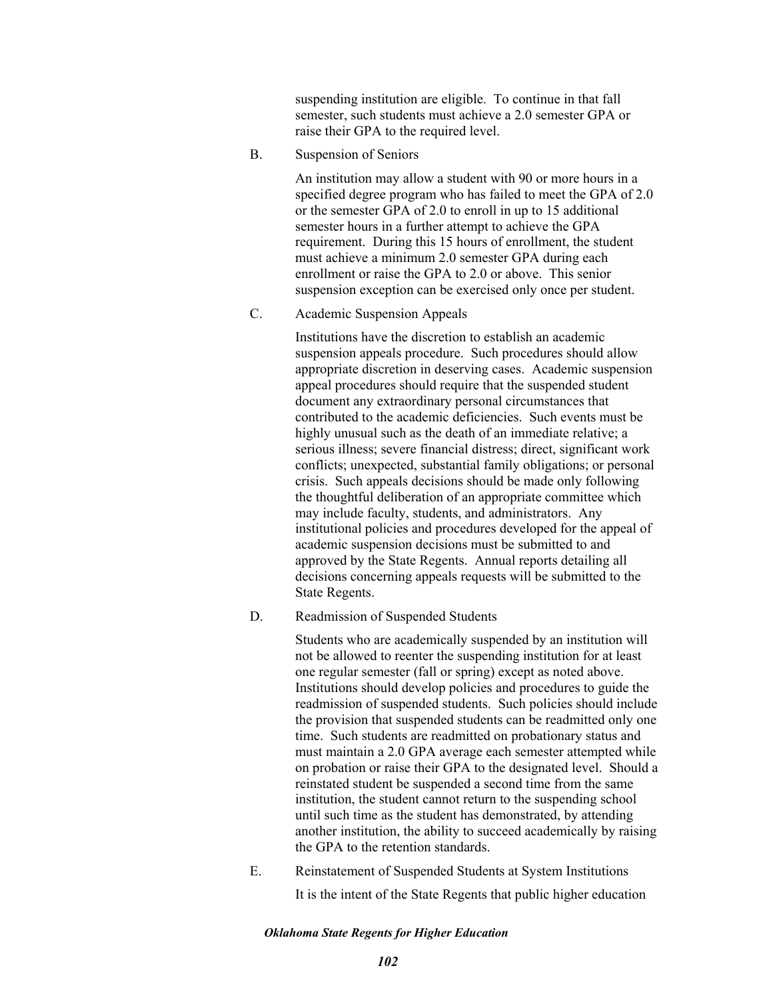suspending institution are eligible. To continue in that fall semester, such students must achieve a 2.0 semester GPA or raise their GPA to the required level.

B. Suspension of Seniors

An institution may allow a student with 90 or more hours in a specified degree program who has failed to meet the GPA of 2.0 or the semester GPA of 2.0 to enroll in up to 15 additional semester hours in a further attempt to achieve the GPA requirement. During this 15 hours of enrollment, the student must achieve a minimum 2.0 semester GPA during each enrollment or raise the GPA to 2.0 or above. This senior suspension exception can be exercised only once per student.

C. Academic Suspension Appeals

Institutions have the discretion to establish an academic suspension appeals procedure. Such procedures should allow appropriate discretion in deserving cases. Academic suspension appeal procedures should require that the suspended student document any extraordinary personal circumstances that contributed to the academic deficiencies. Such events must be highly unusual such as the death of an immediate relative; a serious illness; severe financial distress; direct, significant work conflicts; unexpected, substantial family obligations; or personal crisis. Such appeals decisions should be made only following the thoughtful deliberation of an appropriate committee which may include faculty, students, and administrators. Any institutional policies and procedures developed for the appeal of academic suspension decisions must be submitted to and approved by the State Regents. Annual reports detailing all decisions concerning appeals requests will be submitted to the State Regents.

D. Readmission of Suspended Students

Students who are academically suspended by an institution will not be allowed to reenter the suspending institution for at least one regular semester (fall or spring) except as noted above. Institutions should develop policies and procedures to guide the readmission of suspended students. Such policies should include the provision that suspended students can be readmitted only one time. Such students are readmitted on probationary status and must maintain a 2.0 GPA average each semester attempted while on probation or raise their GPA to the designated level. Should a reinstated student be suspended a second time from the same institution, the student cannot return to the suspending school until such time as the student has demonstrated, by attending another institution, the ability to succeed academically by raising the GPA to the retention standards.

E. Reinstatement of Suspended Students at System Institutions It is the intent of the State Regents that public higher education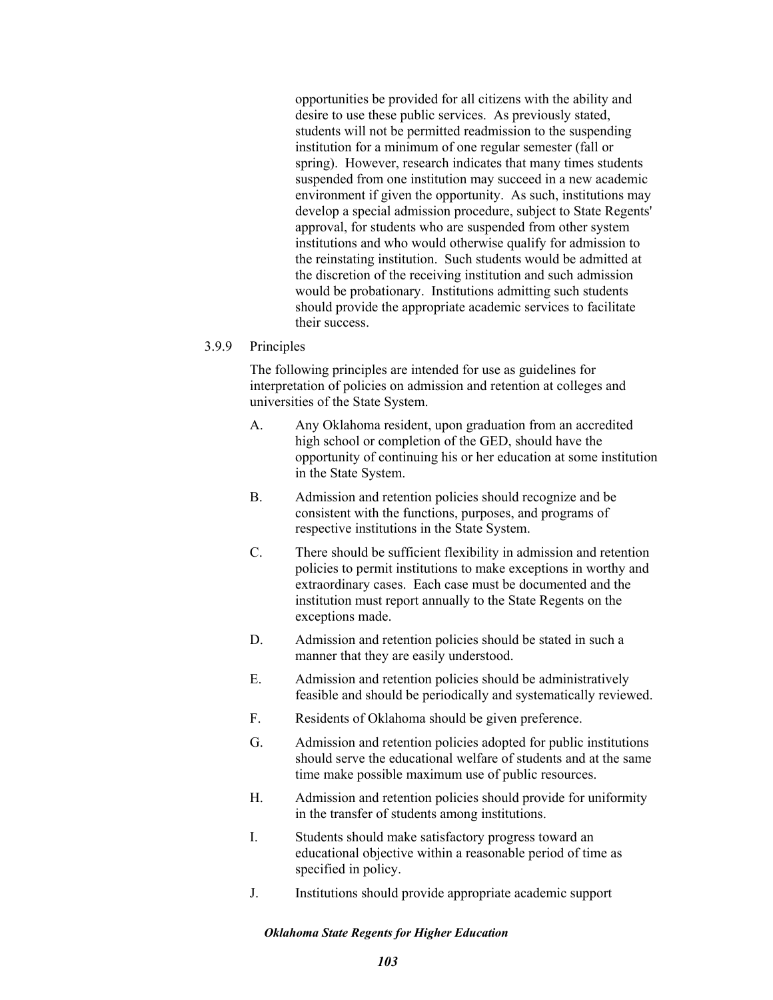opportunities be provided for all citizens with the ability and desire to use these public services. As previously stated, students will not be permitted readmission to the suspending institution for a minimum of one regular semester (fall or spring). However, research indicates that many times students suspended from one institution may succeed in a new academic environment if given the opportunity. As such, institutions may develop a special admission procedure, subject to State Regents' approval, for students who are suspended from other system institutions and who would otherwise qualify for admission to the reinstating institution. Such students would be admitted at the discretion of the receiving institution and such admission would be probationary. Institutions admitting such students should provide the appropriate academic services to facilitate their success.

## 3.9.9 Principles

The following principles are intended for use as guidelines for interpretation of policies on admission and retention at colleges and universities of the State System.

- A. Any Oklahoma resident, upon graduation from an accredited high school or completion of the GED, should have the opportunity of continuing his or her education at some institution in the State System.
- B. Admission and retention policies should recognize and be consistent with the functions, purposes, and programs of respective institutions in the State System.
- C. There should be sufficient flexibility in admission and retention policies to permit institutions to make exceptions in worthy and extraordinary cases. Each case must be documented and the institution must report annually to the State Regents on the exceptions made.
- D. Admission and retention policies should be stated in such a manner that they are easily understood.
- E. Admission and retention policies should be administratively feasible and should be periodically and systematically reviewed.
- F. Residents of Oklahoma should be given preference.
- G. Admission and retention policies adopted for public institutions should serve the educational welfare of students and at the same time make possible maximum use of public resources.
- H. Admission and retention policies should provide for uniformity in the transfer of students among institutions.
- I. Students should make satisfactory progress toward an educational objective within a reasonable period of time as specified in policy.
- J. Institutions should provide appropriate academic support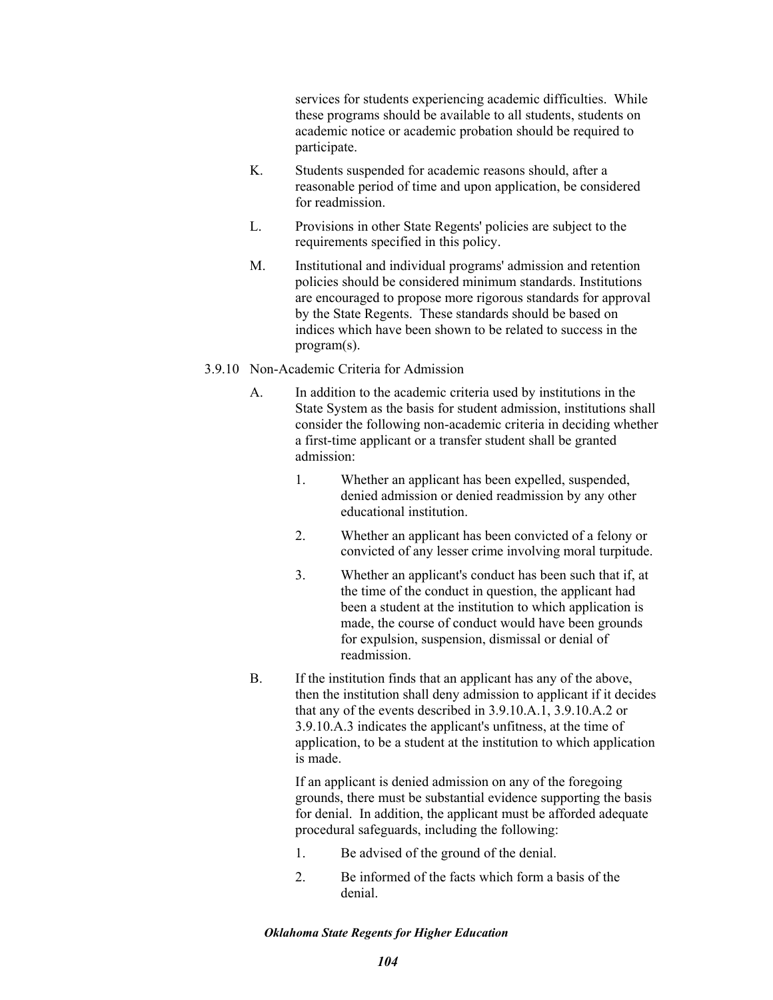services for students experiencing academic difficulties. While these programs should be available to all students, students on academic notice or academic probation should be required to participate.

- K. Students suspended for academic reasons should, after a reasonable period of time and upon application, be considered for readmission.
- L. Provisions in other State Regents' policies are subject to the requirements specified in this policy.
- M. Institutional and individual programs' admission and retention policies should be considered minimum standards. Institutions are encouraged to propose more rigorous standards for approval by the State Regents. These standards should be based on indices which have been shown to be related to success in the program(s).

## 3.9.10 Non-Academic Criteria for Admission

- A. In addition to the academic criteria used by institutions in the State System as the basis for student admission, institutions shall consider the following non-academic criteria in deciding whether a first-time applicant or a transfer student shall be granted admission:
	- 1. Whether an applicant has been expelled, suspended, denied admission or denied readmission by any other educational institution.
	- 2. Whether an applicant has been convicted of a felony or convicted of any lesser crime involving moral turpitude.
	- 3. Whether an applicant's conduct has been such that if, at the time of the conduct in question, the applicant had been a student at the institution to which application is made, the course of conduct would have been grounds for expulsion, suspension, dismissal or denial of readmission.
- B. If the institution finds that an applicant has any of the above, then the institution shall deny admission to applicant if it decides that any of the events described in 3.9.10.A.1, 3.9.10.A.2 or 3.9.10.A.3 indicates the applicant's unfitness, at the time of application, to be a student at the institution to which application is made.

If an applicant is denied admission on any of the foregoing grounds, there must be substantial evidence supporting the basis for denial. In addition, the applicant must be afforded adequate procedural safeguards, including the following:

- 1. Be advised of the ground of the denial.
- 2. Be informed of the facts which form a basis of the denial.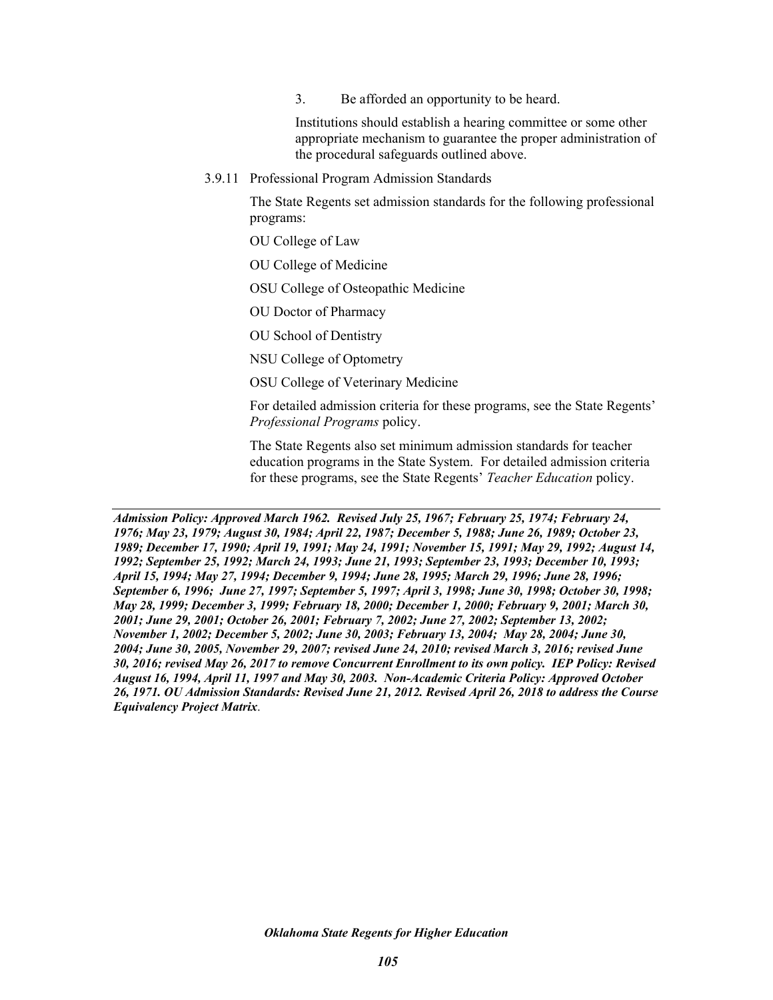3. Be afforded an opportunity to be heard.

Institutions should establish a hearing committee or some other appropriate mechanism to guarantee the proper administration of the procedural safeguards outlined above.

3.9.11 Professional Program Admission Standards

The State Regents set admission standards for the following professional programs:

OU College of Law

OU College of Medicine

OSU College of Osteopathic Medicine

OU Doctor of Pharmacy

OU School of Dentistry

NSU College of Optometry

OSU College of Veterinary Medicine

For detailed admission criteria for these programs, see the State Regents' *Professional Programs* policy.

The State Regents also set minimum admission standards for teacher education programs in the State System. For detailed admission criteria for these programs, see the State Regents' *Teacher Education* policy.

*Admission Policy: Approved March 1962. Revised July 25, 1967; February 25, 1974; February 24, 1976; May 23, 1979; August 30, 1984; April 22, 1987; December 5, 1988; June 26, 1989; October 23, 1989; December 17, 1990; April 19, 1991; May 24, 1991; November 15, 1991; May 29, 1992; August 14, 1992; September 25, 1992; March 24, 1993; June 21, 1993; September 23, 1993; December 10, 1993; April 15, 1994; May 27, 1994; December 9, 1994; June 28, 1995; March 29, 1996; June 28, 1996; September 6, 1996; June 27, 1997; September 5, 1997; April 3, 1998; June 30, 1998; October 30, 1998; May 28, 1999; December 3, 1999; February 18, 2000; December 1, 2000; February 9, 2001; March 30, 2001; June 29, 2001; October 26, 2001; February 7, 2002; June 27, 2002; September 13, 2002; November 1, 2002; December 5, 2002; June 30, 2003; February 13, 2004; May 28, 2004; June 30, 2004; June 30, 2005, November 29, 2007; revised June 24, 2010; revised March 3, 2016; revised June 30, 2016; revised May 26, 2017 to remove Concurrent Enrollment to its own policy. IEP Policy: Revised August 16, 1994, April 11, 1997 and May 30, 2003. Non-Academic Criteria Policy: Approved October 26, 1971. OU Admission Standards: Revised June 21, 2012. Revised April 26, 2018 to address the Course Equivalency Project Matrix*.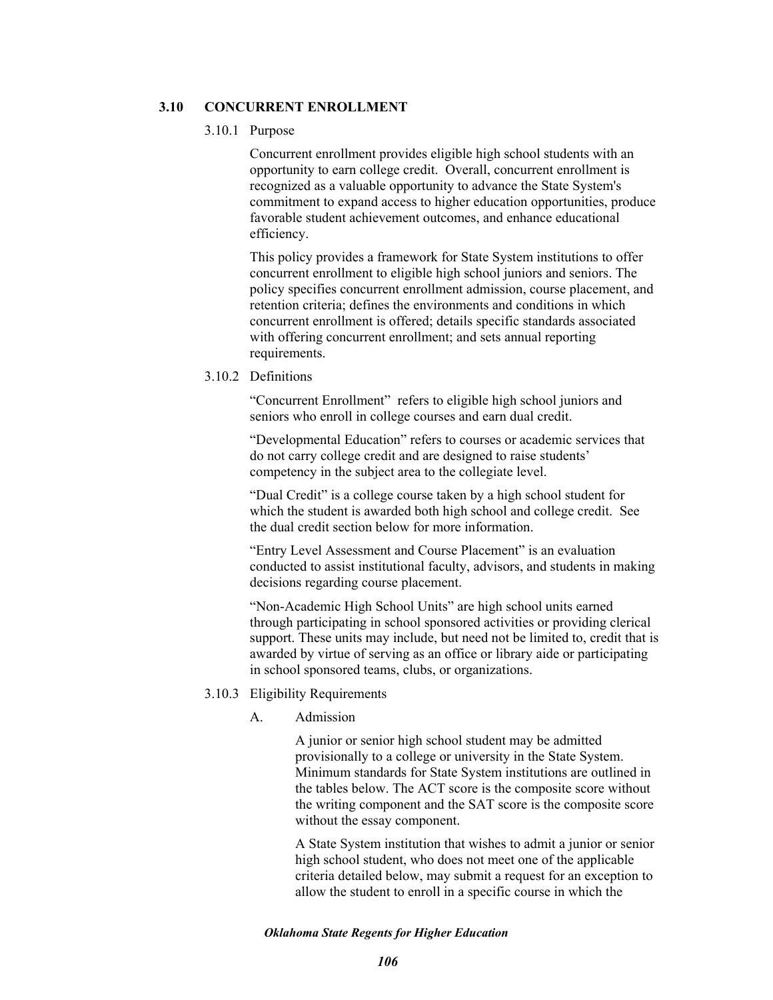## **3.10 CONCURRENT ENROLLMENT**

#### 3.10.1 Purpose

Concurrent enrollment provides eligible high school students with an opportunity to earn college credit. Overall, concurrent enrollment is recognized as a valuable opportunity to advance the State System's commitment to expand access to higher education opportunities, produce favorable student achievement outcomes, and enhance educational efficiency.

This policy provides a framework for State System institutions to offer concurrent enrollment to eligible high school juniors and seniors. The policy specifies concurrent enrollment admission, course placement, and retention criteria; defines the environments and conditions in which concurrent enrollment is offered; details specific standards associated with offering concurrent enrollment; and sets annual reporting requirements.

## 3.10.2 Definitions

"Concurrent Enrollment" refers to eligible high school juniors and seniors who enroll in college courses and earn dual credit.

"Developmental Education" refers to courses or academic services that do not carry college credit and are designed to raise students' competency in the subject area to the collegiate level.

"Dual Credit" is a college course taken by a high school student for which the student is awarded both high school and college credit. See the dual credit section below for more information.

"Entry Level Assessment and Course Placement" is an evaluation conducted to assist institutional faculty, advisors, and students in making decisions regarding course placement.

"Non-Academic High School Units" are high school units earned through participating in school sponsored activities or providing clerical support. These units may include, but need not be limited to, credit that is awarded by virtue of serving as an office or library aide or participating in school sponsored teams, clubs, or organizations.

## 3.10.3 Eligibility Requirements

A. Admission

A junior or senior high school student may be admitted provisionally to a college or university in the State System. Minimum standards for State System institutions are outlined in the tables below. The ACT score is the composite score without the writing component and the SAT score is the composite score without the essay component.

A State System institution that wishes to admit a junior or senior high school student, who does not meet one of the applicable criteria detailed below, may submit a request for an exception to allow the student to enroll in a specific course in which the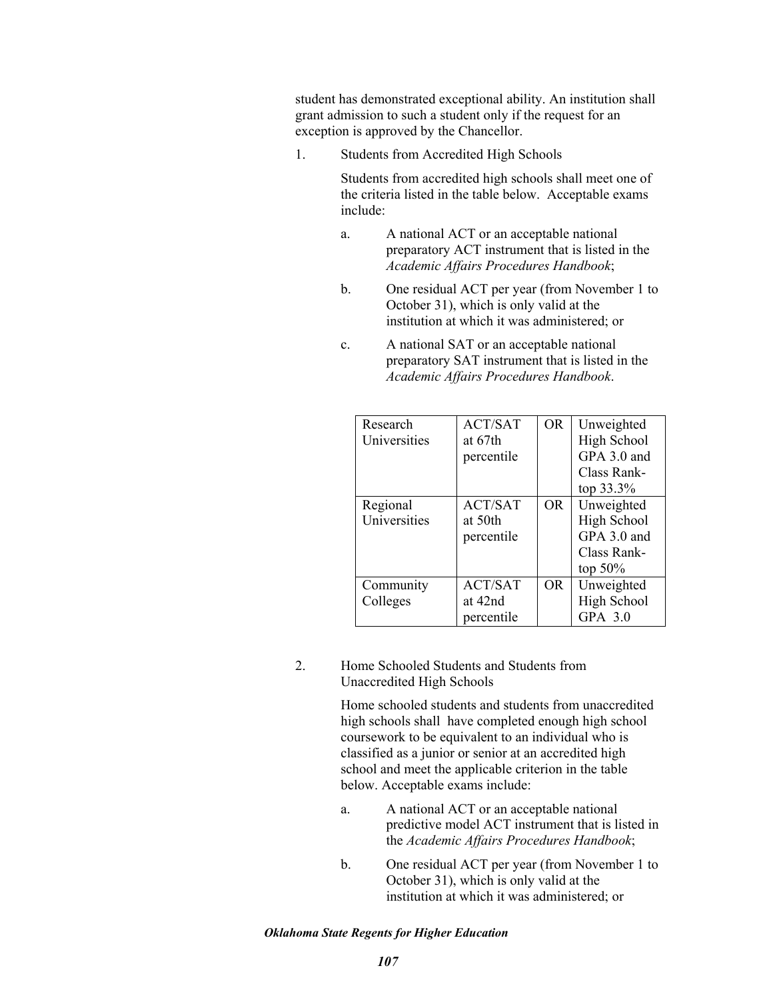student has demonstrated exceptional ability. An institution shall grant admission to such a student only if the request for an exception is approved by the Chancellor.

1. Students from Accredited High Schools

Students from accredited high schools shall meet one of the criteria listed in the table below. Acceptable exams include:

- a. A national ACT or an acceptable national preparatory ACT instrument that is listed in the *Academic Affairs Procedures Handbook*;
- b. One residual ACT per year (from November 1 to October 31), which is only valid at the institution at which it was administered; or
- c. A national SAT or an acceptable national preparatory SAT instrument that is listed in the *Academic Affairs Procedures Handbook*.

| Research<br>Universities | ACT/SAT<br>at 67th<br>percentile        | OR.       | Unweighted<br>High School<br>GPA 3.0 and<br>Class Rank-<br>top $33.3%$ |
|--------------------------|-----------------------------------------|-----------|------------------------------------------------------------------------|
| Regional<br>Universities | <b>ACT/SAT</b><br>at 50th<br>percentile | <b>OR</b> | Unweighted<br>High School<br>GPA 3.0 and<br>Class Rank-<br>top $50\%$  |
| Community<br>Colleges    | <b>ACT/SAT</b><br>at 42nd<br>percentile | OR.       | Unweighted<br>High School<br>GPA 3.0                                   |

2. Home Schooled Students and Students from Unaccredited High Schools

> Home schooled students and students from unaccredited high schools shall have completed enough high school coursework to be equivalent to an individual who is classified as a junior or senior at an accredited high school and meet the applicable criterion in the table below. Acceptable exams include:

- a. A national ACT or an acceptable national predictive model ACT instrument that is listed in the *Academic Affairs Procedures Handbook*;
- b. One residual ACT per year (from November 1 to October 31), which is only valid at the institution at which it was administered; or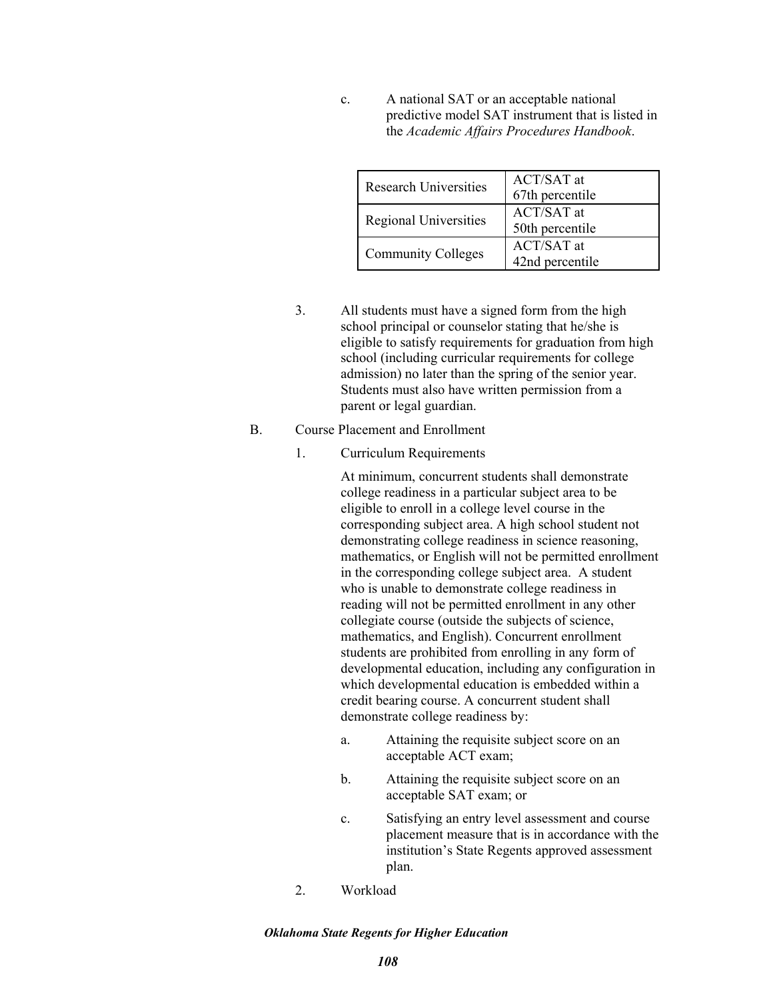c. A national SAT or an acceptable national predictive model SAT instrument that is listed in the *Academic Affairs Procedures Handbook*.

| <b>Research Universities</b> | <b>ACT/SAT</b> at<br>67th percentile |
|------------------------------|--------------------------------------|
| <b>Regional Universities</b> | ACT/SAT at<br>50th percentile        |
| <b>Community Colleges</b>    | <b>ACT/SAT</b> at<br>42nd percentile |

- 3. All students must have a signed form from the high school principal or counselor stating that he/she is eligible to satisfy requirements for graduation from high school (including curricular requirements for college admission) no later than the spring of the senior year. Students must also have written permission from a parent or legal guardian.
- B. Course Placement and Enrollment
	- 1. Curriculum Requirements

At minimum, concurrent students shall demonstrate college readiness in a particular subject area to be eligible to enroll in a college level course in the corresponding subject area. A high school student not demonstrating college readiness in science reasoning, mathematics, or English will not be permitted enrollment in the corresponding college subject area. A student who is unable to demonstrate college readiness in reading will not be permitted enrollment in any other collegiate course (outside the subjects of science, mathematics, and English). Concurrent enrollment students are prohibited from enrolling in any form of developmental education, including any configuration in which developmental education is embedded within a credit bearing course. A concurrent student shall demonstrate college readiness by:

- a. Attaining the requisite subject score on an acceptable ACT exam;
- b. Attaining the requisite subject score on an acceptable SAT exam; or
- c. Satisfying an entry level assessment and course placement measure that is in accordance with the institution's State Regents approved assessment plan.
- 2. Workload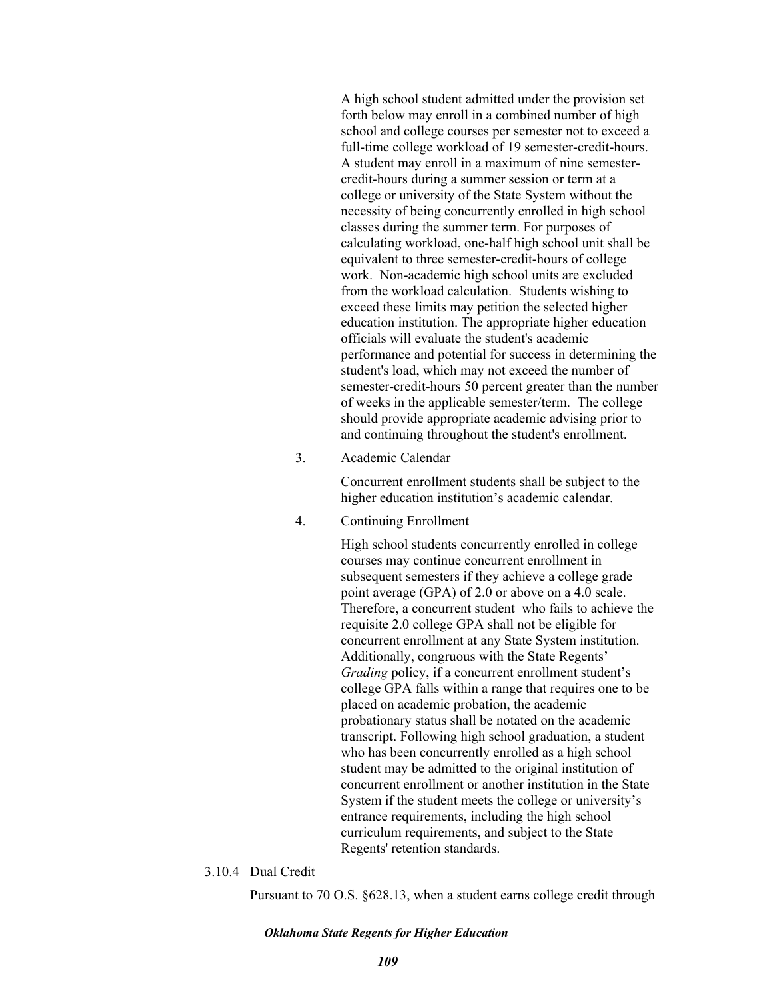A high school student admitted under the provision set forth below may enroll in a combined number of high school and college courses per semester not to exceed a full-time college workload of 19 semester-credit-hours. A student may enroll in a maximum of nine semestercredit-hours during a summer session or term at a college or university of the State System without the necessity of being concurrently enrolled in high school classes during the summer term. For purposes of calculating workload, one-half high school unit shall be equivalent to three semester-credit-hours of college work. Non-academic high school units are excluded from the workload calculation. Students wishing to exceed these limits may petition the selected higher education institution. The appropriate higher education officials will evaluate the student's academic performance and potential for success in determining the student's load, which may not exceed the number of semester-credit-hours 50 percent greater than the number of weeks in the applicable semester/term. The college should provide appropriate academic advising prior to and continuing throughout the student's enrollment.

3. Academic Calendar

Concurrent enrollment students shall be subject to the higher education institution's academic calendar.

4. Continuing Enrollment

High school students concurrently enrolled in college courses may continue concurrent enrollment in subsequent semesters if they achieve a college grade point average (GPA) of 2.0 or above on a 4.0 scale. Therefore, a concurrent student who fails to achieve the requisite 2.0 college GPA shall not be eligible for concurrent enrollment at any State System institution. Additionally, congruous with the State Regents' *Grading* policy, if a concurrent enrollment student's college GPA falls within a range that requires one to be placed on academic probation, the academic probationary status shall be notated on the academic transcript. Following high school graduation, a student who has been concurrently enrolled as a high school student may be admitted to the original institution of concurrent enrollment or another institution in the State System if the student meets the college or university's entrance requirements, including the high school curriculum requirements, and subject to the State Regents' retention standards.

### 3.10.4 Dual Credit

Pursuant to 70 O.S. §628.13, when a student earns college credit through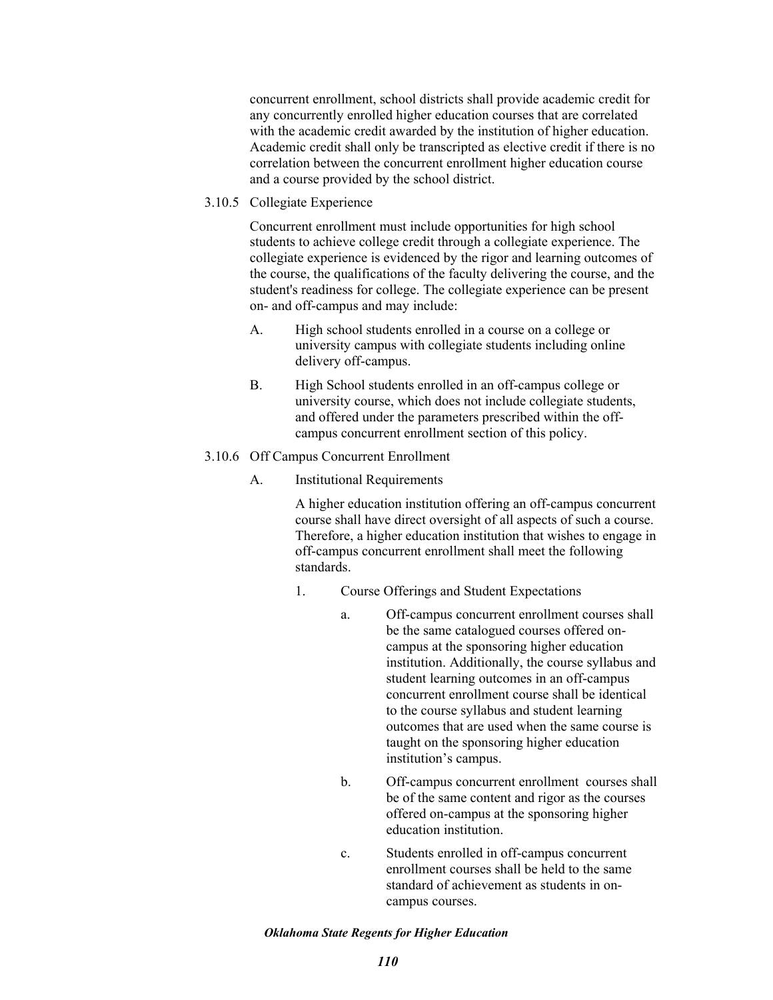concurrent enrollment, school districts shall provide academic credit for any concurrently enrolled higher education courses that are correlated with the academic credit awarded by the institution of higher education. Academic credit shall only be transcripted as elective credit if there is no correlation between the concurrent enrollment higher education course and a course provided by the school district.

3.10.5 Collegiate Experience

Concurrent enrollment must include opportunities for high school students to achieve college credit through a collegiate experience. The collegiate experience is evidenced by the rigor and learning outcomes of the course, the qualifications of the faculty delivering the course, and the student's readiness for college. The collegiate experience can be present on- and off-campus and may include:

- A. High school students enrolled in a course on a college or university campus with collegiate students including online delivery off-campus.
- B. High School students enrolled in an off-campus college or university course, which does not include collegiate students, and offered under the parameters prescribed within the offcampus concurrent enrollment section of this policy.
- 3.10.6 Off Campus Concurrent Enrollment
	- A. Institutional Requirements

A higher education institution offering an off-campus concurrent course shall have direct oversight of all aspects of such a course. Therefore, a higher education institution that wishes to engage in off-campus concurrent enrollment shall meet the following standards.

- 1. Course Offerings and Student Expectations
	- a. Off-campus concurrent enrollment courses shall be the same catalogued courses offered oncampus at the sponsoring higher education institution. Additionally, the course syllabus and student learning outcomes in an off-campus concurrent enrollment course shall be identical to the course syllabus and student learning outcomes that are used when the same course is taught on the sponsoring higher education institution's campus.
	- b. Off-campus concurrent enrollment courses shall be of the same content and rigor as the courses offered on-campus at the sponsoring higher education institution.
	- c. Students enrolled in off-campus concurrent enrollment courses shall be held to the same standard of achievement as students in oncampus courses.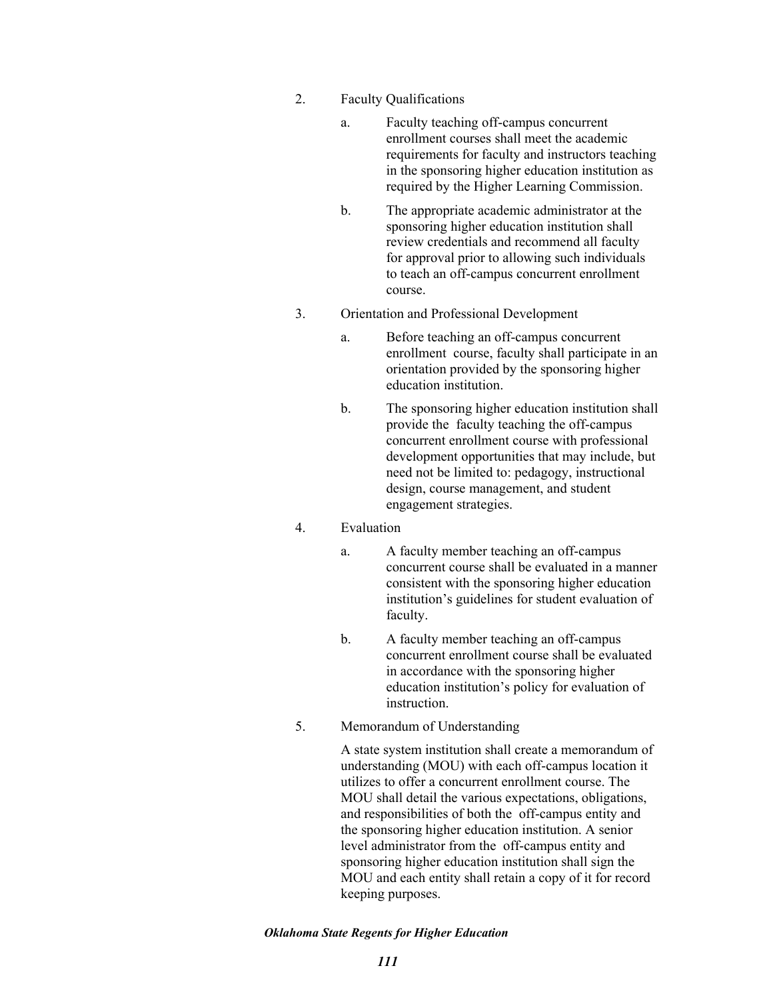- 2. Faculty Qualifications
	- a. Faculty teaching off-campus concurrent enrollment courses shall meet the academic requirements for faculty and instructors teaching in the sponsoring higher education institution as required by the Higher Learning Commission.
	- b. The appropriate academic administrator at the sponsoring higher education institution shall review credentials and recommend all faculty for approval prior to allowing such individuals to teach an off-campus concurrent enrollment course.
- 3. Orientation and Professional Development
	- a. Before teaching an off-campus concurrent enrollment course, faculty shall participate in an orientation provided by the sponsoring higher education institution.
	- b. The sponsoring higher education institution shall provide the faculty teaching the off-campus concurrent enrollment course with professional development opportunities that may include, but need not be limited to: pedagogy, instructional design, course management, and student engagement strategies.

## 4. Evaluation

- a. A faculty member teaching an off-campus concurrent course shall be evaluated in a manner consistent with the sponsoring higher education institution's guidelines for student evaluation of faculty.
- b. A faculty member teaching an off-campus concurrent enrollment course shall be evaluated in accordance with the sponsoring higher education institution's policy for evaluation of instruction.
- 5. Memorandum of Understanding

A state system institution shall create a memorandum of understanding (MOU) with each off-campus location it utilizes to offer a concurrent enrollment course. The MOU shall detail the various expectations, obligations, and responsibilities of both the off-campus entity and the sponsoring higher education institution. A senior level administrator from the off-campus entity and sponsoring higher education institution shall sign the MOU and each entity shall retain a copy of it for record keeping purposes.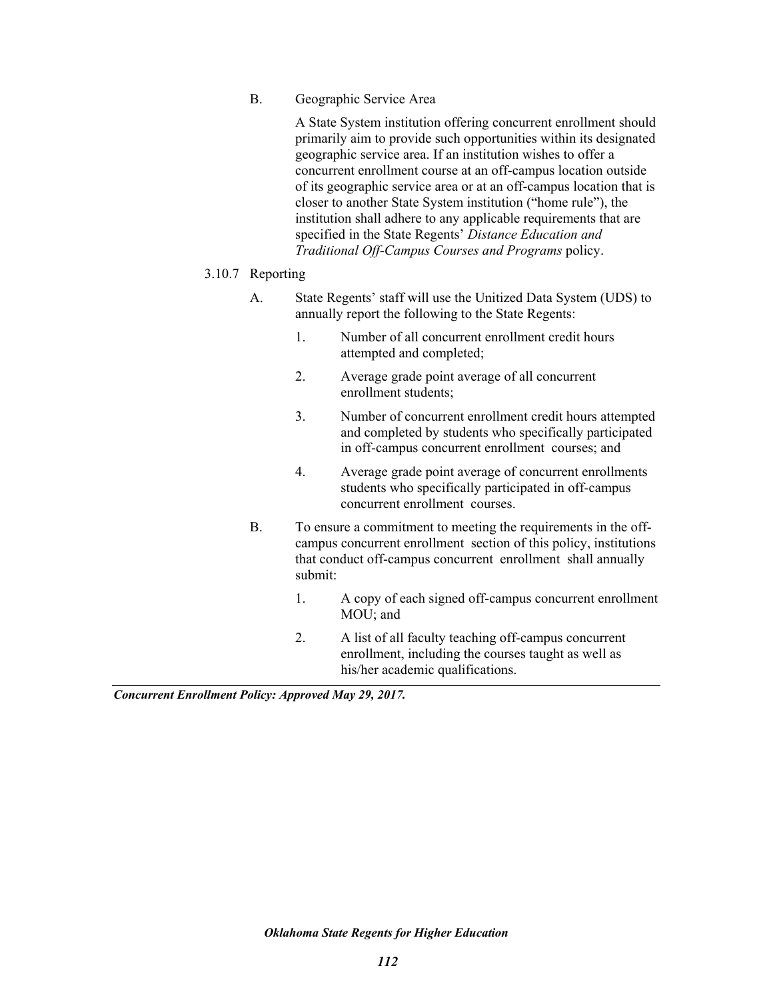B. Geographic Service Area

A State System institution offering concurrent enrollment should primarily aim to provide such opportunities within its designated geographic service area. If an institution wishes to offer a concurrent enrollment course at an off-campus location outside of its geographic service area or at an off-campus location that is closer to another State System institution ("home rule"), the institution shall adhere to any applicable requirements that are specified in the State Regents' *Distance Education and Traditional Off-Campus Courses and Programs* policy.

- 3.10.7 Reporting
	- A. State Regents' staff will use the Unitized Data System (UDS) to annually report the following to the State Regents:
		- 1. Number of all concurrent enrollment credit hours attempted and completed;
		- 2. Average grade point average of all concurrent enrollment students;
		- 3. Number of concurrent enrollment credit hours attempted and completed by students who specifically participated in off-campus concurrent enrollment courses; and
		- 4. Average grade point average of concurrent enrollments students who specifically participated in off-campus concurrent enrollment courses.
	- B. To ensure a commitment to meeting the requirements in the offcampus concurrent enrollment section of this policy, institutions that conduct off-campus concurrent enrollment shall annually submit:
		- 1. A copy of each signed off-campus concurrent enrollment MOU; and
		- 2. A list of all faculty teaching off-campus concurrent enrollment, including the courses taught as well as his/her academic qualifications.

*Concurrent Enrollment Policy: Approved May 29, 2017.*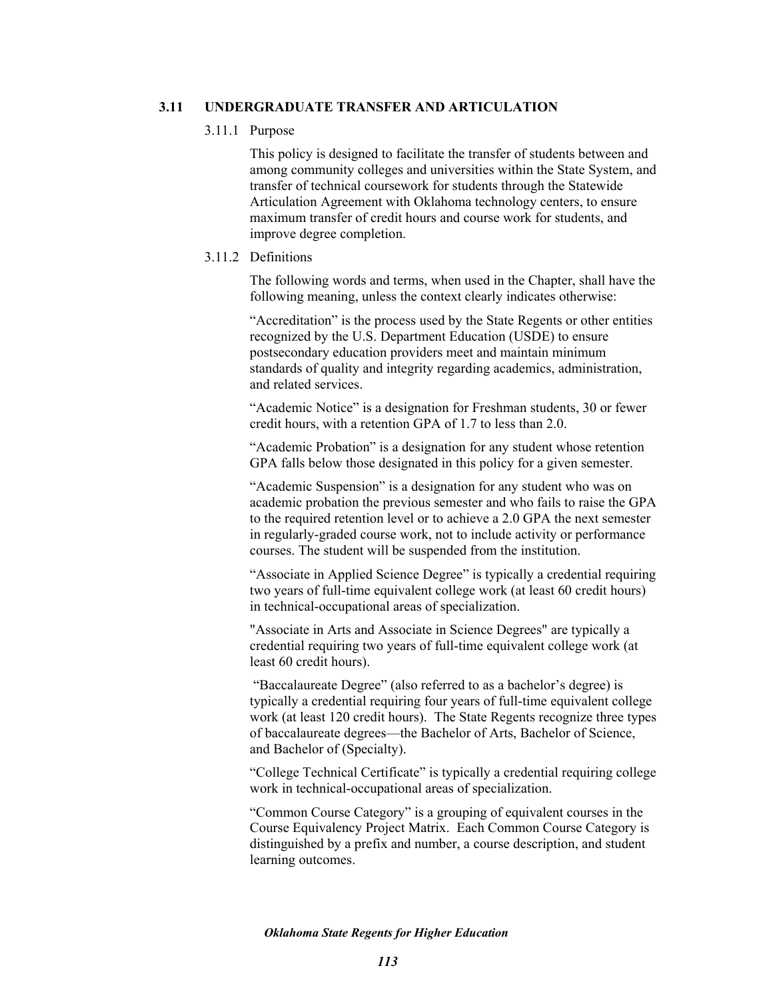## **3.11 UNDERGRADUATE TRANSFER AND ARTICULATION**

### 3.11.1 Purpose

This policy is designed to facilitate the transfer of students between and among community colleges and universities within the State System, and transfer of technical coursework for students through the Statewide Articulation Agreement with Oklahoma technology centers, to ensure maximum transfer of credit hours and course work for students, and improve degree completion.

## 3.11.2 Definitions

The following words and terms, when used in the Chapter, shall have the following meaning, unless the context clearly indicates otherwise:

"Accreditation" is the process used by the State Regents or other entities recognized by the U.S. Department Education (USDE) to ensure postsecondary education providers meet and maintain minimum standards of quality and integrity regarding academics, administration, and related services.

"Academic Notice" is a designation for Freshman students, 30 or fewer credit hours, with a retention GPA of 1.7 to less than 2.0.

"Academic Probation" is a designation for any student whose retention GPA falls below those designated in this policy for a given semester.

"Academic Suspension" is a designation for any student who was on academic probation the previous semester and who fails to raise the GPA to the required retention level or to achieve a 2.0 GPA the next semester in regularly-graded course work, not to include activity or performance courses. The student will be suspended from the institution.

"Associate in Applied Science Degree" is typically a credential requiring two years of full-time equivalent college work (at least 60 credit hours) in technical-occupational areas of specialization.

"Associate in Arts and Associate in Science Degrees" are typically a credential requiring two years of full-time equivalent college work (at least 60 credit hours).

 "Baccalaureate Degree" (also referred to as a bachelor's degree) is typically a credential requiring four years of full-time equivalent college work (at least 120 credit hours). The State Regents recognize three types of baccalaureate degrees—the Bachelor of Arts, Bachelor of Science, and Bachelor of (Specialty).

"College Technical Certificate" is typically a credential requiring college work in technical-occupational areas of specialization.

"Common Course Category" is a grouping of equivalent courses in the Course Equivalency Project Matrix. Each Common Course Category is distinguished by a prefix and number, a course description, and student learning outcomes.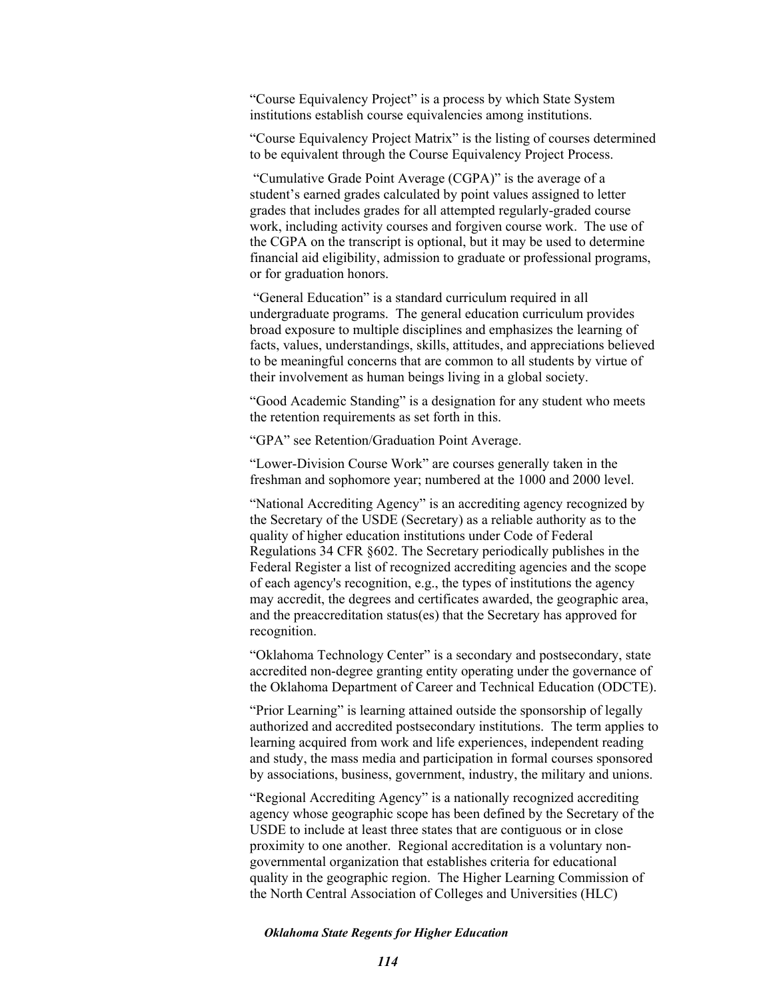"Course Equivalency Project" is a process by which State System institutions establish course equivalencies among institutions.

"Course Equivalency Project Matrix" is the listing of courses determined to be equivalent through the Course Equivalency Project Process.

 "Cumulative Grade Point Average (CGPA)" is the average of a student's earned grades calculated by point values assigned to letter grades that includes grades for all attempted regularly-graded course work, including activity courses and forgiven course work. The use of the CGPA on the transcript is optional, but it may be used to determine financial aid eligibility, admission to graduate or professional programs, or for graduation honors.

 "General Education" is a standard curriculum required in all undergraduate programs. The general education curriculum provides broad exposure to multiple disciplines and emphasizes the learning of facts, values, understandings, skills, attitudes, and appreciations believed to be meaningful concerns that are common to all students by virtue of their involvement as human beings living in a global society.

"Good Academic Standing" is a designation for any student who meets the retention requirements as set forth in this.

"GPA" see Retention/Graduation Point Average.

"Lower-Division Course Work" are courses generally taken in the freshman and sophomore year; numbered at the 1000 and 2000 level.

"National Accrediting Agency" is an accrediting agency recognized by the Secretary of the USDE (Secretary) as a reliable authority as to the quality of higher education institutions under Code of Federal Regulations 34 CFR §602. The Secretary periodically publishes in the Federal Register a list of recognized accrediting agencies and the scope of each agency's recognition, e.g., the types of institutions the agency may accredit, the degrees and certificates awarded, the geographic area, and the preaccreditation status(es) that the Secretary has approved for recognition.

"Oklahoma Technology Center" is a secondary and postsecondary, state accredited non-degree granting entity operating under the governance of the Oklahoma Department of Career and Technical Education (ODCTE).

"Prior Learning" is learning attained outside the sponsorship of legally authorized and accredited postsecondary institutions. The term applies to learning acquired from work and life experiences, independent reading and study, the mass media and participation in formal courses sponsored by associations, business, government, industry, the military and unions.

"Regional Accrediting Agency" is a nationally recognized accrediting agency whose geographic scope has been defined by the Secretary of the USDE to include at least three states that are contiguous or in close proximity to one another. Regional accreditation is a voluntary nongovernmental organization that establishes criteria for educational quality in the geographic region. The Higher Learning Commission of the North Central Association of Colleges and Universities (HLC)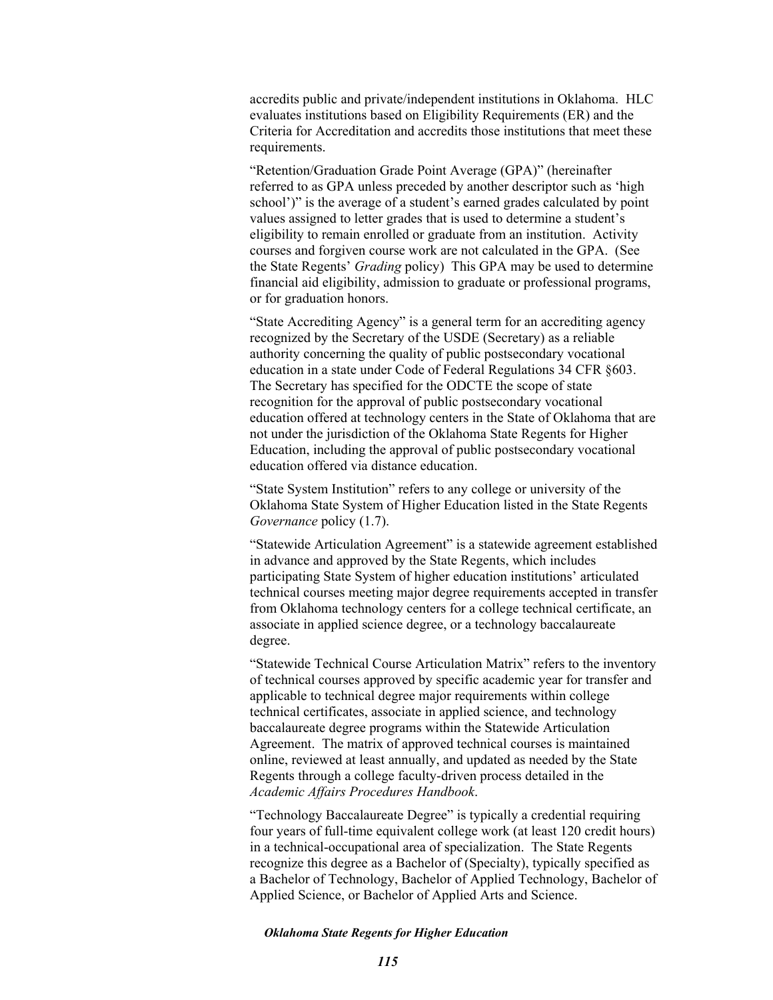accredits public and private/independent institutions in Oklahoma. HLC evaluates institutions based on Eligibility Requirements (ER) and the Criteria for Accreditation and accredits those institutions that meet these requirements.

"Retention/Graduation Grade Point Average (GPA)" (hereinafter referred to as GPA unless preceded by another descriptor such as 'high school')" is the average of a student's earned grades calculated by point values assigned to letter grades that is used to determine a student's eligibility to remain enrolled or graduate from an institution. Activity courses and forgiven course work are not calculated in the GPA. (See the State Regents' *Grading* policy) This GPA may be used to determine financial aid eligibility, admission to graduate or professional programs, or for graduation honors.

"State Accrediting Agency" is a general term for an accrediting agency recognized by the Secretary of the USDE (Secretary) as a reliable authority concerning the quality of public postsecondary vocational education in a state under Code of Federal Regulations 34 CFR §603. The Secretary has specified for the ODCTE the scope of state recognition for the approval of public postsecondary vocational education offered at technology centers in the State of Oklahoma that are not under the jurisdiction of the Oklahoma State Regents for Higher Education, including the approval of public postsecondary vocational education offered via distance education.

"State System Institution" refers to any college or university of the Oklahoma State System of Higher Education listed in the State Regents *Governance* policy (1.7).

"Statewide Articulation Agreement" is a statewide agreement established in advance and approved by the State Regents, which includes participating State System of higher education institutions' articulated technical courses meeting major degree requirements accepted in transfer from Oklahoma technology centers for a college technical certificate, an associate in applied science degree, or a technology baccalaureate degree.

"Statewide Technical Course Articulation Matrix" refers to the inventory of technical courses approved by specific academic year for transfer and applicable to technical degree major requirements within college technical certificates, associate in applied science, and technology baccalaureate degree programs within the Statewide Articulation Agreement. The matrix of approved technical courses is maintained online, reviewed at least annually, and updated as needed by the State Regents through a college faculty-driven process detailed in the *Academic Affairs Procedures Handbook*.

"Technology Baccalaureate Degree" is typically a credential requiring four years of full-time equivalent college work (at least 120 credit hours) in a technical-occupational area of specialization. The State Regents recognize this degree as a Bachelor of (Specialty), typically specified as a Bachelor of Technology, Bachelor of Applied Technology, Bachelor of Applied Science, or Bachelor of Applied Arts and Science.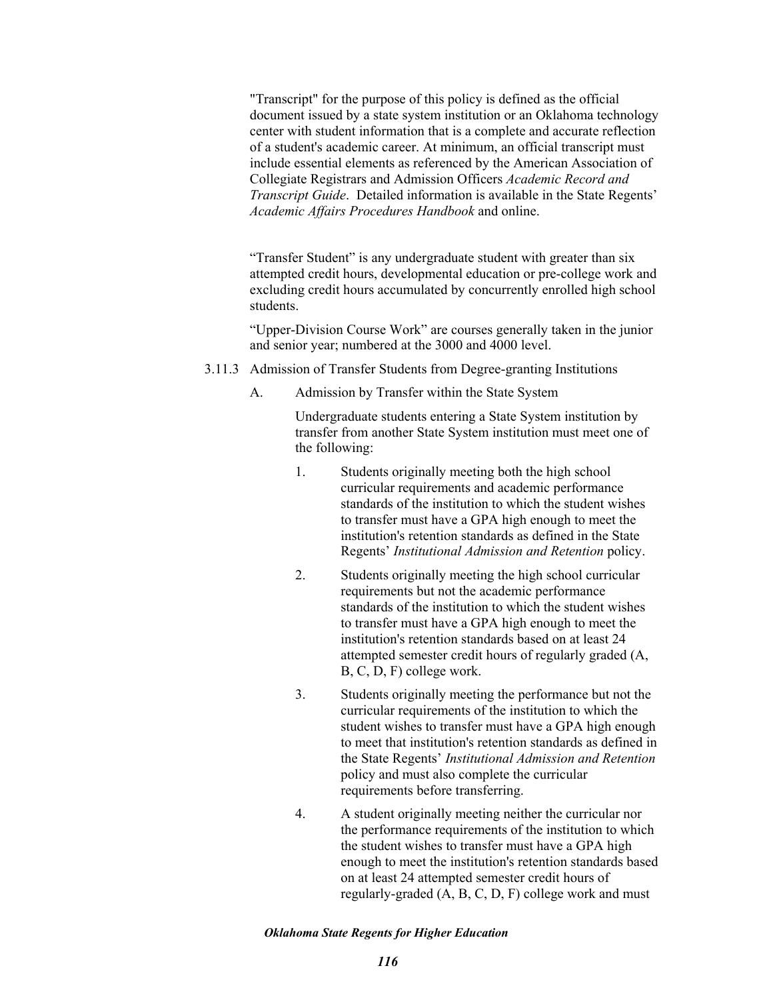"Transcript" for the purpose of this policy is defined as the official document issued by a state system institution or an Oklahoma technology center with student information that is a complete and accurate reflection of a student's academic career. At minimum, an official transcript must include essential elements as referenced by the American Association of Collegiate Registrars and Admission Officers *Academic Record and Transcript Guide*. Detailed information is available in the State Regents' *Academic Affairs Procedures Handbook* and online.

"Transfer Student" is any undergraduate student with greater than six attempted credit hours, developmental education or pre-college work and excluding credit hours accumulated by concurrently enrolled high school students.

"Upper-Division Course Work" are courses generally taken in the junior and senior year; numbered at the 3000 and 4000 level.

- 3.11.3 Admission of Transfer Students from Degree-granting Institutions
	- A. Admission by Transfer within the State System

Undergraduate students entering a State System institution by transfer from another State System institution must meet one of the following:

- 1. Students originally meeting both the high school curricular requirements and academic performance standards of the institution to which the student wishes to transfer must have a GPA high enough to meet the institution's retention standards as defined in the State Regents' *Institutional Admission and Retention* policy.
- 2. Students originally meeting the high school curricular requirements but not the academic performance standards of the institution to which the student wishes to transfer must have a GPA high enough to meet the institution's retention standards based on at least 24 attempted semester credit hours of regularly graded (A, B, C, D, F) college work.
- 3. Students originally meeting the performance but not the curricular requirements of the institution to which the student wishes to transfer must have a GPA high enough to meet that institution's retention standards as defined in the State Regents' *Institutional Admission and Retention*  policy and must also complete the curricular requirements before transferring.
- 4. A student originally meeting neither the curricular nor the performance requirements of the institution to which the student wishes to transfer must have a GPA high enough to meet the institution's retention standards based on at least 24 attempted semester credit hours of regularly-graded (A, B, C, D, F) college work and must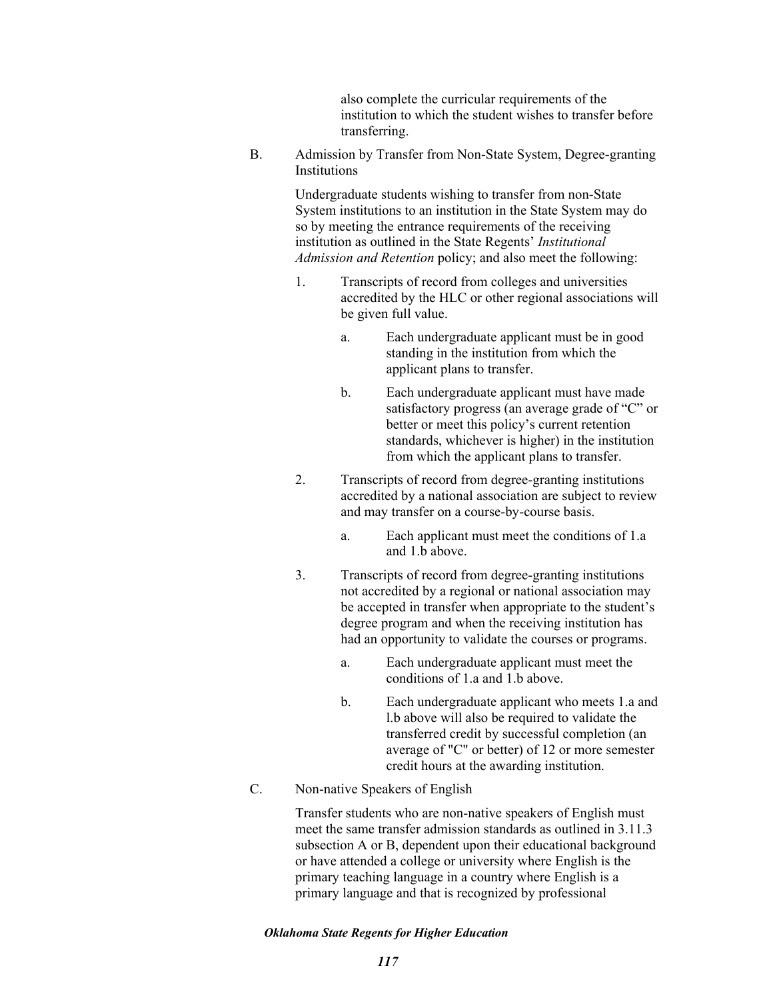also complete the curricular requirements of the institution to which the student wishes to transfer before transferring.

B. Admission by Transfer from Non-State System, Degree-granting **Institutions** 

> Undergraduate students wishing to transfer from non-State System institutions to an institution in the State System may do so by meeting the entrance requirements of the receiving institution as outlined in the State Regents' *Institutional Admission and Retention* policy; and also meet the following:

- 1. Transcripts of record from colleges and universities accredited by the HLC or other regional associations will be given full value.
	- a. Each undergraduate applicant must be in good standing in the institution from which the applicant plans to transfer.
	- b. Each undergraduate applicant must have made satisfactory progress (an average grade of "C" or better or meet this policy's current retention standards, whichever is higher) in the institution from which the applicant plans to transfer.
- 2. Transcripts of record from degree-granting institutions accredited by a national association are subject to review and may transfer on a course-by-course basis.
	- a. Each applicant must meet the conditions of 1.a and 1 h above
- 3. Transcripts of record from degree-granting institutions not accredited by a regional or national association may be accepted in transfer when appropriate to the student's degree program and when the receiving institution has had an opportunity to validate the courses or programs.
	- a. Each undergraduate applicant must meet the conditions of 1.a and 1.b above.
	- b. Each undergraduate applicant who meets 1.a and l.b above will also be required to validate the transferred credit by successful completion (an average of "C" or better) of 12 or more semester credit hours at the awarding institution.
- C. Non-native Speakers of English

Transfer students who are non-native speakers of English must meet the same transfer admission standards as outlined in 3.11.3 subsection A or B, dependent upon their educational background or have attended a college or university where English is the primary teaching language in a country where English is a primary language and that is recognized by professional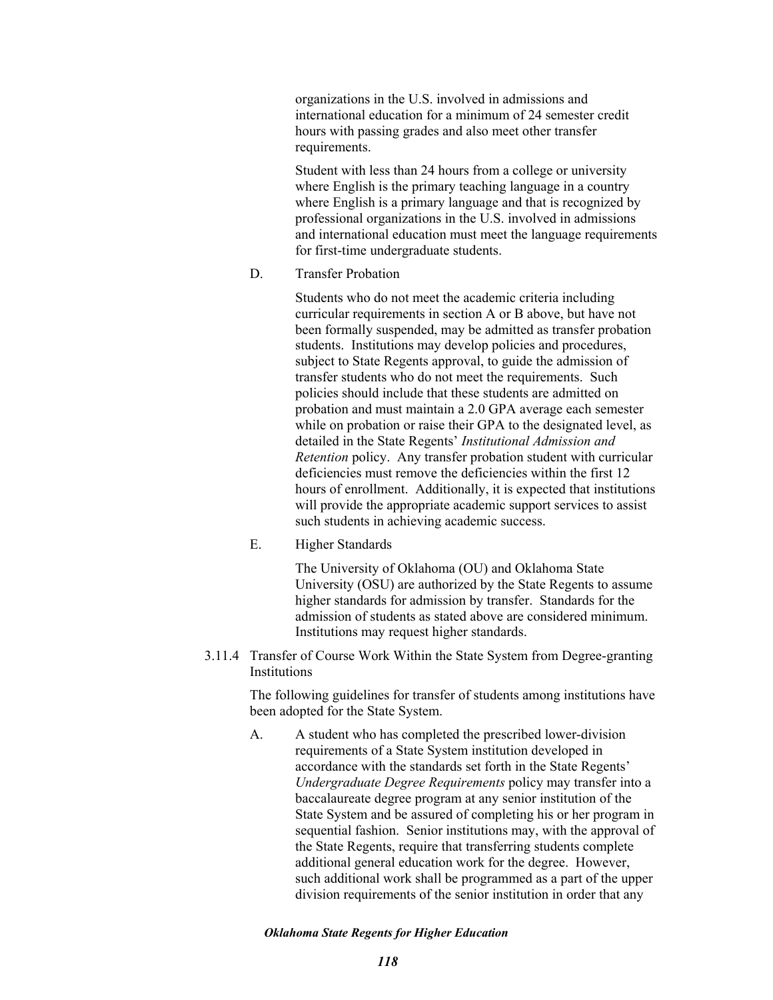organizations in the U.S. involved in admissions and international education for a minimum of 24 semester credit hours with passing grades and also meet other transfer requirements.

Student with less than 24 hours from a college or university where English is the primary teaching language in a country where English is a primary language and that is recognized by professional organizations in the U.S. involved in admissions and international education must meet the language requirements for first-time undergraduate students.

D. Transfer Probation

Students who do not meet the academic criteria including curricular requirements in section A or B above, but have not been formally suspended, may be admitted as transfer probation students. Institutions may develop policies and procedures, subject to State Regents approval, to guide the admission of transfer students who do not meet the requirements. Such policies should include that these students are admitted on probation and must maintain a 2.0 GPA average each semester while on probation or raise their GPA to the designated level, as detailed in the State Regents' *Institutional Admission and Retention* policy. Any transfer probation student with curricular deficiencies must remove the deficiencies within the first 12 hours of enrollment. Additionally, it is expected that institutions will provide the appropriate academic support services to assist such students in achieving academic success.

E. Higher Standards

The University of Oklahoma (OU) and Oklahoma State University (OSU) are authorized by the State Regents to assume higher standards for admission by transfer. Standards for the admission of students as stated above are considered minimum. Institutions may request higher standards.

3.11.4 Transfer of Course Work Within the State System from Degree-granting **Institutions** 

> The following guidelines for transfer of students among institutions have been adopted for the State System.

> A. A student who has completed the prescribed lower-division requirements of a State System institution developed in accordance with the standards set forth in the State Regents' *Undergraduate Degree Requirements* policy may transfer into a baccalaureate degree program at any senior institution of the State System and be assured of completing his or her program in sequential fashion. Senior institutions may, with the approval of the State Regents, require that transferring students complete additional general education work for the degree. However, such additional work shall be programmed as a part of the upper division requirements of the senior institution in order that any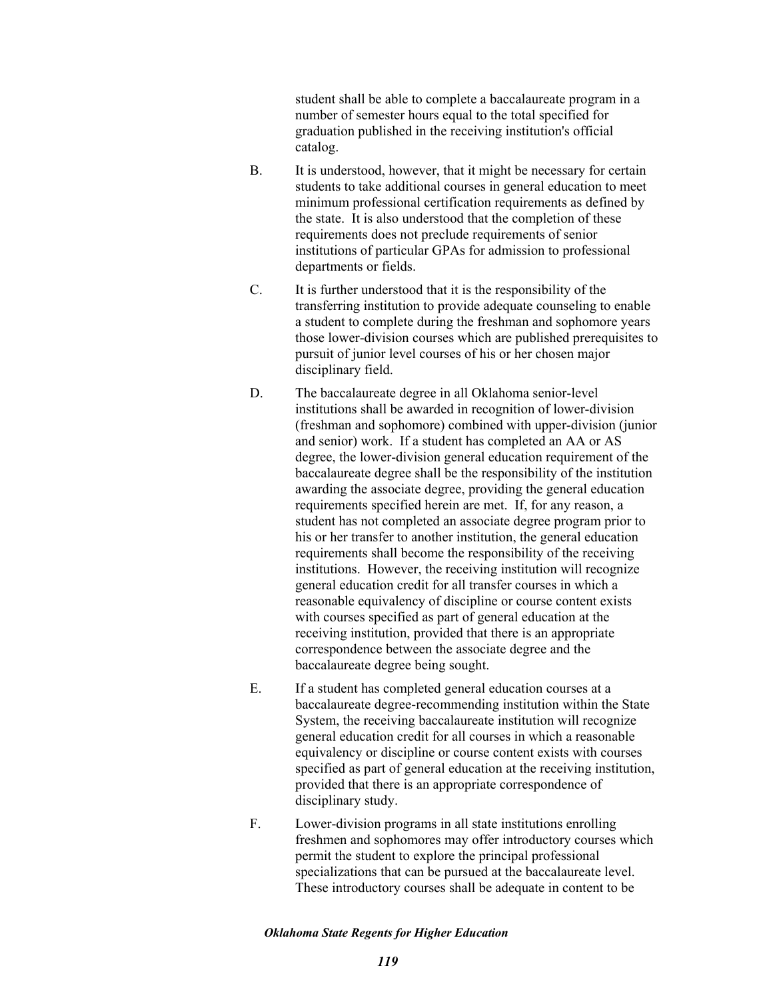student shall be able to complete a baccalaureate program in a number of semester hours equal to the total specified for graduation published in the receiving institution's official catalog.

- B. It is understood, however, that it might be necessary for certain students to take additional courses in general education to meet minimum professional certification requirements as defined by the state. It is also understood that the completion of these requirements does not preclude requirements of senior institutions of particular GPAs for admission to professional departments or fields.
- C. It is further understood that it is the responsibility of the transferring institution to provide adequate counseling to enable a student to complete during the freshman and sophomore years those lower-division courses which are published prerequisites to pursuit of junior level courses of his or her chosen major disciplinary field.
- D. The baccalaureate degree in all Oklahoma senior-level institutions shall be awarded in recognition of lower-division (freshman and sophomore) combined with upper-division (junior and senior) work. If a student has completed an AA or AS degree, the lower-division general education requirement of the baccalaureate degree shall be the responsibility of the institution awarding the associate degree, providing the general education requirements specified herein are met. If, for any reason, a student has not completed an associate degree program prior to his or her transfer to another institution, the general education requirements shall become the responsibility of the receiving institutions. However, the receiving institution will recognize general education credit for all transfer courses in which a reasonable equivalency of discipline or course content exists with courses specified as part of general education at the receiving institution, provided that there is an appropriate correspondence between the associate degree and the baccalaureate degree being sought.
- E. If a student has completed general education courses at a baccalaureate degree-recommending institution within the State System, the receiving baccalaureate institution will recognize general education credit for all courses in which a reasonable equivalency or discipline or course content exists with courses specified as part of general education at the receiving institution, provided that there is an appropriate correspondence of disciplinary study.
- F. Lower-division programs in all state institutions enrolling freshmen and sophomores may offer introductory courses which permit the student to explore the principal professional specializations that can be pursued at the baccalaureate level. These introductory courses shall be adequate in content to be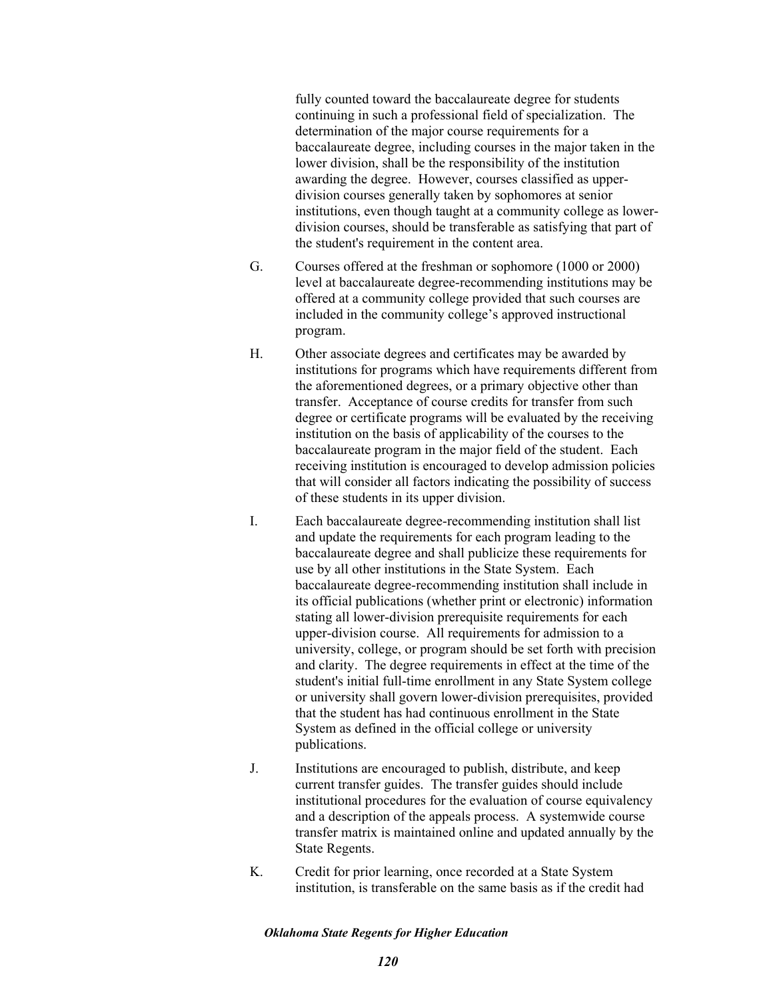fully counted toward the baccalaureate degree for students continuing in such a professional field of specialization. The determination of the major course requirements for a baccalaureate degree, including courses in the major taken in the lower division, shall be the responsibility of the institution awarding the degree. However, courses classified as upperdivision courses generally taken by sophomores at senior institutions, even though taught at a community college as lowerdivision courses, should be transferable as satisfying that part of the student's requirement in the content area.

- G. Courses offered at the freshman or sophomore (1000 or 2000) level at baccalaureate degree-recommending institutions may be offered at a community college provided that such courses are included in the community college's approved instructional program.
- H. Other associate degrees and certificates may be awarded by institutions for programs which have requirements different from the aforementioned degrees, or a primary objective other than transfer. Acceptance of course credits for transfer from such degree or certificate programs will be evaluated by the receiving institution on the basis of applicability of the courses to the baccalaureate program in the major field of the student. Each receiving institution is encouraged to develop admission policies that will consider all factors indicating the possibility of success of these students in its upper division.
- I. Each baccalaureate degree-recommending institution shall list and update the requirements for each program leading to the baccalaureate degree and shall publicize these requirements for use by all other institutions in the State System. Each baccalaureate degree-recommending institution shall include in its official publications (whether print or electronic) information stating all lower-division prerequisite requirements for each upper-division course. All requirements for admission to a university, college, or program should be set forth with precision and clarity. The degree requirements in effect at the time of the student's initial full-time enrollment in any State System college or university shall govern lower-division prerequisites, provided that the student has had continuous enrollment in the State System as defined in the official college or university publications.
- J. Institutions are encouraged to publish, distribute, and keep current transfer guides. The transfer guides should include institutional procedures for the evaluation of course equivalency and a description of the appeals process. A systemwide course transfer matrix is maintained online and updated annually by the State Regents.
- K. Credit for prior learning, once recorded at a State System institution, is transferable on the same basis as if the credit had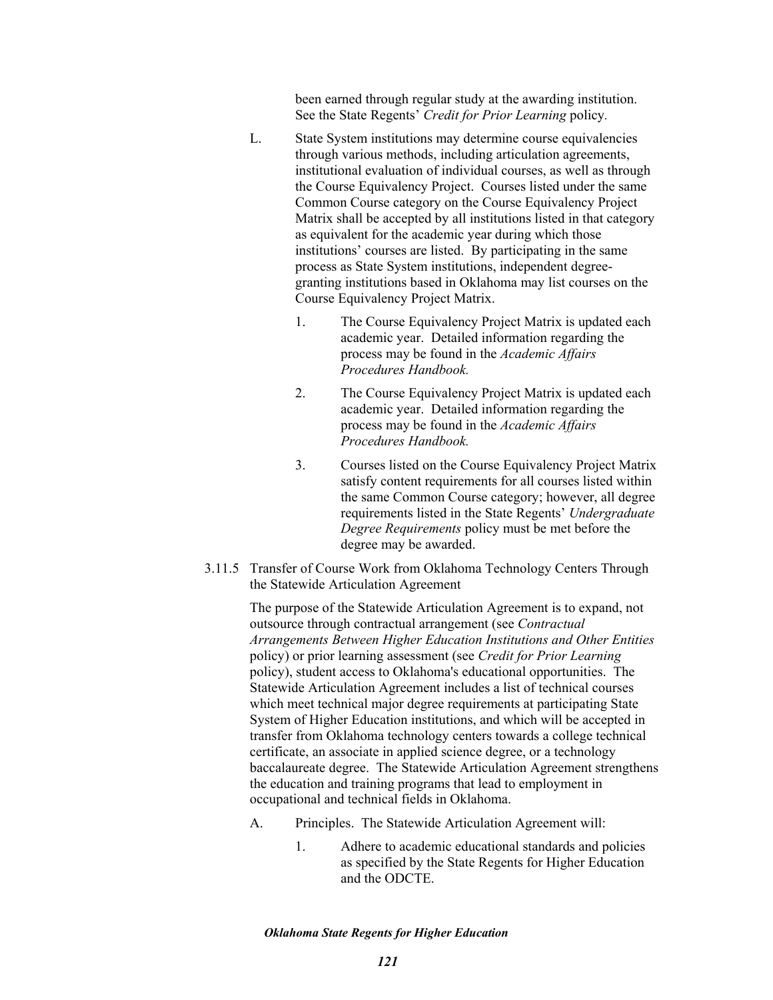been earned through regular study at the awarding institution. See the State Regents' *Credit for Prior Learning* policy*.* 

- L. State System institutions may determine course equivalencies through various methods, including articulation agreements, institutional evaluation of individual courses, as well as through the Course Equivalency Project. Courses listed under the same Common Course category on the Course Equivalency Project Matrix shall be accepted by all institutions listed in that category as equivalent for the academic year during which those institutions' courses are listed. By participating in the same process as State System institutions, independent degreegranting institutions based in Oklahoma may list courses on the Course Equivalency Project Matrix.
	- 1. The Course Equivalency Project Matrix is updated each academic year. Detailed information regarding the process may be found in the *Academic Affairs Procedures Handbook.*
	- 2. The Course Equivalency Project Matrix is updated each academic year. Detailed information regarding the process may be found in the *Academic Affairs Procedures Handbook.*
	- 3. Courses listed on the Course Equivalency Project Matrix satisfy content requirements for all courses listed within the same Common Course category; however, all degree requirements listed in the State Regents' *Undergraduate Degree Requirements* policy must be met before the degree may be awarded.
- 3.11.5 Transfer of Course Work from Oklahoma Technology Centers Through the Statewide Articulation Agreement

The purpose of the Statewide Articulation Agreement is to expand, not outsource through contractual arrangement (see *Contractual Arrangements Between Higher Education Institutions and Other Entities* policy) or prior learning assessment (see *Credit for Prior Learning* policy), student access to Oklahoma's educational opportunities. The Statewide Articulation Agreement includes a list of technical courses which meet technical major degree requirements at participating State System of Higher Education institutions, and which will be accepted in transfer from Oklahoma technology centers towards a college technical certificate, an associate in applied science degree, or a technology baccalaureate degree. The Statewide Articulation Agreement strengthens the education and training programs that lead to employment in occupational and technical fields in Oklahoma.

- A. Principles. The Statewide Articulation Agreement will:
	- 1. Adhere to academic educational standards and policies as specified by the State Regents for Higher Education and the ODCTE.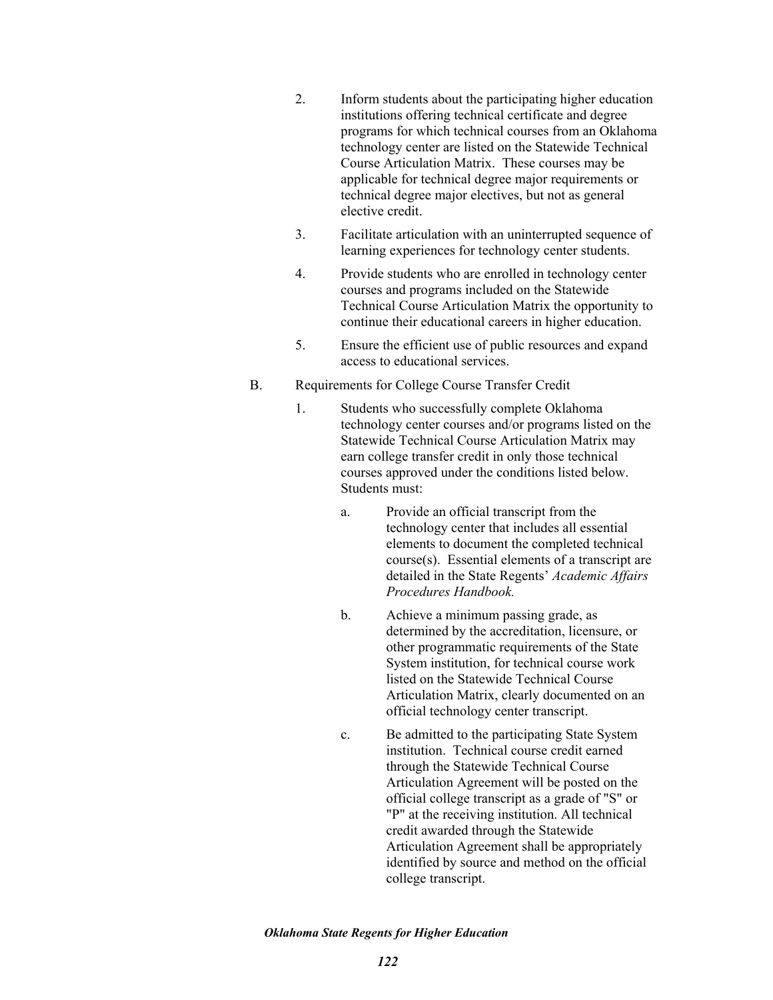- 2. Inform students about the participating higher education institutions offering technical certificate and degree programs for which technical courses from an Oklahoma technology center are listed on the Statewide Technical Course Articulation Matrix. These courses may be applicable for technical degree major requirements or technical degree major electives, but not as general elective credit.
- 3. Facilitate articulation with an uninterrupted sequence of learning experiences for technology center students.
- 4. Provide students who are enrolled in technology center courses and programs included on the Statewide Technical Course Articulation Matrix the opportunity to continue their educational careers in higher education.
- 5. Ensure the efficient use of public resources and expand access to educational services.

# B. Requirements for College Course Transfer Credit

- 1. Students who successfully complete Oklahoma technology center courses and/or programs listed on the Statewide Technical Course Articulation Matrix may earn college transfer credit in only those technical courses approved under the conditions listed below. Students must:
	- a. Provide an official transcript from the technology center that includes all essential elements to document the completed technical course(s). Essential elements of a transcript are detailed in the State Regents' *Academic Affairs Procedures Handbook.*
	- b. Achieve a minimum passing grade, as determined by the accreditation, licensure, or other programmatic requirements of the State System institution, for technical course work listed on the Statewide Technical Course Articulation Matrix, clearly documented on an official technology center transcript.
	- c. Be admitted to the participating State System institution. Technical course credit earned through the Statewide Technical Course Articulation Agreement will be posted on the official college transcript as a grade of "S" or "P" at the receiving institution. All technical credit awarded through the Statewide Articulation Agreement shall be appropriately identified by source and method on the official college transcript.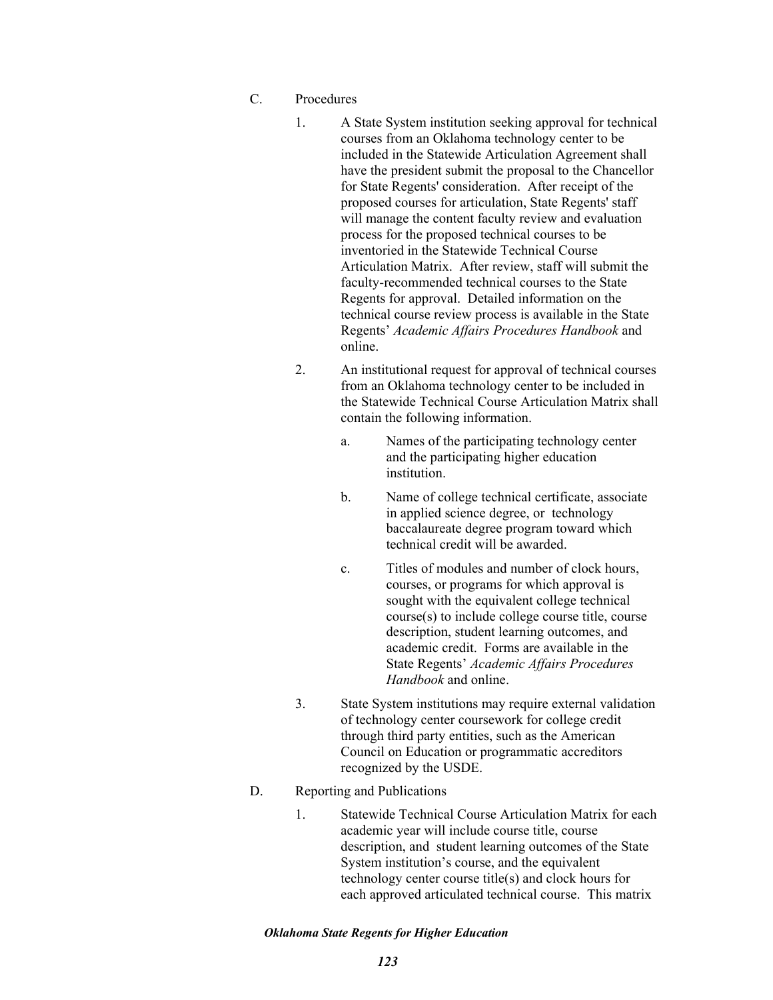- C. Procedures
	- 1. A State System institution seeking approval for technical courses from an Oklahoma technology center to be included in the Statewide Articulation Agreement shall have the president submit the proposal to the Chancellor for State Regents' consideration. After receipt of the proposed courses for articulation, State Regents' staff will manage the content faculty review and evaluation process for the proposed technical courses to be inventoried in the Statewide Technical Course Articulation Matrix. After review, staff will submit the faculty-recommended technical courses to the State Regents for approval. Detailed information on the technical course review process is available in the State Regents' *Academic Affairs Procedures Handbook* and online.
	- 2. An institutional request for approval of technical courses from an Oklahoma technology center to be included in the Statewide Technical Course Articulation Matrix shall contain the following information.
		- a. Names of the participating technology center and the participating higher education institution.
		- b. Name of college technical certificate, associate in applied science degree, or technology baccalaureate degree program toward which technical credit will be awarded.
		- c. Titles of modules and number of clock hours, courses, or programs for which approval is sought with the equivalent college technical course(s) to include college course title, course description, student learning outcomes, and academic credit. Forms are available in the State Regents' *Academic Affairs Procedures Handbook* and online.
	- 3. State System institutions may require external validation of technology center coursework for college credit through third party entities, such as the American Council on Education or programmatic accreditors recognized by the USDE.

# D. Reporting and Publications

1. Statewide Technical Course Articulation Matrix for each academic year will include course title, course description, and student learning outcomes of the State System institution's course, and the equivalent technology center course title(s) and clock hours for each approved articulated technical course. This matrix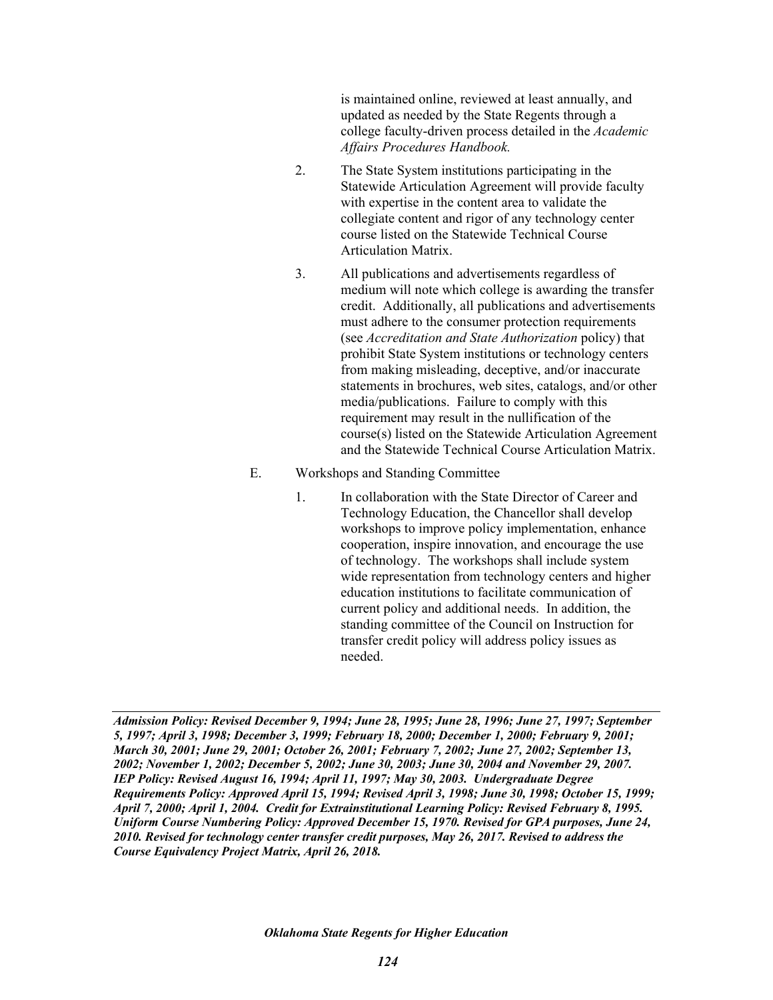is maintained online, reviewed at least annually, and updated as needed by the State Regents through a college faculty-driven process detailed in the *Academic Affairs Procedures Handbook.*

- 2. The State System institutions participating in the Statewide Articulation Agreement will provide faculty with expertise in the content area to validate the collegiate content and rigor of any technology center course listed on the Statewide Technical Course Articulation Matrix.
- 3. All publications and advertisements regardless of medium will note which college is awarding the transfer credit. Additionally, all publications and advertisements must adhere to the consumer protection requirements (see *Accreditation and State Authorization* policy) that prohibit State System institutions or technology centers from making misleading, deceptive, and/or inaccurate statements in brochures, web sites, catalogs, and/or other media/publications. Failure to comply with this requirement may result in the nullification of the course(s) listed on the Statewide Articulation Agreement and the Statewide Technical Course Articulation Matrix.
- E. Workshops and Standing Committee
	- 1. In collaboration with the State Director of Career and Technology Education, the Chancellor shall develop workshops to improve policy implementation, enhance cooperation, inspire innovation, and encourage the use of technology. The workshops shall include system wide representation from technology centers and higher education institutions to facilitate communication of current policy and additional needs. In addition, the standing committee of the Council on Instruction for transfer credit policy will address policy issues as needed.

*Admission Policy: Revised December 9, 1994; June 28, 1995; June 28, 1996; June 27, 1997; September 5, 1997; April 3, 1998; December 3, 1999; February 18, 2000; December 1, 2000; February 9, 2001; March 30, 2001; June 29, 2001; October 26, 2001; February 7, 2002; June 27, 2002; September 13, 2002; November 1, 2002; December 5, 2002; June 30, 2003; June 30, 2004 and November 29, 2007. IEP Policy: Revised August 16, 1994; April 11, 1997; May 30, 2003. Undergraduate Degree Requirements Policy: Approved April 15, 1994; Revised April 3, 1998; June 30, 1998; October 15, 1999; April 7, 2000; April 1, 2004. Credit for Extrainstitutional Learning Policy: Revised February 8, 1995. Uniform Course Numbering Policy: Approved December 15, 1970. Revised for GPA purposes, June 24, 2010. Revised for technology center transfer credit purposes, May 26, 2017. Revised to address the Course Equivalency Project Matrix, April 26, 2018.*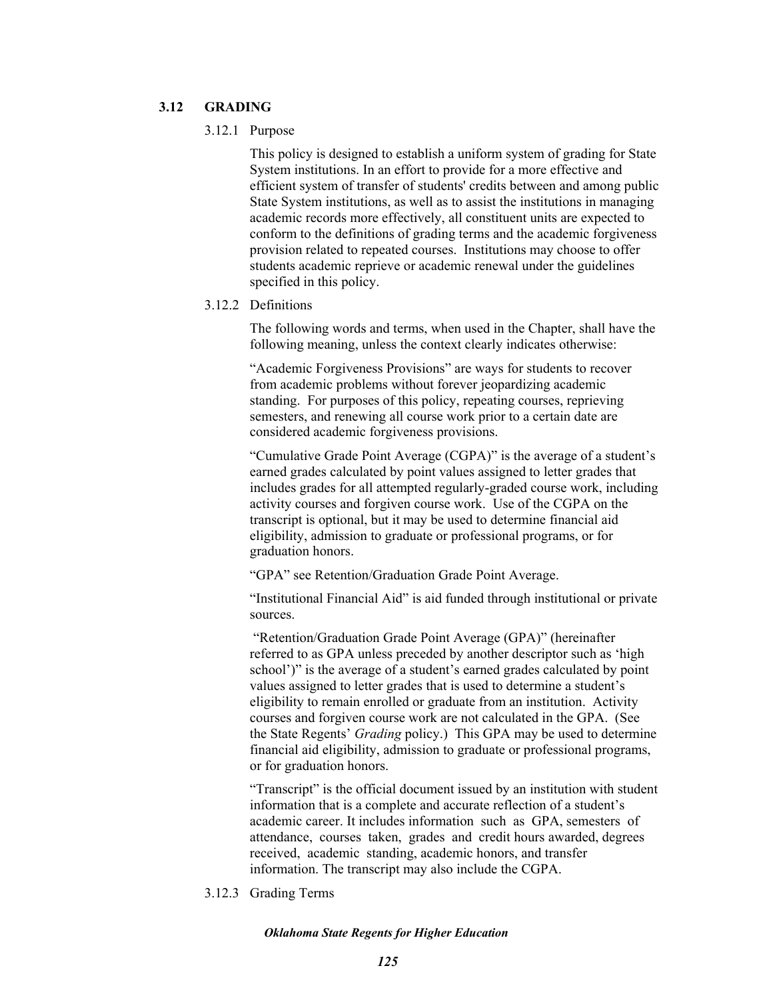## **3.12 GRADING**

### 3.12.1 Purpose

This policy is designed to establish a uniform system of grading for State System institutions. In an effort to provide for a more effective and efficient system of transfer of students' credits between and among public State System institutions, as well as to assist the institutions in managing academic records more effectively, all constituent units are expected to conform to the definitions of grading terms and the academic forgiveness provision related to repeated courses. Institutions may choose to offer students academic reprieve or academic renewal under the guidelines specified in this policy.

## 3.12.2 Definitions

The following words and terms, when used in the Chapter, shall have the following meaning, unless the context clearly indicates otherwise:

"Academic Forgiveness Provisions" are ways for students to recover from academic problems without forever jeopardizing academic standing. For purposes of this policy, repeating courses, reprieving semesters, and renewing all course work prior to a certain date are considered academic forgiveness provisions.

"Cumulative Grade Point Average (CGPA)" is the average of a student's earned grades calculated by point values assigned to letter grades that includes grades for all attempted regularly-graded course work, including activity courses and forgiven course work. Use of the CGPA on the transcript is optional, but it may be used to determine financial aid eligibility, admission to graduate or professional programs, or for graduation honors.

"GPA" see Retention/Graduation Grade Point Average.

"Institutional Financial Aid" is aid funded through institutional or private sources.

 "Retention/Graduation Grade Point Average (GPA)" (hereinafter referred to as GPA unless preceded by another descriptor such as 'high school')" is the average of a student's earned grades calculated by point values assigned to letter grades that is used to determine a student's eligibility to remain enrolled or graduate from an institution. Activity courses and forgiven course work are not calculated in the GPA. (See the State Regents' *Grading* policy.) This GPA may be used to determine financial aid eligibility, admission to graduate or professional programs, or for graduation honors.

"Transcript" is the official document issued by an institution with student information that is a complete and accurate reflection of a student's academic career. It includes information such as GPA, semesters of attendance, courses taken, grades and credit hours awarded, degrees received, academic standing, academic honors, and transfer information. The transcript may also include the CGPA.

3.12.3 Grading Terms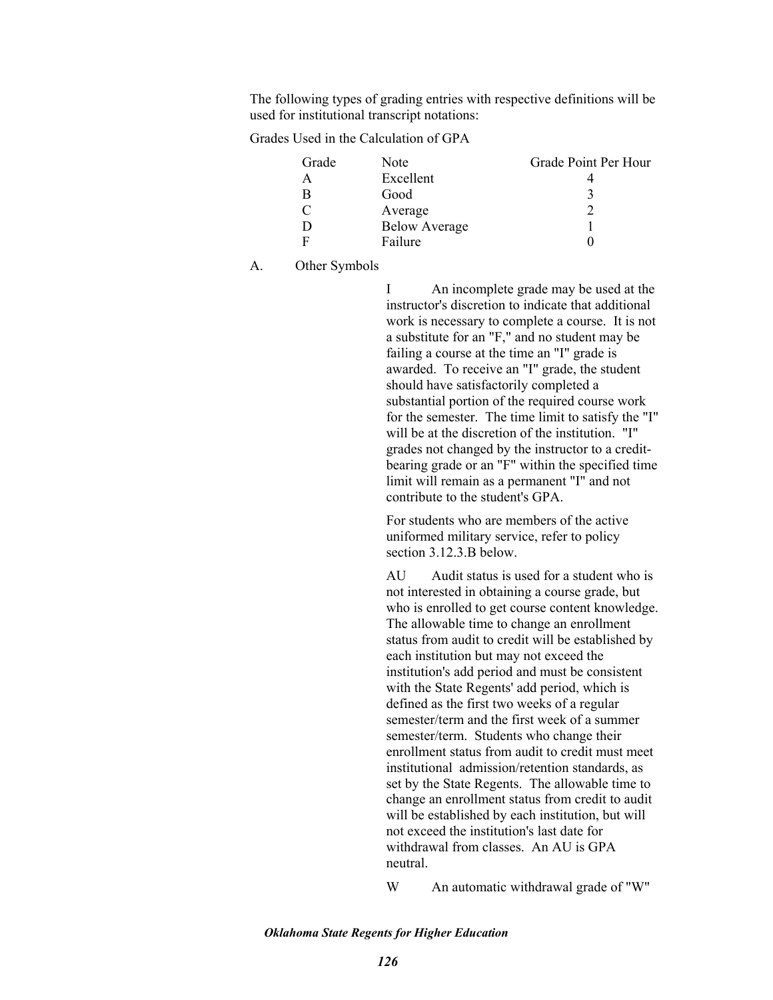The following types of grading entries with respective definitions will be used for institutional transcript notations:

Grades Used in the Calculation of GPA

| Grade | Note                 | Grade Point Per Hour |
|-------|----------------------|----------------------|
|       | Excellent            |                      |
| В     | Good                 |                      |
|       | Average              |                      |
| D     | <b>Below Average</b> |                      |
| Е     | Failure              |                      |

A. Other Symbols

I An incomplete grade may be used at the instructor's discretion to indicate that additional work is necessary to complete a course. It is not a substitute for an "F," and no student may be failing a course at the time an "I" grade is awarded. To receive an "I" grade, the student should have satisfactorily completed a substantial portion of the required course work for the semester. The time limit to satisfy the "I" will be at the discretion of the institution. "I" grades not changed by the instructor to a creditbearing grade or an "F" within the specified time limit will remain as a permanent "I" and not contribute to the student's GPA.

For students who are members of the active uniformed military service, refer to policy section 3.12.3.B below.

AU Audit status is used for a student who is not interested in obtaining a course grade, but who is enrolled to get course content knowledge. The allowable time to change an enrollment status from audit to credit will be established by each institution but may not exceed the institution's add period and must be consistent with the State Regents' add period, which is defined as the first two weeks of a regular semester/term and the first week of a summer semester/term. Students who change their enrollment status from audit to credit must meet institutional admission/retention standards, as set by the State Regents. The allowable time to change an enrollment status from credit to audit will be established by each institution, but will not exceed the institution's last date for withdrawal from classes. An AU is GPA neutral.

W An automatic withdrawal grade of "W"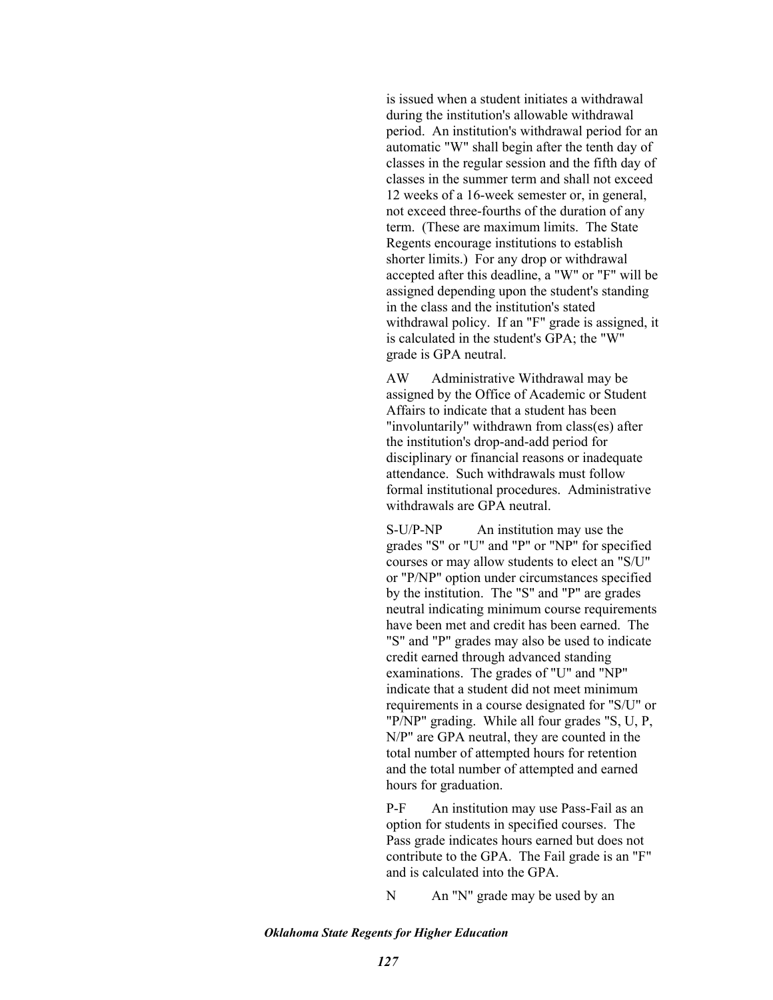is issued when a student initiates a withdrawal during the institution's allowable withdrawal period. An institution's withdrawal period for an automatic "W" shall begin after the tenth day of classes in the regular session and the fifth day of classes in the summer term and shall not exceed 12 weeks of a 16-week semester or, in general, not exceed three-fourths of the duration of any term. (These are maximum limits. The State Regents encourage institutions to establish shorter limits.) For any drop or withdrawal accepted after this deadline, a "W" or "F" will be assigned depending upon the student's standing in the class and the institution's stated withdrawal policy. If an "F" grade is assigned, it is calculated in the student's GPA; the "W" grade is GPA neutral.

AW Administrative Withdrawal may be assigned by the Office of Academic or Student Affairs to indicate that a student has been "involuntarily" withdrawn from class(es) after the institution's drop-and-add period for disciplinary or financial reasons or inadequate attendance. Such withdrawals must follow formal institutional procedures. Administrative withdrawals are GPA neutral.

S-U/P-NP An institution may use the grades "S" or "U" and "P" or "NP" for specified courses or may allow students to elect an "S/U" or "P/NP" option under circumstances specified by the institution. The "S" and "P" are grades neutral indicating minimum course requirements have been met and credit has been earned. The "S" and "P" grades may also be used to indicate credit earned through advanced standing examinations. The grades of "U" and "NP" indicate that a student did not meet minimum requirements in a course designated for "S/U" or "P/NP" grading. While all four grades "S, U, P, N/P" are GPA neutral, they are counted in the total number of attempted hours for retention and the total number of attempted and earned hours for graduation.

P-F An institution may use Pass-Fail as an option for students in specified courses. The Pass grade indicates hours earned but does not contribute to the GPA. The Fail grade is an "F" and is calculated into the GPA.

N An "N" grade may be used by an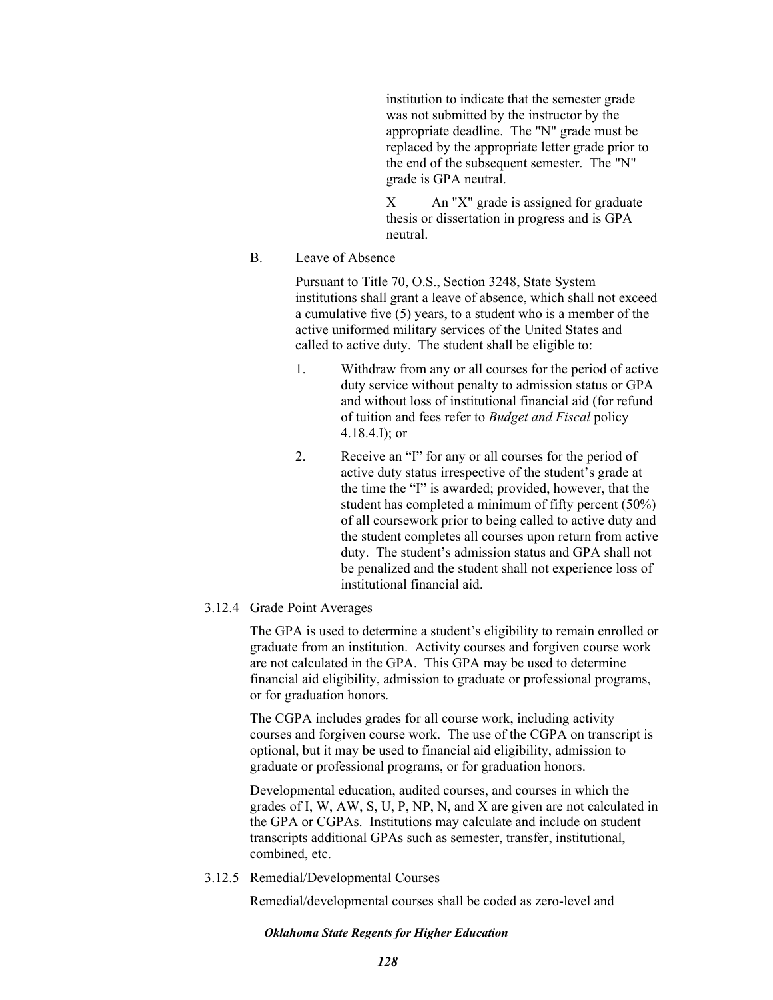institution to indicate that the semester grade was not submitted by the instructor by the appropriate deadline. The "N" grade must be replaced by the appropriate letter grade prior to the end of the subsequent semester. The "N" grade is GPA neutral.

X An "X" grade is assigned for graduate thesis or dissertation in progress and is GPA neutral.

# B. Leave of Absence

Pursuant to Title 70, O.S., Section 3248, State System institutions shall grant a leave of absence, which shall not exceed a cumulative five (5) years, to a student who is a member of the active uniformed military services of the United States and called to active duty. The student shall be eligible to:

- 1. Withdraw from any or all courses for the period of active duty service without penalty to admission status or GPA and without loss of institutional financial aid (for refund of tuition and fees refer to *Budget and Fiscal* policy 4.18.4.I); or
- 2. Receive an "I" for any or all courses for the period of active duty status irrespective of the student's grade at the time the "I" is awarded; provided, however, that the student has completed a minimum of fifty percent (50%) of all coursework prior to being called to active duty and the student completes all courses upon return from active duty. The student's admission status and GPA shall not be penalized and the student shall not experience loss of institutional financial aid.

## 3.12.4 Grade Point Averages

The GPA is used to determine a student's eligibility to remain enrolled or graduate from an institution. Activity courses and forgiven course work are not calculated in the GPA. This GPA may be used to determine financial aid eligibility, admission to graduate or professional programs, or for graduation honors.

The CGPA includes grades for all course work, including activity courses and forgiven course work. The use of the CGPA on transcript is optional, but it may be used to financial aid eligibility, admission to graduate or professional programs, or for graduation honors.

Developmental education, audited courses, and courses in which the grades of I, W, AW, S, U, P, NP, N, and X are given are not calculated in the GPA or CGPAs. Institutions may calculate and include on student transcripts additional GPAs such as semester, transfer, institutional, combined, etc.

### 3.12.5 Remedial/Developmental Courses

Remedial/developmental courses shall be coded as zero-level and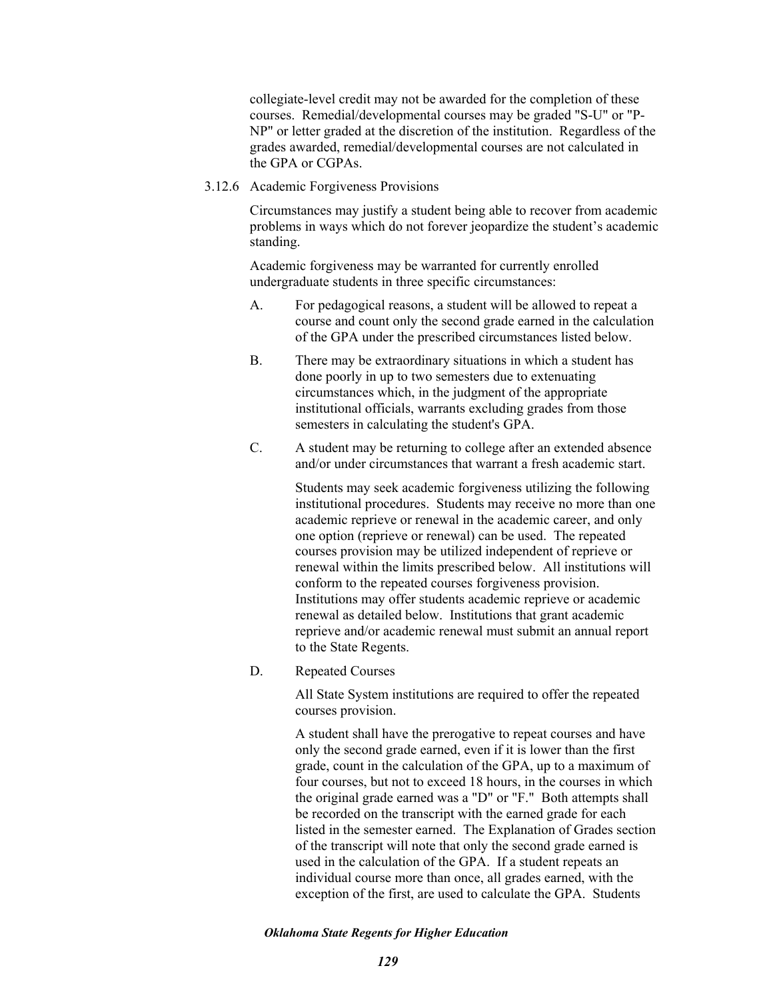collegiate-level credit may not be awarded for the completion of these courses. Remedial/developmental courses may be graded "S-U" or "P-NP" or letter graded at the discretion of the institution. Regardless of the grades awarded, remedial/developmental courses are not calculated in the GPA or CGPAs.

3.12.6 Academic Forgiveness Provisions

Circumstances may justify a student being able to recover from academic problems in ways which do not forever jeopardize the student's academic standing.

Academic forgiveness may be warranted for currently enrolled undergraduate students in three specific circumstances:

- A. For pedagogical reasons, a student will be allowed to repeat a course and count only the second grade earned in the calculation of the GPA under the prescribed circumstances listed below.
- B. There may be extraordinary situations in which a student has done poorly in up to two semesters due to extenuating circumstances which, in the judgment of the appropriate institutional officials, warrants excluding grades from those semesters in calculating the student's GPA.
- C. A student may be returning to college after an extended absence and/or under circumstances that warrant a fresh academic start.

Students may seek academic forgiveness utilizing the following institutional procedures. Students may receive no more than one academic reprieve or renewal in the academic career, and only one option (reprieve or renewal) can be used. The repeated courses provision may be utilized independent of reprieve or renewal within the limits prescribed below. All institutions will conform to the repeated courses forgiveness provision. Institutions may offer students academic reprieve or academic renewal as detailed below. Institutions that grant academic reprieve and/or academic renewal must submit an annual report to the State Regents.

D. Repeated Courses

All State System institutions are required to offer the repeated courses provision.

A student shall have the prerogative to repeat courses and have only the second grade earned, even if it is lower than the first grade, count in the calculation of the GPA, up to a maximum of four courses, but not to exceed 18 hours, in the courses in which the original grade earned was a "D" or "F." Both attempts shall be recorded on the transcript with the earned grade for each listed in the semester earned. The Explanation of Grades section of the transcript will note that only the second grade earned is used in the calculation of the GPA. If a student repeats an individual course more than once, all grades earned, with the exception of the first, are used to calculate the GPA. Students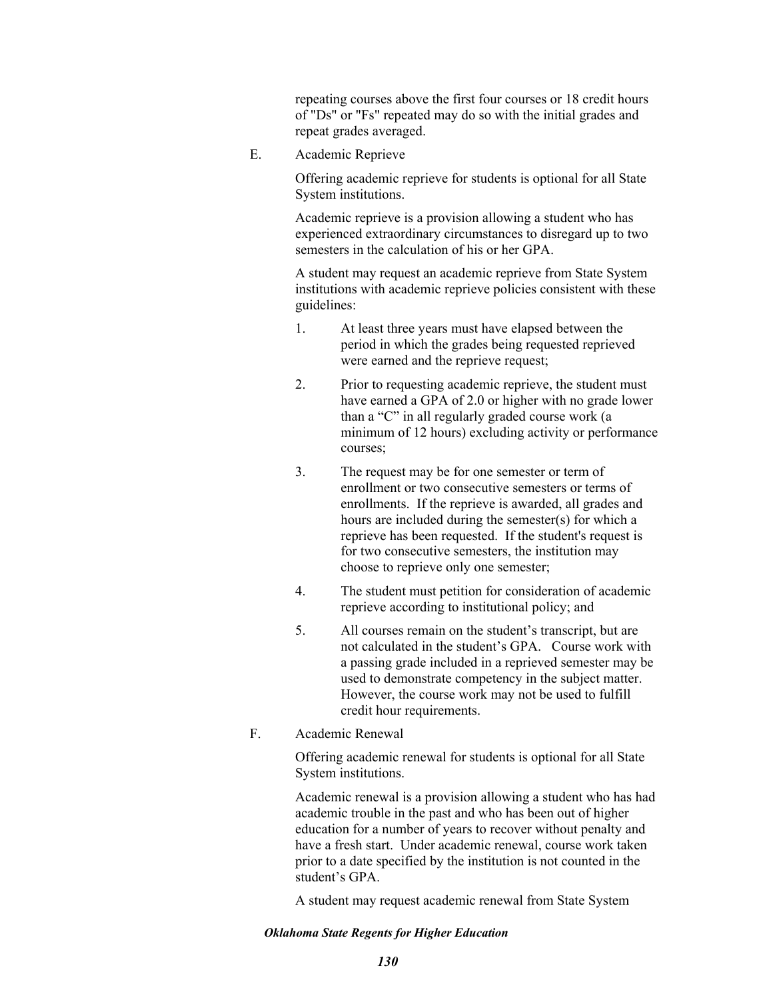repeating courses above the first four courses or 18 credit hours of "Ds" or "Fs" repeated may do so with the initial grades and repeat grades averaged.

E. Academic Reprieve

Offering academic reprieve for students is optional for all State System institutions.

Academic reprieve is a provision allowing a student who has experienced extraordinary circumstances to disregard up to two semesters in the calculation of his or her GPA.

A student may request an academic reprieve from State System institutions with academic reprieve policies consistent with these guidelines:

- 1. At least three years must have elapsed between the period in which the grades being requested reprieved were earned and the reprieve request;
- 2. Prior to requesting academic reprieve, the student must have earned a GPA of 2.0 or higher with no grade lower than a "C" in all regularly graded course work (a minimum of 12 hours) excluding activity or performance courses;
- 3. The request may be for one semester or term of enrollment or two consecutive semesters or terms of enrollments. If the reprieve is awarded, all grades and hours are included during the semester(s) for which a reprieve has been requested. If the student's request is for two consecutive semesters, the institution may choose to reprieve only one semester;
- 4. The student must petition for consideration of academic reprieve according to institutional policy; and
- 5. All courses remain on the student's transcript, but are not calculated in the student's GPA. Course work with a passing grade included in a reprieved semester may be used to demonstrate competency in the subject matter. However, the course work may not be used to fulfill credit hour requirements.
- F. Academic Renewal

Offering academic renewal for students is optional for all State System institutions.

Academic renewal is a provision allowing a student who has had academic trouble in the past and who has been out of higher education for a number of years to recover without penalty and have a fresh start. Under academic renewal, course work taken prior to a date specified by the institution is not counted in the student's GPA.

A student may request academic renewal from State System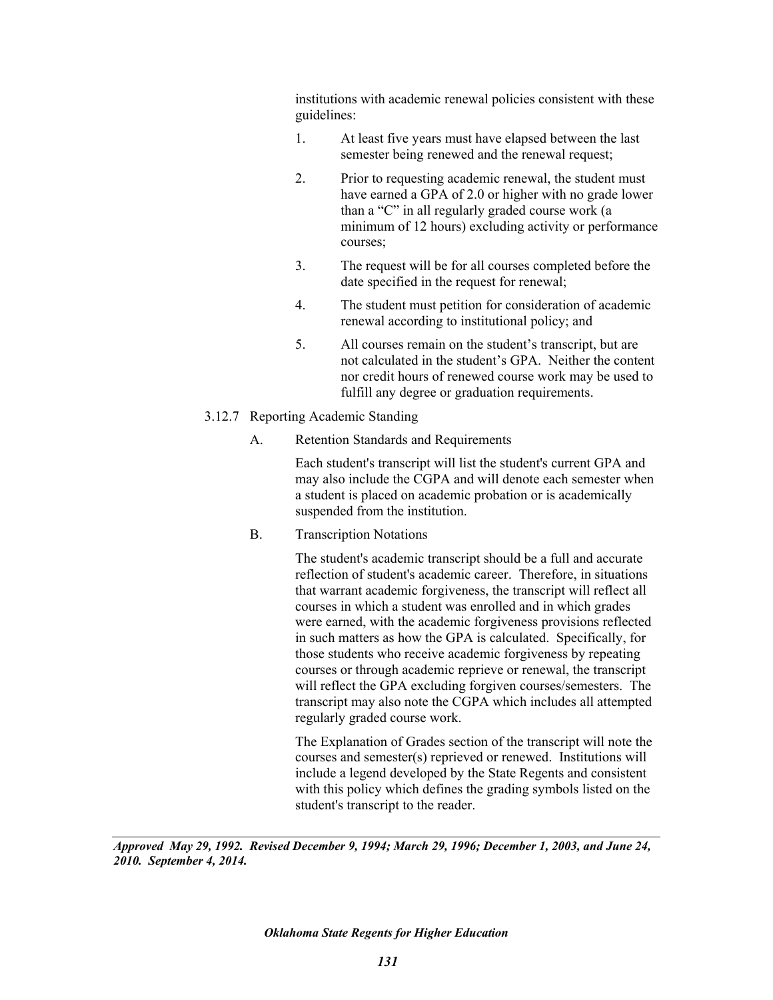institutions with academic renewal policies consistent with these guidelines:

- 1. At least five years must have elapsed between the last semester being renewed and the renewal request;
- 2. Prior to requesting academic renewal, the student must have earned a GPA of 2.0 or higher with no grade lower than a "C" in all regularly graded course work (a minimum of 12 hours) excluding activity or performance courses;
- 3. The request will be for all courses completed before the date specified in the request for renewal;
- 4. The student must petition for consideration of academic renewal according to institutional policy; and
- 5. All courses remain on the student's transcript, but are not calculated in the student's GPA. Neither the content nor credit hours of renewed course work may be used to fulfill any degree or graduation requirements.
- 3.12.7 Reporting Academic Standing
	- A. Retention Standards and Requirements

Each student's transcript will list the student's current GPA and may also include the CGPA and will denote each semester when a student is placed on academic probation or is academically suspended from the institution.

B. Transcription Notations

The student's academic transcript should be a full and accurate reflection of student's academic career. Therefore, in situations that warrant academic forgiveness, the transcript will reflect all courses in which a student was enrolled and in which grades were earned, with the academic forgiveness provisions reflected in such matters as how the GPA is calculated. Specifically, for those students who receive academic forgiveness by repeating courses or through academic reprieve or renewal, the transcript will reflect the GPA excluding forgiven courses/semesters. The transcript may also note the CGPA which includes all attempted regularly graded course work.

The Explanation of Grades section of the transcript will note the courses and semester(s) reprieved or renewed. Institutions will include a legend developed by the State Regents and consistent with this policy which defines the grading symbols listed on the student's transcript to the reader.

*Approved May 29, 1992. Revised December 9, 1994; March 29, 1996; December 1, 2003, and June 24, 2010. September 4, 2014.*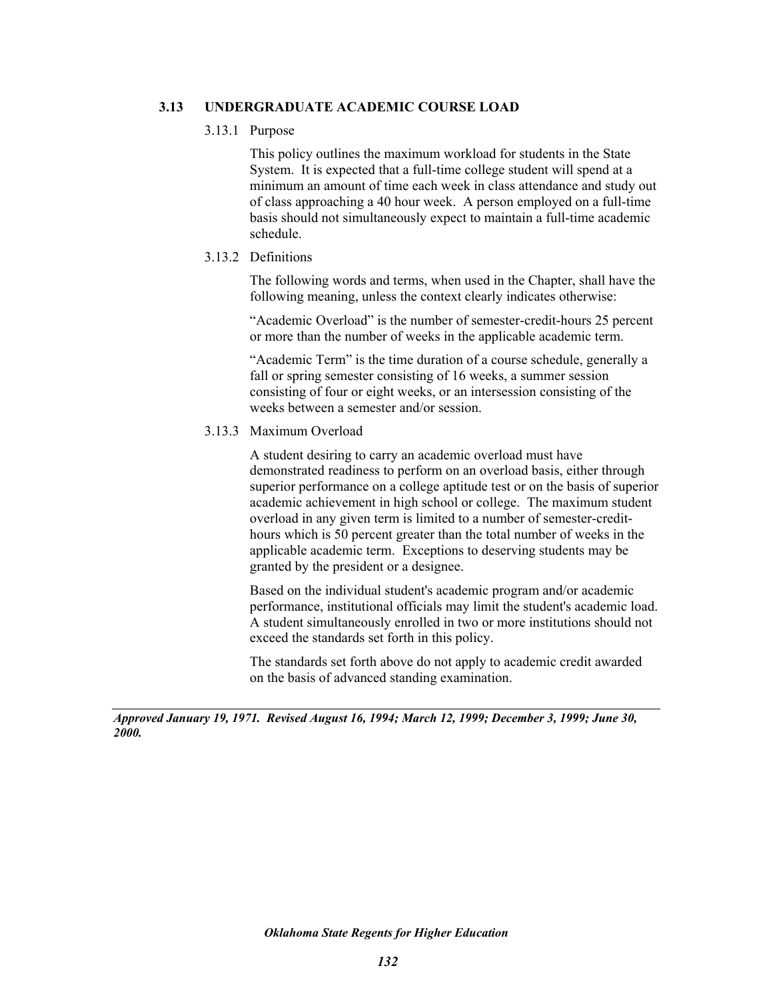## **3.13 UNDERGRADUATE ACADEMIC COURSE LOAD**

## 3.13.1 Purpose

This policy outlines the maximum workload for students in the State System. It is expected that a full-time college student will spend at a minimum an amount of time each week in class attendance and study out of class approaching a 40 hour week. A person employed on a full-time basis should not simultaneously expect to maintain a full-time academic schedule.

## 3.13.2 Definitions

The following words and terms, when used in the Chapter, shall have the following meaning, unless the context clearly indicates otherwise:

"Academic Overload" is the number of semester-credit-hours 25 percent or more than the number of weeks in the applicable academic term.

"Academic Term" is the time duration of a course schedule, generally a fall or spring semester consisting of 16 weeks, a summer session consisting of four or eight weeks, or an intersession consisting of the weeks between a semester and/or session.

# 3.13.3 Maximum Overload

A student desiring to carry an academic overload must have demonstrated readiness to perform on an overload basis, either through superior performance on a college aptitude test or on the basis of superior academic achievement in high school or college. The maximum student overload in any given term is limited to a number of semester-credithours which is 50 percent greater than the total number of weeks in the applicable academic term. Exceptions to deserving students may be granted by the president or a designee.

Based on the individual student's academic program and/or academic performance, institutional officials may limit the student's academic load. A student simultaneously enrolled in two or more institutions should not exceed the standards set forth in this policy.

The standards set forth above do not apply to academic credit awarded on the basis of advanced standing examination.

*Approved January 19, 1971. Revised August 16, 1994; March 12, 1999; December 3, 1999; June 30, 2000.*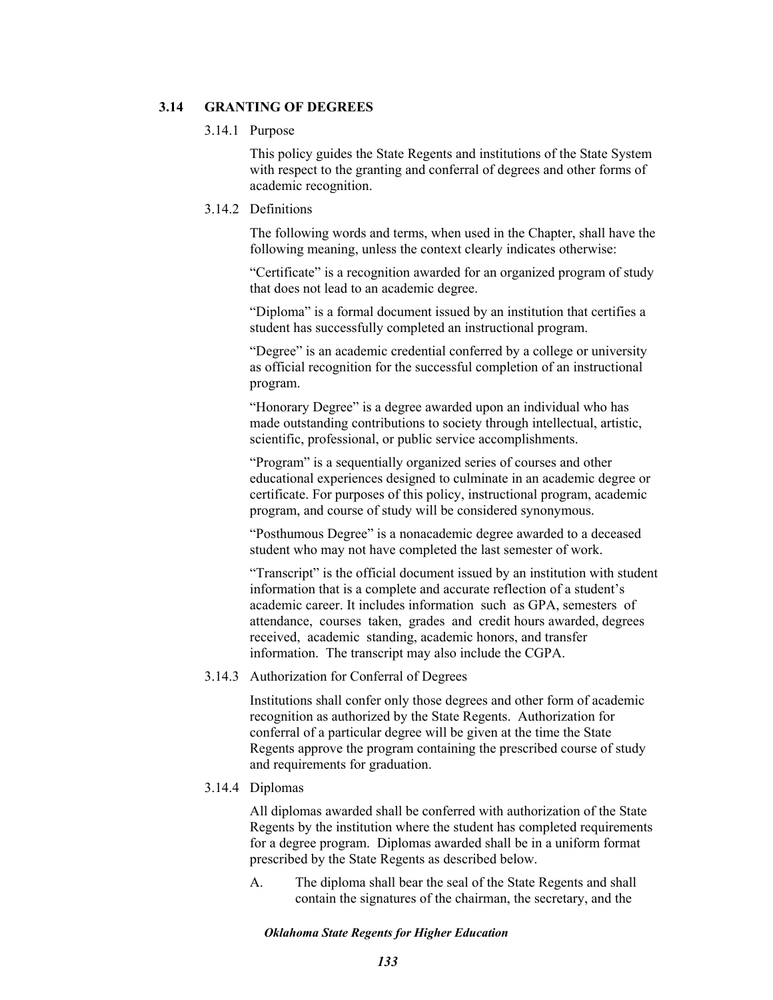## **3.14 GRANTING OF DEGREES**

### 3.14.1 Purpose

This policy guides the State Regents and institutions of the State System with respect to the granting and conferral of degrees and other forms of academic recognition.

## 3.14.2 Definitions

The following words and terms, when used in the Chapter, shall have the following meaning, unless the context clearly indicates otherwise:

"Certificate" is a recognition awarded for an organized program of study that does not lead to an academic degree.

"Diploma" is a formal document issued by an institution that certifies a student has successfully completed an instructional program.

"Degree" is an academic credential conferred by a college or university as official recognition for the successful completion of an instructional program.

"Honorary Degree" is a degree awarded upon an individual who has made outstanding contributions to society through intellectual, artistic, scientific, professional, or public service accomplishments.

"Program" is a sequentially organized series of courses and other educational experiences designed to culminate in an academic degree or certificate. For purposes of this policy, instructional program, academic program, and course of study will be considered synonymous.

"Posthumous Degree" is a nonacademic degree awarded to a deceased student who may not have completed the last semester of work.

"Transcript" is the official document issued by an institution with student information that is a complete and accurate reflection of a student's academic career. It includes information such as GPA, semesters of attendance, courses taken, grades and credit hours awarded, degrees received, academic standing, academic honors, and transfer information. The transcript may also include the CGPA.

## 3.14.3 Authorization for Conferral of Degrees

Institutions shall confer only those degrees and other form of academic recognition as authorized by the State Regents. Authorization for conferral of a particular degree will be given at the time the State Regents approve the program containing the prescribed course of study and requirements for graduation.

## 3.14.4 Diplomas

All diplomas awarded shall be conferred with authorization of the State Regents by the institution where the student has completed requirements for a degree program. Diplomas awarded shall be in a uniform format prescribed by the State Regents as described below.

A. The diploma shall bear the seal of the State Regents and shall contain the signatures of the chairman, the secretary, and the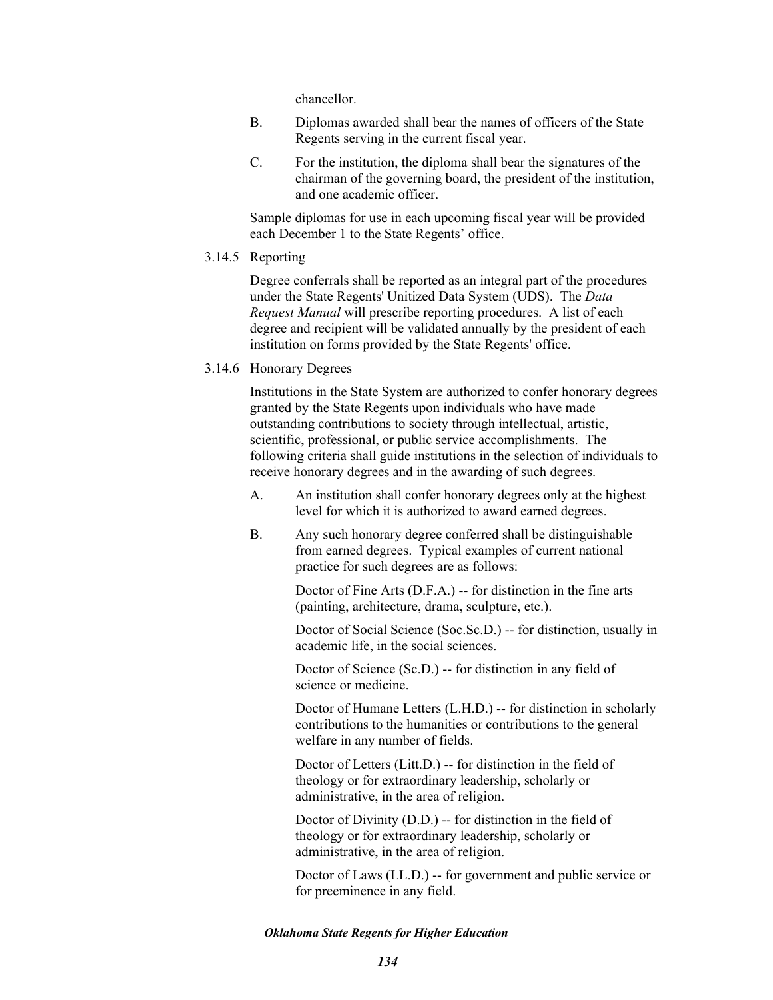chancellor.

- B. Diplomas awarded shall bear the names of officers of the State Regents serving in the current fiscal year.
- C. For the institution, the diploma shall bear the signatures of the chairman of the governing board, the president of the institution, and one academic officer.

Sample diplomas for use in each upcoming fiscal year will be provided each December 1 to the State Regents' office.

## 3.14.5 Reporting

Degree conferrals shall be reported as an integral part of the procedures under the State Regents' Unitized Data System (UDS). The *Data Request Manual* will prescribe reporting procedures. A list of each degree and recipient will be validated annually by the president of each institution on forms provided by the State Regents' office.

3.14.6 Honorary Degrees

Institutions in the State System are authorized to confer honorary degrees granted by the State Regents upon individuals who have made outstanding contributions to society through intellectual, artistic, scientific, professional, or public service accomplishments. The following criteria shall guide institutions in the selection of individuals to receive honorary degrees and in the awarding of such degrees.

- A. An institution shall confer honorary degrees only at the highest level for which it is authorized to award earned degrees.
- B. Any such honorary degree conferred shall be distinguishable from earned degrees. Typical examples of current national practice for such degrees are as follows:

Doctor of Fine Arts (D.F.A.) -- for distinction in the fine arts (painting, architecture, drama, sculpture, etc.).

Doctor of Social Science (Soc.Sc.D.) -- for distinction, usually in academic life, in the social sciences.

Doctor of Science (Sc.D.) -- for distinction in any field of science or medicine.

Doctor of Humane Letters (L.H.D.) -- for distinction in scholarly contributions to the humanities or contributions to the general welfare in any number of fields.

Doctor of Letters (Litt.D.) -- for distinction in the field of theology or for extraordinary leadership, scholarly or administrative, in the area of religion.

Doctor of Divinity (D.D.) -- for distinction in the field of theology or for extraordinary leadership, scholarly or administrative, in the area of religion.

Doctor of Laws (LL.D.) -- for government and public service or for preeminence in any field.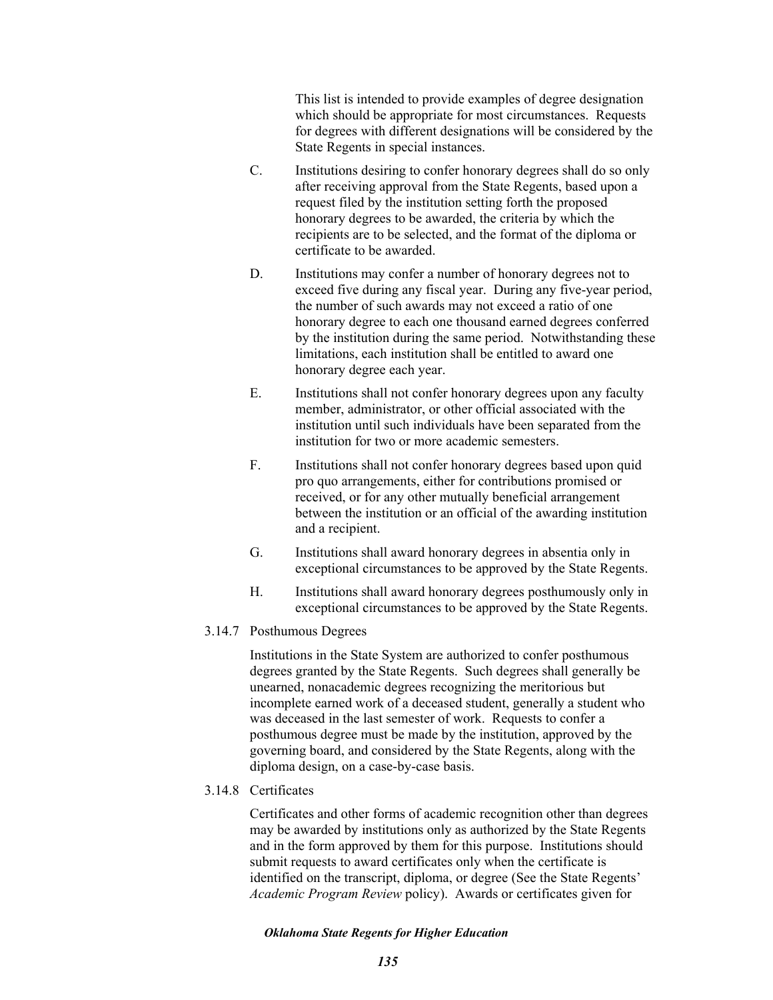This list is intended to provide examples of degree designation which should be appropriate for most circumstances. Requests for degrees with different designations will be considered by the State Regents in special instances.

- C. Institutions desiring to confer honorary degrees shall do so only after receiving approval from the State Regents, based upon a request filed by the institution setting forth the proposed honorary degrees to be awarded, the criteria by which the recipients are to be selected, and the format of the diploma or certificate to be awarded.
- D. Institutions may confer a number of honorary degrees not to exceed five during any fiscal year. During any five-year period, the number of such awards may not exceed a ratio of one honorary degree to each one thousand earned degrees conferred by the institution during the same period. Notwithstanding these limitations, each institution shall be entitled to award one honorary degree each year.
- E. Institutions shall not confer honorary degrees upon any faculty member, administrator, or other official associated with the institution until such individuals have been separated from the institution for two or more academic semesters.
- F. Institutions shall not confer honorary degrees based upon quid pro quo arrangements, either for contributions promised or received, or for any other mutually beneficial arrangement between the institution or an official of the awarding institution and a recipient.
- G. Institutions shall award honorary degrees in absentia only in exceptional circumstances to be approved by the State Regents.
- H. Institutions shall award honorary degrees posthumously only in exceptional circumstances to be approved by the State Regents.

## 3.14.7 Posthumous Degrees

Institutions in the State System are authorized to confer posthumous degrees granted by the State Regents. Such degrees shall generally be unearned, nonacademic degrees recognizing the meritorious but incomplete earned work of a deceased student, generally a student who was deceased in the last semester of work. Requests to confer a posthumous degree must be made by the institution, approved by the governing board, and considered by the State Regents, along with the diploma design, on a case-by-case basis.

## 3.14.8 Certificates

Certificates and other forms of academic recognition other than degrees may be awarded by institutions only as authorized by the State Regents and in the form approved by them for this purpose. Institutions should submit requests to award certificates only when the certificate is identified on the transcript, diploma, or degree (See the State Regents' *Academic Program Review* policy). Awards or certificates given for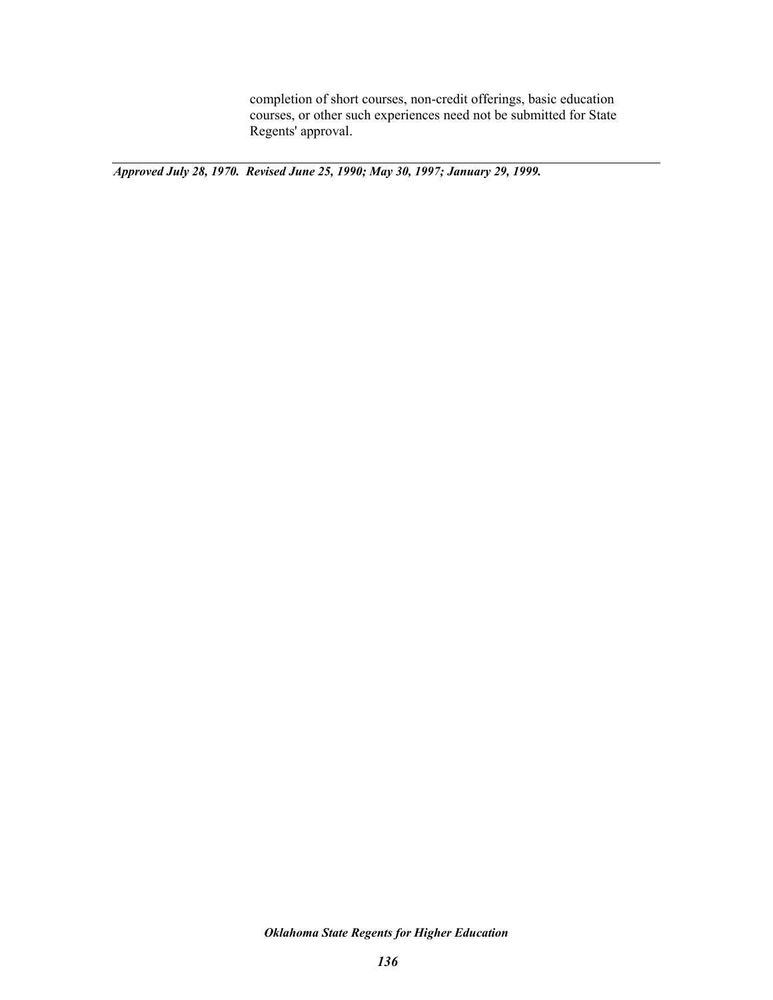completion of short courses, non-credit offerings, basic education courses, or other such experiences need not be submitted for State Regents' approval.

*Approved July 28, 1970. Revised June 25, 1990; May 30, 1997; January 29, 1999.*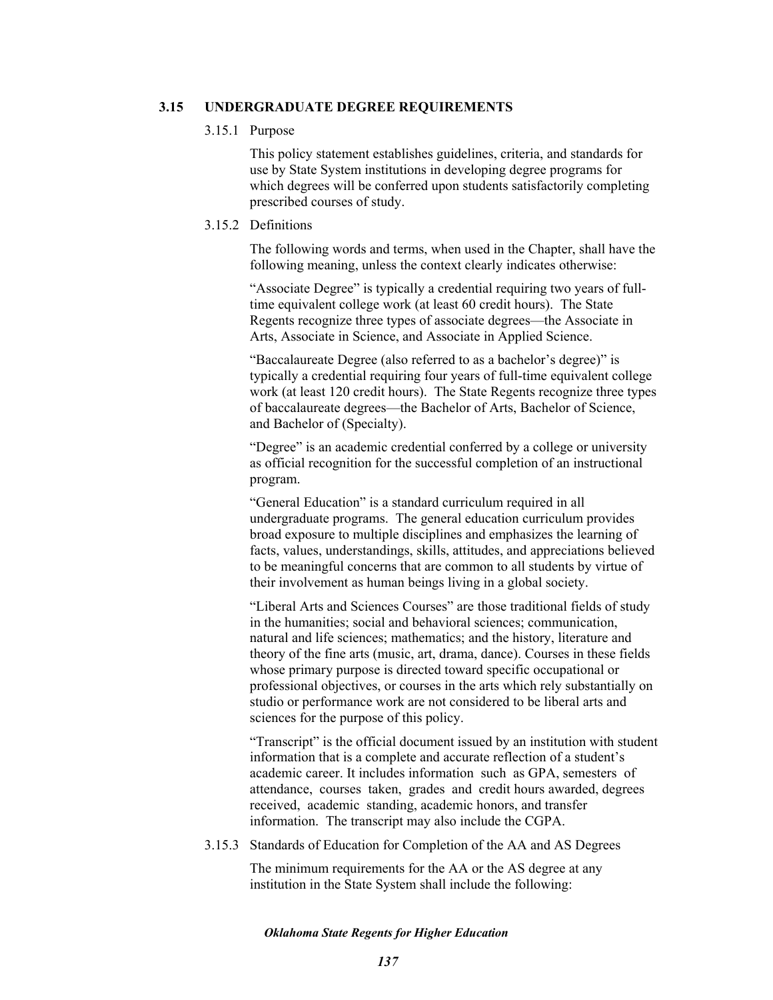### **3.15 UNDERGRADUATE DEGREE REQUIREMENTS**

#### 3.15.1 Purpose

This policy statement establishes guidelines, criteria, and standards for use by State System institutions in developing degree programs for which degrees will be conferred upon students satisfactorily completing prescribed courses of study.

## 3.15.2 Definitions

The following words and terms, when used in the Chapter, shall have the following meaning, unless the context clearly indicates otherwise:

"Associate Degree" is typically a credential requiring two years of fulltime equivalent college work (at least 60 credit hours). The State Regents recognize three types of associate degrees—the Associate in Arts, Associate in Science, and Associate in Applied Science.

"Baccalaureate Degree (also referred to as a bachelor's degree)" is typically a credential requiring four years of full-time equivalent college work (at least 120 credit hours). The State Regents recognize three types of baccalaureate degrees—the Bachelor of Arts, Bachelor of Science, and Bachelor of (Specialty).

"Degree" is an academic credential conferred by a college or university as official recognition for the successful completion of an instructional program.

"General Education" is a standard curriculum required in all undergraduate programs. The general education curriculum provides broad exposure to multiple disciplines and emphasizes the learning of facts, values, understandings, skills, attitudes, and appreciations believed to be meaningful concerns that are common to all students by virtue of their involvement as human beings living in a global society.

"Liberal Arts and Sciences Courses" are those traditional fields of study in the humanities; social and behavioral sciences; communication, natural and life sciences; mathematics; and the history, literature and theory of the fine arts (music, art, drama, dance). Courses in these fields whose primary purpose is directed toward specific occupational or professional objectives, or courses in the arts which rely substantially on studio or performance work are not considered to be liberal arts and sciences for the purpose of this policy.

"Transcript" is the official document issued by an institution with student information that is a complete and accurate reflection of a student's academic career. It includes information such as GPA, semesters of attendance, courses taken, grades and credit hours awarded, degrees received, academic standing, academic honors, and transfer information. The transcript may also include the CGPA.

3.15.3 Standards of Education for Completion of the AA and AS Degrees

The minimum requirements for the AA or the AS degree at any institution in the State System shall include the following: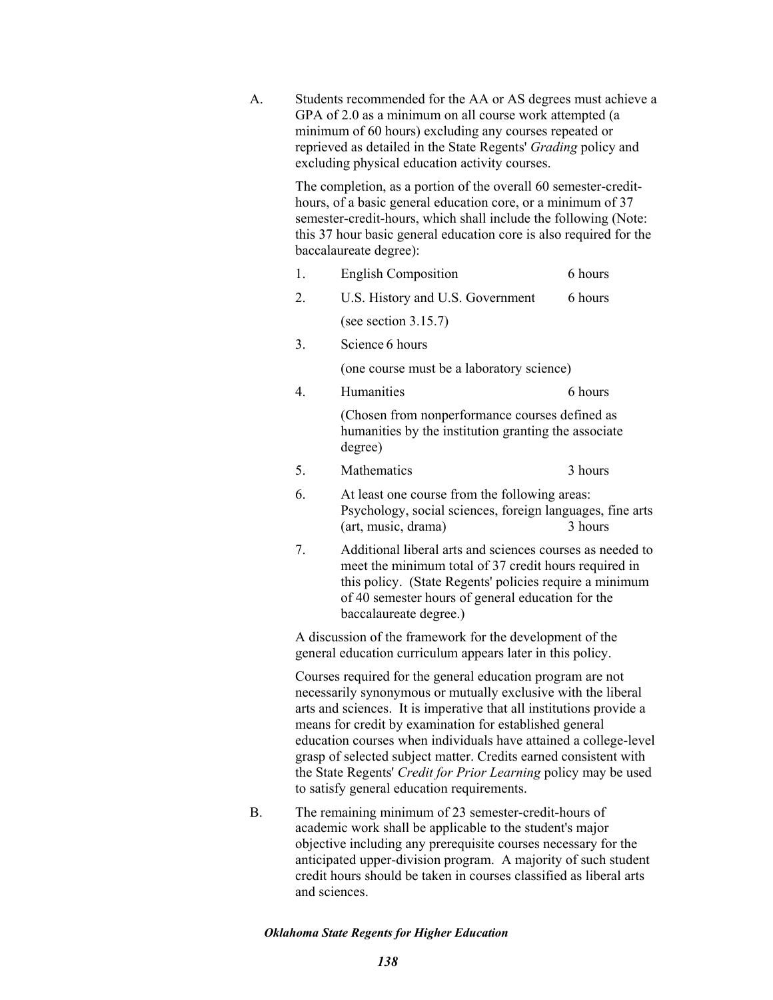- A. Students recommended for the AA or AS degrees must achieve a GPA of 2.0 as a minimum on all course work attempted (a minimum of 60 hours) excluding any courses repeated or reprieved as detailed in the State Regents' *Grading* policy and excluding physical education activity courses. The completion, as a portion of the overall 60 semester-credithours, of a basic general education core, or a minimum of 37 semester-credit-hours, which shall include the following (Note: this 37 hour basic general education core is also required for the baccalaureate degree): 1. English Composition 6 hours 2. U.S. History and U.S. Government 6 hours (see section 3.15.7) 3. Science 6 hours (one course must be a laboratory science) 4. Humanities 6 hours (Chosen from nonperformance courses defined as humanities by the institution granting the associate degree) 5. Mathematics 3 hours 6. At least one course from the following areas: Psychology, social sciences, foreign languages, fine arts (art, music, drama) 3 hours 7. Additional liberal arts and sciences courses as needed to meet the minimum total of 37 credit hours required in this policy. (State Regents' policies require a minimum of 40 semester hours of general education for the baccalaureate degree.) A discussion of the framework for the development of the general education curriculum appears later in this policy. Courses required for the general education program are not necessarily synonymous or mutually exclusive with the liberal arts and sciences. It is imperative that all institutions provide a means for credit by examination for established general education courses when individuals have attained a college-level grasp of selected subject matter. Credits earned consistent with the State Regents' *Credit for Prior Learning* policy may be used to satisfy general education requirements. B. The remaining minimum of 23 semester-credit-hours of academic work shall be applicable to the student's major objective including any prerequisite courses necessary for the
	- anticipated upper-division program. A majority of such student credit hours should be taken in courses classified as liberal arts and sciences.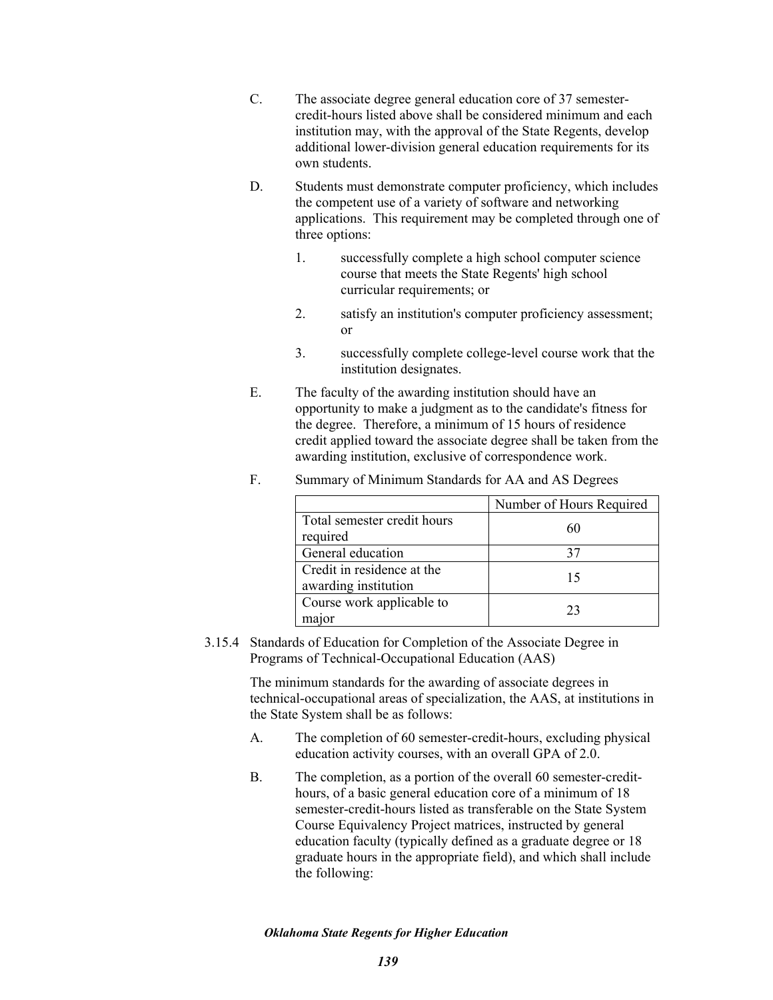- C. The associate degree general education core of 37 semestercredit-hours listed above shall be considered minimum and each institution may, with the approval of the State Regents, develop additional lower-division general education requirements for its own students.
- D. Students must demonstrate computer proficiency, which includes the competent use of a variety of software and networking applications. This requirement may be completed through one of three options:
	- 1. successfully complete a high school computer science course that meets the State Regents' high school curricular requirements; or
	- 2. satisfy an institution's computer proficiency assessment; or
	- 3. successfully complete college-level course work that the institution designates.
- E. The faculty of the awarding institution should have an opportunity to make a judgment as to the candidate's fitness for the degree. Therefore, a minimum of 15 hours of residence credit applied toward the associate degree shall be taken from the awarding institution, exclusive of correspondence work.

|                             | Number of Hours Required |  |
|-----------------------------|--------------------------|--|
| Total semester credit hours | 60                       |  |
| required                    |                          |  |
| General education           |                          |  |
| Credit in residence at the  |                          |  |
| awarding institution        |                          |  |
| Course work applicable to   | 23                       |  |
| maior                       |                          |  |

F. Summary of Minimum Standards for AA and AS Degrees

3.15.4 Standards of Education for Completion of the Associate Degree in Programs of Technical-Occupational Education (AAS)

> The minimum standards for the awarding of associate degrees in technical-occupational areas of specialization, the AAS, at institutions in the State System shall be as follows:

- A. The completion of 60 semester-credit-hours, excluding physical education activity courses, with an overall GPA of 2.0.
- B. The completion, as a portion of the overall 60 semester-credithours, of a basic general education core of a minimum of 18 semester-credit-hours listed as transferable on the State System Course Equivalency Project matrices, instructed by general education faculty (typically defined as a graduate degree or 18 graduate hours in the appropriate field), and which shall include the following: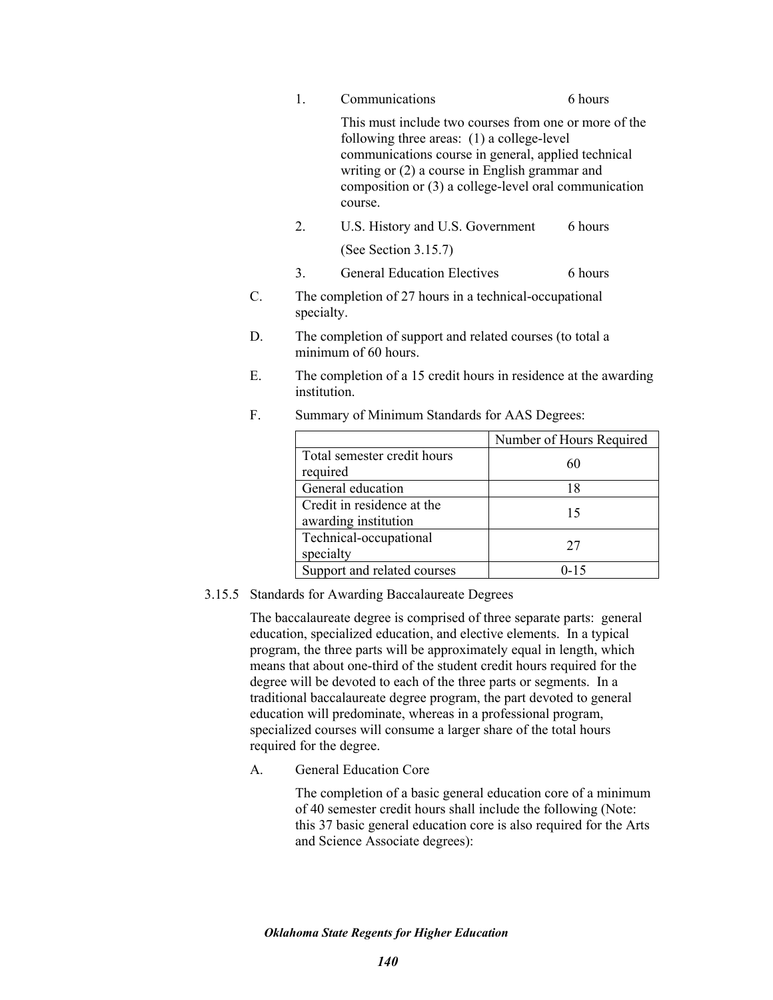|    | 1.               | Communications                                                                                                                                                 | 6 hours                                                                                                        |  |  |
|----|------------------|----------------------------------------------------------------------------------------------------------------------------------------------------------------|----------------------------------------------------------------------------------------------------------------|--|--|
|    |                  | following three areas: (1) a college-level<br>communications course in general, applied technical<br>writing or (2) a course in English grammar and<br>course. | This must include two courses from one or more of the<br>composition or (3) a college-level oral communication |  |  |
|    | $\overline{2}$ . | U.S. History and U.S. Government                                                                                                                               | 6 hours                                                                                                        |  |  |
|    |                  | (See Section 3.15.7)                                                                                                                                           |                                                                                                                |  |  |
|    | 3.               | <b>General Education Electives</b>                                                                                                                             | 6 hours                                                                                                        |  |  |
| C. | specialty.       | The completion of 27 hours in a technical-occupational                                                                                                         |                                                                                                                |  |  |
| D. |                  | The completion of support and related courses (to total a<br>minimum of 60 hours.                                                                              |                                                                                                                |  |  |
| Е. |                  | The completion of a 15 credit hours in residence at the awarding<br>institution.                                                                               |                                                                                                                |  |  |
| F. |                  | Summary of Minimum Standards for AAS Degrees:                                                                                                                  |                                                                                                                |  |  |
|    |                  |                                                                                                                                                                | Number of Hours Required                                                                                       |  |  |
|    | required         | Total semester credit hours                                                                                                                                    | 60                                                                                                             |  |  |
|    |                  | General education                                                                                                                                              | 18                                                                                                             |  |  |
|    |                  | Credit in residence at the<br>awarding institution                                                                                                             | 15                                                                                                             |  |  |

# 3.15.5 Standards for Awarding Baccalaureate Degrees

Technical-occupational

The baccalaureate degree is comprised of three separate parts: general education, specialized education, and elective elements. In a typical program, the three parts will be approximately equal in length, which means that about one-third of the student credit hours required for the degree will be devoted to each of the three parts or segments. In a traditional baccalaureate degree program, the part devoted to general education will predominate, whereas in a professional program, specialized courses will consume a larger share of the total hours required for the degree.

specialty 27 Support and related courses 0-15

# A. General Education Core

The completion of a basic general education core of a minimum of 40 semester credit hours shall include the following (Note: this 37 basic general education core is also required for the Arts and Science Associate degrees):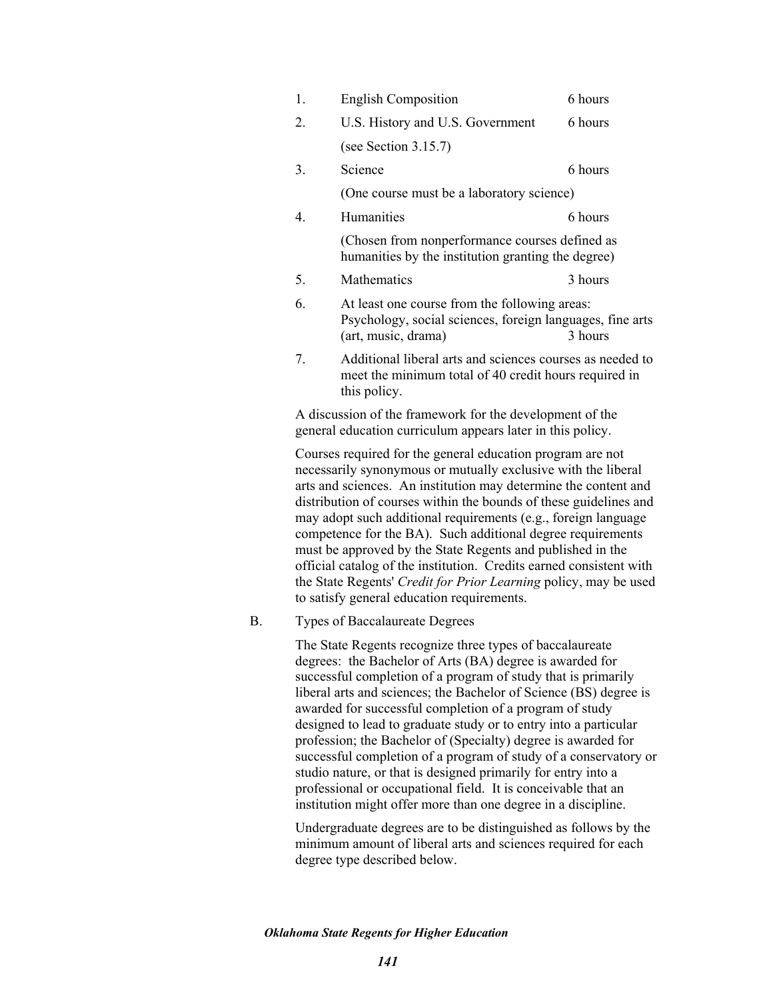| 1.               | <b>English Composition</b>                                                                                                                                                                                                                                                                                                            | 6 hours |  |  |
|------------------|---------------------------------------------------------------------------------------------------------------------------------------------------------------------------------------------------------------------------------------------------------------------------------------------------------------------------------------|---------|--|--|
| 2.               | U.S. History and U.S. Government                                                                                                                                                                                                                                                                                                      | 6 hours |  |  |
|                  | (see Section $3.15.7$ )                                                                                                                                                                                                                                                                                                               |         |  |  |
| 3.               | Science                                                                                                                                                                                                                                                                                                                               | 6 hours |  |  |
|                  | (One course must be a laboratory science)                                                                                                                                                                                                                                                                                             |         |  |  |
| $\overline{4}$ . | Humanities                                                                                                                                                                                                                                                                                                                            | 6 hours |  |  |
|                  | (Chosen from nonperformance courses defined as<br>humanities by the institution granting the degree)                                                                                                                                                                                                                                  |         |  |  |
| 5.               | Mathematics                                                                                                                                                                                                                                                                                                                           | 3 hours |  |  |
| 6.               | At least one course from the following areas:<br>Psychology, social sciences, foreign languages, fine arts<br>3 hours<br>(art, music, drama)                                                                                                                                                                                          |         |  |  |
| 7.               | Additional liberal arts and sciences courses as needed to<br>meet the minimum total of 40 credit hours required in<br>this policy.                                                                                                                                                                                                    |         |  |  |
|                  | A discussion of the framework for the development of the<br>general education curriculum appears later in this policy.                                                                                                                                                                                                                |         |  |  |
|                  | Courses required for the general education program are not<br>necessarily synonymous or mutually exclusive with the liberal<br>arts and sciences. An institution may determine the content and<br>distribution of courses within the bounds of these guidelines and<br>may adopt such additional requirements (e.g., foreign language |         |  |  |

distribution of courses within the bounds of these guidelines and may adopt such additional requirements (e.g., foreign language competence for the BA). Such additional degree requirements must be approved by the State Regents and published in the official catalog of the institution. Credits earned consistent with the State Regents' *Credit for Prior Learning* policy, may be used to satisfy general education requirements.

## B. Types of Baccalaureate Degrees

The State Regents recognize three types of baccalaureate degrees: the Bachelor of Arts (BA) degree is awarded for successful completion of a program of study that is primarily liberal arts and sciences; the Bachelor of Science (BS) degree is awarded for successful completion of a program of study designed to lead to graduate study or to entry into a particular profession; the Bachelor of (Specialty) degree is awarded for successful completion of a program of study of a conservatory or studio nature, or that is designed primarily for entry into a professional or occupational field. It is conceivable that an institution might offer more than one degree in a discipline.

Undergraduate degrees are to be distinguished as follows by the minimum amount of liberal arts and sciences required for each degree type described below.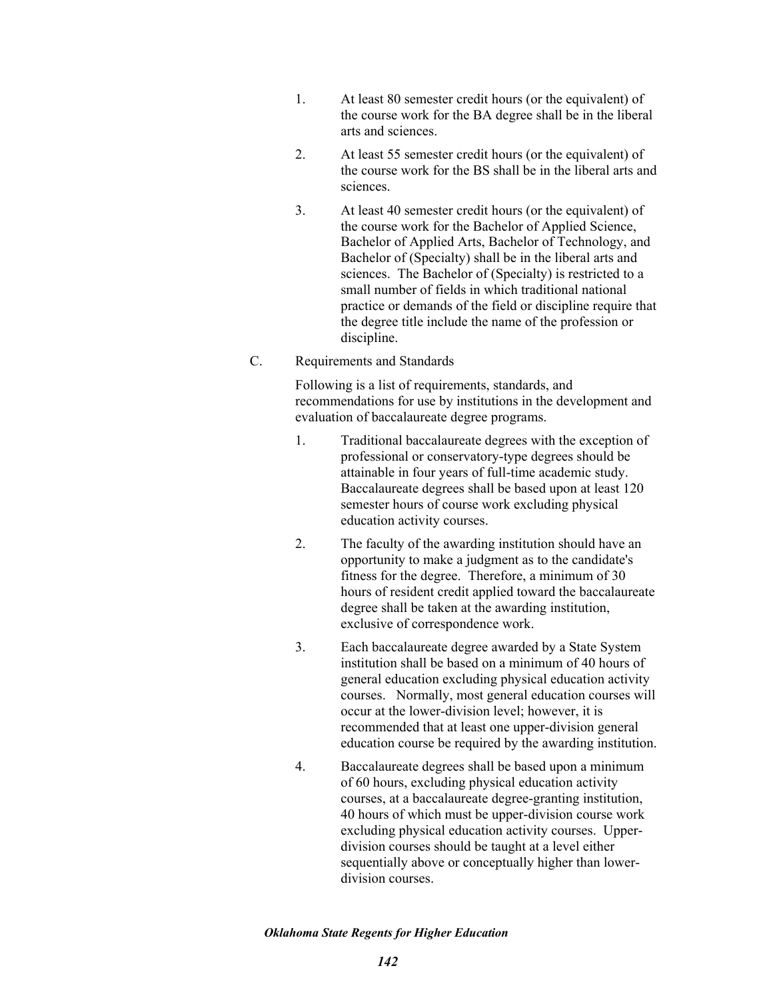- 1. At least 80 semester credit hours (or the equivalent) of the course work for the BA degree shall be in the liberal arts and sciences.
- 2. At least 55 semester credit hours (or the equivalent) of the course work for the BS shall be in the liberal arts and sciences.
- 3. At least 40 semester credit hours (or the equivalent) of the course work for the Bachelor of Applied Science, Bachelor of Applied Arts, Bachelor of Technology, and Bachelor of (Specialty) shall be in the liberal arts and sciences. The Bachelor of (Specialty) is restricted to a small number of fields in which traditional national practice or demands of the field or discipline require that the degree title include the name of the profession or discipline.
- C. Requirements and Standards

Following is a list of requirements, standards, and recommendations for use by institutions in the development and evaluation of baccalaureate degree programs.

- 1. Traditional baccalaureate degrees with the exception of professional or conservatory-type degrees should be attainable in four years of full-time academic study. Baccalaureate degrees shall be based upon at least 120 semester hours of course work excluding physical education activity courses.
- 2. The faculty of the awarding institution should have an opportunity to make a judgment as to the candidate's fitness for the degree. Therefore, a minimum of 30 hours of resident credit applied toward the baccalaureate degree shall be taken at the awarding institution, exclusive of correspondence work.
- 3. Each baccalaureate degree awarded by a State System institution shall be based on a minimum of 40 hours of general education excluding physical education activity courses. Normally, most general education courses will occur at the lower-division level; however, it is recommended that at least one upper-division general education course be required by the awarding institution.
- 4. Baccalaureate degrees shall be based upon a minimum of 60 hours, excluding physical education activity courses, at a baccalaureate degree-granting institution, 40 hours of which must be upper-division course work excluding physical education activity courses. Upperdivision courses should be taught at a level either sequentially above or conceptually higher than lowerdivision courses.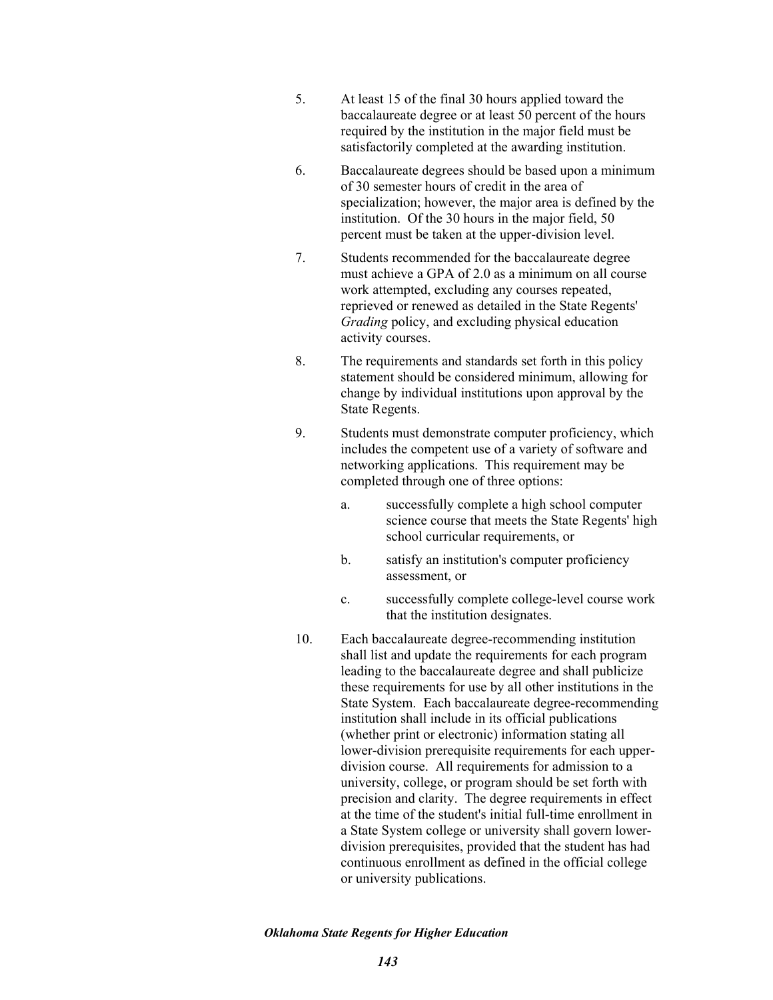- 5. At least 15 of the final 30 hours applied toward the baccalaureate degree or at least 50 percent of the hours required by the institution in the major field must be satisfactorily completed at the awarding institution.
- 6. Baccalaureate degrees should be based upon a minimum of 30 semester hours of credit in the area of specialization; however, the major area is defined by the institution. Of the 30 hours in the major field, 50 percent must be taken at the upper-division level.
- 7. Students recommended for the baccalaureate degree must achieve a GPA of 2.0 as a minimum on all course work attempted, excluding any courses repeated, reprieved or renewed as detailed in the State Regents' *Grading* policy, and excluding physical education activity courses.
- 8. The requirements and standards set forth in this policy statement should be considered minimum, allowing for change by individual institutions upon approval by the State Regents.
- 9. Students must demonstrate computer proficiency, which includes the competent use of a variety of software and networking applications. This requirement may be completed through one of three options:
	- a. successfully complete a high school computer science course that meets the State Regents' high school curricular requirements, or
	- b. satisfy an institution's computer proficiency assessment, or
	- c. successfully complete college-level course work that the institution designates.
- 10. Each baccalaureate degree-recommending institution shall list and update the requirements for each program leading to the baccalaureate degree and shall publicize these requirements for use by all other institutions in the State System. Each baccalaureate degree-recommending institution shall include in its official publications (whether print or electronic) information stating all lower-division prerequisite requirements for each upperdivision course. All requirements for admission to a university, college, or program should be set forth with precision and clarity. The degree requirements in effect at the time of the student's initial full-time enrollment in a State System college or university shall govern lowerdivision prerequisites, provided that the student has had continuous enrollment as defined in the official college or university publications.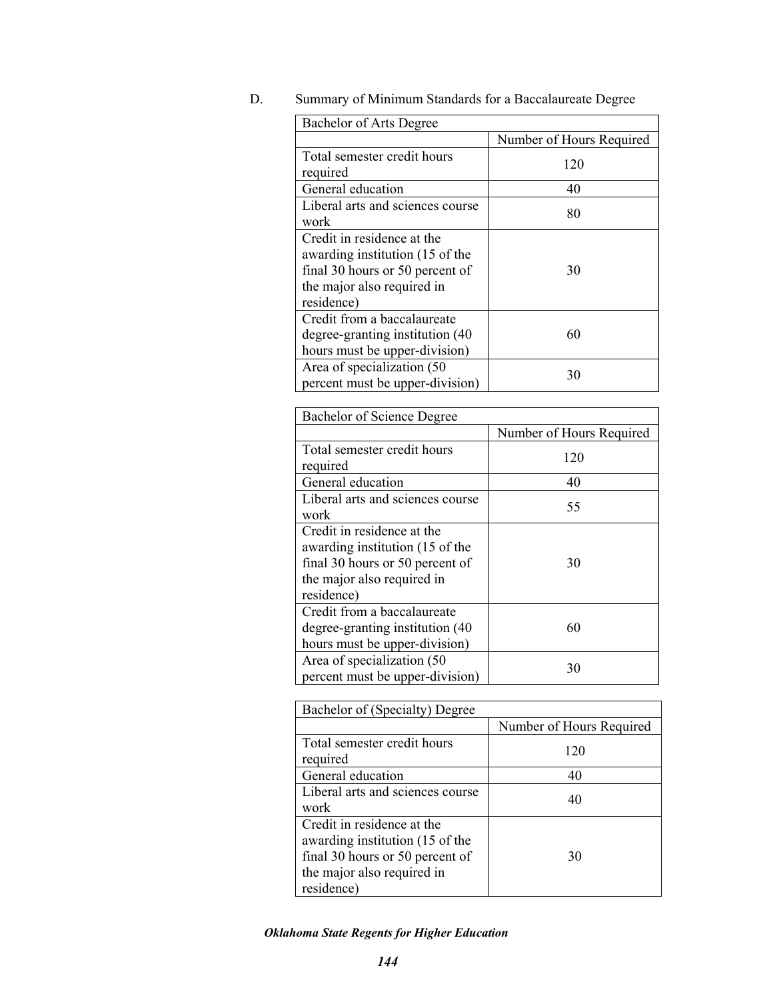D. Summary of Minimum Standards for a Baccalaureate Degree

| Bachelor of Arts Degree                                                                                                                      |                          |
|----------------------------------------------------------------------------------------------------------------------------------------------|--------------------------|
|                                                                                                                                              | Number of Hours Required |
| Total semester credit hours<br>required                                                                                                      | 120                      |
| General education                                                                                                                            | 40                       |
| Liberal arts and sciences course<br>work                                                                                                     | 80                       |
| Credit in residence at the<br>awarding institution (15 of the<br>final 30 hours or 50 percent of<br>the major also required in<br>residence) | 30                       |
| Credit from a baccalaureate<br>degree-granting institution (40)<br>hours must be upper-division)                                             | 60                       |
| Area of specialization (50<br>percent must be upper-division)                                                                                | 30                       |

| Bachelor of Science Degree                                                                                                                   |                          |
|----------------------------------------------------------------------------------------------------------------------------------------------|--------------------------|
|                                                                                                                                              | Number of Hours Required |
| Total semester credit hours<br>required                                                                                                      | 120                      |
| General education                                                                                                                            | 40                       |
| Liberal arts and sciences course<br>work                                                                                                     | 55                       |
| Credit in residence at the<br>awarding institution (15 of the<br>final 30 hours or 50 percent of<br>the major also required in<br>residence) | 30                       |
| Credit from a baccalaureate<br>degree-granting institution (40<br>hours must be upper-division)                                              | 60                       |
| Area of specialization (50)<br>percent must be upper-division)                                                                               | 30                       |

| Bachelor of (Specialty) Degree                                                                                                               |                          |
|----------------------------------------------------------------------------------------------------------------------------------------------|--------------------------|
|                                                                                                                                              | Number of Hours Required |
| Total semester credit hours<br>required                                                                                                      | 120                      |
| General education                                                                                                                            | 40                       |
| Liberal arts and sciences course<br>work                                                                                                     | 40                       |
| Credit in residence at the<br>awarding institution (15 of the<br>final 30 hours or 50 percent of<br>the major also required in<br>residence) | 30                       |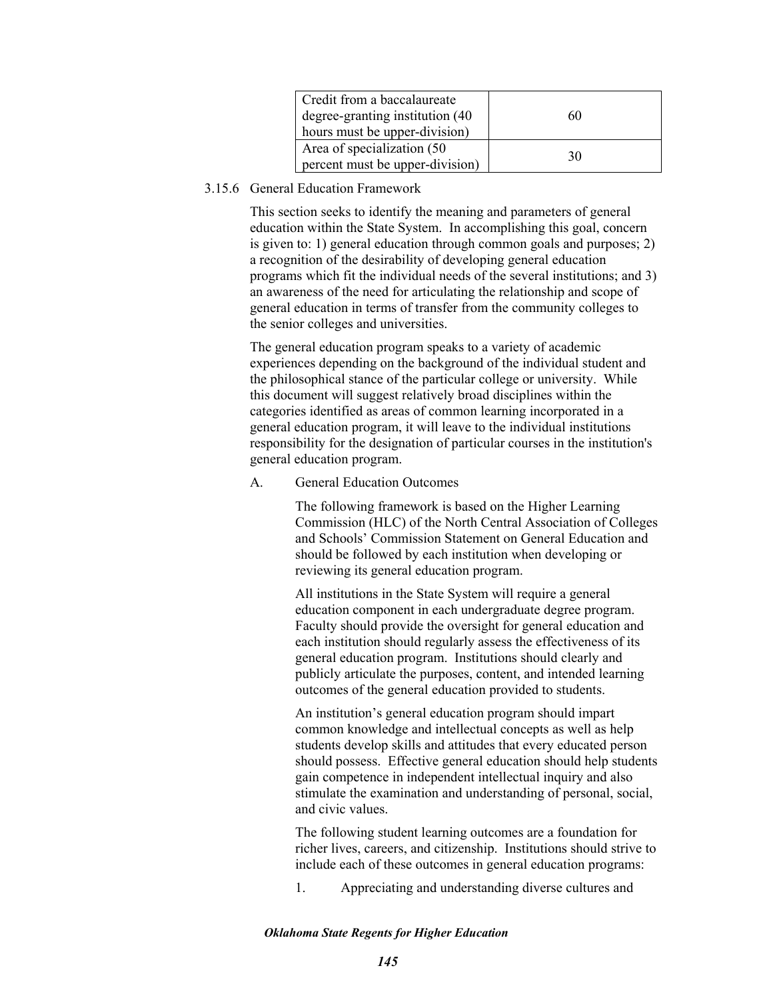| Credit from a baccalaureate      |    |
|----------------------------------|----|
| degree-granting institution (40) | 60 |
| hours must be upper-division)    |    |
| Area of specialization (50)      | 30 |
| percent must be upper-division)  |    |

# 3.15.6 General Education Framework

This section seeks to identify the meaning and parameters of general education within the State System. In accomplishing this goal, concern is given to: 1) general education through common goals and purposes; 2) a recognition of the desirability of developing general education programs which fit the individual needs of the several institutions; and 3) an awareness of the need for articulating the relationship and scope of general education in terms of transfer from the community colleges to the senior colleges and universities.

The general education program speaks to a variety of academic experiences depending on the background of the individual student and the philosophical stance of the particular college or university. While this document will suggest relatively broad disciplines within the categories identified as areas of common learning incorporated in a general education program, it will leave to the individual institutions responsibility for the designation of particular courses in the institution's general education program.

## A. General Education Outcomes

The following framework is based on the Higher Learning Commission (HLC) of the North Central Association of Colleges and Schools' Commission Statement on General Education and should be followed by each institution when developing or reviewing its general education program.

All institutions in the State System will require a general education component in each undergraduate degree program. Faculty should provide the oversight for general education and each institution should regularly assess the effectiveness of its general education program. Institutions should clearly and publicly articulate the purposes, content, and intended learning outcomes of the general education provided to students.

An institution's general education program should impart common knowledge and intellectual concepts as well as help students develop skills and attitudes that every educated person should possess. Effective general education should help students gain competence in independent intellectual inquiry and also stimulate the examination and understanding of personal, social, and civic values.

The following student learning outcomes are a foundation for richer lives, careers, and citizenship. Institutions should strive to include each of these outcomes in general education programs:

1. Appreciating and understanding diverse cultures and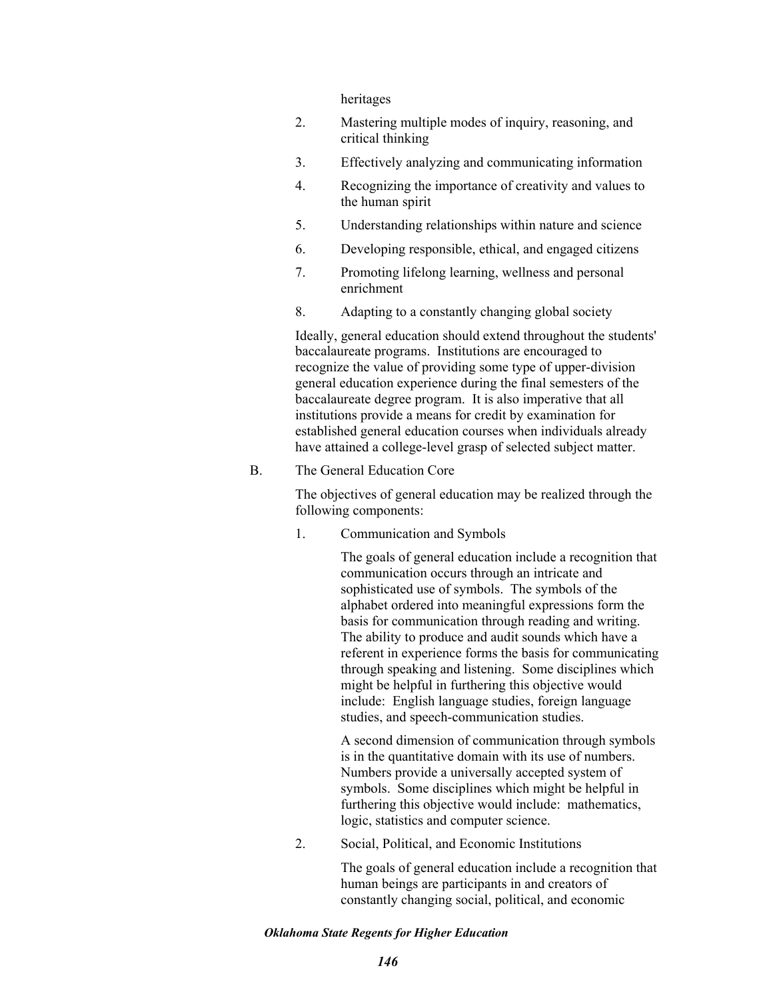heritages

- 2. Mastering multiple modes of inquiry, reasoning, and critical thinking
- 3. Effectively analyzing and communicating information
- 4. Recognizing the importance of creativity and values to the human spirit
- 5. Understanding relationships within nature and science
- 6. Developing responsible, ethical, and engaged citizens
- 7. Promoting lifelong learning, wellness and personal enrichment
- 8. Adapting to a constantly changing global society

Ideally, general education should extend throughout the students' baccalaureate programs. Institutions are encouraged to recognize the value of providing some type of upper-division general education experience during the final semesters of the baccalaureate degree program. It is also imperative that all institutions provide a means for credit by examination for established general education courses when individuals already have attained a college-level grasp of selected subject matter.

#### B. The General Education Core

The objectives of general education may be realized through the following components:

1. Communication and Symbols

The goals of general education include a recognition that communication occurs through an intricate and sophisticated use of symbols. The symbols of the alphabet ordered into meaningful expressions form the basis for communication through reading and writing. The ability to produce and audit sounds which have a referent in experience forms the basis for communicating through speaking and listening. Some disciplines which might be helpful in furthering this objective would include: English language studies, foreign language studies, and speech-communication studies.

A second dimension of communication through symbols is in the quantitative domain with its use of numbers. Numbers provide a universally accepted system of symbols. Some disciplines which might be helpful in furthering this objective would include: mathematics, logic, statistics and computer science.

2. Social, Political, and Economic Institutions

The goals of general education include a recognition that human beings are participants in and creators of constantly changing social, political, and economic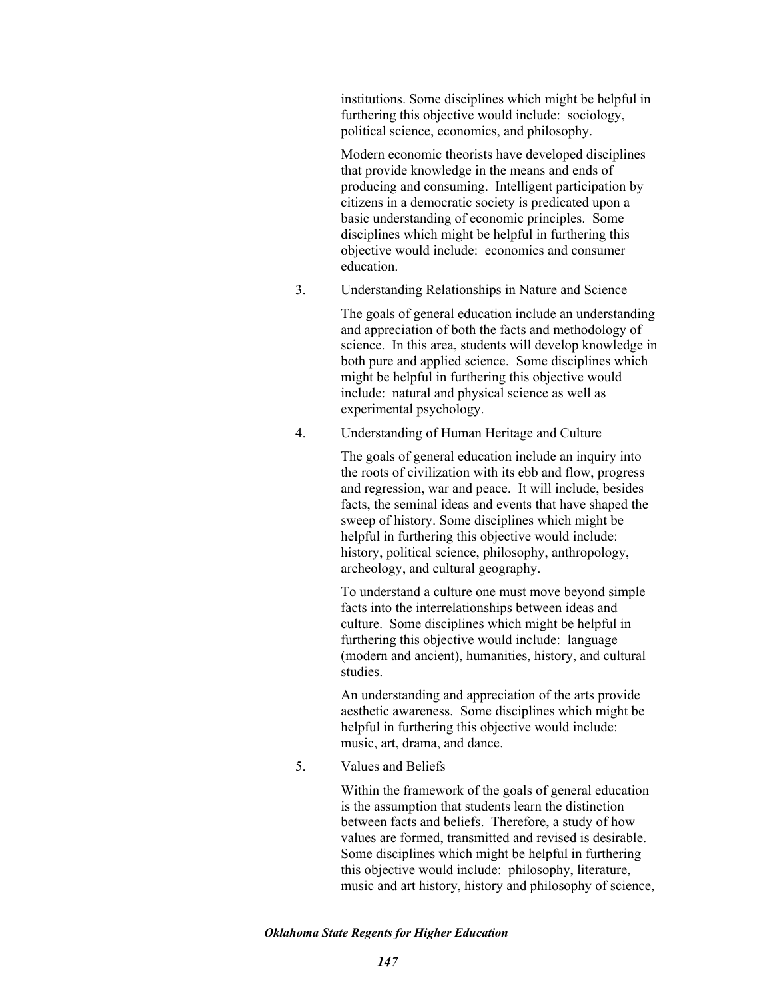institutions. Some disciplines which might be helpful in furthering this objective would include: sociology, political science, economics, and philosophy.

Modern economic theorists have developed disciplines that provide knowledge in the means and ends of producing and consuming. Intelligent participation by citizens in a democratic society is predicated upon a basic understanding of economic principles. Some disciplines which might be helpful in furthering this objective would include: economics and consumer education.

3. Understanding Relationships in Nature and Science

The goals of general education include an understanding and appreciation of both the facts and methodology of science. In this area, students will develop knowledge in both pure and applied science. Some disciplines which might be helpful in furthering this objective would include: natural and physical science as well as experimental psychology.

4. Understanding of Human Heritage and Culture

The goals of general education include an inquiry into the roots of civilization with its ebb and flow, progress and regression, war and peace. It will include, besides facts, the seminal ideas and events that have shaped the sweep of history. Some disciplines which might be helpful in furthering this objective would include: history, political science, philosophy, anthropology, archeology, and cultural geography.

To understand a culture one must move beyond simple facts into the interrelationships between ideas and culture. Some disciplines which might be helpful in furthering this objective would include: language (modern and ancient), humanities, history, and cultural studies.

An understanding and appreciation of the arts provide aesthetic awareness. Some disciplines which might be helpful in furthering this objective would include: music, art, drama, and dance.

5. Values and Beliefs

Within the framework of the goals of general education is the assumption that students learn the distinction between facts and beliefs. Therefore, a study of how values are formed, transmitted and revised is desirable. Some disciplines which might be helpful in furthering this objective would include: philosophy, literature, music and art history, history and philosophy of science,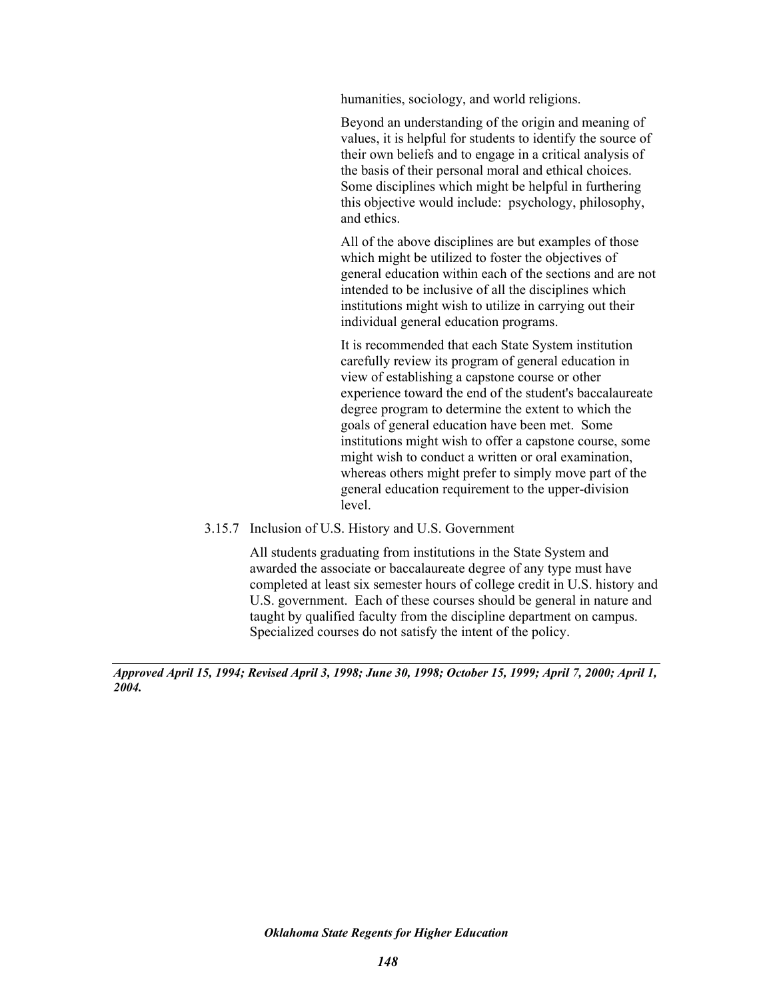humanities, sociology, and world religions.

Beyond an understanding of the origin and meaning of values, it is helpful for students to identify the source of their own beliefs and to engage in a critical analysis of the basis of their personal moral and ethical choices. Some disciplines which might be helpful in furthering this objective would include: psychology, philosophy, and ethics.

All of the above disciplines are but examples of those which might be utilized to foster the objectives of general education within each of the sections and are not intended to be inclusive of all the disciplines which institutions might wish to utilize in carrying out their individual general education programs.

It is recommended that each State System institution carefully review its program of general education in view of establishing a capstone course or other experience toward the end of the student's baccalaureate degree program to determine the extent to which the goals of general education have been met. Some institutions might wish to offer a capstone course, some might wish to conduct a written or oral examination, whereas others might prefer to simply move part of the general education requirement to the upper-division level.

3.15.7 Inclusion of U.S. History and U.S. Government

All students graduating from institutions in the State System and awarded the associate or baccalaureate degree of any type must have completed at least six semester hours of college credit in U.S. history and U.S. government. Each of these courses should be general in nature and taught by qualified faculty from the discipline department on campus. Specialized courses do not satisfy the intent of the policy.

*Approved April 15, 1994; Revised April 3, 1998; June 30, 1998; October 15, 1999; April 7, 2000; April 1, 2004.*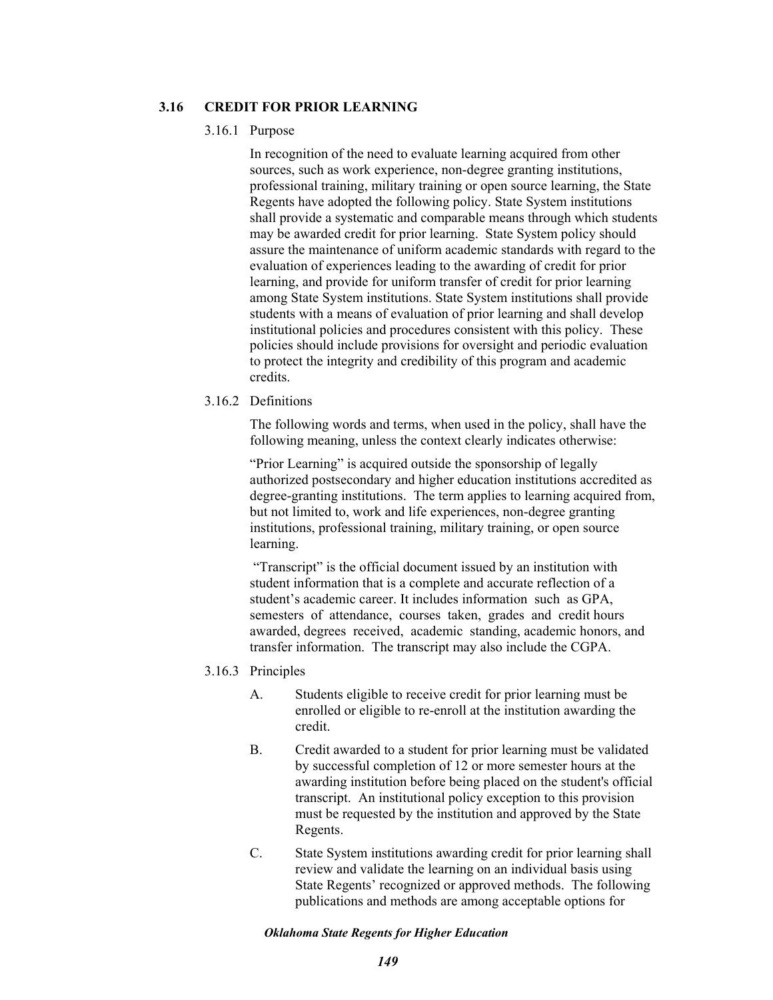## **3.16 CREDIT FOR PRIOR LEARNING**

#### 3.16.1 Purpose

In recognition of the need to evaluate learning acquired from other sources, such as work experience, non-degree granting institutions, professional training, military training or open source learning, the State Regents have adopted the following policy. State System institutions shall provide a systematic and comparable means through which students may be awarded credit for prior learning. State System policy should assure the maintenance of uniform academic standards with regard to the evaluation of experiences leading to the awarding of credit for prior learning, and provide for uniform transfer of credit for prior learning among State System institutions. State System institutions shall provide students with a means of evaluation of prior learning and shall develop institutional policies and procedures consistent with this policy. These policies should include provisions for oversight and periodic evaluation to protect the integrity and credibility of this program and academic credits.

#### 3.16.2 Definitions

The following words and terms, when used in the policy, shall have the following meaning, unless the context clearly indicates otherwise:

"Prior Learning" is acquired outside the sponsorship of legally authorized postsecondary and higher education institutions accredited as degree-granting institutions. The term applies to learning acquired from, but not limited to, work and life experiences, non-degree granting institutions, professional training, military training, or open source learning.

 "Transcript" is the official document issued by an institution with student information that is a complete and accurate reflection of a student's academic career. It includes information such as GPA, semesters of attendance, courses taken, grades and credit hours awarded, degrees received, academic standing, academic honors, and transfer information. The transcript may also include the CGPA.

- 3.16.3 Principles
	- A. Students eligible to receive credit for prior learning must be enrolled or eligible to re-enroll at the institution awarding the credit.
	- B. Credit awarded to a student for prior learning must be validated by successful completion of 12 or more semester hours at the awarding institution before being placed on the student's official transcript. An institutional policy exception to this provision must be requested by the institution and approved by the State Regents.
	- C. State System institutions awarding credit for prior learning shall review and validate the learning on an individual basis using State Regents' recognized or approved methods. The following publications and methods are among acceptable options for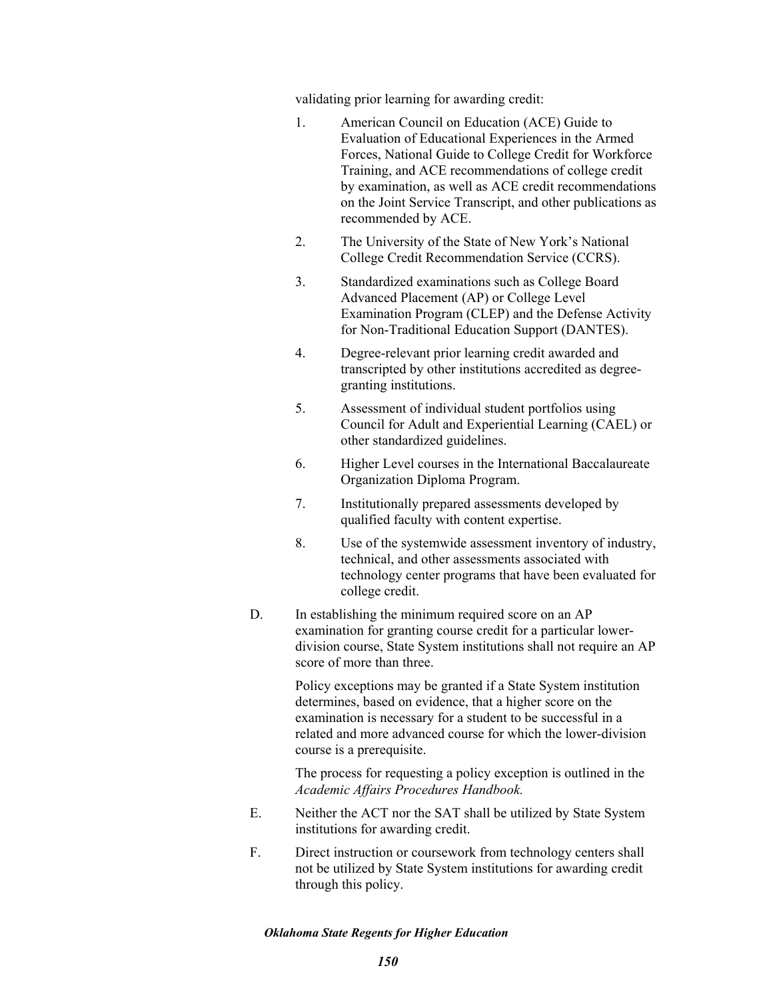validating prior learning for awarding credit:

- 1. American Council on Education (ACE) Guide to Evaluation of Educational Experiences in the Armed Forces, National Guide to College Credit for Workforce Training, and ACE recommendations of college credit by examination, as well as ACE credit recommendations on the Joint Service Transcript, and other publications as recommended by ACE.
- 2. The University of the State of New York's National College Credit Recommendation Service (CCRS).
- 3. Standardized examinations such as College Board Advanced Placement (AP) or College Level Examination Program (CLEP) and the Defense Activity for Non-Traditional Education Support (DANTES).
- 4. Degree-relevant prior learning credit awarded and transcripted by other institutions accredited as degreegranting institutions.
- 5. Assessment of individual student portfolios using Council for Adult and Experiential Learning (CAEL) or other standardized guidelines.
- 6. Higher Level courses in the International Baccalaureate Organization Diploma Program.
- 7. Institutionally prepared assessments developed by qualified faculty with content expertise.
- 8. Use of the systemwide assessment inventory of industry, technical, and other assessments associated with technology center programs that have been evaluated for college credit.
- D. In establishing the minimum required score on an AP examination for granting course credit for a particular lowerdivision course, State System institutions shall not require an AP score of more than three.

Policy exceptions may be granted if a State System institution determines, based on evidence, that a higher score on the examination is necessary for a student to be successful in a related and more advanced course for which the lower-division course is a prerequisite.

The process for requesting a policy exception is outlined in the *Academic Affairs Procedures Handbook.*

- E. Neither the ACT nor the SAT shall be utilized by State System institutions for awarding credit.
- F. Direct instruction or coursework from technology centers shall not be utilized by State System institutions for awarding credit through this policy.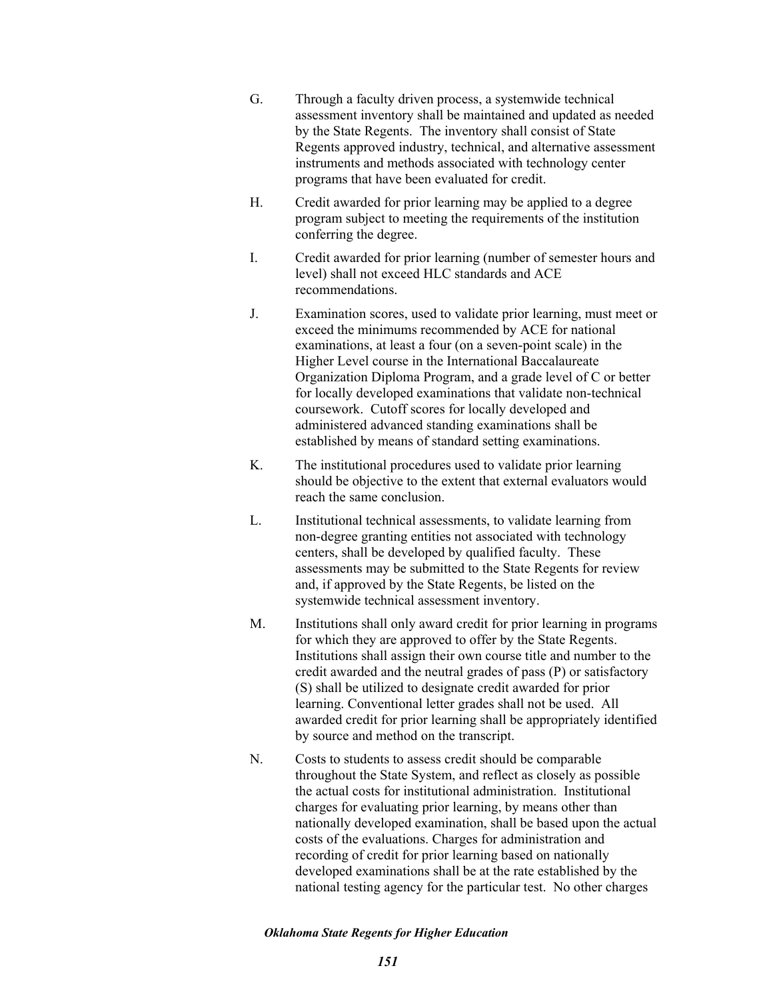- G. Through a faculty driven process, a systemwide technical assessment inventory shall be maintained and updated as needed by the State Regents. The inventory shall consist of State Regents approved industry, technical, and alternative assessment instruments and methods associated with technology center programs that have been evaluated for credit.
- H. Credit awarded for prior learning may be applied to a degree program subject to meeting the requirements of the institution conferring the degree.
- I. Credit awarded for prior learning (number of semester hours and level) shall not exceed HLC standards and ACE recommendations.
- J. Examination scores, used to validate prior learning, must meet or exceed the minimums recommended by ACE for national examinations, at least a four (on a seven-point scale) in the Higher Level course in the International Baccalaureate Organization Diploma Program, and a grade level of C or better for locally developed examinations that validate non-technical coursework. Cutoff scores for locally developed and administered advanced standing examinations shall be established by means of standard setting examinations.
- K. The institutional procedures used to validate prior learning should be objective to the extent that external evaluators would reach the same conclusion.
- L. Institutional technical assessments, to validate learning from non-degree granting entities not associated with technology centers, shall be developed by qualified faculty. These assessments may be submitted to the State Regents for review and, if approved by the State Regents, be listed on the systemwide technical assessment inventory.
- M. Institutions shall only award credit for prior learning in programs for which they are approved to offer by the State Regents. Institutions shall assign their own course title and number to the credit awarded and the neutral grades of pass (P) or satisfactory (S) shall be utilized to designate credit awarded for prior learning. Conventional letter grades shall not be used. All awarded credit for prior learning shall be appropriately identified by source and method on the transcript.
- N. Costs to students to assess credit should be comparable throughout the State System, and reflect as closely as possible the actual costs for institutional administration. Institutional charges for evaluating prior learning, by means other than nationally developed examination, shall be based upon the actual costs of the evaluations. Charges for administration and recording of credit for prior learning based on nationally developed examinations shall be at the rate established by the national testing agency for the particular test. No other charges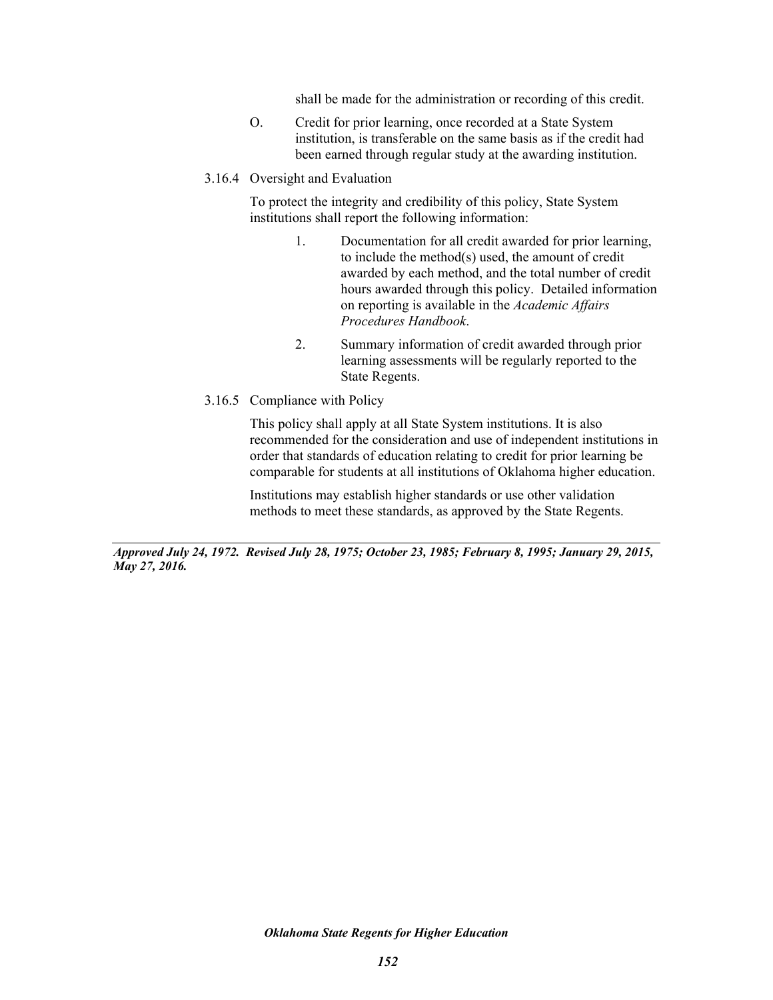shall be made for the administration or recording of this credit.

- O. Credit for prior learning, once recorded at a State System institution, is transferable on the same basis as if the credit had been earned through regular study at the awarding institution.
- 3.16.4 Oversight and Evaluation

To protect the integrity and credibility of this policy, State System institutions shall report the following information:

- 1. Documentation for all credit awarded for prior learning, to include the method(s) used, the amount of credit awarded by each method, and the total number of credit hours awarded through this policy. Detailed information on reporting is available in the *Academic Affairs Procedures Handbook*.
- 2. Summary information of credit awarded through prior learning assessments will be regularly reported to the State Regents.
- 3.16.5 Compliance with Policy

This policy shall apply at all State System institutions. It is also recommended for the consideration and use of independent institutions in order that standards of education relating to credit for prior learning be comparable for students at all institutions of Oklahoma higher education.

Institutions may establish higher standards or use other validation methods to meet these standards, as approved by the State Regents.

*Approved July 24, 1972. Revised July 28, 1975; October 23, 1985; February 8, 1995; January 29, 2015, May 27, 2016.*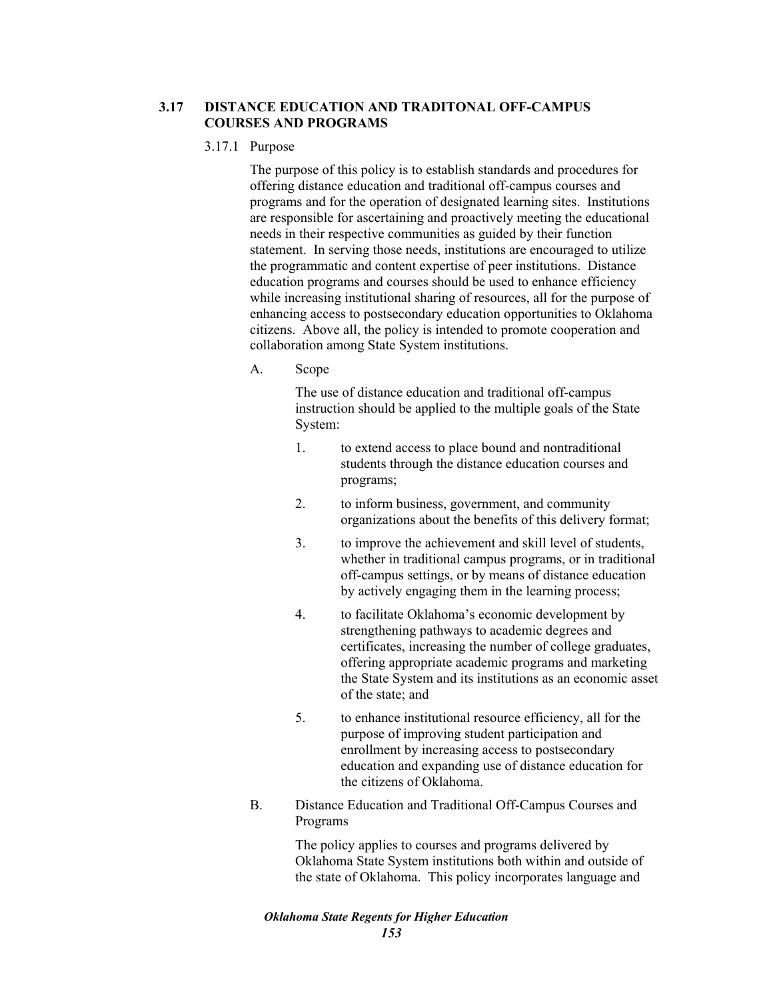# **3.17 DISTANCE EDUCATION AND TRADITONAL OFF-CAMPUS COURSES AND PROGRAMS**

### 3.17.1 Purpose

The purpose of this policy is to establish standards and procedures for offering distance education and traditional off-campus courses and programs and for the operation of designated learning sites. Institutions are responsible for ascertaining and proactively meeting the educational needs in their respective communities as guided by their function statement. In serving those needs, institutions are encouraged to utilize the programmatic and content expertise of peer institutions. Distance education programs and courses should be used to enhance efficiency while increasing institutional sharing of resources, all for the purpose of enhancing access to postsecondary education opportunities to Oklahoma citizens. Above all, the policy is intended to promote cooperation and collaboration among State System institutions.

A. Scope

The use of distance education and traditional off-campus instruction should be applied to the multiple goals of the State System:

- 1. to extend access to place bound and nontraditional students through the distance education courses and programs;
- 2. to inform business, government, and community organizations about the benefits of this delivery format;
- 3. to improve the achievement and skill level of students, whether in traditional campus programs, or in traditional off-campus settings, or by means of distance education by actively engaging them in the learning process;
- 4. to facilitate Oklahoma's economic development by strengthening pathways to academic degrees and certificates, increasing the number of college graduates, offering appropriate academic programs and marketing the State System and its institutions as an economic asset of the state; and
- 5. to enhance institutional resource efficiency, all for the purpose of improving student participation and enrollment by increasing access to postsecondary education and expanding use of distance education for the citizens of Oklahoma.
- B. Distance Education and Traditional Off-Campus Courses and Programs

The policy applies to courses and programs delivered by Oklahoma State System institutions both within and outside of the state of Oklahoma. This policy incorporates language and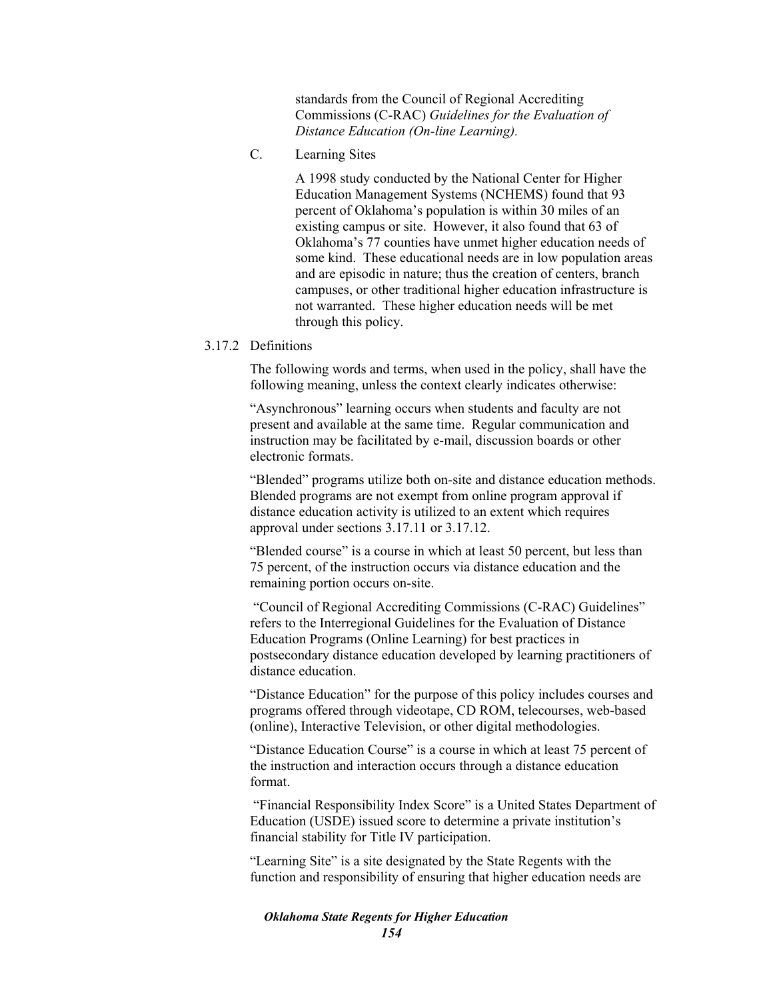standards from the Council of Regional Accrediting Commissions (C-RAC) *Guidelines for the Evaluation of Distance Education (On-line Learning).*

C. Learning Sites

A 1998 study conducted by the National Center for Higher Education Management Systems (NCHEMS) found that 93 percent of Oklahoma's population is within 30 miles of an existing campus or site. However, it also found that 63 of Oklahoma's 77 counties have unmet higher education needs of some kind. These educational needs are in low population areas and are episodic in nature; thus the creation of centers, branch campuses, or other traditional higher education infrastructure is not warranted. These higher education needs will be met through this policy.

### 3.17.2 Definitions

The following words and terms, when used in the policy, shall have the following meaning, unless the context clearly indicates otherwise:

"Asynchronous" learning occurs when students and faculty are not present and available at the same time. Regular communication and instruction may be facilitated by e-mail, discussion boards or other electronic formats.

"Blended" programs utilize both on-site and distance education methods. Blended programs are not exempt from online program approval if distance education activity is utilized to an extent which requires approval under sections 3.17.11 or 3.17.12.

"Blended course" is a course in which at least 50 percent, but less than 75 percent, of the instruction occurs via distance education and the remaining portion occurs on-site.

 "Council of Regional Accrediting Commissions (C-RAC) Guidelines" refers to the Interregional Guidelines for the Evaluation of Distance Education Programs (Online Learning) for best practices in postsecondary distance education developed by learning practitioners of distance education.

"Distance Education" for the purpose of this policy includes courses and programs offered through videotape, CD ROM, telecourses, web-based (online), Interactive Television, or other digital methodologies.

"Distance Education Course" is a course in which at least 75 percent of the instruction and interaction occurs through a distance education format.

 "Financial Responsibility Index Score" is a United States Department of Education (USDE) issued score to determine a private institution's financial stability for Title IV participation.

"Learning Site" is a site designated by the State Regents with the function and responsibility of ensuring that higher education needs are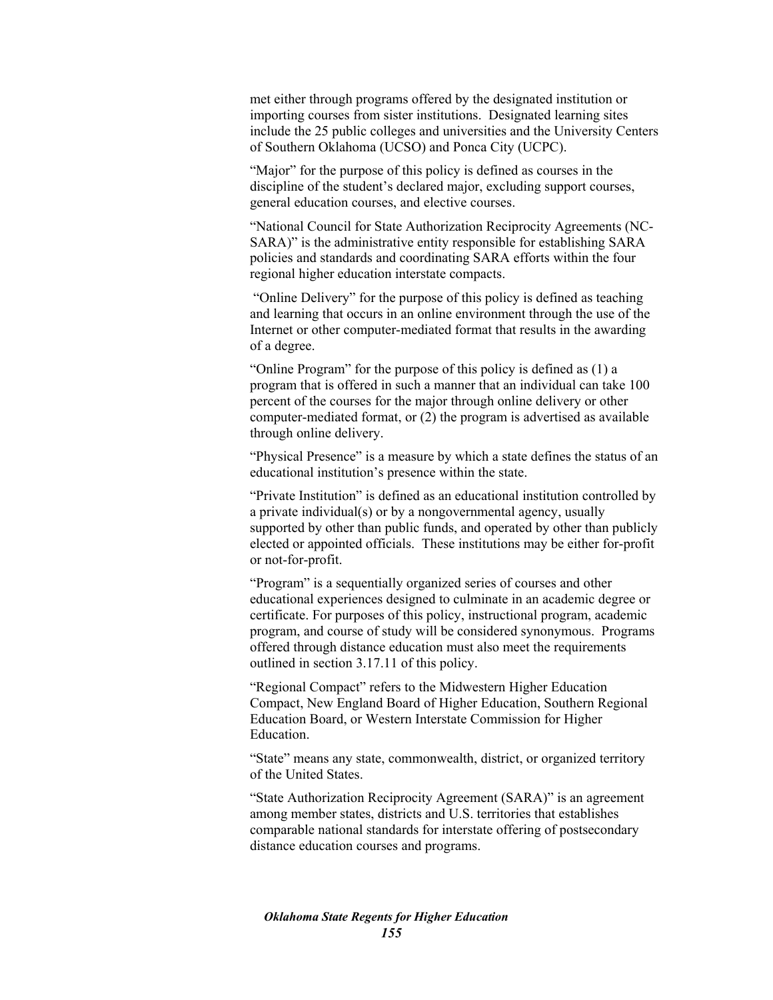met either through programs offered by the designated institution or importing courses from sister institutions. Designated learning sites include the 25 public colleges and universities and the University Centers of Southern Oklahoma (UCSO) and Ponca City (UCPC).

"Major" for the purpose of this policy is defined as courses in the discipline of the student's declared major, excluding support courses, general education courses, and elective courses.

"National Council for State Authorization Reciprocity Agreements (NC-SARA)" is the administrative entity responsible for establishing SARA policies and standards and coordinating SARA efforts within the four regional higher education interstate compacts.

 "Online Delivery" for the purpose of this policy is defined as teaching and learning that occurs in an online environment through the use of the Internet or other computer-mediated format that results in the awarding of a degree.

"Online Program" for the purpose of this policy is defined as (1) a program that is offered in such a manner that an individual can take 100 percent of the courses for the major through online delivery or other computer-mediated format, or (2) the program is advertised as available through online delivery.

"Physical Presence" is a measure by which a state defines the status of an educational institution's presence within the state.

"Private Institution" is defined as an educational institution controlled by a private individual(s) or by a nongovernmental agency, usually supported by other than public funds, and operated by other than publicly elected or appointed officials. These institutions may be either for-profit or not-for-profit.

"Program" is a sequentially organized series of courses and other educational experiences designed to culminate in an academic degree or certificate. For purposes of this policy, instructional program, academic program, and course of study will be considered synonymous. Programs offered through distance education must also meet the requirements outlined in section 3.17.11 of this policy.

"Regional Compact" refers to the Midwestern Higher Education Compact, New England Board of Higher Education, Southern Regional Education Board, or Western Interstate Commission for Higher Education.

"State" means any state, commonwealth, district, or organized territory of the United States.

"State Authorization Reciprocity Agreement (SARA)" is an agreement among member states, districts and U.S. territories that establishes comparable national standards for interstate offering of postsecondary distance education courses and programs.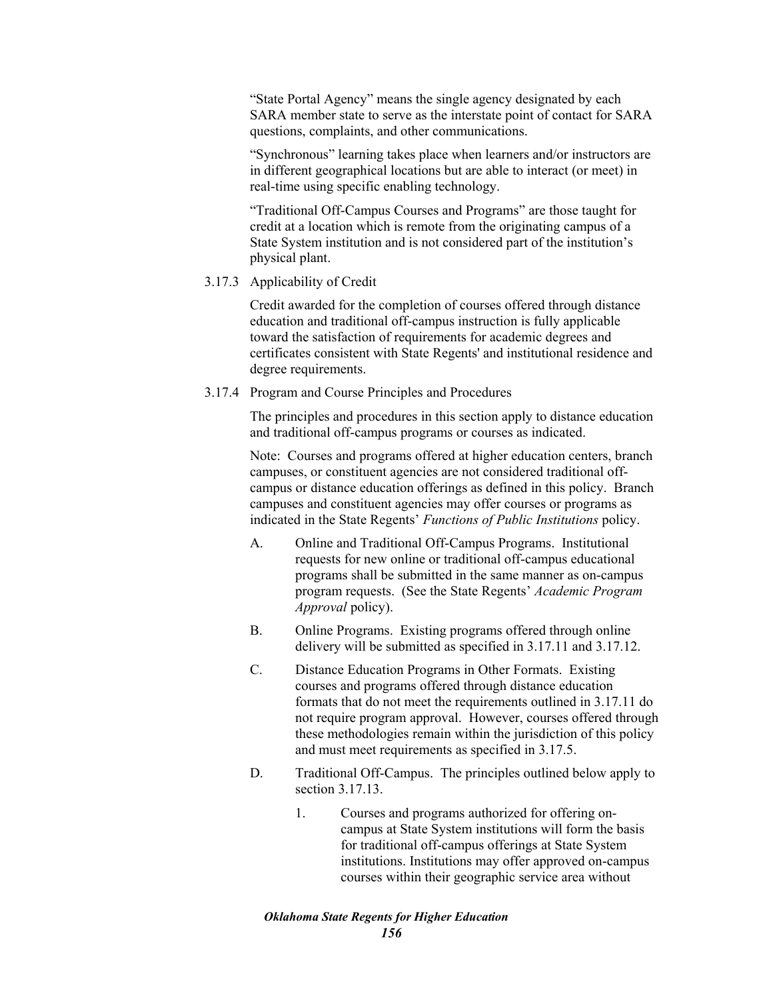"State Portal Agency" means the single agency designated by each SARA member state to serve as the interstate point of contact for SARA questions, complaints, and other communications.

"Synchronous" learning takes place when learners and/or instructors are in different geographical locations but are able to interact (or meet) in real-time using specific enabling technology.

"Traditional Off-Campus Courses and Programs" are those taught for credit at a location which is remote from the originating campus of a State System institution and is not considered part of the institution's physical plant.

## 3.17.3 Applicability of Credit

Credit awarded for the completion of courses offered through distance education and traditional off-campus instruction is fully applicable toward the satisfaction of requirements for academic degrees and certificates consistent with State Regents' and institutional residence and degree requirements.

3.17.4 Program and Course Principles and Procedures

The principles and procedures in this section apply to distance education and traditional off-campus programs or courses as indicated.

Note: Courses and programs offered at higher education centers, branch campuses, or constituent agencies are not considered traditional offcampus or distance education offerings as defined in this policy. Branch campuses and constituent agencies may offer courses or programs as indicated in the State Regents' *Functions of Public Institutions* policy.

- A. Online and Traditional Off-Campus Programs. Institutional requests for new online or traditional off-campus educational programs shall be submitted in the same manner as on-campus program requests. (See the State Regents' *Academic Program Approval* policy).
- B. Online Programs. Existing programs offered through online delivery will be submitted as specified in 3.17.11 and 3.17.12.
- C. Distance Education Programs in Other Formats. Existing courses and programs offered through distance education formats that do not meet the requirements outlined in 3.17.11 do not require program approval. However, courses offered through these methodologies remain within the jurisdiction of this policy and must meet requirements as specified in 3.17.5.
- D. Traditional Off-Campus. The principles outlined below apply to section 3.17.13.
	- 1. Courses and programs authorized for offering oncampus at State System institutions will form the basis for traditional off-campus offerings at State System institutions. Institutions may offer approved on-campus courses within their geographic service area without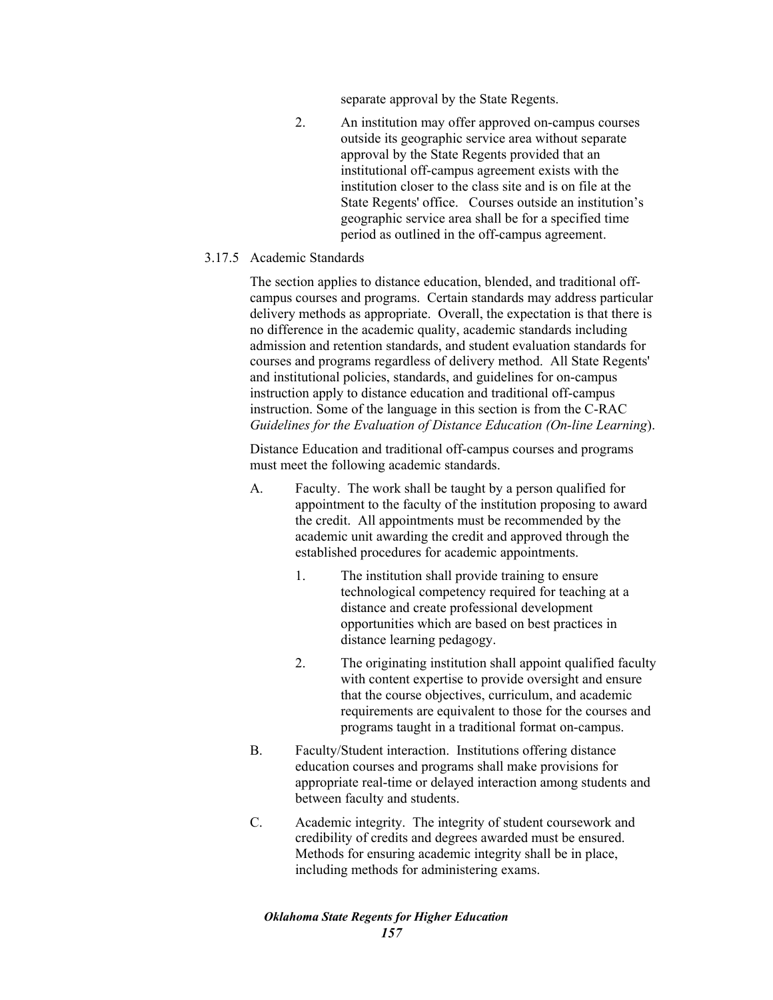separate approval by the State Regents.

- 2. An institution may offer approved on-campus courses outside its geographic service area without separate approval by the State Regents provided that an institutional off-campus agreement exists with the institution closer to the class site and is on file at the State Regents' office. Courses outside an institution's geographic service area shall be for a specified time period as outlined in the off-campus agreement.
- 3.17.5 Academic Standards

The section applies to distance education, blended, and traditional offcampus courses and programs. Certain standards may address particular delivery methods as appropriate. Overall, the expectation is that there is no difference in the academic quality, academic standards including admission and retention standards, and student evaluation standards for courses and programs regardless of delivery method. All State Regents' and institutional policies, standards, and guidelines for on-campus instruction apply to distance education and traditional off-campus instruction. Some of the language in this section is from the C-RAC *Guidelines for the Evaluation of Distance Education (On-line Learning*).

Distance Education and traditional off-campus courses and programs must meet the following academic standards.

- A. Faculty. The work shall be taught by a person qualified for appointment to the faculty of the institution proposing to award the credit. All appointments must be recommended by the academic unit awarding the credit and approved through the established procedures for academic appointments.
	- 1. The institution shall provide training to ensure technological competency required for teaching at a distance and create professional development opportunities which are based on best practices in distance learning pedagogy.
	- 2. The originating institution shall appoint qualified faculty with content expertise to provide oversight and ensure that the course objectives, curriculum, and academic requirements are equivalent to those for the courses and programs taught in a traditional format on-campus.
- B. Faculty/Student interaction. Institutions offering distance education courses and programs shall make provisions for appropriate real-time or delayed interaction among students and between faculty and students.
- C. Academic integrity. The integrity of student coursework and credibility of credits and degrees awarded must be ensured. Methods for ensuring academic integrity shall be in place, including methods for administering exams.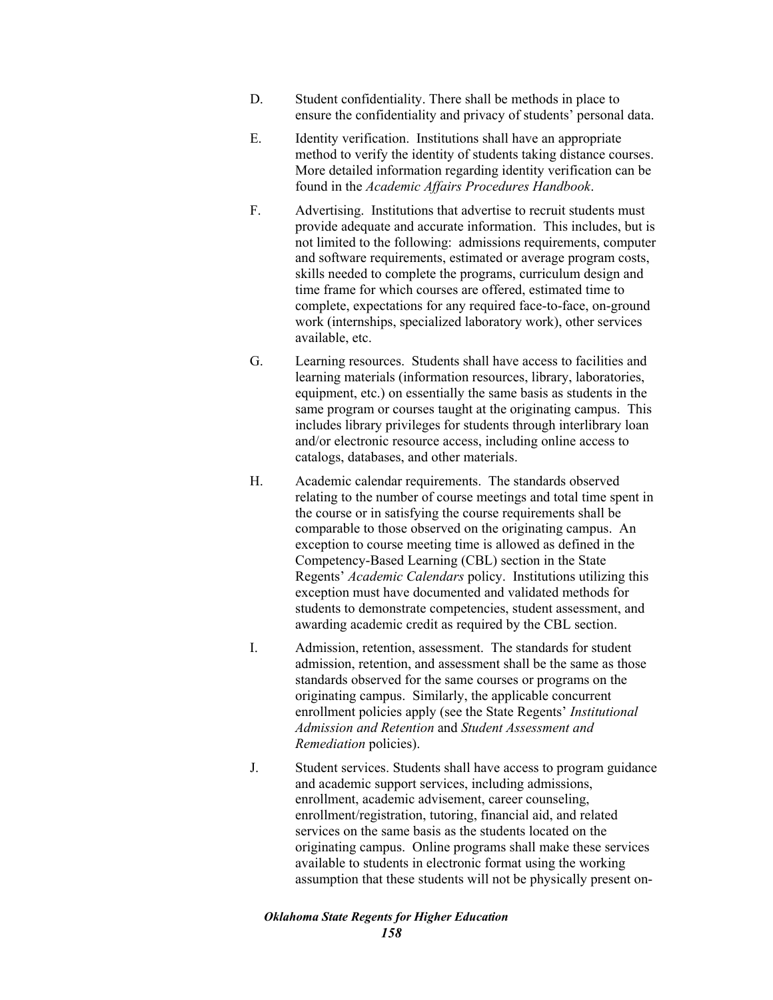- D. Student confidentiality. There shall be methods in place to ensure the confidentiality and privacy of students' personal data.
- E. Identity verification. Institutions shall have an appropriate method to verify the identity of students taking distance courses. More detailed information regarding identity verification can be found in the *Academic Affairs Procedures Handbook*.
- F. Advertising. Institutions that advertise to recruit students must provide adequate and accurate information. This includes, but is not limited to the following: admissions requirements, computer and software requirements, estimated or average program costs, skills needed to complete the programs, curriculum design and time frame for which courses are offered, estimated time to complete, expectations for any required face-to-face, on-ground work (internships, specialized laboratory work), other services available, etc.
- G. Learning resources. Students shall have access to facilities and learning materials (information resources, library, laboratories, equipment, etc.) on essentially the same basis as students in the same program or courses taught at the originating campus. This includes library privileges for students through interlibrary loan and/or electronic resource access, including online access to catalogs, databases, and other materials.
- H. Academic calendar requirements. The standards observed relating to the number of course meetings and total time spent in the course or in satisfying the course requirements shall be comparable to those observed on the originating campus. An exception to course meeting time is allowed as defined in the Competency-Based Learning (CBL) section in the State Regents' *Academic Calendars* policy. Institutions utilizing this exception must have documented and validated methods for students to demonstrate competencies, student assessment, and awarding academic credit as required by the CBL section.
- I. Admission, retention, assessment. The standards for student admission, retention, and assessment shall be the same as those standards observed for the same courses or programs on the originating campus. Similarly, the applicable concurrent enrollment policies apply (see the State Regents' *Institutional Admission and Retention* and *Student Assessment and Remediation* policies).
- J. Student services. Students shall have access to program guidance and academic support services, including admissions, enrollment, academic advisement, career counseling, enrollment/registration, tutoring, financial aid, and related services on the same basis as the students located on the originating campus. Online programs shall make these services available to students in electronic format using the working assumption that these students will not be physically present on-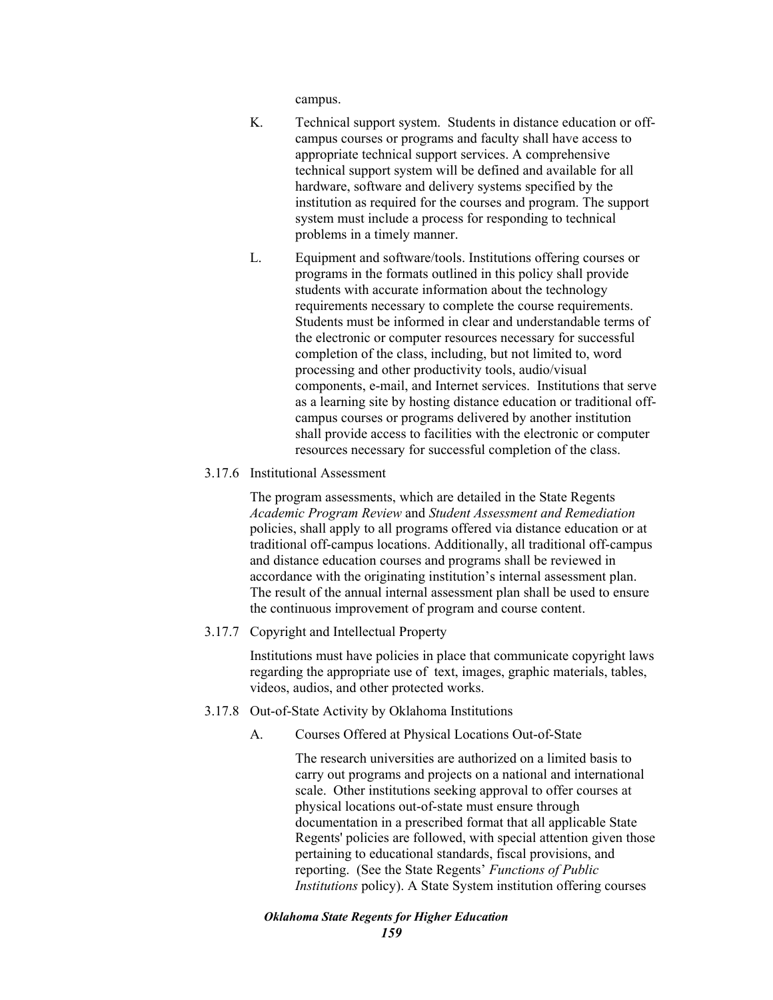campus.

- K. Technical support system. Students in distance education or offcampus courses or programs and faculty shall have access to appropriate technical support services. A comprehensive technical support system will be defined and available for all hardware, software and delivery systems specified by the institution as required for the courses and program. The support system must include a process for responding to technical problems in a timely manner.
- L. Equipment and software/tools. Institutions offering courses or programs in the formats outlined in this policy shall provide students with accurate information about the technology requirements necessary to complete the course requirements. Students must be informed in clear and understandable terms of the electronic or computer resources necessary for successful completion of the class, including, but not limited to, word processing and other productivity tools, audio/visual components, e-mail, and Internet services. Institutions that serve as a learning site by hosting distance education or traditional offcampus courses or programs delivered by another institution shall provide access to facilities with the electronic or computer resources necessary for successful completion of the class.
- 3.17.6 Institutional Assessment

The program assessments, which are detailed in the State Regents *Academic Program Review* and *Student Assessment and Remediation* policies, shall apply to all programs offered via distance education or at traditional off-campus locations. Additionally, all traditional off-campus and distance education courses and programs shall be reviewed in accordance with the originating institution's internal assessment plan. The result of the annual internal assessment plan shall be used to ensure the continuous improvement of program and course content.

3.17.7 Copyright and Intellectual Property

Institutions must have policies in place that communicate copyright laws regarding the appropriate use of text, images, graphic materials, tables, videos, audios, and other protected works.

- 3.17.8 Out-of-State Activity by Oklahoma Institutions
	- A. Courses Offered at Physical Locations Out-of-State

The research universities are authorized on a limited basis to carry out programs and projects on a national and international scale. Other institutions seeking approval to offer courses at physical locations out-of-state must ensure through documentation in a prescribed format that all applicable State Regents' policies are followed, with special attention given those pertaining to educational standards, fiscal provisions, and reporting. (See the State Regents' *Functions of Public Institutions* policy). A State System institution offering courses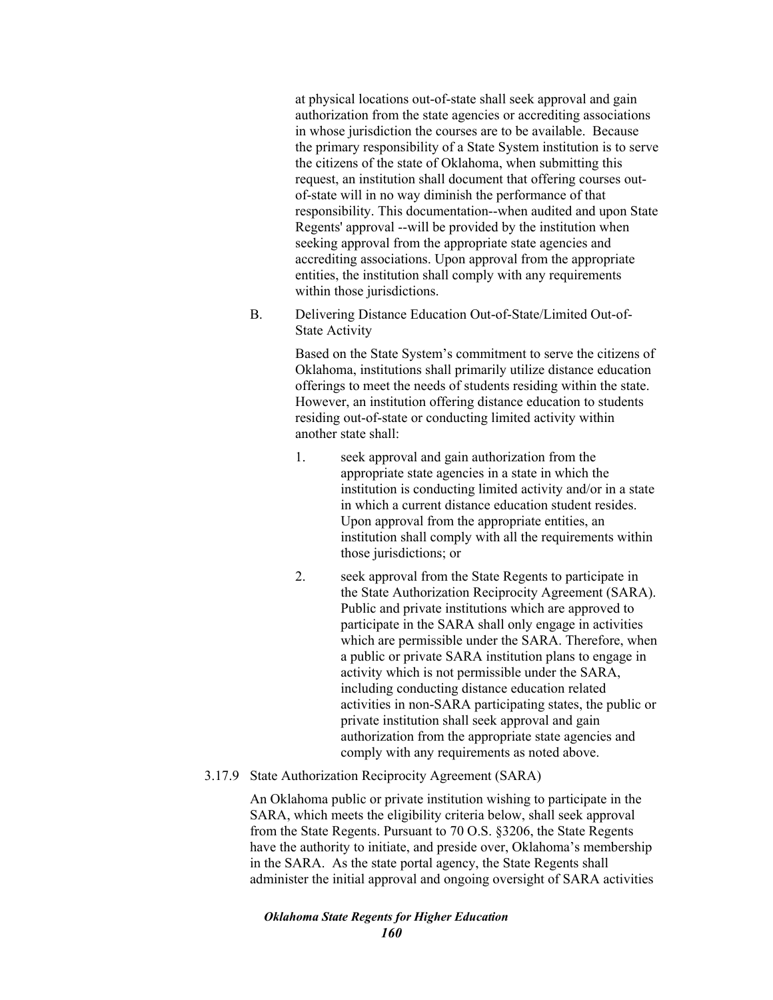at physical locations out-of-state shall seek approval and gain authorization from the state agencies or accrediting associations in whose jurisdiction the courses are to be available. Because the primary responsibility of a State System institution is to serve the citizens of the state of Oklahoma, when submitting this request, an institution shall document that offering courses outof-state will in no way diminish the performance of that responsibility. This documentation--when audited and upon State Regents' approval --will be provided by the institution when seeking approval from the appropriate state agencies and accrediting associations. Upon approval from the appropriate entities, the institution shall comply with any requirements within those jurisdictions.

B. Delivering Distance Education Out-of-State/Limited Out-of-State Activity

> Based on the State System's commitment to serve the citizens of Oklahoma, institutions shall primarily utilize distance education offerings to meet the needs of students residing within the state. However, an institution offering distance education to students residing out-of-state or conducting limited activity within another state shall:

- 1. seek approval and gain authorization from the appropriate state agencies in a state in which the institution is conducting limited activity and/or in a state in which a current distance education student resides. Upon approval from the appropriate entities, an institution shall comply with all the requirements within those jurisdictions; or
- 2. seek approval from the State Regents to participate in the State Authorization Reciprocity Agreement (SARA). Public and private institutions which are approved to participate in the SARA shall only engage in activities which are permissible under the SARA. Therefore, when a public or private SARA institution plans to engage in activity which is not permissible under the SARA, including conducting distance education related activities in non-SARA participating states, the public or private institution shall seek approval and gain authorization from the appropriate state agencies and comply with any requirements as noted above.
- 3.17.9 State Authorization Reciprocity Agreement (SARA)

An Oklahoma public or private institution wishing to participate in the SARA, which meets the eligibility criteria below, shall seek approval from the State Regents. Pursuant to 70 O.S. §3206, the State Regents have the authority to initiate, and preside over, Oklahoma's membership in the SARA. As the state portal agency, the State Regents shall administer the initial approval and ongoing oversight of SARA activities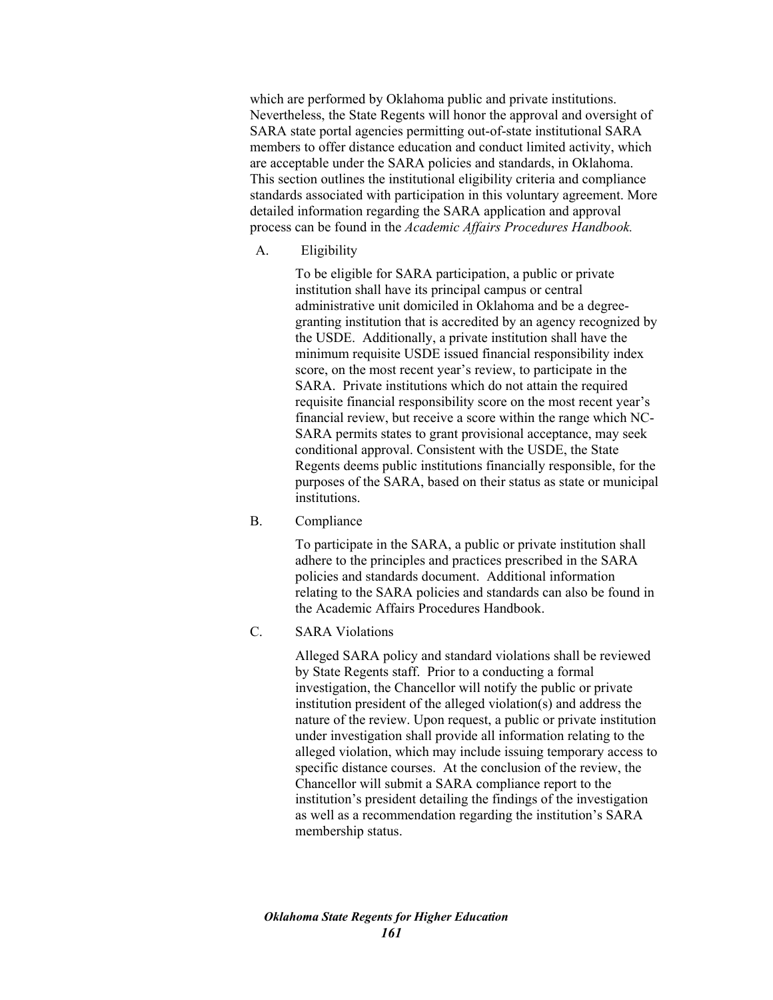which are performed by Oklahoma public and private institutions. Nevertheless, the State Regents will honor the approval and oversight of SARA state portal agencies permitting out-of-state institutional SARA members to offer distance education and conduct limited activity, which are acceptable under the SARA policies and standards, in Oklahoma. This section outlines the institutional eligibility criteria and compliance standards associated with participation in this voluntary agreement. More detailed information regarding the SARA application and approval process can be found in the *Academic Affairs Procedures Handbook.* 

A. Eligibility

To be eligible for SARA participation, a public or private institution shall have its principal campus or central administrative unit domiciled in Oklahoma and be a degreegranting institution that is accredited by an agency recognized by the USDE. Additionally, a private institution shall have the minimum requisite USDE issued financial responsibility index score, on the most recent year's review, to participate in the SARA. Private institutions which do not attain the required requisite financial responsibility score on the most recent year's financial review, but receive a score within the range which NC-SARA permits states to grant provisional acceptance, may seek conditional approval. Consistent with the USDE, the State Regents deems public institutions financially responsible, for the purposes of the SARA, based on their status as state or municipal institutions.

B. Compliance

To participate in the SARA, a public or private institution shall adhere to the principles and practices prescribed in the SARA policies and standards document. Additional information relating to the SARA policies and standards can also be found in the Academic Affairs Procedures Handbook.

C. SARA Violations

Alleged SARA policy and standard violations shall be reviewed by State Regents staff. Prior to a conducting a formal investigation, the Chancellor will notify the public or private institution president of the alleged violation(s) and address the nature of the review. Upon request, a public or private institution under investigation shall provide all information relating to the alleged violation, which may include issuing temporary access to specific distance courses. At the conclusion of the review, the Chancellor will submit a SARA compliance report to the institution's president detailing the findings of the investigation as well as a recommendation regarding the institution's SARA membership status.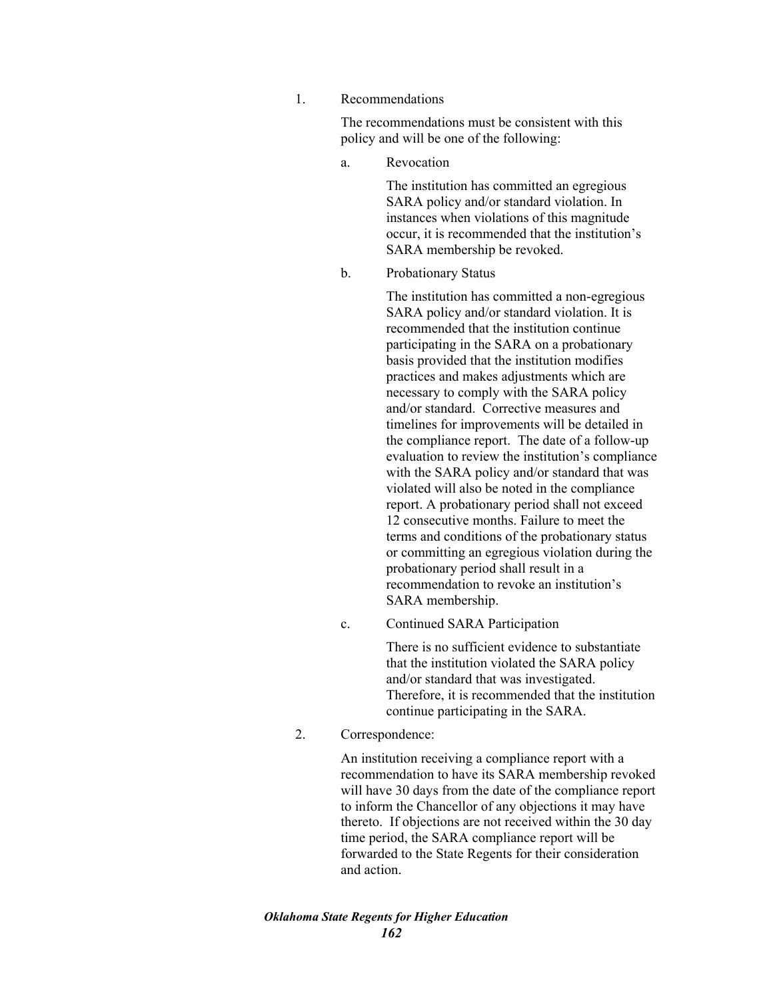1. Recommendations

The recommendations must be consistent with this policy and will be one of the following:

a. Revocation

The institution has committed an egregious SARA policy and/or standard violation. In instances when violations of this magnitude occur, it is recommended that the institution's SARA membership be revoked.

b. Probationary Status

The institution has committed a non-egregious SARA policy and/or standard violation. It is recommended that the institution continue participating in the SARA on a probationary basis provided that the institution modifies practices and makes adjustments which are necessary to comply with the SARA policy and/or standard. Corrective measures and timelines for improvements will be detailed in the compliance report. The date of a follow-up evaluation to review the institution's compliance with the SARA policy and/or standard that was violated will also be noted in the compliance report. A probationary period shall not exceed 12 consecutive months. Failure to meet the terms and conditions of the probationary status or committing an egregious violation during the probationary period shall result in a recommendation to revoke an institution's SARA membership.

c. Continued SARA Participation

There is no sufficient evidence to substantiate that the institution violated the SARA policy and/or standard that was investigated. Therefore, it is recommended that the institution continue participating in the SARA.

2. Correspondence:

An institution receiving a compliance report with a recommendation to have its SARA membership revoked will have 30 days from the date of the compliance report to inform the Chancellor of any objections it may have thereto. If objections are not received within the 30 day time period, the SARA compliance report will be forwarded to the State Regents for their consideration and action.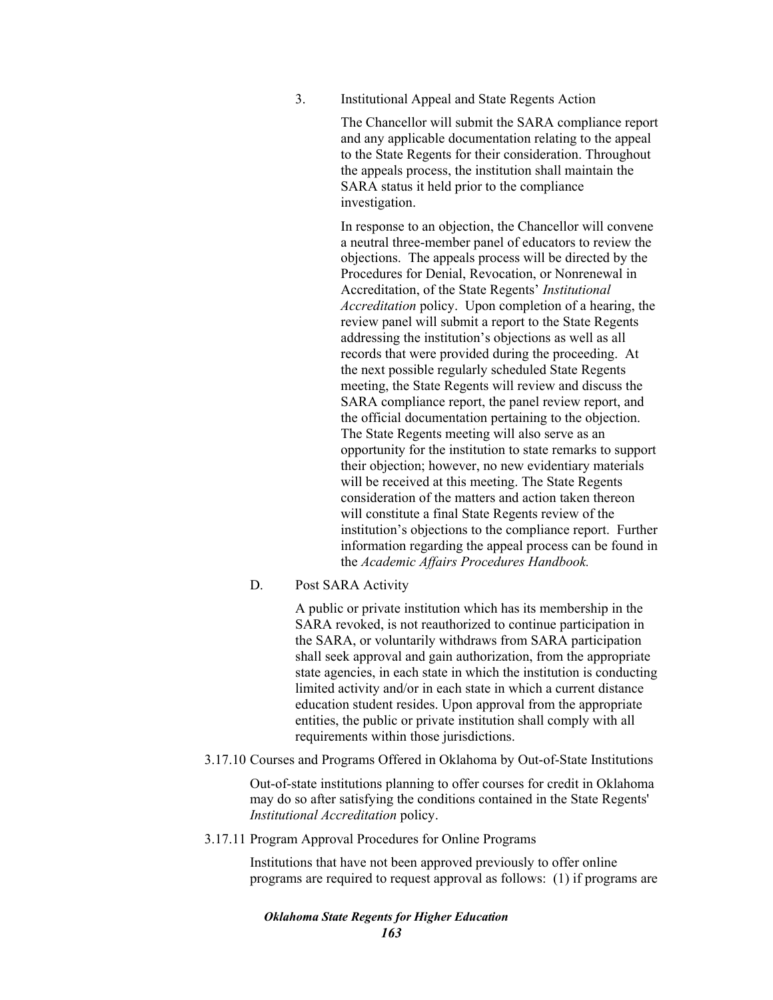3. Institutional Appeal and State Regents Action

The Chancellor will submit the SARA compliance report and any applicable documentation relating to the appeal to the State Regents for their consideration. Throughout the appeals process, the institution shall maintain the SARA status it held prior to the compliance investigation.

In response to an objection, the Chancellor will convene a neutral three-member panel of educators to review the objections. The appeals process will be directed by the Procedures for Denial, Revocation, or Nonrenewal in Accreditation, of the State Regents' *Institutional Accreditation* policy. Upon completion of a hearing, the review panel will submit a report to the State Regents addressing the institution's objections as well as all records that were provided during the proceeding. At the next possible regularly scheduled State Regents meeting, the State Regents will review and discuss the SARA compliance report, the panel review report, and the official documentation pertaining to the objection. The State Regents meeting will also serve as an opportunity for the institution to state remarks to support their objection; however, no new evidentiary materials will be received at this meeting. The State Regents consideration of the matters and action taken thereon will constitute a final State Regents review of the institution's objections to the compliance report. Further information regarding the appeal process can be found in the *Academic Affairs Procedures Handbook.* 

# D. Post SARA Activity

A public or private institution which has its membership in the SARA revoked, is not reauthorized to continue participation in the SARA, or voluntarily withdraws from SARA participation shall seek approval and gain authorization, from the appropriate state agencies, in each state in which the institution is conducting limited activity and/or in each state in which a current distance education student resides. Upon approval from the appropriate entities, the public or private institution shall comply with all requirements within those jurisdictions.

### 3.17.10 Courses and Programs Offered in Oklahoma by Out-of-State Institutions

Out-of-state institutions planning to offer courses for credit in Oklahoma may do so after satisfying the conditions contained in the State Regents' *Institutional Accreditation* policy.

### 3.17.11 Program Approval Procedures for Online Programs

Institutions that have not been approved previously to offer online programs are required to request approval as follows: (1) if programs are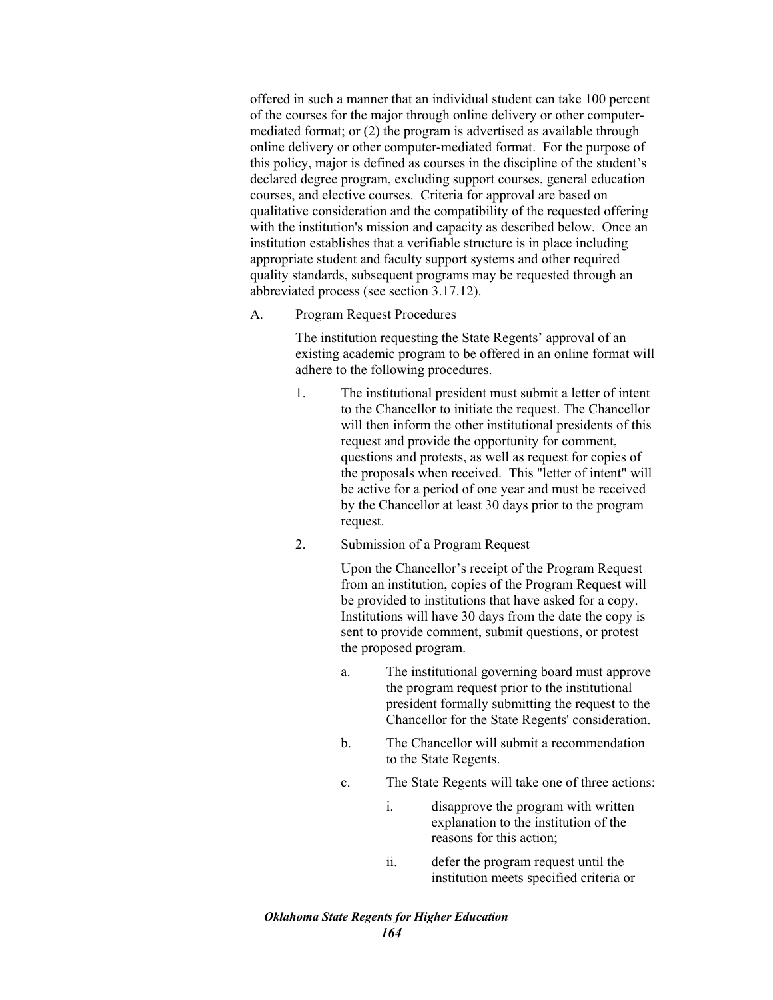offered in such a manner that an individual student can take 100 percent of the courses for the major through online delivery or other computermediated format; or (2) the program is advertised as available through online delivery or other computer-mediated format. For the purpose of this policy, major is defined as courses in the discipline of the student's declared degree program, excluding support courses, general education courses, and elective courses. Criteria for approval are based on qualitative consideration and the compatibility of the requested offering with the institution's mission and capacity as described below. Once an institution establishes that a verifiable structure is in place including appropriate student and faculty support systems and other required quality standards, subsequent programs may be requested through an abbreviated process (see section 3.17.12).

A. Program Request Procedures

The institution requesting the State Regents' approval of an existing academic program to be offered in an online format will adhere to the following procedures.

- 1. The institutional president must submit a letter of intent to the Chancellor to initiate the request. The Chancellor will then inform the other institutional presidents of this request and provide the opportunity for comment, questions and protests, as well as request for copies of the proposals when received. This "letter of intent" will be active for a period of one year and must be received by the Chancellor at least 30 days prior to the program request.
- 2. Submission of a Program Request

Upon the Chancellor's receipt of the Program Request from an institution, copies of the Program Request will be provided to institutions that have asked for a copy. Institutions will have 30 days from the date the copy is sent to provide comment, submit questions, or protest the proposed program.

- a. The institutional governing board must approve the program request prior to the institutional president formally submitting the request to the Chancellor for the State Regents' consideration.
- b. The Chancellor will submit a recommendation to the State Regents.
- c. The State Regents will take one of three actions:
	- i. disapprove the program with written explanation to the institution of the reasons for this action;
	- ii. defer the program request until the institution meets specified criteria or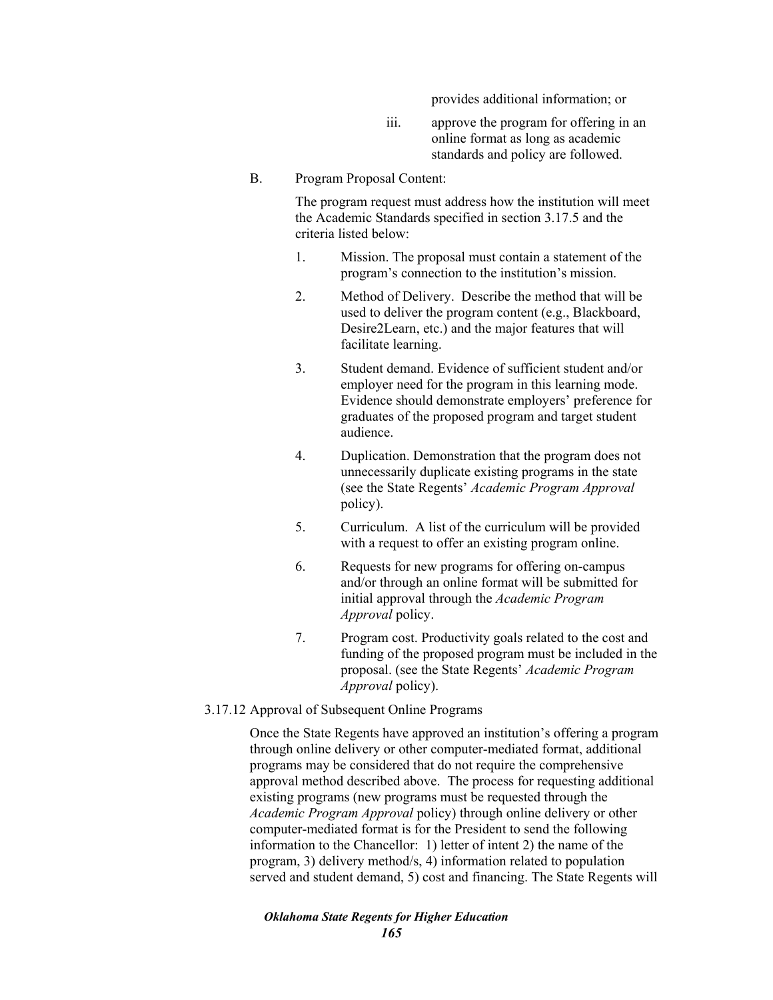provides additional information; or

- iii. approve the program for offering in an online format as long as academic standards and policy are followed.
- B. Program Proposal Content:

The program request must address how the institution will meet the Academic Standards specified in section 3.17.5 and the criteria listed below:

- 1. Mission. The proposal must contain a statement of the program's connection to the institution's mission.
- 2. Method of Delivery. Describe the method that will be used to deliver the program content (e.g., Blackboard, Desire2Learn, etc.) and the major features that will facilitate learning.
- 3. Student demand. Evidence of sufficient student and/or employer need for the program in this learning mode. Evidence should demonstrate employers' preference for graduates of the proposed program and target student audience.
- 4. Duplication. Demonstration that the program does not unnecessarily duplicate existing programs in the state (see the State Regents' *Academic Program Approval*  policy).
- 5. Curriculum. A list of the curriculum will be provided with a request to offer an existing program online.
- 6. Requests for new programs for offering on-campus and/or through an online format will be submitted for initial approval through the *Academic Program Approval* policy.
- 7. Program cost. Productivity goals related to the cost and funding of the proposed program must be included in the proposal. (see the State Regents' *Academic Program Approval* policy).

# 3.17.12 Approval of Subsequent Online Programs

Once the State Regents have approved an institution's offering a program through online delivery or other computer-mediated format, additional programs may be considered that do not require the comprehensive approval method described above. The process for requesting additional existing programs (new programs must be requested through the *Academic Program Approval* policy) through online delivery or other computer-mediated format is for the President to send the following information to the Chancellor: 1) letter of intent 2) the name of the program, 3) delivery method/s, 4) information related to population served and student demand, 5) cost and financing. The State Regents will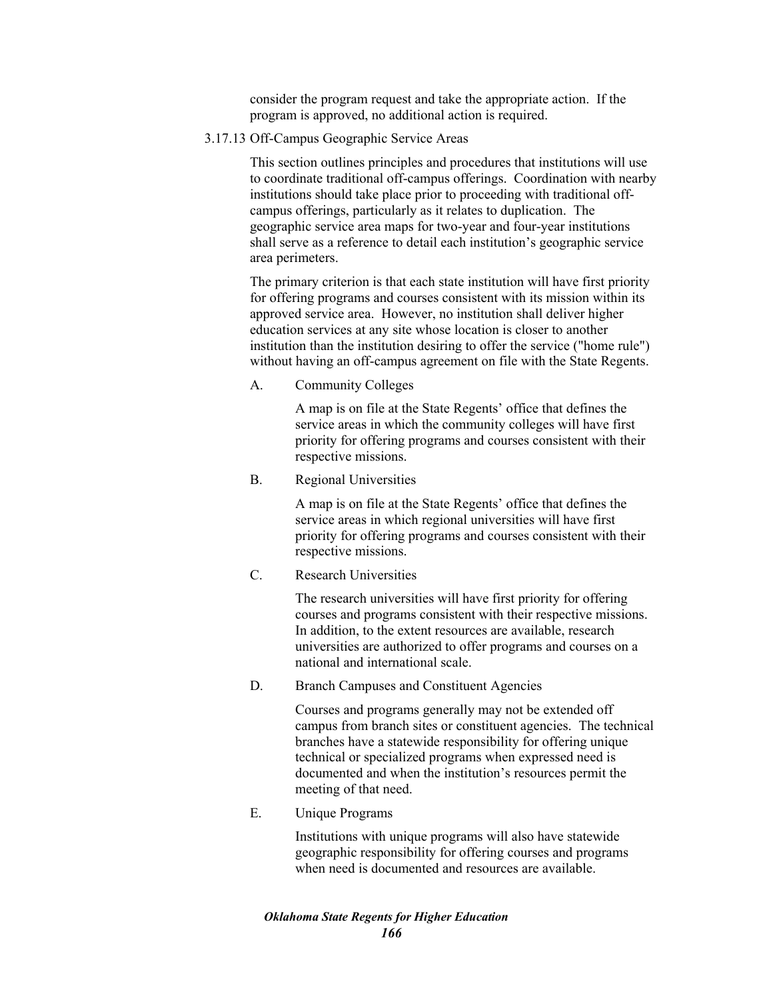consider the program request and take the appropriate action. If the program is approved, no additional action is required.

3.17.13 Off-Campus Geographic Service Areas

This section outlines principles and procedures that institutions will use to coordinate traditional off-campus offerings. Coordination with nearby institutions should take place prior to proceeding with traditional offcampus offerings, particularly as it relates to duplication. The geographic service area maps for two-year and four-year institutions shall serve as a reference to detail each institution's geographic service area perimeters.

The primary criterion is that each state institution will have first priority for offering programs and courses consistent with its mission within its approved service area. However, no institution shall deliver higher education services at any site whose location is closer to another institution than the institution desiring to offer the service ("home rule") without having an off-campus agreement on file with the State Regents.

A. Community Colleges

A map is on file at the State Regents' office that defines the service areas in which the community colleges will have first priority for offering programs and courses consistent with their respective missions.

B. Regional Universities

A map is on file at the State Regents' office that defines the service areas in which regional universities will have first priority for offering programs and courses consistent with their respective missions.

C. Research Universities

The research universities will have first priority for offering courses and programs consistent with their respective missions. In addition, to the extent resources are available, research universities are authorized to offer programs and courses on a national and international scale.

D. Branch Campuses and Constituent Agencies

Courses and programs generally may not be extended off campus from branch sites or constituent agencies. The technical branches have a statewide responsibility for offering unique technical or specialized programs when expressed need is documented and when the institution's resources permit the meeting of that need.

E. Unique Programs

Institutions with unique programs will also have statewide geographic responsibility for offering courses and programs when need is documented and resources are available.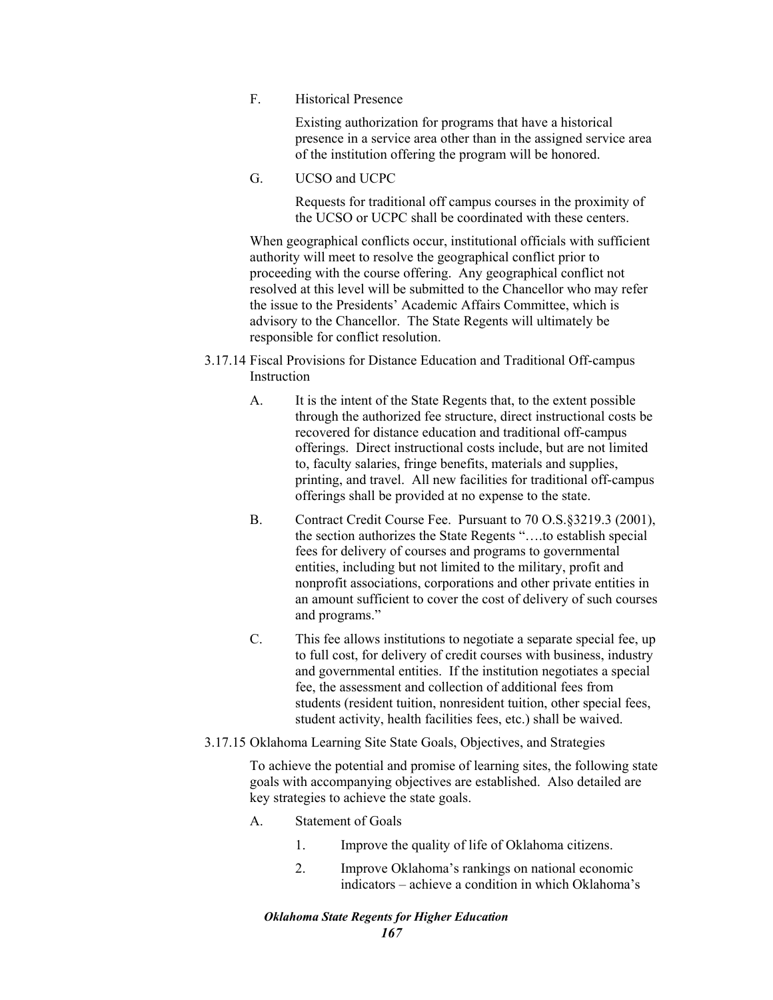F. Historical Presence

Existing authorization for programs that have a historical presence in a service area other than in the assigned service area of the institution offering the program will be honored.

G. UCSO and UCPC

Requests for traditional off campus courses in the proximity of the UCSO or UCPC shall be coordinated with these centers.

When geographical conflicts occur, institutional officials with sufficient authority will meet to resolve the geographical conflict prior to proceeding with the course offering. Any geographical conflict not resolved at this level will be submitted to the Chancellor who may refer the issue to the Presidents' Academic Affairs Committee, which is advisory to the Chancellor. The State Regents will ultimately be responsible for conflict resolution.

- 3.17.14 Fiscal Provisions for Distance Education and Traditional Off-campus Instruction
	- A. It is the intent of the State Regents that, to the extent possible through the authorized fee structure, direct instructional costs be recovered for distance education and traditional off-campus offerings. Direct instructional costs include, but are not limited to, faculty salaries, fringe benefits, materials and supplies, printing, and travel. All new facilities for traditional off-campus offerings shall be provided at no expense to the state.
	- B. Contract Credit Course Fee. Pursuant to 70 O.S.§3219.3 (2001), the section authorizes the State Regents "….to establish special fees for delivery of courses and programs to governmental entities, including but not limited to the military, profit and nonprofit associations, corporations and other private entities in an amount sufficient to cover the cost of delivery of such courses and programs."
	- C. This fee allows institutions to negotiate a separate special fee, up to full cost, for delivery of credit courses with business, industry and governmental entities. If the institution negotiates a special fee, the assessment and collection of additional fees from students (resident tuition, nonresident tuition, other special fees, student activity, health facilities fees, etc.) shall be waived.

# 3.17.15 Oklahoma Learning Site State Goals, Objectives, and Strategies

To achieve the potential and promise of learning sites, the following state goals with accompanying objectives are established. Also detailed are key strategies to achieve the state goals.

- A. Statement of Goals
	- 1. Improve the quality of life of Oklahoma citizens.
	- 2. Improve Oklahoma's rankings on national economic indicators – achieve a condition in which Oklahoma's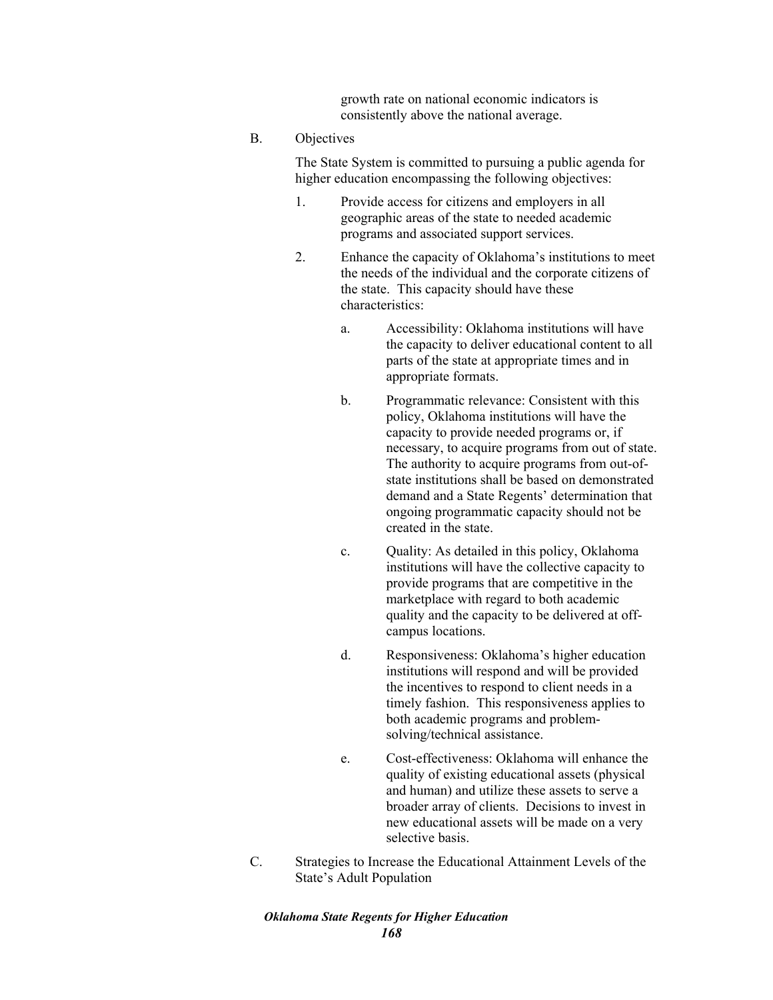growth rate on national economic indicators is consistently above the national average.

## B. Objectives

The State System is committed to pursuing a public agenda for higher education encompassing the following objectives:

- 1. Provide access for citizens and employers in all geographic areas of the state to needed academic programs and associated support services.
- 2. Enhance the capacity of Oklahoma's institutions to meet the needs of the individual and the corporate citizens of the state. This capacity should have these characteristics:
	- a. Accessibility: Oklahoma institutions will have the capacity to deliver educational content to all parts of the state at appropriate times and in appropriate formats.
	- b. Programmatic relevance: Consistent with this policy, Oklahoma institutions will have the capacity to provide needed programs or, if necessary, to acquire programs from out of state. The authority to acquire programs from out-ofstate institutions shall be based on demonstrated demand and a State Regents' determination that ongoing programmatic capacity should not be created in the state.
	- c. Quality: As detailed in this policy, Oklahoma institutions will have the collective capacity to provide programs that are competitive in the marketplace with regard to both academic quality and the capacity to be delivered at offcampus locations.
	- d. Responsiveness: Oklahoma's higher education institutions will respond and will be provided the incentives to respond to client needs in a timely fashion. This responsiveness applies to both academic programs and problemsolving/technical assistance.
	- e. Cost-effectiveness: Oklahoma will enhance the quality of existing educational assets (physical and human) and utilize these assets to serve a broader array of clients. Decisions to invest in new educational assets will be made on a very selective basis.
- C. Strategies to Increase the Educational Attainment Levels of the State's Adult Population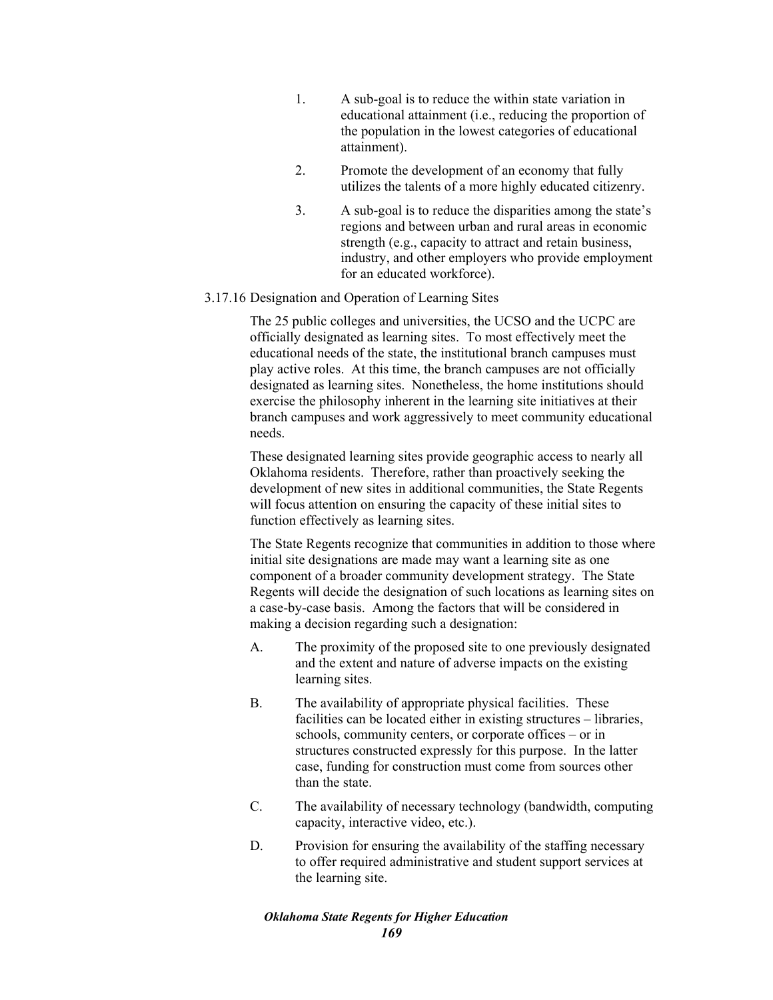- 1. A sub-goal is to reduce the within state variation in educational attainment (i.e., reducing the proportion of the population in the lowest categories of educational attainment).
- 2. Promote the development of an economy that fully utilizes the talents of a more highly educated citizenry.
- 3. A sub-goal is to reduce the disparities among the state's regions and between urban and rural areas in economic strength (e.g., capacity to attract and retain business, industry, and other employers who provide employment for an educated workforce).

## 3.17.16 Designation and Operation of Learning Sites

The 25 public colleges and universities, the UCSO and the UCPC are officially designated as learning sites. To most effectively meet the educational needs of the state, the institutional branch campuses must play active roles. At this time, the branch campuses are not officially designated as learning sites. Nonetheless, the home institutions should exercise the philosophy inherent in the learning site initiatives at their branch campuses and work aggressively to meet community educational needs.

These designated learning sites provide geographic access to nearly all Oklahoma residents. Therefore, rather than proactively seeking the development of new sites in additional communities, the State Regents will focus attention on ensuring the capacity of these initial sites to function effectively as learning sites.

The State Regents recognize that communities in addition to those where initial site designations are made may want a learning site as one component of a broader community development strategy. The State Regents will decide the designation of such locations as learning sites on a case-by-case basis. Among the factors that will be considered in making a decision regarding such a designation:

- A. The proximity of the proposed site to one previously designated and the extent and nature of adverse impacts on the existing learning sites.
- B. The availability of appropriate physical facilities. These facilities can be located either in existing structures – libraries, schools, community centers, or corporate offices – or in structures constructed expressly for this purpose. In the latter case, funding for construction must come from sources other than the state.
- C. The availability of necessary technology (bandwidth, computing capacity, interactive video, etc.).
- D. Provision for ensuring the availability of the staffing necessary to offer required administrative and student support services at the learning site.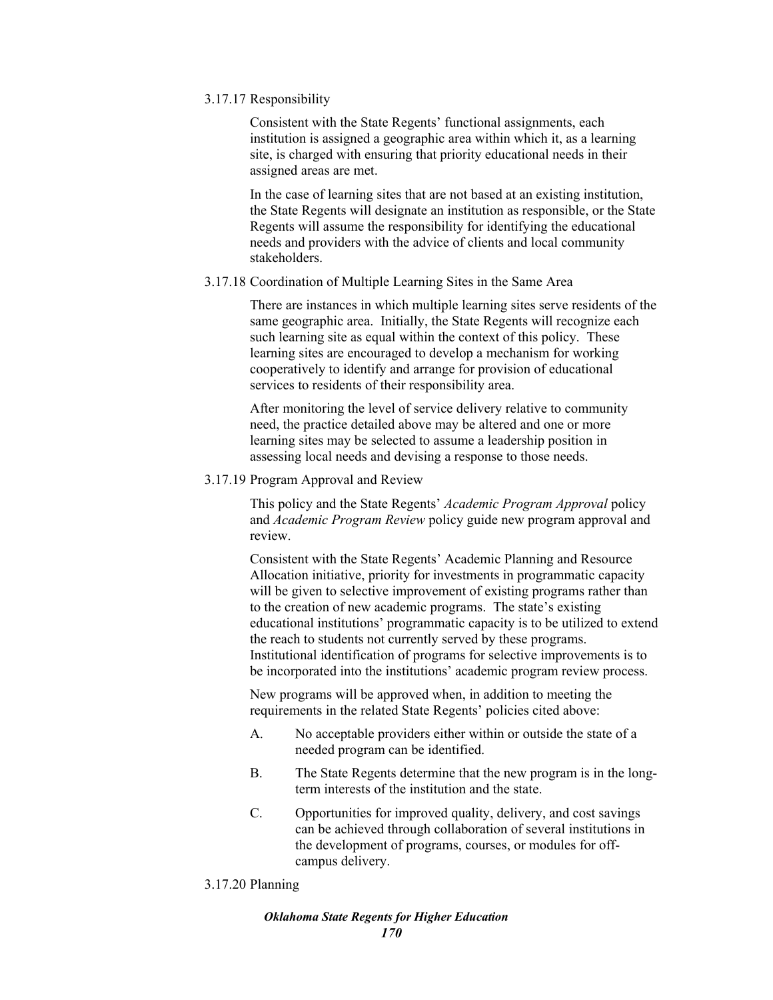### 3.17.17 Responsibility

Consistent with the State Regents' functional assignments, each institution is assigned a geographic area within which it, as a learning site, is charged with ensuring that priority educational needs in their assigned areas are met.

In the case of learning sites that are not based at an existing institution, the State Regents will designate an institution as responsible, or the State Regents will assume the responsibility for identifying the educational needs and providers with the advice of clients and local community stakeholders.

# 3.17.18 Coordination of Multiple Learning Sites in the Same Area

There are instances in which multiple learning sites serve residents of the same geographic area. Initially, the State Regents will recognize each such learning site as equal within the context of this policy. These learning sites are encouraged to develop a mechanism for working cooperatively to identify and arrange for provision of educational services to residents of their responsibility area.

After monitoring the level of service delivery relative to community need, the practice detailed above may be altered and one or more learning sites may be selected to assume a leadership position in assessing local needs and devising a response to those needs.

3.17.19 Program Approval and Review

This policy and the State Regents' *Academic Program Approval* policy and *Academic Program Review* policy guide new program approval and review.

Consistent with the State Regents' Academic Planning and Resource Allocation initiative, priority for investments in programmatic capacity will be given to selective improvement of existing programs rather than to the creation of new academic programs. The state's existing educational institutions' programmatic capacity is to be utilized to extend the reach to students not currently served by these programs. Institutional identification of programs for selective improvements is to be incorporated into the institutions' academic program review process.

New programs will be approved when, in addition to meeting the requirements in the related State Regents' policies cited above:

- A. No acceptable providers either within or outside the state of a needed program can be identified.
- B. The State Regents determine that the new program is in the longterm interests of the institution and the state.
- C. Opportunities for improved quality, delivery, and cost savings can be achieved through collaboration of several institutions in the development of programs, courses, or modules for offcampus delivery.

# 3.17.20 Planning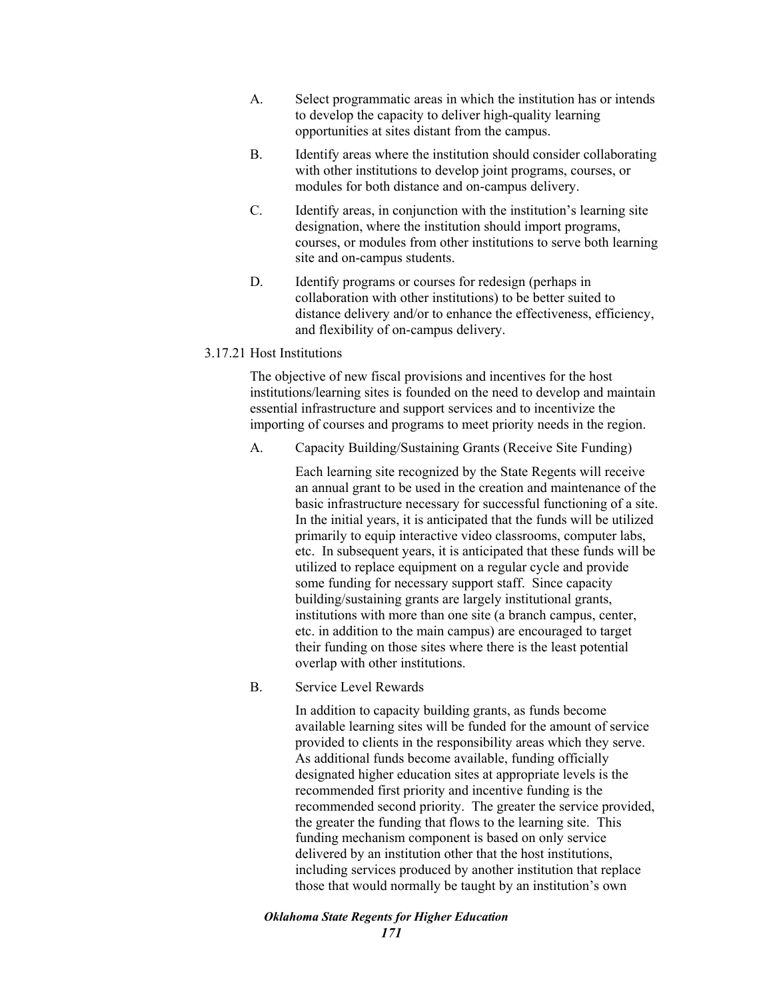- A. Select programmatic areas in which the institution has or intends to develop the capacity to deliver high-quality learning opportunities at sites distant from the campus.
- B. Identify areas where the institution should consider collaborating with other institutions to develop joint programs, courses, or modules for both distance and on-campus delivery.
- C. Identify areas, in conjunction with the institution's learning site designation, where the institution should import programs, courses, or modules from other institutions to serve both learning site and on-campus students.
- D. Identify programs or courses for redesign (perhaps in collaboration with other institutions) to be better suited to distance delivery and/or to enhance the effectiveness, efficiency, and flexibility of on-campus delivery.

# 3.17.21 Host Institutions

The objective of new fiscal provisions and incentives for the host institutions/learning sites is founded on the need to develop and maintain essential infrastructure and support services and to incentivize the importing of courses and programs to meet priority needs in the region.

A. Capacity Building/Sustaining Grants (Receive Site Funding)

Each learning site recognized by the State Regents will receive an annual grant to be used in the creation and maintenance of the basic infrastructure necessary for successful functioning of a site. In the initial years, it is anticipated that the funds will be utilized primarily to equip interactive video classrooms, computer labs, etc. In subsequent years, it is anticipated that these funds will be utilized to replace equipment on a regular cycle and provide some funding for necessary support staff. Since capacity building/sustaining grants are largely institutional grants, institutions with more than one site (a branch campus, center, etc. in addition to the main campus) are encouraged to target their funding on those sites where there is the least potential overlap with other institutions.

B. Service Level Rewards

In addition to capacity building grants, as funds become available learning sites will be funded for the amount of service provided to clients in the responsibility areas which they serve. As additional funds become available, funding officially designated higher education sites at appropriate levels is the recommended first priority and incentive funding is the recommended second priority. The greater the service provided, the greater the funding that flows to the learning site. This funding mechanism component is based on only service delivered by an institution other that the host institutions, including services produced by another institution that replace those that would normally be taught by an institution's own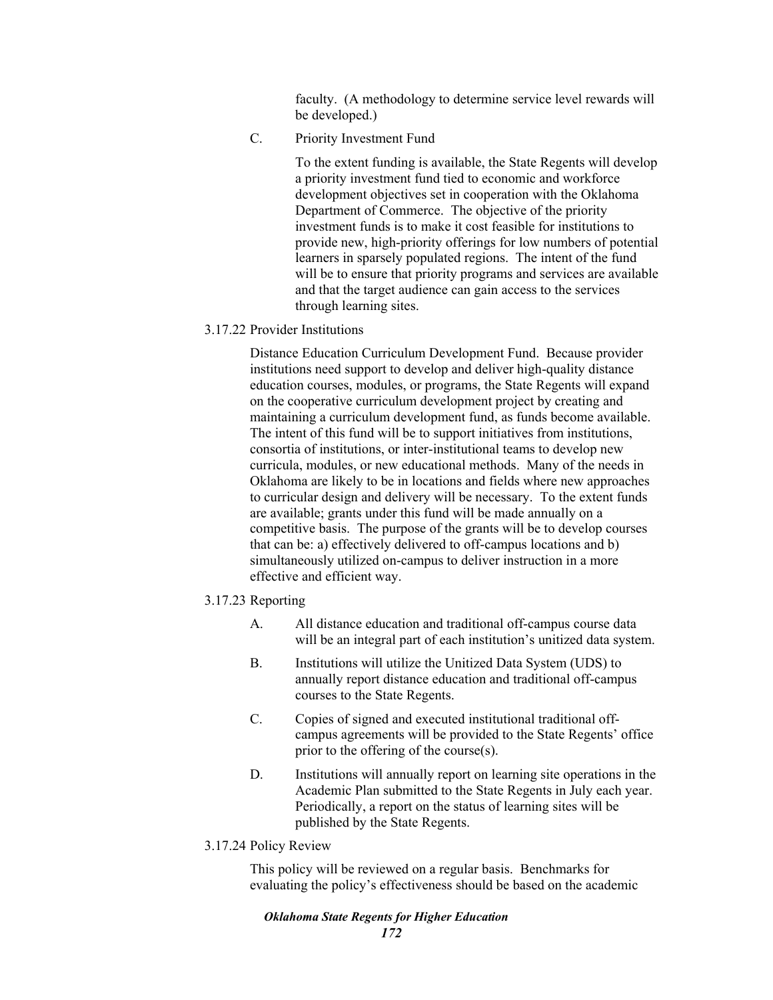faculty. (A methodology to determine service level rewards will be developed.)

C. Priority Investment Fund

To the extent funding is available, the State Regents will develop a priority investment fund tied to economic and workforce development objectives set in cooperation with the Oklahoma Department of Commerce. The objective of the priority investment funds is to make it cost feasible for institutions to provide new, high-priority offerings for low numbers of potential learners in sparsely populated regions. The intent of the fund will be to ensure that priority programs and services are available and that the target audience can gain access to the services through learning sites.

3.17.22 Provider Institutions

Distance Education Curriculum Development Fund. Because provider institutions need support to develop and deliver high-quality distance education courses, modules, or programs, the State Regents will expand on the cooperative curriculum development project by creating and maintaining a curriculum development fund, as funds become available. The intent of this fund will be to support initiatives from institutions, consortia of institutions, or inter-institutional teams to develop new curricula, modules, or new educational methods. Many of the needs in Oklahoma are likely to be in locations and fields where new approaches to curricular design and delivery will be necessary. To the extent funds are available; grants under this fund will be made annually on a competitive basis. The purpose of the grants will be to develop courses that can be: a) effectively delivered to off-campus locations and b) simultaneously utilized on-campus to deliver instruction in a more effective and efficient way.

- 3.17.23 Reporting
	- A. All distance education and traditional off-campus course data will be an integral part of each institution's unitized data system.
	- B. Institutions will utilize the Unitized Data System (UDS) to annually report distance education and traditional off-campus courses to the State Regents.
	- C. Copies of signed and executed institutional traditional offcampus agreements will be provided to the State Regents' office prior to the offering of the course(s).
	- D. Institutions will annually report on learning site operations in the Academic Plan submitted to the State Regents in July each year. Periodically, a report on the status of learning sites will be published by the State Regents.
- 3.17.24 Policy Review

This policy will be reviewed on a regular basis. Benchmarks for evaluating the policy's effectiveness should be based on the academic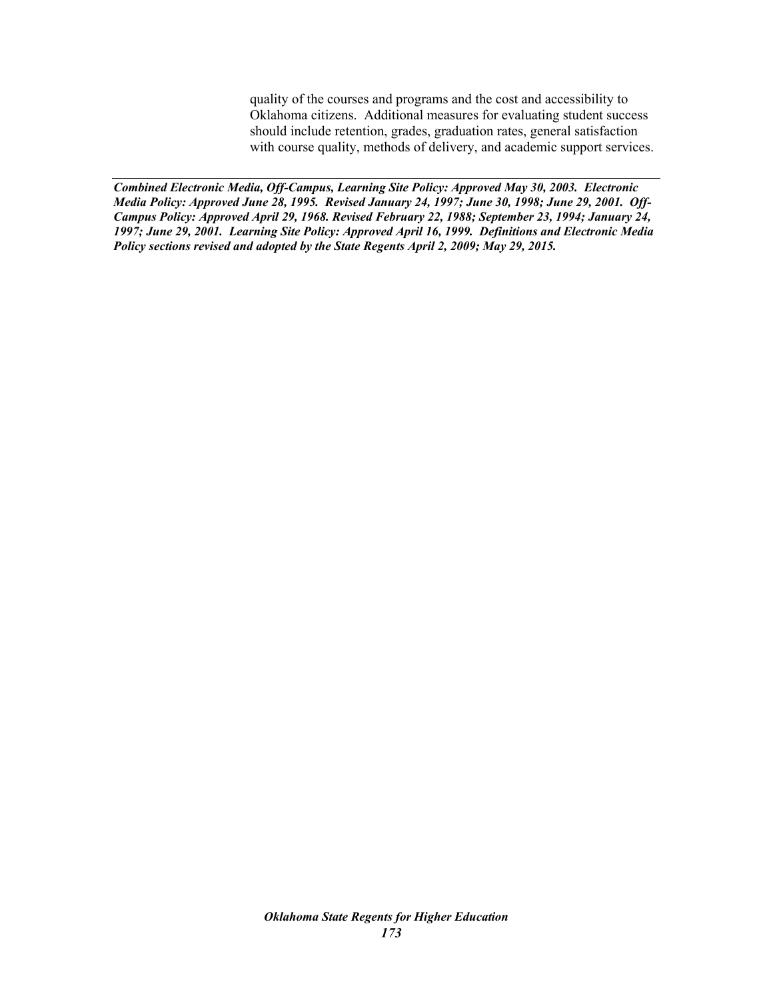quality of the courses and programs and the cost and accessibility to Oklahoma citizens. Additional measures for evaluating student success should include retention, grades, graduation rates, general satisfaction with course quality, methods of delivery, and academic support services.

*Combined Electronic Media, Off-Campus, Learning Site Policy: Approved May 30, 2003. Electronic Media Policy: Approved June 28, 1995. Revised January 24, 1997; June 30, 1998; June 29, 2001. Off-Campus Policy: Approved April 29, 1968. Revised February 22, 1988; September 23, 1994; January 24, 1997; June 29, 2001. Learning Site Policy: Approved April 16, 1999. Definitions and Electronic Media Policy sections revised and adopted by the State Regents April 2, 2009; May 29, 2015.*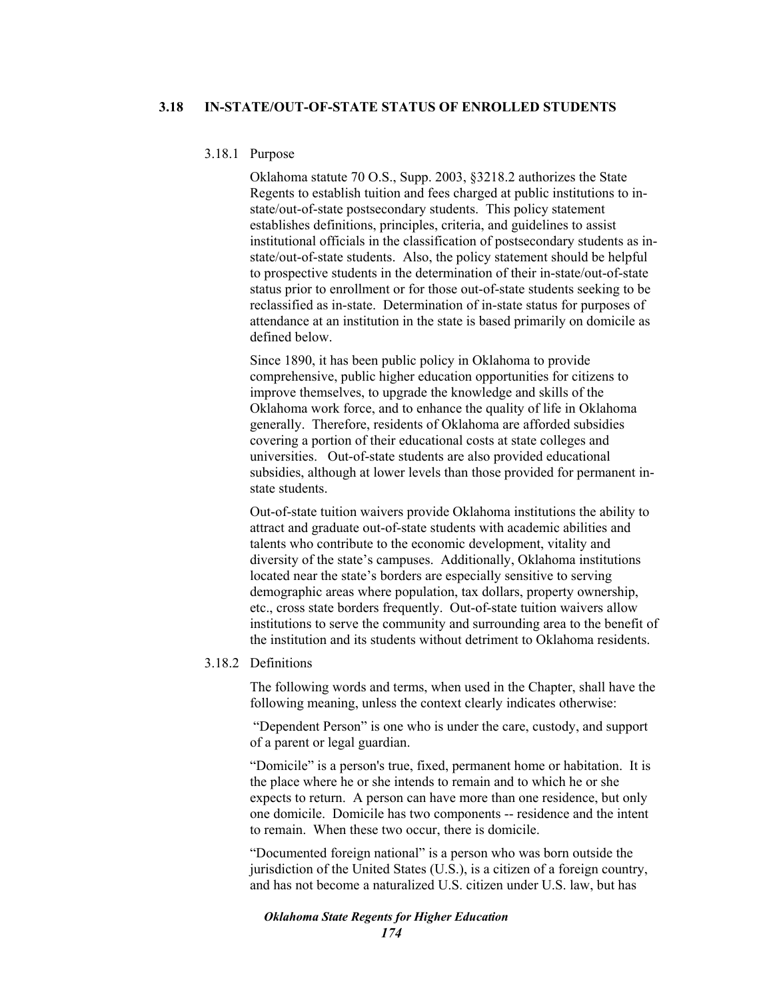#### 3.18.1 Purpose

Oklahoma statute 70 O.S., Supp. 2003, §3218.2 authorizes the State Regents to establish tuition and fees charged at public institutions to instate/out-of-state postsecondary students. This policy statement establishes definitions, principles, criteria, and guidelines to assist institutional officials in the classification of postsecondary students as instate/out-of-state students. Also, the policy statement should be helpful to prospective students in the determination of their in-state/out-of-state status prior to enrollment or for those out-of-state students seeking to be reclassified as in-state. Determination of in-state status for purposes of attendance at an institution in the state is based primarily on domicile as defined below.

Since 1890, it has been public policy in Oklahoma to provide comprehensive, public higher education opportunities for citizens to improve themselves, to upgrade the knowledge and skills of the Oklahoma work force, and to enhance the quality of life in Oklahoma generally. Therefore, residents of Oklahoma are afforded subsidies covering a portion of their educational costs at state colleges and universities. Out-of-state students are also provided educational subsidies, although at lower levels than those provided for permanent instate students.

Out-of-state tuition waivers provide Oklahoma institutions the ability to attract and graduate out-of-state students with academic abilities and talents who contribute to the economic development, vitality and diversity of the state's campuses. Additionally, Oklahoma institutions located near the state's borders are especially sensitive to serving demographic areas where population, tax dollars, property ownership, etc., cross state borders frequently. Out-of-state tuition waivers allow institutions to serve the community and surrounding area to the benefit of the institution and its students without detriment to Oklahoma residents.

#### 3.18.2 Definitions

The following words and terms, when used in the Chapter, shall have the following meaning, unless the context clearly indicates otherwise:

 "Dependent Person" is one who is under the care, custody, and support of a parent or legal guardian.

"Domicile" is a person's true, fixed, permanent home or habitation. It is the place where he or she intends to remain and to which he or she expects to return. A person can have more than one residence, but only one domicile. Domicile has two components -- residence and the intent to remain. When these two occur, there is domicile.

"Documented foreign national" is a person who was born outside the jurisdiction of the United States (U.S.), is a citizen of a foreign country, and has not become a naturalized U.S. citizen under U.S. law, but has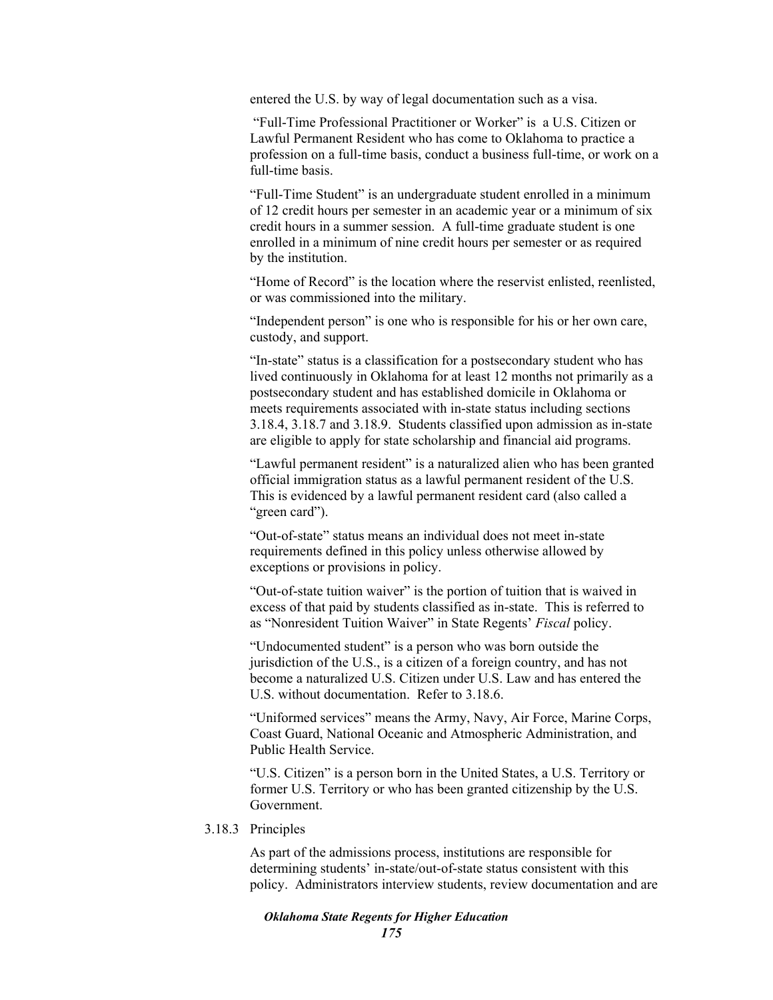entered the U.S. by way of legal documentation such as a visa.

 "Full-Time Professional Practitioner or Worker" is a U.S. Citizen or Lawful Permanent Resident who has come to Oklahoma to practice a profession on a full-time basis, conduct a business full-time, or work on a full-time basis.

"Full-Time Student" is an undergraduate student enrolled in a minimum of 12 credit hours per semester in an academic year or a minimum of six credit hours in a summer session. A full-time graduate student is one enrolled in a minimum of nine credit hours per semester or as required by the institution.

"Home of Record" is the location where the reservist enlisted, reenlisted, or was commissioned into the military.

"Independent person" is one who is responsible for his or her own care, custody, and support.

"In-state" status is a classification for a postsecondary student who has lived continuously in Oklahoma for at least 12 months not primarily as a postsecondary student and has established domicile in Oklahoma or meets requirements associated with in-state status including sections 3.18.4, 3.18.7 and 3.18.9. Students classified upon admission as in-state are eligible to apply for state scholarship and financial aid programs.

"Lawful permanent resident" is a naturalized alien who has been granted official immigration status as a lawful permanent resident of the U.S. This is evidenced by a lawful permanent resident card (also called a "green card").

"Out-of-state" status means an individual does not meet in-state requirements defined in this policy unless otherwise allowed by exceptions or provisions in policy.

"Out-of-state tuition waiver" is the portion of tuition that is waived in excess of that paid by students classified as in-state. This is referred to as "Nonresident Tuition Waiver" in State Regents' *Fiscal* policy.

"Undocumented student" is a person who was born outside the jurisdiction of the U.S., is a citizen of a foreign country, and has not become a naturalized U.S. Citizen under U.S. Law and has entered the U.S. without documentation. Refer to 3.18.6.

"Uniformed services" means the Army, Navy, Air Force, Marine Corps, Coast Guard, National Oceanic and Atmospheric Administration, and Public Health Service.

"U.S. Citizen" is a person born in the United States, a U.S. Territory or former U.S. Territory or who has been granted citizenship by the U.S. Government.

3.18.3 Principles

As part of the admissions process, institutions are responsible for determining students' in-state/out-of-state status consistent with this policy. Administrators interview students, review documentation and are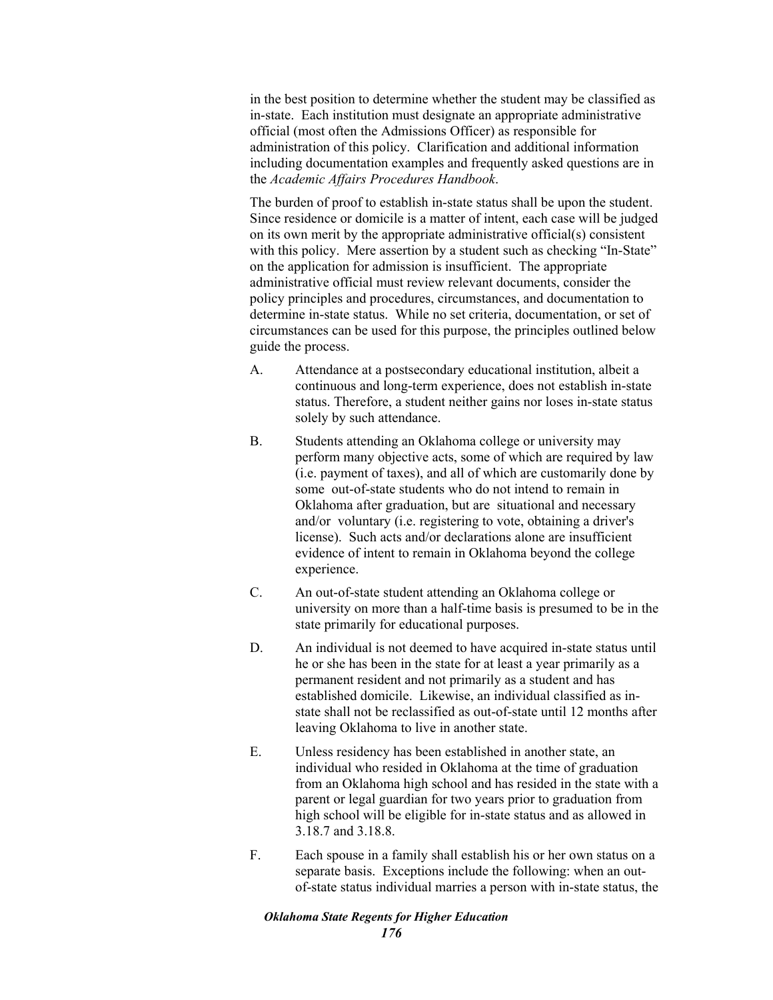in the best position to determine whether the student may be classified as in-state. Each institution must designate an appropriate administrative official (most often the Admissions Officer) as responsible for administration of this policy. Clarification and additional information including documentation examples and frequently asked questions are in the *Academic Affairs Procedures Handbook*.

The burden of proof to establish in-state status shall be upon the student. Since residence or domicile is a matter of intent, each case will be judged on its own merit by the appropriate administrative official(s) consistent with this policy. Mere assertion by a student such as checking "In-State" on the application for admission is insufficient. The appropriate administrative official must review relevant documents, consider the policy principles and procedures, circumstances, and documentation to determine in-state status. While no set criteria, documentation, or set of circumstances can be used for this purpose, the principles outlined below guide the process.

- A. Attendance at a postsecondary educational institution, albeit a continuous and long-term experience, does not establish in-state status. Therefore, a student neither gains nor loses in-state status solely by such attendance.
- B. Students attending an Oklahoma college or university may perform many objective acts, some of which are required by law (i.e. payment of taxes), and all of which are customarily done by some out-of-state students who do not intend to remain in Oklahoma after graduation, but are situational and necessary and/or voluntary (i.e. registering to vote, obtaining a driver's license). Such acts and/or declarations alone are insufficient evidence of intent to remain in Oklahoma beyond the college experience.
- C. An out-of-state student attending an Oklahoma college or university on more than a half-time basis is presumed to be in the state primarily for educational purposes.
- D. An individual is not deemed to have acquired in-state status until he or she has been in the state for at least a year primarily as a permanent resident and not primarily as a student and has established domicile. Likewise, an individual classified as instate shall not be reclassified as out-of-state until 12 months after leaving Oklahoma to live in another state.
- E. Unless residency has been established in another state, an individual who resided in Oklahoma at the time of graduation from an Oklahoma high school and has resided in the state with a parent or legal guardian for two years prior to graduation from high school will be eligible for in-state status and as allowed in 3.18.7 and 3.18.8.
- F. Each spouse in a family shall establish his or her own status on a separate basis. Exceptions include the following: when an outof-state status individual marries a person with in-state status, the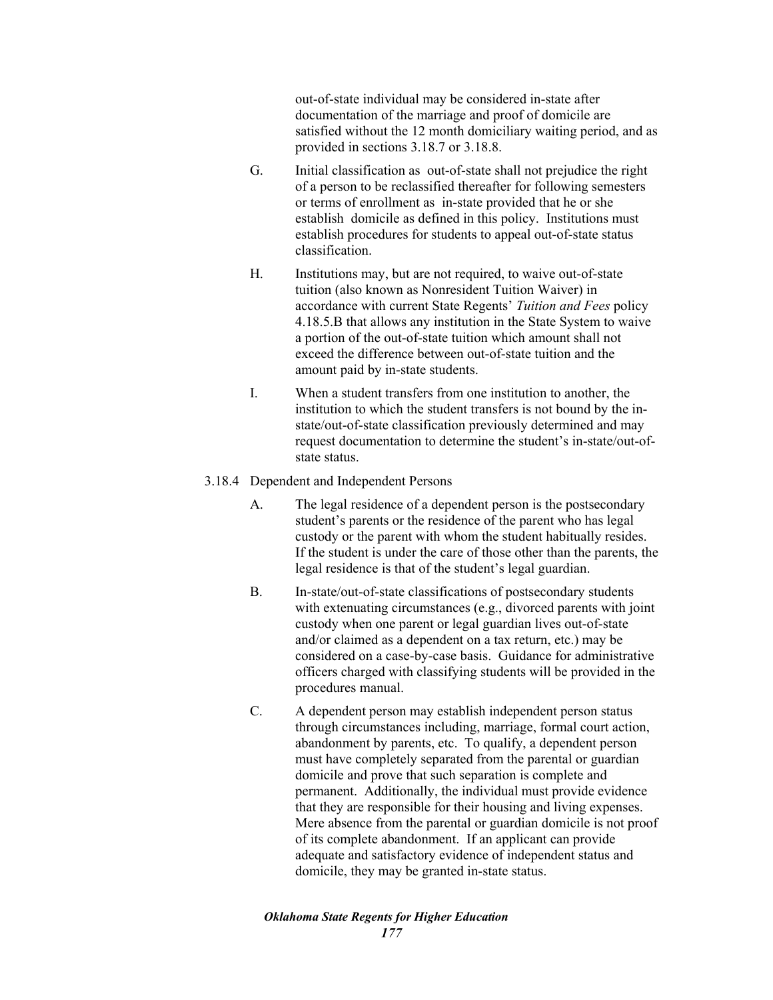out-of-state individual may be considered in-state after documentation of the marriage and proof of domicile are satisfied without the 12 month domiciliary waiting period, and as provided in sections 3.18.7 or 3.18.8.

- G. Initial classification as out-of-state shall not prejudice the right of a person to be reclassified thereafter for following semesters or terms of enrollment as in-state provided that he or she establish domicile as defined in this policy. Institutions must establish procedures for students to appeal out-of-state status classification.
- H. Institutions may, but are not required, to waive out-of-state tuition (also known as Nonresident Tuition Waiver) in accordance with current State Regents' *Tuition and Fees* policy 4.18.5.B that allows any institution in the State System to waive a portion of the out-of-state tuition which amount shall not exceed the difference between out-of-state tuition and the amount paid by in-state students.
- I. When a student transfers from one institution to another, the institution to which the student transfers is not bound by the instate/out-of-state classification previously determined and may request documentation to determine the student's in-state/out-ofstate status.
- 3.18.4 Dependent and Independent Persons
	- A. The legal residence of a dependent person is the postsecondary student's parents or the residence of the parent who has legal custody or the parent with whom the student habitually resides. If the student is under the care of those other than the parents, the legal residence is that of the student's legal guardian.
	- B. In-state/out-of-state classifications of postsecondary students with extenuating circumstances (e.g., divorced parents with joint custody when one parent or legal guardian lives out-of-state and/or claimed as a dependent on a tax return, etc.) may be considered on a case-by-case basis. Guidance for administrative officers charged with classifying students will be provided in the procedures manual.
	- C. A dependent person may establish independent person status through circumstances including, marriage, formal court action, abandonment by parents, etc. To qualify, a dependent person must have completely separated from the parental or guardian domicile and prove that such separation is complete and permanent. Additionally, the individual must provide evidence that they are responsible for their housing and living expenses. Mere absence from the parental or guardian domicile is not proof of its complete abandonment. If an applicant can provide adequate and satisfactory evidence of independent status and domicile, they may be granted in-state status.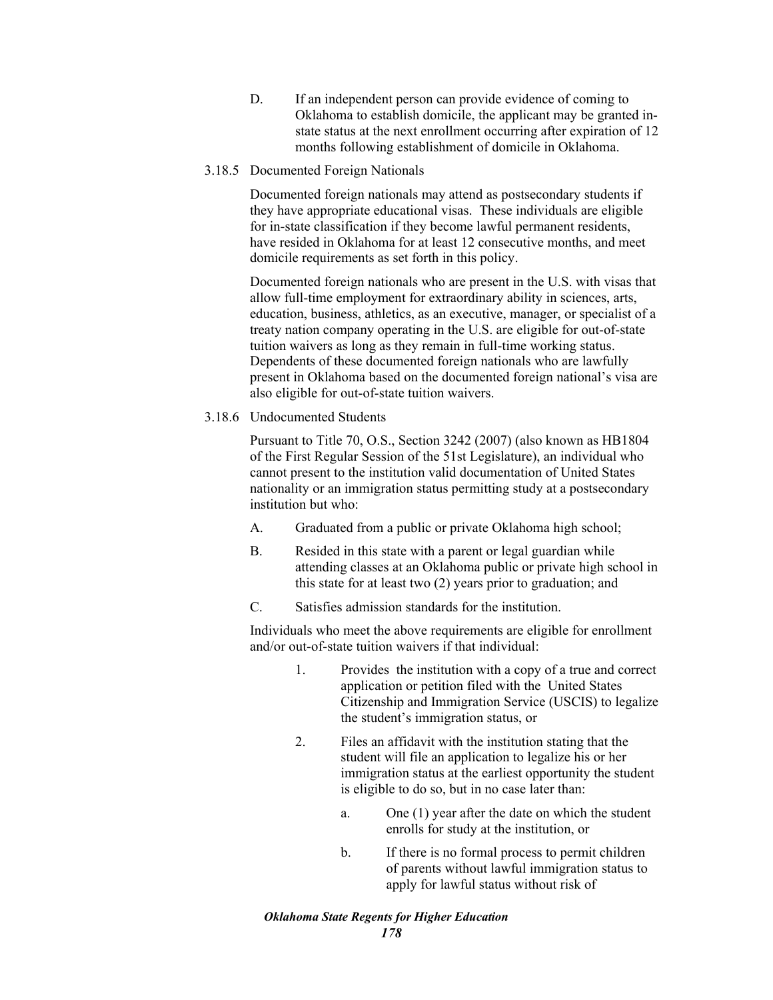- D. If an independent person can provide evidence of coming to Oklahoma to establish domicile, the applicant may be granted instate status at the next enrollment occurring after expiration of 12 months following establishment of domicile in Oklahoma.
- 3.18.5 Documented Foreign Nationals

Documented foreign nationals may attend as postsecondary students if they have appropriate educational visas. These individuals are eligible for in-state classification if they become lawful permanent residents, have resided in Oklahoma for at least 12 consecutive months, and meet domicile requirements as set forth in this policy.

Documented foreign nationals who are present in the U.S. with visas that allow full-time employment for extraordinary ability in sciences, arts, education, business, athletics, as an executive, manager, or specialist of a treaty nation company operating in the U.S. are eligible for out-of-state tuition waivers as long as they remain in full-time working status. Dependents of these documented foreign nationals who are lawfully present in Oklahoma based on the documented foreign national's visa are also eligible for out-of-state tuition waivers.

3.18.6 Undocumented Students

Pursuant to Title 70, O.S., Section 3242 (2007) (also known as HB1804 of the First Regular Session of the 51st Legislature), an individual who cannot present to the institution valid documentation of United States nationality or an immigration status permitting study at a postsecondary institution but who:

- A. Graduated from a public or private Oklahoma high school;
- B. Resided in this state with a parent or legal guardian while attending classes at an Oklahoma public or private high school in this state for at least two (2) years prior to graduation; and
- C. Satisfies admission standards for the institution.

Individuals who meet the above requirements are eligible for enrollment and/or out-of-state tuition waivers if that individual:

- 1. Provides the institution with a copy of a true and correct application or petition filed with the United States Citizenship and Immigration Service (USCIS) to legalize the student's immigration status, or
- 2. Files an affidavit with the institution stating that the student will file an application to legalize his or her immigration status at the earliest opportunity the student is eligible to do so, but in no case later than:
	- a. One (1) year after the date on which the student enrolls for study at the institution, or
	- b. If there is no formal process to permit children of parents without lawful immigration status to apply for lawful status without risk of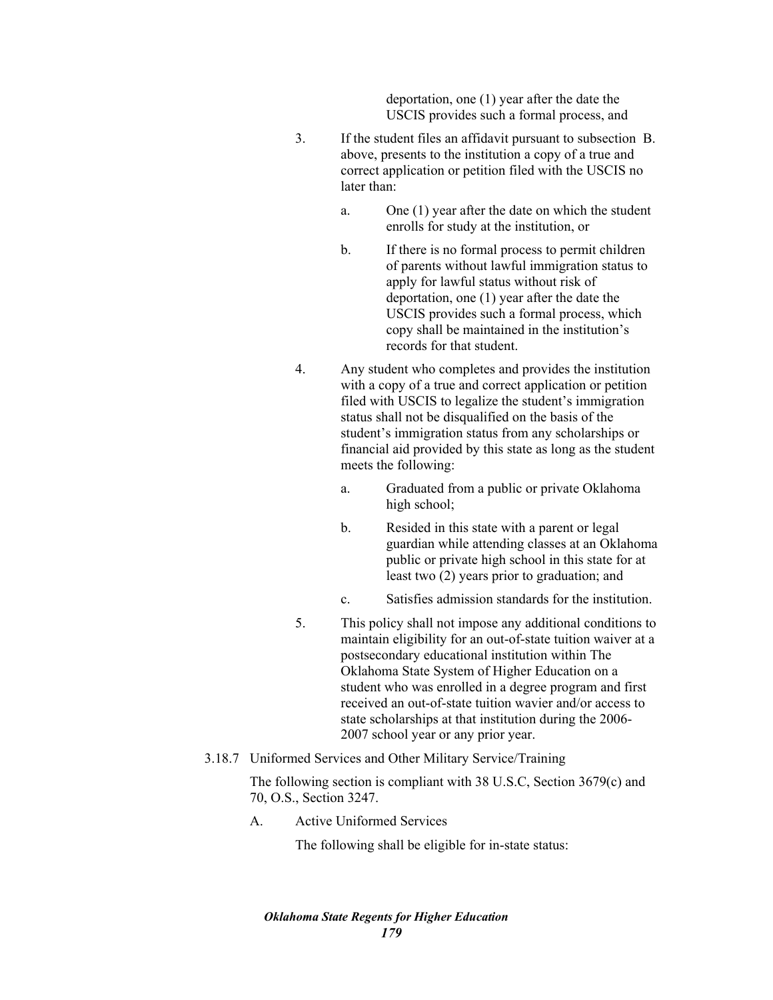deportation, one (1) year after the date the USCIS provides such a formal process, and

- 3. If the student files an affidavit pursuant to subsection B. above, presents to the institution a copy of a true and correct application or petition filed with the USCIS no later than:
	- a. One (1) year after the date on which the student enrolls for study at the institution, or
	- b. If there is no formal process to permit children of parents without lawful immigration status to apply for lawful status without risk of deportation, one (1) year after the date the USCIS provides such a formal process, which copy shall be maintained in the institution's records for that student.
- 4. Any student who completes and provides the institution with a copy of a true and correct application or petition filed with USCIS to legalize the student's immigration status shall not be disqualified on the basis of the student's immigration status from any scholarships or financial aid provided by this state as long as the student meets the following:
	- a. Graduated from a public or private Oklahoma high school;
	- b. Resided in this state with a parent or legal guardian while attending classes at an Oklahoma public or private high school in this state for at least two (2) years prior to graduation; and
	- c. Satisfies admission standards for the institution.
- 5. This policy shall not impose any additional conditions to maintain eligibility for an out-of-state tuition waiver at a postsecondary educational institution within The Oklahoma State System of Higher Education on a student who was enrolled in a degree program and first received an out-of-state tuition wavier and/or access to state scholarships at that institution during the 2006- 2007 school year or any prior year.

# 3.18.7 Uniformed Services and Other Military Service/Training

The following section is compliant with 38 U.S.C, Section 3679(c) and 70, O.S., Section 3247.

A. Active Uniformed Services

The following shall be eligible for in-state status: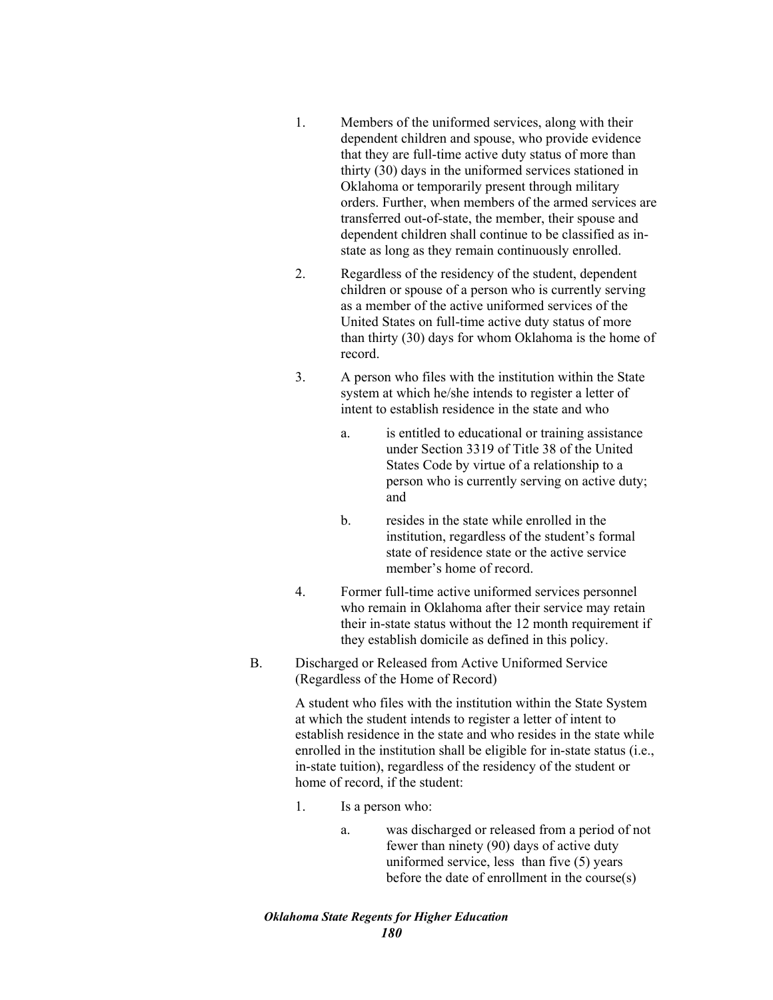- 1. Members of the uniformed services, along with their dependent children and spouse, who provide evidence that they are full-time active duty status of more than thirty (30) days in the uniformed services stationed in Oklahoma or temporarily present through military orders. Further, when members of the armed services are transferred out-of-state, the member, their spouse and dependent children shall continue to be classified as instate as long as they remain continuously enrolled.
- 2. Regardless of the residency of the student, dependent children or spouse of a person who is currently serving as a member of the active uniformed services of the United States on full-time active duty status of more than thirty (30) days for whom Oklahoma is the home of record.
- 3. A person who files with the institution within the State system at which he/she intends to register a letter of intent to establish residence in the state and who
	- a. is entitled to educational or training assistance under Section 3319 of Title 38 of the United States Code by virtue of a relationship to a person who is currently serving on active duty; and
	- b. resides in the state while enrolled in the institution, regardless of the student's formal state of residence state or the active service member's home of record.
- 4. Former full-time active uniformed services personnel who remain in Oklahoma after their service may retain their in-state status without the 12 month requirement if they establish domicile as defined in this policy.
- B. Discharged or Released from Active Uniformed Service (Regardless of the Home of Record)

A student who files with the institution within the State System at which the student intends to register a letter of intent to establish residence in the state and who resides in the state while enrolled in the institution shall be eligible for in-state status (i.e., in-state tuition), regardless of the residency of the student or home of record, if the student:

- 1. Is a person who:
	- a. was discharged or released from a period of not fewer than ninety (90) days of active duty uniformed service, less than five (5) years before the date of enrollment in the course(s)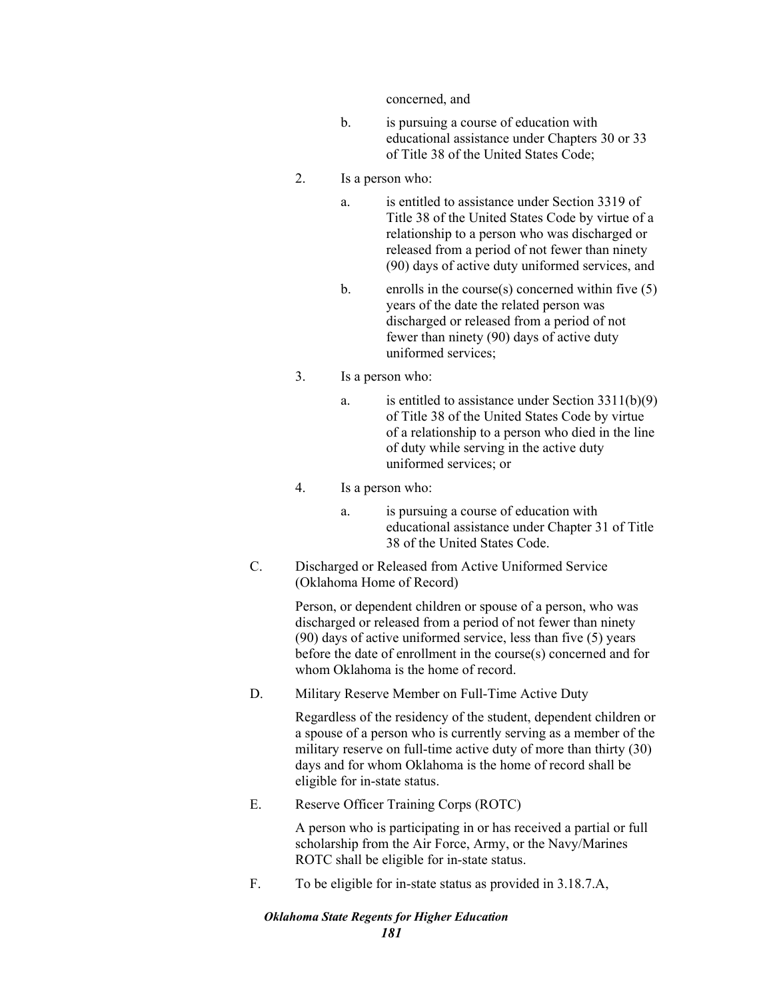concerned, and

- b. is pursuing a course of education with educational assistance under Chapters 30 or 33 of Title 38 of the United States Code;
- 2. Is a person who:
	- a. is entitled to assistance under Section 3319 of Title 38 of the United States Code by virtue of a relationship to a person who was discharged or released from a period of not fewer than ninety (90) days of active duty uniformed services, and
	- b. enrolls in the course(s) concerned within five  $(5)$ years of the date the related person was discharged or released from a period of not fewer than ninety (90) days of active duty uniformed services;
- 3. Is a person who:
	- a. is entitled to assistance under Section 3311(b)(9) of Title 38 of the United States Code by virtue of a relationship to a person who died in the line of duty while serving in the active duty uniformed services; or
- 4. Is a person who:
	- a. is pursuing a course of education with educational assistance under Chapter 31 of Title 38 of the United States Code.
- C. Discharged or Released from Active Uniformed Service (Oklahoma Home of Record)

Person, or dependent children or spouse of a person, who was discharged or released from a period of not fewer than ninety (90) days of active uniformed service, less than five (5) years before the date of enrollment in the course(s) concerned and for whom Oklahoma is the home of record.

D. Military Reserve Member on Full-Time Active Duty

Regardless of the residency of the student, dependent children or a spouse of a person who is currently serving as a member of the military reserve on full-time active duty of more than thirty (30) days and for whom Oklahoma is the home of record shall be eligible for in-state status.

E. Reserve Officer Training Corps (ROTC)

A person who is participating in or has received a partial or full scholarship from the Air Force, Army, or the Navy/Marines ROTC shall be eligible for in-state status.

F. To be eligible for in-state status as provided in 3.18.7.A,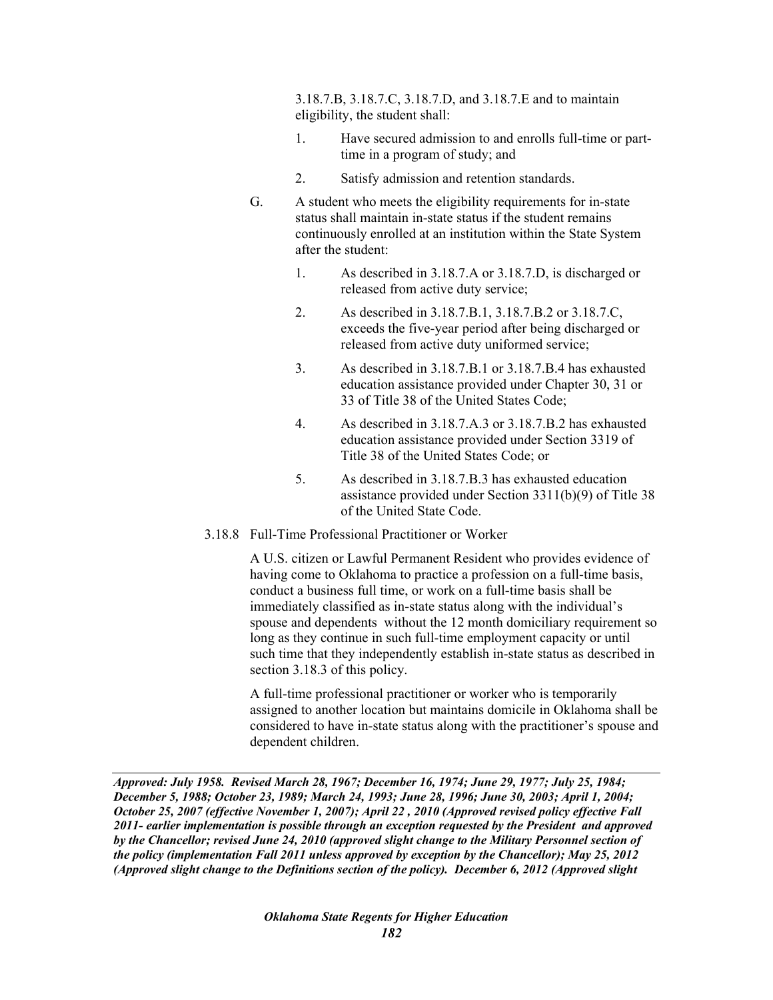3.18.7.B, 3.18.7.C, 3.18.7.D, and 3.18.7.E and to maintain eligibility, the student shall:

- 1. Have secured admission to and enrolls full-time or parttime in a program of study; and
- 2. Satisfy admission and retention standards.
- G. A student who meets the eligibility requirements for in-state status shall maintain in-state status if the student remains continuously enrolled at an institution within the State System after the student:
	- 1. As described in 3.18.7.A or 3.18.7.D, is discharged or released from active duty service;
	- 2. As described in 3.18.7.B.1, 3.18.7.B.2 or 3.18.7.C, exceeds the five-year period after being discharged or released from active duty uniformed service;
	- 3. As described in 3.18.7.B.1 or 3.18.7.B.4 has exhausted education assistance provided under Chapter 30, 31 or 33 of Title 38 of the United States Code;
	- 4. As described in 3.18.7.A.3 or 3.18.7.B.2 has exhausted education assistance provided under Section 3319 of Title 38 of the United States Code; or
	- 5. As described in 3.18.7.B.3 has exhausted education assistance provided under Section 3311(b)(9) of Title 38 of the United State Code.
- 3.18.8 Full-Time Professional Practitioner or Worker

A U.S. citizen or Lawful Permanent Resident who provides evidence of having come to Oklahoma to practice a profession on a full-time basis, conduct a business full time, or work on a full-time basis shall be immediately classified as in-state status along with the individual's spouse and dependents without the 12 month domiciliary requirement so long as they continue in such full-time employment capacity or until such time that they independently establish in-state status as described in section 3.18.3 of this policy.

A full-time professional practitioner or worker who is temporarily assigned to another location but maintains domicile in Oklahoma shall be considered to have in-state status along with the practitioner's spouse and dependent children.

*Approved: July 1958. Revised March 28, 1967; December 16, 1974; June 29, 1977; July 25, 1984; December 5, 1988; October 23, 1989; March 24, 1993; June 28, 1996; June 30, 2003; April 1, 2004; October 25, 2007 (effective November 1, 2007); April 22 , 2010 (Approved revised policy effective Fall 2011- earlier implementation is possible through an exception requested by the President and approved by the Chancellor; revised June 24, 2010 (approved slight change to the Military Personnel section of the policy (implementation Fall 2011 unless approved by exception by the Chancellor); May 25, 2012 (Approved slight change to the Definitions section of the policy). December 6, 2012 (Approved slight*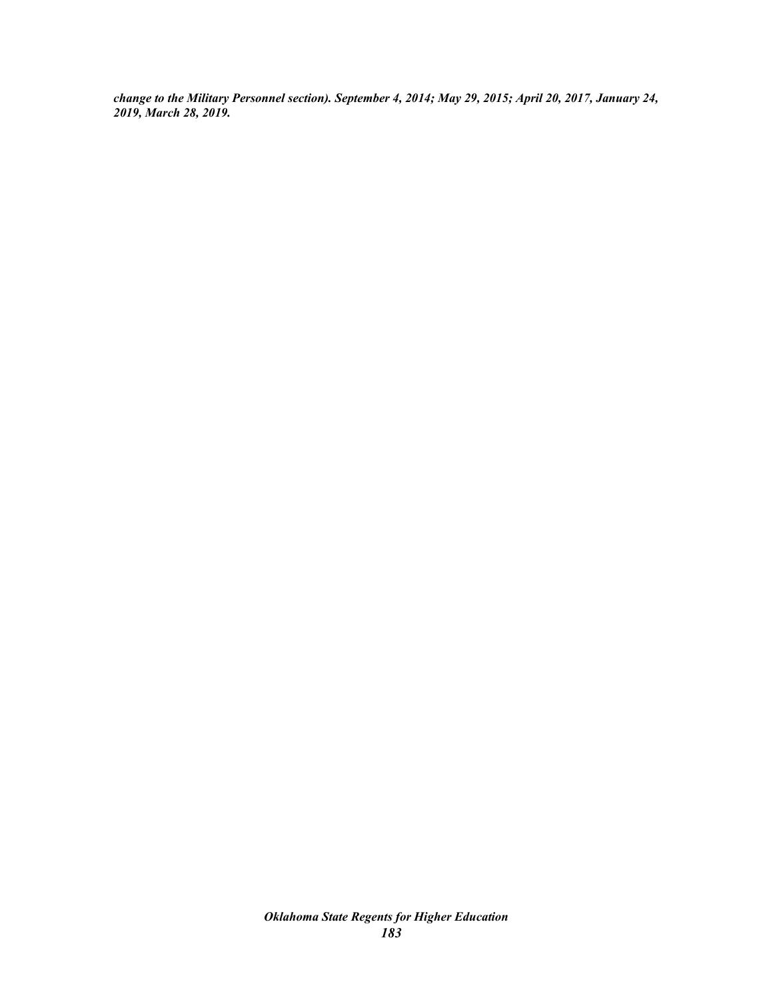*change to the Military Personnel section). September 4, 2014; May 29, 2015; April 20, 2017, January 24, 2019, March 28, 2019.*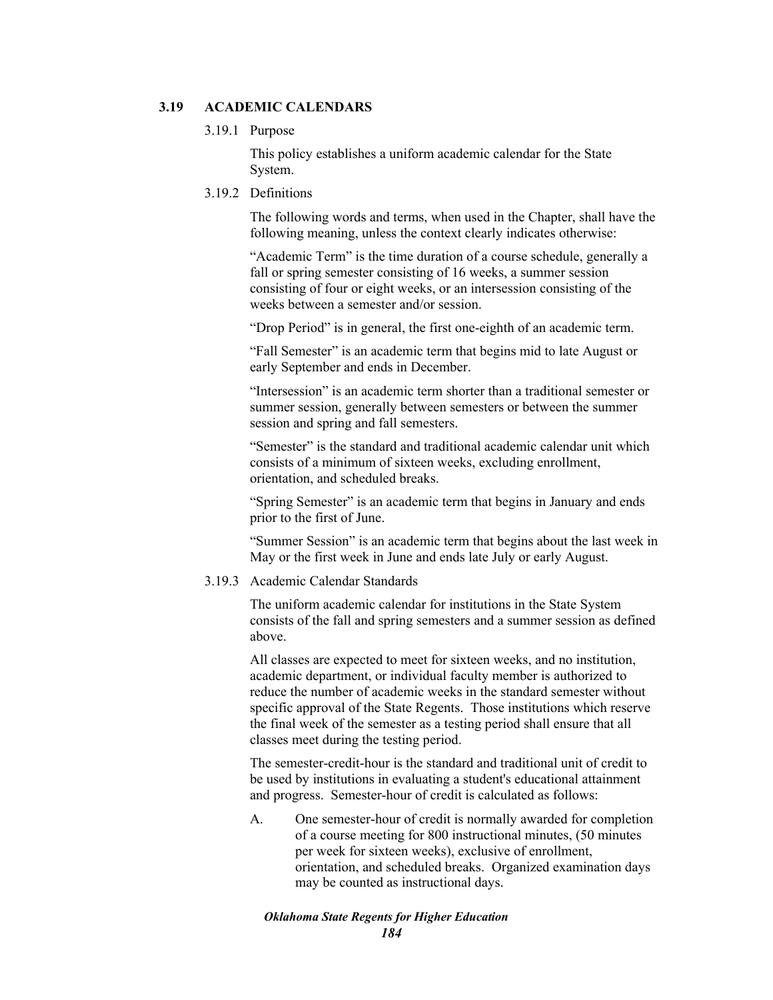# **3.19 ACADEMIC CALENDARS**

## 3.19.1 Purpose

This policy establishes a uniform academic calendar for the State System.

# 3.19.2 Definitions

The following words and terms, when used in the Chapter, shall have the following meaning, unless the context clearly indicates otherwise:

"Academic Term" is the time duration of a course schedule, generally a fall or spring semester consisting of 16 weeks, a summer session consisting of four or eight weeks, or an intersession consisting of the weeks between a semester and/or session.

"Drop Period" is in general, the first one-eighth of an academic term.

"Fall Semester" is an academic term that begins mid to late August or early September and ends in December.

"Intersession" is an academic term shorter than a traditional semester or summer session, generally between semesters or between the summer session and spring and fall semesters.

"Semester" is the standard and traditional academic calendar unit which consists of a minimum of sixteen weeks, excluding enrollment, orientation, and scheduled breaks.

"Spring Semester" is an academic term that begins in January and ends prior to the first of June.

"Summer Session" is an academic term that begins about the last week in May or the first week in June and ends late July or early August.

## 3.19.3 Academic Calendar Standards

The uniform academic calendar for institutions in the State System consists of the fall and spring semesters and a summer session as defined above.

All classes are expected to meet for sixteen weeks, and no institution, academic department, or individual faculty member is authorized to reduce the number of academic weeks in the standard semester without specific approval of the State Regents. Those institutions which reserve the final week of the semester as a testing period shall ensure that all classes meet during the testing period.

The semester-credit-hour is the standard and traditional unit of credit to be used by institutions in evaluating a student's educational attainment and progress. Semester-hour of credit is calculated as follows:

A. One semester-hour of credit is normally awarded for completion of a course meeting for 800 instructional minutes, (50 minutes per week for sixteen weeks), exclusive of enrollment, orientation, and scheduled breaks. Organized examination days may be counted as instructional days.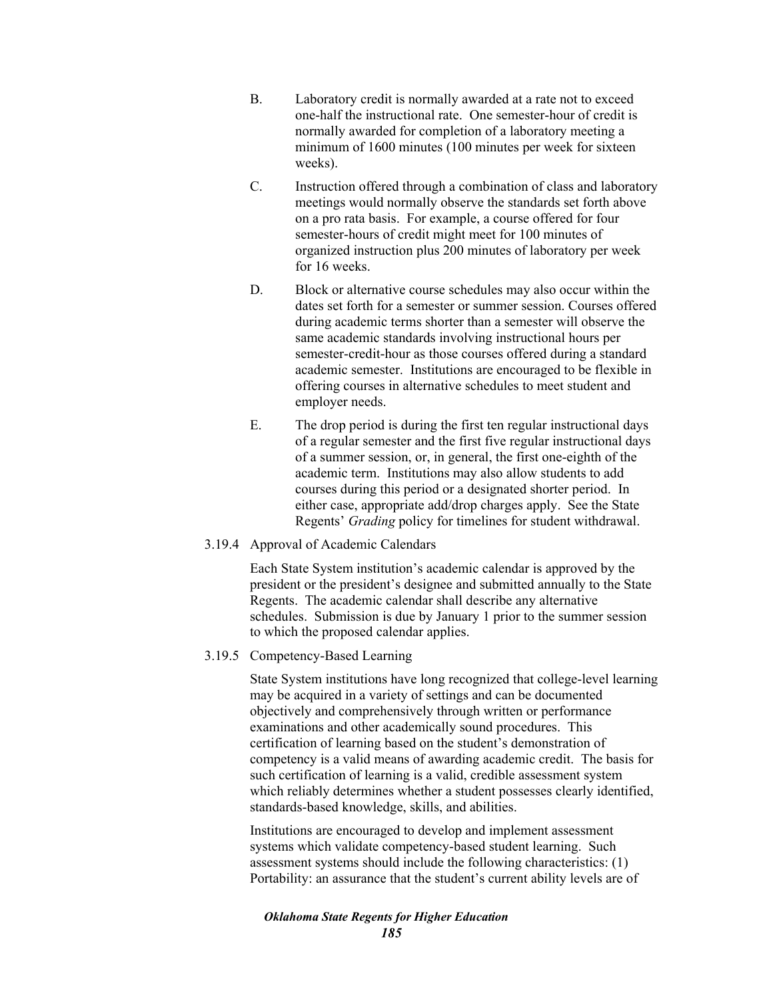- B. Laboratory credit is normally awarded at a rate not to exceed one-half the instructional rate. One semester-hour of credit is normally awarded for completion of a laboratory meeting a minimum of 1600 minutes (100 minutes per week for sixteen weeks).
- C. Instruction offered through a combination of class and laboratory meetings would normally observe the standards set forth above on a pro rata basis. For example, a course offered for four semester-hours of credit might meet for 100 minutes of organized instruction plus 200 minutes of laboratory per week for 16 weeks.
- D. Block or alternative course schedules may also occur within the dates set forth for a semester or summer session. Courses offered during academic terms shorter than a semester will observe the same academic standards involving instructional hours per semester-credit-hour as those courses offered during a standard academic semester. Institutions are encouraged to be flexible in offering courses in alternative schedules to meet student and employer needs.
- E. The drop period is during the first ten regular instructional days of a regular semester and the first five regular instructional days of a summer session, or, in general, the first one-eighth of the academic term. Institutions may also allow students to add courses during this period or a designated shorter period. In either case, appropriate add/drop charges apply. See the State Regents' *Grading* policy for timelines for student withdrawal.
- 3.19.4 Approval of Academic Calendars

Each State System institution's academic calendar is approved by the president or the president's designee and submitted annually to the State Regents. The academic calendar shall describe any alternative schedules. Submission is due by January 1 prior to the summer session to which the proposed calendar applies.

3.19.5 Competency-Based Learning

State System institutions have long recognized that college-level learning may be acquired in a variety of settings and can be documented objectively and comprehensively through written or performance examinations and other academically sound procedures. This certification of learning based on the student's demonstration of competency is a valid means of awarding academic credit. The basis for such certification of learning is a valid, credible assessment system which reliably determines whether a student possesses clearly identified, standards-based knowledge, skills, and abilities.

Institutions are encouraged to develop and implement assessment systems which validate competency-based student learning. Such assessment systems should include the following characteristics: (1) Portability: an assurance that the student's current ability levels are of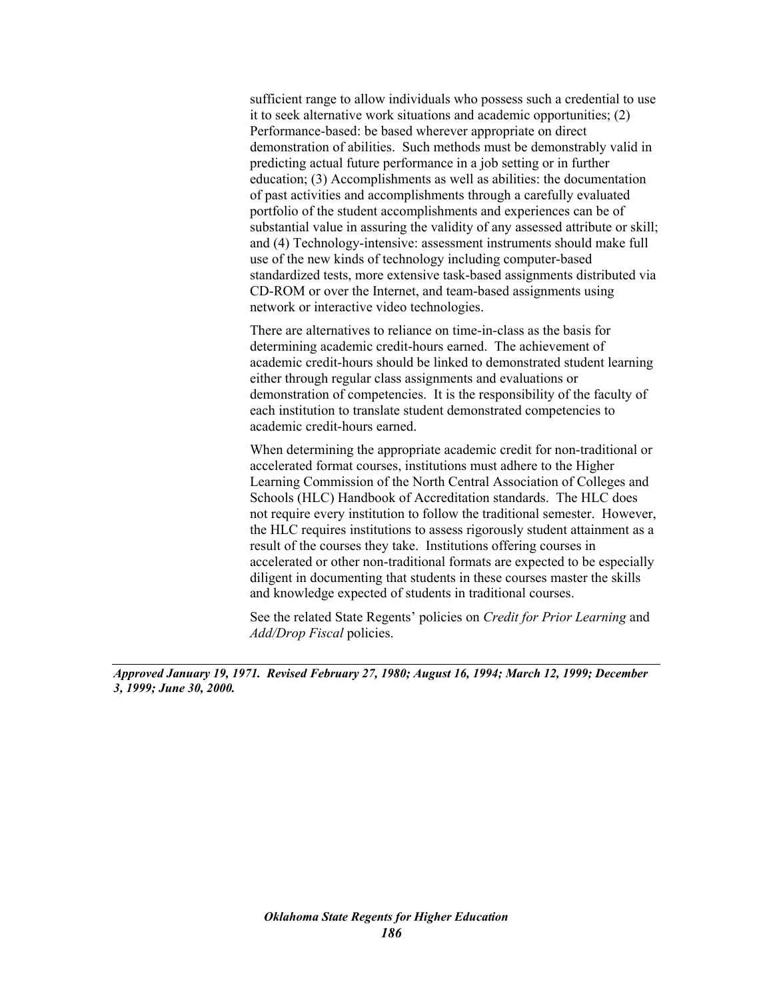sufficient range to allow individuals who possess such a credential to use it to seek alternative work situations and academic opportunities; (2) Performance-based: be based wherever appropriate on direct demonstration of abilities. Such methods must be demonstrably valid in predicting actual future performance in a job setting or in further education; (3) Accomplishments as well as abilities: the documentation of past activities and accomplishments through a carefully evaluated portfolio of the student accomplishments and experiences can be of substantial value in assuring the validity of any assessed attribute or skill; and (4) Technology-intensive: assessment instruments should make full use of the new kinds of technology including computer-based standardized tests, more extensive task-based assignments distributed via CD-ROM or over the Internet, and team-based assignments using network or interactive video technologies.

There are alternatives to reliance on time-in-class as the basis for determining academic credit-hours earned. The achievement of academic credit-hours should be linked to demonstrated student learning either through regular class assignments and evaluations or demonstration of competencies. It is the responsibility of the faculty of each institution to translate student demonstrated competencies to academic credit-hours earned.

When determining the appropriate academic credit for non-traditional or accelerated format courses, institutions must adhere to the Higher Learning Commission of the North Central Association of Colleges and Schools (HLC) Handbook of Accreditation standards. The HLC does not require every institution to follow the traditional semester. However, the HLC requires institutions to assess rigorously student attainment as a result of the courses they take. Institutions offering courses in accelerated or other non-traditional formats are expected to be especially diligent in documenting that students in these courses master the skills and knowledge expected of students in traditional courses.

See the related State Regents' policies on *Credit for Prior Learning* and *Add/Drop Fiscal* policies.

*Approved January 19, 1971. Revised February 27, 1980; August 16, 1994; March 12, 1999; December 3, 1999; June 30, 2000.*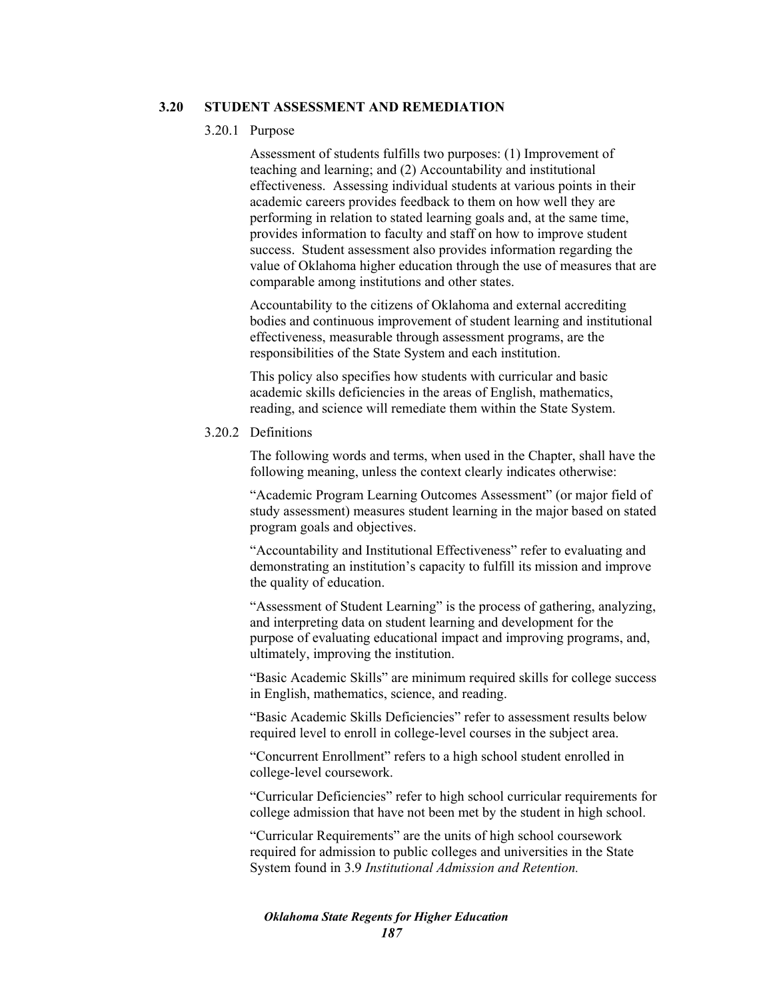## **3.20 STUDENT ASSESSMENT AND REMEDIATION**

#### 3.20.1 Purpose

Assessment of students fulfills two purposes: (1) Improvement of teaching and learning; and (2) Accountability and institutional effectiveness. Assessing individual students at various points in their academic careers provides feedback to them on how well they are performing in relation to stated learning goals and, at the same time, provides information to faculty and staff on how to improve student success. Student assessment also provides information regarding the value of Oklahoma higher education through the use of measures that are comparable among institutions and other states.

Accountability to the citizens of Oklahoma and external accrediting bodies and continuous improvement of student learning and institutional effectiveness, measurable through assessment programs, are the responsibilities of the State System and each institution.

This policy also specifies how students with curricular and basic academic skills deficiencies in the areas of English, mathematics, reading, and science will remediate them within the State System.

## 3.20.2 Definitions

The following words and terms, when used in the Chapter, shall have the following meaning, unless the context clearly indicates otherwise:

"Academic Program Learning Outcomes Assessment" (or major field of study assessment) measures student learning in the major based on stated program goals and objectives.

"Accountability and Institutional Effectiveness" refer to evaluating and demonstrating an institution's capacity to fulfill its mission and improve the quality of education.

"Assessment of Student Learning" is the process of gathering, analyzing, and interpreting data on student learning and development for the purpose of evaluating educational impact and improving programs, and, ultimately, improving the institution.

"Basic Academic Skills" are minimum required skills for college success in English, mathematics, science, and reading.

"Basic Academic Skills Deficiencies" refer to assessment results below required level to enroll in college-level courses in the subject area.

"Concurrent Enrollment" refers to a high school student enrolled in college-level coursework.

"Curricular Deficiencies" refer to high school curricular requirements for college admission that have not been met by the student in high school.

"Curricular Requirements" are the units of high school coursework required for admission to public colleges and universities in the State System found in 3.9 *Institutional Admission and Retention.*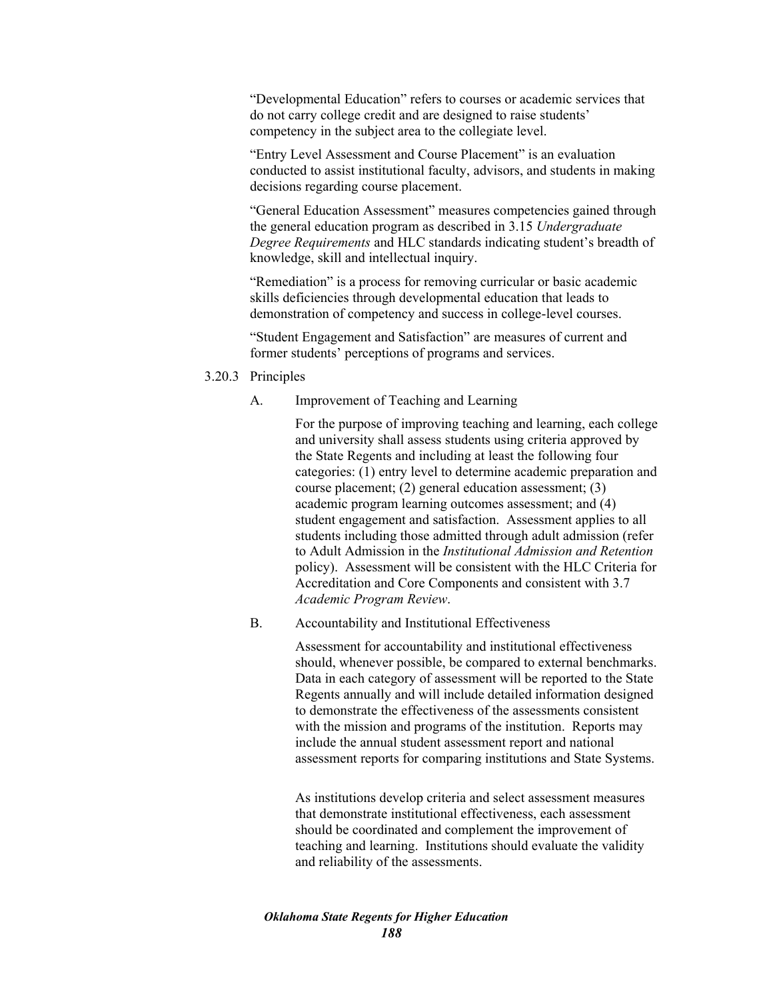"Developmental Education" refers to courses or academic services that do not carry college credit and are designed to raise students' competency in the subject area to the collegiate level.

"Entry Level Assessment and Course Placement" is an evaluation conducted to assist institutional faculty, advisors, and students in making decisions regarding course placement.

"General Education Assessment" measures competencies gained through the general education program as described in 3.15 *Undergraduate Degree Requirements* and HLC standards indicating student's breadth of knowledge, skill and intellectual inquiry.

"Remediation" is a process for removing curricular or basic academic skills deficiencies through developmental education that leads to demonstration of competency and success in college-level courses.

"Student Engagement and Satisfaction" are measures of current and former students' perceptions of programs and services.

- 3.20.3 Principles
	- A. Improvement of Teaching and Learning

For the purpose of improving teaching and learning, each college and university shall assess students using criteria approved by the State Regents and including at least the following four categories: (1) entry level to determine academic preparation and course placement; (2) general education assessment; (3) academic program learning outcomes assessment; and (4) student engagement and satisfaction. Assessment applies to all students including those admitted through adult admission (refer to Adult Admission in the *Institutional Admission and Retention* policy). Assessment will be consistent with the HLC Criteria for Accreditation and Core Components and consistent with 3.7 *Academic Program Review*.

B. Accountability and Institutional Effectiveness

Assessment for accountability and institutional effectiveness should, whenever possible, be compared to external benchmarks. Data in each category of assessment will be reported to the State Regents annually and will include detailed information designed to demonstrate the effectiveness of the assessments consistent with the mission and programs of the institution. Reports may include the annual student assessment report and national assessment reports for comparing institutions and State Systems.

As institutions develop criteria and select assessment measures that demonstrate institutional effectiveness, each assessment should be coordinated and complement the improvement of teaching and learning. Institutions should evaluate the validity and reliability of the assessments.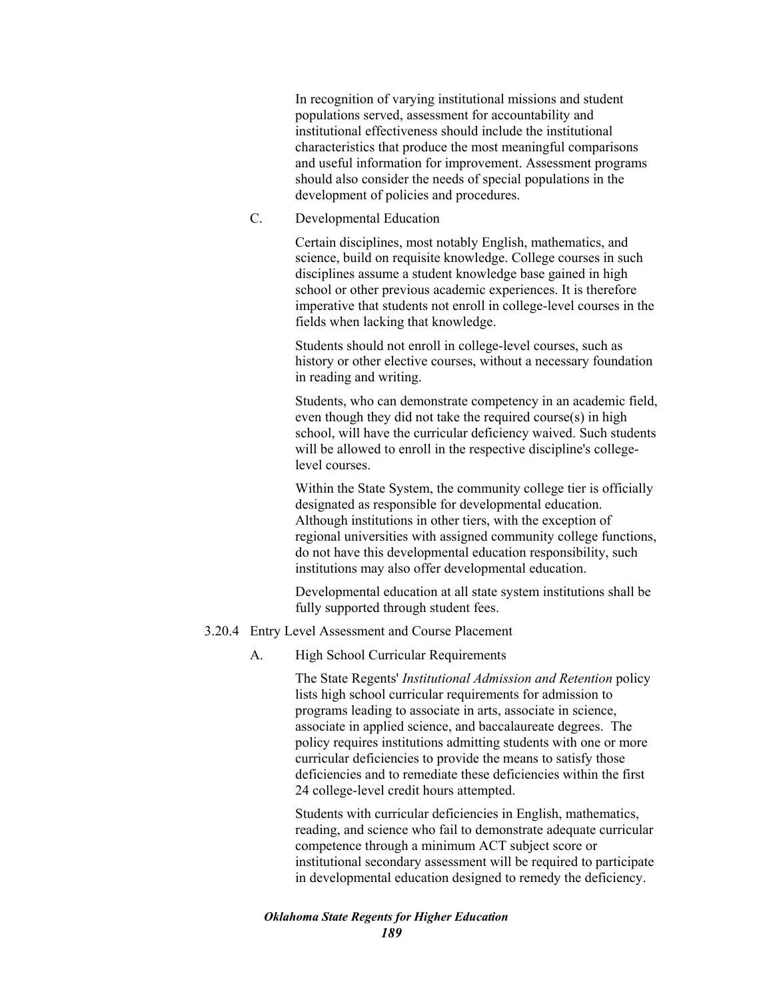In recognition of varying institutional missions and student populations served, assessment for accountability and institutional effectiveness should include the institutional characteristics that produce the most meaningful comparisons and useful information for improvement. Assessment programs should also consider the needs of special populations in the development of policies and procedures.

C. Developmental Education

Certain disciplines, most notably English, mathematics, and science, build on requisite knowledge. College courses in such disciplines assume a student knowledge base gained in high school or other previous academic experiences. It is therefore imperative that students not enroll in college-level courses in the fields when lacking that knowledge.

Students should not enroll in college-level courses, such as history or other elective courses, without a necessary foundation in reading and writing.

Students, who can demonstrate competency in an academic field, even though they did not take the required course(s) in high school, will have the curricular deficiency waived. Such students will be allowed to enroll in the respective discipline's collegelevel courses.

Within the State System, the community college tier is officially designated as responsible for developmental education. Although institutions in other tiers, with the exception of regional universities with assigned community college functions, do not have this developmental education responsibility, such institutions may also offer developmental education.

Developmental education at all state system institutions shall be fully supported through student fees.

## 3.20.4 Entry Level Assessment and Course Placement

A. High School Curricular Requirements

The State Regents' *Institutional Admission and Retention* policy lists high school curricular requirements for admission to programs leading to associate in arts, associate in science, associate in applied science, and baccalaureate degrees. The policy requires institutions admitting students with one or more curricular deficiencies to provide the means to satisfy those deficiencies and to remediate these deficiencies within the first 24 college-level credit hours attempted.

Students with curricular deficiencies in English, mathematics, reading, and science who fail to demonstrate adequate curricular competence through a minimum ACT subject score or institutional secondary assessment will be required to participate in developmental education designed to remedy the deficiency.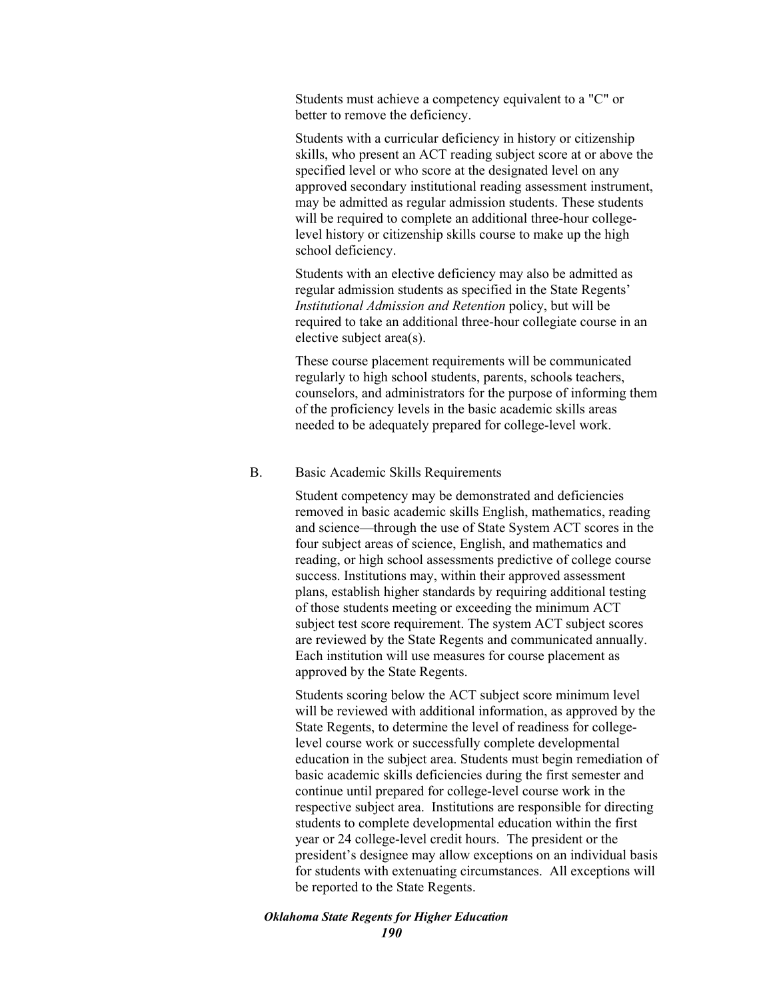Students must achieve a competency equivalent to a "C" or better to remove the deficiency.

Students with a curricular deficiency in history or citizenship skills, who present an ACT reading subject score at or above the specified level or who score at the designated level on any approved secondary institutional reading assessment instrument, may be admitted as regular admission students. These students will be required to complete an additional three-hour collegelevel history or citizenship skills course to make up the high school deficiency.

Students with an elective deficiency may also be admitted as regular admission students as specified in the State Regents' *Institutional Admission and Retention* policy, but will be required to take an additional three-hour collegiate course in an elective subject area(s).

These course placement requirements will be communicated regularly to high school students, parents, schools teachers, counselors, and administrators for the purpose of informing them of the proficiency levels in the basic academic skills areas needed to be adequately prepared for college-level work.

## B. Basic Academic Skills Requirements

Student competency may be demonstrated and deficiencies removed in basic academic skills English, mathematics, reading and science—through the use of State System ACT scores in the four subject areas of science, English, and mathematics and reading, or high school assessments predictive of college course success. Institutions may, within their approved assessment plans, establish higher standards by requiring additional testing of those students meeting or exceeding the minimum ACT subject test score requirement. The system ACT subject scores are reviewed by the State Regents and communicated annually. Each institution will use measures for course placement as approved by the State Regents.

Students scoring below the ACT subject score minimum level will be reviewed with additional information, as approved by the State Regents, to determine the level of readiness for collegelevel course work or successfully complete developmental education in the subject area. Students must begin remediation of basic academic skills deficiencies during the first semester and continue until prepared for college-level course work in the respective subject area. Institutions are responsible for directing students to complete developmental education within the first year or 24 college-level credit hours. The president or the president's designee may allow exceptions on an individual basis for students with extenuating circumstances. All exceptions will be reported to the State Regents.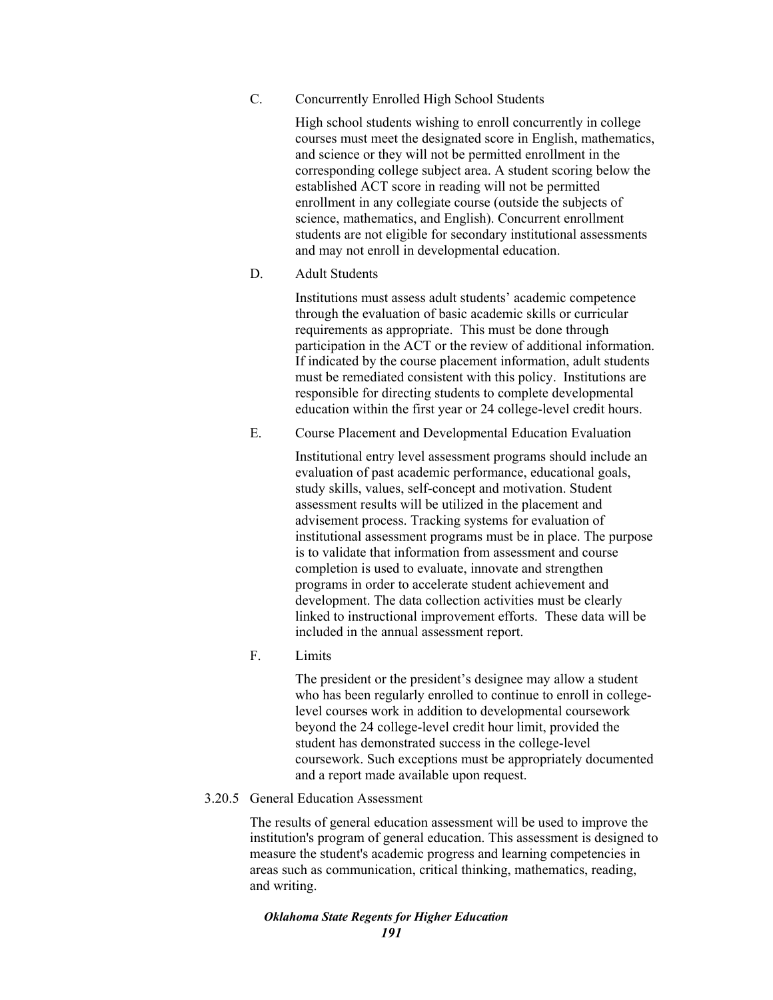C. Concurrently Enrolled High School Students

High school students wishing to enroll concurrently in college courses must meet the designated score in English, mathematics, and science or they will not be permitted enrollment in the corresponding college subject area. A student scoring below the established ACT score in reading will not be permitted enrollment in any collegiate course (outside the subjects of science, mathematics, and English). Concurrent enrollment students are not eligible for secondary institutional assessments and may not enroll in developmental education.

D. Adult Students

Institutions must assess adult students' academic competence through the evaluation of basic academic skills or curricular requirements as appropriate. This must be done through participation in the ACT or the review of additional information. If indicated by the course placement information, adult students must be remediated consistent with this policy. Institutions are responsible for directing students to complete developmental education within the first year or 24 college-level credit hours.

E. Course Placement and Developmental Education Evaluation

Institutional entry level assessment programs should include an evaluation of past academic performance, educational goals, study skills, values, self-concept and motivation. Student assessment results will be utilized in the placement and advisement process. Tracking systems for evaluation of institutional assessment programs must be in place. The purpose is to validate that information from assessment and course completion is used to evaluate, innovate and strengthen programs in order to accelerate student achievement and development. The data collection activities must be clearly linked to instructional improvement efforts. These data will be included in the annual assessment report.

F. Limits

The president or the president's designee may allow a student who has been regularly enrolled to continue to enroll in collegelevel courses work in addition to developmental coursework beyond the 24 college-level credit hour limit, provided the student has demonstrated success in the college-level coursework. Such exceptions must be appropriately documented and a report made available upon request.

# 3.20.5 General Education Assessment

The results of general education assessment will be used to improve the institution's program of general education. This assessment is designed to measure the student's academic progress and learning competencies in areas such as communication, critical thinking, mathematics, reading, and writing.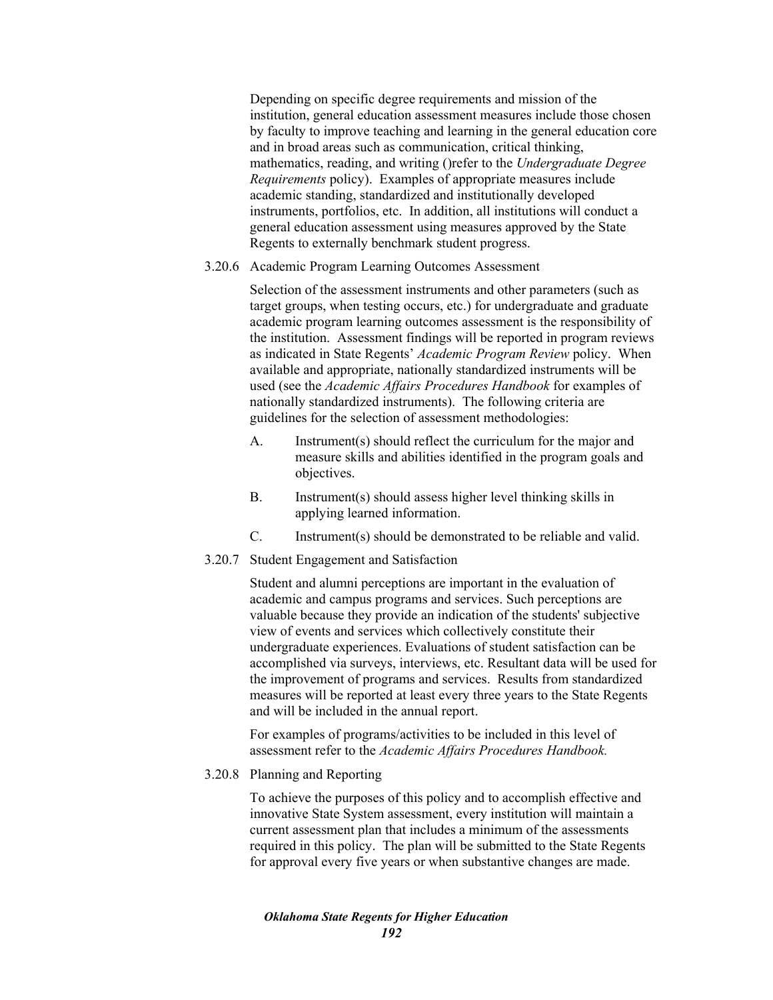Depending on specific degree requirements and mission of the institution, general education assessment measures include those chosen by faculty to improve teaching and learning in the general education core and in broad areas such as communication, critical thinking, mathematics, reading, and writing ()refer to the *Undergraduate Degree Requirements* policy). Examples of appropriate measures include academic standing, standardized and institutionally developed instruments, portfolios, etc. In addition, all institutions will conduct a general education assessment using measures approved by the State Regents to externally benchmark student progress.

## 3.20.6 Academic Program Learning Outcomes Assessment

Selection of the assessment instruments and other parameters (such as target groups, when testing occurs, etc.) for undergraduate and graduate academic program learning outcomes assessment is the responsibility of the institution. Assessment findings will be reported in program reviews as indicated in State Regents' *Academic Program Review* policy. When available and appropriate, nationally standardized instruments will be used (see the *Academic Affairs Procedures Handbook* for examples of nationally standardized instruments). The following criteria are guidelines for the selection of assessment methodologies:

- A. Instrument(s) should reflect the curriculum for the major and measure skills and abilities identified in the program goals and objectives.
- B. Instrument(s) should assess higher level thinking skills in applying learned information.
- C. Instrument(s) should be demonstrated to be reliable and valid.
- 3.20.7 Student Engagement and Satisfaction

Student and alumni perceptions are important in the evaluation of academic and campus programs and services. Such perceptions are valuable because they provide an indication of the students' subjective view of events and services which collectively constitute their undergraduate experiences. Evaluations of student satisfaction can be accomplished via surveys, interviews, etc. Resultant data will be used for the improvement of programs and services. Results from standardized measures will be reported at least every three years to the State Regents and will be included in the annual report.

For examples of programs/activities to be included in this level of assessment refer to the *Academic Affairs Procedures Handbook.* 

3.20.8 Planning and Reporting

To achieve the purposes of this policy and to accomplish effective and innovative State System assessment, every institution will maintain a current assessment plan that includes a minimum of the assessments required in this policy. The plan will be submitted to the State Regents for approval every five years or when substantive changes are made.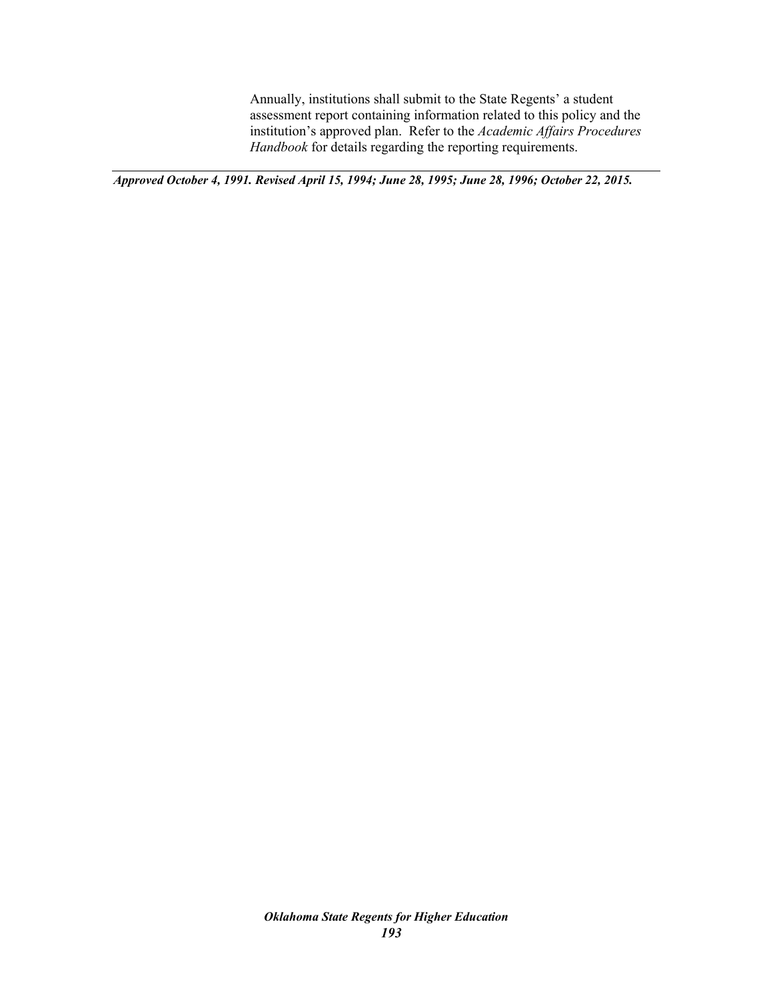Annually, institutions shall submit to the State Regents' a student assessment report containing information related to this policy and the institution's approved plan. Refer to the *Academic Affairs Procedures Handbook* for details regarding the reporting requirements.

*Approved October 4, 1991. Revised April 15, 1994; June 28, 1995; June 28, 1996; October 22, 2015.*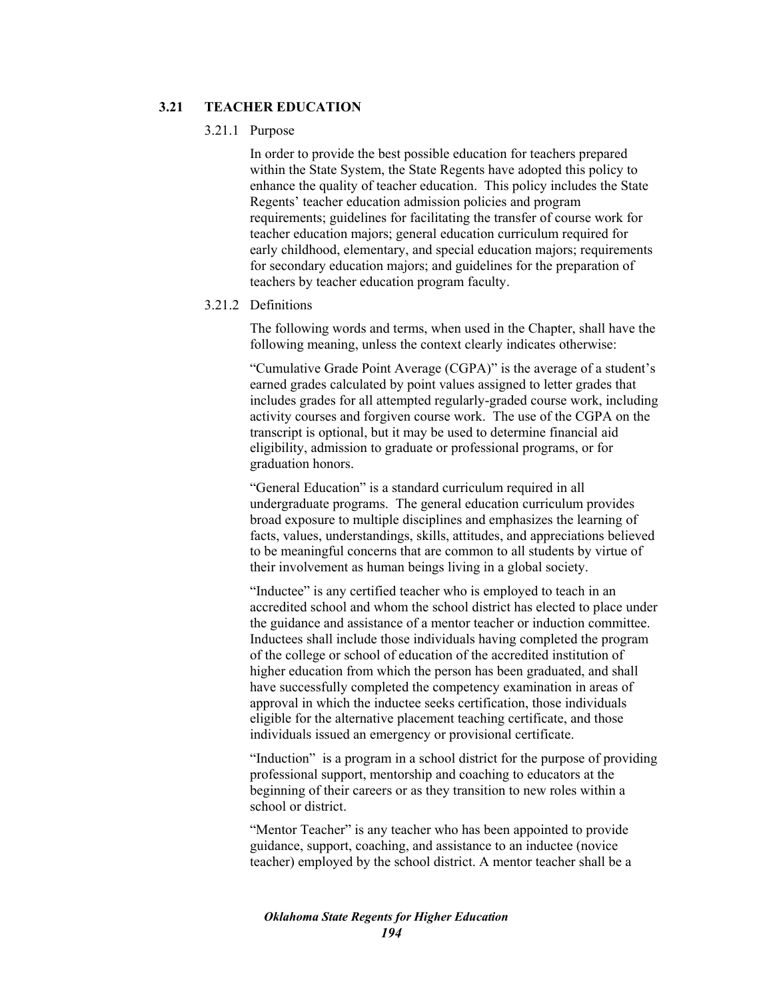# **3.21 TEACHER EDUCATION**

#### 3.21.1 Purpose

In order to provide the best possible education for teachers prepared within the State System, the State Regents have adopted this policy to enhance the quality of teacher education. This policy includes the State Regents' teacher education admission policies and program requirements; guidelines for facilitating the transfer of course work for teacher education majors; general education curriculum required for early childhood, elementary, and special education majors; requirements for secondary education majors; and guidelines for the preparation of teachers by teacher education program faculty.

# 3.21.2 Definitions

The following words and terms, when used in the Chapter, shall have the following meaning, unless the context clearly indicates otherwise:

"Cumulative Grade Point Average (CGPA)" is the average of a student's earned grades calculated by point values assigned to letter grades that includes grades for all attempted regularly-graded course work, including activity courses and forgiven course work. The use of the CGPA on the transcript is optional, but it may be used to determine financial aid eligibility, admission to graduate or professional programs, or for graduation honors.

"General Education" is a standard curriculum required in all undergraduate programs. The general education curriculum provides broad exposure to multiple disciplines and emphasizes the learning of facts, values, understandings, skills, attitudes, and appreciations believed to be meaningful concerns that are common to all students by virtue of their involvement as human beings living in a global society.

"Inductee" is any certified teacher who is employed to teach in an accredited school and whom the school district has elected to place under the guidance and assistance of a mentor teacher or induction committee. Inductees shall include those individuals having completed the program of the college or school of education of the accredited institution of higher education from which the person has been graduated, and shall have successfully completed the competency examination in areas of approval in which the inductee seeks certification, those individuals eligible for the alternative placement teaching certificate, and those individuals issued an emergency or provisional certificate.

"Induction" is a program in a school district for the purpose of providing professional support, mentorship and coaching to educators at the beginning of their careers or as they transition to new roles within a school or district.

"Mentor Teacher" is any teacher who has been appointed to provide guidance, support, coaching, and assistance to an inductee (novice teacher) employed by the school district. A mentor teacher shall be a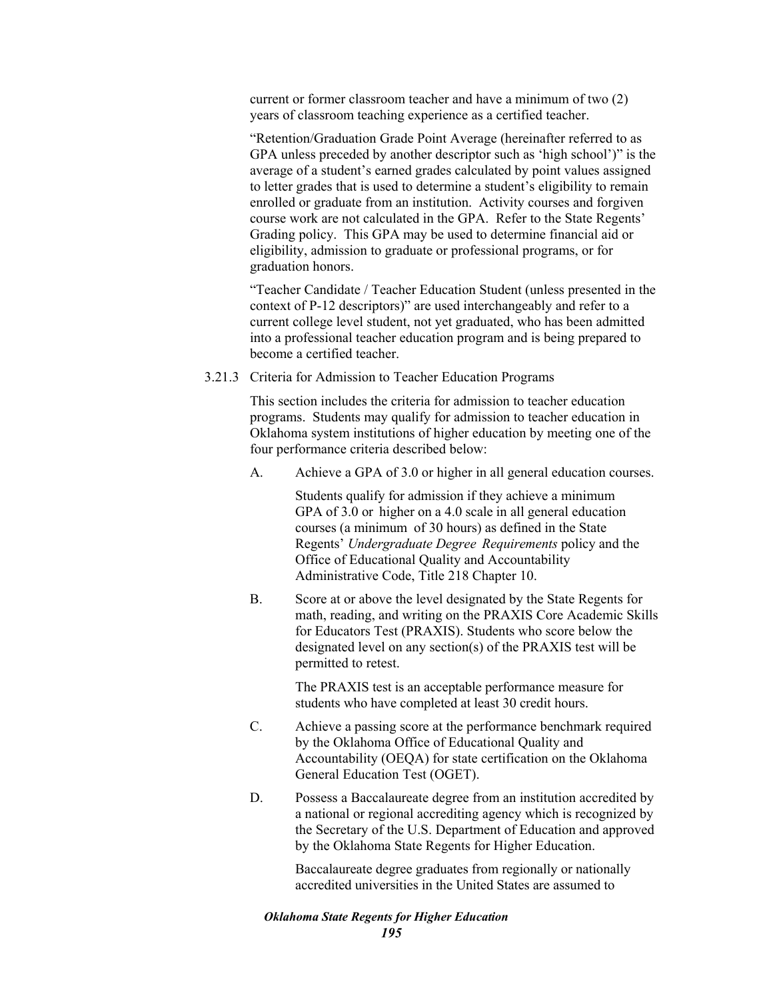current or former classroom teacher and have a minimum of two (2) years of classroom teaching experience as a certified teacher.

"Retention/Graduation Grade Point Average (hereinafter referred to as GPA unless preceded by another descriptor such as 'high school')" is the average of a student's earned grades calculated by point values assigned to letter grades that is used to determine a student's eligibility to remain enrolled or graduate from an institution. Activity courses and forgiven course work are not calculated in the GPA. Refer to the State Regents' Grading policy. This GPA may be used to determine financial aid or eligibility, admission to graduate or professional programs, or for graduation honors.

"Teacher Candidate / Teacher Education Student (unless presented in the context of P-12 descriptors)" are used interchangeably and refer to a current college level student, not yet graduated, who has been admitted into a professional teacher education program and is being prepared to become a certified teacher.

3.21.3 Criteria for Admission to Teacher Education Programs

This section includes the criteria for admission to teacher education programs. Students may qualify for admission to teacher education in Oklahoma system institutions of higher education by meeting one of the four performance criteria described below:

A. Achieve a GPA of 3.0 or higher in all general education courses.

Students qualify for admission if they achieve a minimum GPA of 3.0 or higher on a 4.0 scale in all general education courses (a minimum of 30 hours) as defined in the State Regents' *Undergraduate Degree Requirements* policy and the Office of Educational Quality and Accountability Administrative Code, Title 218 Chapter 10.

B. Score at or above the level designated by the State Regents for math, reading, and writing on the PRAXIS Core Academic Skills for Educators Test (PRAXIS). Students who score below the designated level on any section(s) of the PRAXIS test will be permitted to retest.

> The PRAXIS test is an acceptable performance measure for students who have completed at least 30 credit hours.

- C. Achieve a passing score at the performance benchmark required by the Oklahoma Office of Educational Quality and Accountability (OEQA) for state certification on the Oklahoma General Education Test (OGET).
- D. Possess a Baccalaureate degree from an institution accredited by a national or regional accrediting agency which is recognized by the Secretary of the U.S. Department of Education and approved by the Oklahoma State Regents for Higher Education.

Baccalaureate degree graduates from regionally or nationally accredited universities in the United States are assumed to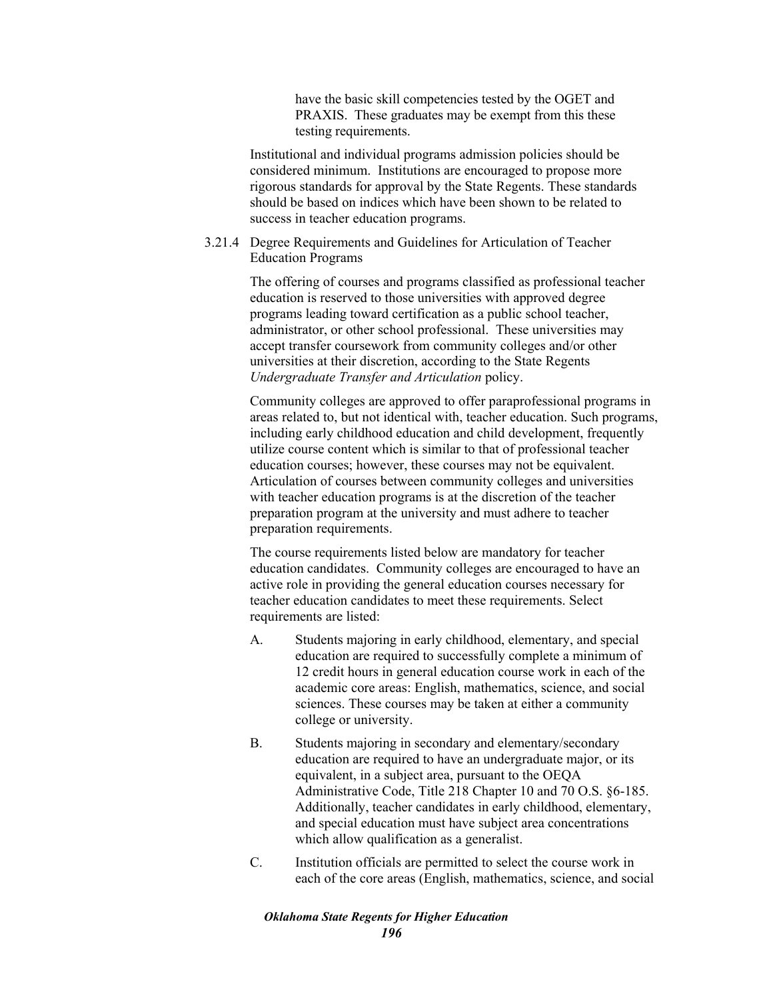have the basic skill competencies tested by the OGET and PRAXIS. These graduates may be exempt from this these testing requirements.

Institutional and individual programs admission policies should be considered minimum. Institutions are encouraged to propose more rigorous standards for approval by the State Regents. These standards should be based on indices which have been shown to be related to success in teacher education programs.

## 3.21.4 Degree Requirements and Guidelines for Articulation of Teacher Education Programs

The offering of courses and programs classified as professional teacher education is reserved to those universities with approved degree programs leading toward certification as a public school teacher, administrator, or other school professional. These universities may accept transfer coursework from community colleges and/or other universities at their discretion, according to the State Regents *Undergraduate Transfer and Articulation* policy.

Community colleges are approved to offer paraprofessional programs in areas related to, but not identical with, teacher education. Such programs, including early childhood education and child development, frequently utilize course content which is similar to that of professional teacher education courses; however, these courses may not be equivalent. Articulation of courses between community colleges and universities with teacher education programs is at the discretion of the teacher preparation program at the university and must adhere to teacher preparation requirements.

The course requirements listed below are mandatory for teacher education candidates. Community colleges are encouraged to have an active role in providing the general education courses necessary for teacher education candidates to meet these requirements. Select requirements are listed:

- A. Students majoring in early childhood, elementary, and special education are required to successfully complete a minimum of 12 credit hours in general education course work in each of the academic core areas: English, mathematics, science, and social sciences. These courses may be taken at either a community college or university.
- B. Students majoring in secondary and elementary/secondary education are required to have an undergraduate major, or its equivalent, in a subject area, pursuant to the OEQA Administrative Code, Title 218 Chapter 10 and 70 O.S. §6-185. Additionally, teacher candidates in early childhood, elementary, and special education must have subject area concentrations which allow qualification as a generalist.
- C. Institution officials are permitted to select the course work in each of the core areas (English, mathematics, science, and social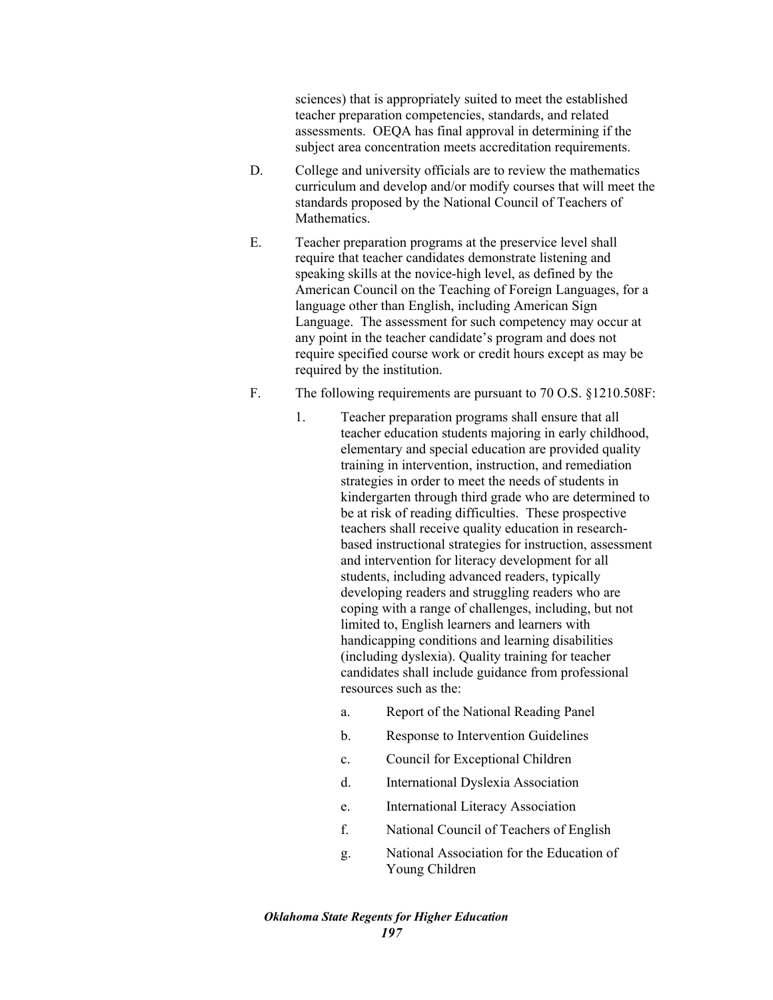sciences) that is appropriately suited to meet the established teacher preparation competencies, standards, and related assessments. OEQA has final approval in determining if the subject area concentration meets accreditation requirements.

- D. College and university officials are to review the mathematics curriculum and develop and/or modify courses that will meet the standards proposed by the National Council of Teachers of Mathematics.
- E. Teacher preparation programs at the preservice level shall require that teacher candidates demonstrate listening and speaking skills at the novice-high level, as defined by the American Council on the Teaching of Foreign Languages, for a language other than English, including American Sign Language. The assessment for such competency may occur at any point in the teacher candidate's program and does not require specified course work or credit hours except as may be required by the institution.
- F. The following requirements are pursuant to 70 O.S. §1210.508F:
	- 1. Teacher preparation programs shall ensure that all teacher education students majoring in early childhood, elementary and special education are provided quality training in intervention, instruction, and remediation strategies in order to meet the needs of students in kindergarten through third grade who are determined to be at risk of reading difficulties. These prospective teachers shall receive quality education in researchbased instructional strategies for instruction, assessment and intervention for literacy development for all students, including advanced readers, typically developing readers and struggling readers who are coping with a range of challenges, including, but not limited to, English learners and learners with handicapping conditions and learning disabilities (including dyslexia). Quality training for teacher candidates shall include guidance from professional resources such as the:
		- a. Report of the National Reading Panel
		- b. Response to Intervention Guidelines
		- c. Council for Exceptional Children
		- d. International Dyslexia Association
		- e. International Literacy Association
		- f. National Council of Teachers of English
		- g. National Association for the Education of Young Children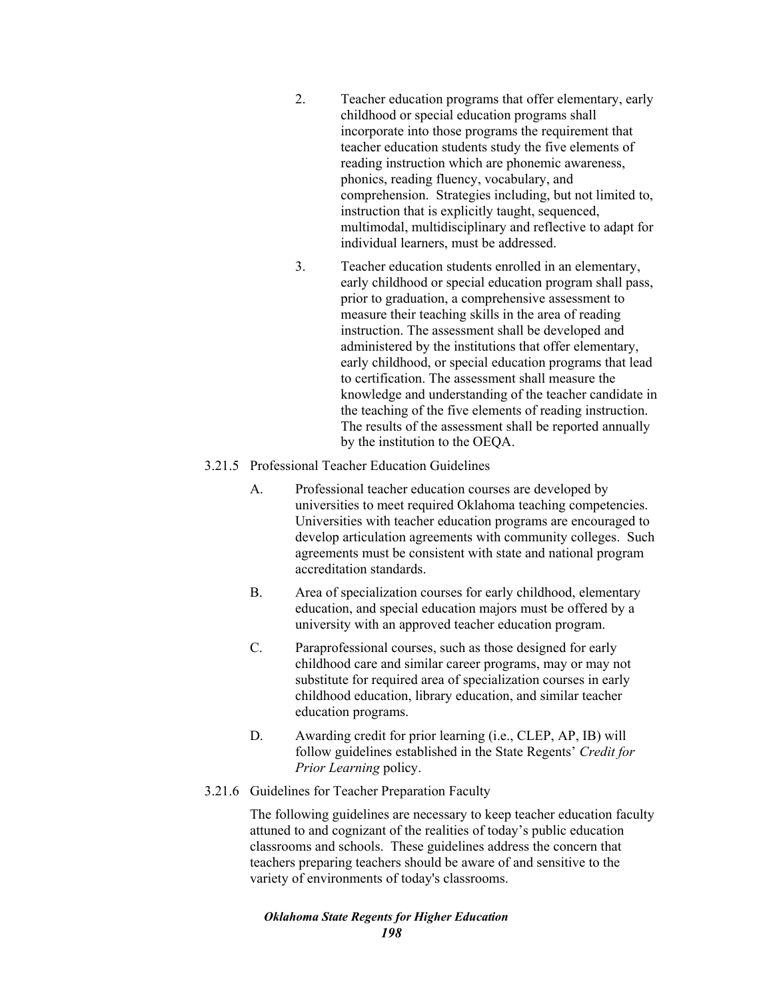- 2. Teacher education programs that offer elementary, early childhood or special education programs shall incorporate into those programs the requirement that teacher education students study the five elements of reading instruction which are phonemic awareness, phonics, reading fluency, vocabulary, and comprehension. Strategies including, but not limited to, instruction that is explicitly taught, sequenced, multimodal, multidisciplinary and reflective to adapt for individual learners, must be addressed.
- 3. Teacher education students enrolled in an elementary, early childhood or special education program shall pass, prior to graduation, a comprehensive assessment to measure their teaching skills in the area of reading instruction. The assessment shall be developed and administered by the institutions that offer elementary, early childhood, or special education programs that lead to certification. The assessment shall measure the knowledge and understanding of the teacher candidate in the teaching of the five elements of reading instruction. The results of the assessment shall be reported annually by the institution to the OEQA.

# 3.21.5 Professional Teacher Education Guidelines

- A. Professional teacher education courses are developed by universities to meet required Oklahoma teaching competencies. Universities with teacher education programs are encouraged to develop articulation agreements with community colleges. Such agreements must be consistent with state and national program accreditation standards.
- B. Area of specialization courses for early childhood, elementary education, and special education majors must be offered by a university with an approved teacher education program.
- C. Paraprofessional courses, such as those designed for early childhood care and similar career programs, may or may not substitute for required area of specialization courses in early childhood education, library education, and similar teacher education programs.
- D. Awarding credit for prior learning (i.e., CLEP, AP, IB) will follow guidelines established in the State Regents' *Credit for Prior Learning* policy.
- 3.21.6 Guidelines for Teacher Preparation Faculty

The following guidelines are necessary to keep teacher education faculty attuned to and cognizant of the realities of today's public education classrooms and schools. These guidelines address the concern that teachers preparing teachers should be aware of and sensitive to the variety of environments of today's classrooms.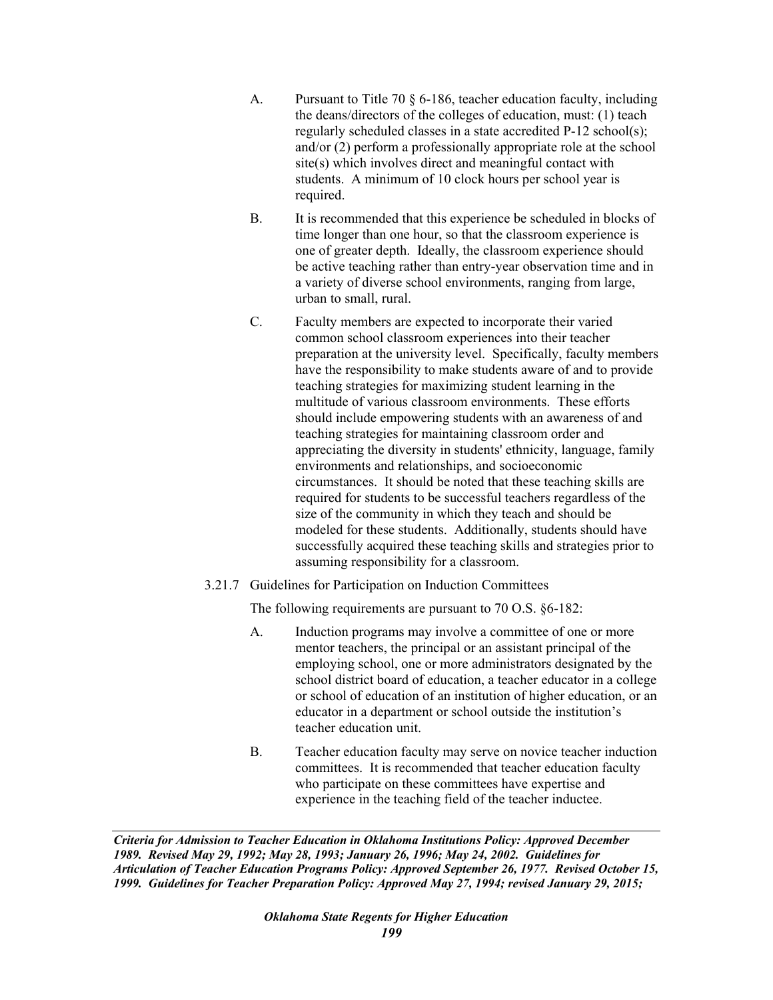- A. Pursuant to Title 70 § 6-186, teacher education faculty, including the deans/directors of the colleges of education, must: (1) teach regularly scheduled classes in a state accredited P-12 school(s); and/or (2) perform a professionally appropriate role at the school site(s) which involves direct and meaningful contact with students. A minimum of 10 clock hours per school year is required.
- B. It is recommended that this experience be scheduled in blocks of time longer than one hour, so that the classroom experience is one of greater depth. Ideally, the classroom experience should be active teaching rather than entry-year observation time and in a variety of diverse school environments, ranging from large, urban to small, rural.
- C. Faculty members are expected to incorporate their varied common school classroom experiences into their teacher preparation at the university level. Specifically, faculty members have the responsibility to make students aware of and to provide teaching strategies for maximizing student learning in the multitude of various classroom environments. These efforts should include empowering students with an awareness of and teaching strategies for maintaining classroom order and appreciating the diversity in students' ethnicity, language, family environments and relationships, and socioeconomic circumstances. It should be noted that these teaching skills are required for students to be successful teachers regardless of the size of the community in which they teach and should be modeled for these students. Additionally, students should have successfully acquired these teaching skills and strategies prior to assuming responsibility for a classroom.
- 3.21.7 Guidelines for Participation on Induction Committees

The following requirements are pursuant to 70 O.S. §6-182:

- A. Induction programs may involve a committee of one or more mentor teachers, the principal or an assistant principal of the employing school, one or more administrators designated by the school district board of education, a teacher educator in a college or school of education of an institution of higher education, or an educator in a department or school outside the institution's teacher education unit.
- B. Teacher education faculty may serve on novice teacher induction committees. It is recommended that teacher education faculty who participate on these committees have expertise and experience in the teaching field of the teacher inductee.

*Criteria for Admission to Teacher Education in Oklahoma Institutions Policy: Approved December 1989. Revised May 29, 1992; May 28, 1993; January 26, 1996; May 24, 2002. Guidelines for Articulation of Teacher Education Programs Policy: Approved September 26, 1977. Revised October 15, 1999. Guidelines for Teacher Preparation Policy: Approved May 27, 1994; revised January 29, 2015;*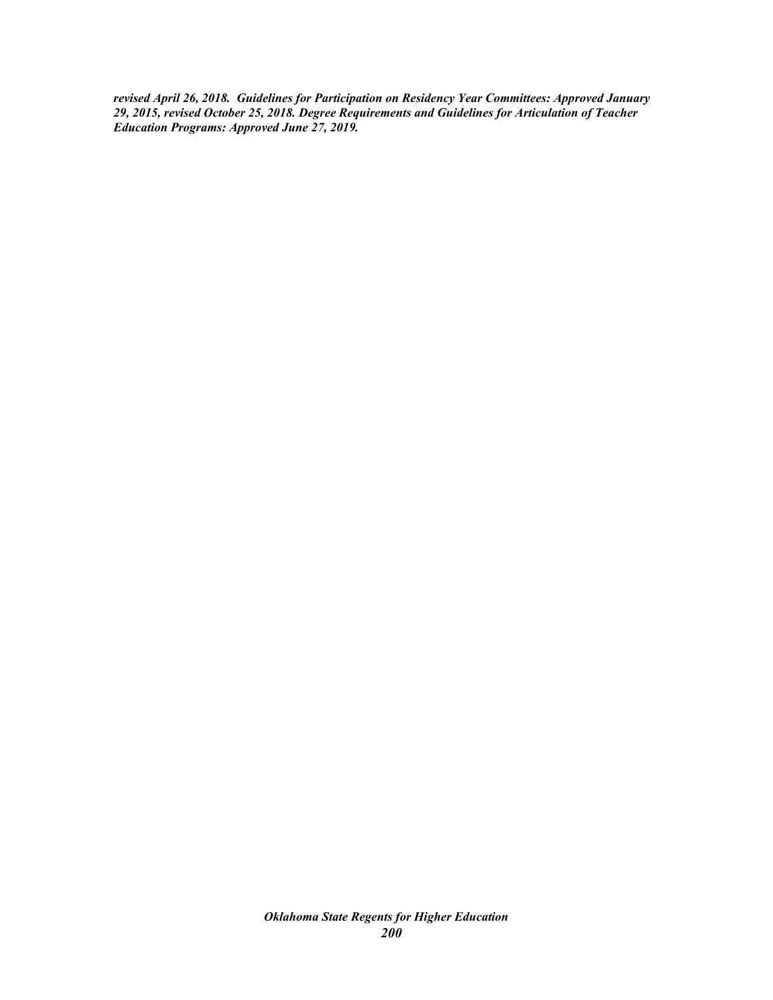*revised April 26, 2018. Guidelines for Participation on Residency Year Committees: Approved January 29, 2015, revised October 25, 2018. Degree Requirements and Guidelines for Articulation of Teacher Education Programs: Approved June 27, 2019.*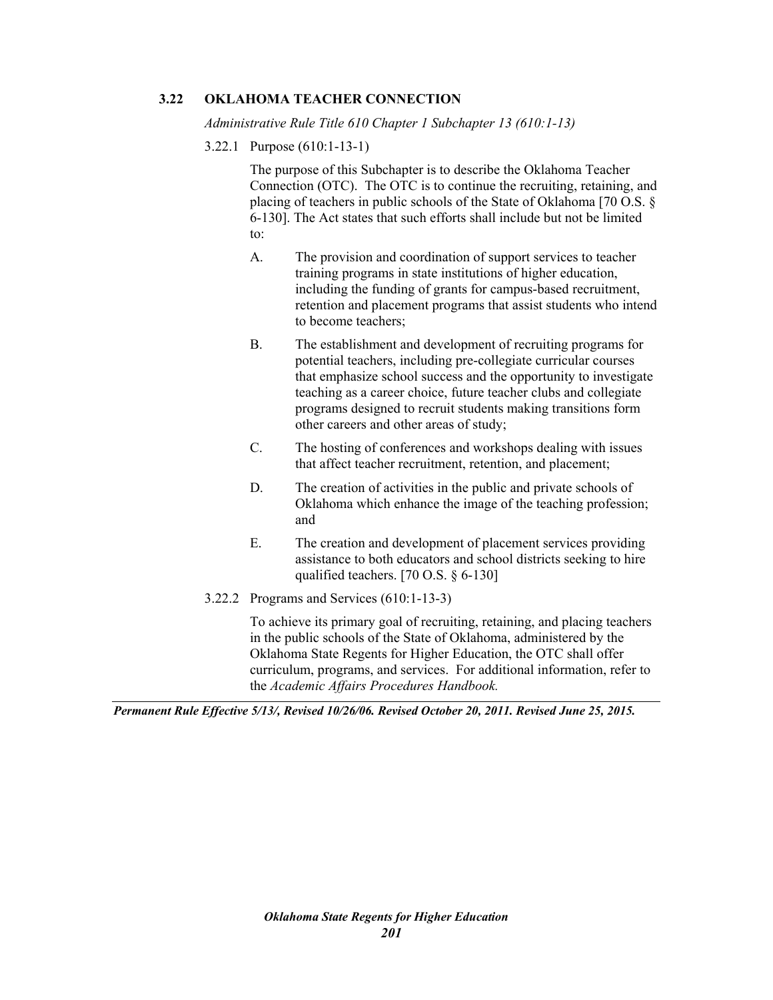# **3.22 OKLAHOMA TEACHER CONNECTION**

*Administrative Rule Title 610 Chapter 1 Subchapter 13 (610:1-13)* 

3.22.1 Purpose (610:1-13-1)

The purpose of this Subchapter is to describe the Oklahoma Teacher Connection (OTC). The OTC is to continue the recruiting, retaining, and placing of teachers in public schools of the State of Oklahoma [70 O.S. § 6-130]. The Act states that such efforts shall include but not be limited to:

- A. The provision and coordination of support services to teacher training programs in state institutions of higher education, including the funding of grants for campus-based recruitment, retention and placement programs that assist students who intend to become teachers;
- B. The establishment and development of recruiting programs for potential teachers, including pre-collegiate curricular courses that emphasize school success and the opportunity to investigate teaching as a career choice, future teacher clubs and collegiate programs designed to recruit students making transitions form other careers and other areas of study;
- C. The hosting of conferences and workshops dealing with issues that affect teacher recruitment, retention, and placement;
- D. The creation of activities in the public and private schools of Oklahoma which enhance the image of the teaching profession; and
- E. The creation and development of placement services providing assistance to both educators and school districts seeking to hire qualified teachers. [70 O.S. § 6-130]
- 3.22.2 Programs and Services (610:1-13-3)

To achieve its primary goal of recruiting, retaining, and placing teachers in the public schools of the State of Oklahoma, administered by the Oklahoma State Regents for Higher Education, the OTC shall offer curriculum, programs, and services. For additional information, refer to the *Academic Affairs Procedures Handbook.*

*Permanent Rule Effective 5/13/, Revised 10/26/06. Revised October 20, 2011. Revised June 25, 2015.*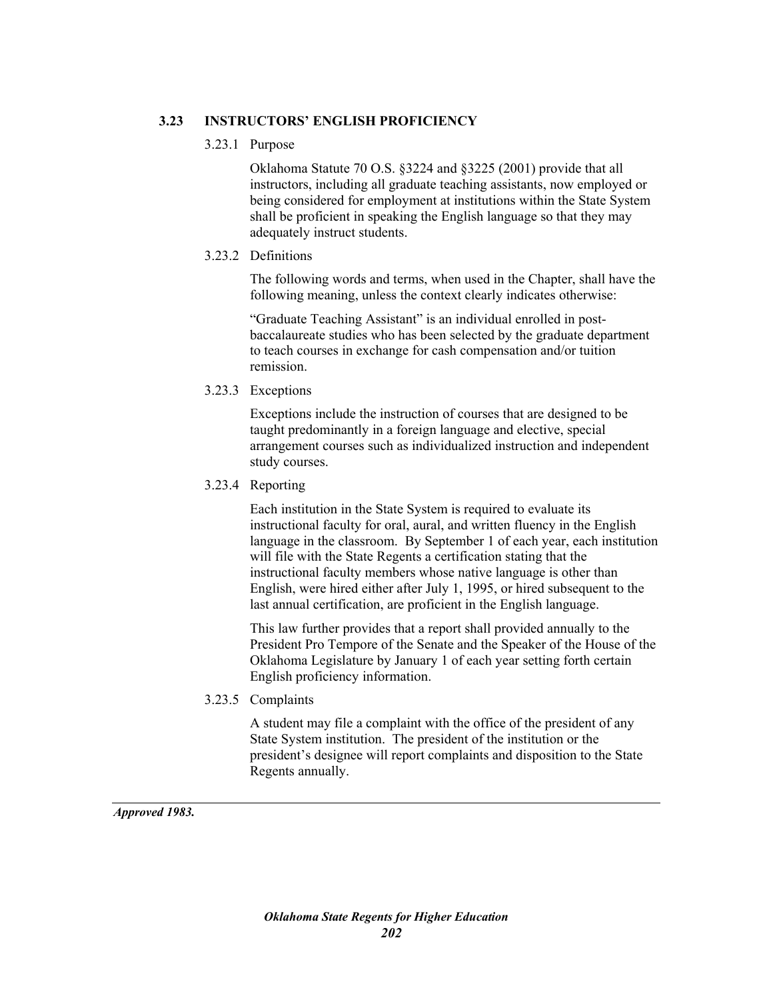# **3.23 INSTRUCTORS' ENGLISH PROFICIENCY**

# 3.23.1 Purpose

Oklahoma Statute 70 O.S. §3224 and §3225 (2001) provide that all instructors, including all graduate teaching assistants, now employed or being considered for employment at institutions within the State System shall be proficient in speaking the English language so that they may adequately instruct students.

# 3.23.2 Definitions

The following words and terms, when used in the Chapter, shall have the following meaning, unless the context clearly indicates otherwise:

"Graduate Teaching Assistant" is an individual enrolled in postbaccalaureate studies who has been selected by the graduate department to teach courses in exchange for cash compensation and/or tuition remission.

# 3.23.3 Exceptions

Exceptions include the instruction of courses that are designed to be taught predominantly in a foreign language and elective, special arrangement courses such as individualized instruction and independent study courses.

# 3.23.4 Reporting

Each institution in the State System is required to evaluate its instructional faculty for oral, aural, and written fluency in the English language in the classroom. By September 1 of each year, each institution will file with the State Regents a certification stating that the instructional faculty members whose native language is other than English, were hired either after July 1, 1995, or hired subsequent to the last annual certification, are proficient in the English language.

This law further provides that a report shall provided annually to the President Pro Tempore of the Senate and the Speaker of the House of the Oklahoma Legislature by January 1 of each year setting forth certain English proficiency information.

3.23.5 Complaints

A student may file a complaint with the office of the president of any State System institution. The president of the institution or the president's designee will report complaints and disposition to the State Regents annually.

*Approved 1983.*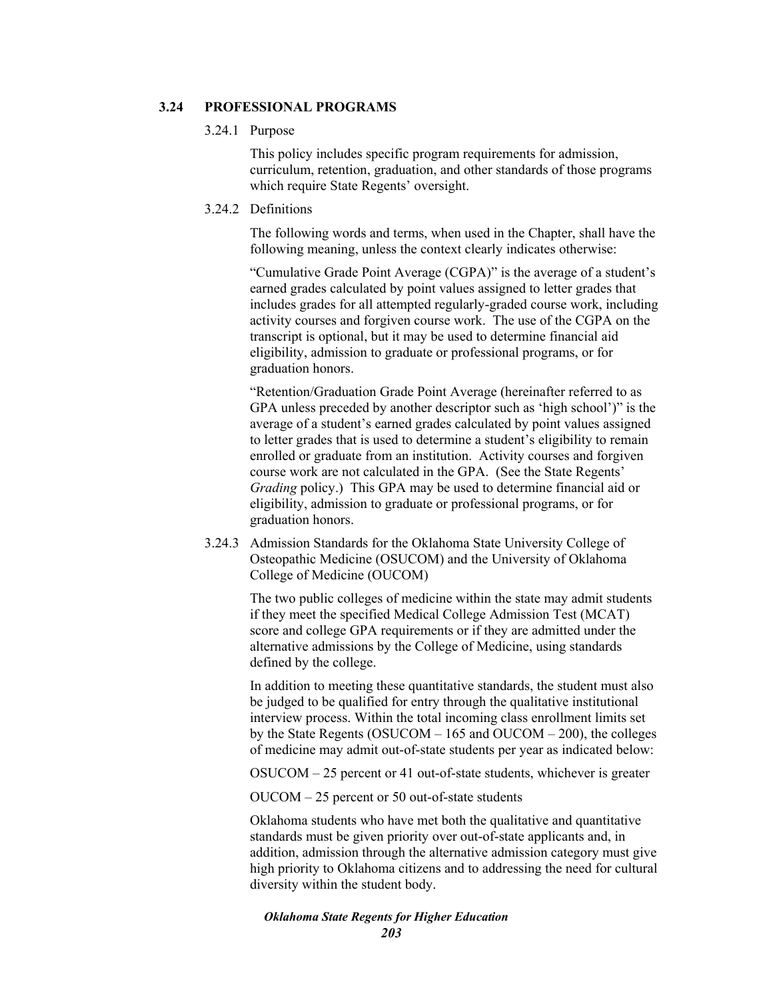## **3.24 PROFESSIONAL PROGRAMS**

## 3.24.1 Purpose

This policy includes specific program requirements for admission, curriculum, retention, graduation, and other standards of those programs which require State Regents' oversight.

# 3.24.2 Definitions

The following words and terms, when used in the Chapter, shall have the following meaning, unless the context clearly indicates otherwise:

"Cumulative Grade Point Average (CGPA)" is the average of a student's earned grades calculated by point values assigned to letter grades that includes grades for all attempted regularly-graded course work, including activity courses and forgiven course work. The use of the CGPA on the transcript is optional, but it may be used to determine financial aid eligibility, admission to graduate or professional programs, or for graduation honors.

"Retention/Graduation Grade Point Average (hereinafter referred to as GPA unless preceded by another descriptor such as 'high school')" is the average of a student's earned grades calculated by point values assigned to letter grades that is used to determine a student's eligibility to remain enrolled or graduate from an institution. Activity courses and forgiven course work are not calculated in the GPA. (See the State Regents' *Grading* policy.) This GPA may be used to determine financial aid or eligibility, admission to graduate or professional programs, or for graduation honors.

3.24.3 Admission Standards for the Oklahoma State University College of Osteopathic Medicine (OSUCOM) and the University of Oklahoma College of Medicine (OUCOM)

> The two public colleges of medicine within the state may admit students if they meet the specified Medical College Admission Test (MCAT) score and college GPA requirements or if they are admitted under the alternative admissions by the College of Medicine, using standards defined by the college.

In addition to meeting these quantitative standards, the student must also be judged to be qualified for entry through the qualitative institutional interview process. Within the total incoming class enrollment limits set by the State Regents (OSUCOM – 165 and OUCOM – 200), the colleges of medicine may admit out-of-state students per year as indicated below:

OSUCOM – 25 percent or 41 out-of-state students, whichever is greater

OUCOM – 25 percent or 50 out-of-state students

Oklahoma students who have met both the qualitative and quantitative standards must be given priority over out-of-state applicants and, in addition, admission through the alternative admission category must give high priority to Oklahoma citizens and to addressing the need for cultural diversity within the student body.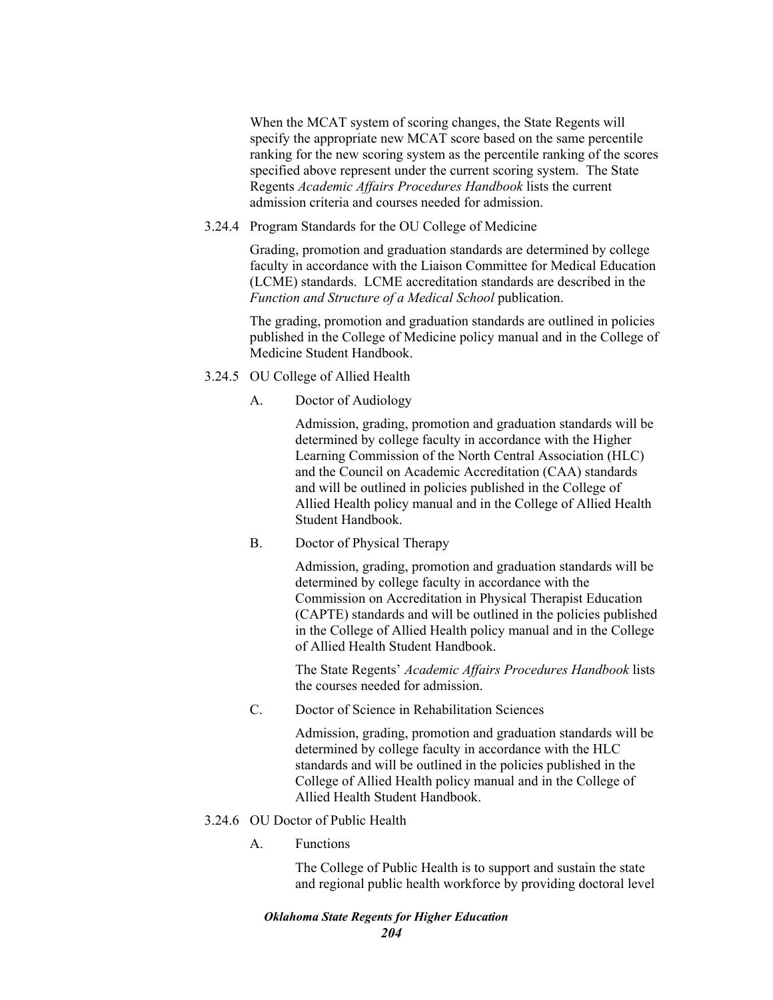When the MCAT system of scoring changes, the State Regents will specify the appropriate new MCAT score based on the same percentile ranking for the new scoring system as the percentile ranking of the scores specified above represent under the current scoring system. The State Regents *Academic Affairs Procedures Handbook* lists the current admission criteria and courses needed for admission.

3.24.4 Program Standards for the OU College of Medicine

Grading, promotion and graduation standards are determined by college faculty in accordance with the Liaison Committee for Medical Education (LCME) standards. LCME accreditation standards are described in the *Function and Structure of a Medical School* publication.

The grading, promotion and graduation standards are outlined in policies published in the College of Medicine policy manual and in the College of Medicine Student Handbook.

# 3.24.5 OU College of Allied Health

A. Doctor of Audiology

Admission, grading, promotion and graduation standards will be determined by college faculty in accordance with the Higher Learning Commission of the North Central Association (HLC) and the Council on Academic Accreditation (CAA) standards and will be outlined in policies published in the College of Allied Health policy manual and in the College of Allied Health Student Handbook.

B. Doctor of Physical Therapy

Admission, grading, promotion and graduation standards will be determined by college faculty in accordance with the Commission on Accreditation in Physical Therapist Education (CAPTE) standards and will be outlined in the policies published in the College of Allied Health policy manual and in the College of Allied Health Student Handbook.

The State Regents' *Academic Affairs Procedures Handbook* lists the courses needed for admission.

C. Doctor of Science in Rehabilitation Sciences

Admission, grading, promotion and graduation standards will be determined by college faculty in accordance with the HLC standards and will be outlined in the policies published in the College of Allied Health policy manual and in the College of Allied Health Student Handbook.

- 3.24.6 OU Doctor of Public Health
	- A. Functions

The College of Public Health is to support and sustain the state and regional public health workforce by providing doctoral level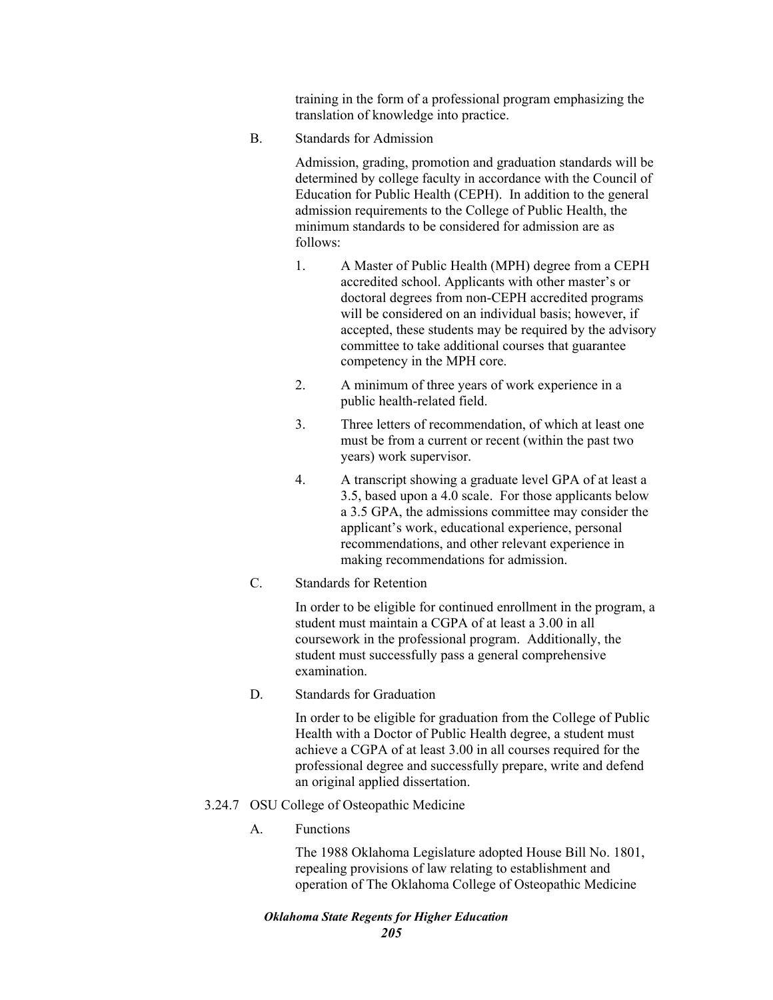training in the form of a professional program emphasizing the translation of knowledge into practice.

B. Standards for Admission

Admission, grading, promotion and graduation standards will be determined by college faculty in accordance with the Council of Education for Public Health (CEPH). In addition to the general admission requirements to the College of Public Health, the minimum standards to be considered for admission are as follows:

- 1. A Master of Public Health (MPH) degree from a CEPH accredited school. Applicants with other master's or doctoral degrees from non-CEPH accredited programs will be considered on an individual basis; however, if accepted, these students may be required by the advisory committee to take additional courses that guarantee competency in the MPH core.
- 2. A minimum of three years of work experience in a public health-related field.
- 3. Three letters of recommendation, of which at least one must be from a current or recent (within the past two years) work supervisor.
- 4. A transcript showing a graduate level GPA of at least a 3.5, based upon a 4.0 scale. For those applicants below a 3.5 GPA, the admissions committee may consider the applicant's work, educational experience, personal recommendations, and other relevant experience in making recommendations for admission.
- C. Standards for Retention

In order to be eligible for continued enrollment in the program, a student must maintain a CGPA of at least a 3.00 in all coursework in the professional program. Additionally, the student must successfully pass a general comprehensive examination.

D. Standards for Graduation

In order to be eligible for graduation from the College of Public Health with a Doctor of Public Health degree, a student must achieve a CGPA of at least 3.00 in all courses required for the professional degree and successfully prepare, write and defend an original applied dissertation.

- 3.24.7 OSU College of Osteopathic Medicine
	- A. Functions

The 1988 Oklahoma Legislature adopted House Bill No. 1801, repealing provisions of law relating to establishment and operation of The Oklahoma College of Osteopathic Medicine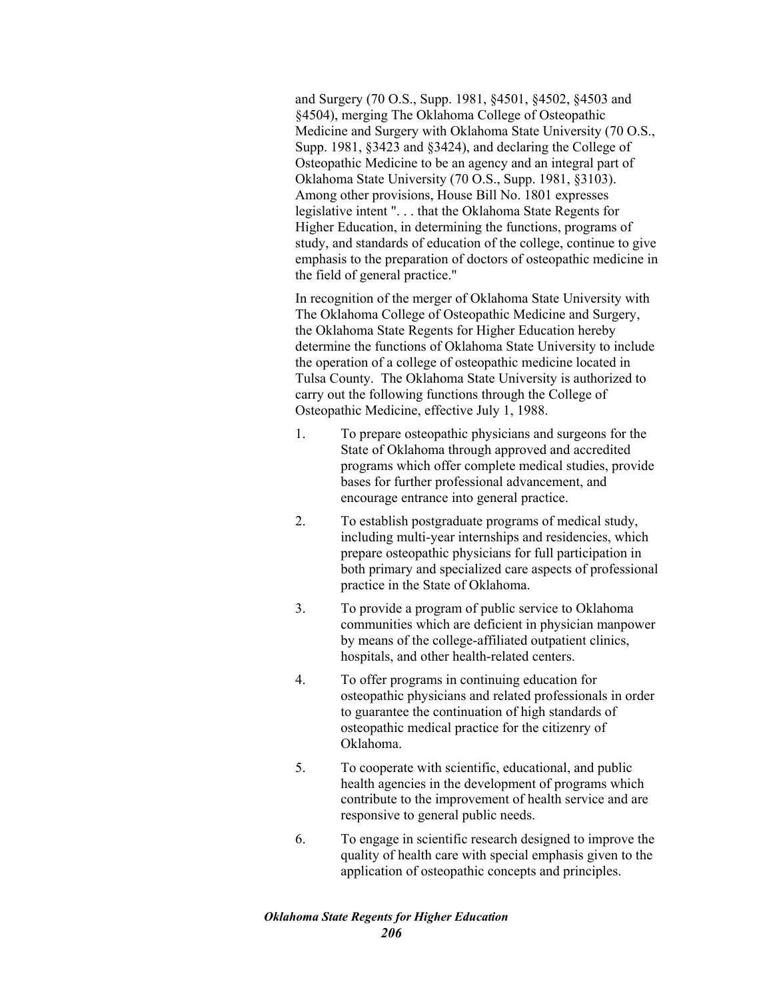and Surgery (70 O.S., Supp. 1981, §4501, §4502, §4503 and §4504), merging The Oklahoma College of Osteopathic Medicine and Surgery with Oklahoma State University (70 O.S., Supp. 1981, §3423 and §3424), and declaring the College of Osteopathic Medicine to be an agency and an integral part of Oklahoma State University (70 O.S., Supp. 1981, §3103). Among other provisions, House Bill No. 1801 expresses legislative intent ". . . that the Oklahoma State Regents for Higher Education, in determining the functions, programs of study, and standards of education of the college, continue to give emphasis to the preparation of doctors of osteopathic medicine in the field of general practice."

In recognition of the merger of Oklahoma State University with The Oklahoma College of Osteopathic Medicine and Surgery, the Oklahoma State Regents for Higher Education hereby determine the functions of Oklahoma State University to include the operation of a college of osteopathic medicine located in Tulsa County. The Oklahoma State University is authorized to carry out the following functions through the College of Osteopathic Medicine, effective July 1, 1988.

- 1. To prepare osteopathic physicians and surgeons for the State of Oklahoma through approved and accredited programs which offer complete medical studies, provide bases for further professional advancement, and encourage entrance into general practice.
- 2. To establish postgraduate programs of medical study, including multi-year internships and residencies, which prepare osteopathic physicians for full participation in both primary and specialized care aspects of professional practice in the State of Oklahoma.
- 3. To provide a program of public service to Oklahoma communities which are deficient in physician manpower by means of the college-affiliated outpatient clinics, hospitals, and other health-related centers.
- 4. To offer programs in continuing education for osteopathic physicians and related professionals in order to guarantee the continuation of high standards of osteopathic medical practice for the citizenry of Oklahoma.
- 5. To cooperate with scientific, educational, and public health agencies in the development of programs which contribute to the improvement of health service and are responsive to general public needs.
- 6. To engage in scientific research designed to improve the quality of health care with special emphasis given to the application of osteopathic concepts and principles.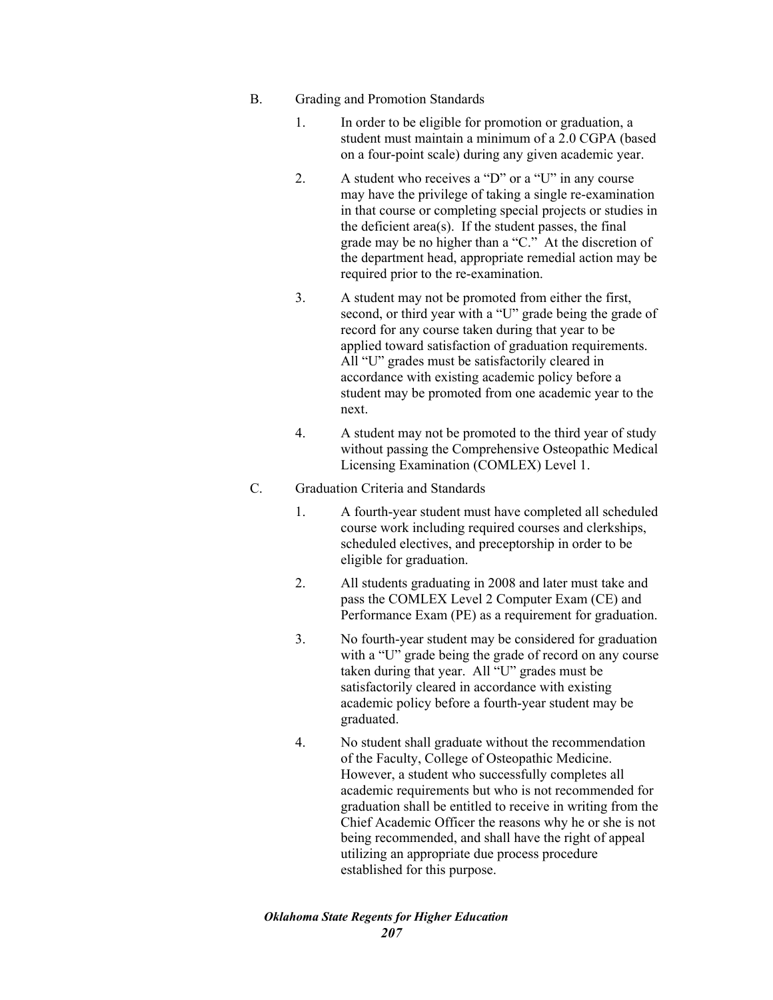- B. Grading and Promotion Standards
	- 1. In order to be eligible for promotion or graduation, a student must maintain a minimum of a 2.0 CGPA (based on a four-point scale) during any given academic year.
	- 2. A student who receives a "D" or a "U" in any course may have the privilege of taking a single re-examination in that course or completing special projects or studies in the deficient area(s). If the student passes, the final grade may be no higher than a "C." At the discretion of the department head, appropriate remedial action may be required prior to the re-examination.
	- 3. A student may not be promoted from either the first, second, or third year with a "U" grade being the grade of record for any course taken during that year to be applied toward satisfaction of graduation requirements. All "U" grades must be satisfactorily cleared in accordance with existing academic policy before a student may be promoted from one academic year to the next.
	- 4. A student may not be promoted to the third year of study without passing the Comprehensive Osteopathic Medical Licensing Examination (COMLEX) Level 1.
- C. Graduation Criteria and Standards
	- 1. A fourth-year student must have completed all scheduled course work including required courses and clerkships, scheduled electives, and preceptorship in order to be eligible for graduation.
	- 2. All students graduating in 2008 and later must take and pass the COMLEX Level 2 Computer Exam (CE) and Performance Exam (PE) as a requirement for graduation.
	- 3. No fourth-year student may be considered for graduation with a "U" grade being the grade of record on any course taken during that year. All "U" grades must be satisfactorily cleared in accordance with existing academic policy before a fourth-year student may be graduated.
	- 4. No student shall graduate without the recommendation of the Faculty, College of Osteopathic Medicine. However, a student who successfully completes all academic requirements but who is not recommended for graduation shall be entitled to receive in writing from the Chief Academic Officer the reasons why he or she is not being recommended, and shall have the right of appeal utilizing an appropriate due process procedure established for this purpose.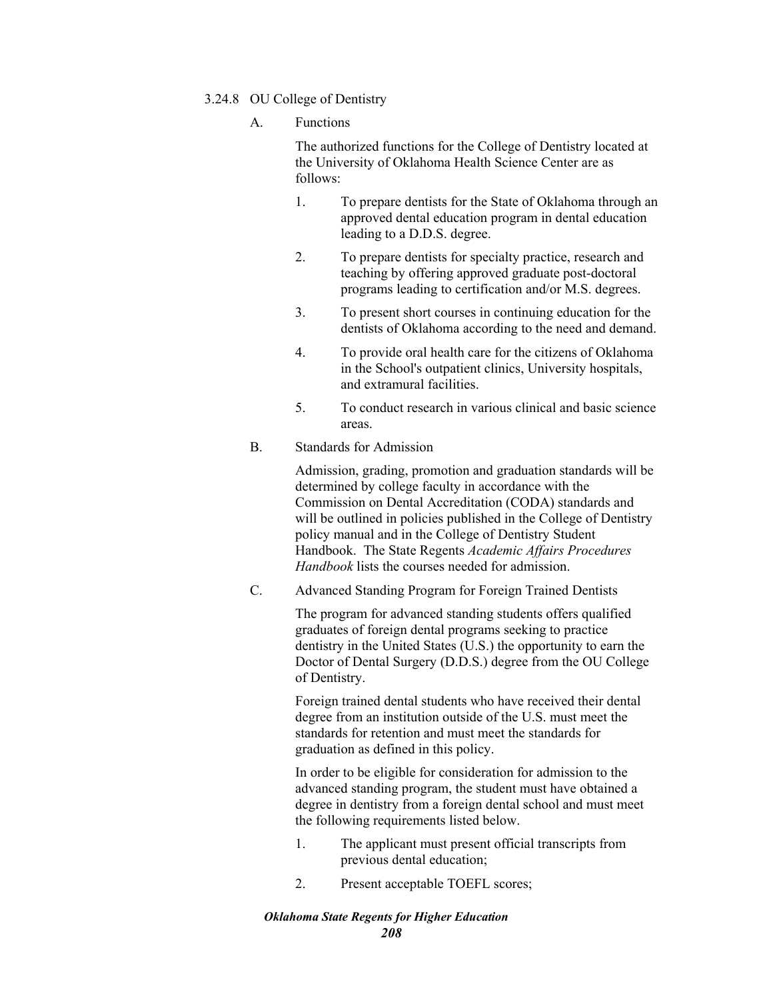## 3.24.8 OU College of Dentistry

A. Functions

The authorized functions for the College of Dentistry located at the University of Oklahoma Health Science Center are as follows:

- 1. To prepare dentists for the State of Oklahoma through an approved dental education program in dental education leading to a D.D.S. degree.
- 2. To prepare dentists for specialty practice, research and teaching by offering approved graduate post-doctoral programs leading to certification and/or M.S. degrees.
- 3. To present short courses in continuing education for the dentists of Oklahoma according to the need and demand.
- 4. To provide oral health care for the citizens of Oklahoma in the School's outpatient clinics, University hospitals, and extramural facilities.
- 5. To conduct research in various clinical and basic science areas.

# B. Standards for Admission

Admission, grading, promotion and graduation standards will be determined by college faculty in accordance with the Commission on Dental Accreditation (CODA) standards and will be outlined in policies published in the College of Dentistry policy manual and in the College of Dentistry Student Handbook. The State Regents *Academic Affairs Procedures Handbook* lists the courses needed for admission.

C. Advanced Standing Program for Foreign Trained Dentists

The program for advanced standing students offers qualified graduates of foreign dental programs seeking to practice dentistry in the United States (U.S.) the opportunity to earn the Doctor of Dental Surgery (D.D.S.) degree from the OU College of Dentistry.

Foreign trained dental students who have received their dental degree from an institution outside of the U.S. must meet the standards for retention and must meet the standards for graduation as defined in this policy.

In order to be eligible for consideration for admission to the advanced standing program, the student must have obtained a degree in dentistry from a foreign dental school and must meet the following requirements listed below.

- 1. The applicant must present official transcripts from previous dental education;
- 2. Present acceptable TOEFL scores;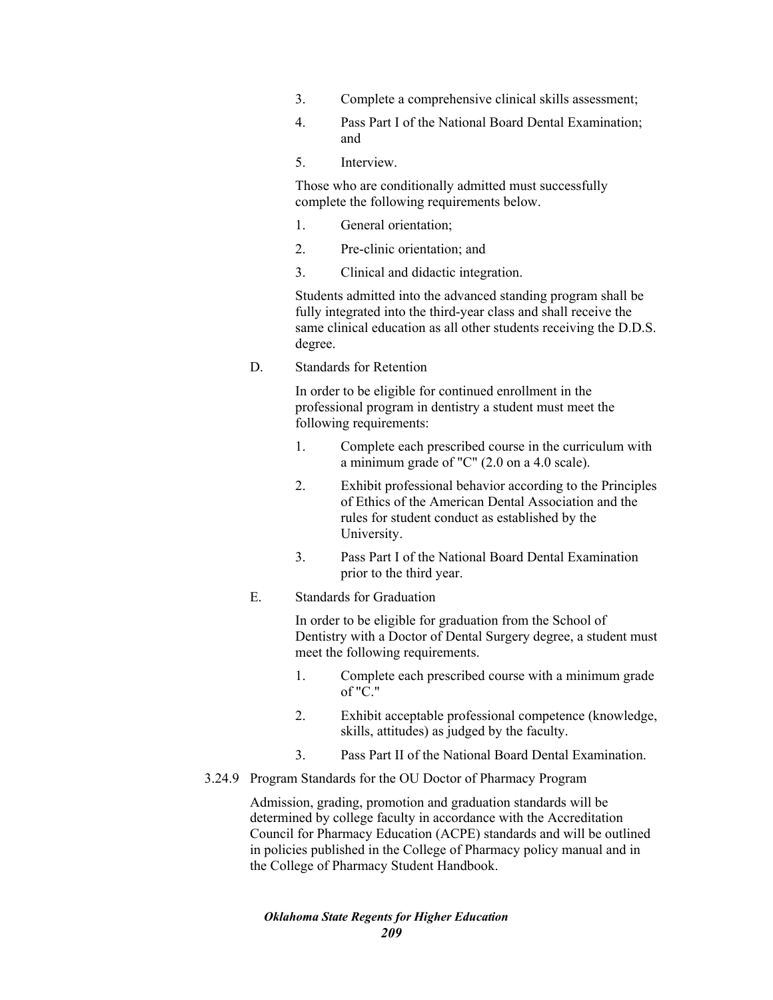- 3. Complete a comprehensive clinical skills assessment;
- 4. Pass Part I of the National Board Dental Examination; and
- 5. Interview.

Those who are conditionally admitted must successfully complete the following requirements below.

- 1. General orientation;
- 2. Pre-clinic orientation; and
- 3. Clinical and didactic integration.

Students admitted into the advanced standing program shall be fully integrated into the third-year class and shall receive the same clinical education as all other students receiving the D.D.S. degree.

D. Standards for Retention

In order to be eligible for continued enrollment in the professional program in dentistry a student must meet the following requirements:

- 1. Complete each prescribed course in the curriculum with a minimum grade of "C" (2.0 on a 4.0 scale).
- 2. Exhibit professional behavior according to the Principles of Ethics of the American Dental Association and the rules for student conduct as established by the University.
- 3. Pass Part I of the National Board Dental Examination prior to the third year.
- E. Standards for Graduation

In order to be eligible for graduation from the School of Dentistry with a Doctor of Dental Surgery degree, a student must meet the following requirements.

- 1. Complete each prescribed course with a minimum grade of "C."
- 2. Exhibit acceptable professional competence (knowledge, skills, attitudes) as judged by the faculty.
- 3. Pass Part II of the National Board Dental Examination.
- 3.24.9 Program Standards for the OU Doctor of Pharmacy Program

Admission, grading, promotion and graduation standards will be determined by college faculty in accordance with the Accreditation Council for Pharmacy Education (ACPE) standards and will be outlined in policies published in the College of Pharmacy policy manual and in the College of Pharmacy Student Handbook.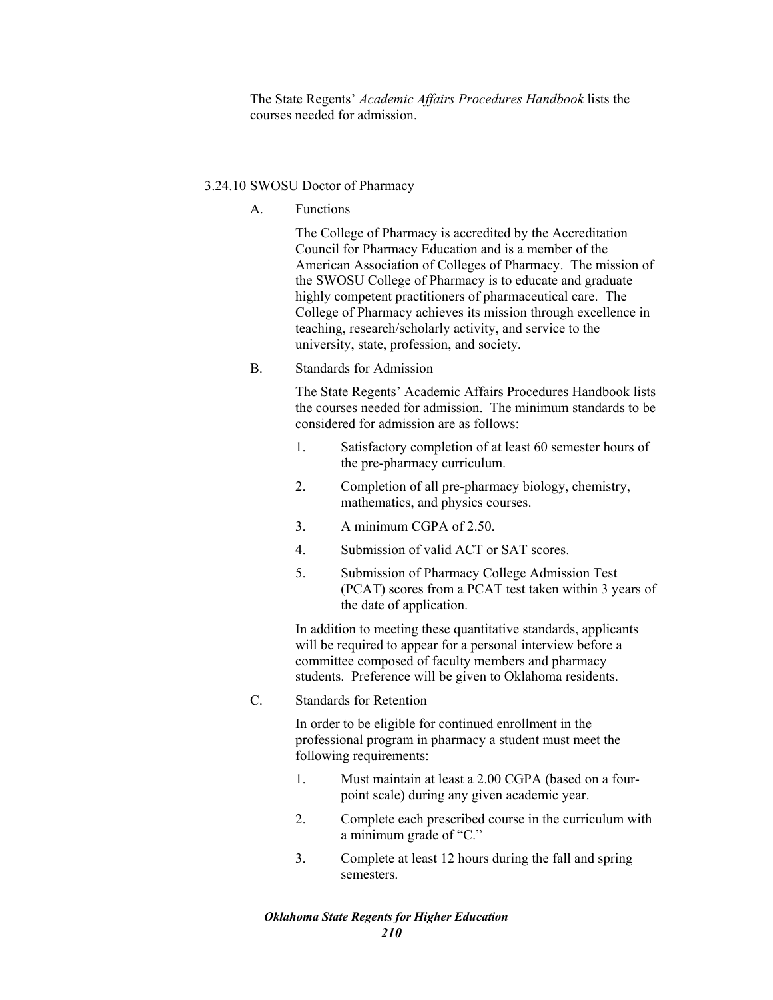The State Regents' *Academic Affairs Procedures Handbook* lists the courses needed for admission.

# 3.24.10 SWOSU Doctor of Pharmacy

A. Functions

The College of Pharmacy is accredited by the Accreditation Council for Pharmacy Education and is a member of the American Association of Colleges of Pharmacy. The mission of the SWOSU College of Pharmacy is to educate and graduate highly competent practitioners of pharmaceutical care. The College of Pharmacy achieves its mission through excellence in teaching, research/scholarly activity, and service to the university, state, profession, and society.

B. Standards for Admission

The State Regents' Academic Affairs Procedures Handbook lists the courses needed for admission. The minimum standards to be considered for admission are as follows:

- 1. Satisfactory completion of at least 60 semester hours of the pre-pharmacy curriculum.
- 2. Completion of all pre-pharmacy biology, chemistry, mathematics, and physics courses.
- 3. A minimum CGPA of 2.50.
- 4. Submission of valid ACT or SAT scores.
- 5. Submission of Pharmacy College Admission Test (PCAT) scores from a PCAT test taken within 3 years of the date of application.

In addition to meeting these quantitative standards, applicants will be required to appear for a personal interview before a committee composed of faculty members and pharmacy students. Preference will be given to Oklahoma residents.

C. Standards for Retention

In order to be eligible for continued enrollment in the professional program in pharmacy a student must meet the following requirements:

- 1. Must maintain at least a 2.00 CGPA (based on a fourpoint scale) during any given academic year.
- 2. Complete each prescribed course in the curriculum with a minimum grade of "C."
- 3. Complete at least 12 hours during the fall and spring semesters.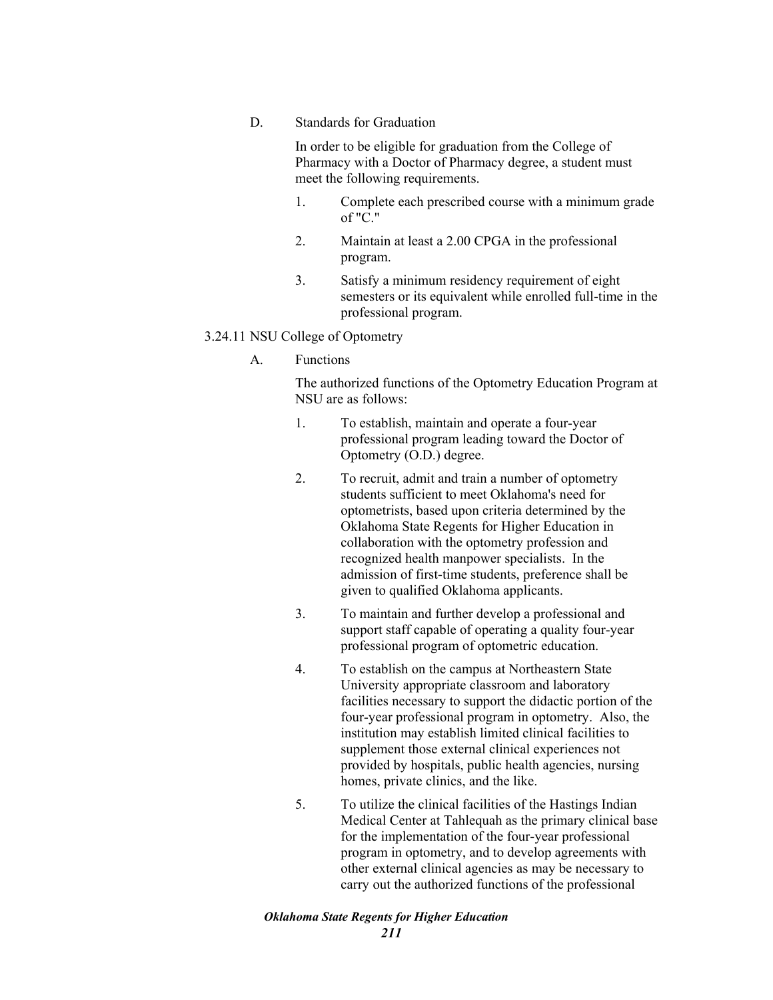D. Standards for Graduation

In order to be eligible for graduation from the College of Pharmacy with a Doctor of Pharmacy degree, a student must meet the following requirements.

- 1. Complete each prescribed course with a minimum grade of "C."
- 2. Maintain at least a 2.00 CPGA in the professional program.
- 3. Satisfy a minimum residency requirement of eight semesters or its equivalent while enrolled full-time in the professional program.

# 3.24.11 NSU College of Optometry

A. Functions

The authorized functions of the Optometry Education Program at NSU are as follows:

- 1. To establish, maintain and operate a four-year professional program leading toward the Doctor of Optometry (O.D.) degree.
- 2. To recruit, admit and train a number of optometry students sufficient to meet Oklahoma's need for optometrists, based upon criteria determined by the Oklahoma State Regents for Higher Education in collaboration with the optometry profession and recognized health manpower specialists. In the admission of first-time students, preference shall be given to qualified Oklahoma applicants.
- 3. To maintain and further develop a professional and support staff capable of operating a quality four-year professional program of optometric education.
- 4. To establish on the campus at Northeastern State University appropriate classroom and laboratory facilities necessary to support the didactic portion of the four-year professional program in optometry. Also, the institution may establish limited clinical facilities to supplement those external clinical experiences not provided by hospitals, public health agencies, nursing homes, private clinics, and the like.
- 5. To utilize the clinical facilities of the Hastings Indian Medical Center at Tahlequah as the primary clinical base for the implementation of the four-year professional program in optometry, and to develop agreements with other external clinical agencies as may be necessary to carry out the authorized functions of the professional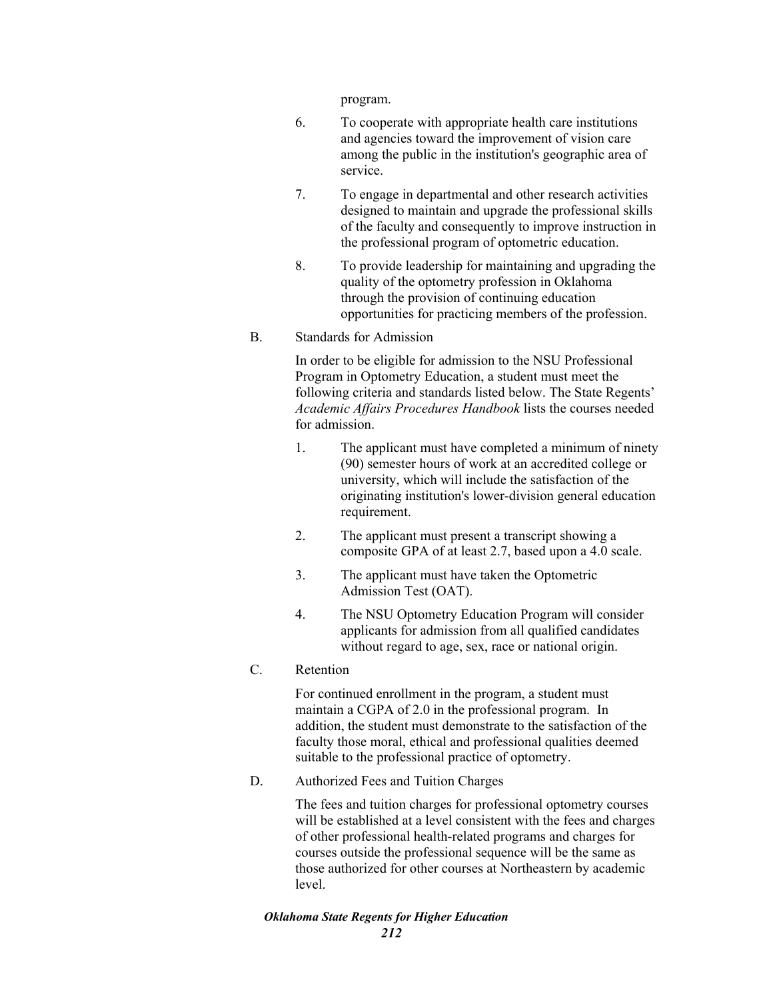program.

- 6. To cooperate with appropriate health care institutions and agencies toward the improvement of vision care among the public in the institution's geographic area of service.
- 7. To engage in departmental and other research activities designed to maintain and upgrade the professional skills of the faculty and consequently to improve instruction in the professional program of optometric education.
- 8. To provide leadership for maintaining and upgrading the quality of the optometry profession in Oklahoma through the provision of continuing education opportunities for practicing members of the profession.

### B. Standards for Admission

In order to be eligible for admission to the NSU Professional Program in Optometry Education, a student must meet the following criteria and standards listed below. The State Regents' *Academic Affairs Procedures Handbook* lists the courses needed for admission.

- 1. The applicant must have completed a minimum of ninety (90) semester hours of work at an accredited college or university, which will include the satisfaction of the originating institution's lower-division general education requirement.
- 2. The applicant must present a transcript showing a composite GPA of at least 2.7, based upon a 4.0 scale.
- 3. The applicant must have taken the Optometric Admission Test (OAT).
- 4. The NSU Optometry Education Program will consider applicants for admission from all qualified candidates without regard to age, sex, race or national origin.

# C. Retention

For continued enrollment in the program, a student must maintain a CGPA of 2.0 in the professional program. In addition, the student must demonstrate to the satisfaction of the faculty those moral, ethical and professional qualities deemed suitable to the professional practice of optometry.

D. Authorized Fees and Tuition Charges

The fees and tuition charges for professional optometry courses will be established at a level consistent with the fees and charges of other professional health-related programs and charges for courses outside the professional sequence will be the same as those authorized for other courses at Northeastern by academic level.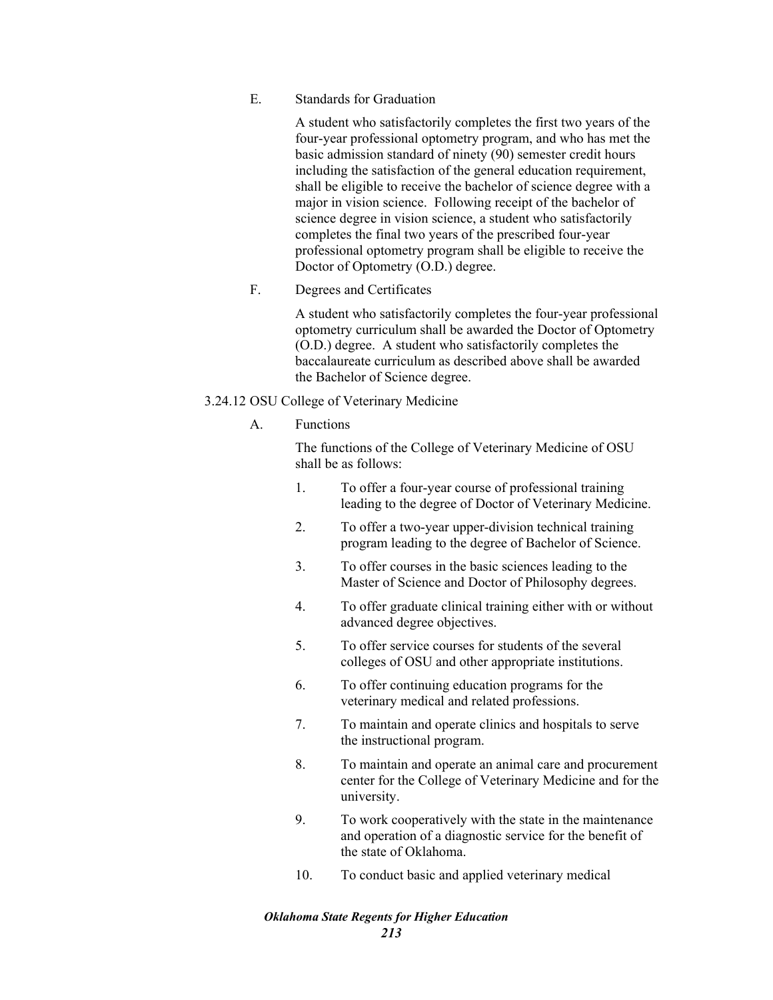E. Standards for Graduation

A student who satisfactorily completes the first two years of the four-year professional optometry program, and who has met the basic admission standard of ninety (90) semester credit hours including the satisfaction of the general education requirement, shall be eligible to receive the bachelor of science degree with a major in vision science. Following receipt of the bachelor of science degree in vision science, a student who satisfactorily completes the final two years of the prescribed four-year professional optometry program shall be eligible to receive the Doctor of Optometry (O.D.) degree.

F. Degrees and Certificates

A student who satisfactorily completes the four-year professional optometry curriculum shall be awarded the Doctor of Optometry (O.D.) degree. A student who satisfactorily completes the baccalaureate curriculum as described above shall be awarded the Bachelor of Science degree.

# 3.24.12 OSU College of Veterinary Medicine

# A. Functions

The functions of the College of Veterinary Medicine of OSU shall be as follows:

- 1. To offer a four-year course of professional training leading to the degree of Doctor of Veterinary Medicine.
- 2. To offer a two-year upper-division technical training program leading to the degree of Bachelor of Science.
- 3. To offer courses in the basic sciences leading to the Master of Science and Doctor of Philosophy degrees.
- 4. To offer graduate clinical training either with or without advanced degree objectives.
- 5. To offer service courses for students of the several colleges of OSU and other appropriate institutions.
- 6. To offer continuing education programs for the veterinary medical and related professions.
- 7. To maintain and operate clinics and hospitals to serve the instructional program.
- 8. To maintain and operate an animal care and procurement center for the College of Veterinary Medicine and for the university.
- 9. To work cooperatively with the state in the maintenance and operation of a diagnostic service for the benefit of the state of Oklahoma.
- 10. To conduct basic and applied veterinary medical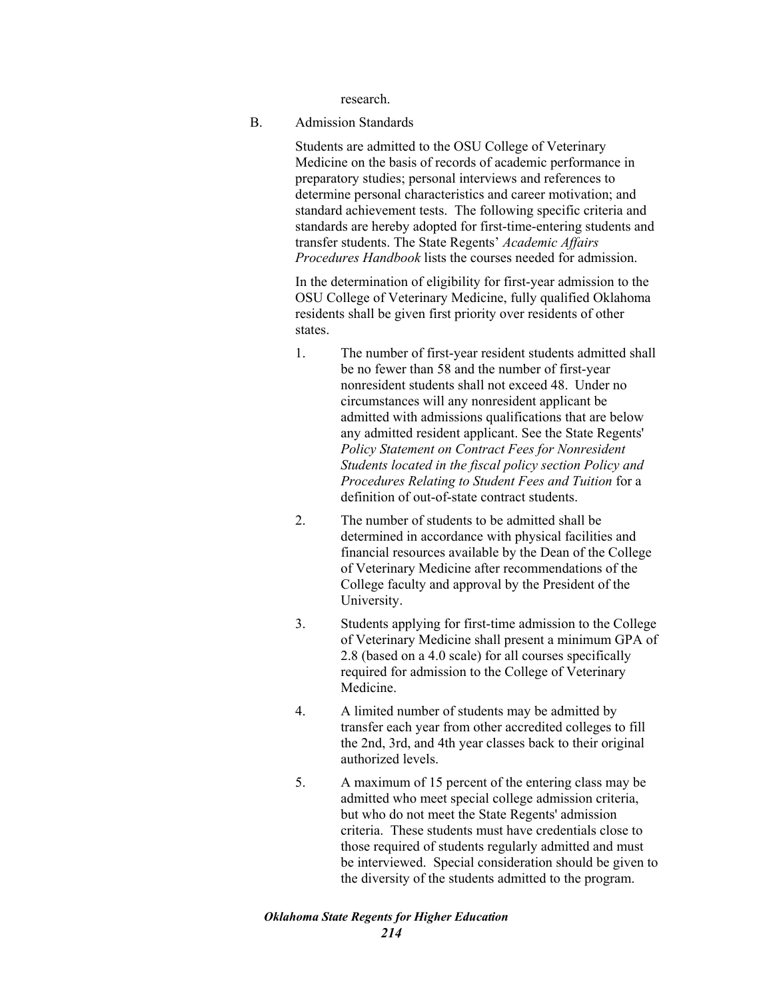research.

B. Admission Standards

Students are admitted to the OSU College of Veterinary Medicine on the basis of records of academic performance in preparatory studies; personal interviews and references to determine personal characteristics and career motivation; and standard achievement tests. The following specific criteria and standards are hereby adopted for first-time-entering students and transfer students. The State Regents' *Academic Affairs Procedures Handbook* lists the courses needed for admission.

In the determination of eligibility for first-year admission to the OSU College of Veterinary Medicine, fully qualified Oklahoma residents shall be given first priority over residents of other states.

- 1. The number of first-year resident students admitted shall be no fewer than 58 and the number of first-year nonresident students shall not exceed 48. Under no circumstances will any nonresident applicant be admitted with admissions qualifications that are below any admitted resident applicant. See the State Regents' *Policy Statement on Contract Fees for Nonresident Students located in the fiscal policy section Policy and Procedures Relating to Student Fees and Tuition* for a definition of out-of-state contract students.
- 2. The number of students to be admitted shall be determined in accordance with physical facilities and financial resources available by the Dean of the College of Veterinary Medicine after recommendations of the College faculty and approval by the President of the University.
- 3. Students applying for first-time admission to the College of Veterinary Medicine shall present a minimum GPA of 2.8 (based on a 4.0 scale) for all courses specifically required for admission to the College of Veterinary Medicine.
- 4. A limited number of students may be admitted by transfer each year from other accredited colleges to fill the 2nd, 3rd, and 4th year classes back to their original authorized levels.
- 5. A maximum of 15 percent of the entering class may be admitted who meet special college admission criteria, but who do not meet the State Regents' admission criteria. These students must have credentials close to those required of students regularly admitted and must be interviewed. Special consideration should be given to the diversity of the students admitted to the program.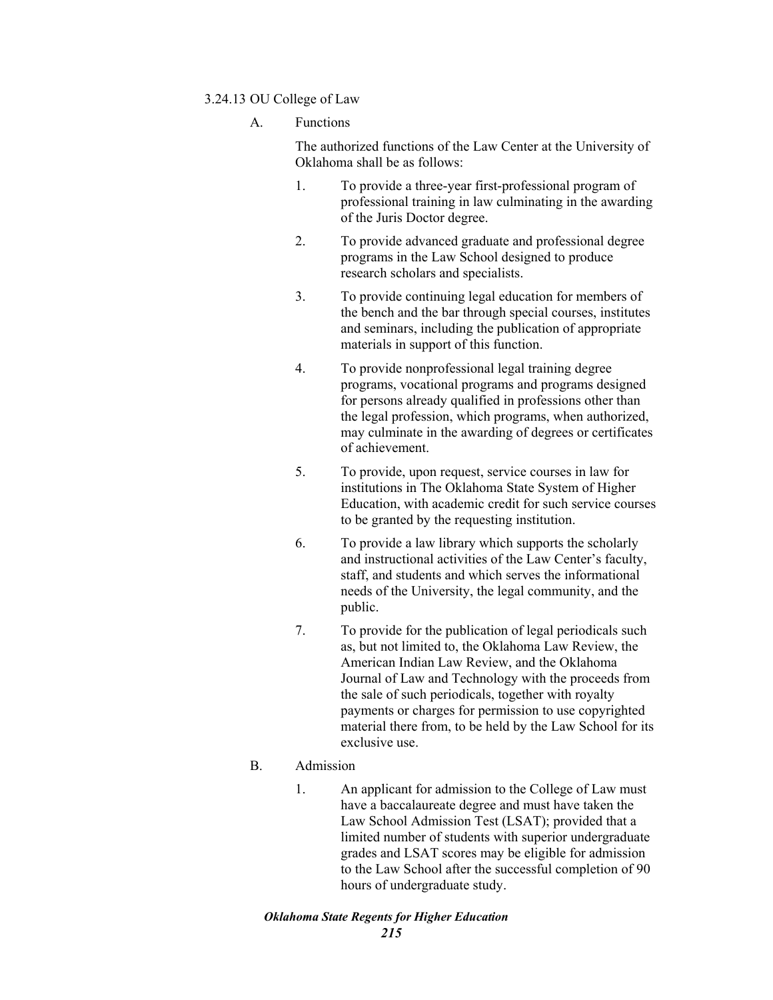# 3.24.13 OU College of Law

A. Functions

The authorized functions of the Law Center at the University of Oklahoma shall be as follows:

- 1. To provide a three-year first-professional program of professional training in law culminating in the awarding of the Juris Doctor degree.
- 2. To provide advanced graduate and professional degree programs in the Law School designed to produce research scholars and specialists.
- 3. To provide continuing legal education for members of the bench and the bar through special courses, institutes and seminars, including the publication of appropriate materials in support of this function.
- 4. To provide nonprofessional legal training degree programs, vocational programs and programs designed for persons already qualified in professions other than the legal profession, which programs, when authorized, may culminate in the awarding of degrees or certificates of achievement.
- 5. To provide, upon request, service courses in law for institutions in The Oklahoma State System of Higher Education, with academic credit for such service courses to be granted by the requesting institution.
- 6. To provide a law library which supports the scholarly and instructional activities of the Law Center's faculty, staff, and students and which serves the informational needs of the University, the legal community, and the public.
- 7. To provide for the publication of legal periodicals such as, but not limited to, the Oklahoma Law Review, the American Indian Law Review, and the Oklahoma Journal of Law and Technology with the proceeds from the sale of such periodicals, together with royalty payments or charges for permission to use copyrighted material there from, to be held by the Law School for its exclusive use.

# B. Admission

1. An applicant for admission to the College of Law must have a baccalaureate degree and must have taken the Law School Admission Test (LSAT); provided that a limited number of students with superior undergraduate grades and LSAT scores may be eligible for admission to the Law School after the successful completion of 90 hours of undergraduate study.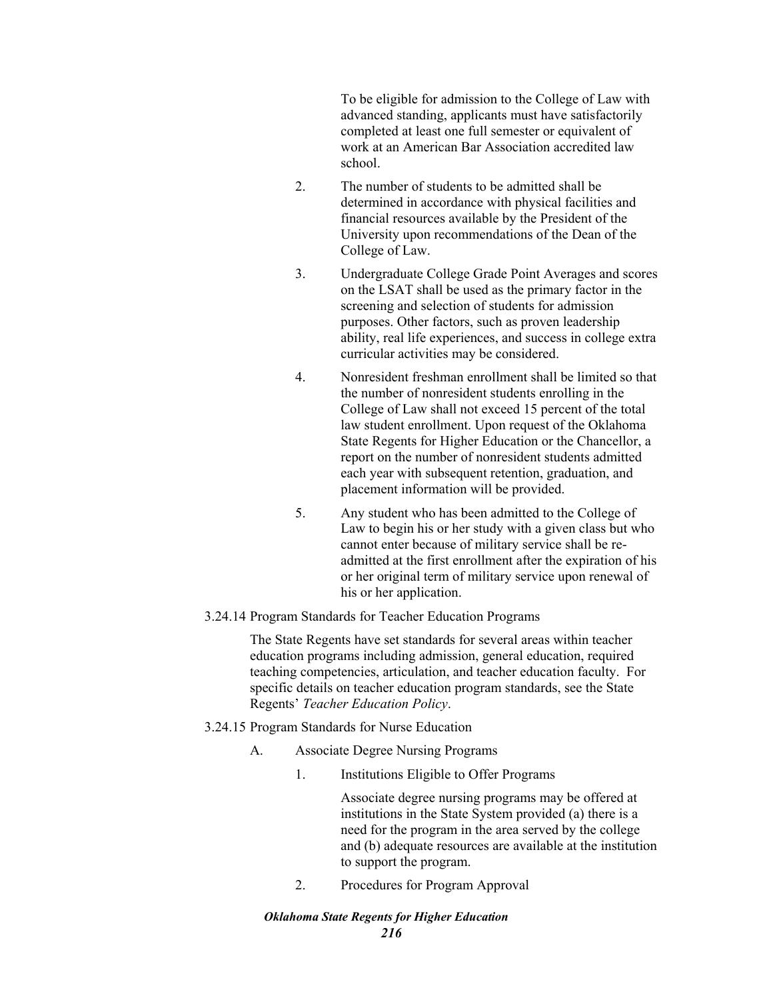To be eligible for admission to the College of Law with advanced standing, applicants must have satisfactorily completed at least one full semester or equivalent of work at an American Bar Association accredited law school.

- 2. The number of students to be admitted shall be determined in accordance with physical facilities and financial resources available by the President of the University upon recommendations of the Dean of the College of Law.
- 3. Undergraduate College Grade Point Averages and scores on the LSAT shall be used as the primary factor in the screening and selection of students for admission purposes. Other factors, such as proven leadership ability, real life experiences, and success in college extra curricular activities may be considered.
- 4. Nonresident freshman enrollment shall be limited so that the number of nonresident students enrolling in the College of Law shall not exceed 15 percent of the total law student enrollment. Upon request of the Oklahoma State Regents for Higher Education or the Chancellor, a report on the number of nonresident students admitted each year with subsequent retention, graduation, and placement information will be provided.
- 5. Any student who has been admitted to the College of Law to begin his or her study with a given class but who cannot enter because of military service shall be readmitted at the first enrollment after the expiration of his or her original term of military service upon renewal of his or her application.

#### 3.24.14 Program Standards for Teacher Education Programs

The State Regents have set standards for several areas within teacher education programs including admission, general education, required teaching competencies, articulation, and teacher education faculty. For specific details on teacher education program standards, see the State Regents' *Teacher Education Policy*.

- 3.24.15 Program Standards for Nurse Education
	- A. Associate Degree Nursing Programs
		- 1. Institutions Eligible to Offer Programs

Associate degree nursing programs may be offered at institutions in the State System provided (a) there is a need for the program in the area served by the college and (b) adequate resources are available at the institution to support the program.

2. Procedures for Program Approval

#### *Oklahoma State Regents for Higher Education 216*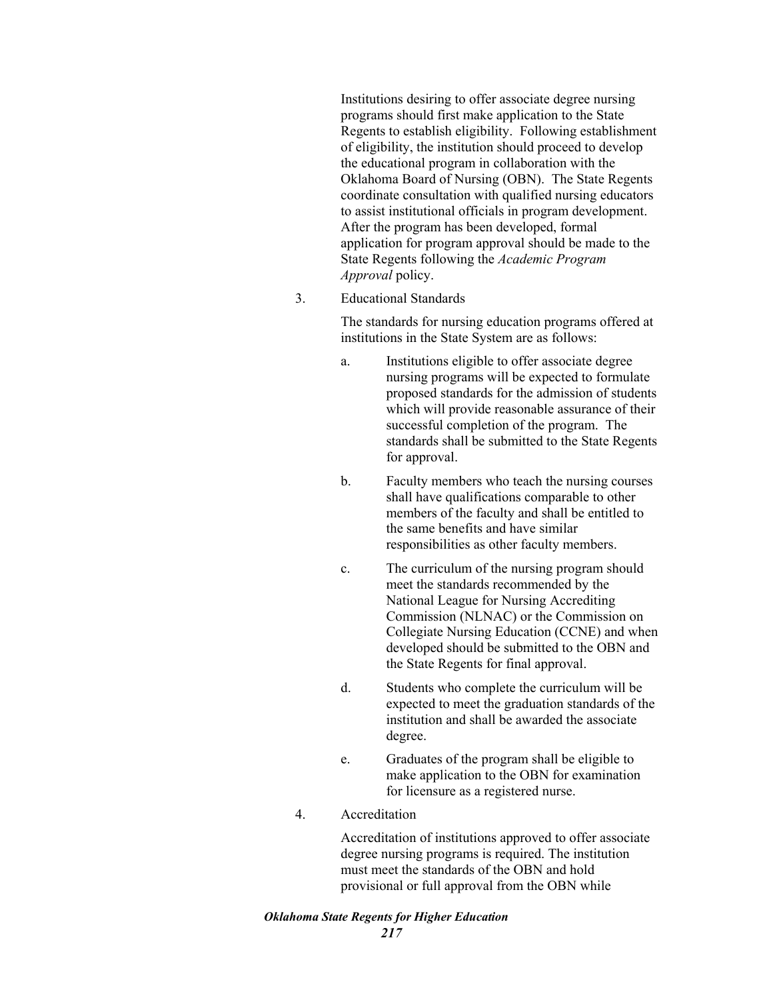Institutions desiring to offer associate degree nursing programs should first make application to the State Regents to establish eligibility. Following establishment of eligibility, the institution should proceed to develop the educational program in collaboration with the Oklahoma Board of Nursing (OBN). The State Regents coordinate consultation with qualified nursing educators to assist institutional officials in program development. After the program has been developed, formal application for program approval should be made to the State Regents following the *Academic Program Approval* policy.

3. Educational Standards

The standards for nursing education programs offered at institutions in the State System are as follows:

- a. Institutions eligible to offer associate degree nursing programs will be expected to formulate proposed standards for the admission of students which will provide reasonable assurance of their successful completion of the program. The standards shall be submitted to the State Regents for approval.
- b. Faculty members who teach the nursing courses shall have qualifications comparable to other members of the faculty and shall be entitled to the same benefits and have similar responsibilities as other faculty members.
- c. The curriculum of the nursing program should meet the standards recommended by the National League for Nursing Accrediting Commission (NLNAC) or the Commission on Collegiate Nursing Education (CCNE) and when developed should be submitted to the OBN and the State Regents for final approval.
- d. Students who complete the curriculum will be expected to meet the graduation standards of the institution and shall be awarded the associate degree.
- e. Graduates of the program shall be eligible to make application to the OBN for examination for licensure as a registered nurse.
- 4. Accreditation

Accreditation of institutions approved to offer associate degree nursing programs is required. The institution must meet the standards of the OBN and hold provisional or full approval from the OBN while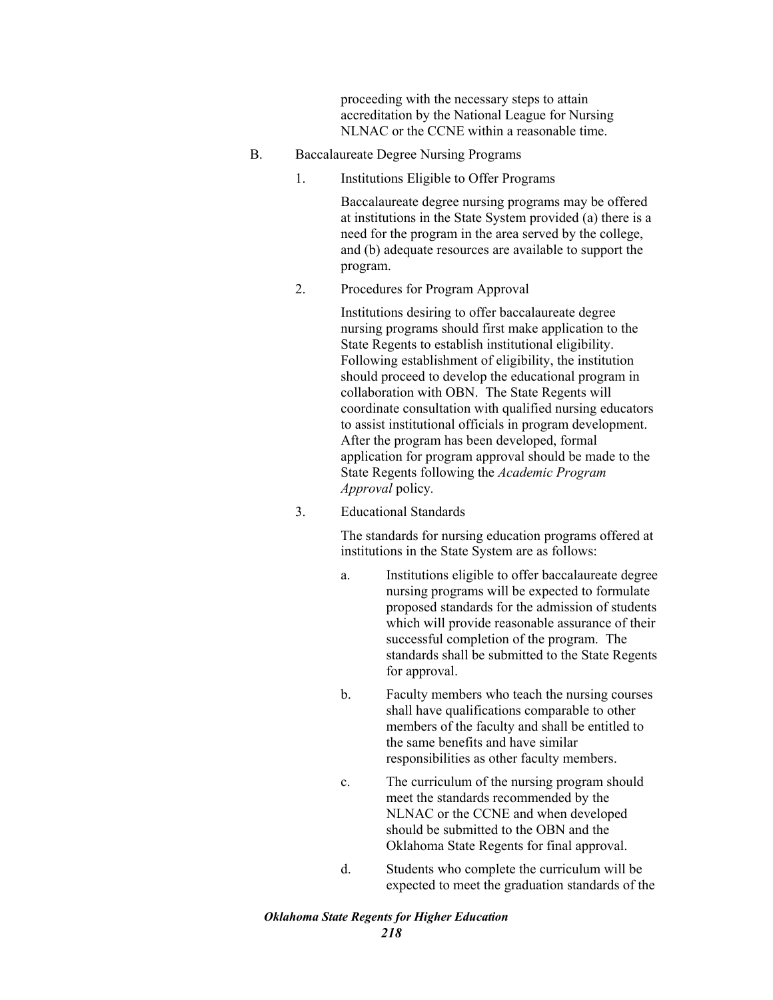proceeding with the necessary steps to attain accreditation by the National League for Nursing NLNAC or the CCNE within a reasonable time.

- B. Baccalaureate Degree Nursing Programs
	- 1. Institutions Eligible to Offer Programs

Baccalaureate degree nursing programs may be offered at institutions in the State System provided (a) there is a need for the program in the area served by the college, and (b) adequate resources are available to support the program.

2. Procedures for Program Approval

Institutions desiring to offer baccalaureate degree nursing programs should first make application to the State Regents to establish institutional eligibility. Following establishment of eligibility, the institution should proceed to develop the educational program in collaboration with OBN. The State Regents will coordinate consultation with qualified nursing educators to assist institutional officials in program development. After the program has been developed, formal application for program approval should be made to the State Regents following the *Academic Program Approval* policy*.*

3. Educational Standards

The standards for nursing education programs offered at institutions in the State System are as follows:

- a. Institutions eligible to offer baccalaureate degree nursing programs will be expected to formulate proposed standards for the admission of students which will provide reasonable assurance of their successful completion of the program. The standards shall be submitted to the State Regents for approval.
- b. Faculty members who teach the nursing courses shall have qualifications comparable to other members of the faculty and shall be entitled to the same benefits and have similar responsibilities as other faculty members.
- c. The curriculum of the nursing program should meet the standards recommended by the NLNAC or the CCNE and when developed should be submitted to the OBN and the Oklahoma State Regents for final approval.
- d. Students who complete the curriculum will be expected to meet the graduation standards of the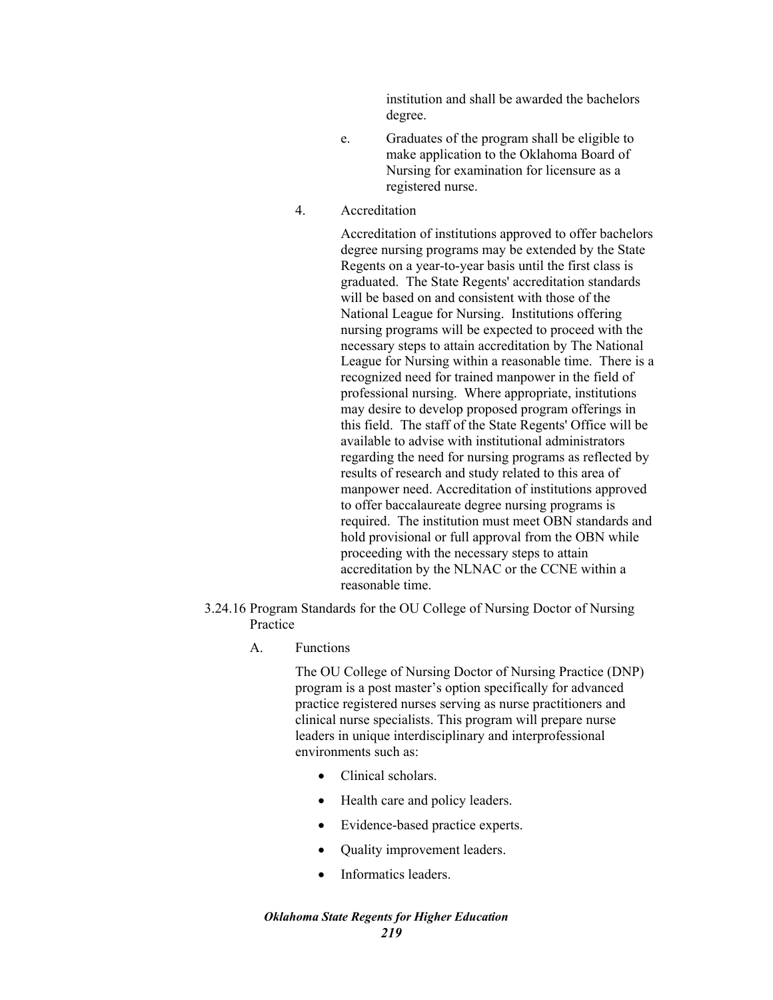institution and shall be awarded the bachelors degree.

- e. Graduates of the program shall be eligible to make application to the Oklahoma Board of Nursing for examination for licensure as a registered nurse.
- 4. Accreditation

Accreditation of institutions approved to offer bachelors degree nursing programs may be extended by the State Regents on a year-to-year basis until the first class is graduated. The State Regents' accreditation standards will be based on and consistent with those of the National League for Nursing. Institutions offering nursing programs will be expected to proceed with the necessary steps to attain accreditation by The National League for Nursing within a reasonable time. There is a recognized need for trained manpower in the field of professional nursing. Where appropriate, institutions may desire to develop proposed program offerings in this field. The staff of the State Regents' Office will be available to advise with institutional administrators regarding the need for nursing programs as reflected by results of research and study related to this area of manpower need. Accreditation of institutions approved to offer baccalaureate degree nursing programs is required. The institution must meet OBN standards and hold provisional or full approval from the OBN while proceeding with the necessary steps to attain accreditation by the NLNAC or the CCNE within a reasonable time.

- 3.24.16 Program Standards for the OU College of Nursing Doctor of Nursing Practice
	- A. Functions

The OU College of Nursing Doctor of Nursing Practice (DNP) program is a post master's option specifically for advanced practice registered nurses serving as nurse practitioners and clinical nurse specialists. This program will prepare nurse leaders in unique interdisciplinary and interprofessional environments such as:

- Clinical scholars.
- Health care and policy leaders.
- Evidence-based practice experts.
- Quality improvement leaders.
- Informatics leaders.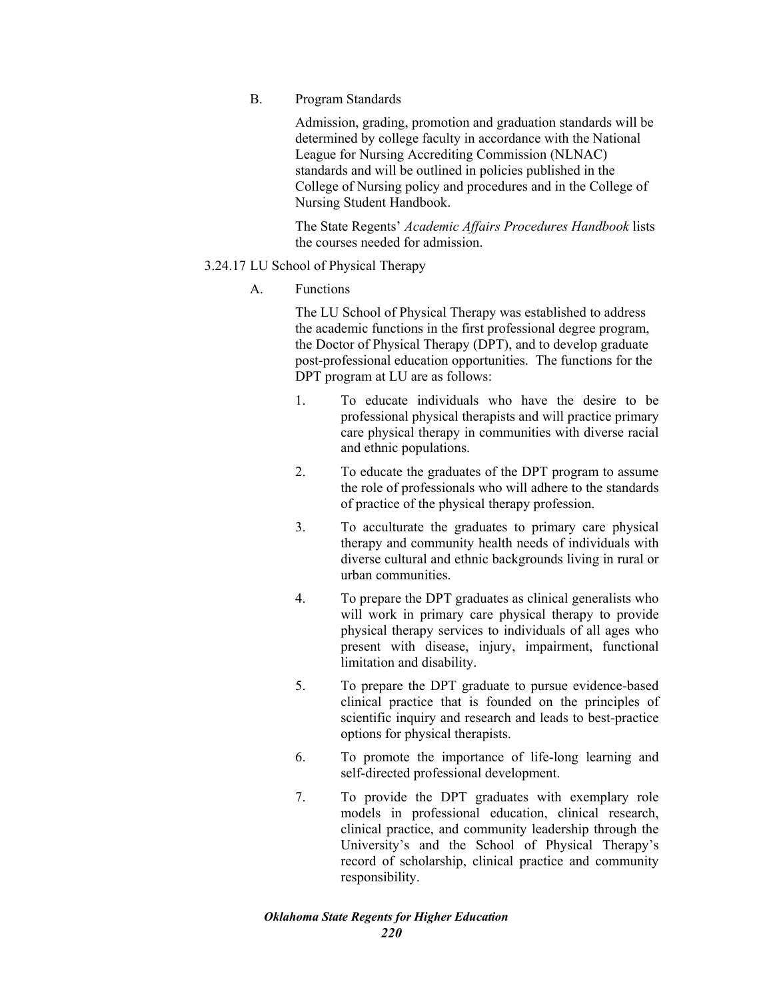B. Program Standards

Admission, grading, promotion and graduation standards will be determined by college faculty in accordance with the National League for Nursing Accrediting Commission (NLNAC) standards and will be outlined in policies published in the College of Nursing policy and procedures and in the College of Nursing Student Handbook.

The State Regents' *Academic Affairs Procedures Handbook* lists the courses needed for admission.

## 3.24.17 LU School of Physical Therapy

A. Functions

The LU School of Physical Therapy was established to address the academic functions in the first professional degree program, the Doctor of Physical Therapy (DPT), and to develop graduate post-professional education opportunities. The functions for the DPT program at LU are as follows:

- 1. To educate individuals who have the desire to be professional physical therapists and will practice primary care physical therapy in communities with diverse racial and ethnic populations.
- 2. To educate the graduates of the DPT program to assume the role of professionals who will adhere to the standards of practice of the physical therapy profession.
- 3. To acculturate the graduates to primary care physical therapy and community health needs of individuals with diverse cultural and ethnic backgrounds living in rural or urban communities.
- 4. To prepare the DPT graduates as clinical generalists who will work in primary care physical therapy to provide physical therapy services to individuals of all ages who present with disease, injury, impairment, functional limitation and disability.
- 5. To prepare the DPT graduate to pursue evidence-based clinical practice that is founded on the principles of scientific inquiry and research and leads to best-practice options for physical therapists.
- 6. To promote the importance of life-long learning and self-directed professional development.
- 7. To provide the DPT graduates with exemplary role models in professional education, clinical research, clinical practice, and community leadership through the University's and the School of Physical Therapy's record of scholarship, clinical practice and community responsibility.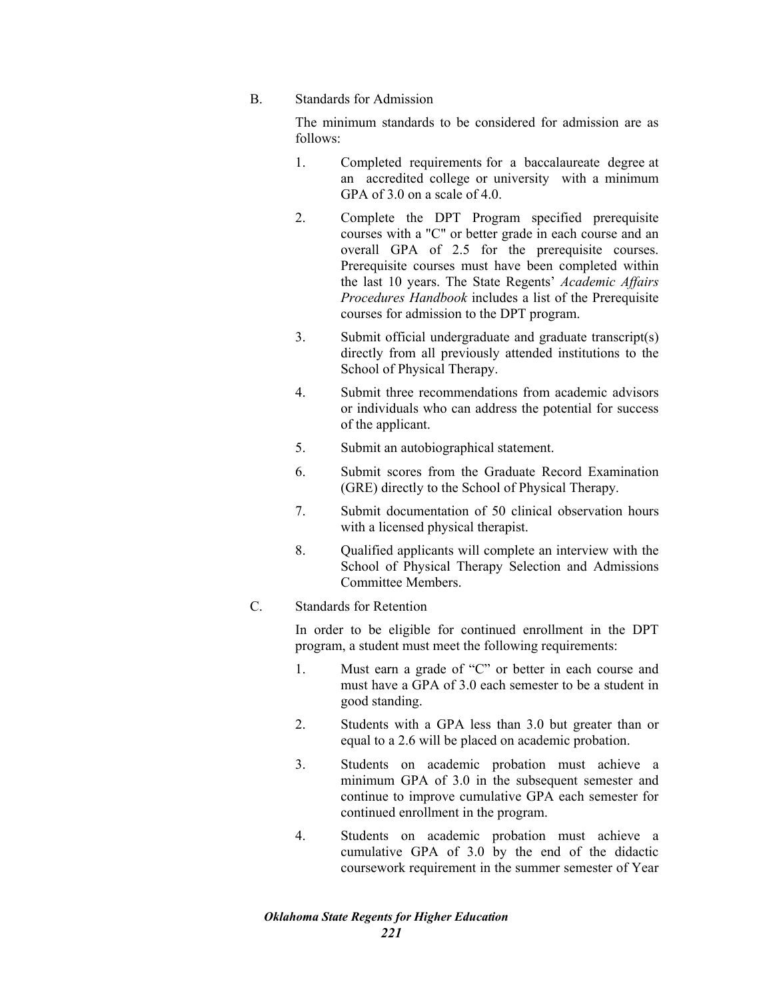### B. Standards for Admission

The minimum standards to be considered for admission are as follows:

- 1. Completed requirements for a baccalaureate degree at an accredited college or university with a minimum GPA of 3.0 on a scale of 4.0.
- 2. Complete the DPT Program specified prerequisite courses with a "C" or better grade in each course and an overall GPA of 2.5 for the prerequisite courses. Prerequisite courses must have been completed within the last 10 years. The State Regents' *Academic Affairs Procedures Handbook* includes a list of the Prerequisite courses for admission to the DPT program.
- 3. Submit official undergraduate and graduate transcript(s) directly from all previously attended institutions to the School of Physical Therapy.
- 4. Submit three recommendations from academic advisors or individuals who can address the potential for success of the applicant.
- 5. Submit an autobiographical statement.
- 6. Submit scores from the Graduate Record Examination (GRE) directly to the School of Physical Therapy.
- 7. Submit documentation of 50 clinical observation hours with a licensed physical therapist.
- 8. Qualified applicants will complete an interview with the School of Physical Therapy Selection and Admissions Committee Members.

# C. Standards for Retention

In order to be eligible for continued enrollment in the DPT program, a student must meet the following requirements:

- 1. Must earn a grade of "C" or better in each course and must have a GPA of 3.0 each semester to be a student in good standing.
- 2. Students with a GPA less than 3.0 but greater than or equal to a 2.6 will be placed on academic probation.
- 3. Students on academic probation must achieve a minimum GPA of 3.0 in the subsequent semester and continue to improve cumulative GPA each semester for continued enrollment in the program.
- 4. Students on academic probation must achieve a cumulative GPA of 3.0 by the end of the didactic coursework requirement in the summer semester of Year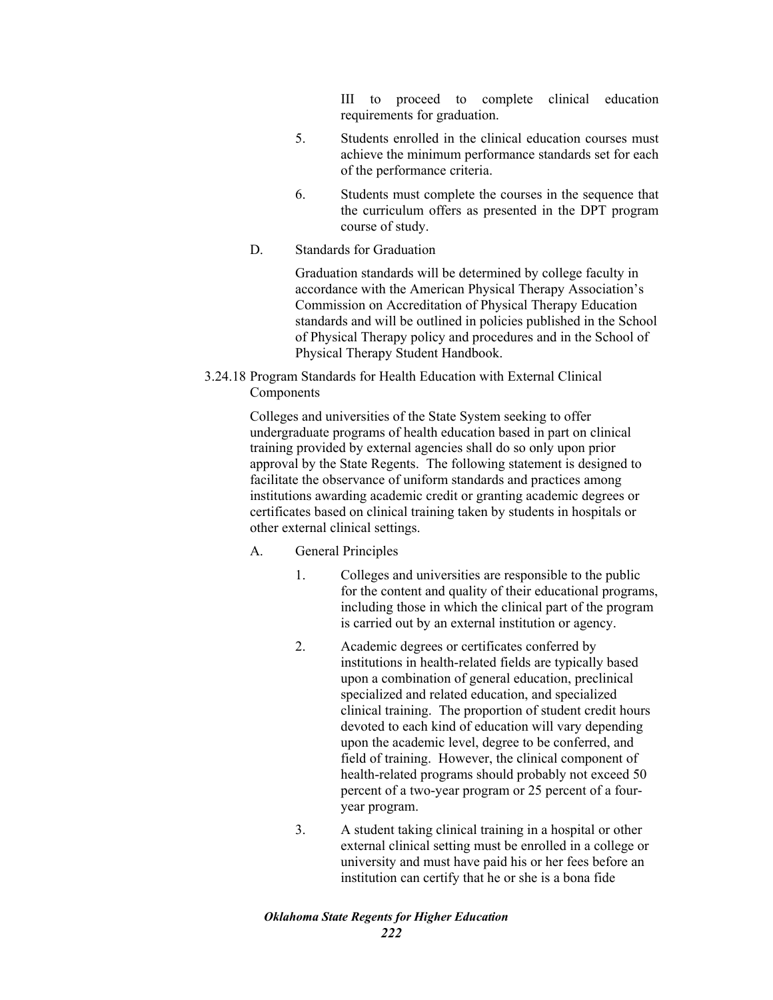III to proceed to complete clinical education requirements for graduation.

- 5. Students enrolled in the clinical education courses must achieve the minimum performance standards set for each of the performance criteria.
- 6. Students must complete the courses in the sequence that the curriculum offers as presented in the DPT program course of study.
- D. Standards for Graduation

Graduation standards will be determined by college faculty in accordance with the American Physical Therapy Association's Commission on Accreditation of Physical Therapy Education standards and will be outlined in policies published in the School of Physical Therapy policy and procedures and in the School of Physical Therapy Student Handbook.

3.24.18 Program Standards for Health Education with External Clinical **Components** 

> Colleges and universities of the State System seeking to offer undergraduate programs of health education based in part on clinical training provided by external agencies shall do so only upon prior approval by the State Regents. The following statement is designed to facilitate the observance of uniform standards and practices among institutions awarding academic credit or granting academic degrees or certificates based on clinical training taken by students in hospitals or other external clinical settings.

- A. General Principles
	- 1. Colleges and universities are responsible to the public for the content and quality of their educational programs, including those in which the clinical part of the program is carried out by an external institution or agency.
	- 2. Academic degrees or certificates conferred by institutions in health-related fields are typically based upon a combination of general education, preclinical specialized and related education, and specialized clinical training. The proportion of student credit hours devoted to each kind of education will vary depending upon the academic level, degree to be conferred, and field of training. However, the clinical component of health-related programs should probably not exceed 50 percent of a two-year program or 25 percent of a fouryear program.
	- 3. A student taking clinical training in a hospital or other external clinical setting must be enrolled in a college or university and must have paid his or her fees before an institution can certify that he or she is a bona fide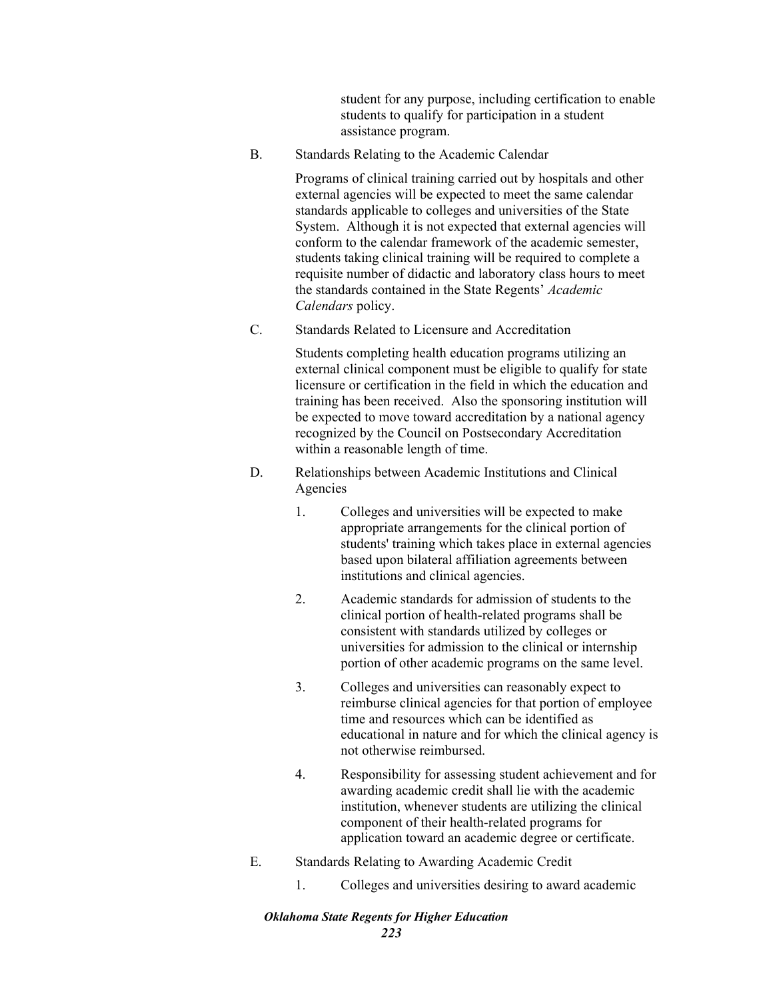student for any purpose, including certification to enable students to qualify for participation in a student assistance program.

B. Standards Relating to the Academic Calendar

Programs of clinical training carried out by hospitals and other external agencies will be expected to meet the same calendar standards applicable to colleges and universities of the State System. Although it is not expected that external agencies will conform to the calendar framework of the academic semester, students taking clinical training will be required to complete a requisite number of didactic and laboratory class hours to meet the standards contained in the State Regents' *Academic Calendars* policy.

C. Standards Related to Licensure and Accreditation

Students completing health education programs utilizing an external clinical component must be eligible to qualify for state licensure or certification in the field in which the education and training has been received. Also the sponsoring institution will be expected to move toward accreditation by a national agency recognized by the Council on Postsecondary Accreditation within a reasonable length of time.

- D. Relationships between Academic Institutions and Clinical Agencies
	- 1. Colleges and universities will be expected to make appropriate arrangements for the clinical portion of students' training which takes place in external agencies based upon bilateral affiliation agreements between institutions and clinical agencies.
	- 2. Academic standards for admission of students to the clinical portion of health-related programs shall be consistent with standards utilized by colleges or universities for admission to the clinical or internship portion of other academic programs on the same level.
	- 3. Colleges and universities can reasonably expect to reimburse clinical agencies for that portion of employee time and resources which can be identified as educational in nature and for which the clinical agency is not otherwise reimbursed.
	- 4. Responsibility for assessing student achievement and for awarding academic credit shall lie with the academic institution, whenever students are utilizing the clinical component of their health-related programs for application toward an academic degree or certificate.
- E. Standards Relating to Awarding Academic Credit
	- 1. Colleges and universities desiring to award academic

# *Oklahoma State Regents for Higher Education*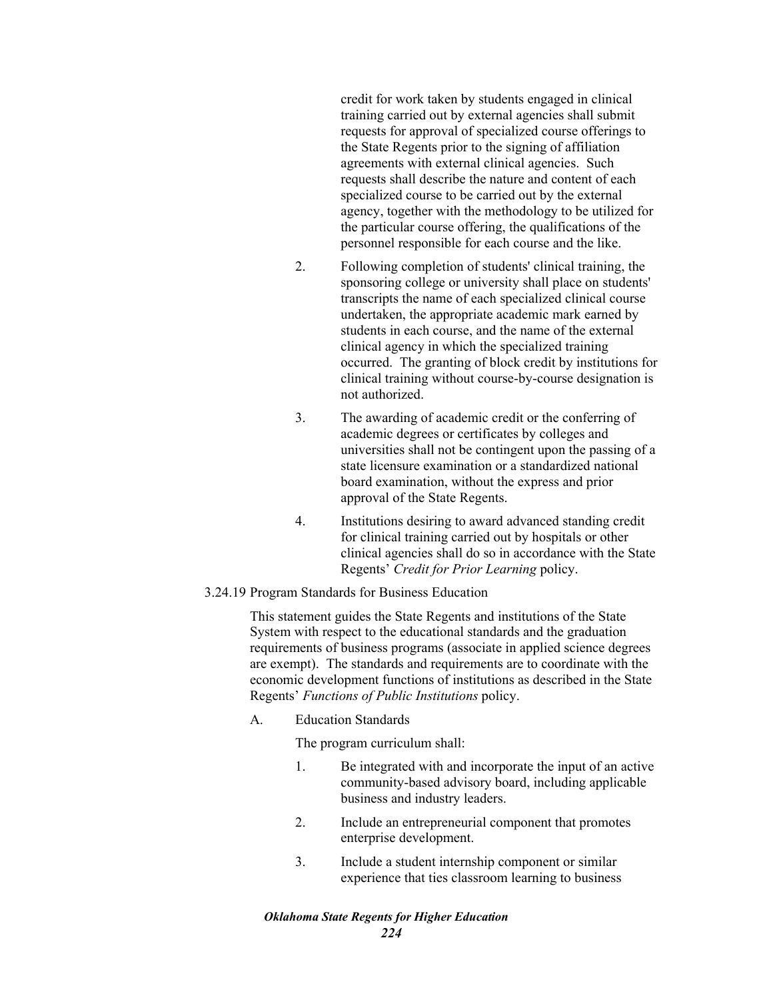credit for work taken by students engaged in clinical training carried out by external agencies shall submit requests for approval of specialized course offerings to the State Regents prior to the signing of affiliation agreements with external clinical agencies. Such requests shall describe the nature and content of each specialized course to be carried out by the external agency, together with the methodology to be utilized for the particular course offering, the qualifications of the personnel responsible for each course and the like.

- 2. Following completion of students' clinical training, the sponsoring college or university shall place on students' transcripts the name of each specialized clinical course undertaken, the appropriate academic mark earned by students in each course, and the name of the external clinical agency in which the specialized training occurred. The granting of block credit by institutions for clinical training without course-by-course designation is not authorized.
- 3. The awarding of academic credit or the conferring of academic degrees or certificates by colleges and universities shall not be contingent upon the passing of a state licensure examination or a standardized national board examination, without the express and prior approval of the State Regents.
- 4. Institutions desiring to award advanced standing credit for clinical training carried out by hospitals or other clinical agencies shall do so in accordance with the State Regents' *Credit for Prior Learning* policy.

# 3.24.19 Program Standards for Business Education

This statement guides the State Regents and institutions of the State System with respect to the educational standards and the graduation requirements of business programs (associate in applied science degrees are exempt). The standards and requirements are to coordinate with the economic development functions of institutions as described in the State Regents' *Functions of Public Institutions* policy.

A. Education Standards

The program curriculum shall:

- 1. Be integrated with and incorporate the input of an active community-based advisory board, including applicable business and industry leaders.
- 2. Include an entrepreneurial component that promotes enterprise development.
- 3. Include a student internship component or similar experience that ties classroom learning to business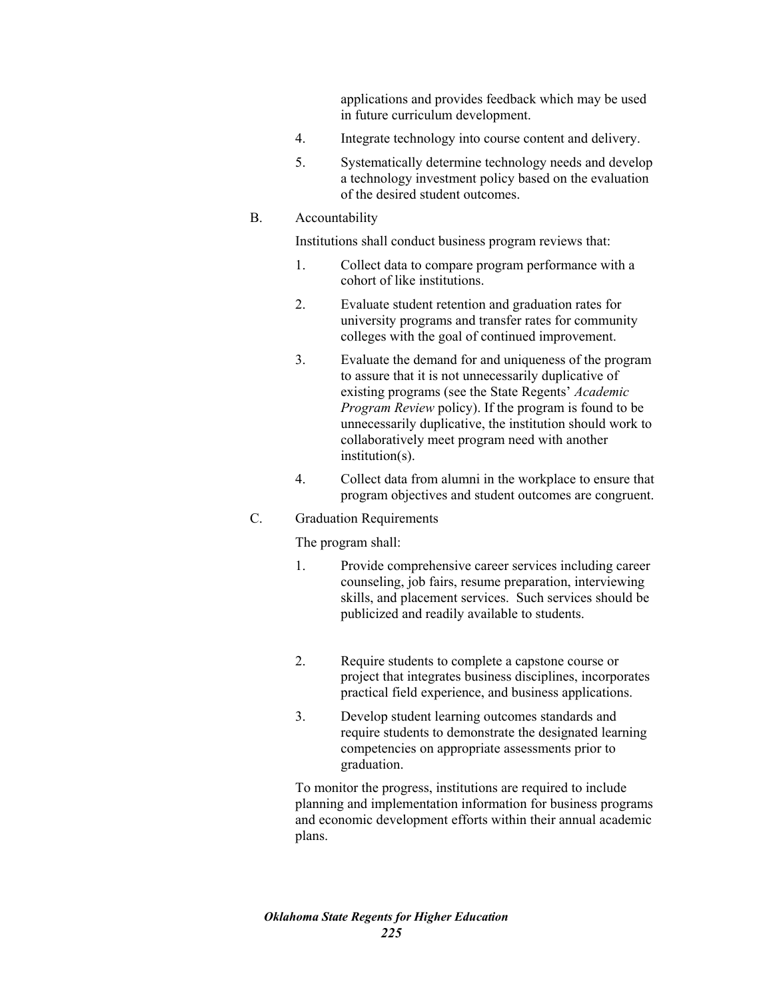applications and provides feedback which may be used in future curriculum development.

- 4. Integrate technology into course content and delivery.
- 5. Systematically determine technology needs and develop a technology investment policy based on the evaluation of the desired student outcomes.

#### B. Accountability

Institutions shall conduct business program reviews that:

- 1. Collect data to compare program performance with a cohort of like institutions.
- 2. Evaluate student retention and graduation rates for university programs and transfer rates for community colleges with the goal of continued improvement.
- 3. Evaluate the demand for and uniqueness of the program to assure that it is not unnecessarily duplicative of existing programs (see the State Regents' *Academic Program Review* policy). If the program is found to be unnecessarily duplicative, the institution should work to collaboratively meet program need with another institution(s).
- 4. Collect data from alumni in the workplace to ensure that program objectives and student outcomes are congruent.

#### C. Graduation Requirements

The program shall:

- 1. Provide comprehensive career services including career counseling, job fairs, resume preparation, interviewing skills, and placement services. Such services should be publicized and readily available to students.
- 2. Require students to complete a capstone course or project that integrates business disciplines, incorporates practical field experience, and business applications.
- 3. Develop student learning outcomes standards and require students to demonstrate the designated learning competencies on appropriate assessments prior to graduation.

To monitor the progress, institutions are required to include planning and implementation information for business programs and economic development efforts within their annual academic plans.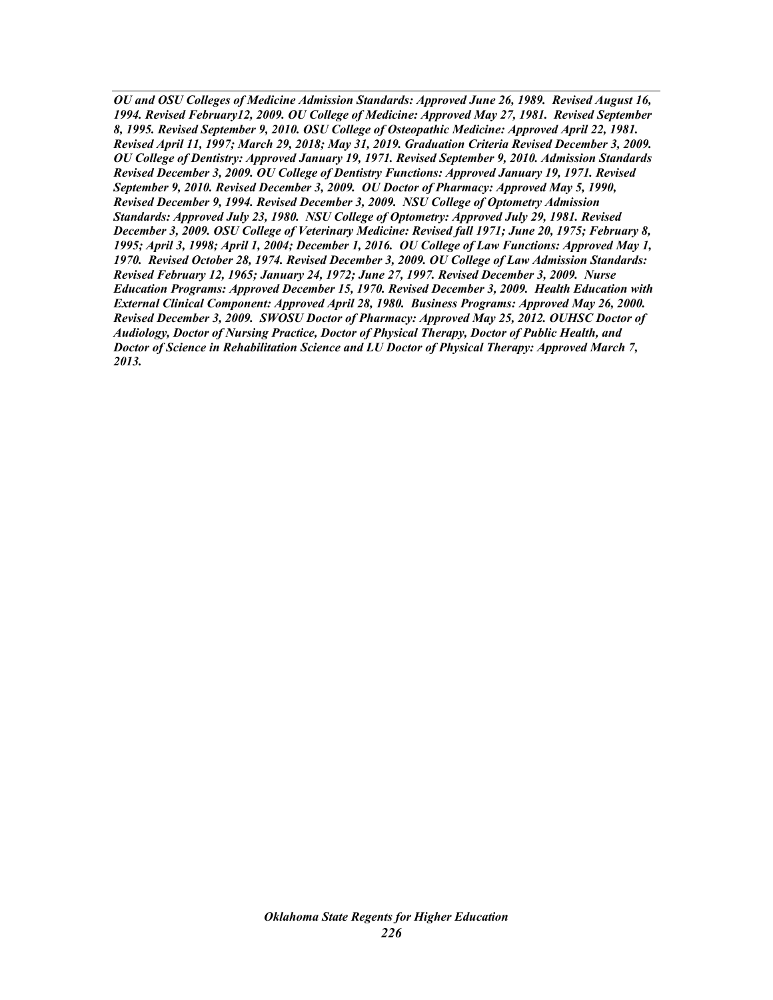*OU and OSU Colleges of Medicine Admission Standards: Approved June 26, 1989. Revised August 16, 1994. Revised February12, 2009. OU College of Medicine: Approved May 27, 1981. Revised September 8, 1995. Revised September 9, 2010. OSU College of Osteopathic Medicine: Approved April 22, 1981. Revised April 11, 1997; March 29, 2018; May 31, 2019. Graduation Criteria Revised December 3, 2009. OU College of Dentistry: Approved January 19, 1971. Revised September 9, 2010. Admission Standards Revised December 3, 2009. OU College of Dentistry Functions: Approved January 19, 1971. Revised September 9, 2010. Revised December 3, 2009. OU Doctor of Pharmacy: Approved May 5, 1990, Revised December 9, 1994. Revised December 3, 2009. NSU College of Optometry Admission Standards: Approved July 23, 1980. NSU College of Optometry: Approved July 29, 1981. Revised December 3, 2009. OSU College of Veterinary Medicine: Revised fall 1971; June 20, 1975; February 8, 1995; April 3, 1998; April 1, 2004; December 1, 2016. OU College of Law Functions: Approved May 1, 1970. Revised October 28, 1974. Revised December 3, 2009. OU College of Law Admission Standards: Revised February 12, 1965; January 24, 1972; June 27, 1997. Revised December 3, 2009. Nurse Education Programs: Approved December 15, 1970. Revised December 3, 2009. Health Education with External Clinical Component: Approved April 28, 1980. Business Programs: Approved May 26, 2000. Revised December 3, 2009. SWOSU Doctor of Pharmacy: Approved May 25, 2012. OUHSC Doctor of Audiology, Doctor of Nursing Practice, Doctor of Physical Therapy, Doctor of Public Health, and Doctor of Science in Rehabilitation Science and LU Doctor of Physical Therapy: Approved March 7, 2013.*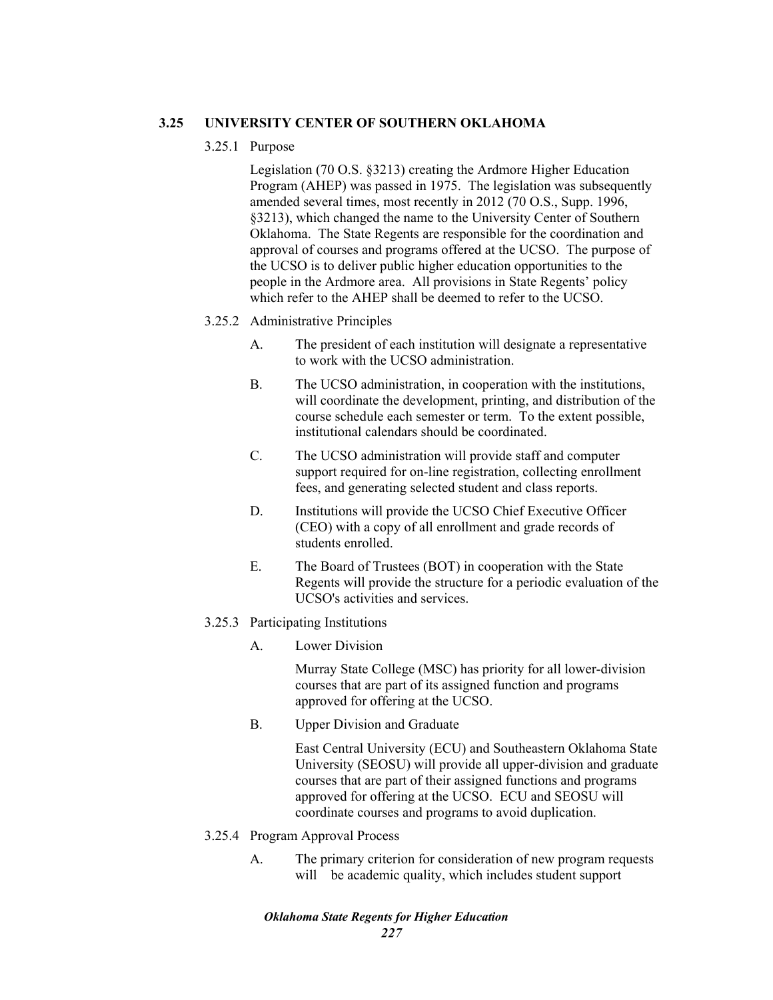# **3.25 UNIVERSITY CENTER OF SOUTHERN OKLAHOMA**

## 3.25.1 Purpose

Legislation (70 O.S. §3213) creating the Ardmore Higher Education Program (AHEP) was passed in 1975. The legislation was subsequently amended several times, most recently in 2012 (70 O.S., Supp. 1996, §3213), which changed the name to the University Center of Southern Oklahoma. The State Regents are responsible for the coordination and approval of courses and programs offered at the UCSO. The purpose of the UCSO is to deliver public higher education opportunities to the people in the Ardmore area. All provisions in State Regents' policy which refer to the AHEP shall be deemed to refer to the UCSO.

## 3.25.2 Administrative Principles

- A. The president of each institution will designate a representative to work with the UCSO administration.
- B. The UCSO administration, in cooperation with the institutions, will coordinate the development, printing, and distribution of the course schedule each semester or term. To the extent possible, institutional calendars should be coordinated.
- C. The UCSO administration will provide staff and computer support required for on-line registration, collecting enrollment fees, and generating selected student and class reports.
- D. Institutions will provide the UCSO Chief Executive Officer (CEO) with a copy of all enrollment and grade records of students enrolled.
- E. The Board of Trustees (BOT) in cooperation with the State Regents will provide the structure for a periodic evaluation of the UCSO's activities and services.

## 3.25.3 Participating Institutions

A. Lower Division

Murray State College (MSC) has priority for all lower-division courses that are part of its assigned function and programs approved for offering at the UCSO.

B. Upper Division and Graduate

East Central University (ECU) and Southeastern Oklahoma State University (SEOSU) will provide all upper-division and graduate courses that are part of their assigned functions and programs approved for offering at the UCSO. ECU and SEOSU will coordinate courses and programs to avoid duplication.

- 3.25.4 Program Approval Process
	- A. The primary criterion for consideration of new program requests will be academic quality, which includes student support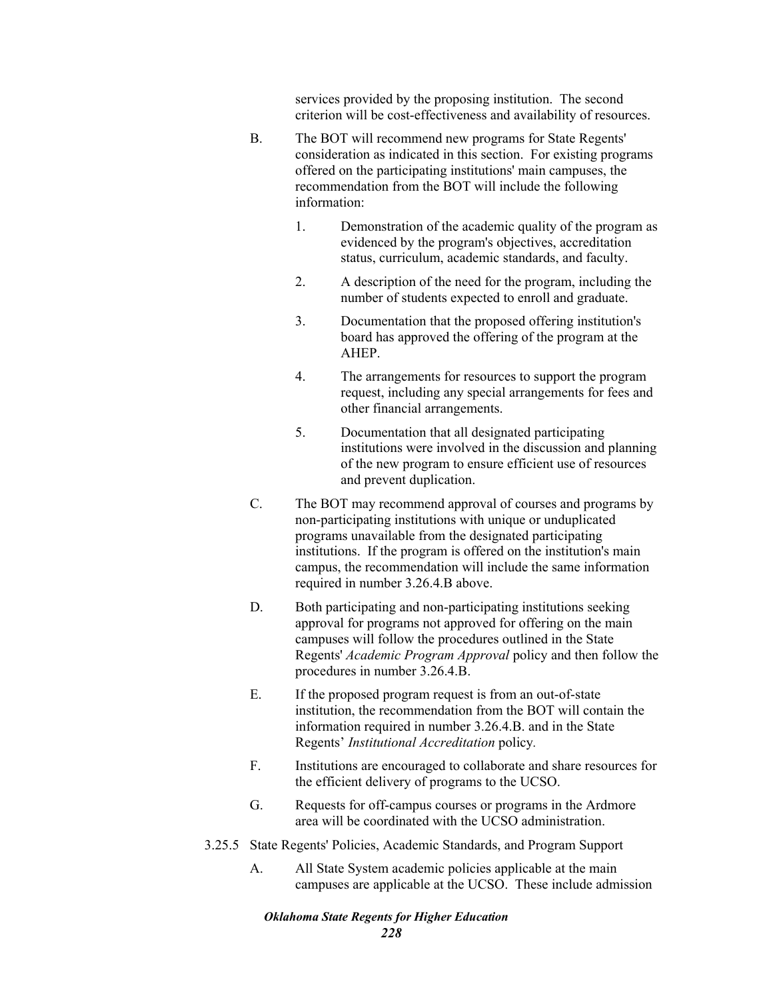services provided by the proposing institution. The second criterion will be cost-effectiveness and availability of resources.

- B. The BOT will recommend new programs for State Regents' consideration as indicated in this section. For existing programs offered on the participating institutions' main campuses, the recommendation from the BOT will include the following information:
	- 1. Demonstration of the academic quality of the program as evidenced by the program's objectives, accreditation status, curriculum, academic standards, and faculty.
	- 2. A description of the need for the program, including the number of students expected to enroll and graduate.
	- 3. Documentation that the proposed offering institution's board has approved the offering of the program at the AHEP.
	- 4. The arrangements for resources to support the program request, including any special arrangements for fees and other financial arrangements.
	- 5. Documentation that all designated participating institutions were involved in the discussion and planning of the new program to ensure efficient use of resources and prevent duplication.
- C. The BOT may recommend approval of courses and programs by non-participating institutions with unique or unduplicated programs unavailable from the designated participating institutions. If the program is offered on the institution's main campus, the recommendation will include the same information required in number 3.26.4.B above.
- D. Both participating and non-participating institutions seeking approval for programs not approved for offering on the main campuses will follow the procedures outlined in the State Regents' *Academic Program Approval* policy and then follow the procedures in number 3.26.4.B.
- E. If the proposed program request is from an out-of-state institution, the recommendation from the BOT will contain the information required in number 3.26.4.B. and in the State Regents' *Institutional Accreditation* policy*.*
- F. Institutions are encouraged to collaborate and share resources for the efficient delivery of programs to the UCSO.
- G. Requests for off-campus courses or programs in the Ardmore area will be coordinated with the UCSO administration.
- 3.25.5 State Regents' Policies, Academic Standards, and Program Support
	- A. All State System academic policies applicable at the main campuses are applicable at the UCSO. These include admission

# *Oklahoma State Regents for Higher Education*